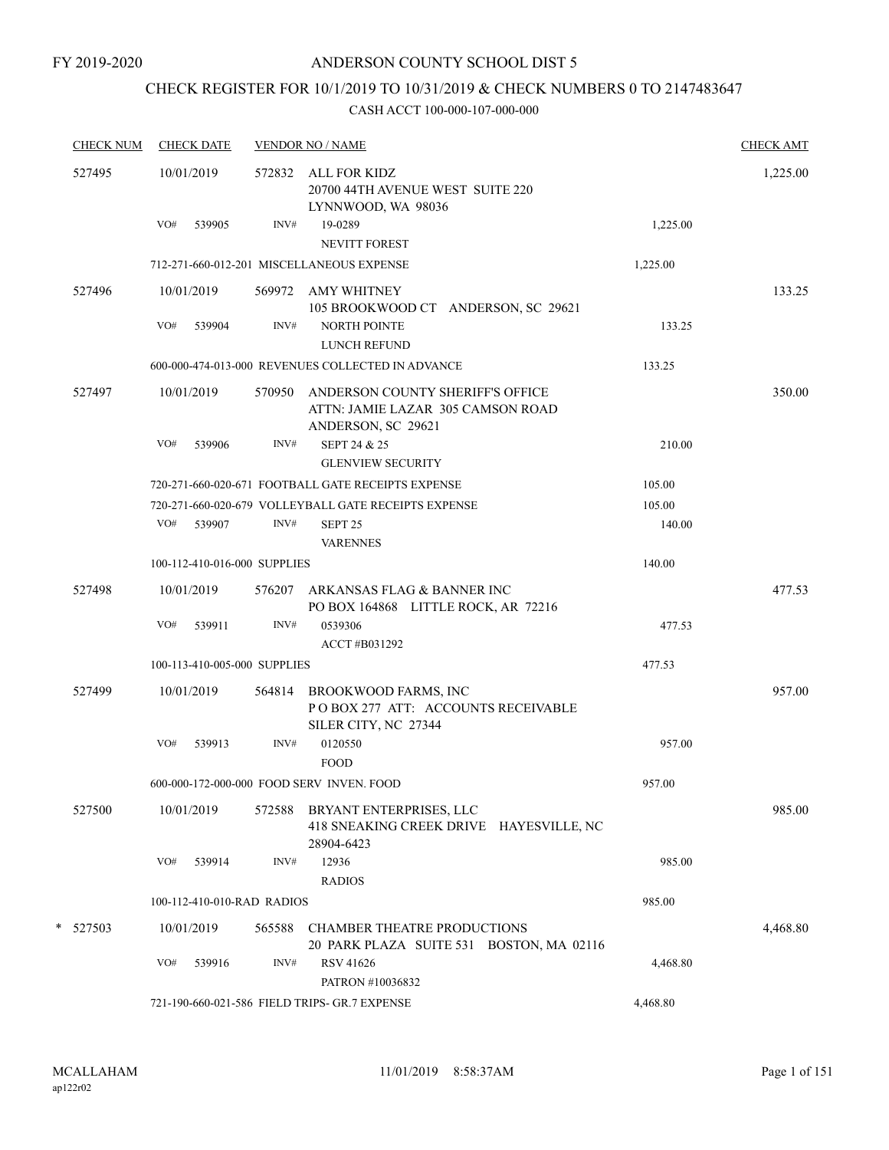# CHECK REGISTER FOR 10/1/2019 TO 10/31/2019 & CHECK NUMBERS 0 TO 2147483647

| <b>CHECK NUM</b> |            | <b>CHECK DATE</b>            |        | <b>VENDOR NO / NAME</b>                                                                     |          | <b>CHECK AMT</b> |
|------------------|------------|------------------------------|--------|---------------------------------------------------------------------------------------------|----------|------------------|
| 527495           | 10/01/2019 |                              |        | 572832 ALL FOR KIDZ<br>20700 44TH AVENUE WEST SUITE 220<br>LYNNWOOD, WA 98036               |          | 1,225.00         |
|                  | VO#        | 539905                       | INV#   | 19-0289<br><b>NEVITT FOREST</b>                                                             | 1,225.00 |                  |
|                  |            |                              |        | 712-271-660-012-201 MISCELLANEOUS EXPENSE                                                   | 1,225.00 |                  |
| 527496           |            | 10/01/2019                   |        | 569972 AMY WHITNEY<br>105 BROOKWOOD CT ANDERSON, SC 29621                                   |          | 133.25           |
|                  | VO#        | 539904                       | INV#   | <b>NORTH POINTE</b><br>LUNCH REFUND                                                         | 133.25   |                  |
|                  |            |                              |        | 600-000-474-013-000 REVENUES COLLECTED IN ADVANCE                                           | 133.25   |                  |
| 527497           |            | 10/01/2019                   | 570950 | ANDERSON COUNTY SHERIFF'S OFFICE<br>ATTN: JAMIE LAZAR 305 CAMSON ROAD<br>ANDERSON, SC 29621 |          | 350.00           |
|                  | VO#        | 539906                       | INV#   | SEPT 24 & 25<br><b>GLENVIEW SECURITY</b>                                                    | 210.00   |                  |
|                  |            |                              |        | 720-271-660-020-671 FOOTBALL GATE RECEIPTS EXPENSE                                          | 105.00   |                  |
|                  |            |                              |        | 720-271-660-020-679 VOLLEYBALL GATE RECEIPTS EXPENSE                                        | 105.00   |                  |
|                  |            | VO# 539907                   | INV#   | SEPT <sub>25</sub><br><b>VARENNES</b>                                                       | 140.00   |                  |
|                  |            | 100-112-410-016-000 SUPPLIES |        |                                                                                             | 140.00   |                  |
| 527498           |            | 10/01/2019                   |        | 576207 ARKANSAS FLAG & BANNER INC<br>PO BOX 164868 LITTLE ROCK, AR 72216                    |          | 477.53           |
|                  | VO#        | 539911                       | INV#   | 0539306<br>ACCT #B031292                                                                    | 477.53   |                  |
|                  |            | 100-113-410-005-000 SUPPLIES |        |                                                                                             | 477.53   |                  |
| 527499           |            | 10/01/2019                   | 564814 | BROOKWOOD FARMS, INC<br>PO BOX 277 ATT: ACCOUNTS RECEIVABLE<br>SILER CITY, NC 27344         |          | 957.00           |
|                  | VO#        | 539913                       | INV#   | 0120550<br><b>FOOD</b>                                                                      | 957.00   |                  |
|                  |            |                              |        | 600-000-172-000-000 FOOD SERV INVEN. FOOD                                                   | 957.00   |                  |
| 527500           |            | 10/01/2019                   | 572588 | BRYANT ENTERPRISES, LLC<br>418 SNEAKING CREEK DRIVE HAYESVILLE, NC<br>28904-6423            |          | 985.00           |
|                  | VO#        | 539914                       | INV#   | 12936<br><b>RADIOS</b>                                                                      | 985.00   |                  |
|                  |            | 100-112-410-010-RAD RADIOS   |        |                                                                                             | 985.00   |                  |
| * 527503         |            | 10/01/2019                   | 565588 | <b>CHAMBER THEATRE PRODUCTIONS</b><br>20 PARK PLAZA SUITE 531 BOSTON, MA 02116              |          | 4,468.80         |
|                  | VO#        | 539916                       | INV#   | RSV 41626<br>PATRON #10036832                                                               | 4,468.80 |                  |
|                  |            |                              |        | 721-190-660-021-586 FIELD TRIPS- GR.7 EXPENSE                                               | 4,468.80 |                  |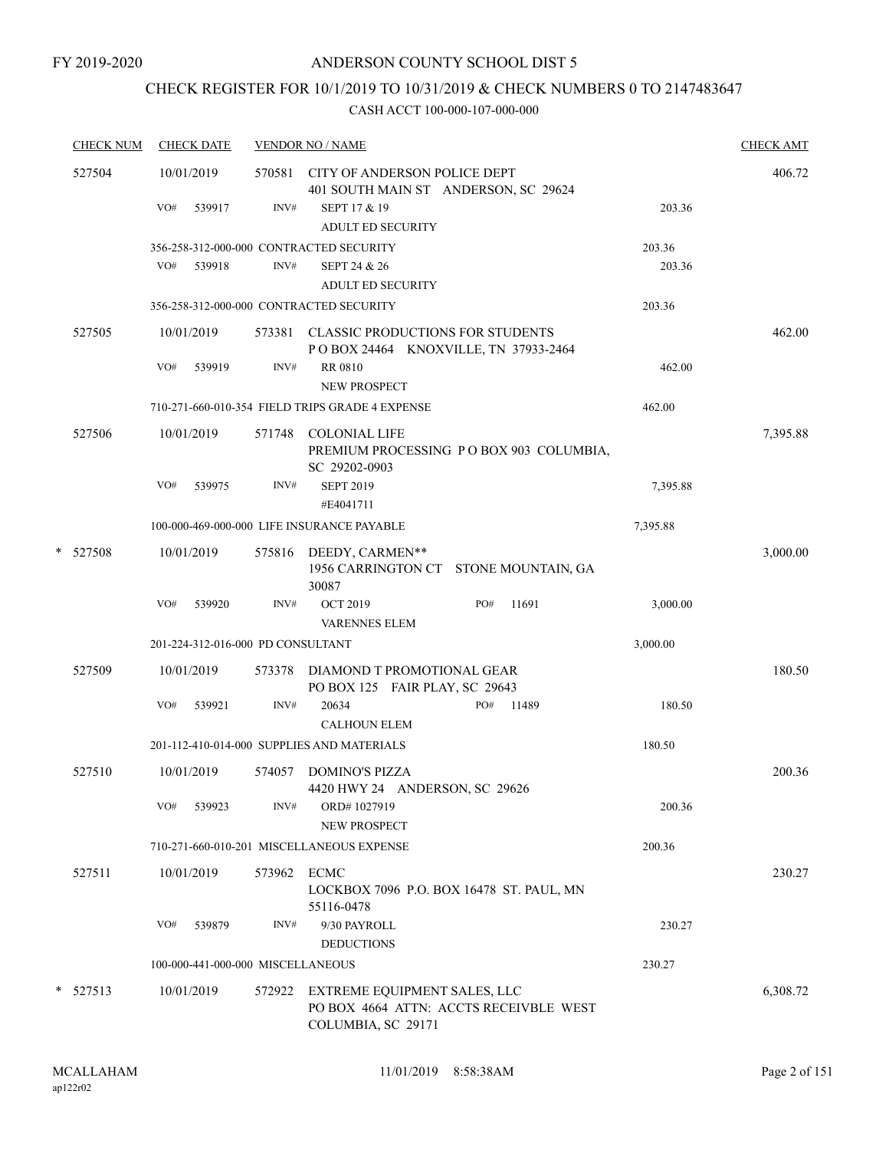# CHECK REGISTER FOR 10/1/2019 TO 10/31/2019 & CHECK NUMBERS 0 TO 2147483647

| <b>CHECK NUM</b> | <b>CHECK DATE</b>                 |                | <b>VENDOR NO / NAME</b>                                                                      |          | <b>CHECK AMT</b> |
|------------------|-----------------------------------|----------------|----------------------------------------------------------------------------------------------|----------|------------------|
| 527504           | 10/01/2019<br>VO#<br>539917       | 570581<br>INV# | CITY OF ANDERSON POLICE DEPT<br>401 SOUTH MAIN ST ANDERSON, SC 29624<br>SEPT 17 & 19         | 203.36   | 406.72           |
|                  |                                   |                | <b>ADULT ED SECURITY</b>                                                                     |          |                  |
|                  |                                   |                | 356-258-312-000-000 CONTRACTED SECURITY                                                      | 203.36   |                  |
|                  | VO# 539918                        | INV#           | SEPT 24 & 26                                                                                 | 203.36   |                  |
|                  |                                   |                | <b>ADULT ED SECURITY</b>                                                                     |          |                  |
|                  |                                   |                | 356-258-312-000-000 CONTRACTED SECURITY                                                      | 203.36   |                  |
| 527505           | 10/01/2019                        |                | 573381 CLASSIC PRODUCTIONS FOR STUDENTS<br>POBOX 24464 KNOXVILLE, TN 37933-2464              |          | 462.00           |
|                  | VO#<br>539919                     | INV#           | <b>RR 0810</b><br><b>NEW PROSPECT</b>                                                        | 462.00   |                  |
|                  |                                   |                | 710-271-660-010-354 FIELD TRIPS GRADE 4 EXPENSE                                              | 462.00   |                  |
| 527506           | 10/01/2019                        | 571748         | <b>COLONIAL LIFE</b><br>PREMIUM PROCESSING PO BOX 903 COLUMBIA,<br>SC 29202-0903             |          | 7,395.88         |
|                  | VO#<br>539975                     | INV#           | <b>SEPT 2019</b><br>#E4041711                                                                | 7,395.88 |                  |
|                  |                                   |                | 100-000-469-000-000 LIFE INSURANCE PAYABLE                                                   | 7,395.88 |                  |
| $*$ 527508       | 10/01/2019                        |                | 575816 DEEDY, CARMEN**<br>1956 CARRINGTON CT STONE MOUNTAIN, GA<br>30087                     |          | 3,000.00         |
|                  | VO#<br>539920                     | INV#           | PO#<br>11691<br><b>OCT 2019</b><br><b>VARENNES ELEM</b>                                      | 3,000.00 |                  |
|                  | 201-224-312-016-000 PD CONSULTANT |                |                                                                                              | 3,000.00 |                  |
| 527509           | 10/01/2019                        | 573378         | DIAMOND T PROMOTIONAL GEAR<br>PO BOX 125 FAIR PLAY, SC 29643                                 |          | 180.50           |
|                  | VO#<br>539921                     | INV#           | 20634<br>PO#<br>11489<br><b>CALHOUN ELEM</b>                                                 | 180.50   |                  |
|                  |                                   |                | 201-112-410-014-000 SUPPLIES AND MATERIALS                                                   | 180.50   |                  |
| 527510           | 10/01/2019                        | 574057         | <b>DOMINO'S PIZZA</b><br>4420 HWY 24 ANDERSON, SC 29626                                      |          | 200.36           |
|                  | VO#<br>539923                     | INV#           | ORD#1027919<br>NEW PROSPECT                                                                  | 200.36   |                  |
|                  |                                   |                | 710-271-660-010-201 MISCELLANEOUS EXPENSE                                                    | 200.36   |                  |
| 527511           | 10/01/2019                        | 573962         | ECMC<br>LOCKBOX 7096 P.O. BOX 16478 ST. PAUL, MN<br>55116-0478                               |          | 230.27           |
|                  | VO#<br>539879                     | INV#           | 9/30 PAYROLL<br><b>DEDUCTIONS</b>                                                            | 230.27   |                  |
|                  | 100-000-441-000-000 MISCELLANEOUS |                |                                                                                              | 230.27   |                  |
| * 527513         | 10/01/2019                        | 572922         | EXTREME EQUIPMENT SALES, LLC<br>PO BOX 4664 ATTN: ACCTS RECEIVBLE WEST<br>COLUMBIA, SC 29171 |          | 6,308.72         |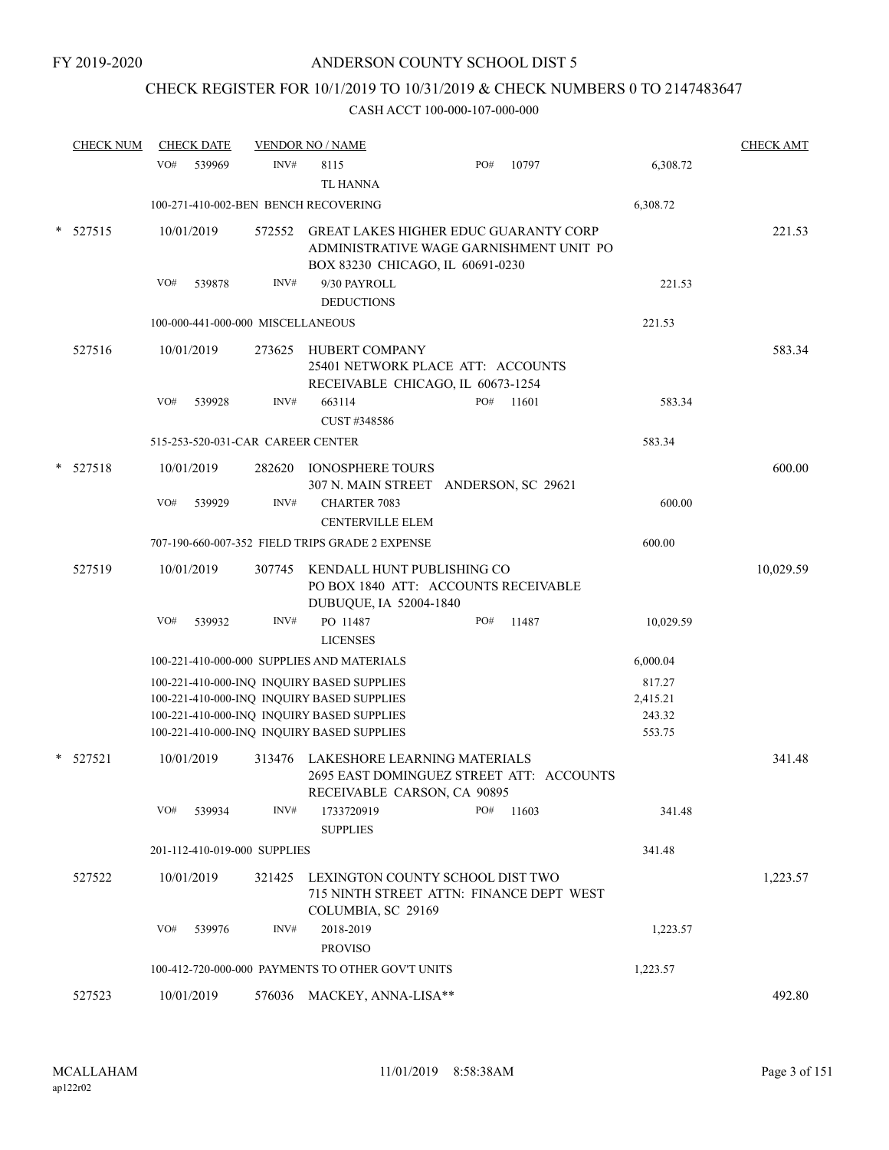# CHECK REGISTER FOR 10/1/2019 TO 10/31/2019 & CHECK NUMBERS 0 TO 2147483647

| <b>CHECK NUM</b> |     | <b>CHECK DATE</b>                 |        | <b>VENDOR NO / NAME</b>                                                                                 |     |       |           | <b>CHECK AMT</b> |
|------------------|-----|-----------------------------------|--------|---------------------------------------------------------------------------------------------------------|-----|-------|-----------|------------------|
|                  | VO# | 539969                            | INV#   | 8115                                                                                                    | PO# | 10797 | 6,308.72  |                  |
|                  |     |                                   |        | <b>TL HANNA</b>                                                                                         |     |       |           |                  |
|                  |     |                                   |        | 100-271-410-002-BEN BENCH RECOVERING                                                                    |     |       | 6,308.72  |                  |
| 527515           |     | 10/01/2019                        | 572552 | <b>GREAT LAKES HIGHER EDUC GUARANTY CORP</b>                                                            |     |       |           | 221.53           |
|                  |     |                                   |        | ADMINISTRATIVE WAGE GARNISHMENT UNIT PO                                                                 |     |       |           |                  |
|                  |     |                                   |        | BOX 83230 CHICAGO, IL 60691-0230                                                                        |     |       |           |                  |
|                  | VO# | 539878                            | INV#   | 9/30 PAYROLL                                                                                            |     |       | 221.53    |                  |
|                  |     |                                   |        | <b>DEDUCTIONS</b>                                                                                       |     |       |           |                  |
|                  |     | 100-000-441-000-000 MISCELLANEOUS |        |                                                                                                         |     |       | 221.53    |                  |
| 527516           |     | 10/01/2019                        | 273625 | HUBERT COMPANY<br>25401 NETWORK PLACE ATT: ACCOUNTS                                                     |     |       |           | 583.34           |
|                  | VO# | 539928                            | INV#   | RECEIVABLE CHICAGO, IL 60673-1254<br>663114                                                             | PO# | 11601 | 583.34    |                  |
|                  |     |                                   |        | CUST #348586                                                                                            |     |       |           |                  |
|                  |     | 515-253-520-031-CAR CAREER CENTER |        |                                                                                                         |     |       | 583.34    |                  |
| 527518           |     | 10/01/2019                        | 282620 | <b>IONOSPHERE TOURS</b>                                                                                 |     |       |           | 600.00           |
|                  |     |                                   |        | 307 N. MAIN STREET ANDERSON, SC 29621                                                                   |     |       |           |                  |
|                  | VO# | 539929                            | INV#   | <b>CHARTER 7083</b>                                                                                     |     |       | 600.00    |                  |
|                  |     |                                   |        | <b>CENTERVILLE ELEM</b>                                                                                 |     |       |           |                  |
|                  |     |                                   |        | 707-190-660-007-352 FIELD TRIPS GRADE 2 EXPENSE                                                         |     |       | 600.00    |                  |
| 527519           |     | 10/01/2019                        | 307745 | KENDALL HUNT PUBLISHING CO<br>PO BOX 1840 ATT: ACCOUNTS RECEIVABLE                                      |     |       |           | 10,029.59        |
|                  | VO# | 539932                            | INV#   | DUBUQUE, IA 52004-1840<br>PO 11487                                                                      | PO# | 11487 | 10,029.59 |                  |
|                  |     |                                   |        | <b>LICENSES</b>                                                                                         |     |       |           |                  |
|                  |     |                                   |        | 100-221-410-000-000 SUPPLIES AND MATERIALS                                                              |     |       | 6,000.04  |                  |
|                  |     |                                   |        | 100-221-410-000-INQ INQUIRY BASED SUPPLIES                                                              |     |       | 817.27    |                  |
|                  |     |                                   |        | 100-221-410-000-INQ INQUIRY BASED SUPPLIES                                                              |     |       | 2,415.21  |                  |
|                  |     |                                   |        | 100-221-410-000-INQ INQUIRY BASED SUPPLIES                                                              |     |       | 243.32    |                  |
|                  |     |                                   |        | 100-221-410-000-INQ INQUIRY BASED SUPPLIES                                                              |     |       | 553.75    |                  |
| 527521           |     | 10/01/2019                        | 313476 | LAKESHORE LEARNING MATERIALS<br>2695 EAST DOMINGUEZ STREET ATT: ACCOUNTS<br>RECEIVABLE CARSON, CA 90895 |     |       |           | 341.48           |
|                  | VO# | 539934                            | INV#   | 1733720919                                                                                              | PO# | 11603 | 341.48    |                  |
|                  |     |                                   |        | <b>SUPPLIES</b>                                                                                         |     |       |           |                  |
|                  |     | 201-112-410-019-000 SUPPLIES      |        |                                                                                                         |     |       | 341.48    |                  |
| 527522           |     | 10/01/2019                        | 321425 | LEXINGTON COUNTY SCHOOL DIST TWO                                                                        |     |       |           | 1,223.57         |
|                  |     |                                   |        | 715 NINTH STREET ATTN: FINANCE DEPT WEST<br>COLUMBIA, SC 29169                                          |     |       |           |                  |
|                  | VO# | 539976                            | INV#   | 2018-2019<br><b>PROVISO</b>                                                                             |     |       | 1,223.57  |                  |
|                  |     |                                   |        | 100-412-720-000-000 PAYMENTS TO OTHER GOV'T UNITS                                                       |     |       | 1,223.57  |                  |
| 527523           |     | 10/01/2019                        |        | 576036 MACKEY, ANNA-LISA**                                                                              |     |       |           | 492.80           |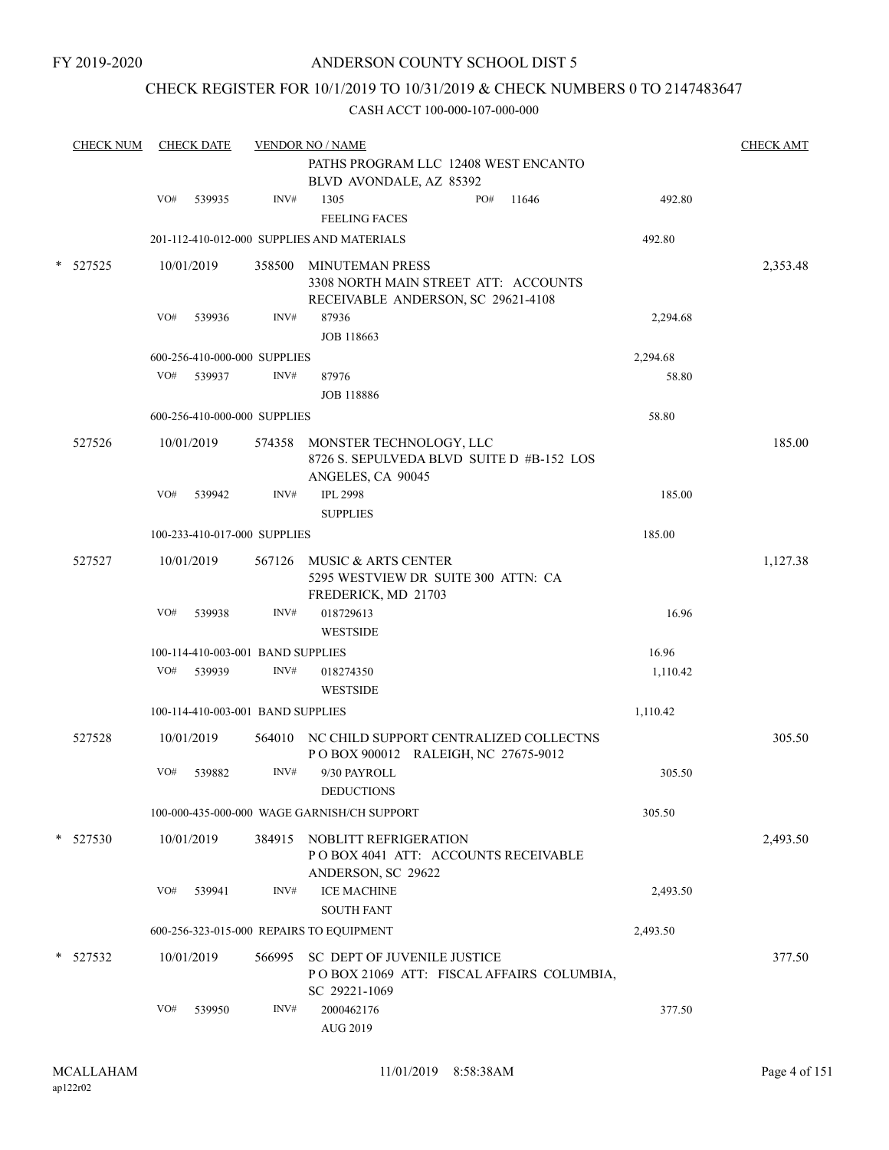## CHECK REGISTER FOR 10/1/2019 TO 10/31/2019 & CHECK NUMBERS 0 TO 2147483647

| <b>CHECK NUM</b> |     | <b>CHECK DATE</b> |                                   | <b>VENDOR NO / NAME</b><br>PATHS PROGRAM LLC 12408 WEST ENCANTO                                      |     |                                           |          | <b>CHECK AMT</b> |
|------------------|-----|-------------------|-----------------------------------|------------------------------------------------------------------------------------------------------|-----|-------------------------------------------|----------|------------------|
|                  |     |                   |                                   | BLVD AVONDALE, AZ 85392                                                                              |     |                                           |          |                  |
|                  | VO# | 539935            | INV#                              | 1305<br><b>FEELING FACES</b>                                                                         | PO# | 11646                                     | 492.80   |                  |
|                  |     |                   |                                   | 201-112-410-012-000 SUPPLIES AND MATERIALS                                                           |     |                                           | 492.80   |                  |
| * 527525         |     | 10/01/2019        |                                   | 358500 MINUTEMAN PRESS<br>3308 NORTH MAIN STREET ATT: ACCOUNTS<br>RECEIVABLE ANDERSON, SC 29621-4108 |     |                                           |          | 2,353.48         |
|                  | VO# | 539936            | INV#                              | 87936<br><b>JOB 118663</b>                                                                           |     |                                           | 2,294.68 |                  |
|                  |     |                   | 600-256-410-000-000 SUPPLIES      |                                                                                                      |     |                                           | 2,294.68 |                  |
|                  | VO# | 539937            | INV#                              | 87976                                                                                                |     |                                           | 58.80    |                  |
|                  |     |                   |                                   | <b>JOB 118886</b>                                                                                    |     |                                           |          |                  |
|                  |     |                   | 600-256-410-000-000 SUPPLIES      |                                                                                                      |     |                                           | 58.80    |                  |
| 527526           |     | 10/01/2019        |                                   | 574358 MONSTER TECHNOLOGY, LLC<br>8726 S. SEPULVEDA BLVD SUITE D #B-152 LOS<br>ANGELES, CA 90045     |     |                                           |          | 185.00           |
|                  | VO# | 539942            | INV#                              | <b>IPL 2998</b>                                                                                      |     |                                           | 185.00   |                  |
|                  |     |                   |                                   | <b>SUPPLIES</b>                                                                                      |     |                                           |          |                  |
|                  |     |                   | 100-233-410-017-000 SUPPLIES      |                                                                                                      |     |                                           | 185.00   |                  |
| 527527           |     | 10/01/2019        |                                   | 567126 MUSIC & ARTS CENTER<br>5295 WESTVIEW DR SUITE 300 ATTN: CA<br>FREDERICK, MD 21703             |     |                                           |          | 1,127.38         |
|                  | VO# | 539938            | INV#                              | 018729613                                                                                            |     |                                           | 16.96    |                  |
|                  |     |                   |                                   | <b>WESTSIDE</b>                                                                                      |     |                                           |          |                  |
|                  |     |                   | 100-114-410-003-001 BAND SUPPLIES |                                                                                                      |     |                                           | 16.96    |                  |
|                  | VO# | 539939            | INV#                              | 018274350<br><b>WESTSIDE</b>                                                                         |     |                                           | 1,110.42 |                  |
|                  |     |                   | 100-114-410-003-001 BAND SUPPLIES |                                                                                                      |     |                                           | 1,110.42 |                  |
| 527528           |     | 10/01/2019        |                                   | 564010 NC CHILD SUPPORT CENTRALIZED COLLECTNS<br>POBOX 900012 RALEIGH, NC 27675-9012                 |     |                                           |          | 305.50           |
|                  | VO# | 539882            | INV#                              | 9/30 PAYROLL                                                                                         |     |                                           | 305.50   |                  |
|                  |     |                   |                                   | <b>DEDUCTIONS</b>                                                                                    |     |                                           |          |                  |
|                  |     |                   |                                   | 100-000-435-000-000 WAGE GARNISH/CH SUPPORT                                                          |     |                                           | 305.50   |                  |
| $*$ 527530       |     | 10/01/2019        |                                   | 384915 NOBLITT REFRIGERATION<br>POBOX 4041 ATT: ACCOUNTS RECEIVABLE<br>ANDERSON, SC 29622            |     |                                           |          | 2,493.50         |
|                  | VO# | 539941            | INV#                              | <b>ICE MACHINE</b><br><b>SOUTH FANT</b>                                                              |     |                                           | 2,493.50 |                  |
|                  |     |                   |                                   | 600-256-323-015-000 REPAIRS TO EQUIPMENT                                                             |     |                                           | 2,493.50 |                  |
| * 527532         |     | 10/01/2019        | 566995                            | SC DEPT OF JUVENILE JUSTICE<br>SC 29221-1069                                                         |     | POBOX 21069 ATT: FISCAL AFFAIRS COLUMBIA, |          | 377.50           |
|                  | VO# | 539950            | INV#                              | 2000462176<br>AUG 2019                                                                               |     |                                           | 377.50   |                  |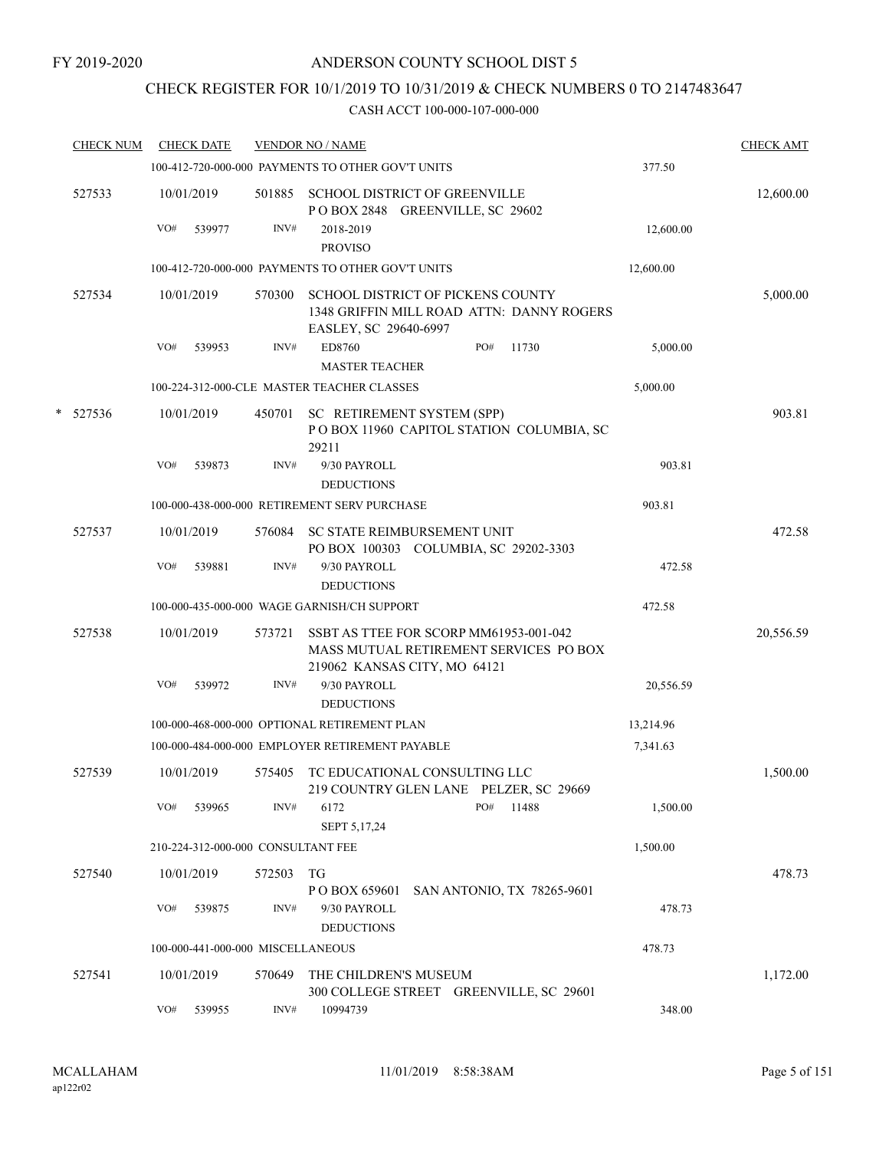# CHECK REGISTER FOR 10/1/2019 TO 10/31/2019 & CHECK NUMBERS 0 TO 2147483647

|   | <b>CHECK NUM</b> |     | <b>CHECK DATE</b> |                                    | <b>VENDOR NO / NAME</b>                                                                                          |           | <b>CHECK AMT</b> |
|---|------------------|-----|-------------------|------------------------------------|------------------------------------------------------------------------------------------------------------------|-----------|------------------|
|   |                  |     |                   |                                    | 100-412-720-000-000 PAYMENTS TO OTHER GOV'T UNITS                                                                | 377.50    |                  |
|   | 527533           |     | 10/01/2019        | 501885                             | <b>SCHOOL DISTRICT OF GREENVILLE</b><br>POBOX 2848 GREENVILLE, SC 29602                                          |           | 12,600.00        |
|   |                  | VO# | 539977            | INV#                               | 2018-2019                                                                                                        | 12,600.00 |                  |
|   |                  |     |                   |                                    | <b>PROVISO</b>                                                                                                   |           |                  |
|   |                  |     |                   |                                    | 100-412-720-000-000 PAYMENTS TO OTHER GOV'T UNITS                                                                | 12,600.00 |                  |
|   | 527534           |     | 10/01/2019        | 570300                             | SCHOOL DISTRICT OF PICKENS COUNTY<br>1348 GRIFFIN MILL ROAD ATTN: DANNY ROGERS<br>EASLEY, SC 29640-6997          |           | 5,000.00         |
|   |                  | VO# | 539953            | INV#                               | ED8760<br>PO#<br>11730<br><b>MASTER TEACHER</b>                                                                  | 5,000.00  |                  |
|   |                  |     |                   |                                    | 100-224-312-000-CLE MASTER TEACHER CLASSES                                                                       | 5,000.00  |                  |
| * | 527536           |     | 10/01/2019        | 450701                             | SC RETIREMENT SYSTEM (SPP)<br>POBOX 11960 CAPITOL STATION COLUMBIA, SC<br>29211                                  |           | 903.81           |
|   |                  | VO# | 539873            | INV#                               | 9/30 PAYROLL<br><b>DEDUCTIONS</b>                                                                                | 903.81    |                  |
|   |                  |     |                   |                                    | 100-000-438-000-000 RETIREMENT SERV PURCHASE                                                                     | 903.81    |                  |
|   | 527537           |     | 10/01/2019        | 576084                             | SC STATE REIMBURSEMENT UNIT                                                                                      |           | 472.58           |
|   |                  |     |                   |                                    | PO BOX 100303 COLUMBIA, SC 29202-3303                                                                            |           |                  |
|   |                  | VO# | 539881            | INV#                               | 9/30 PAYROLL<br><b>DEDUCTIONS</b>                                                                                | 472.58    |                  |
|   |                  |     |                   |                                    | 100-000-435-000-000 WAGE GARNISH/CH SUPPORT                                                                      | 472.58    |                  |
|   | 527538           |     | 10/01/2019        | 573721                             | SSBT AS TTEE FOR SCORP MM61953-001-042<br>MASS MUTUAL RETIREMENT SERVICES PO BOX<br>219062 KANSAS CITY, MO 64121 |           | 20,556.59        |
|   |                  | VO# | 539972            | INV#                               | 9/30 PAYROLL                                                                                                     | 20,556.59 |                  |
|   |                  |     |                   |                                    | <b>DEDUCTIONS</b>                                                                                                |           |                  |
|   |                  |     |                   |                                    | 100-000-468-000-000 OPTIONAL RETIREMENT PLAN                                                                     | 13,214.96 |                  |
|   |                  |     |                   |                                    | 100-000-484-000-000 EMPLOYER RETIREMENT PAYABLE                                                                  | 7,341.63  |                  |
|   | 527539           |     | 10/01/2019        | 575405                             | TC EDUCATIONAL CONSULTING LLC<br>219 COUNTRY GLEN LANE PELZER, SC 29669                                          |           | 1,500.00         |
|   |                  | VO# | 539965            | INV#                               | PO#<br>6172<br>11488<br>SEPT 5,17,24                                                                             | 1,500.00  |                  |
|   |                  |     |                   | 210-224-312-000-000 CONSULTANT FEE |                                                                                                                  | 1,500.00  |                  |
|   | 527540           |     | 10/01/2019        | 572503                             | TG<br>P O BOX 659601<br>SAN ANTONIO, TX 78265-9601                                                               |           | 478.73           |
|   |                  | VO# | 539875            | INV#                               | 9/30 PAYROLL<br><b>DEDUCTIONS</b>                                                                                | 478.73    |                  |
|   |                  |     |                   | 100-000-441-000-000 MISCELLANEOUS  |                                                                                                                  | 478.73    |                  |
|   | 527541           |     | 10/01/2019        | 570649                             | THE CHILDREN'S MUSEUM<br>300 COLLEGE STREET GREENVILLE, SC 29601                                                 |           | 1,172.00         |
|   |                  | VO# | 539955            | INV#                               | 10994739                                                                                                         | 348.00    |                  |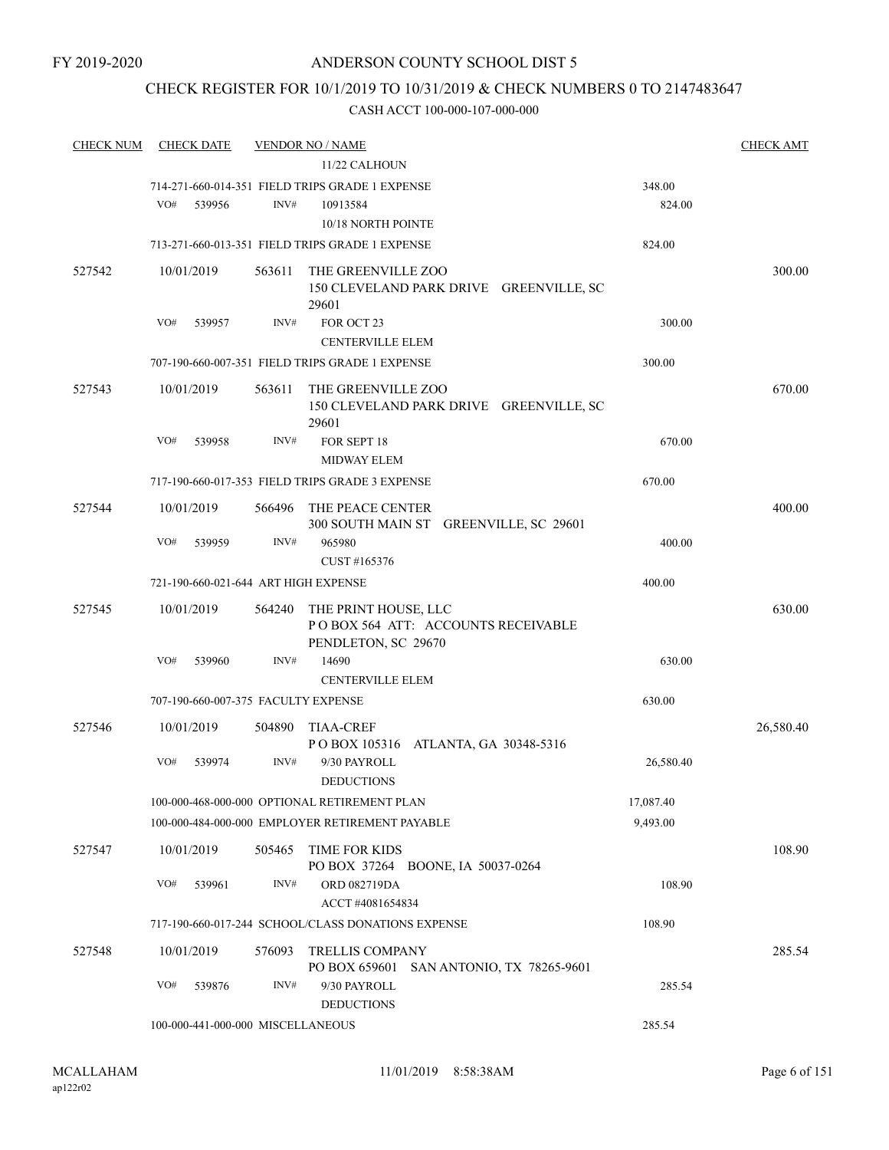## CHECK REGISTER FOR 10/1/2019 TO 10/31/2019 & CHECK NUMBERS 0 TO 2147483647

| <b>CHECK NUM</b> | <b>CHECK DATE</b>                    |        | <b>VENDOR NO / NAME</b>                                                |           | <b>CHECK AMT</b> |
|------------------|--------------------------------------|--------|------------------------------------------------------------------------|-----------|------------------|
|                  |                                      |        | 11/22 CALHOUN                                                          |           |                  |
|                  |                                      |        | 714-271-660-014-351 FIELD TRIPS GRADE 1 EXPENSE                        | 348.00    |                  |
|                  | VO#<br>539956                        | INV#   | 10913584                                                               | 824.00    |                  |
|                  |                                      |        | 10/18 NORTH POINTE                                                     |           |                  |
|                  |                                      |        | 713-271-660-013-351 FIELD TRIPS GRADE 1 EXPENSE                        | 824.00    |                  |
| 527542           | 10/01/2019                           | 563611 | THE GREENVILLE ZOO                                                     |           | 300.00           |
|                  |                                      |        | 150 CLEVELAND PARK DRIVE GREENVILLE, SC                                |           |                  |
|                  |                                      |        | 29601                                                                  |           |                  |
|                  | VO#<br>539957                        | INV#   | FOR OCT 23                                                             | 300.00    |                  |
|                  |                                      |        | <b>CENTERVILLE ELEM</b>                                                |           |                  |
|                  |                                      |        | 707-190-660-007-351 FIELD TRIPS GRADE 1 EXPENSE                        | 300.00    |                  |
| 527543           | 10/01/2019                           | 563611 | THE GREENVILLE ZOO<br>150 CLEVELAND PARK DRIVE GREENVILLE, SC<br>29601 |           | 670.00           |
|                  | VO#<br>539958                        | INV#   | FOR SEPT 18<br><b>MIDWAY ELEM</b>                                      | 670.00    |                  |
|                  |                                      |        | 717-190-660-017-353 FIELD TRIPS GRADE 3 EXPENSE                        | 670.00    |                  |
| 527544           | 10/01/2019                           | 566496 | THE PEACE CENTER                                                       |           | 400.00           |
|                  |                                      |        | 300 SOUTH MAIN ST GREENVILLE, SC 29601                                 |           |                  |
|                  | VO#<br>539959                        | INV#   | 965980                                                                 | 400.00    |                  |
|                  |                                      |        | CUST #165376                                                           |           |                  |
|                  | 721-190-660-021-644 ART HIGH EXPENSE |        |                                                                        | 400.00    |                  |
| 527545           | 10/01/2019                           | 564240 | THE PRINT HOUSE, LLC                                                   |           | 630.00           |
|                  |                                      |        | POBOX 564 ATT: ACCOUNTS RECEIVABLE                                     |           |                  |
|                  |                                      |        | PENDLETON, SC 29670                                                    |           |                  |
|                  | VO#<br>539960                        | INV#   | 14690                                                                  | 630.00    |                  |
|                  |                                      |        | <b>CENTERVILLE ELEM</b>                                                |           |                  |
|                  | 707-190-660-007-375 FACULTY EXPENSE  |        |                                                                        | 630.00    |                  |
| 527546           | 10/01/2019                           | 504890 | <b>TIAA-CREF</b>                                                       |           | 26,580.40        |
|                  |                                      |        | POBOX 105316 ATLANTA, GA 30348-5316                                    |           |                  |
|                  | VO#<br>539974                        | INV#   | 9/30 PAYROLL                                                           | 26,580.40 |                  |
|                  |                                      |        | <b>DEDUCTIONS</b>                                                      |           |                  |
|                  |                                      |        | 100-000-468-000-000 OPTIONAL RETIREMENT PLAN                           | 17,087.40 |                  |
|                  |                                      |        | 100-000-484-000-000 EMPLOYER RETIREMENT PAYABLE                        | 9,493.00  |                  |
| 527547           | 10/01/2019                           |        | 505465 TIME FOR KIDS                                                   |           | 108.90           |
|                  |                                      |        | PO BOX 37264 BOONE, IA 50037-0264                                      |           |                  |
|                  | VO#<br>539961                        | INV#   | ORD 082719DA                                                           | 108.90    |                  |
|                  |                                      |        | ACCT#4081654834<br>717-190-660-017-244 SCHOOL/CLASS DONATIONS EXPENSE  | 108.90    |                  |
|                  |                                      |        |                                                                        |           |                  |
| 527548           | 10/01/2019                           | 576093 | <b>TRELLIS COMPANY</b>                                                 |           | 285.54           |
|                  |                                      |        | PO BOX 659601<br>SAN ANTONIO, TX 78265-9601                            |           |                  |
|                  | VO#<br>539876                        | INV#   | 9/30 PAYROLL<br><b>DEDUCTIONS</b>                                      | 285.54    |                  |
|                  | 100-000-441-000-000 MISCELLANEOUS    |        |                                                                        | 285.54    |                  |
|                  |                                      |        |                                                                        |           |                  |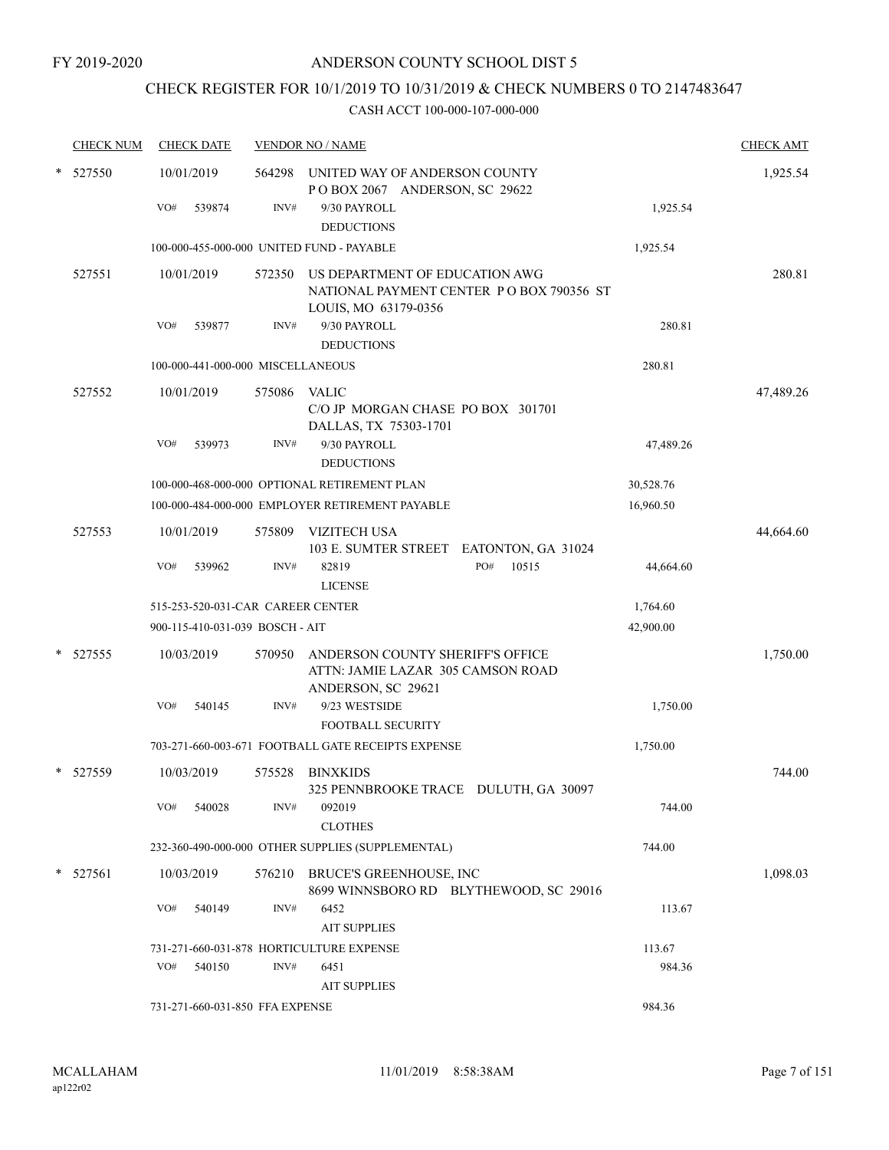# CHECK REGISTER FOR 10/1/2019 TO 10/31/2019 & CHECK NUMBERS 0 TO 2147483647

|        | <b>CHECK NUM</b> |     | <b>CHECK DATE</b>                 |        | <b>VENDOR NO / NAME</b>                                                                            |           | <b>CHECK AMT</b> |
|--------|------------------|-----|-----------------------------------|--------|----------------------------------------------------------------------------------------------------|-----------|------------------|
| $\ast$ | 527550           |     | 10/01/2019                        | 564298 | UNITED WAY OF ANDERSON COUNTY<br>POBOX 2067 ANDERSON, SC 29622                                     |           | 1,925.54         |
|        |                  | VO# | 539874                            | INV#   | 9/30 PAYROLL<br><b>DEDUCTIONS</b>                                                                  | 1,925.54  |                  |
|        |                  |     |                                   |        | 100-000-455-000-000 UNITED FUND - PAYABLE                                                          | 1,925.54  |                  |
|        | 527551           |     | 10/01/2019                        | 572350 | US DEPARTMENT OF EDUCATION AWG<br>NATIONAL PAYMENT CENTER PO BOX 790356 ST<br>LOUIS, MO 63179-0356 |           | 280.81           |
|        |                  | VO# | 539877                            | INV#   | 9/30 PAYROLL<br><b>DEDUCTIONS</b>                                                                  | 280.81    |                  |
|        |                  |     | 100-000-441-000-000 MISCELLANEOUS |        |                                                                                                    | 280.81    |                  |
|        | 527552           |     | 10/01/2019                        | 575086 | <b>VALIC</b><br>C/O JP MORGAN CHASE PO BOX 301701<br>DALLAS, TX 75303-1701                         |           | 47,489.26        |
|        |                  | VO# | 539973                            | INV#   | 9/30 PAYROLL<br><b>DEDUCTIONS</b>                                                                  | 47,489.26 |                  |
|        |                  |     |                                   |        | 100-000-468-000-000 OPTIONAL RETIREMENT PLAN                                                       | 30,528.76 |                  |
|        |                  |     |                                   |        | 100-000-484-000-000 EMPLOYER RETIREMENT PAYABLE                                                    | 16,960.50 |                  |
|        | 527553           |     | 10/01/2019                        | 575809 | <b>VIZITECH USA</b><br>103 E. SUMTER STREET EATONTON, GA 31024                                     |           | 44,664.60        |
|        |                  | VO# | 539962                            | INV#   | PO#<br>10515<br>82819<br><b>LICENSE</b>                                                            | 44,664.60 |                  |
|        |                  |     | 515-253-520-031-CAR CAREER CENTER |        |                                                                                                    | 1,764.60  |                  |
|        |                  |     | 900-115-410-031-039 BOSCH - AIT   |        |                                                                                                    | 42,900.00 |                  |
|        | 527555           |     | 10/03/2019                        | 570950 | ANDERSON COUNTY SHERIFF'S OFFICE<br>ATTN: JAMIE LAZAR 305 CAMSON ROAD<br>ANDERSON, SC 29621        |           | 1,750.00         |
|        |                  | VO# | 540145                            | INV#   | 9/23 WESTSIDE<br><b>FOOTBALL SECURITY</b>                                                          | 1,750.00  |                  |
|        |                  |     |                                   |        | 703-271-660-003-671 FOOTBALL GATE RECEIPTS EXPENSE                                                 | 1,750.00  |                  |
| *      | 527559           |     | 10/03/2019                        | 575528 | <b>BINXKIDS</b><br>325 PENNBROOKE TRACE DULUTH, GA 30097                                           |           | 744.00           |
|        |                  | VO# | 540028                            | INV#   | 092019<br><b>CLOTHES</b>                                                                           | 744.00    |                  |
|        |                  |     |                                   |        | 232-360-490-000-000 OTHER SUPPLIES (SUPPLEMENTAL)                                                  | 744.00    |                  |
| *      | 527561           |     | 10/03/2019                        | 576210 | BRUCE'S GREENHOUSE, INC<br>8699 WINNSBORO RD BLYTHEWOOD, SC 29016                                  |           | 1,098.03         |
|        |                  | VO# | 540149                            | INV#   | 6452<br><b>AIT SUPPLIES</b>                                                                        | 113.67    |                  |
|        |                  |     |                                   |        | 731-271-660-031-878 HORTICULTURE EXPENSE                                                           | 113.67    |                  |
|        |                  | VO# | 540150                            | INV#   | 6451<br><b>AIT SUPPLIES</b>                                                                        | 984.36    |                  |
|        |                  |     | 731-271-660-031-850 FFA EXPENSE   |        |                                                                                                    | 984.36    |                  |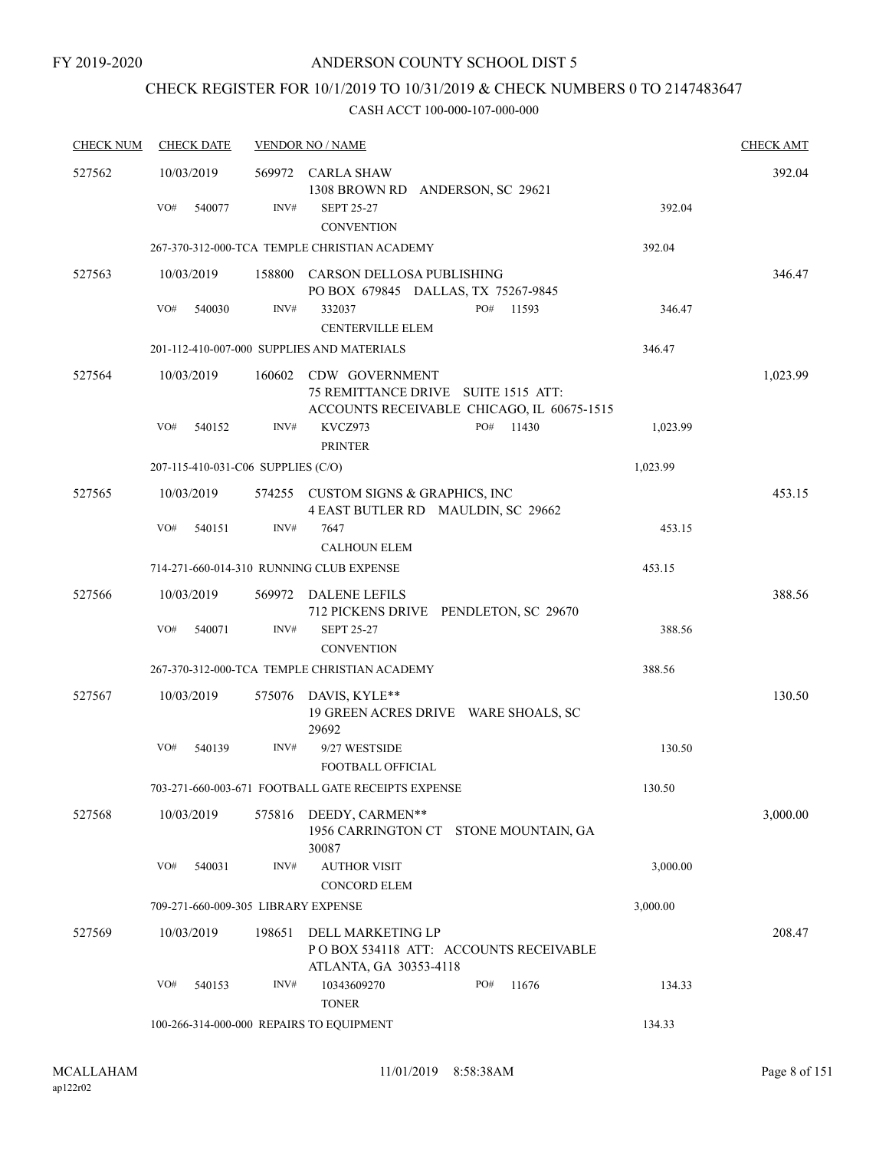# CHECK REGISTER FOR 10/1/2019 TO 10/31/2019 & CHECK NUMBERS 0 TO 2147483647

| <b>CHECK NUM</b> | <b>CHECK DATE</b>                        |        | <b>VENDOR NO / NAME</b>                                                                                    |              |          | <b>CHECK AMT</b> |
|------------------|------------------------------------------|--------|------------------------------------------------------------------------------------------------------------|--------------|----------|------------------|
| 527562           | 10/03/2019                               |        | 569972 CARLA SHAW<br>1308 BROWN RD ANDERSON, SC 29621                                                      |              |          | 392.04           |
|                  | VO#<br>540077                            | INV#   | <b>SEPT 25-27</b><br><b>CONVENTION</b>                                                                     |              | 392.04   |                  |
|                  |                                          |        | 267-370-312-000-TCA TEMPLE CHRISTIAN ACADEMY                                                               |              | 392.04   |                  |
| 527563           | 10/03/2019                               |        | 158800 CARSON DELLOSA PUBLISHING<br>PO BOX 679845 DALLAS, TX 75267-9845                                    |              |          | 346.47           |
|                  | VO#<br>540030                            | INV#   | 332037<br><b>CENTERVILLE ELEM</b>                                                                          | PO#<br>11593 | 346.47   |                  |
|                  |                                          |        | 201-112-410-007-000 SUPPLIES AND MATERIALS                                                                 |              | 346.47   |                  |
| 527564           | 10/03/2019                               |        | 160602 CDW GOVERNMENT<br>75 REMITTANCE DRIVE SUITE 1515 ATT:<br>ACCOUNTS RECEIVABLE CHICAGO, IL 60675-1515 |              |          | 1,023.99         |
|                  | VO#<br>540152                            | INV#   | KVCZ973<br><b>PRINTER</b>                                                                                  | PO#<br>11430 | 1,023.99 |                  |
|                  | 207-115-410-031-C06 SUPPLIES (C/O)       |        |                                                                                                            |              | 1,023.99 |                  |
| 527565           | 10/03/2019                               |        | 574255 CUSTOM SIGNS & GRAPHICS, INC<br>4 EAST BUTLER RD MAULDIN, SC 29662                                  |              |          | 453.15           |
|                  | VO#<br>540151                            | INV#   | 7647                                                                                                       |              | 453.15   |                  |
|                  |                                          |        | <b>CALHOUN ELEM</b>                                                                                        |              |          |                  |
|                  |                                          |        | 714-271-660-014-310 RUNNING CLUB EXPENSE                                                                   |              | 453.15   |                  |
| 527566           | 10/03/2019                               |        | 569972 DALENE LEFILS<br>712 PICKENS DRIVE PENDLETON, SC 29670                                              |              |          | 388.56           |
|                  | VO#<br>540071                            | INV#   | <b>SEPT 25-27</b><br><b>CONVENTION</b>                                                                     |              | 388.56   |                  |
|                  |                                          |        | 267-370-312-000-TCA TEMPLE CHRISTIAN ACADEMY                                                               |              | 388.56   |                  |
| 527567           | 10/03/2019                               | 575076 | DAVIS, KYLE**<br>19 GREEN ACRES DRIVE WARE SHOALS, SC<br>29692                                             |              |          | 130.50           |
|                  | VO#<br>540139                            | INV#   | 9/27 WESTSIDE<br>FOOTBALL OFFICIAL                                                                         |              | 130.50   |                  |
|                  |                                          |        | 703-271-660-003-671 FOOTBALL GATE RECEIPTS EXPENSE                                                         |              | 130.50   |                  |
| 527568           | 10/03/2019                               | 575816 | DEEDY, CARMEN**<br>1956 CARRINGTON CT STONE MOUNTAIN, GA<br>30087                                          |              |          | 3,000.00         |
|                  | VO#<br>540031                            | INV#   | <b>AUTHOR VISIT</b><br><b>CONCORD ELEM</b>                                                                 |              | 3,000.00 |                  |
|                  | 709-271-660-009-305 LIBRARY EXPENSE      |        |                                                                                                            |              | 3,000.00 |                  |
| 527569           | 10/03/2019                               | 198651 | DELL MARKETING LP<br>POBOX 534118 ATT: ACCOUNTS RECEIVABLE<br>ATLANTA, GA 30353-4118                       |              |          | 208.47           |
|                  | VO#<br>540153                            | INV#   | 10343609270<br><b>TONER</b>                                                                                | PO#<br>11676 | 134.33   |                  |
|                  | 100-266-314-000-000 REPAIRS TO EQUIPMENT |        |                                                                                                            |              | 134.33   |                  |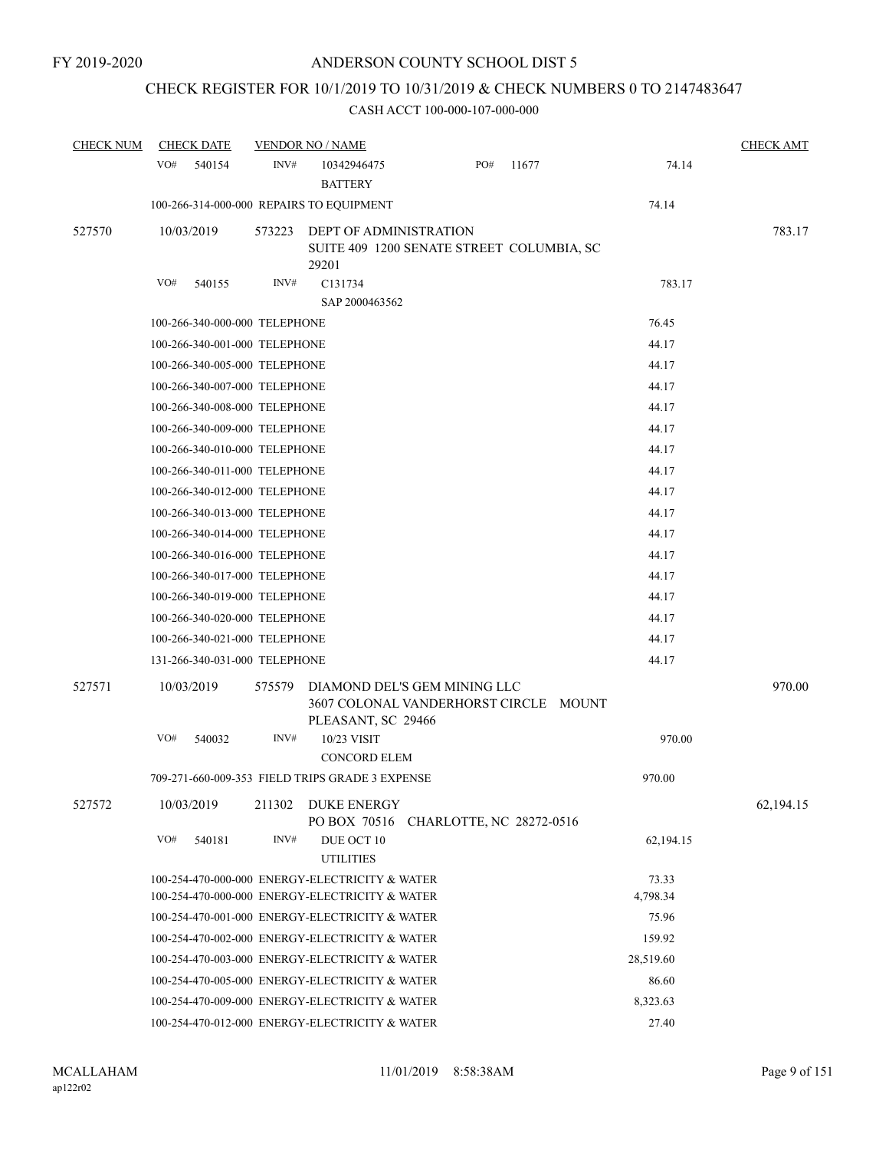# CHECK REGISTER FOR 10/1/2019 TO 10/31/2019 & CHECK NUMBERS 0 TO 2147483647

| <b>CHECK NUM</b> | <b>CHECK DATE</b>             |        | <b>VENDOR NO / NAME</b>                                                                     |                          |       |           | <b>CHECK AMT</b> |
|------------------|-------------------------------|--------|---------------------------------------------------------------------------------------------|--------------------------|-------|-----------|------------------|
|                  | VO#<br>540154                 | INV#   | 10342946475<br><b>BATTERY</b>                                                               | PO#                      | 11677 | 74.14     |                  |
|                  |                               |        | 100-266-314-000-000 REPAIRS TO EQUIPMENT                                                    |                          |       | 74.14     |                  |
| 527570           | 10/03/2019                    | 573223 | DEPT OF ADMINISTRATION<br>SUITE 409 1200 SENATE STREET COLUMBIA, SC<br>29201                |                          |       |           | 783.17           |
|                  | VO#<br>540155                 | INV#   | C131734                                                                                     |                          |       | 783.17    |                  |
|                  |                               |        | SAP 2000463562                                                                              |                          |       |           |                  |
|                  | 100-266-340-000-000 TELEPHONE |        |                                                                                             |                          |       | 76.45     |                  |
|                  | 100-266-340-001-000 TELEPHONE |        |                                                                                             |                          |       | 44.17     |                  |
|                  | 100-266-340-005-000 TELEPHONE |        |                                                                                             |                          |       | 44.17     |                  |
|                  | 100-266-340-007-000 TELEPHONE |        |                                                                                             |                          |       | 44.17     |                  |
|                  | 100-266-340-008-000 TELEPHONE |        |                                                                                             |                          |       | 44.17     |                  |
|                  | 100-266-340-009-000 TELEPHONE |        |                                                                                             |                          |       | 44.17     |                  |
|                  | 100-266-340-010-000 TELEPHONE |        |                                                                                             |                          |       | 44.17     |                  |
|                  | 100-266-340-011-000 TELEPHONE |        |                                                                                             |                          |       | 44.17     |                  |
|                  | 100-266-340-012-000 TELEPHONE |        |                                                                                             |                          |       | 44.17     |                  |
|                  | 100-266-340-013-000 TELEPHONE |        |                                                                                             |                          |       | 44.17     |                  |
|                  | 100-266-340-014-000 TELEPHONE |        |                                                                                             |                          |       | 44.17     |                  |
|                  | 100-266-340-016-000 TELEPHONE |        |                                                                                             |                          |       | 44.17     |                  |
|                  | 100-266-340-017-000 TELEPHONE |        |                                                                                             |                          |       | 44.17     |                  |
|                  | 100-266-340-019-000 TELEPHONE |        |                                                                                             |                          |       | 44.17     |                  |
|                  | 100-266-340-020-000 TELEPHONE |        |                                                                                             |                          |       | 44.17     |                  |
|                  | 100-266-340-021-000 TELEPHONE |        |                                                                                             |                          |       | 44.17     |                  |
|                  | 131-266-340-031-000 TELEPHONE |        |                                                                                             |                          |       | 44.17     |                  |
| 527571           | 10/03/2019                    | 575579 | DIAMOND DEL'S GEM MINING LLC<br>3607 COLONAL VANDERHORST CIRCLE MOUNT<br>PLEASANT, SC 29466 |                          |       |           | 970.00           |
|                  | VO#<br>540032                 | INV#   | 10/23 VISIT<br><b>CONCORD ELEM</b>                                                          |                          |       | 970.00    |                  |
|                  |                               |        | 709-271-660-009-353 FIELD TRIPS GRADE 3 EXPENSE                                             |                          |       | 970.00    |                  |
| 527572           | 10/03/2019                    | 211302 | DUKE ENERGY<br>PO BOX 70516                                                                 | CHARLOTTE, NC 28272-0516 |       |           | 62,194.15        |
|                  | VO#<br>540181                 | INV#   | DUE OCT 10<br><b>UTILITIES</b>                                                              |                          |       | 62,194.15 |                  |
|                  |                               |        | 100-254-470-000-000 ENERGY-ELECTRICITY & WATER                                              |                          |       | 73.33     |                  |
|                  |                               |        | 100-254-470-000-000 ENERGY-ELECTRICITY & WATER                                              |                          |       | 4,798.34  |                  |
|                  |                               |        | 100-254-470-001-000 ENERGY-ELECTRICITY & WATER                                              |                          |       | 75.96     |                  |
|                  |                               |        | 100-254-470-002-000 ENERGY-ELECTRICITY & WATER                                              |                          |       | 159.92    |                  |
|                  |                               |        | 100-254-470-003-000 ENERGY-ELECTRICITY & WATER                                              |                          |       | 28,519.60 |                  |
|                  |                               |        | 100-254-470-005-000 ENERGY-ELECTRICITY & WATER                                              |                          |       | 86.60     |                  |
|                  |                               |        | 100-254-470-009-000 ENERGY-ELECTRICITY & WATER                                              |                          |       | 8,323.63  |                  |
|                  |                               |        | 100-254-470-012-000 ENERGY-ELECTRICITY & WATER                                              |                          |       | 27.40     |                  |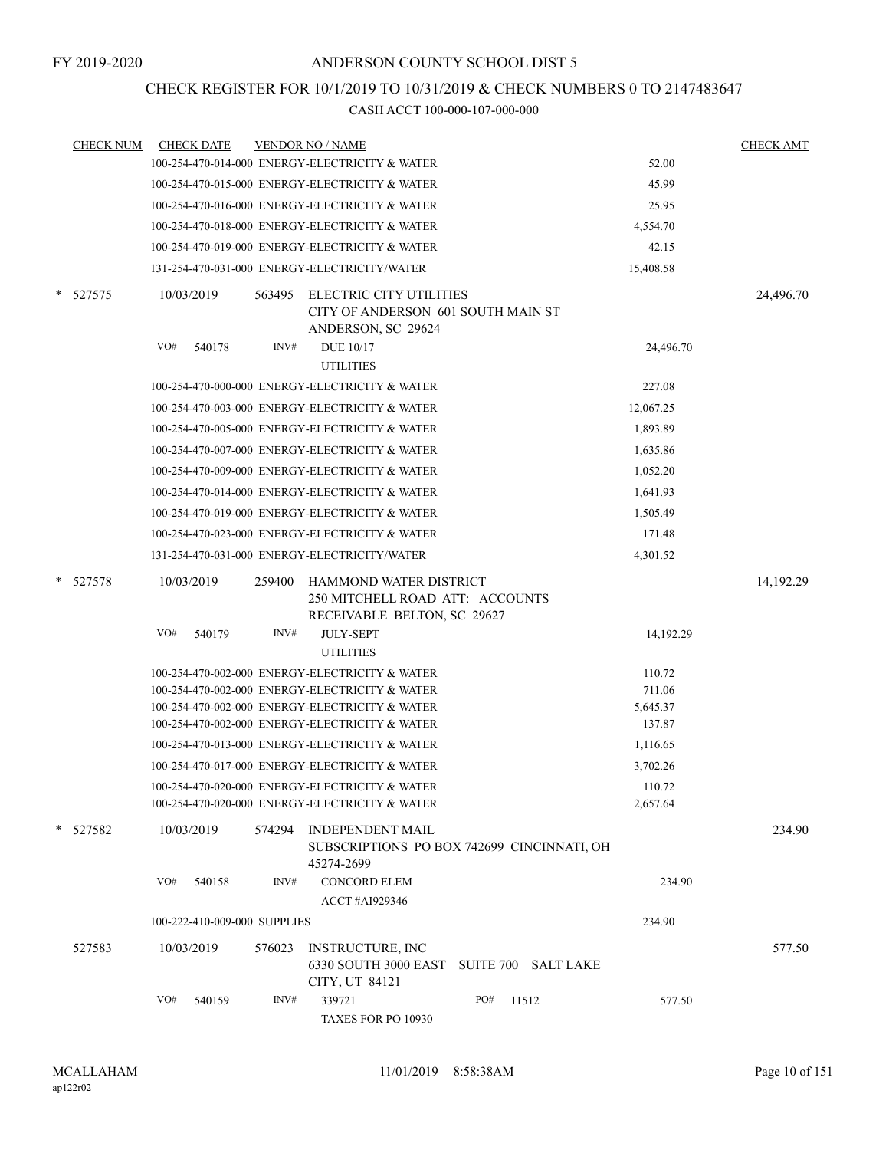## CHECK REGISTER FOR 10/1/2019 TO 10/31/2019 & CHECK NUMBERS 0 TO 2147483647

|        | <b>CHECK NUM</b> | <b>CHECK DATE</b>            |                | <b>VENDOR NO / NAME</b>                                                                                                                                                                                                                                                                                                                                                                                      |     |                     |                                                                                      | <b>CHECK AMT</b> |
|--------|------------------|------------------------------|----------------|--------------------------------------------------------------------------------------------------------------------------------------------------------------------------------------------------------------------------------------------------------------------------------------------------------------------------------------------------------------------------------------------------------------|-----|---------------------|--------------------------------------------------------------------------------------|------------------|
|        |                  |                              |                | 100-254-470-014-000 ENERGY-ELECTRICITY & WATER                                                                                                                                                                                                                                                                                                                                                               |     |                     | 52.00                                                                                |                  |
|        |                  |                              |                | 100-254-470-015-000 ENERGY-ELECTRICITY & WATER                                                                                                                                                                                                                                                                                                                                                               |     |                     | 45.99                                                                                |                  |
|        |                  |                              |                | 100-254-470-016-000 ENERGY-ELECTRICITY & WATER                                                                                                                                                                                                                                                                                                                                                               |     |                     | 25.95                                                                                |                  |
|        |                  |                              |                | 100-254-470-018-000 ENERGY-ELECTRICITY & WATER                                                                                                                                                                                                                                                                                                                                                               |     |                     | 4,554.70                                                                             |                  |
|        |                  |                              |                | 100-254-470-019-000 ENERGY-ELECTRICITY & WATER                                                                                                                                                                                                                                                                                                                                                               |     |                     | 42.15                                                                                |                  |
|        |                  |                              |                | 131-254-470-031-000 ENERGY-ELECTRICITY/WATER                                                                                                                                                                                                                                                                                                                                                                 |     |                     | 15,408.58                                                                            |                  |
|        | * 527575         | 10/03/2019                   | 563495         | ELECTRIC CITY UTILITIES<br>CITY OF ANDERSON 601 SOUTH MAIN ST<br>ANDERSON, SC 29624                                                                                                                                                                                                                                                                                                                          |     |                     |                                                                                      | 24,496.70        |
|        |                  | VO#<br>540178                | INV#           | <b>DUE 10/17</b>                                                                                                                                                                                                                                                                                                                                                                                             |     |                     | 24,496.70                                                                            |                  |
|        |                  |                              |                | <b>UTILITIES</b>                                                                                                                                                                                                                                                                                                                                                                                             |     |                     |                                                                                      |                  |
|        |                  |                              |                | 100-254-470-000-000 ENERGY-ELECTRICITY & WATER                                                                                                                                                                                                                                                                                                                                                               |     |                     | 227.08                                                                               |                  |
|        |                  |                              |                | 100-254-470-003-000 ENERGY-ELECTRICITY & WATER                                                                                                                                                                                                                                                                                                                                                               |     |                     | 12,067.25                                                                            |                  |
|        |                  |                              |                | 100-254-470-005-000 ENERGY-ELECTRICITY & WATER                                                                                                                                                                                                                                                                                                                                                               |     |                     | 1,893.89                                                                             |                  |
|        |                  |                              |                | 100-254-470-007-000 ENERGY-ELECTRICITY & WATER                                                                                                                                                                                                                                                                                                                                                               |     |                     | 1,635.86                                                                             |                  |
|        |                  |                              |                | 100-254-470-009-000 ENERGY-ELECTRICITY & WATER                                                                                                                                                                                                                                                                                                                                                               |     |                     | 1,052.20                                                                             |                  |
|        |                  |                              |                | 100-254-470-014-000 ENERGY-ELECTRICITY & WATER                                                                                                                                                                                                                                                                                                                                                               |     |                     | 1,641.93                                                                             |                  |
|        |                  |                              |                | 100-254-470-019-000 ENERGY-ELECTRICITY & WATER                                                                                                                                                                                                                                                                                                                                                               |     |                     | 1,505.49                                                                             |                  |
|        |                  |                              |                | 100-254-470-023-000 ENERGY-ELECTRICITY & WATER                                                                                                                                                                                                                                                                                                                                                               |     |                     | 171.48                                                                               |                  |
|        |                  |                              |                | 131-254-470-031-000 ENERGY-ELECTRICITY/WATER                                                                                                                                                                                                                                                                                                                                                                 |     |                     | 4,301.52                                                                             |                  |
| $\ast$ | 527578           | 10/03/2019<br>VO#<br>540179  | 259400<br>INV# | HAMMOND WATER DISTRICT<br>250 MITCHELL ROAD ATT: ACCOUNTS<br>RECEIVABLE BELTON, SC 29627<br><b>JULY-SEPT</b><br><b>UTILITIES</b>                                                                                                                                                                                                                                                                             |     |                     | 14,192.29                                                                            | 14,192.29        |
|        |                  |                              |                | 100-254-470-002-000 ENERGY-ELECTRICITY & WATER<br>100-254-470-002-000 ENERGY-ELECTRICITY & WATER<br>100-254-470-002-000 ENERGY-ELECTRICITY & WATER<br>100-254-470-002-000 ENERGY-ELECTRICITY & WATER<br>100-254-470-013-000 ENERGY-ELECTRICITY & WATER<br>100-254-470-017-000 ENERGY-ELECTRICITY & WATER<br>100-254-470-020-000 ENERGY-ELECTRICITY & WATER<br>100-254-470-020-000 ENERGY-ELECTRICITY & WATER |     |                     | 110.72<br>711.06<br>5,645.37<br>137.87<br>1,116.65<br>3,702.26<br>110.72<br>2,657.64 |                  |
|        | * 527582         | 10/03/2019                   | 574294         | <b>INDEPENDENT MAIL</b><br>SUBSCRIPTIONS PO BOX 742699 CINCINNATI, OH<br>45274-2699                                                                                                                                                                                                                                                                                                                          |     |                     |                                                                                      | 234.90           |
|        |                  | VO#<br>540158                | INV#           | <b>CONCORD ELEM</b><br>ACCT #AI929346                                                                                                                                                                                                                                                                                                                                                                        |     |                     | 234.90                                                                               |                  |
|        |                  | 100-222-410-009-000 SUPPLIES |                |                                                                                                                                                                                                                                                                                                                                                                                                              |     |                     | 234.90                                                                               |                  |
|        | 527583           | 10/03/2019                   | 576023         | <b>INSTRUCTURE, INC</b><br>6330 SOUTH 3000 EAST<br>CITY, UT 84121                                                                                                                                                                                                                                                                                                                                            |     | SUITE 700 SALT LAKE |                                                                                      | 577.50           |
|        |                  | VO#<br>540159                | INV#           | 339721<br>TAXES FOR PO 10930                                                                                                                                                                                                                                                                                                                                                                                 | PO# | 11512               | 577.50                                                                               |                  |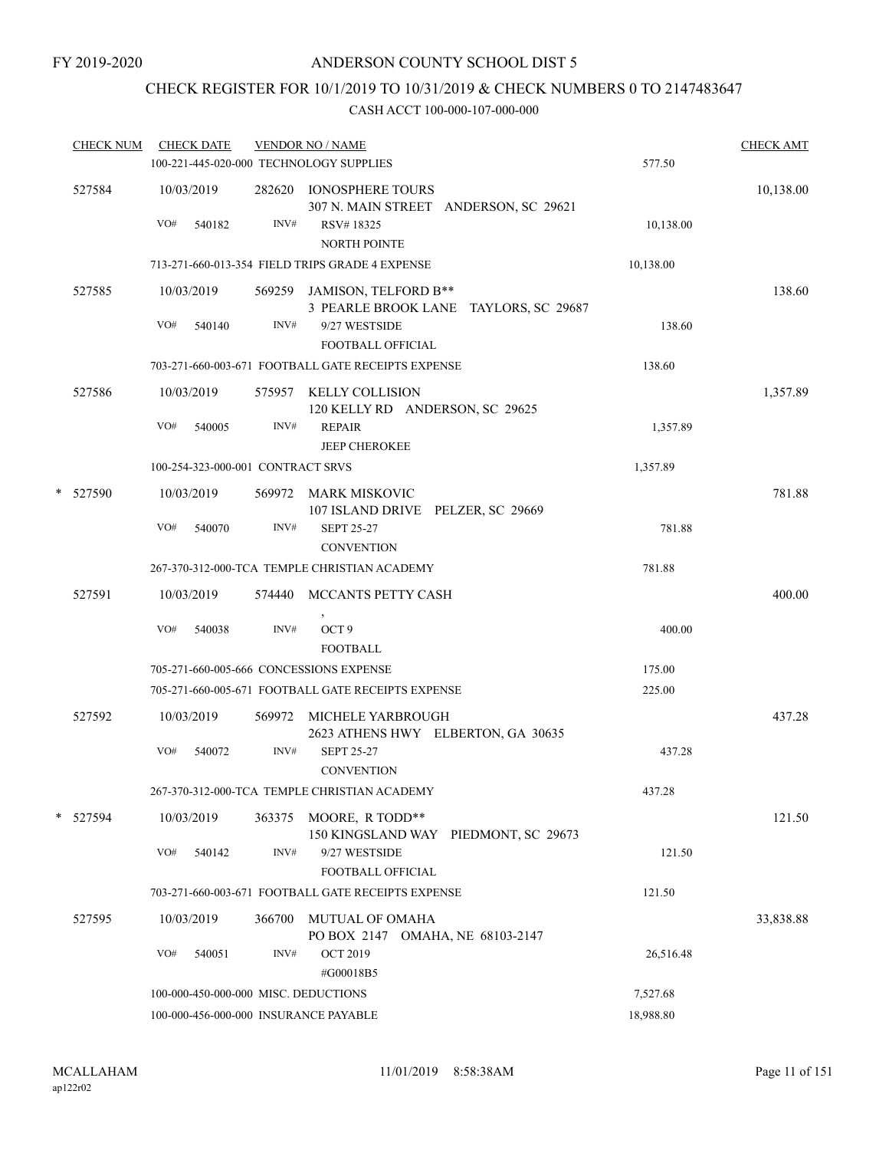# CHECK REGISTER FOR 10/1/2019 TO 10/31/2019 & CHECK NUMBERS 0 TO 2147483647

| <b>CHECK NUM</b> | <b>CHECK DATE</b>                 |        |        | <b>VENDOR NO / NAME</b><br>100-221-445-020-000 TECHNOLOGY SUPPLIES                                   | 577.50    | <b>CHECK AMT</b> |
|------------------|-----------------------------------|--------|--------|------------------------------------------------------------------------------------------------------|-----------|------------------|
| 527584           | 10/03/2019<br>VO#                 | 540182 | INV#   | 282620 IONOSPHERE TOURS<br>307 N. MAIN STREET ANDERSON, SC 29621<br>RSV#18325<br><b>NORTH POINTE</b> | 10,138.00 | 10,138.00        |
|                  |                                   |        |        | 713-271-660-013-354 FIELD TRIPS GRADE 4 EXPENSE                                                      | 10,138.00 |                  |
| 527585           | 10/03/2019                        |        |        | 569259 JAMISON, TELFORD B**<br>3 PEARLE BROOK LANE TAYLORS, SC 29687                                 |           | 138.60           |
|                  | VO#                               | 540140 | INV#   | 9/27 WESTSIDE<br><b>FOOTBALL OFFICIAL</b>                                                            | 138.60    |                  |
|                  |                                   |        |        | 703-271-660-003-671 FOOTBALL GATE RECEIPTS EXPENSE                                                   | 138.60    |                  |
| 527586           | 10/03/2019                        |        |        | 575957 KELLY COLLISION<br>120 KELLY RD ANDERSON, SC 29625                                            |           | 1,357.89         |
|                  | VO#                               | 540005 | INV#   | <b>REPAIR</b><br><b>JEEP CHEROKEE</b>                                                                | 1,357.89  |                  |
|                  | 100-254-323-000-001 CONTRACT SRVS |        |        |                                                                                                      | 1,357.89  |                  |
| * 527590         | 10/03/2019                        |        |        | 569972 MARK MISKOVIC<br>107 ISLAND DRIVE PELZER, SC 29669                                            |           | 781.88           |
|                  | VO#                               | 540070 | INV#   | <b>SEPT 25-27</b><br><b>CONVENTION</b>                                                               | 781.88    |                  |
|                  |                                   |        |        | 267-370-312-000-TCA TEMPLE CHRISTIAN ACADEMY                                                         | 781.88    |                  |
| 527591           | 10/03/2019                        |        |        | 574440 MCCANTS PETTY CASH                                                                            |           | 400.00           |
|                  | VO#                               | 540038 | INV#   | OCT <sub>9</sub><br><b>FOOTBALL</b>                                                                  | 400.00    |                  |
|                  |                                   |        |        | 705-271-660-005-666 CONCESSIONS EXPENSE                                                              | 175.00    |                  |
|                  |                                   |        |        | 705-271-660-005-671 FOOTBALL GATE RECEIPTS EXPENSE                                                   | 225.00    |                  |
| 527592           | 10/03/2019                        |        |        | 569972 MICHELE YARBROUGH<br>2623 ATHENS HWY ELBERTON, GA 30635                                       |           | 437.28           |
|                  | VO#                               | 540072 | INV#   | <b>SEPT 25-27</b><br><b>CONVENTION</b>                                                               | 437.28    |                  |
|                  |                                   |        |        | 267-370-312-000-TCA TEMPLE CHRISTIAN ACADEMY                                                         | 437.28    |                  |
| * 527594         | 10/03/2019                        |        | 363375 | MOORE, R TODD**<br>150 KINGSLAND WAY PIEDMONT, SC 29673                                              |           | 121.50           |
|                  | VO#                               | 540142 | INV#   | 9/27 WESTSIDE<br>FOOTBALL OFFICIAL                                                                   | 121.50    |                  |
|                  |                                   |        |        | 703-271-660-003-671 FOOTBALL GATE RECEIPTS EXPENSE                                                   | 121.50    |                  |
| 527595           | 10/03/2019                        |        | 366700 | MUTUAL OF OMAHA<br>PO BOX 2147 OMAHA, NE 68103-2147                                                  |           | 33,838.88        |
|                  | VO#                               | 540051 | INV#   | <b>OCT 2019</b><br>#G00018B5                                                                         | 26,516.48 |                  |
|                  |                                   |        |        | 100-000-450-000-000 MISC. DEDUCTIONS                                                                 | 7,527.68  |                  |
|                  |                                   |        |        | 100-000-456-000-000 INSURANCE PAYABLE                                                                | 18,988.80 |                  |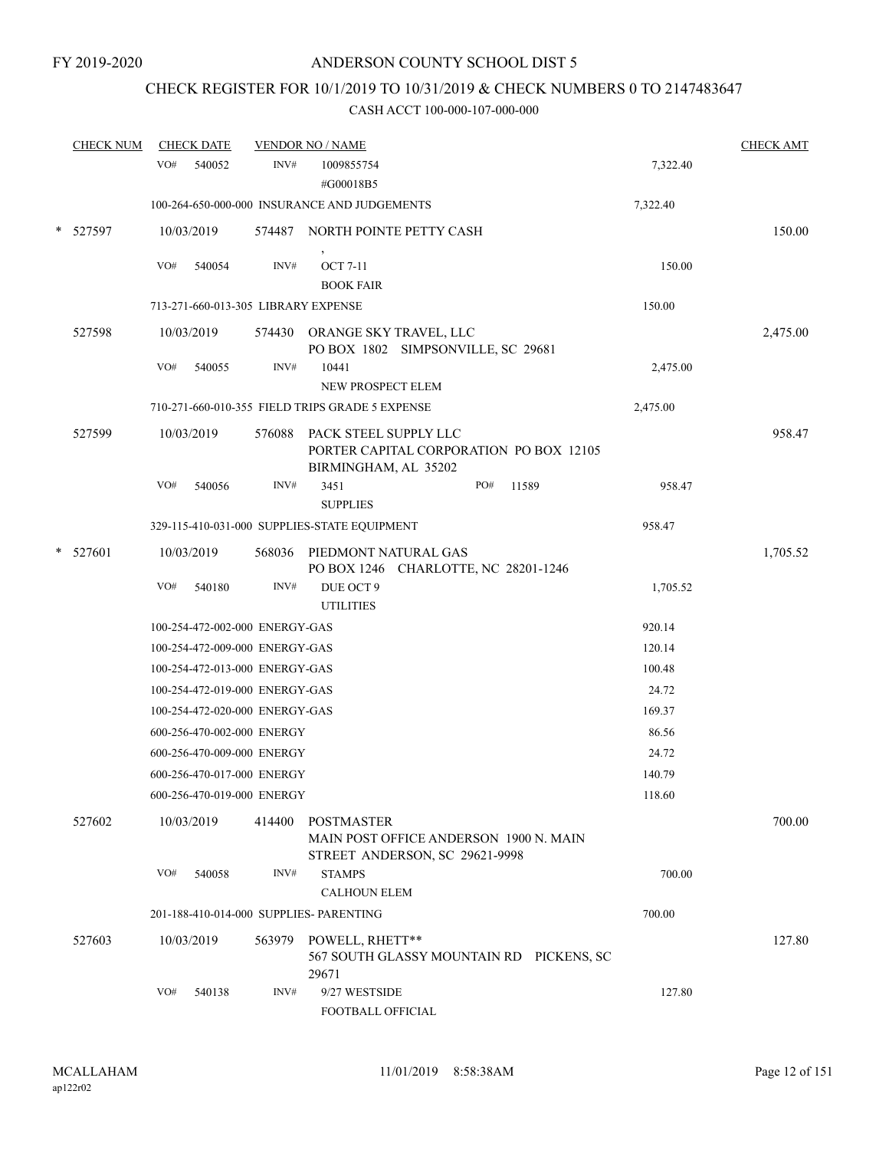# CHECK REGISTER FOR 10/1/2019 TO 10/31/2019 & CHECK NUMBERS 0 TO 2147483647

|        | <b>CHECK NUM</b> |     | <b>CHECK DATE</b>                   |        | <b>VENDOR NO / NAME</b>                                                                |     |       |          | <b>CHECK AMT</b> |
|--------|------------------|-----|-------------------------------------|--------|----------------------------------------------------------------------------------------|-----|-------|----------|------------------|
|        |                  | VO# | 540052                              | INV#   | 1009855754                                                                             |     |       | 7,322.40 |                  |
|        |                  |     |                                     |        | #G00018B5                                                                              |     |       |          |                  |
|        |                  |     |                                     |        | 100-264-650-000-000 INSURANCE AND JUDGEMENTS                                           |     |       | 7,322.40 |                  |
| *      | 527597           |     | 10/03/2019                          | 574487 | NORTH POINTE PETTY CASH                                                                |     |       |          | 150.00           |
|        |                  | VO# | 540054                              | INV#   | <b>OCT 7-11</b>                                                                        |     |       | 150.00   |                  |
|        |                  |     |                                     |        | <b>BOOK FAIR</b>                                                                       |     |       |          |                  |
|        |                  |     | 713-271-660-013-305 LIBRARY EXPENSE |        |                                                                                        |     |       | 150.00   |                  |
|        | 527598           |     | 10/03/2019                          |        | 574430 ORANGE SKY TRAVEL, LLC<br>PO BOX 1802 SIMPSONVILLE, SC 29681                    |     |       |          | 2,475.00         |
|        |                  | VO# | 540055                              | INV#   | 10441                                                                                  |     |       | 2,475.00 |                  |
|        |                  |     |                                     |        | NEW PROSPECT ELEM                                                                      |     |       |          |                  |
|        |                  |     |                                     |        | 710-271-660-010-355 FIELD TRIPS GRADE 5 EXPENSE                                        |     |       | 2,475.00 |                  |
|        | 527599           |     | 10/03/2019                          | 576088 | PACK STEEL SUPPLY LLC<br>PORTER CAPITAL CORPORATION PO BOX 12105                       |     |       |          | 958.47           |
|        |                  | VO# | 540056                              | INV#   | BIRMINGHAM, AL 35202<br>3451                                                           | PO# | 11589 | 958.47   |                  |
|        |                  |     |                                     |        | <b>SUPPLIES</b>                                                                        |     |       |          |                  |
|        |                  |     |                                     |        | 329-115-410-031-000 SUPPLIES-STATE EQUIPMENT                                           |     |       | 958.47   |                  |
| $\ast$ | 527601           |     | 10/03/2019                          | 568036 | PIEDMONT NATURAL GAS<br>PO BOX 1246 CHARLOTTE, NC 28201-1246                           |     |       |          | 1,705.52         |
|        |                  | VO# | 540180                              | INV#   | DUE OCT 9<br><b>UTILITIES</b>                                                          |     |       | 1,705.52 |                  |
|        |                  |     | 100-254-472-002-000 ENERGY-GAS      |        |                                                                                        |     |       | 920.14   |                  |
|        |                  |     | 100-254-472-009-000 ENERGY-GAS      |        |                                                                                        |     |       | 120.14   |                  |
|        |                  |     | 100-254-472-013-000 ENERGY-GAS      |        |                                                                                        |     |       | 100.48   |                  |
|        |                  |     | 100-254-472-019-000 ENERGY-GAS      |        |                                                                                        |     |       | 24.72    |                  |
|        |                  |     | 100-254-472-020-000 ENERGY-GAS      |        |                                                                                        |     |       | 169.37   |                  |
|        |                  |     | 600-256-470-002-000 ENERGY          |        |                                                                                        |     |       | 86.56    |                  |
|        |                  |     | 600-256-470-009-000 ENERGY          |        |                                                                                        |     |       | 24.72    |                  |
|        |                  |     | 600-256-470-017-000 ENERGY          |        |                                                                                        |     |       | 140.79   |                  |
|        |                  |     | 600-256-470-019-000 ENERGY          |        |                                                                                        |     |       | 118.60   |                  |
|        | 527602           |     | 10/03/2019                          | 414400 | POSTMASTER<br>MAIN POST OFFICE ANDERSON 1900 N. MAIN<br>STREET ANDERSON, SC 29621-9998 |     |       |          | 700.00           |
|        |                  | VO# | 540058                              | INV#   | <b>STAMPS</b><br><b>CALHOUN ELEM</b>                                                   |     |       | 700.00   |                  |
|        |                  |     |                                     |        | 201-188-410-014-000 SUPPLIES- PARENTING                                                |     |       | 700.00   |                  |
|        | 527603           |     | 10/03/2019                          | 563979 | POWELL, RHETT**<br>567 SOUTH GLASSY MOUNTAIN RD PICKENS, SC<br>29671                   |     |       |          | 127.80           |
|        |                  | VO# | 540138                              | INV#   | 9/27 WESTSIDE<br>FOOTBALL OFFICIAL                                                     |     |       | 127.80   |                  |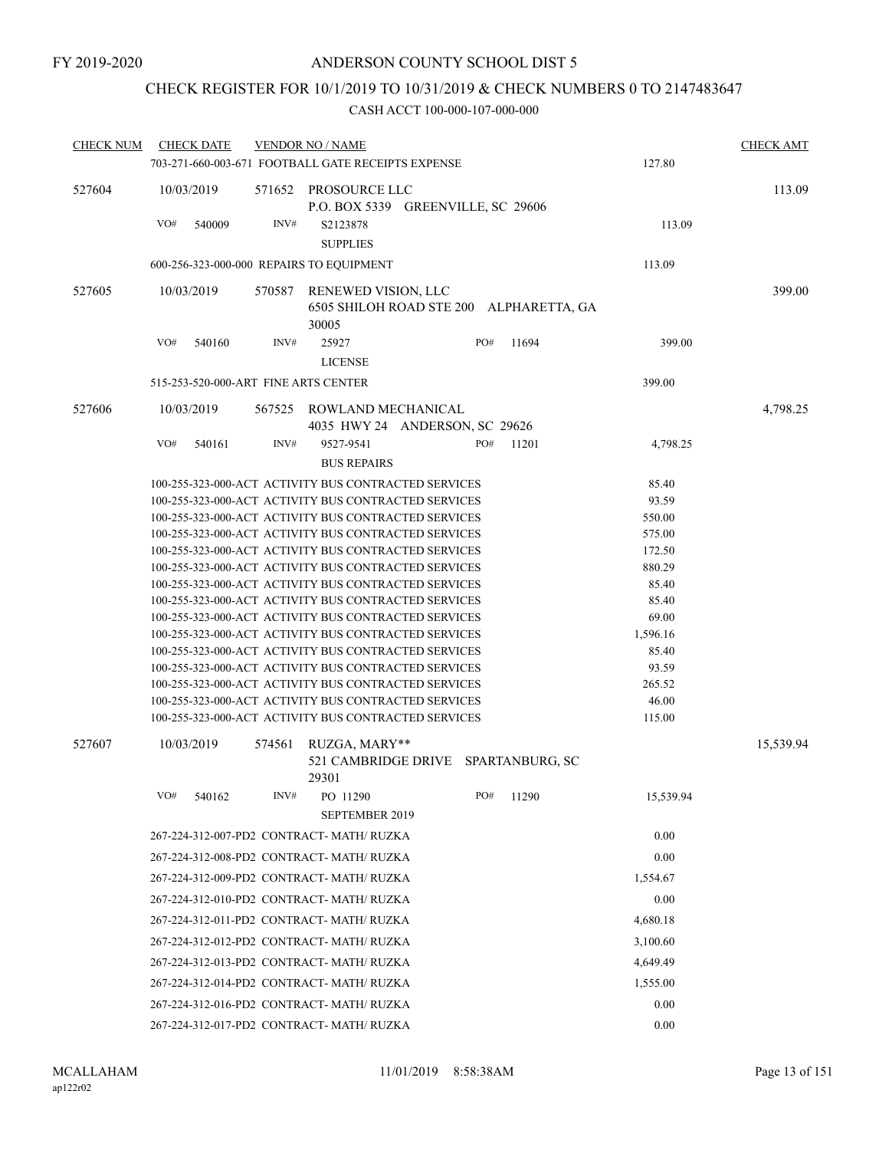## CHECK REGISTER FOR 10/1/2019 TO 10/31/2019 & CHECK NUMBERS 0 TO 2147483647

| <b>CHECK NUM</b> |                                           | <b>CHECK DATE</b>                                    |                                                      | <b>VENDOR NO / NAME</b>                                                                                      |  |          |       |                | <b>CHECK AMT</b> |
|------------------|-------------------------------------------|------------------------------------------------------|------------------------------------------------------|--------------------------------------------------------------------------------------------------------------|--|----------|-------|----------------|------------------|
|                  |                                           |                                                      |                                                      | 703-271-660-003-671 FOOTBALL GATE RECEIPTS EXPENSE                                                           |  |          |       | 127.80         |                  |
| 527604           |                                           | 10/03/2019                                           | 571652                                               | PROSOURCE LLC<br>P.O. BOX 5339 GREENVILLE, SC 29606                                                          |  |          |       |                | 113.09           |
|                  | VO#                                       | 540009                                               | INV#                                                 | S2123878<br><b>SUPPLIES</b>                                                                                  |  |          |       | 113.09         |                  |
|                  |                                           |                                                      |                                                      | 600-256-323-000-000 REPAIRS TO EQUIPMENT                                                                     |  |          |       | 113.09         |                  |
| 527605           |                                           | 10/03/2019                                           | 570587                                               | RENEWED VISION, LLC                                                                                          |  |          |       |                | 399.00           |
|                  |                                           |                                                      |                                                      | 6505 SHILOH ROAD STE 200<br>30005                                                                            |  |          |       | ALPHARETTA, GA |                  |
|                  | VO#                                       | 540160                                               | INV#                                                 | 25927<br><b>LICENSE</b>                                                                                      |  | PO#      | 11694 | 399.00         |                  |
|                  |                                           |                                                      |                                                      | 515-253-520-000-ART FINE ARTS CENTER                                                                         |  |          |       | 399.00         |                  |
| 527606           |                                           | 10/03/2019                                           | 567525                                               | ROWLAND MECHANICAL<br>4035 HWY 24 ANDERSON, SC 29626                                                         |  |          |       |                | 4,798.25         |
|                  | VO#                                       | 540161                                               | INV#                                                 | 9527-9541                                                                                                    |  | PO#      | 11201 | 4,798.25       |                  |
|                  |                                           |                                                      |                                                      | <b>BUS REPAIRS</b>                                                                                           |  |          |       |                |                  |
|                  |                                           |                                                      |                                                      | 100-255-323-000-ACT ACTIVITY BUS CONTRACTED SERVICES                                                         |  |          |       | 85.40          |                  |
|                  |                                           |                                                      |                                                      | 100-255-323-000-ACT ACTIVITY BUS CONTRACTED SERVICES                                                         |  |          |       | 93.59          |                  |
|                  |                                           | 100-255-323-000-ACT ACTIVITY BUS CONTRACTED SERVICES | 550.00                                               |                                                                                                              |  |          |       |                |                  |
|                  |                                           |                                                      |                                                      | 100-255-323-000-ACT ACTIVITY BUS CONTRACTED SERVICES                                                         |  |          |       | 575.00         |                  |
|                  |                                           |                                                      |                                                      | 100-255-323-000-ACT ACTIVITY BUS CONTRACTED SERVICES                                                         |  |          |       | 172.50         |                  |
|                  |                                           |                                                      |                                                      | 100-255-323-000-ACT ACTIVITY BUS CONTRACTED SERVICES                                                         |  |          |       | 880.29         |                  |
|                  |                                           |                                                      |                                                      | 100-255-323-000-ACT ACTIVITY BUS CONTRACTED SERVICES                                                         |  |          |       | 85.40          |                  |
|                  |                                           |                                                      |                                                      | 100-255-323-000-ACT ACTIVITY BUS CONTRACTED SERVICES<br>100-255-323-000-ACT ACTIVITY BUS CONTRACTED SERVICES |  |          |       | 85.40<br>69.00 |                  |
|                  |                                           |                                                      |                                                      | 100-255-323-000-ACT ACTIVITY BUS CONTRACTED SERVICES                                                         |  |          |       | 1,596.16       |                  |
|                  |                                           |                                                      |                                                      | 100-255-323-000-ACT ACTIVITY BUS CONTRACTED SERVICES                                                         |  |          |       | 85.40          |                  |
|                  |                                           |                                                      |                                                      | 100-255-323-000-ACT ACTIVITY BUS CONTRACTED SERVICES                                                         |  |          |       | 93.59          |                  |
|                  |                                           |                                                      | 100-255-323-000-ACT ACTIVITY BUS CONTRACTED SERVICES |                                                                                                              |  |          |       | 265.52         |                  |
|                  |                                           |                                                      |                                                      | 100-255-323-000-ACT ACTIVITY BUS CONTRACTED SERVICES                                                         |  |          | 46.00 |                |                  |
|                  |                                           |                                                      |                                                      | 100-255-323-000-ACT ACTIVITY BUS CONTRACTED SERVICES                                                         |  |          |       | 115.00         |                  |
| 527607           |                                           | 10/03/2019                                           | 574561                                               | RUZGA, MARY**<br>521 CAMBRIDGE DRIVE SPARTANBURG, SC<br>29301                                                |  |          |       |                | 15,539.94        |
|                  | VO#                                       | 540162                                               | INV#                                                 | PO 11290                                                                                                     |  | PO#      | 11290 | 15,539.94      |                  |
|                  |                                           |                                                      |                                                      | <b>SEPTEMBER 2019</b>                                                                                        |  |          |       |                |                  |
|                  |                                           |                                                      |                                                      | 267-224-312-007-PD2 CONTRACT- MATH/ RUZKA                                                                    |  |          |       | 0.00           |                  |
|                  |                                           |                                                      |                                                      | 267-224-312-008-PD2 CONTRACT- MATH/RUZKA                                                                     |  |          |       | 0.00           |                  |
|                  |                                           |                                                      |                                                      | 267-224-312-009-PD2 CONTRACT- MATH/RUZKA                                                                     |  |          |       | 1,554.67       |                  |
|                  |                                           |                                                      |                                                      | 267-224-312-010-PD2 CONTRACT- MATH/RUZKA                                                                     |  |          |       | 0.00           |                  |
|                  |                                           |                                                      |                                                      | 267-224-312-011-PD2 CONTRACT- MATH/ RUZKA                                                                    |  | 4,680.18 |       |                |                  |
|                  |                                           |                                                      |                                                      | 267-224-312-012-PD2 CONTRACT- MATH/RUZKA                                                                     |  |          |       | 3,100.60       |                  |
|                  |                                           |                                                      |                                                      | 267-224-312-013-PD2 CONTRACT- MATH/ RUZKA                                                                    |  |          |       | 4,649.49       |                  |
|                  |                                           |                                                      |                                                      | 267-224-312-014-PD2 CONTRACT- MATH/ RUZKA                                                                    |  |          |       | 1,555.00       |                  |
|                  |                                           |                                                      |                                                      | 267-224-312-016-PD2 CONTRACT- MATH/ RUZKA                                                                    |  |          |       | 0.00           |                  |
|                  | 267-224-312-017-PD2 CONTRACT- MATH/ RUZKA |                                                      |                                                      |                                                                                                              |  |          |       | 0.00           |                  |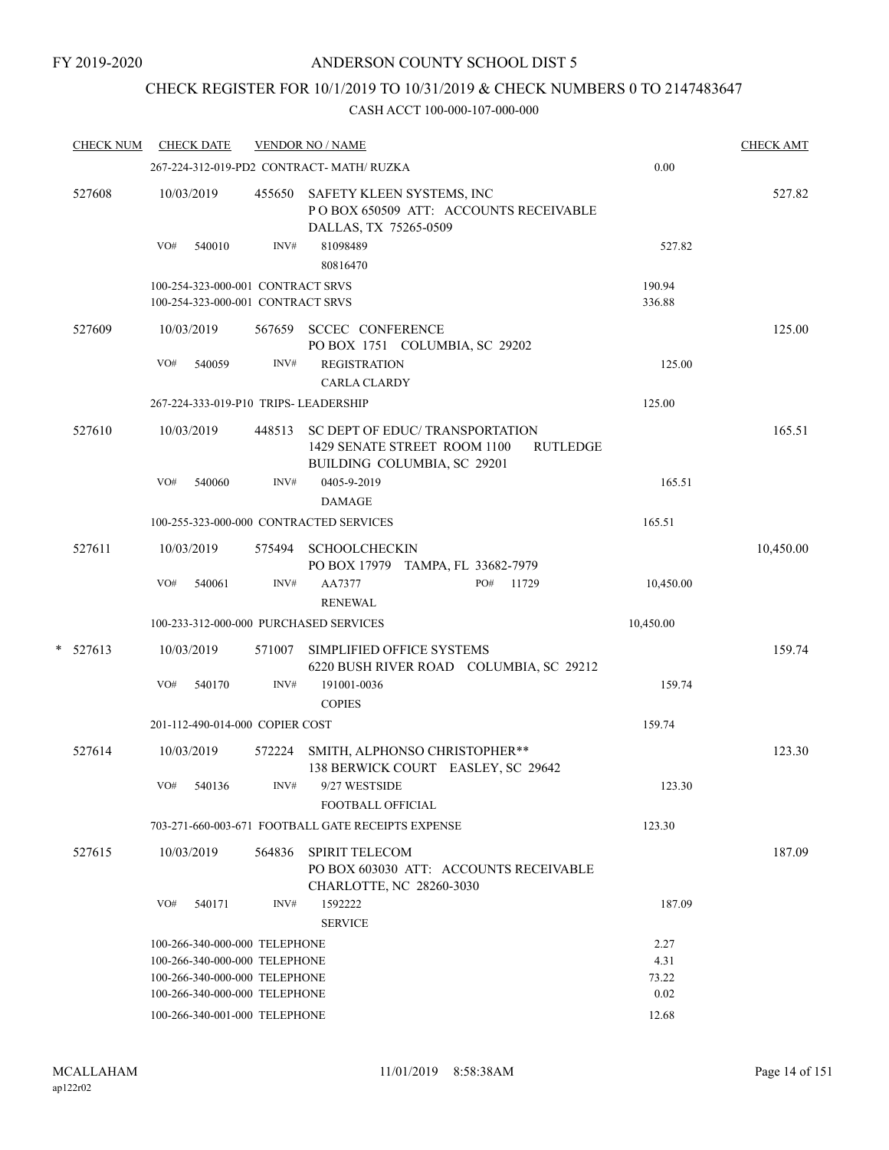# CHECK REGISTER FOR 10/1/2019 TO 10/31/2019 & CHECK NUMBERS 0 TO 2147483647

|   | <b>CHECK NUM</b> | <b>CHECK DATE</b> |                                   |        | <b>VENDOR NO / NAME</b>                                                                                           |           | <b>CHECK AMT</b> |
|---|------------------|-------------------|-----------------------------------|--------|-------------------------------------------------------------------------------------------------------------------|-----------|------------------|
|   |                  |                   |                                   |        | 267-224-312-019-PD2 CONTRACT- MATH/RUZKA                                                                          | 0.00      |                  |
|   | 527608           | 10/03/2019        |                                   | 455650 | SAFETY KLEEN SYSTEMS, INC<br>POBOX 650509 ATT: ACCOUNTS RECEIVABLE<br>DALLAS, TX 75265-0509                       |           | 527.82           |
|   |                  | VO#               | 540010                            | INV#   | 81098489<br>80816470                                                                                              | 527.82    |                  |
|   |                  |                   | 100-254-323-000-001 CONTRACT SRVS |        |                                                                                                                   | 190.94    |                  |
|   |                  |                   | 100-254-323-000-001 CONTRACT SRVS |        |                                                                                                                   | 336.88    |                  |
|   | 527609           | 10/03/2019        |                                   | 567659 | <b>SCCEC CONFERENCE</b><br>PO BOX 1751 COLUMBIA, SC 29202                                                         |           | 125.00           |
|   |                  | VO#               | 540059                            | INV#   | <b>REGISTRATION</b><br><b>CARLA CLARDY</b>                                                                        | 125.00    |                  |
|   |                  |                   |                                   |        | 267-224-333-019-P10 TRIPS- LEADERSHIP                                                                             | 125.00    |                  |
|   | 527610           | 10/03/2019        |                                   | 448513 | SC DEPT OF EDUC/ TRANSPORTATION<br>1429 SENATE STREET ROOM 1100<br><b>RUTLEDGE</b><br>BUILDING COLUMBIA, SC 29201 |           | 165.51           |
|   |                  | VO#               | 540060                            | INV#   | 0405-9-2019<br><b>DAMAGE</b>                                                                                      | 165.51    |                  |
|   |                  |                   |                                   |        | 100-255-323-000-000 CONTRACTED SERVICES                                                                           | 165.51    |                  |
|   | 527611           | 10/03/2019        |                                   | 575494 | <b>SCHOOLCHECKIN</b><br>PO BOX 17979 TAMPA, FL 33682-7979                                                         |           | 10,450.00        |
|   |                  | VO#               | 540061                            | INV#   | PO#<br>11729<br>AA7377<br><b>RENEWAL</b>                                                                          | 10,450.00 |                  |
|   |                  |                   |                                   |        | 100-233-312-000-000 PURCHASED SERVICES                                                                            | 10,450.00 |                  |
| * | 527613           | 10/03/2019        |                                   | 571007 | SIMPLIFIED OFFICE SYSTEMS<br>6220 BUSH RIVER ROAD COLUMBIA, SC 29212                                              |           | 159.74           |
|   |                  | VO#               | 540170                            | INV#   | 191001-0036<br><b>COPIES</b>                                                                                      | 159.74    |                  |
|   |                  |                   | 201-112-490-014-000 COPIER COST   |        |                                                                                                                   | 159.74    |                  |
|   | 527614           | 10/03/2019        |                                   | 572224 | SMITH, ALPHONSO CHRISTOPHER**<br>138 BERWICK COURT EASLEY, SC 29642                                               |           | 123.30           |
|   |                  | VO#               | 540136                            | INV#   | 9/27 WESTSIDE<br>FOOTBALL OFFICIAL                                                                                | 123.30    |                  |
|   |                  |                   |                                   |        | 703-271-660-003-671 FOOTBALL GATE RECEIPTS EXPENSE                                                                | 123.30    |                  |
|   | 527615           | 10/03/2019        |                                   | 564836 | <b>SPIRIT TELECOM</b><br>PO BOX 603030 ATT: ACCOUNTS RECEIVABLE<br>CHARLOTTE, NC 28260-3030                       |           | 187.09           |
|   |                  | VO#               | 540171                            | INV#   | 1592222<br><b>SERVICE</b>                                                                                         | 187.09    |                  |
|   |                  |                   | 100-266-340-000-000 TELEPHONE     |        |                                                                                                                   | 2.27      |                  |
|   |                  |                   | 100-266-340-000-000 TELEPHONE     |        |                                                                                                                   | 4.31      |                  |
|   |                  |                   | 100-266-340-000-000 TELEPHONE     |        |                                                                                                                   | 73.22     |                  |
|   |                  |                   | 100-266-340-000-000 TELEPHONE     |        |                                                                                                                   | 0.02      |                  |
|   |                  |                   | 100-266-340-001-000 TELEPHONE     |        |                                                                                                                   | 12.68     |                  |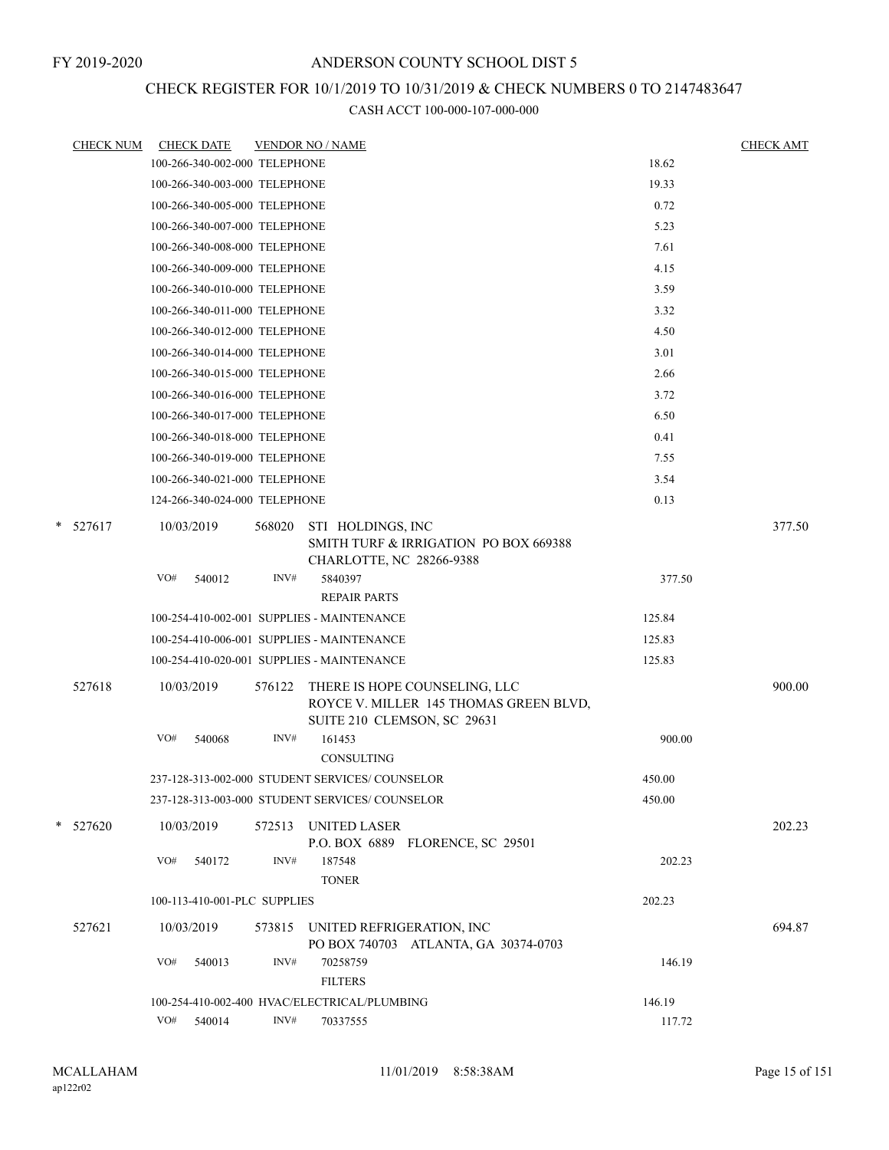## CHECK REGISTER FOR 10/1/2019 TO 10/31/2019 & CHECK NUMBERS 0 TO 2147483647

|   | <b>CHECK NUM</b> |                   | <b>CHECK DATE</b>             |                | <b>VENDOR NO / NAME</b>                                                                                          |        | <b>CHECK AMT</b> |
|---|------------------|-------------------|-------------------------------|----------------|------------------------------------------------------------------------------------------------------------------|--------|------------------|
|   |                  |                   | 100-266-340-002-000 TELEPHONE |                |                                                                                                                  | 18.62  |                  |
|   |                  |                   | 100-266-340-003-000 TELEPHONE |                |                                                                                                                  | 19.33  |                  |
|   |                  |                   | 100-266-340-005-000 TELEPHONE |                |                                                                                                                  | 0.72   |                  |
|   |                  |                   | 100-266-340-007-000 TELEPHONE |                |                                                                                                                  | 5.23   |                  |
|   |                  |                   | 100-266-340-008-000 TELEPHONE |                |                                                                                                                  | 7.61   |                  |
|   |                  |                   | 100-266-340-009-000 TELEPHONE |                |                                                                                                                  | 4.15   |                  |
|   |                  |                   | 100-266-340-010-000 TELEPHONE |                |                                                                                                                  | 3.59   |                  |
|   |                  |                   | 100-266-340-011-000 TELEPHONE |                |                                                                                                                  | 3.32   |                  |
|   |                  |                   | 100-266-340-012-000 TELEPHONE |                |                                                                                                                  | 4.50   |                  |
|   |                  |                   | 100-266-340-014-000 TELEPHONE |                |                                                                                                                  | 3.01   |                  |
|   |                  |                   | 100-266-340-015-000 TELEPHONE |                |                                                                                                                  | 2.66   |                  |
|   |                  |                   | 100-266-340-016-000 TELEPHONE |                |                                                                                                                  | 3.72   |                  |
|   |                  |                   | 100-266-340-017-000 TELEPHONE |                |                                                                                                                  | 6.50   |                  |
|   |                  |                   | 100-266-340-018-000 TELEPHONE |                |                                                                                                                  | 0.41   |                  |
|   |                  |                   | 100-266-340-019-000 TELEPHONE |                |                                                                                                                  | 7.55   |                  |
|   |                  |                   | 100-266-340-021-000 TELEPHONE |                |                                                                                                                  | 3.54   |                  |
|   |                  |                   | 124-266-340-024-000 TELEPHONE |                |                                                                                                                  | 0.13   |                  |
| * | 527617           | 10/03/2019        |                               | 568020         | STI HOLDINGS, INC<br>SMITH TURF & IRRIGATION PO BOX 669388<br>CHARLOTTE, NC 28266-9388                           |        | 377.50           |
|   |                  | VO#               | 540012                        | INV#           | 5840397                                                                                                          | 377.50 |                  |
|   |                  |                   |                               |                | <b>REPAIR PARTS</b>                                                                                              |        |                  |
|   |                  |                   |                               |                | 100-254-410-002-001 SUPPLIES - MAINTENANCE                                                                       | 125.84 |                  |
|   |                  |                   |                               |                | 100-254-410-006-001 SUPPLIES - MAINTENANCE                                                                       | 125.83 |                  |
|   |                  |                   |                               |                | 100-254-410-020-001 SUPPLIES - MAINTENANCE                                                                       | 125.83 |                  |
|   | 527618           | 10/03/2019<br>VO# | 540068                        | 576122<br>INV# | THERE IS HOPE COUNSELING, LLC<br>ROYCE V. MILLER 145 THOMAS GREEN BLVD,<br>SUITE 210 CLEMSON, SC 29631<br>161453 | 900.00 | 900.00           |
|   |                  |                   |                               |                | CONSULTING                                                                                                       |        |                  |
|   |                  |                   |                               |                | 237-128-313-002-000 STUDENT SERVICES/COUNSELOR                                                                   | 450.00 |                  |
|   |                  |                   |                               |                | 237-128-313-003-000 STUDENT SERVICES/ COUNSELOR                                                                  | 450.00 |                  |
|   | $*$ 527620       | 10/03/2019        |                               | 572513         | <b>UNITED LASER</b><br>P.O. BOX 6889 FLORENCE, SC 29501                                                          |        | 202.23           |
|   |                  | VO#               | 540172                        | INV#           | 187548<br><b>TONER</b>                                                                                           | 202.23 |                  |
|   |                  |                   | 100-113-410-001-PLC SUPPLIES  |                |                                                                                                                  | 202.23 |                  |
|   | 527621           | 10/03/2019        |                               | 573815         | UNITED REFRIGERATION, INC<br>PO BOX 740703 ATLANTA, GA 30374-0703                                                |        | 694.87           |
|   |                  | VO#               | 540013                        | INV#           | 70258759<br><b>FILTERS</b>                                                                                       | 146.19 |                  |
|   |                  |                   |                               |                | 100-254-410-002-400 HVAC/ELECTRICAL/PLUMBING                                                                     | 146.19 |                  |
|   |                  | VO#               | 540014                        | INV#           | 70337555                                                                                                         | 117.72 |                  |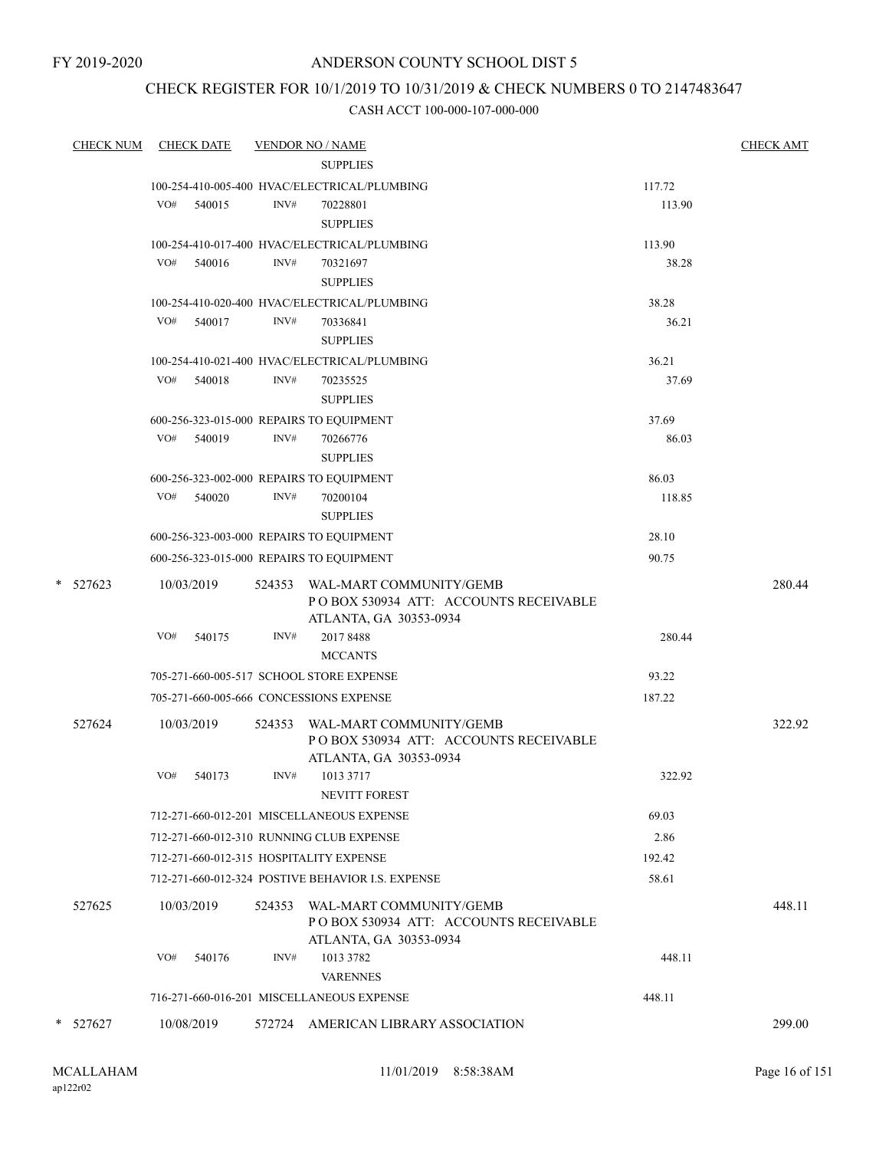FY 2019-2020

## ANDERSON COUNTY SCHOOL DIST 5

# CHECK REGISTER FOR 10/1/2019 TO 10/31/2019 & CHECK NUMBERS 0 TO 2147483647

| <b>CHECK NUM</b> |     | <b>CHECK DATE</b> |        | <b>VENDOR NO / NAME</b>                                                                            |        | <b>CHECK AMT</b> |
|------------------|-----|-------------------|--------|----------------------------------------------------------------------------------------------------|--------|------------------|
|                  |     |                   |        | <b>SUPPLIES</b>                                                                                    |        |                  |
|                  |     |                   |        | 100-254-410-005-400 HVAC/ELECTRICAL/PLUMBING                                                       | 117.72 |                  |
|                  | VO# | 540015            | INV#   | 70228801                                                                                           | 113.90 |                  |
|                  |     |                   |        | <b>SUPPLIES</b>                                                                                    |        |                  |
|                  |     |                   |        | 100-254-410-017-400 HVAC/ELECTRICAL/PLUMBING                                                       | 113.90 |                  |
|                  |     | VO# 540016        | INV#   | 70321697                                                                                           | 38.28  |                  |
|                  |     |                   |        | <b>SUPPLIES</b>                                                                                    |        |                  |
|                  | VO# |                   |        | 100-254-410-020-400 HVAC/ELECTRICAL/PLUMBING<br>70336841                                           | 38.28  |                  |
|                  |     | 540017            | INV#   | <b>SUPPLIES</b>                                                                                    | 36.21  |                  |
|                  |     |                   |        | 100-254-410-021-400 HVAC/ELECTRICAL/PLUMBING                                                       | 36.21  |                  |
|                  | VO# | 540018            | INV#   | 70235525                                                                                           | 37.69  |                  |
|                  |     |                   |        | <b>SUPPLIES</b>                                                                                    |        |                  |
|                  |     |                   |        | 600-256-323-015-000 REPAIRS TO EQUIPMENT                                                           | 37.69  |                  |
|                  |     | VO# 540019        | INV#   | 70266776                                                                                           | 86.03  |                  |
|                  |     |                   |        | <b>SUPPLIES</b>                                                                                    |        |                  |
|                  |     |                   |        | 600-256-323-002-000 REPAIRS TO EQUIPMENT                                                           | 86.03  |                  |
|                  |     | VO# 540020        | INV#   | 70200104                                                                                           | 118.85 |                  |
|                  |     |                   |        | <b>SUPPLIES</b>                                                                                    |        |                  |
|                  |     |                   |        | 600-256-323-003-000 REPAIRS TO EQUIPMENT                                                           | 28.10  |                  |
|                  |     |                   |        | 600-256-323-015-000 REPAIRS TO EQUIPMENT                                                           | 90.75  |                  |
| $*$ 527623       |     | 10/03/2019        |        | 524353 WAL-MART COMMUNITY/GEMB<br>PO BOX 530934 ATT: ACCOUNTS RECEIVABLE<br>ATLANTA, GA 30353-0934 |        | 280.44           |
|                  | VO# | 540175            | INV#   | 2017 8488                                                                                          | 280.44 |                  |
|                  |     |                   |        | <b>MCCANTS</b>                                                                                     |        |                  |
|                  |     |                   |        | 705-271-660-005-517 SCHOOL STORE EXPENSE                                                           | 93.22  |                  |
|                  |     |                   |        | 705-271-660-005-666 CONCESSIONS EXPENSE                                                            | 187.22 |                  |
| 527624           |     | 10/03/2019        | 524353 | WAL-MART COMMUNITY/GEMB<br>POBOX 530934 ATT: ACCOUNTS RECEIVABLE<br>ATLANTA, GA 30353-0934         |        | 322.92           |
|                  | VO# | 540173            | INV#   | 1013 3717<br><b>NEVITT FOREST</b>                                                                  | 322.92 |                  |
|                  |     |                   |        | 712-271-660-012-201 MISCELLANEOUS EXPENSE                                                          | 69.03  |                  |
|                  |     |                   |        | 712-271-660-012-310 RUNNING CLUB EXPENSE                                                           | 2.86   |                  |
|                  |     |                   |        | 712-271-660-012-315 HOSPITALITY EXPENSE                                                            | 192.42 |                  |
|                  |     |                   |        | 712-271-660-012-324 POSTIVE BEHAVIOR I.S. EXPENSE                                                  | 58.61  |                  |
|                  |     |                   |        |                                                                                                    |        |                  |
| 527625           |     | 10/03/2019        |        | 524353 WAL-MART COMMUNITY/GEMB<br>PO BOX 530934 ATT: ACCOUNTS RECEIVABLE<br>ATLANTA, GA 30353-0934 |        | 448.11           |
|                  | VO# | 540176            | INV#   | 1013 3782                                                                                          | 448.11 |                  |
|                  |     |                   |        | <b>VARENNES</b>                                                                                    |        |                  |
|                  |     |                   |        | 716-271-660-016-201 MISCELLANEOUS EXPENSE                                                          | 448.11 |                  |
| $*$ 527627       |     | 10/08/2019        |        | 572724 AMERICAN LIBRARY ASSOCIATION                                                                |        | 299.00           |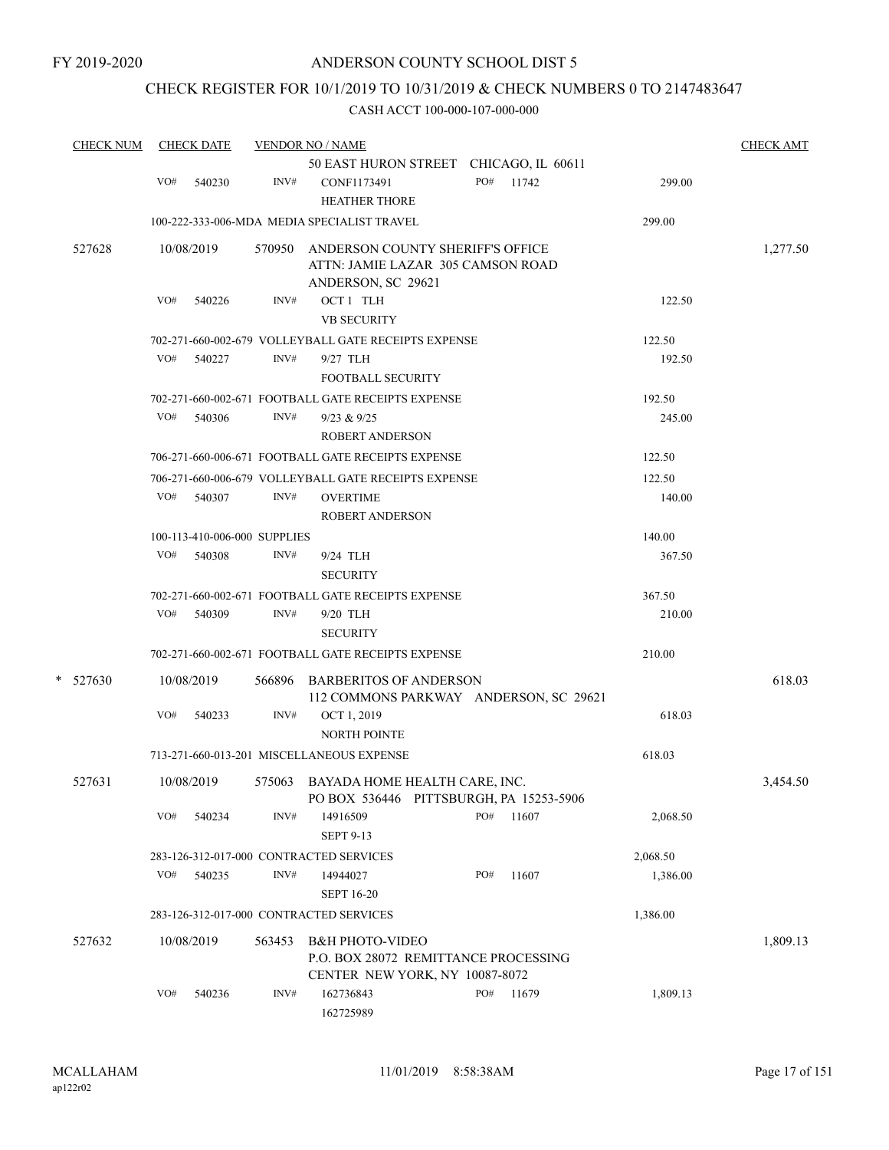## CHECK REGISTER FOR 10/1/2019 TO 10/31/2019 & CHECK NUMBERS 0 TO 2147483647

| <b>CHECK NUM</b> |     | <b>CHECK DATE</b>            |        | <b>VENDOR NO / NAME</b>                                                                            |     |       |          | <b>CHECK AMT</b> |
|------------------|-----|------------------------------|--------|----------------------------------------------------------------------------------------------------|-----|-------|----------|------------------|
|                  |     |                              |        | 50 EAST HURON STREET CHICAGO, IL 60611                                                             |     |       |          |                  |
|                  | VO# | 540230                       | INV#   | CONF1173491<br><b>HEATHER THORE</b>                                                                | PO# | 11742 | 299.00   |                  |
|                  |     |                              |        | 100-222-333-006-MDA MEDIA SPECIALIST TRAVEL                                                        |     |       | 299.00   |                  |
| 527628           |     | 10/08/2019                   |        | 570950 ANDERSON COUNTY SHERIFF'S OFFICE<br>ATTN: JAMIE LAZAR 305 CAMSON ROAD<br>ANDERSON, SC 29621 |     |       |          | 1,277.50         |
|                  | VO# | 540226                       | INV#   | OCT 1 TLH<br><b>VB SECURITY</b>                                                                    |     |       | 122.50   |                  |
|                  |     |                              |        | 702-271-660-002-679 VOLLEYBALL GATE RECEIPTS EXPENSE                                               |     |       | 122.50   |                  |
|                  | VO# | 540227                       | INV#   | 9/27 TLH<br><b>FOOTBALL SECURITY</b>                                                               |     |       | 192.50   |                  |
|                  |     |                              |        | 702-271-660-002-671 FOOTBALL GATE RECEIPTS EXPENSE                                                 |     |       | 192.50   |                  |
|                  | VO# | 540306                       | INV#   | 9/23 & 9/25                                                                                        |     |       | 245.00   |                  |
|                  |     |                              |        | <b>ROBERT ANDERSON</b>                                                                             |     |       |          |                  |
|                  |     |                              |        | 706-271-660-006-671 FOOTBALL GATE RECEIPTS EXPENSE                                                 |     |       | 122.50   |                  |
|                  |     |                              |        | 706-271-660-006-679 VOLLEYBALL GATE RECEIPTS EXPENSE                                               |     |       | 122.50   |                  |
|                  | VO# | 540307                       | INV#   | <b>OVERTIME</b><br><b>ROBERT ANDERSON</b>                                                          |     |       | 140.00   |                  |
|                  |     | 100-113-410-006-000 SUPPLIES |        |                                                                                                    |     |       | 140.00   |                  |
|                  | VO# | 540308                       | INV#   | 9/24 TLH                                                                                           |     |       | 367.50   |                  |
|                  |     |                              |        | <b>SECURITY</b>                                                                                    |     |       |          |                  |
|                  |     |                              |        | 702-271-660-002-671 FOOTBALL GATE RECEIPTS EXPENSE                                                 |     |       | 367.50   |                  |
|                  | VO# | 540309                       | INV#   | 9/20 TLH                                                                                           |     |       | 210.00   |                  |
|                  |     |                              |        | <b>SECURITY</b>                                                                                    |     |       |          |                  |
|                  |     |                              |        | 702-271-660-002-671 FOOTBALL GATE RECEIPTS EXPENSE                                                 |     |       | 210.00   |                  |
| *<br>527630      |     | 10/08/2019                   |        | 566896 BARBERITOS OF ANDERSON<br>112 COMMONS PARKWAY ANDERSON, SC 29621                            |     |       |          | 618.03           |
|                  | VO# | 540233                       | INV#   | OCT 1, 2019<br><b>NORTH POINTE</b>                                                                 |     |       | 618.03   |                  |
|                  |     |                              |        | 713-271-660-013-201 MISCELLANEOUS EXPENSE                                                          |     |       | 618.03   |                  |
| 527631           |     | 10/08/2019                   |        | 575063 BAYADA HOME HEALTH CARE, INC.<br>PO BOX 536446 PITTSBURGH, PA 15253-5906                    |     |       |          | 3,454.50         |
|                  | VO# | 540234                       | INV#   | 14916509<br><b>SEPT 9-13</b>                                                                       | PO# | 11607 | 2,068.50 |                  |
|                  |     |                              |        | 283-126-312-017-000 CONTRACTED SERVICES                                                            |     |       | 2,068.50 |                  |
|                  | VO# | 540235                       | INV#   | 14944027                                                                                           | PO# | 11607 | 1,386.00 |                  |
|                  |     |                              |        | <b>SEPT 16-20</b>                                                                                  |     |       |          |                  |
|                  |     |                              |        | 283-126-312-017-000 CONTRACTED SERVICES                                                            |     |       | 1,386.00 |                  |
| 527632           |     | 10/08/2019                   | 563453 | <b>B&amp;H PHOTO-VIDEO</b>                                                                         |     |       |          | 1,809.13         |
|                  |     |                              |        | P.O. BOX 28072 REMITTANCE PROCESSING<br>CENTER NEW YORK, NY 10087-8072                             |     |       |          |                  |
|                  | VO# | 540236                       | INV#   | 162736843<br>162725989                                                                             | PO# | 11679 | 1,809.13 |                  |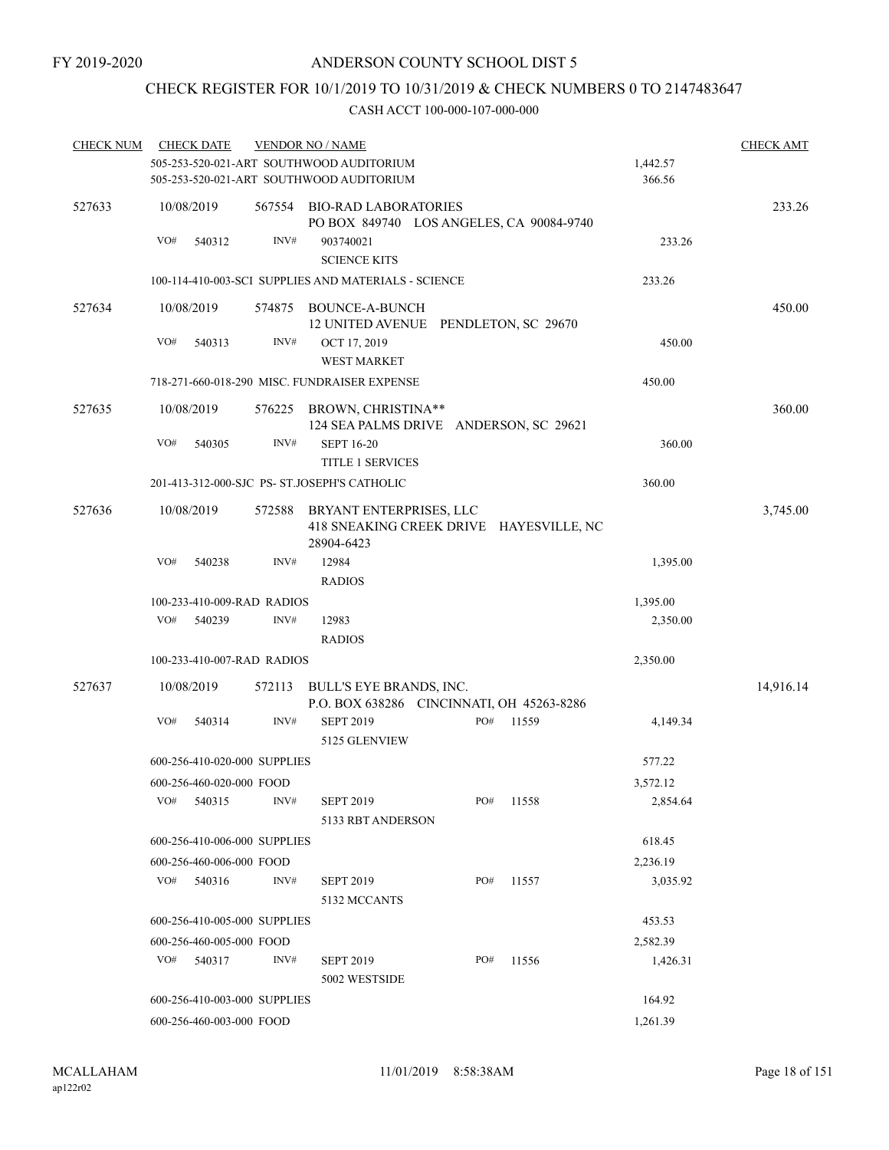# CHECK REGISTER FOR 10/1/2019 TO 10/31/2019 & CHECK NUMBERS 0 TO 2147483647

| <b>CHECK NUM</b> |            | <b>CHECK DATE</b>            |        | <b>VENDOR NO / NAME</b>                                                              |     |       |                    | <b>CHECK AMT</b> |
|------------------|------------|------------------------------|--------|--------------------------------------------------------------------------------------|-----|-------|--------------------|------------------|
|                  |            |                              |        | 505-253-520-021-ART SOUTHWOOD AUDITORIUM<br>505-253-520-021-ART SOUTHWOOD AUDITORIUM |     |       | 1,442.57<br>366.56 |                  |
| 527633           | 10/08/2019 |                              |        | 567554 BIO-RAD LABORATORIES<br>PO BOX 849740 LOS ANGELES, CA 90084-9740              |     |       |                    | 233.26           |
|                  | VO#        | 540312                       | INV#   | 903740021<br><b>SCIENCE KITS</b>                                                     |     |       | 233.26             |                  |
|                  |            |                              |        | 100-114-410-003-SCI SUPPLIES AND MATERIALS - SCIENCE                                 |     |       | 233.26             |                  |
| 527634           | 10/08/2019 |                              | 574875 | BOUNCE-A-BUNCH<br>12 UNITED AVENUE PENDLETON, SC 29670                               |     |       | 450.00             |                  |
|                  | VO#        | 540313                       | INV#   | OCT 17, 2019<br><b>WEST MARKET</b>                                                   |     |       | 450.00             |                  |
|                  |            |                              |        | 718-271-660-018-290 MISC. FUNDRAISER EXPENSE                                         |     |       | 450.00             |                  |
| 527635           | 10/08/2019 |                              |        | 576225 BROWN, CHRISTINA**<br>124 SEA PALMS DRIVE ANDERSON, SC 29621                  |     |       |                    | 360.00           |
|                  | VO#        | 540305                       | INV#   | <b>SEPT 16-20</b><br><b>TITLE 1 SERVICES</b>                                         |     |       | 360.00             |                  |
|                  |            |                              |        | 201-413-312-000-SJC PS- ST.JOSEPH'S CATHOLIC                                         |     |       | 360.00             |                  |
| 527636           | 10/08/2019 |                              | 572588 | BRYANT ENTERPRISES, LLC<br>418 SNEAKING CREEK DRIVE HAYESVILLE, NC<br>28904-6423     |     |       |                    | 3,745.00         |
|                  | VO#        | 540238                       | INV#   | 12984                                                                                |     |       | 1,395.00           |                  |
|                  |            |                              |        | <b>RADIOS</b>                                                                        |     |       |                    |                  |
|                  |            | 100-233-410-009-RAD RADIOS   |        |                                                                                      |     |       | 1,395.00           |                  |
|                  | VO#        | 540239                       | INV#   | 12983                                                                                |     |       | 2,350.00           |                  |
|                  |            |                              |        | <b>RADIOS</b>                                                                        |     |       |                    |                  |
|                  |            | 100-233-410-007-RAD RADIOS   |        |                                                                                      |     |       | 2,350.00           |                  |
| 527637           | 10/08/2019 |                              | 572113 | BULL'S EYE BRANDS, INC.<br>P.O. BOX 638286 CINCINNATI, OH 45263-8286                 |     |       |                    | 14,916.14        |
|                  | VO#        | 540314                       | INV#   | <b>SEPT 2019</b><br>5125 GLENVIEW                                                    | PO# | 11559 | 4,149.34           |                  |
|                  |            | 600-256-410-020-000 SUPPLIES |        |                                                                                      |     |       | 577.22             |                  |
|                  |            | 600-256-460-020-000 FOOD     |        |                                                                                      |     |       | 3,572.12           |                  |
|                  | VO#        | 540315                       | INV#   | <b>SEPT 2019</b><br>5133 RBT ANDERSON                                                | PO# | 11558 | 2,854.64           |                  |
|                  |            | 600-256-410-006-000 SUPPLIES |        |                                                                                      |     |       | 618.45             |                  |
|                  |            | 600-256-460-006-000 FOOD     |        |                                                                                      |     |       | 2,236.19           |                  |
|                  | VO#        | 540316                       | INV#   | <b>SEPT 2019</b><br>5132 MCCANTS                                                     | PO# | 11557 | 3,035.92           |                  |
|                  |            | 600-256-410-005-000 SUPPLIES |        |                                                                                      |     |       | 453.53             |                  |
|                  |            | 600-256-460-005-000 FOOD     |        |                                                                                      |     |       | 2,582.39           |                  |
|                  | VO#        | 540317                       | INV#   | <b>SEPT 2019</b><br>5002 WESTSIDE                                                    | PO# | 11556 | 1,426.31           |                  |
|                  |            | 600-256-410-003-000 SUPPLIES |        |                                                                                      |     |       | 164.92             |                  |
|                  |            | 600-256-460-003-000 FOOD     |        |                                                                                      |     |       | 1,261.39           |                  |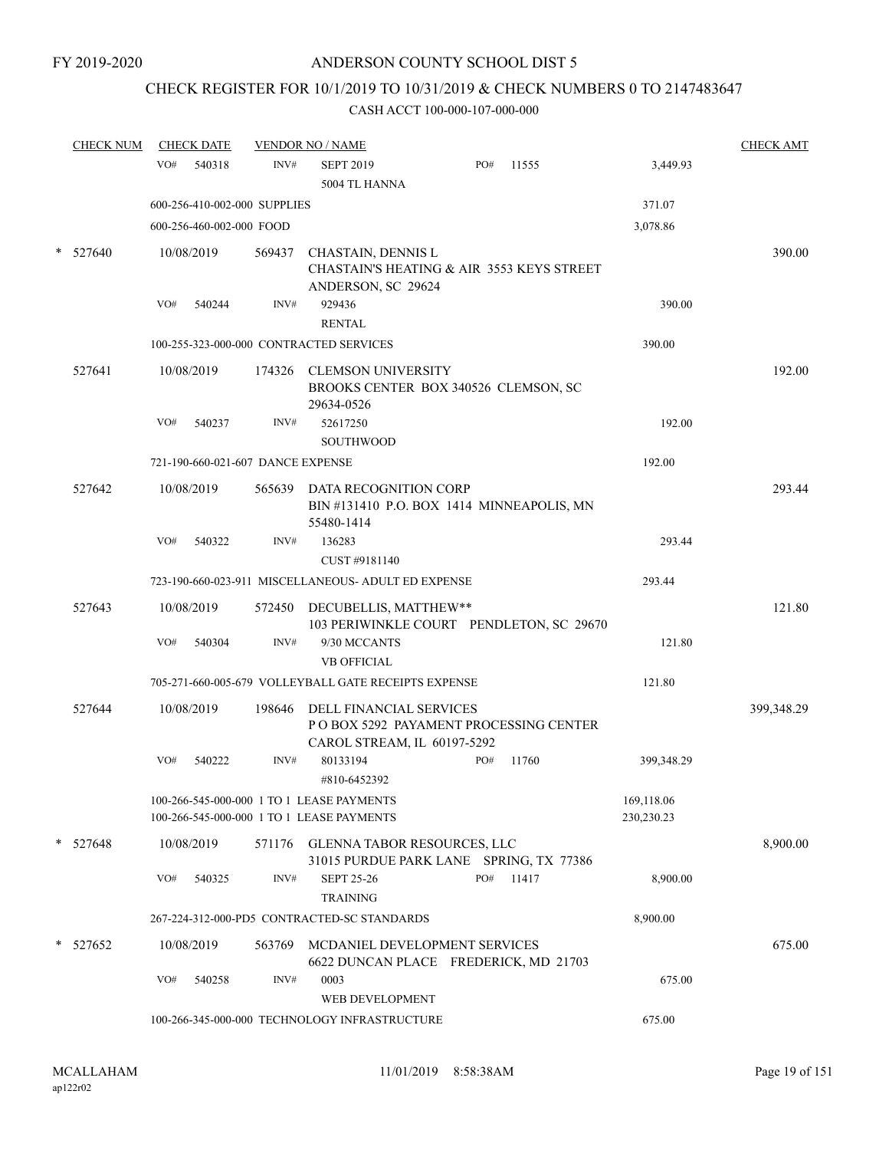# CHECK REGISTER FOR 10/1/2019 TO 10/31/2019 & CHECK NUMBERS 0 TO 2147483647

| <b>CHECK NUM</b> | <b>CHECK DATE</b> |                                   |        | <b>VENDOR NO / NAME</b>                                                                           |     |       |                          | <b>CHECK AMT</b> |
|------------------|-------------------|-----------------------------------|--------|---------------------------------------------------------------------------------------------------|-----|-------|--------------------------|------------------|
|                  | VO#               | 540318                            | INV#   | <b>SEPT 2019</b>                                                                                  | PO# | 11555 | 3,449.93                 |                  |
|                  |                   |                                   |        | 5004 TL HANNA                                                                                     |     |       |                          |                  |
|                  |                   | 600-256-410-002-000 SUPPLIES      |        |                                                                                                   |     |       | 371.07                   |                  |
|                  |                   | 600-256-460-002-000 FOOD          |        |                                                                                                   |     |       | 3,078.86                 |                  |
| $*$ 527640       | 10/08/2019        |                                   | 569437 | CHASTAIN, DENNIS L<br>CHASTAIN'S HEATING & AIR 3553 KEYS STREET<br>ANDERSON, SC 29624             |     |       |                          | 390.00           |
|                  | VO#               | 540244                            | INV#   | 929436                                                                                            |     |       | 390.00                   |                  |
|                  |                   |                                   |        | <b>RENTAL</b>                                                                                     |     |       |                          |                  |
|                  |                   |                                   |        | 100-255-323-000-000 CONTRACTED SERVICES                                                           |     |       | 390.00                   |                  |
| 527641           | 10/08/2019        |                                   |        | 174326 CLEMSON UNIVERSITY<br>BROOKS CENTER BOX 340526 CLEMSON, SC<br>29634-0526                   |     |       |                          | 192.00           |
|                  | VO#               | 540237                            | INV#   | 52617250<br><b>SOUTHWOOD</b>                                                                      |     |       | 192.00                   |                  |
|                  |                   | 721-190-660-021-607 DANCE EXPENSE |        |                                                                                                   |     |       | 192.00                   |                  |
| 527642           | 10/08/2019        |                                   |        | 565639 DATA RECOGNITION CORP<br>BIN#131410 P.O. BOX 1414 MINNEAPOLIS, MN<br>55480-1414            |     |       |                          | 293.44           |
|                  | VO#               | 540322                            | INV#   | 136283<br>CUST #9181140                                                                           |     |       | 293.44                   |                  |
|                  |                   |                                   |        | 723-190-660-023-911 MISCELLANEOUS- ADULT ED EXPENSE                                               |     |       | 293.44                   |                  |
| 527643           | 10/08/2019        |                                   |        | 572450 DECUBELLIS, MATTHEW**<br>103 PERIWINKLE COURT PENDLETON, SC 29670                          |     |       |                          | 121.80           |
|                  | VO#               | 540304                            | INV#   | 9/30 MCCANTS<br><b>VB OFFICIAL</b>                                                                |     |       | 121.80                   |                  |
|                  |                   |                                   |        | 705-271-660-005-679 VOLLEYBALL GATE RECEIPTS EXPENSE                                              |     |       | 121.80                   |                  |
| 527644           | 10/08/2019        |                                   | 198646 | DELL FINANCIAL SERVICES<br>P O BOX 5292 PAYAMENT PROCESSING CENTER<br>CAROL STREAM, IL 60197-5292 |     |       |                          | 399,348.29       |
|                  | VO#               | 540222                            | INV#   | 80133194<br>#810-6452392                                                                          | PO# | 11760 | 399,348.29               |                  |
|                  |                   |                                   |        | 100-266-545-000-000 1 TO 1 LEASE PAYMENTS<br>100-266-545-000-000 1 TO 1 LEASE PAYMENTS            |     |       | 169,118.06<br>230,230.23 |                  |
| * 527648         | 10/08/2019        |                                   | 571176 | GLENNA TABOR RESOURCES, LLC<br>31015 PURDUE PARK LANE SPRING, TX 77386                            |     |       |                          | 8,900.00         |
|                  | VO#               | 540325                            | INV#   | <b>SEPT 25-26</b><br><b>TRAINING</b>                                                              | PO# | 11417 | 8,900.00                 |                  |
|                  |                   |                                   |        | 267-224-312-000-PD5 CONTRACTED-SC STANDARDS                                                       |     |       | 8,900.00                 |                  |
| $*$ 527652       | 10/08/2019        |                                   | 563769 | MCDANIEL DEVELOPMENT SERVICES<br>6622 DUNCAN PLACE FREDERICK, MD 21703                            |     |       |                          | 675.00           |
|                  | VO#               | 540258                            | INV#   | 0003<br>WEB DEVELOPMENT                                                                           |     |       | 675.00                   |                  |
|                  |                   |                                   |        | 100-266-345-000-000 TECHNOLOGY INFRASTRUCTURE                                                     |     |       | 675.00                   |                  |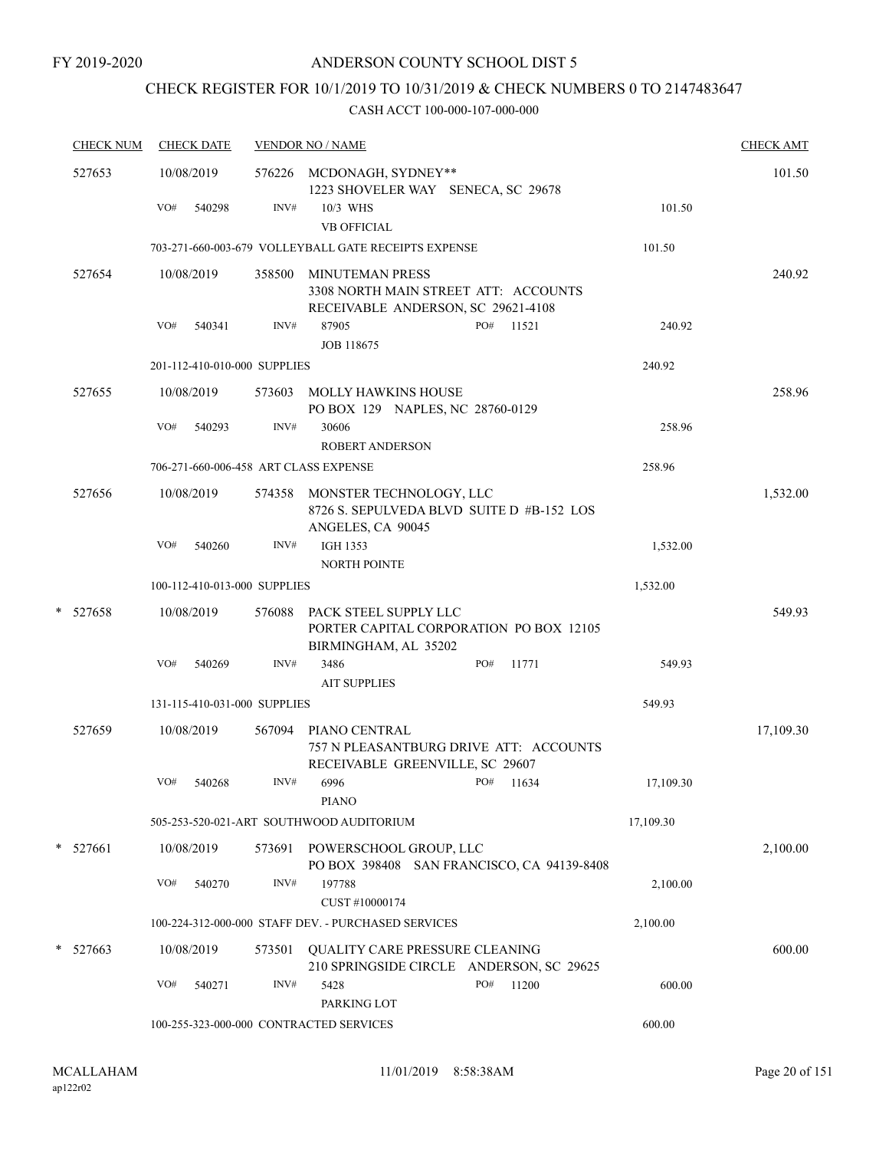# CHECK REGISTER FOR 10/1/2019 TO 10/31/2019 & CHECK NUMBERS 0 TO 2147483647

| <b>CHECK NUM</b> | <b>CHECK DATE</b> |        |                              | <b>VENDOR NO / NAME</b>                                                                    |     |       |           | <b>CHECK AMT</b> |
|------------------|-------------------|--------|------------------------------|--------------------------------------------------------------------------------------------|-----|-------|-----------|------------------|
| 527653           | 10/08/2019        |        |                              | 576226 MCDONAGH, SYDNEY**<br>1223 SHOVELER WAY SENECA, SC 29678                            |     |       |           | 101.50           |
|                  | VO#               | 540298 | INV#                         | 10/3 WHS<br><b>VB OFFICIAL</b>                                                             |     |       | 101.50    |                  |
|                  |                   |        |                              | 703-271-660-003-679 VOLLEYBALL GATE RECEIPTS EXPENSE                                       |     |       | 101.50    |                  |
| 527654           | 10/08/2019        |        | 358500                       | <b>MINUTEMAN PRESS</b><br>3308 NORTH MAIN STREET ATT: ACCOUNTS                             |     |       |           | 240.92           |
|                  | VO#               | 540341 | INV#                         | RECEIVABLE ANDERSON, SC 29621-4108<br>87905<br><b>JOB 118675</b>                           | PO# | 11521 | 240.92    |                  |
|                  |                   |        | 201-112-410-010-000 SUPPLIES |                                                                                            |     |       | 240.92    |                  |
| 527655           | 10/08/2019        |        | 573603                       | <b>MOLLY HAWKINS HOUSE</b><br>PO BOX 129 NAPLES, NC 28760-0129                             |     |       |           | 258.96           |
|                  | VO#               | 540293 | INV#                         | 30606<br><b>ROBERT ANDERSON</b>                                                            |     |       | 258.96    |                  |
|                  |                   |        |                              | 706-271-660-006-458 ART CLASS EXPENSE                                                      |     |       | 258.96    |                  |
| 527656           | 10/08/2019        |        | 574358                       | MONSTER TECHNOLOGY, LLC<br>8726 S. SEPULVEDA BLVD SUITE D #B-152 LOS<br>ANGELES, CA 90045  |     |       |           | 1,532.00         |
|                  | VO#               | 540260 | INV#                         | <b>IGH 1353</b><br>NORTH POINTE                                                            |     |       | 1,532.00  |                  |
|                  |                   |        | 100-112-410-013-000 SUPPLIES |                                                                                            |     |       | 1,532.00  |                  |
| *<br>527658      | 10/08/2019        |        | 576088                       | PACK STEEL SUPPLY LLC<br>PORTER CAPITAL CORPORATION PO BOX 12105<br>BIRMINGHAM, AL 35202   |     |       |           | 549.93           |
|                  | VO#               | 540269 | INV#                         | 3486<br><b>AIT SUPPLIES</b>                                                                | PO# | 11771 | 549.93    |                  |
|                  |                   |        | 131-115-410-031-000 SUPPLIES |                                                                                            |     |       | 549.93    |                  |
| 527659           | 10/08/2019        |        | 567094                       | PIANO CENTRAL<br>757 N PLEASANTBURG DRIVE ATT: ACCOUNTS<br>RECEIVABLE GREENVILLE, SC 29607 |     |       |           | 17,109.30        |
|                  | VO#               | 540268 | INV#                         | 6996<br><b>PIANO</b>                                                                       | PO# | 11634 | 17,109.30 |                  |
|                  |                   |        |                              | 505-253-520-021-ART SOUTHWOOD AUDITORIUM                                                   |     |       | 17,109.30 |                  |
| * 527661         | 10/08/2019        |        | 573691                       | POWERSCHOOL GROUP, LLC<br>PO BOX 398408 SAN FRANCISCO, CA 94139-8408                       |     |       |           | 2,100.00         |
|                  | VO#               | 540270 | INV#                         | 197788<br>CUST #10000174                                                                   |     |       | 2,100.00  |                  |
|                  |                   |        |                              | 100-224-312-000-000 STAFF DEV. - PURCHASED SERVICES                                        |     |       | 2,100.00  |                  |
| $*$ 527663       | 10/08/2019        |        | 573501                       | QUALITY CARE PRESSURE CLEANING<br>210 SPRINGSIDE CIRCLE ANDERSON, SC 29625                 |     |       |           | 600.00           |
|                  | VO#               | 540271 | INV#                         | 5428<br>PARKING LOT                                                                        | PO# | 11200 | 600.00    |                  |
|                  |                   |        |                              | 100-255-323-000-000 CONTRACTED SERVICES                                                    |     |       | 600.00    |                  |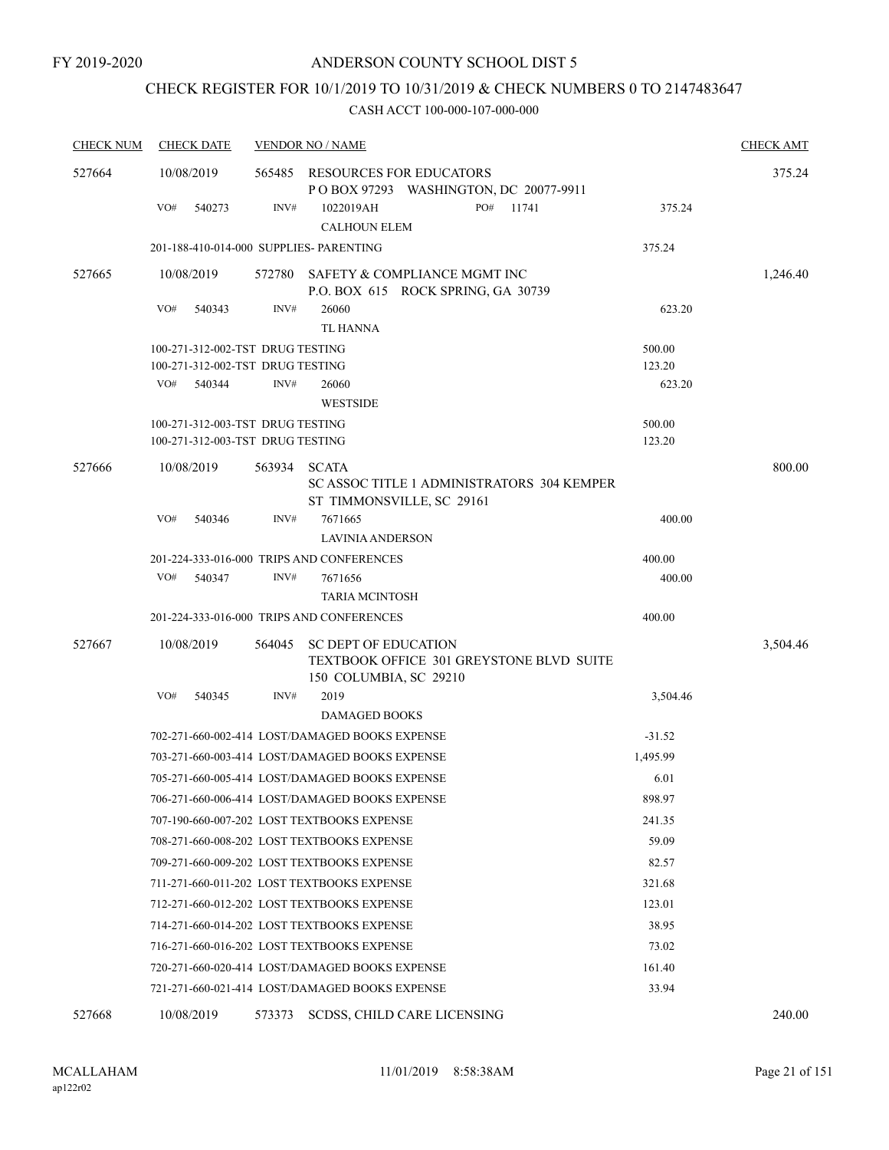# CHECK REGISTER FOR 10/1/2019 TO 10/31/2019 & CHECK NUMBERS 0 TO 2147483647

| <b>CHECK NUM</b> | <b>CHECK DATE</b>                       |        | <b>VENDOR NO / NAME</b>                                                                                  |          | <b>CHECK AMT</b> |
|------------------|-----------------------------------------|--------|----------------------------------------------------------------------------------------------------------|----------|------------------|
| 527664           | 10/08/2019                              | 565485 | RESOURCES FOR EDUCATORS<br>POBOX 97293 WASHINGTON, DC 20077-9911                                         |          | 375.24           |
|                  | VO#<br>540273                           | INV#   | PO#<br>11741<br>1022019AH<br><b>CALHOUN ELEM</b>                                                         | 375.24   |                  |
|                  | 201-188-410-014-000 SUPPLIES- PARENTING |        |                                                                                                          | 375.24   |                  |
| 527665           | 10/08/2019                              | 572780 | SAFETY & COMPLIANCE MGMT INC                                                                             |          | 1,246.40         |
|                  |                                         |        | P.O. BOX 615 ROCK SPRING, GA 30739                                                                       |          |                  |
|                  | VO#<br>540343                           | INV#   | 26060<br><b>TL HANNA</b>                                                                                 | 623.20   |                  |
|                  | 100-271-312-002-TST DRUG TESTING        |        |                                                                                                          | 500.00   |                  |
|                  | 100-271-312-002-TST DRUG TESTING        |        |                                                                                                          | 123.20   |                  |
|                  | VO#<br>540344                           | INV#   | 26060<br><b>WESTSIDE</b>                                                                                 | 623.20   |                  |
|                  | 100-271-312-003-TST DRUG TESTING        |        |                                                                                                          | 500.00   |                  |
|                  | 100-271-312-003-TST DRUG TESTING        |        |                                                                                                          | 123.20   |                  |
| 527666           | 10/08/2019                              | 563934 | <b>SCATA</b><br>SC ASSOC TITLE 1 ADMINISTRATORS 304 KEMPER                                               |          | 800.00           |
|                  | VO#<br>540346                           | INV#   | ST TIMMONSVILLE, SC 29161<br>7671665                                                                     | 400.00   |                  |
|                  |                                         |        | <b>LAVINIA ANDERSON</b>                                                                                  |          |                  |
|                  |                                         |        | 201-224-333-016-000 TRIPS AND CONFERENCES                                                                | 400.00   |                  |
|                  | VO#<br>540347                           | INV#   | 7671656                                                                                                  | 400.00   |                  |
|                  |                                         |        | <b>TARIA MCINTOSH</b>                                                                                    |          |                  |
|                  |                                         |        | 201-224-333-016-000 TRIPS AND CONFERENCES                                                                | 400.00   |                  |
| 527667           | 10/08/2019                              | 564045 | <b>SC DEPT OF EDUCATION</b><br><b>TEXTBOOK OFFICE 301 GREYSTONE BLVD SUITE</b><br>150 COLUMBIA, SC 29210 |          | 3,504.46         |
|                  | VO#<br>540345                           | INV#   | 2019<br><b>DAMAGED BOOKS</b>                                                                             | 3,504.46 |                  |
|                  |                                         |        | 702-271-660-002-414 LOST/DAMAGED BOOKS EXPENSE                                                           | $-31.52$ |                  |
|                  |                                         |        | 703-271-660-003-414 LOST/DAMAGED BOOKS EXPENSE                                                           | 1.495.99 |                  |
|                  |                                         |        | 705-271-660-005-414 LOST/DAMAGED BOOKS EXPENSE                                                           | 6.01     |                  |
|                  |                                         |        | 706-271-660-006-414 LOST/DAMAGED BOOKS EXPENSE                                                           | 898.97   |                  |
|                  |                                         |        | 707-190-660-007-202 LOST TEXTBOOKS EXPENSE                                                               | 241.35   |                  |
|                  |                                         |        | 708-271-660-008-202 LOST TEXTBOOKS EXPENSE                                                               | 59.09    |                  |
|                  |                                         |        | 709-271-660-009-202 LOST TEXTBOOKS EXPENSE                                                               | 82.57    |                  |
|                  |                                         |        | 711-271-660-011-202 LOST TEXTBOOKS EXPENSE                                                               | 321.68   |                  |
|                  |                                         |        | 712-271-660-012-202 LOST TEXTBOOKS EXPENSE                                                               | 123.01   |                  |
|                  |                                         |        | 714-271-660-014-202 LOST TEXTBOOKS EXPENSE                                                               | 38.95    |                  |
|                  |                                         |        | 716-271-660-016-202 LOST TEXTBOOKS EXPENSE                                                               | 73.02    |                  |
|                  |                                         |        | 720-271-660-020-414 LOST/DAMAGED BOOKS EXPENSE                                                           | 161.40   |                  |
|                  |                                         |        | 721-271-660-021-414 LOST/DAMAGED BOOKS EXPENSE                                                           | 33.94    |                  |
| 527668           | 10/08/2019                              |        | 573373 SCDSS, CHILD CARE LICENSING                                                                       |          | 240.00           |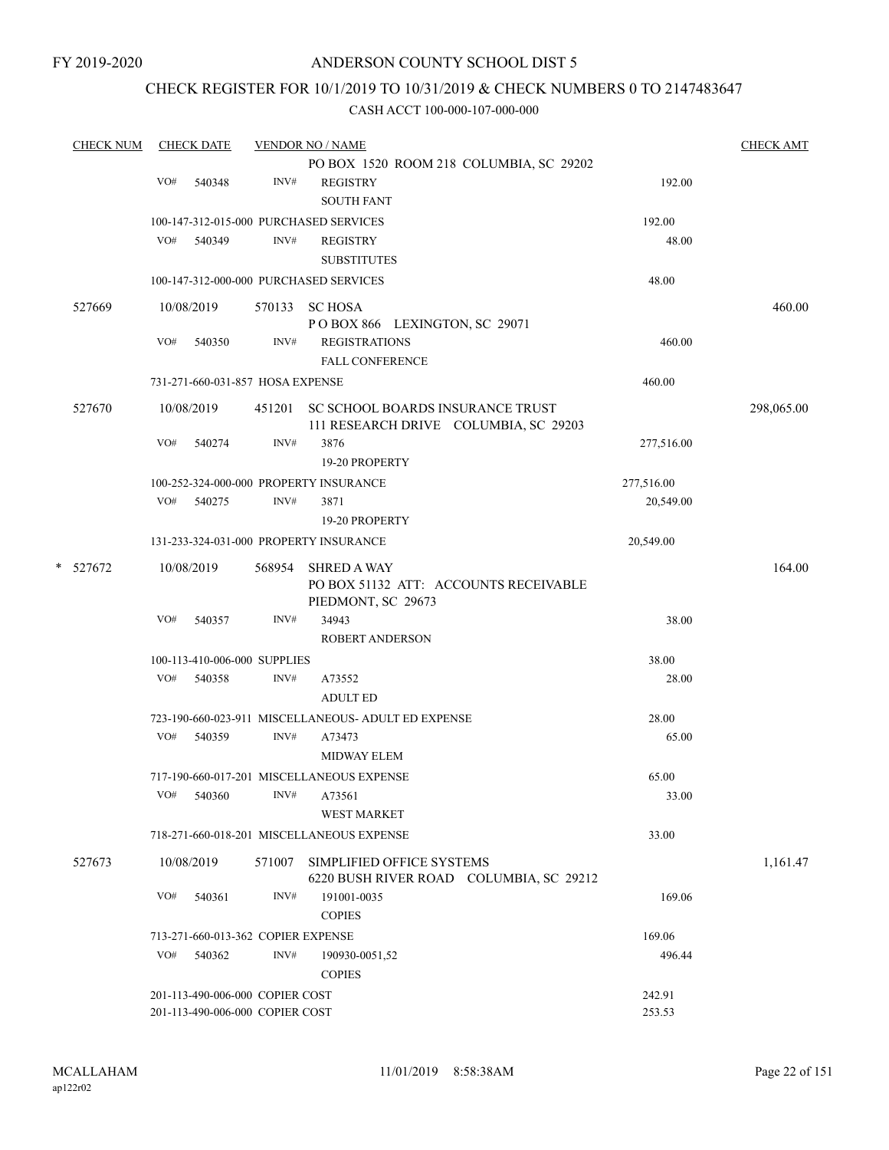## CHECK REGISTER FOR 10/1/2019 TO 10/31/2019 & CHECK NUMBERS 0 TO 2147483647

| <b>CHECK NUM</b> |     | <b>CHECK DATE</b>                  |        | <b>VENDOR NO / NAME</b>                                                          |            | <b>CHECK AMT</b> |
|------------------|-----|------------------------------------|--------|----------------------------------------------------------------------------------|------------|------------------|
|                  |     |                                    |        | PO BOX 1520 ROOM 218 COLUMBIA, SC 29202                                          |            |                  |
|                  | VO# | 540348                             | INV#   | <b>REGISTRY</b>                                                                  | 192.00     |                  |
|                  |     |                                    |        | <b>SOUTH FANT</b>                                                                |            |                  |
|                  |     |                                    |        | 100-147-312-015-000 PURCHASED SERVICES                                           | 192.00     |                  |
|                  | VO# | 540349                             | INV#   | <b>REGISTRY</b>                                                                  | 48.00      |                  |
|                  |     |                                    |        | <b>SUBSTITUTES</b>                                                               |            |                  |
|                  |     |                                    |        |                                                                                  |            |                  |
|                  |     |                                    |        | 100-147-312-000-000 PURCHASED SERVICES                                           | 48.00      |                  |
| 527669           |     | 10/08/2019                         |        | 570133 SC HOSA                                                                   |            | 460.00           |
|                  |     |                                    |        | POBOX 866 LEXINGTON, SC 29071                                                    |            |                  |
|                  | VO# | 540350                             | INV#   | <b>REGISTRATIONS</b>                                                             | 460.00     |                  |
|                  |     |                                    |        | <b>FALL CONFERENCE</b>                                                           |            |                  |
|                  |     | 731-271-660-031-857 HOSA EXPENSE   |        |                                                                                  | 460.00     |                  |
|                  |     |                                    |        |                                                                                  |            |                  |
| 527670           |     | 10/08/2019                         |        | 451201 SC SCHOOL BOARDS INSURANCE TRUST<br>111 RESEARCH DRIVE COLUMBIA, SC 29203 |            | 298,065.00       |
|                  | VO# | 540274                             | INV#   | 3876                                                                             |            |                  |
|                  |     |                                    |        |                                                                                  | 277,516.00 |                  |
|                  |     |                                    |        | 19-20 PROPERTY                                                                   |            |                  |
|                  |     |                                    |        | 100-252-324-000-000 PROPERTY INSURANCE                                           | 277,516.00 |                  |
|                  | VO# | 540275                             | INV#   | 3871                                                                             | 20,549.00  |                  |
|                  |     |                                    |        | 19-20 PROPERTY                                                                   |            |                  |
|                  |     |                                    |        | 131-233-324-031-000 PROPERTY INSURANCE                                           | 20,549.00  |                  |
| * 527672         |     | 10/08/2019                         | 568954 | <b>SHRED A WAY</b>                                                               |            | 164.00           |
|                  |     |                                    |        | PO BOX 51132 ATT: ACCOUNTS RECEIVABLE                                            |            |                  |
|                  |     |                                    |        | PIEDMONT, SC 29673                                                               |            |                  |
|                  | VO# | 540357                             | INV#   | 34943                                                                            | 38.00      |                  |
|                  |     |                                    |        | <b>ROBERT ANDERSON</b>                                                           |            |                  |
|                  |     | 100-113-410-006-000 SUPPLIES       |        |                                                                                  | 38.00      |                  |
|                  | VO# | 540358                             | INV#   | A73552                                                                           | 28.00      |                  |
|                  |     |                                    |        | <b>ADULT ED</b>                                                                  |            |                  |
|                  |     |                                    |        | 723-190-660-023-911 MISCELLANEOUS- ADULT ED EXPENSE                              |            |                  |
|                  |     |                                    |        |                                                                                  | 28.00      |                  |
|                  | VO# | 540359                             | INV#   | A73473                                                                           | 65.00      |                  |
|                  |     |                                    |        | <b>MIDWAY ELEM</b>                                                               |            |                  |
|                  |     |                                    |        | 717-190-660-017-201 MISCELLANEOUS EXPENSE                                        | 65.00      |                  |
|                  | VO# | 540360                             | INV#   | A73561                                                                           | 33.00      |                  |
|                  |     |                                    |        | <b>WEST MARKET</b>                                                               |            |                  |
|                  |     |                                    |        | 718-271-660-018-201 MISCELLANEOUS EXPENSE                                        | 33.00      |                  |
| 527673           |     | 10/08/2019                         | 571007 | SIMPLIFIED OFFICE SYSTEMS                                                        |            | 1,161.47         |
|                  |     |                                    |        | 6220 BUSH RIVER ROAD COLUMBIA, SC 29212                                          |            |                  |
|                  | VO# | 540361                             | INV#   | 191001-0035                                                                      | 169.06     |                  |
|                  |     |                                    |        | <b>COPIES</b>                                                                    |            |                  |
|                  |     | 713-271-660-013-362 COPIER EXPENSE |        |                                                                                  | 169.06     |                  |
|                  | VO# | 540362                             | INV#   |                                                                                  | 496.44     |                  |
|                  |     |                                    |        | 190930-0051,52                                                                   |            |                  |
|                  |     |                                    |        | <b>COPIES</b>                                                                    |            |                  |
|                  |     | 201-113-490-006-000 COPIER COST    |        |                                                                                  | 242.91     |                  |
|                  |     | 201-113-490-006-000 COPIER COST    |        |                                                                                  | 253.53     |                  |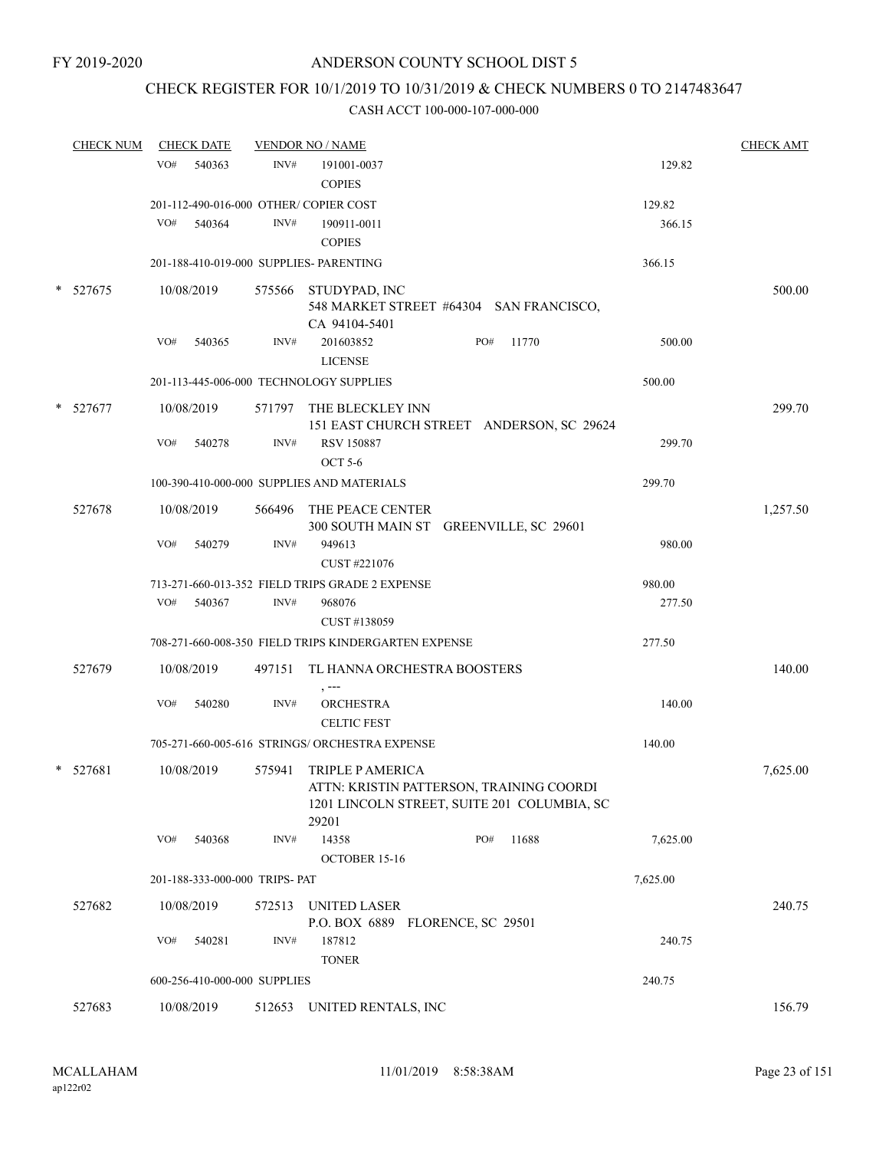## CHECK REGISTER FOR 10/1/2019 TO 10/31/2019 & CHECK NUMBERS 0 TO 2147483647

|   | <b>CHECK NUM</b> |     | <b>CHECK DATE</b> |                                | <b>VENDOR NO / NAME</b>                                                                                              |     |       |          | <b>CHECK AMT</b> |
|---|------------------|-----|-------------------|--------------------------------|----------------------------------------------------------------------------------------------------------------------|-----|-------|----------|------------------|
|   |                  | VO# | 540363            | INV#                           | 191001-0037                                                                                                          |     |       | 129.82   |                  |
|   |                  |     |                   |                                | <b>COPIES</b>                                                                                                        |     |       |          |                  |
|   |                  |     |                   |                                | 201-112-490-016-000 OTHER/ COPIER COST                                                                               |     |       | 129.82   |                  |
|   |                  | VO# | 540364            | INV#                           | 190911-0011                                                                                                          |     |       | 366.15   |                  |
|   |                  |     |                   |                                | <b>COPIES</b>                                                                                                        |     |       |          |                  |
|   |                  |     |                   |                                | 201-188-410-019-000 SUPPLIES- PARENTING                                                                              |     |       | 366.15   |                  |
|   | $*$ 527675       |     | 10/08/2019        |                                | 575566 STUDYPAD, INC<br>548 MARKET STREET #64304 SAN FRANCISCO,<br>CA 94104-5401                                     |     |       |          | 500.00           |
|   |                  | VO# | 540365            | INV#                           | 201603852<br><b>LICENSE</b>                                                                                          | PO# | 11770 | 500.00   |                  |
|   |                  |     |                   |                                | 201-113-445-006-000 TECHNOLOGY SUPPLIES                                                                              |     |       | 500.00   |                  |
| * | 527677           |     | 10/08/2019        |                                | 571797 THE BLECKLEY INN<br>151 EAST CHURCH STREET ANDERSON, SC 29624                                                 |     |       |          | 299.70           |
|   |                  | VO# | 540278            | INV#                           | <b>RSV 150887</b><br><b>OCT 5-6</b>                                                                                  |     |       | 299.70   |                  |
|   |                  |     |                   |                                | 100-390-410-000-000 SUPPLIES AND MATERIALS                                                                           |     |       | 299.70   |                  |
|   | 527678           |     | 10/08/2019        |                                | 566496 THE PEACE CENTER<br>300 SOUTH MAIN ST GREENVILLE, SC 29601                                                    |     |       |          | 1,257.50         |
|   |                  | VO# | 540279            | INV#                           | 949613<br>CUST #221076                                                                                               |     |       | 980.00   |                  |
|   |                  |     |                   |                                | 713-271-660-013-352 FIELD TRIPS GRADE 2 EXPENSE                                                                      |     |       | 980.00   |                  |
|   |                  | VO# | 540367            | INV#                           | 968076<br>CUST #138059                                                                                               |     |       | 277.50   |                  |
|   |                  |     |                   |                                | 708-271-660-008-350 FIELD TRIPS KINDERGARTEN EXPENSE                                                                 |     |       | 277.50   |                  |
|   | 527679           |     | 10/08/2019        |                                | 497151 TL HANNA ORCHESTRA BOOSTERS                                                                                   |     |       |          | 140.00           |
|   |                  | VO# | 540280            | INV#                           | <b>ORCHESTRA</b><br><b>CELTIC FEST</b>                                                                               |     |       | 140.00   |                  |
|   |                  |     |                   |                                | 705-271-660-005-616 STRINGS/ ORCHESTRA EXPENSE                                                                       |     |       | 140.00   |                  |
|   | $*$ 527681       |     | 10/08/2019        | 575941                         | TRIPLE P AMERICA<br>ATTN: KRISTIN PATTERSON, TRAINING COORDI<br>1201 LINCOLN STREET, SUITE 201 COLUMBIA, SC<br>29201 |     |       |          | 7,625.00         |
|   |                  | VO# | 540368            | INV#                           | 14358<br>OCTOBER 15-16                                                                                               | PO# | 11688 | 7,625.00 |                  |
|   |                  |     |                   | 201-188-333-000-000 TRIPS- PAT |                                                                                                                      |     |       | 7,625.00 |                  |
|   | 527682           |     | 10/08/2019        | 572513                         | <b>UNITED LASER</b><br>P.O. BOX 6889 FLORENCE, SC 29501                                                              |     |       |          | 240.75           |
|   |                  | VO# | 540281            | INV#                           | 187812<br><b>TONER</b>                                                                                               |     |       | 240.75   |                  |
|   |                  |     |                   | 600-256-410-000-000 SUPPLIES   |                                                                                                                      |     |       | 240.75   |                  |
|   | 527683           |     | 10/08/2019        | 512653                         | UNITED RENTALS, INC                                                                                                  |     |       |          | 156.79           |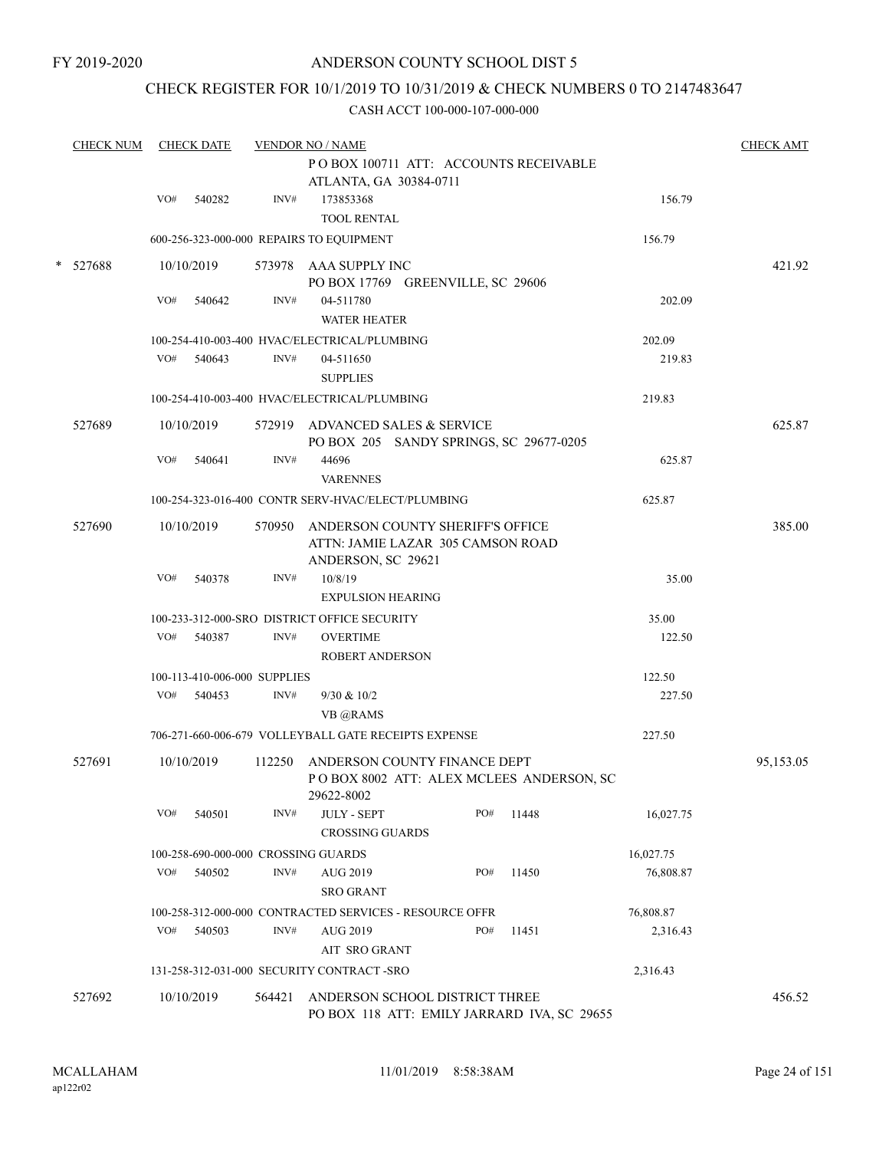FY 2019-2020

### ANDERSON COUNTY SCHOOL DIST 5

## CHECK REGISTER FOR 10/1/2019 TO 10/31/2019 & CHECK NUMBERS 0 TO 2147483647

|   | <b>CHECK NUM</b> |     | <b>CHECK DATE</b> |                              | <b>VENDOR NO / NAME</b><br>POBOX 100711 ATT: ACCOUNTS RECEIVABLE |     |       |           | <b>CHECK AMT</b> |
|---|------------------|-----|-------------------|------------------------------|------------------------------------------------------------------|-----|-------|-----------|------------------|
|   |                  |     |                   |                              | ATLANTA, GA 30384-0711                                           |     |       |           |                  |
|   |                  | VO# | 540282            | INV#                         | 173853368                                                        |     |       | 156.79    |                  |
|   |                  |     |                   |                              | <b>TOOL RENTAL</b>                                               |     |       |           |                  |
|   |                  |     |                   |                              | 600-256-323-000-000 REPAIRS TO EQUIPMENT                         |     |       | 156.79    |                  |
| * | 527688           |     | 10/10/2019        |                              | 573978 AAA SUPPLY INC                                            |     |       |           | 421.92           |
|   |                  |     |                   |                              | PO BOX 17769 GREENVILLE, SC 29606                                |     |       |           |                  |
|   |                  | VO# | 540642            | INV#                         | 04-511780                                                        |     |       | 202.09    |                  |
|   |                  |     |                   |                              | <b>WATER HEATER</b>                                              |     |       |           |                  |
|   |                  |     |                   |                              | 100-254-410-003-400 HVAC/ELECTRICAL/PLUMBING                     |     |       | 202.09    |                  |
|   |                  | VO# | 540643            | INV#                         | 04-511650                                                        |     |       | 219.83    |                  |
|   |                  |     |                   |                              | <b>SUPPLIES</b>                                                  |     |       |           |                  |
|   |                  |     |                   |                              | 100-254-410-003-400 HVAC/ELECTRICAL/PLUMBING                     |     |       | 219.83    |                  |
|   | 527689           |     | 10/10/2019        |                              | 572919 ADVANCED SALES & SERVICE                                  |     |       |           | 625.87           |
|   |                  |     |                   |                              | PO BOX 205 SANDY SPRINGS, SC 29677-0205                          |     |       |           |                  |
|   |                  | VO# | 540641            | INV#                         | 44696<br><b>VARENNES</b>                                         |     |       | 625.87    |                  |
|   |                  |     |                   |                              | 100-254-323-016-400 CONTR SERV-HVAC/ELECT/PLUMBING               |     |       | 625.87    |                  |
|   | 527690           |     | 10/10/2019        | 570950                       | ANDERSON COUNTY SHERIFF'S OFFICE                                 |     |       |           | 385.00           |
|   |                  |     |                   |                              | ATTN: JAMIE LAZAR 305 CAMSON ROAD                                |     |       |           |                  |
|   |                  |     |                   |                              | ANDERSON, SC 29621                                               |     |       |           |                  |
|   |                  | VO# | 540378            | INV#                         | 10/8/19                                                          |     |       | 35.00     |                  |
|   |                  |     |                   |                              | <b>EXPULSION HEARING</b>                                         |     |       |           |                  |
|   |                  |     |                   |                              | 100-233-312-000-SRO DISTRICT OFFICE SECURITY                     |     |       | 35.00     |                  |
|   |                  | VO# | 540387            | INV#                         | <b>OVERTIME</b>                                                  |     |       | 122.50    |                  |
|   |                  |     |                   |                              | ROBERT ANDERSON                                                  |     |       |           |                  |
|   |                  |     |                   | 100-113-410-006-000 SUPPLIES |                                                                  |     |       | 122.50    |                  |
|   |                  | VO# | 540453            | INV#                         | 9/30 & 10/2                                                      |     |       | 227.50    |                  |
|   |                  |     |                   |                              | VB @RAMS                                                         |     |       |           |                  |
|   |                  |     |                   |                              | 706-271-660-006-679 VOLLEYBALL GATE RECEIPTS EXPENSE             |     |       | 227.50    |                  |
|   | 527691           |     | 10/10/2019        | 112250                       | ANDERSON COUNTY FINANCE DEPT                                     |     |       |           | 95,153.05        |
|   |                  |     |                   |                              | POBOX 8002 ATT: ALEX MCLEES ANDERSON, SC                         |     |       |           |                  |
|   |                  |     |                   |                              | 29622-8002                                                       |     |       |           |                  |
|   |                  | VO# | 540501            | INV#                         | <b>JULY - SEPT</b><br><b>CROSSING GUARDS</b>                     | PO# | 11448 | 16,027.75 |                  |
|   |                  |     |                   |                              | 100-258-690-000-000 CROSSING GUARDS                              |     |       | 16,027.75 |                  |
|   |                  | VO# | 540502            | INV#                         | <b>AUG 2019</b>                                                  | PO# | 11450 | 76,808.87 |                  |
|   |                  |     |                   |                              | <b>SRO GRANT</b>                                                 |     |       |           |                  |
|   |                  |     |                   |                              | 100-258-312-000-000 CONTRACTED SERVICES - RESOURCE OFFR          |     |       | 76,808.87 |                  |
|   |                  | VO# | 540503            | INV#                         | <b>AUG 2019</b>                                                  | PO# | 11451 | 2,316.43  |                  |
|   |                  |     |                   |                              | AIT SRO GRANT                                                    |     |       |           |                  |
|   |                  |     |                   |                              | 131-258-312-031-000 SECURITY CONTRACT -SRO                       |     |       | 2,316.43  |                  |
|   | 527692           |     | 10/10/2019        | 564421                       | ANDERSON SCHOOL DISTRICT THREE                                   |     |       |           | 456.52           |
|   |                  |     |                   |                              | PO BOX 118 ATT: EMILY JARRARD IVA, SC 29655                      |     |       |           |                  |
|   |                  |     |                   |                              |                                                                  |     |       |           |                  |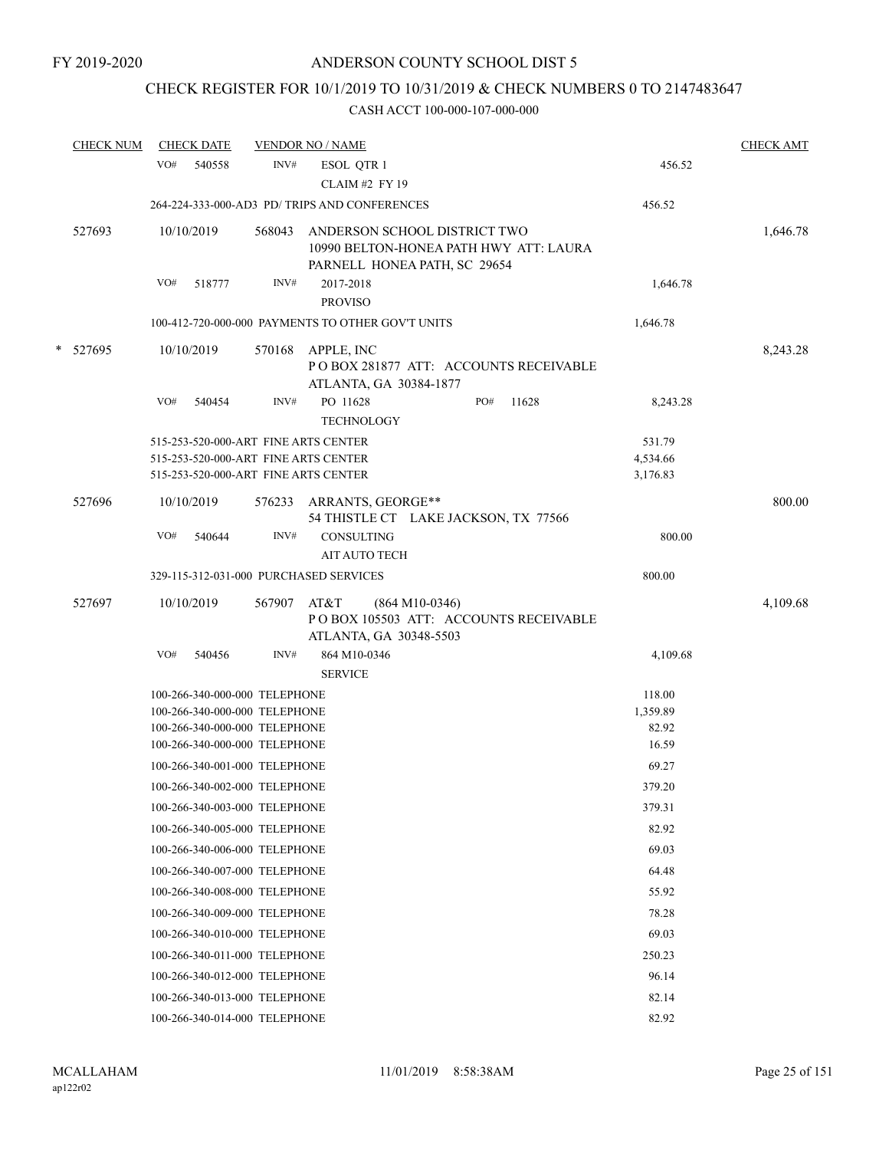# CHECK REGISTER FOR 10/1/2019 TO 10/31/2019 & CHECK NUMBERS 0 TO 2147483647

|   | <b>CHECK NUM</b> | <b>CHECK DATE</b>                                                                                                    |        | <b>VENDOR NO / NAME</b>                                                                                |     |       |                                | <b>CHECK AMT</b> |
|---|------------------|----------------------------------------------------------------------------------------------------------------------|--------|--------------------------------------------------------------------------------------------------------|-----|-------|--------------------------------|------------------|
|   |                  | VO#<br>540558                                                                                                        | INV#   | ESOL QTR 1<br><b>CLAIM #2 FY 19</b>                                                                    |     |       | 456.52                         |                  |
|   |                  |                                                                                                                      |        | 264-224-333-000-AD3 PD/ TRIPS AND CONFERENCES                                                          |     |       | 456.52                         |                  |
|   | 527693           | 10/10/2019                                                                                                           | 568043 | ANDERSON SCHOOL DISTRICT TWO<br>10990 BELTON-HONEA PATH HWY ATT: LAURA<br>PARNELL HONEA PATH, SC 29654 |     |       |                                | 1,646.78         |
|   |                  | VO#<br>518777                                                                                                        | INV#   | 2017-2018<br><b>PROVISO</b>                                                                            |     |       | 1,646.78                       |                  |
|   |                  |                                                                                                                      |        | 100-412-720-000-000 PAYMENTS TO OTHER GOV'T UNITS                                                      |     |       | 1,646.78                       |                  |
| * | 527695           | 10/10/2019                                                                                                           | 570168 | APPLE, INC<br>PO BOX 281877 ATT: ACCOUNTS RECEIVABLE<br>ATLANTA, GA 30384-1877                         |     |       |                                | 8,243.28         |
|   |                  | VO#<br>540454                                                                                                        | INV#   | PO 11628<br><b>TECHNOLOGY</b>                                                                          | PO# | 11628 | 8,243.28                       |                  |
|   |                  | 515-253-520-000-ART FINE ARTS CENTER<br>515-253-520-000-ART FINE ARTS CENTER<br>515-253-520-000-ART FINE ARTS CENTER |        |                                                                                                        |     |       | 531.79<br>4,534.66<br>3,176.83 |                  |
|   | 527696           | 10/10/2019                                                                                                           |        | 576233 ARRANTS, GEORGE**<br>54 THISTLE CT LAKE JACKSON, TX 77566                                       |     |       |                                | 800.00           |
|   |                  | VO#<br>540644                                                                                                        | INV#   | <b>CONSULTING</b><br><b>AIT AUTO TECH</b>                                                              |     |       | 800.00                         |                  |
|   |                  | 329-115-312-031-000 PURCHASED SERVICES                                                                               |        |                                                                                                        |     |       | 800.00                         |                  |
|   | 527697           | 10/10/2019                                                                                                           | 567907 | AT&T<br>$(864 M10-0346)$<br>POBOX 105503 ATT: ACCOUNTS RECEIVABLE<br>ATLANTA, GA 30348-5503            |     |       |                                | 4,109.68         |
|   |                  | VO#<br>540456                                                                                                        | INV#   | 864 M10-0346<br><b>SERVICE</b>                                                                         |     |       | 4,109.68                       |                  |
|   |                  | 100-266-340-000-000 TELEPHONE                                                                                        |        |                                                                                                        |     |       | 118.00                         |                  |
|   |                  | 100-266-340-000-000 TELEPHONE                                                                                        |        |                                                                                                        |     |       | 1,359.89                       |                  |
|   |                  | 100-266-340-000-000 TELEPHONE<br>100-266-340-000-000 TELEPHONE                                                       |        |                                                                                                        |     |       | 82.92<br>16.59                 |                  |
|   |                  | 100-266-340-001-000 TELEPHONE                                                                                        |        |                                                                                                        |     |       | 69.27                          |                  |
|   |                  | 100-266-340-002-000 TELEPHONE                                                                                        |        |                                                                                                        |     |       | 379.20                         |                  |
|   |                  | 100-266-340-003-000 TELEPHONE                                                                                        |        |                                                                                                        |     |       |                                |                  |
|   |                  | 100-266-340-005-000 TELEPHONE                                                                                        |        |                                                                                                        |     |       | 379.31<br>82.92                |                  |
|   |                  | 100-266-340-006-000 TELEPHONE                                                                                        |        |                                                                                                        |     |       |                                |                  |
|   |                  |                                                                                                                      |        |                                                                                                        |     |       | 69.03                          |                  |
|   |                  | 100-266-340-007-000 TELEPHONE                                                                                        |        |                                                                                                        |     |       | 64.48                          |                  |
|   |                  | 100-266-340-008-000 TELEPHONE                                                                                        |        |                                                                                                        |     |       | 55.92                          |                  |
|   |                  | 100-266-340-009-000 TELEPHONE                                                                                        |        |                                                                                                        |     |       | 78.28                          |                  |
|   |                  | 100-266-340-010-000 TELEPHONE                                                                                        |        |                                                                                                        |     |       | 69.03                          |                  |
|   |                  | 100-266-340-011-000 TELEPHONE                                                                                        |        |                                                                                                        |     |       | 250.23                         |                  |
|   |                  | 100-266-340-012-000 TELEPHONE                                                                                        |        |                                                                                                        |     |       | 96.14                          |                  |
|   |                  | 100-266-340-013-000 TELEPHONE                                                                                        |        |                                                                                                        |     |       | 82.14                          |                  |
|   |                  | 100-266-340-014-000 TELEPHONE                                                                                        |        |                                                                                                        |     |       | 82.92                          |                  |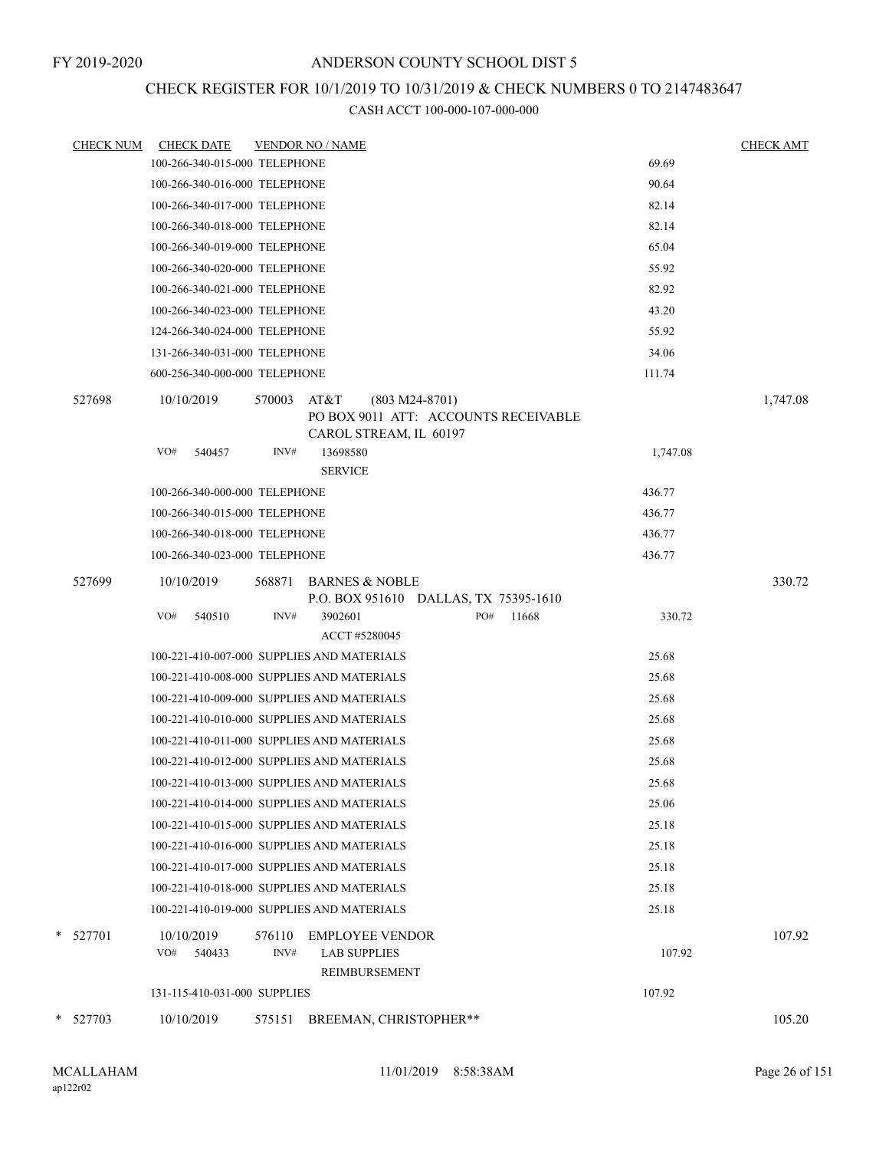## CHECK REGISTER FOR 10/1/2019 TO 10/31/2019 & CHECK NUMBERS 0 TO 2147483647

| <b>CHECK NUM</b> | <b>CHECK DATE</b>             | <b>VENDOR NO / NAME</b>                                                                              | <b>CHECK AMT</b> |
|------------------|-------------------------------|------------------------------------------------------------------------------------------------------|------------------|
|                  | 100-266-340-015-000 TELEPHONE | 69.69                                                                                                |                  |
|                  | 100-266-340-016-000 TELEPHONE | 90.64                                                                                                |                  |
|                  | 100-266-340-017-000 TELEPHONE | 82.14                                                                                                |                  |
|                  | 100-266-340-018-000 TELEPHONE | 82.14                                                                                                |                  |
|                  | 100-266-340-019-000 TELEPHONE | 65.04                                                                                                |                  |
|                  | 100-266-340-020-000 TELEPHONE | 55.92                                                                                                |                  |
|                  | 100-266-340-021-000 TELEPHONE | 82.92                                                                                                |                  |
|                  | 100-266-340-023-000 TELEPHONE | 43.20                                                                                                |                  |
|                  | 124-266-340-024-000 TELEPHONE | 55.92                                                                                                |                  |
|                  | 131-266-340-031-000 TELEPHONE | 34.06                                                                                                |                  |
|                  | 600-256-340-000-000 TELEPHONE | 111.74                                                                                               |                  |
| 527698           | 10/10/2019                    | 570003<br>AT&T<br>$(803 M24-8701)$<br>PO BOX 9011 ATT: ACCOUNTS RECEIVABLE<br>CAROL STREAM, IL 60197 | 1,747.08         |
|                  | VO#<br>540457                 | INV#<br>13698580<br>1,747.08<br><b>SERVICE</b>                                                       |                  |
|                  | 100-266-340-000-000 TELEPHONE | 436.77                                                                                               |                  |
|                  | 100-266-340-015-000 TELEPHONE | 436.77                                                                                               |                  |
|                  | 100-266-340-018-000 TELEPHONE | 436.77                                                                                               |                  |
|                  | 100-266-340-023-000 TELEPHONE | 436.77                                                                                               |                  |
| 527699           | 10/10/2019                    | <b>BARNES &amp; NOBLE</b><br>568871<br>P.O. BOX 951610 DALLAS, TX 75395-1610                         | 330.72           |
|                  | VO#<br>540510                 | INV#<br>3902601<br>PO#<br>11668<br>330.72<br>ACCT #5280045                                           |                  |
|                  |                               | 100-221-410-007-000 SUPPLIES AND MATERIALS<br>25.68                                                  |                  |
|                  |                               | 100-221-410-008-000 SUPPLIES AND MATERIALS<br>25.68                                                  |                  |
|                  |                               | 100-221-410-009-000 SUPPLIES AND MATERIALS<br>25.68                                                  |                  |
|                  |                               | 100-221-410-010-000 SUPPLIES AND MATERIALS<br>25.68                                                  |                  |
|                  |                               | 100-221-410-011-000 SUPPLIES AND MATERIALS<br>25.68                                                  |                  |
|                  |                               | 100-221-410-012-000 SUPPLIES AND MATERIALS<br>25.68                                                  |                  |
|                  |                               | 100-221-410-013-000 SUPPLIES AND MATERIALS<br>25.68                                                  |                  |
|                  |                               | 25.06<br>100-221-410-014-000 SUPPLIES AND MATERIALS                                                  |                  |
|                  |                               | 25.18<br>100-221-410-015-000 SUPPLIES AND MATERIALS                                                  |                  |
|                  |                               | 100-221-410-016-000 SUPPLIES AND MATERIALS<br>25.18                                                  |                  |
|                  |                               | 100-221-410-017-000 SUPPLIES AND MATERIALS<br>25.18                                                  |                  |
|                  |                               | 100-221-410-018-000 SUPPLIES AND MATERIALS<br>25.18                                                  |                  |
|                  |                               | 100-221-410-019-000 SUPPLIES AND MATERIALS<br>25.18                                                  |                  |
|                  |                               |                                                                                                      |                  |
| * 527701         | 10/10/2019<br>VO#<br>540433   | 576110<br><b>EMPLOYEE VENDOR</b><br>INV#<br><b>LAB SUPPLIES</b><br>107.92                            | 107.92           |
|                  |                               | REIMBURSEMENT                                                                                        |                  |
|                  | 131-115-410-031-000 SUPPLIES  | 107.92                                                                                               |                  |
|                  |                               |                                                                                                      |                  |
| * 527703         | 10/10/2019                    | 575151<br>BREEMAN, CHRISTOPHER**                                                                     | 105.20           |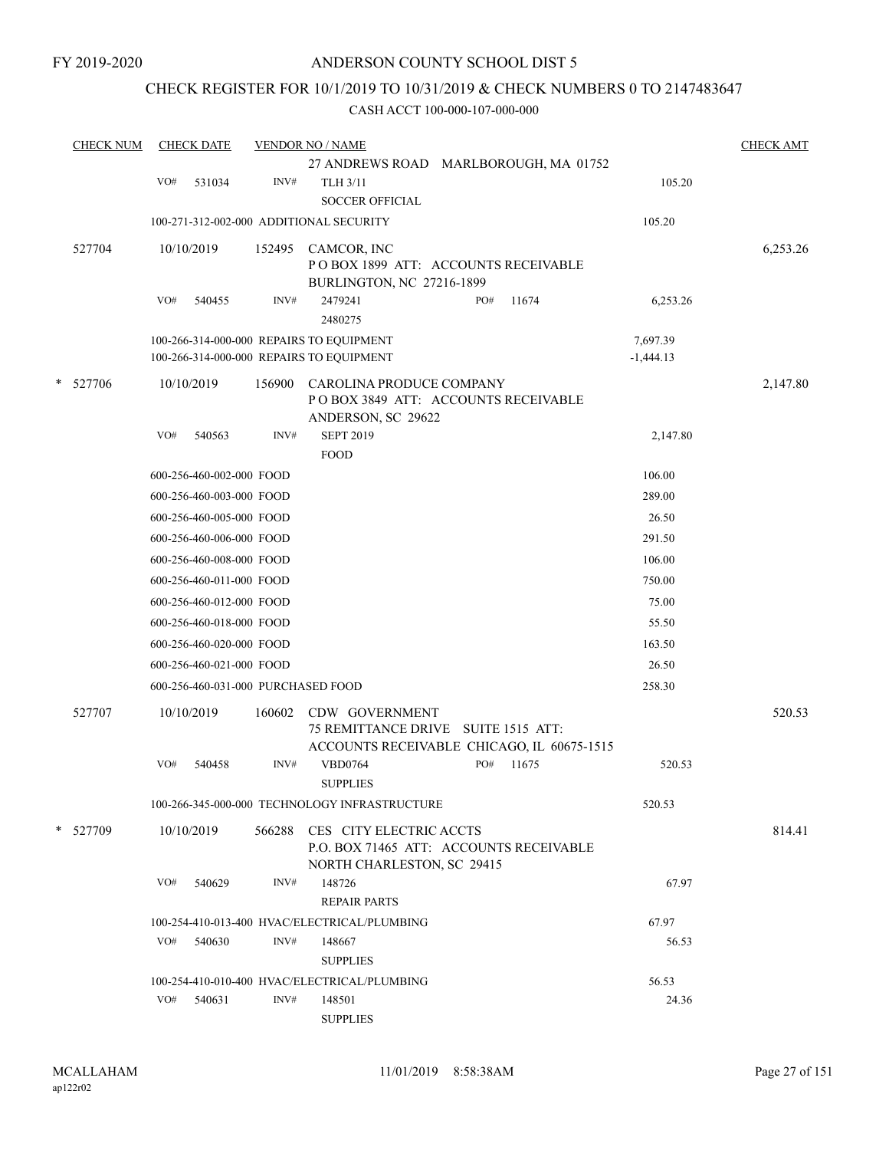## CHECK REGISTER FOR 10/1/2019 TO 10/31/2019 & CHECK NUMBERS 0 TO 2147483647

|   | <b>CHECK NUM</b> |     | <b>CHECK DATE</b>                                    |        | <b>VENDOR NO / NAME</b>                                               |                  | <b>CHECK AMT</b> |
|---|------------------|-----|------------------------------------------------------|--------|-----------------------------------------------------------------------|------------------|------------------|
|   |                  |     |                                                      |        | 27 ANDREWS ROAD MARLBOROUGH, MA 01752                                 |                  |                  |
|   |                  | VO# | 531034                                               | INV#   | TLH 3/11<br><b>SOCCER OFFICIAL</b>                                    | 105.20           |                  |
|   |                  |     |                                                      |        | 100-271-312-002-000 ADDITIONAL SECURITY                               | 105.20           |                  |
|   | 527704           |     | 10/10/2019                                           | 152495 | CAMCOR, INC                                                           |                  | 6,253.26         |
|   |                  |     |                                                      |        | POBOX 1899 ATT: ACCOUNTS RECEIVABLE                                   |                  |                  |
|   |                  |     |                                                      |        | BURLINGTON, NC 27216-1899                                             |                  |                  |
|   |                  | VO# | 540455                                               | INV#   | 2479241<br>PO#<br>11674<br>2480275                                    | 6,253.26         |                  |
|   |                  |     |                                                      |        | 100-266-314-000-000 REPAIRS TO EQUIPMENT                              | 7,697.39         |                  |
|   |                  |     |                                                      |        | 100-266-314-000-000 REPAIRS TO EQUIPMENT                              | $-1,444.13$      |                  |
| * | 527706           |     | 10/10/2019                                           | 156900 | CAROLINA PRODUCE COMPANY                                              |                  | 2,147.80         |
|   |                  |     |                                                      |        | POBOX 3849 ATT: ACCOUNTS RECEIVABLE                                   |                  |                  |
|   |                  |     |                                                      |        | ANDERSON, SC 29622                                                    |                  |                  |
|   |                  | VO# | 540563                                               | INV#   | <b>SEPT 2019</b>                                                      | 2,147.80         |                  |
|   |                  |     |                                                      |        | <b>FOOD</b>                                                           | 106.00           |                  |
|   |                  |     | 600-256-460-002-000 FOOD<br>600-256-460-003-000 FOOD |        |                                                                       |                  |                  |
|   |                  |     |                                                      |        |                                                                       | 289.00<br>26.50  |                  |
|   |                  |     | 600-256-460-005-000 FOOD                             |        |                                                                       |                  |                  |
|   |                  |     | 600-256-460-006-000 FOOD<br>600-256-460-008-000 FOOD |        |                                                                       | 291.50<br>106.00 |                  |
|   |                  |     |                                                      |        |                                                                       | 750.00           |                  |
|   |                  |     | 600-256-460-011-000 FOOD                             |        |                                                                       | 75.00            |                  |
|   |                  |     | 600-256-460-012-000 FOOD                             |        |                                                                       | 55.50            |                  |
|   |                  |     | 600-256-460-018-000 FOOD                             |        |                                                                       |                  |                  |
|   |                  |     | 600-256-460-020-000 FOOD                             |        |                                                                       | 163.50           |                  |
|   |                  |     | 600-256-460-021-000 FOOD                             |        |                                                                       | 26.50<br>258.30  |                  |
|   |                  |     | 600-256-460-031-000 PURCHASED FOOD                   |        |                                                                       |                  |                  |
|   | 527707           |     | 10/10/2019                                           | 160602 | CDW GOVERNMENT<br>75 REMITTANCE DRIVE SUITE 1515 ATT:                 |                  | 520.53           |
|   |                  |     |                                                      |        | ACCOUNTS RECEIVABLE CHICAGO, IL 60675-1515                            |                  |                  |
|   |                  | VO# | 540458                                               | INV#   | PO#<br><b>VBD0764</b><br>11675                                        | 520.53           |                  |
|   |                  |     |                                                      |        | <b>SUPPLIES</b>                                                       |                  |                  |
|   |                  |     |                                                      |        | 100-266-345-000-000 TECHNOLOGY INFRASTRUCTURE                         | 520.53           |                  |
|   | * 527709         |     | 10/10/2019                                           |        | 566288 CES CITY ELECTRIC ACCTS                                        |                  | 814.41           |
|   |                  |     |                                                      |        | P.O. BOX 71465 ATT: ACCOUNTS RECEIVABLE<br>NORTH CHARLESTON, SC 29415 |                  |                  |
|   |                  | VO# | 540629                                               | INV#   | 148726                                                                | 67.97            |                  |
|   |                  |     |                                                      |        | <b>REPAIR PARTS</b>                                                   |                  |                  |
|   |                  |     |                                                      |        | 100-254-410-013-400 HVAC/ELECTRICAL/PLUMBING                          | 67.97            |                  |
|   |                  | VO# | 540630                                               | INV#   | 148667                                                                | 56.53            |                  |
|   |                  |     |                                                      |        | <b>SUPPLIES</b>                                                       |                  |                  |
|   |                  |     |                                                      |        | 100-254-410-010-400 HVAC/ELECTRICAL/PLUMBING                          | 56.53            |                  |
|   |                  | VO# | 540631                                               | INV#   | 148501                                                                | 24.36            |                  |
|   |                  |     |                                                      |        | <b>SUPPLIES</b>                                                       |                  |                  |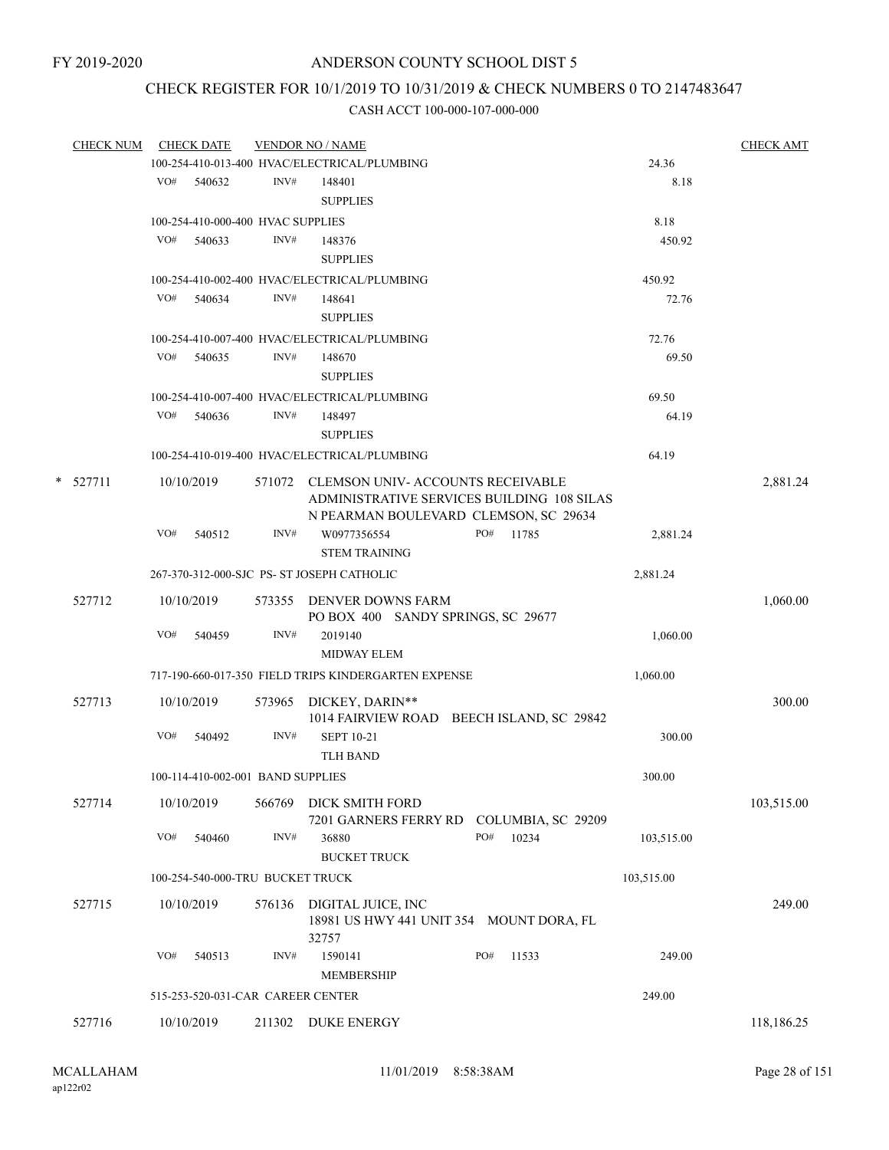# CHECK REGISTER FOR 10/1/2019 TO 10/31/2019 & CHECK NUMBERS 0 TO 2147483647

| <b>CHECK NUM</b> |     | <b>CHECK DATE</b>                 |        | <b>VENDOR NO / NAME</b>                                                               |           |                    |            | <b>CHECK AMT</b> |
|------------------|-----|-----------------------------------|--------|---------------------------------------------------------------------------------------|-----------|--------------------|------------|------------------|
|                  |     |                                   |        | 100-254-410-013-400 HVAC/ELECTRICAL/PLUMBING                                          |           |                    | 24.36      |                  |
|                  |     | VO# 540632                        | INV#   | 148401                                                                                |           |                    | 8.18       |                  |
|                  |     |                                   |        | <b>SUPPLIES</b>                                                                       |           |                    |            |                  |
|                  |     | 100-254-410-000-400 HVAC SUPPLIES |        |                                                                                       |           |                    | 8.18       |                  |
|                  |     | VO# 540633                        | INV#   | 148376                                                                                |           |                    | 450.92     |                  |
|                  |     |                                   |        | <b>SUPPLIES</b>                                                                       |           |                    |            |                  |
|                  |     |                                   |        | 100-254-410-002-400 HVAC/ELECTRICAL/PLUMBING                                          |           |                    | 450.92     |                  |
|                  | VO# | 540634                            | INV#   | 148641                                                                                |           |                    | 72.76      |                  |
|                  |     |                                   |        | <b>SUPPLIES</b>                                                                       |           |                    |            |                  |
|                  |     |                                   |        | 100-254-410-007-400 HVAC/ELECTRICAL/PLUMBING                                          |           |                    | 72.76      |                  |
|                  | VO# | 540635                            | INV#   | 148670                                                                                |           |                    | 69.50      |                  |
|                  |     |                                   |        | <b>SUPPLIES</b>                                                                       |           |                    |            |                  |
|                  |     |                                   |        | 100-254-410-007-400 HVAC/ELECTRICAL/PLUMBING                                          |           |                    | 69.50      |                  |
|                  | VO# | 540636                            | INV#   | 148497                                                                                |           |                    | 64.19      |                  |
|                  |     |                                   |        | <b>SUPPLIES</b>                                                                       |           |                    |            |                  |
|                  |     |                                   |        | 100-254-410-019-400 HVAC/ELECTRICAL/PLUMBING                                          |           |                    | 64.19      |                  |
|                  |     |                                   |        |                                                                                       |           |                    |            |                  |
| $*$ 527711       |     | 10/10/2019                        |        | 571072 CLEMSON UNIV-ACCOUNTS RECEIVABLE<br>ADMINISTRATIVE SERVICES BUILDING 108 SILAS |           |                    |            | 2,881.24         |
|                  |     |                                   |        | N PEARMAN BOULEVARD CLEMSON, SC 29634                                                 |           |                    |            |                  |
|                  | VO# | 540512                            | INV#   | W0977356554                                                                           | PO# 11785 |                    | 2,881.24   |                  |
|                  |     |                                   |        | <b>STEM TRAINING</b>                                                                  |           |                    |            |                  |
|                  |     |                                   |        | 267-370-312-000-SJC PS- ST JOSEPH CATHOLIC                                            |           |                    | 2,881.24   |                  |
|                  |     |                                   |        |                                                                                       |           |                    |            |                  |
| 527712           |     | 10/10/2019                        |        | 573355 DENVER DOWNS FARM                                                              |           |                    |            | 1,060.00         |
|                  |     |                                   |        | PO BOX 400 SANDY SPRINGS, SC 29677                                                    |           |                    |            |                  |
|                  | VO# | 540459                            | INV#   | 2019140<br><b>MIDWAY ELEM</b>                                                         |           |                    | 1,060.00   |                  |
|                  |     |                                   |        |                                                                                       |           |                    |            |                  |
|                  |     |                                   |        | 717-190-660-017-350 FIELD TRIPS KINDERGARTEN EXPENSE                                  |           |                    | 1,060.00   |                  |
| 527713           |     | 10/10/2019                        |        | 573965 DICKEY, DARIN**                                                                |           |                    |            | 300.00           |
|                  |     |                                   |        | 1014 FAIRVIEW ROAD BEECH ISLAND, SC 29842                                             |           |                    |            |                  |
|                  | VO# | 540492                            | INV#   | <b>SEPT 10-21</b>                                                                     |           |                    | 300.00     |                  |
|                  |     |                                   |        | <b>TLH BAND</b>                                                                       |           |                    |            |                  |
|                  |     | 100-114-410-002-001 BAND SUPPLIES |        |                                                                                       |           |                    | 300.00     |                  |
| 527714           |     | 10/10/2019                        | 566769 | DICK SMITH FORD                                                                       |           |                    |            | 103,515.00       |
|                  |     |                                   |        | 7201 GARNERS FERRY RD                                                                 |           | COLUMBIA, SC 29209 |            |                  |
|                  | VO# | 540460                            | INV#   | 36880                                                                                 | PO#       | 10234              | 103,515.00 |                  |
|                  |     |                                   |        | <b>BUCKET TRUCK</b>                                                                   |           |                    |            |                  |
|                  |     | 100-254-540-000-TRU BUCKET TRUCK  |        |                                                                                       |           |                    | 103,515.00 |                  |
| 527715           |     | 10/10/2019                        | 576136 |                                                                                       |           |                    |            | 249.00           |
|                  |     |                                   |        | DIGITAL JUICE, INC<br>18981 US HWY 441 UNIT 354 MOUNT DORA, FL                        |           |                    |            |                  |
|                  |     |                                   |        | 32757                                                                                 |           |                    |            |                  |
|                  | VO# | 540513                            | INV#   | 1590141                                                                               | PO#       | 11533              | 249.00     |                  |
|                  |     |                                   |        | <b>MEMBERSHIP</b>                                                                     |           |                    |            |                  |
|                  |     | 515-253-520-031-CAR CAREER CENTER |        |                                                                                       |           |                    | 249.00     |                  |
|                  |     |                                   |        |                                                                                       |           |                    |            |                  |
| 527716           |     | 10/10/2019                        | 211302 | <b>DUKE ENERGY</b>                                                                    |           |                    |            | 118,186.25       |
|                  |     |                                   |        |                                                                                       |           |                    |            |                  |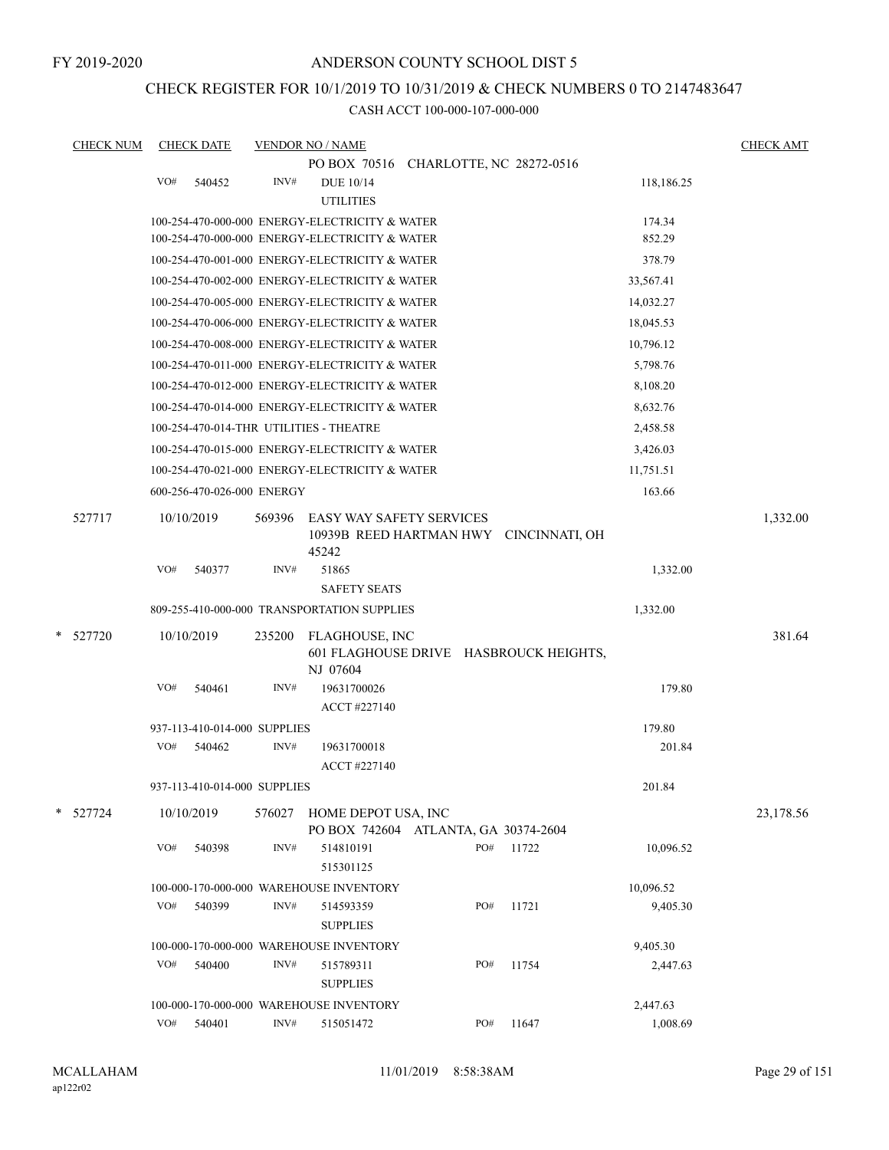## CHECK REGISTER FOR 10/1/2019 TO 10/31/2019 & CHECK NUMBERS 0 TO 2147483647

| <b>CHECK NUM</b> |     | <b>CHECK DATE</b>            |        | <b>VENDOR NO / NAME</b>                                     |     |                                        |            | <b>CHECK AMT</b> |
|------------------|-----|------------------------------|--------|-------------------------------------------------------------|-----|----------------------------------------|------------|------------------|
|                  |     |                              |        | PO BOX 70516 CHARLOTTE, NC 28272-0516                       |     |                                        |            |                  |
|                  | VO# | 540452                       | INV#   | <b>DUE 10/14</b>                                            |     |                                        | 118,186.25 |                  |
|                  |     |                              |        | <b>UTILITIES</b>                                            |     |                                        |            |                  |
|                  |     |                              |        | 100-254-470-000-000 ENERGY-ELECTRICITY & WATER              |     |                                        | 174.34     |                  |
|                  |     |                              |        | 100-254-470-000-000 ENERGY-ELECTRICITY & WATER              |     |                                        | 852.29     |                  |
|                  |     |                              |        | 100-254-470-001-000 ENERGY-ELECTRICITY & WATER              |     |                                        | 378.79     |                  |
|                  |     |                              |        | 100-254-470-002-000 ENERGY-ELECTRICITY & WATER              |     |                                        | 33,567.41  |                  |
|                  |     |                              |        | 100-254-470-005-000 ENERGY-ELECTRICITY & WATER              |     |                                        | 14,032.27  |                  |
|                  |     |                              |        | 100-254-470-006-000 ENERGY-ELECTRICITY & WATER              |     |                                        | 18,045.53  |                  |
|                  |     |                              |        | 100-254-470-008-000 ENERGY-ELECTRICITY & WATER              |     |                                        | 10,796.12  |                  |
|                  |     |                              |        | 100-254-470-011-000 ENERGY-ELECTRICITY & WATER              |     |                                        | 5,798.76   |                  |
|                  |     |                              |        | 100-254-470-012-000 ENERGY-ELECTRICITY & WATER              |     |                                        | 8,108.20   |                  |
|                  |     |                              |        | 100-254-470-014-000 ENERGY-ELECTRICITY & WATER              |     |                                        | 8,632.76   |                  |
|                  |     |                              |        | 100-254-470-014-THR UTILITIES - THEATRE                     |     |                                        | 2,458.58   |                  |
|                  |     |                              |        | 100-254-470-015-000 ENERGY-ELECTRICITY & WATER              |     |                                        | 3,426.03   |                  |
|                  |     |                              |        | 100-254-470-021-000 ENERGY-ELECTRICITY & WATER              |     |                                        | 11,751.51  |                  |
|                  |     | 600-256-470-026-000 ENERGY   |        |                                                             |     |                                        | 163.66     |                  |
| 527717           |     | 10/10/2019                   | 569396 | <b>EASY WAY SAFETY SERVICES</b><br>45242                    |     | 10939B REED HARTMAN HWY CINCINNATI, OH |            | 1,332.00         |
|                  | VO# | 540377                       | INV#   | 51865<br><b>SAFETY SEATS</b>                                |     |                                        | 1,332.00   |                  |
|                  |     |                              |        | 809-255-410-000-000 TRANSPORTATION SUPPLIES                 |     |                                        | 1,332.00   |                  |
|                  |     |                              |        |                                                             |     |                                        |            |                  |
| * 527720         |     | 10/10/2019                   | 235200 | FLAGHOUSE, INC<br>NJ 07604                                  |     | 601 FLAGHOUSE DRIVE HASBROUCK HEIGHTS, |            | 381.64           |
|                  | VO# | 540461                       | INV#   | 19631700026<br>ACCT #227140                                 |     |                                        | 179.80     |                  |
|                  |     | 937-113-410-014-000 SUPPLIES |        |                                                             |     |                                        | 179.80     |                  |
|                  | VO# | 540462                       | INV#   | 19631700018<br>ACCT #227140                                 |     |                                        | 201.84     |                  |
|                  |     | 937-113-410-014-000 SUPPLIES |        |                                                             |     |                                        | 201.84     |                  |
| * 527724         |     | 10/10/2019                   | 576027 | HOME DEPOT USA, INC<br>PO BOX 742604 ATLANTA, GA 30374-2604 |     |                                        |            | 23,178.56        |
|                  | VO# | 540398                       | INV#   | 514810191<br>515301125                                      | PO# | 11722                                  | 10,096.52  |                  |
|                  |     |                              |        | 100-000-170-000-000 WAREHOUSE INVENTORY                     |     |                                        | 10,096.52  |                  |
|                  | VO# | 540399                       | INV#   | 514593359<br><b>SUPPLIES</b>                                | PO# | 11721                                  | 9,405.30   |                  |
|                  |     |                              |        | 100-000-170-000-000 WAREHOUSE INVENTORY                     |     |                                        | 9,405.30   |                  |
|                  | VO# | 540400                       | INV#   | 515789311<br><b>SUPPLIES</b>                                | PO# | 11754                                  | 2,447.63   |                  |
|                  |     |                              |        | 100-000-170-000-000 WAREHOUSE INVENTORY                     |     |                                        | 2,447.63   |                  |
|                  | VO# | 540401                       | INV#   | 515051472                                                   | PO# | 11647                                  | 1,008.69   |                  |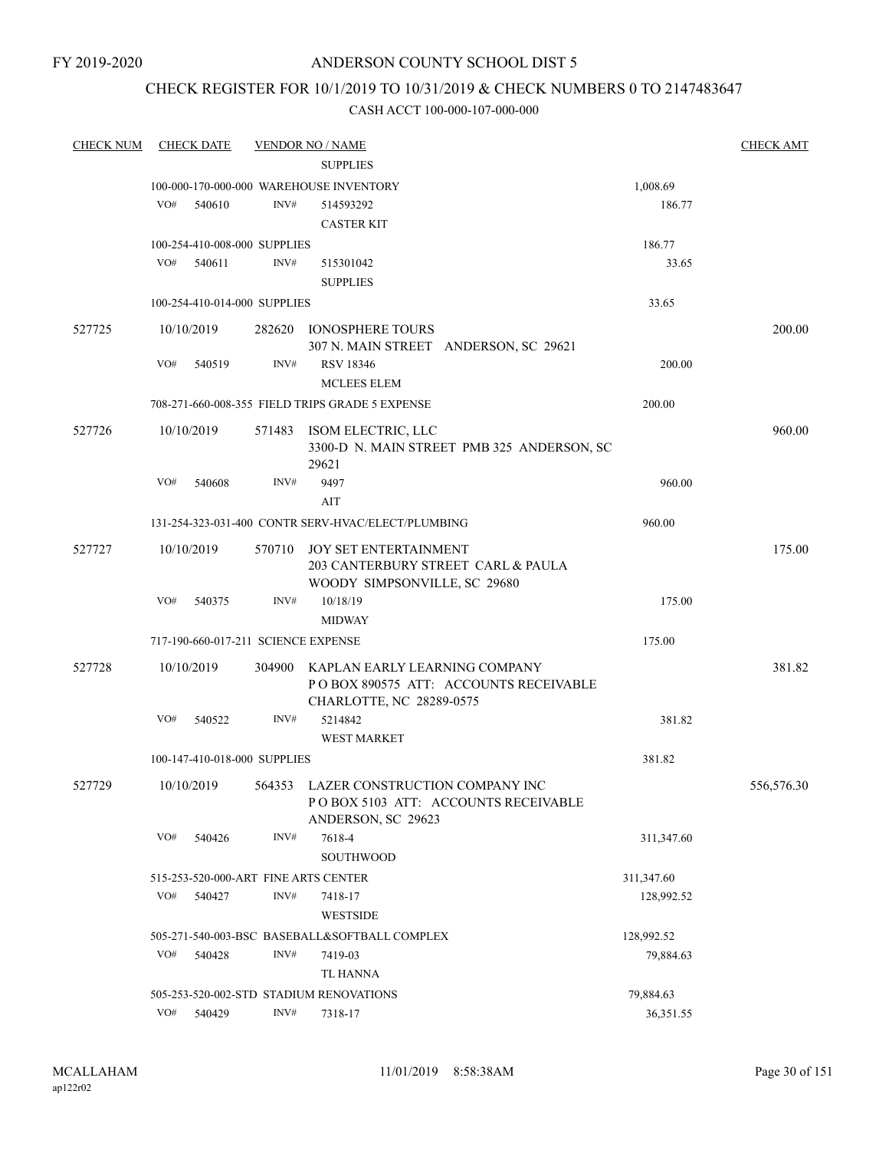## CHECK REGISTER FOR 10/1/2019 TO 10/31/2019 & CHECK NUMBERS 0 TO 2147483647

| <b>CHECK NUM</b> |     | <b>CHECK DATE</b> |                                     | <b>VENDOR NO / NAME</b>                            |            | <b>CHECK AMT</b> |
|------------------|-----|-------------------|-------------------------------------|----------------------------------------------------|------------|------------------|
|                  |     |                   |                                     | <b>SUPPLIES</b>                                    |            |                  |
|                  |     |                   |                                     | 100-000-170-000-000 WAREHOUSE INVENTORY            | 1,008.69   |                  |
|                  | VO# | 540610            | INV#                                | 514593292                                          | 186.77     |                  |
|                  |     |                   |                                     | <b>CASTER KIT</b>                                  |            |                  |
|                  |     |                   | 100-254-410-008-000 SUPPLIES        |                                                    | 186.77     |                  |
|                  | VO# | 540611            | INV#                                | 515301042                                          | 33.65      |                  |
|                  |     |                   |                                     | <b>SUPPLIES</b>                                    |            |                  |
|                  |     |                   | 100-254-410-014-000 SUPPLIES        |                                                    | 33.65      |                  |
| 527725           |     | 10/10/2019        |                                     | 282620 IONOSPHERE TOURS                            |            | 200.00           |
|                  |     |                   |                                     | 307 N. MAIN STREET ANDERSON, SC 29621              |            |                  |
|                  | VO# | 540519            | INV#                                | <b>RSV 18346</b>                                   | 200.00     |                  |
|                  |     |                   |                                     | <b>MCLEES ELEM</b>                                 |            |                  |
|                  |     |                   |                                     | 708-271-660-008-355 FIELD TRIPS GRADE 5 EXPENSE    | 200.00     |                  |
| 527726           |     | 10/10/2019        |                                     | 571483 ISOM ELECTRIC, LLC                          |            | 960.00           |
|                  |     |                   |                                     | 3300-D N. MAIN STREET PMB 325 ANDERSON, SC         |            |                  |
|                  |     |                   |                                     | 29621                                              |            |                  |
|                  | VO# | 540608            | INV#                                | 9497                                               | 960.00     |                  |
|                  |     |                   |                                     | AIT                                                |            |                  |
|                  |     |                   |                                     | 131-254-323-031-400 CONTR SERV-HVAC/ELECT/PLUMBING | 960.00     |                  |
| 527727           |     | 10/10/2019        | 570710                              | JOY SET ENTERTAINMENT                              |            | 175.00           |
|                  |     |                   |                                     | 203 CANTERBURY STREET CARL & PAULA                 |            |                  |
|                  |     |                   |                                     | WOODY SIMPSONVILLE, SC 29680                       |            |                  |
|                  | VO# | 540375            | INV#                                | 10/18/19                                           | 175.00     |                  |
|                  |     |                   |                                     | <b>MIDWAY</b>                                      |            |                  |
|                  |     |                   | 717-190-660-017-211 SCIENCE EXPENSE |                                                    | 175.00     |                  |
| 527728           |     | 10/10/2019        | 304900                              | KAPLAN EARLY LEARNING COMPANY                      |            | 381.82           |
|                  |     |                   |                                     | POBOX 890575 ATT: ACCOUNTS RECEIVABLE              |            |                  |
|                  |     |                   |                                     | CHARLOTTE, NC 28289-0575                           |            |                  |
|                  | VO# | 540522            | INV#                                | 5214842                                            | 381.82     |                  |
|                  |     |                   |                                     | <b>WEST MARKET</b>                                 |            |                  |
|                  |     |                   | 100-147-410-018-000 SUPPLIES        |                                                    | 381.82     |                  |
| 527729           |     | 10/10/2019        |                                     | 564353 LAZER CONSTRUCTION COMPANY INC              |            | 556,576.30       |
|                  |     |                   |                                     | POBOX 5103 ATT: ACCOUNTS RECEIVABLE                |            |                  |
|                  |     |                   |                                     | ANDERSON, SC 29623                                 |            |                  |
|                  | VO# | 540426            | INV#                                | 7618-4                                             | 311,347.60 |                  |
|                  |     |                   |                                     | SOUTHWOOD                                          |            |                  |
|                  |     |                   |                                     | 515-253-520-000-ART FINE ARTS CENTER               | 311,347.60 |                  |
|                  | VO# | 540427            | INV#                                | 7418-17                                            | 128,992.52 |                  |
|                  |     |                   |                                     | <b>WESTSIDE</b>                                    |            |                  |
|                  |     |                   |                                     | 505-271-540-003-BSC BASEBALL&SOFTBALL COMPLEX      | 128,992.52 |                  |
|                  | VO# | 540428            | INV#                                | 7419-03                                            | 79,884.63  |                  |
|                  |     |                   |                                     | TL HANNA                                           |            |                  |
|                  |     |                   |                                     | 505-253-520-002-STD STADIUM RENOVATIONS            | 79,884.63  |                  |
|                  | VO# | 540429            | INV#                                | 7318-17                                            | 36,351.55  |                  |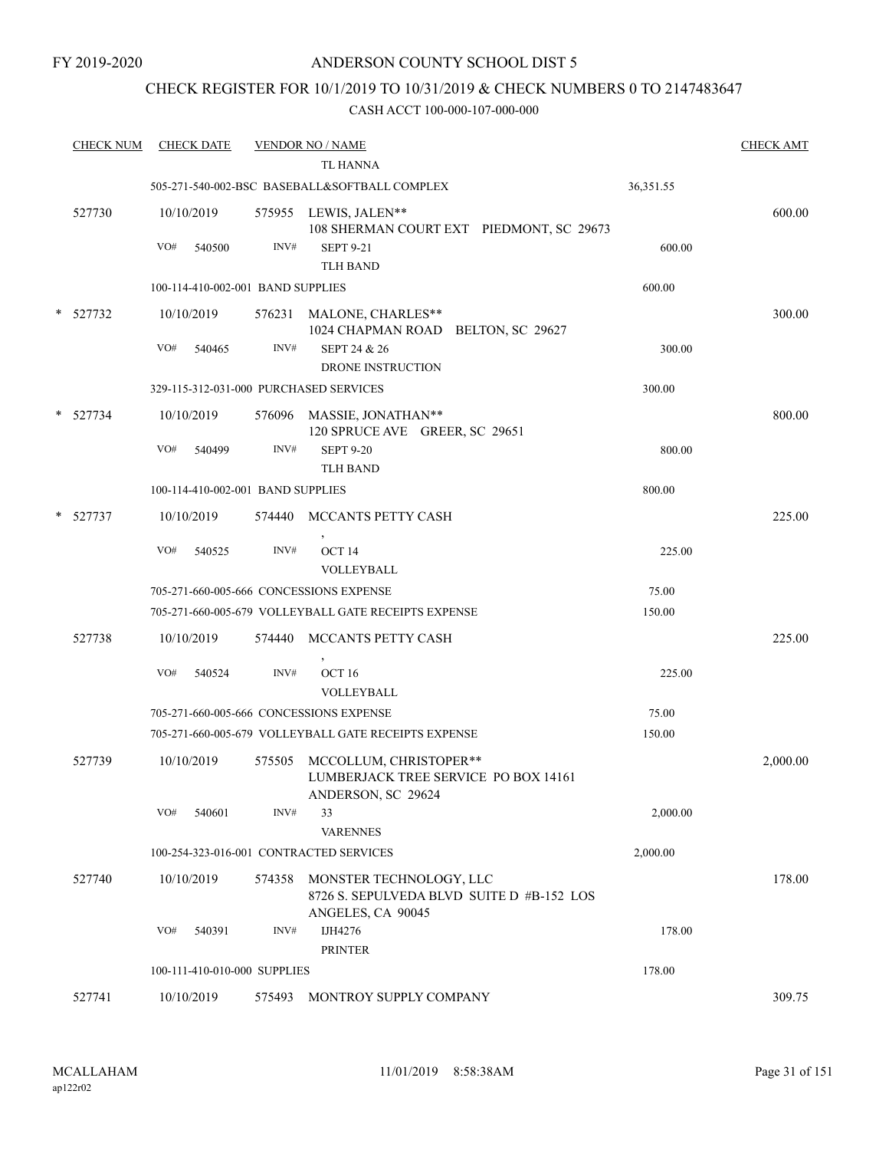## CHECK REGISTER FOR 10/1/2019 TO 10/31/2019 & CHECK NUMBERS 0 TO 2147483647

| <b>CHECK NUM</b> | <b>CHECK DATE</b>                       |        | <b>VENDOR NO / NAME</b><br><b>TL HANNA</b>                                           |           | <b>CHECK AMT</b> |
|------------------|-----------------------------------------|--------|--------------------------------------------------------------------------------------|-----------|------------------|
|                  |                                         |        | 505-271-540-002-BSC BASEBALL&SOFTBALL COMPLEX                                        | 36,351.55 |                  |
| 527730           | 10/10/2019                              |        | 575955 LEWIS, JALEN**<br>108 SHERMAN COURT EXT PIEDMONT, SC 29673                    |           | 600.00           |
|                  | VO#<br>540500                           | INV#   | <b>SEPT 9-21</b><br>TLH BAND                                                         | 600.00    |                  |
|                  | 100-114-410-002-001 BAND SUPPLIES       |        |                                                                                      | 600.00    |                  |
| * 527732         | 10/10/2019                              |        | 576231 MALONE, CHARLES**                                                             |           | 300.00           |
|                  | VO#<br>540465                           | INV#   | 1024 CHAPMAN ROAD BELTON, SC 29627<br>SEPT 24 & 26                                   | 300.00    |                  |
|                  |                                         |        | DRONE INSTRUCTION                                                                    |           |                  |
|                  | 329-115-312-031-000 PURCHASED SERVICES  |        |                                                                                      | 300.00    |                  |
| $*$ 527734       | 10/10/2019                              |        | 576096 MASSIE, JONATHAN**<br>120 SPRUCE AVE GREER, SC 29651                          |           | 800.00           |
|                  | VO#<br>540499                           | INV#   | <b>SEPT 9-20</b><br><b>TLH BAND</b>                                                  | 800.00    |                  |
|                  | 100-114-410-002-001 BAND SUPPLIES       |        |                                                                                      | 800.00    |                  |
| $*$ 527737       | 10/10/2019                              |        | 574440 MCCANTS PETTY CASH                                                            |           | 225.00           |
|                  | VO#<br>540525                           | INV#   | OCT <sub>14</sub><br>VOLLEYBALL                                                      | 225.00    |                  |
|                  | 705-271-660-005-666 CONCESSIONS EXPENSE |        |                                                                                      | 75.00     |                  |
|                  |                                         |        | 705-271-660-005-679 VOLLEYBALL GATE RECEIPTS EXPENSE                                 | 150.00    |                  |
| 527738           | 10/10/2019                              | 574440 | MCCANTS PETTY CASH                                                                   |           | 225.00           |
|                  | VO#<br>540524                           | INV#   | OCT <sub>16</sub><br>VOLLEYBALL                                                      | 225.00    |                  |
|                  | 705-271-660-005-666 CONCESSIONS EXPENSE |        |                                                                                      | 75.00     |                  |
|                  |                                         |        | 705-271-660-005-679 VOLLEYBALL GATE RECEIPTS EXPENSE                                 | 150.00    |                  |
| 527739           | 10/10/2019                              | 575505 | MCCOLLUM, CHRISTOPER**<br>LUMBERJACK TREE SERVICE PO BOX 14161<br>ANDERSON, SC 29624 |           | 2,000.00         |
|                  | VO#<br>540601                           | INV#   | 33<br><b>VARENNES</b>                                                                | 2,000.00  |                  |
|                  | 100-254-323-016-001 CONTRACTED SERVICES |        |                                                                                      | 2,000.00  |                  |
| 527740           | 10/10/2019                              | 574358 | MONSTER TECHNOLOGY, LLC<br>8726 S. SEPULVEDA BLVD SUITE D #B-152 LOS                 |           | 178.00           |
|                  | VO#<br>540391                           | INV#   | ANGELES, CA 90045<br>IJH4276<br><b>PRINTER</b>                                       | 178.00    |                  |
|                  | 100-111-410-010-000 SUPPLIES            |        |                                                                                      | 178.00    |                  |
| 527741           | 10/10/2019                              | 575493 | MONTROY SUPPLY COMPANY                                                               |           | 309.75           |
|                  |                                         |        |                                                                                      |           |                  |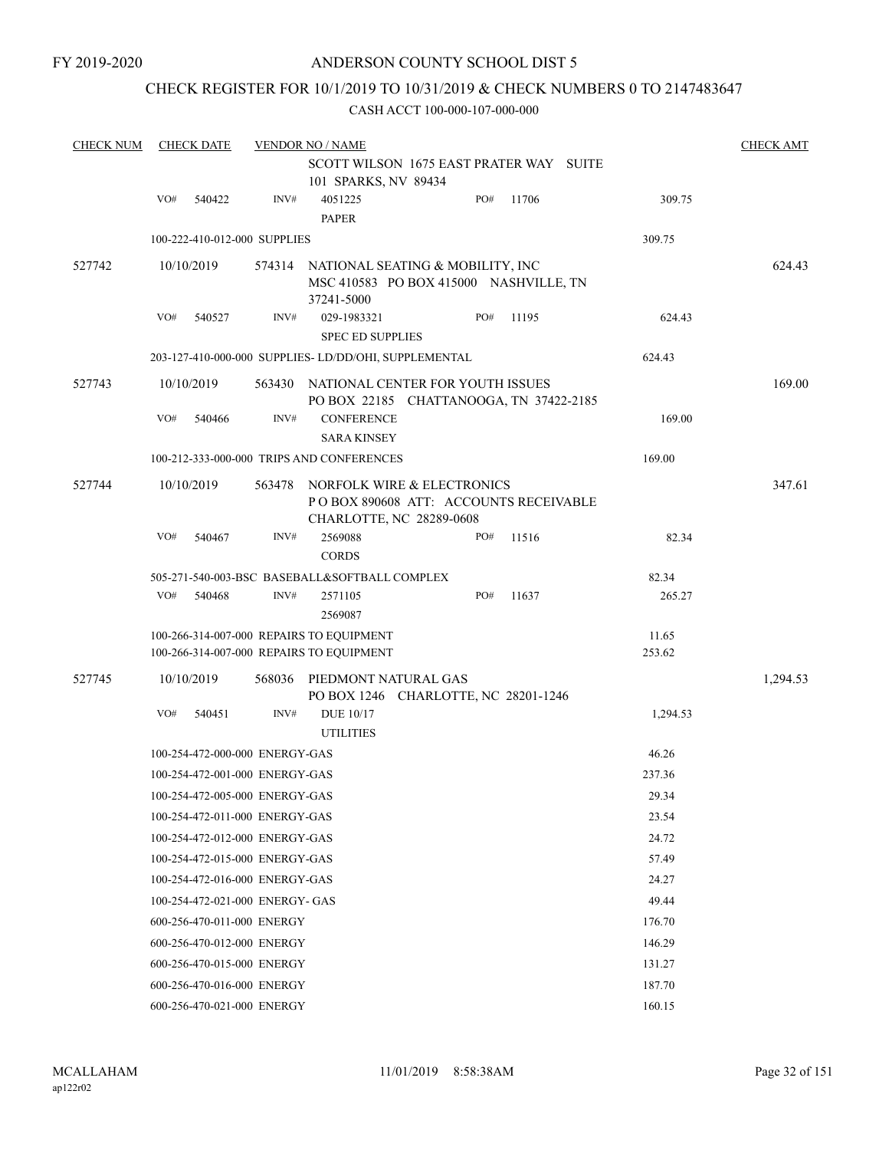## CHECK REGISTER FOR 10/1/2019 TO 10/31/2019 & CHECK NUMBERS 0 TO 2147483647

| <b>CHECK NUM</b> |     | <b>CHECK DATE</b> |                                 | <b>VENDOR NO / NAME</b>                                                                          |     |       |                 | <b>CHECK AMT</b> |
|------------------|-----|-------------------|---------------------------------|--------------------------------------------------------------------------------------------------|-----|-------|-----------------|------------------|
|                  |     |                   |                                 | SCOTT WILSON 1675 EAST PRATER WAY SUITE<br>101 SPARKS, NV 89434                                  |     |       |                 |                  |
|                  | VO# | 540422            | INV#                            | 4051225<br><b>PAPER</b>                                                                          | PO# | 11706 | 309.75          |                  |
|                  |     |                   | 100-222-410-012-000 SUPPLIES    |                                                                                                  |     |       | 309.75          |                  |
| 527742           |     | 10/10/2019        | 574314                          | NATIONAL SEATING & MOBILITY, INC<br>MSC 410583 PO BOX 415000 NASHVILLE, TN<br>37241-5000         |     |       |                 | 624.43           |
|                  | VO# | 540527            | INV#                            | 029-1983321                                                                                      | PO# | 11195 | 624.43          |                  |
|                  |     |                   |                                 | <b>SPEC ED SUPPLIES</b>                                                                          |     |       |                 |                  |
|                  |     |                   |                                 | 203-127-410-000-000 SUPPLIES-LD/DD/OHI, SUPPLEMENTAL                                             |     |       | 624.43          |                  |
| 527743           |     | 10/10/2019        | 563430                          | NATIONAL CENTER FOR YOUTH ISSUES<br>PO BOX 22185 CHATTANOOGA, TN 37422-2185                      |     |       |                 | 169.00           |
|                  | VO# | 540466            | INV#                            | <b>CONFERENCE</b><br><b>SARA KINSEY</b>                                                          |     |       | 169.00          |                  |
|                  |     |                   |                                 | 100-212-333-000-000 TRIPS AND CONFERENCES                                                        |     |       | 169.00          |                  |
| 527744           |     | 10/10/2019        | 563478                          | NORFOLK WIRE & ELECTRONICS<br>PO BOX 890608 ATT: ACCOUNTS RECEIVABLE<br>CHARLOTTE, NC 28289-0608 |     |       |                 | 347.61           |
|                  | VO# | 540467            | INV#                            | 2569088<br><b>CORDS</b>                                                                          | PO# | 11516 | 82.34           |                  |
|                  |     |                   |                                 | 505-271-540-003-BSC BASEBALL&SOFTBALL COMPLEX                                                    |     |       | 82.34           |                  |
|                  | VO# | 540468            | INV#                            | 2571105<br>2569087                                                                               | PO# | 11637 | 265.27          |                  |
|                  |     |                   |                                 | 100-266-314-007-000 REPAIRS TO EQUIPMENT<br>100-266-314-007-000 REPAIRS TO EQUIPMENT             |     |       | 11.65<br>253.62 |                  |
| 527745           |     | 10/10/2019        | 568036                          | PIEDMONT NATURAL GAS<br>PO BOX 1246 CHARLOTTE, NC 28201-1246                                     |     |       |                 | 1,294.53         |
|                  | VO# | 540451            | INV#                            | DUE 10/17<br><b>UTILITIES</b>                                                                    |     |       | 1,294.53        |                  |
|                  |     |                   | 100-254-472-000-000 ENERGY-GAS  |                                                                                                  |     |       | 46.26           |                  |
|                  |     |                   | 100-254-472-001-000 ENERGY-GAS  |                                                                                                  |     |       | 237.36          |                  |
|                  |     |                   | 100-254-472-005-000 ENERGY-GAS  |                                                                                                  |     |       | 29.34           |                  |
|                  |     |                   | 100-254-472-011-000 ENERGY-GAS  |                                                                                                  |     |       | 23.54           |                  |
|                  |     |                   | 100-254-472-012-000 ENERGY-GAS  |                                                                                                  |     |       | 24.72           |                  |
|                  |     |                   | 100-254-472-015-000 ENERGY-GAS  |                                                                                                  |     |       | 57.49           |                  |
|                  |     |                   | 100-254-472-016-000 ENERGY-GAS  |                                                                                                  |     |       | 24.27           |                  |
|                  |     |                   | 100-254-472-021-000 ENERGY- GAS |                                                                                                  |     |       | 49.44           |                  |
|                  |     |                   | 600-256-470-011-000 ENERGY      |                                                                                                  |     |       | 176.70          |                  |
|                  |     |                   | 600-256-470-012-000 ENERGY      |                                                                                                  |     |       | 146.29          |                  |
|                  |     |                   | 600-256-470-015-000 ENERGY      |                                                                                                  |     |       | 131.27          |                  |
|                  |     |                   | 600-256-470-016-000 ENERGY      |                                                                                                  |     |       | 187.70          |                  |
|                  |     |                   | 600-256-470-021-000 ENERGY      |                                                                                                  |     |       | 160.15          |                  |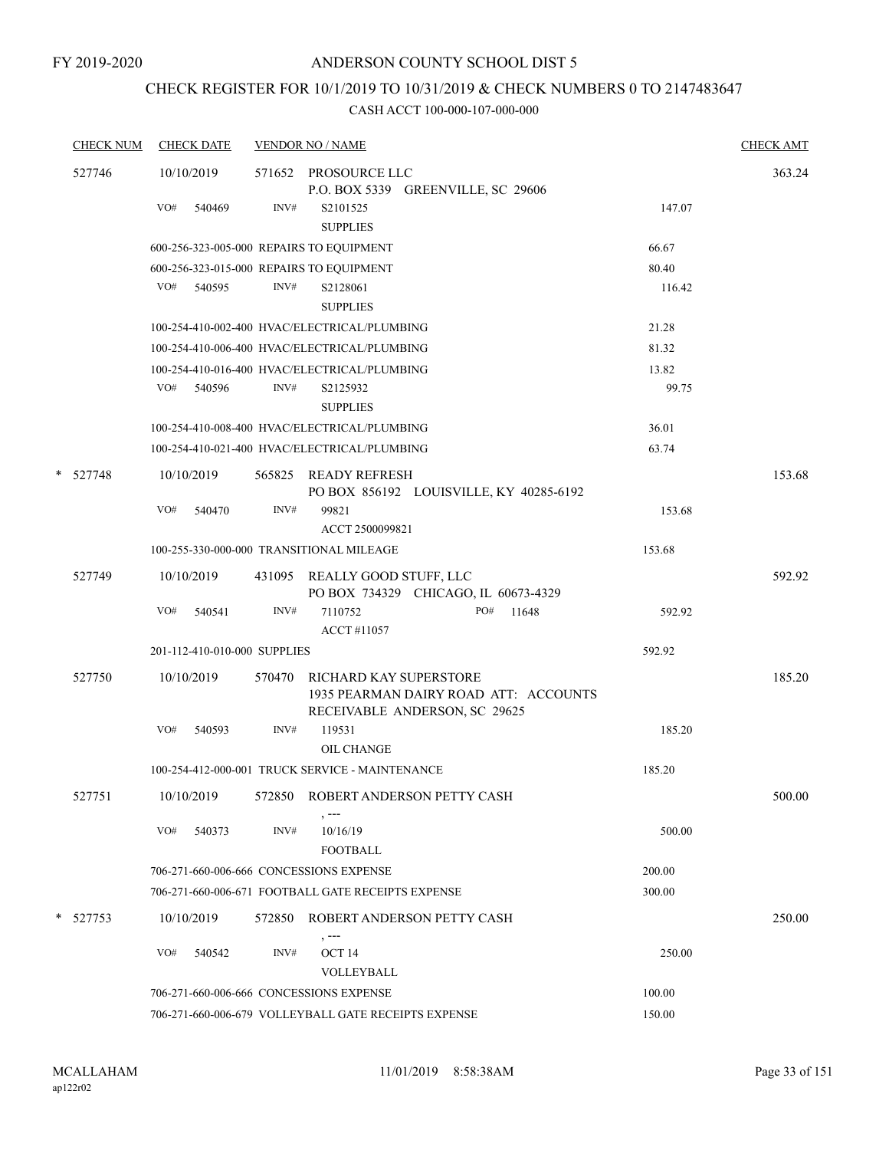# CHECK REGISTER FOR 10/1/2019 TO 10/31/2019 & CHECK NUMBERS 0 TO 2147483647

|   | <b>CHECK NUM</b> | <b>CHECK DATE</b>                        |        | <b>VENDOR NO / NAME</b>                                                                          |        | <b>CHECK AMT</b> |
|---|------------------|------------------------------------------|--------|--------------------------------------------------------------------------------------------------|--------|------------------|
|   | 527746           | 10/10/2019                               |        | 571652 PROSOURCE LLC<br>P.O. BOX 5339 GREENVILLE, SC 29606                                       |        | 363.24           |
|   |                  | VO#<br>540469                            | INV#   | S2101525<br><b>SUPPLIES</b>                                                                      | 147.07 |                  |
|   |                  | 600-256-323-005-000 REPAIRS TO EQUIPMENT |        |                                                                                                  | 66.67  |                  |
|   |                  | 600-256-323-015-000 REPAIRS TO EQUIPMENT |        |                                                                                                  | 80.40  |                  |
|   |                  | VO# 540595                               | INV#   | S2128061<br><b>SUPPLIES</b>                                                                      | 116.42 |                  |
|   |                  |                                          |        | 100-254-410-002-400 HVAC/ELECTRICAL/PLUMBING                                                     | 21.28  |                  |
|   |                  |                                          |        | 100-254-410-006-400 HVAC/ELECTRICAL/PLUMBING                                                     | 81.32  |                  |
|   |                  |                                          |        | 100-254-410-016-400 HVAC/ELECTRICAL/PLUMBING                                                     | 13.82  |                  |
|   |                  | VO# 540596                               | INV#   | S2125932<br><b>SUPPLIES</b>                                                                      | 99.75  |                  |
|   |                  |                                          |        | 100-254-410-008-400 HVAC/ELECTRICAL/PLUMBING                                                     | 36.01  |                  |
|   |                  |                                          |        | 100-254-410-021-400 HVAC/ELECTRICAL/PLUMBING                                                     | 63.74  |                  |
|   | * 527748         | 10/10/2019                               |        | 565825 READY REFRESH<br>PO BOX 856192 LOUISVILLE, KY 40285-6192                                  |        | 153.68           |
|   |                  | VO#<br>540470                            | INV#   | 99821<br>ACCT 2500099821                                                                         | 153.68 |                  |
|   |                  |                                          |        | 100-255-330-000-000 TRANSITIONAL MILEAGE                                                         | 153.68 |                  |
|   | 527749           | 10/10/2019                               |        | 431095 REALLY GOOD STUFF, LLC<br>PO BOX 734329 CHICAGO, IL 60673-4329                            |        | 592.92           |
|   |                  | VO#<br>540541                            | INV#   | 7110752<br>PO#<br>11648<br><b>ACCT#11057</b>                                                     | 592.92 |                  |
|   |                  | 201-112-410-010-000 SUPPLIES             |        |                                                                                                  | 592.92 |                  |
|   | 527750           | 10/10/2019                               | 570470 | RICHARD KAY SUPERSTORE<br>1935 PEARMAN DAIRY ROAD ATT: ACCOUNTS<br>RECEIVABLE ANDERSON, SC 29625 |        | 185.20           |
|   |                  | VO#<br>540593                            | INV#   | 119531<br><b>OIL CHANGE</b>                                                                      | 185.20 |                  |
|   |                  |                                          |        | 100-254-412-000-001 TRUCK SERVICE - MAINTENANCE                                                  | 185.20 |                  |
|   | 527751           | 10/10/2019                               | 572850 | ROBERT ANDERSON PETTY CASH<br>, ---                                                              |        | 500.00           |
|   |                  | VO#<br>540373                            | INV#   | 10/16/19<br><b>FOOTBALL</b>                                                                      | 500.00 |                  |
|   |                  | 706-271-660-006-666 CONCESSIONS EXPENSE  |        |                                                                                                  | 200.00 |                  |
|   |                  |                                          |        | 706-271-660-006-671 FOOTBALL GATE RECEIPTS EXPENSE                                               | 300.00 |                  |
| * | 527753           | 10/10/2019                               | 572850 | ROBERT ANDERSON PETTY CASH                                                                       |        | 250.00           |
|   |                  | VO#<br>540542                            | INV#   | , ---<br>OCT 14<br>VOLLEYBALL                                                                    | 250.00 |                  |
|   |                  | 706-271-660-006-666 CONCESSIONS EXPENSE  |        |                                                                                                  | 100.00 |                  |
|   |                  |                                          |        | 706-271-660-006-679 VOLLEYBALL GATE RECEIPTS EXPENSE                                             | 150.00 |                  |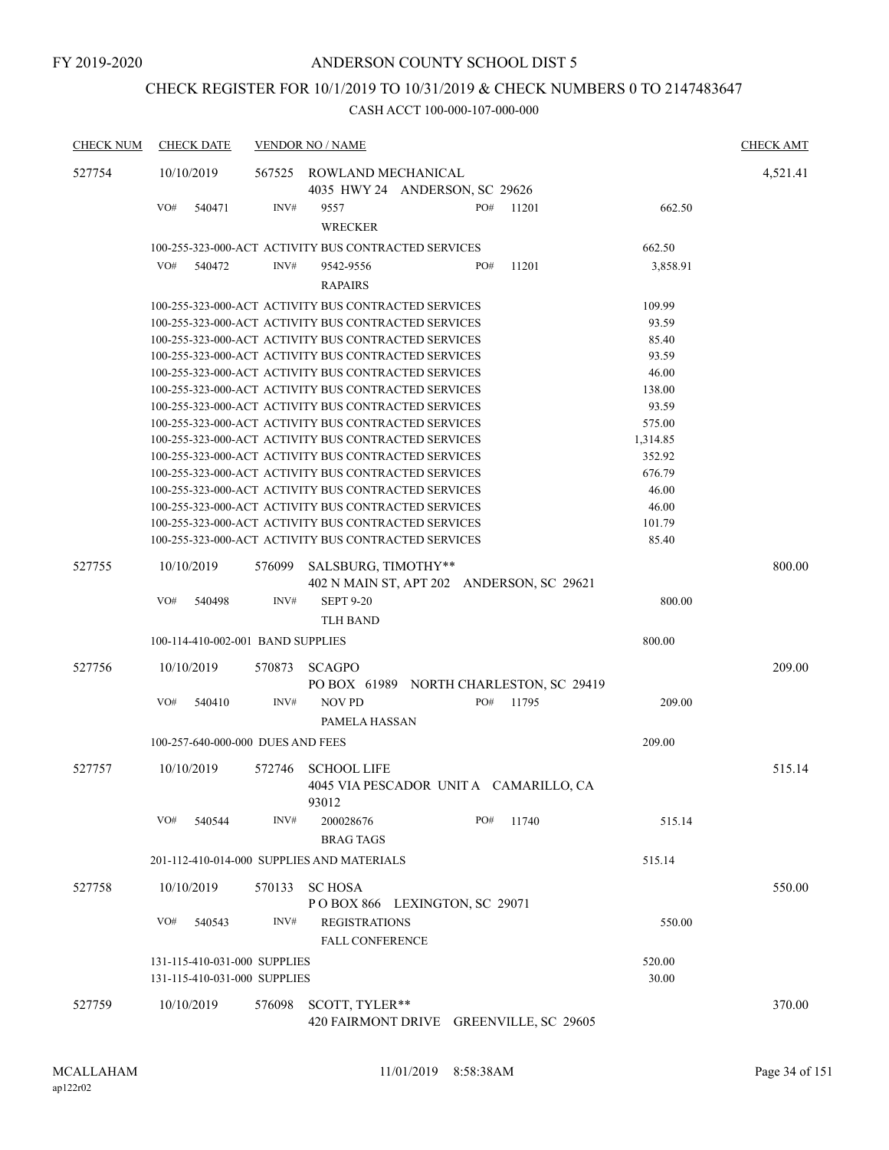# CHECK REGISTER FOR 10/1/2019 TO 10/31/2019 & CHECK NUMBERS 0 TO 2147483647

| <b>CHECK NUM</b> | <b>CHECK DATE</b>                                            |                | <b>VENDOR NO / NAME</b>                                                                                      |                    | <b>CHECK AMT</b> |
|------------------|--------------------------------------------------------------|----------------|--------------------------------------------------------------------------------------------------------------|--------------------|------------------|
| 527754           | 10/10/2019                                                   | 567525         | ROWLAND MECHANICAL<br>4035 HWY 24 ANDERSON, SC 29626                                                         |                    | 4,521.41         |
|                  | VO#<br>540471                                                | INV#           | PO#<br>11201<br>9557<br><b>WRECKER</b>                                                                       | 662.50             |                  |
|                  |                                                              |                | 100-255-323-000-ACT ACTIVITY BUS CONTRACTED SERVICES                                                         | 662.50             |                  |
|                  | VO#<br>540472                                                | INV#           | 9542-9556<br>PO#<br>11201<br><b>RAPAIRS</b>                                                                  | 3,858.91           |                  |
|                  |                                                              |                | 100-255-323-000-ACT ACTIVITY BUS CONTRACTED SERVICES                                                         | 109.99             |                  |
|                  |                                                              |                | 100-255-323-000-ACT ACTIVITY BUS CONTRACTED SERVICES                                                         | 93.59              |                  |
|                  |                                                              |                | 100-255-323-000-ACT ACTIVITY BUS CONTRACTED SERVICES                                                         | 85.40              |                  |
|                  |                                                              |                | 100-255-323-000-ACT ACTIVITY BUS CONTRACTED SERVICES                                                         | 93.59              |                  |
|                  |                                                              |                | 100-255-323-000-ACT ACTIVITY BUS CONTRACTED SERVICES                                                         | 46.00              |                  |
|                  |                                                              |                | 100-255-323-000-ACT ACTIVITY BUS CONTRACTED SERVICES                                                         | 138.00             |                  |
|                  |                                                              |                | 100-255-323-000-ACT ACTIVITY BUS CONTRACTED SERVICES                                                         | 93.59              |                  |
|                  |                                                              |                | 100-255-323-000-ACT ACTIVITY BUS CONTRACTED SERVICES                                                         | 575.00             |                  |
|                  |                                                              |                | 100-255-323-000-ACT ACTIVITY BUS CONTRACTED SERVICES<br>100-255-323-000-ACT ACTIVITY BUS CONTRACTED SERVICES | 1,314.85<br>352.92 |                  |
|                  |                                                              |                | 100-255-323-000-ACT ACTIVITY BUS CONTRACTED SERVICES                                                         | 676.79             |                  |
|                  |                                                              |                | 100-255-323-000-ACT ACTIVITY BUS CONTRACTED SERVICES                                                         | 46.00              |                  |
|                  |                                                              |                | 100-255-323-000-ACT ACTIVITY BUS CONTRACTED SERVICES                                                         | 46.00              |                  |
|                  |                                                              |                | 100-255-323-000-ACT ACTIVITY BUS CONTRACTED SERVICES                                                         | 101.79             |                  |
|                  |                                                              |                | 100-255-323-000-ACT ACTIVITY BUS CONTRACTED SERVICES                                                         | 85.40              |                  |
| 527755           | 10/10/2019<br>VO#<br>540498                                  | 576099<br>INV# | SALSBURG, TIMOTHY**<br>402 N MAIN ST, APT 202 ANDERSON, SC 29621<br><b>SEPT 9-20</b>                         | 800.00             | 800.00           |
|                  |                                                              |                | <b>TLH BAND</b>                                                                                              |                    |                  |
|                  | 100-114-410-002-001 BAND SUPPLIES                            |                |                                                                                                              | 800.00             |                  |
| 527756           | 10/10/2019<br>VO#<br>540410                                  | 570873<br>INV# | <b>SCAGPO</b><br>PO BOX 61989 NORTH CHARLESTON, SC 29419<br><b>NOV PD</b><br>PO#<br>11795                    | 209.00             | 209.00           |
|                  |                                                              |                | PAMELA HASSAN                                                                                                |                    |                  |
|                  | 100-257-640-000-000 DUES AND FEES                            |                |                                                                                                              | 209.00             |                  |
| 527757           | 10/10/2019                                                   | 572746         | <b>SCHOOL LIFE</b><br>4045 VIA PESCADOR UNIT A CAMARILLO, CA<br>93012                                        |                    | 515.14           |
|                  | VO#<br>540544                                                | INV#           | 200028676<br>PO#<br>11740<br><b>BRAG TAGS</b>                                                                | 515.14             |                  |
|                  |                                                              |                | 201-112-410-014-000 SUPPLIES AND MATERIALS                                                                   | 515.14             |                  |
| 527758           | 10/10/2019                                                   | 570133         | <b>SC HOSA</b><br>POBOX 866 LEXINGTON, SC 29071                                                              |                    | 550.00           |
|                  | VO#<br>540543                                                | INV#           | <b>REGISTRATIONS</b><br><b>FALL CONFERENCE</b>                                                               | 550.00             |                  |
|                  | 131-115-410-031-000 SUPPLIES<br>131-115-410-031-000 SUPPLIES |                |                                                                                                              | 520.00<br>30.00    |                  |
| 527759           | 10/10/2019                                                   | 576098         | SCOTT, TYLER**<br>420 FAIRMONT DRIVE GREENVILLE, SC 29605                                                    |                    | 370.00           |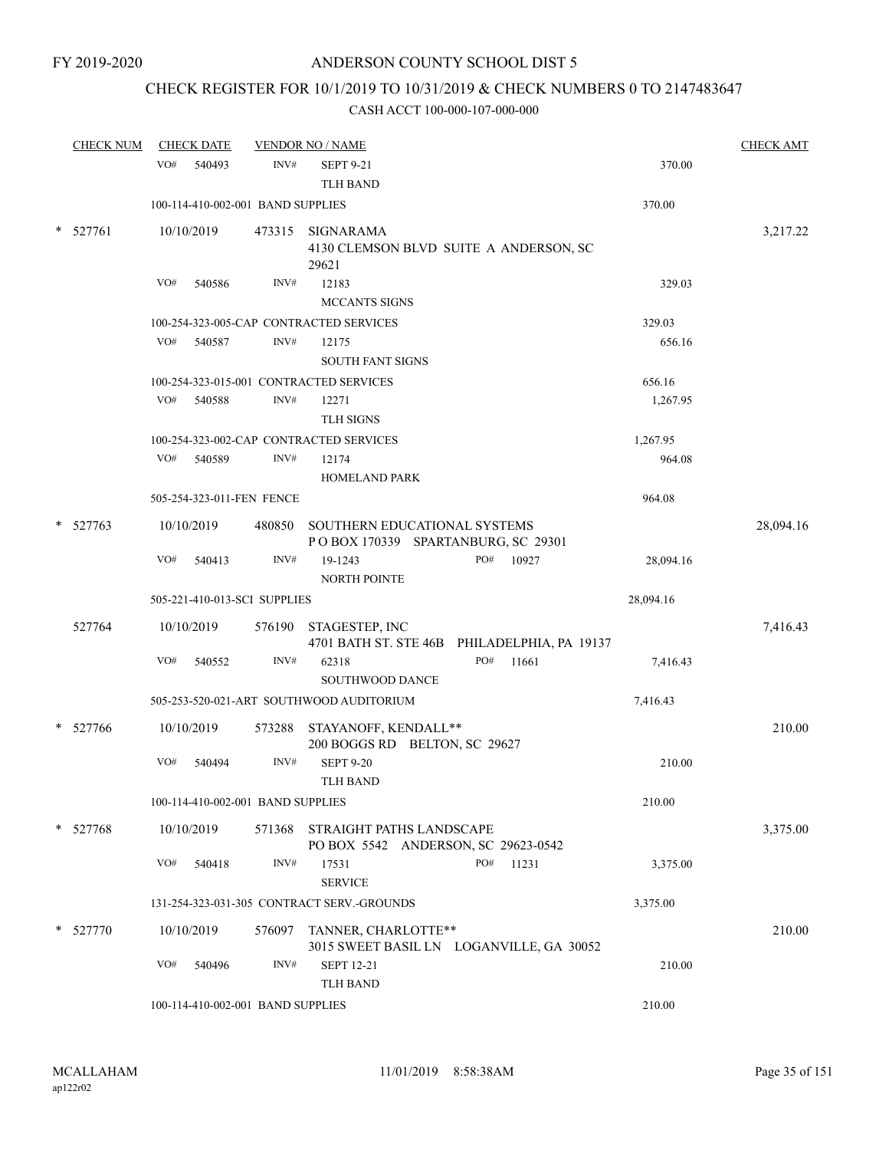# CHECK REGISTER FOR 10/1/2019 TO 10/31/2019 & CHECK NUMBERS 0 TO 2147483647

|        | <b>CHECK NUM</b> | <b>CHECK DATE</b>                       |        | <b>VENDOR NO / NAME</b>                                            |                                              |           | <b>CHECK AMT</b> |
|--------|------------------|-----------------------------------------|--------|--------------------------------------------------------------------|----------------------------------------------|-----------|------------------|
|        |                  | VO#<br>540493                           | INV#   | <b>SEPT 9-21</b><br><b>TLH BAND</b>                                |                                              | 370.00    |                  |
|        |                  | 100-114-410-002-001 BAND SUPPLIES       |        |                                                                    |                                              | 370.00    |                  |
| *      | 527761           | 10/10/2019                              | 473315 | SIGNARAMA<br>29621                                                 | 4130 CLEMSON BLVD SUITE A ANDERSON, SC       |           | 3,217.22         |
|        |                  | VO#<br>540586                           | INV#   | 12183                                                              |                                              | 329.03    |                  |
|        |                  |                                         |        | MCCANTS SIGNS                                                      |                                              |           |                  |
|        |                  |                                         |        | 100-254-323-005-CAP CONTRACTED SERVICES                            |                                              | 329.03    |                  |
|        |                  | VO#<br>540587                           | INV#   | 12175                                                              |                                              | 656.16    |                  |
|        |                  |                                         |        | <b>SOUTH FANT SIGNS</b>                                            |                                              |           |                  |
|        |                  | 100-254-323-015-001 CONTRACTED SERVICES |        |                                                                    |                                              | 656.16    |                  |
|        |                  | VO#<br>540588                           | INV#   | 12271                                                              |                                              | 1,267.95  |                  |
|        |                  |                                         |        | <b>TLH SIGNS</b>                                                   |                                              |           |                  |
|        |                  |                                         |        | 100-254-323-002-CAP CONTRACTED SERVICES                            |                                              | 1,267.95  |                  |
|        |                  | VO# 540589                              | INV#   | 12174                                                              |                                              | 964.08    |                  |
|        |                  |                                         |        | <b>HOMELAND PARK</b>                                               |                                              |           |                  |
|        |                  | 505-254-323-011-FEN FENCE               |        |                                                                    |                                              | 964.08    |                  |
| $\ast$ | 527763           | 10/10/2019                              | 480850 | SOUTHERN EDUCATIONAL SYSTEMS<br>POBOX 170339 SPARTANBURG, SC 29301 |                                              |           | 28,094.16        |
|        |                  | VO#<br>540413                           | INV#   | 19-1243<br><b>NORTH POINTE</b>                                     | 10927<br>PO#                                 | 28,094.16 |                  |
|        |                  | 505-221-410-013-SCI SUPPLIES            |        |                                                                    |                                              | 28,094.16 |                  |
|        | 527764           | 10/10/2019                              |        | 576190 STAGESTEP, INC                                              | 4701 BATH ST. STE 46B PHILADELPHIA, PA 19137 |           | 7,416.43         |
|        |                  | VO#<br>540552                           | INV#   | 62318<br><b>SOUTHWOOD DANCE</b>                                    | PO#<br>11661                                 | 7,416.43  |                  |
|        |                  |                                         |        | 505-253-520-021-ART SOUTHWOOD AUDITORIUM                           |                                              | 7,416.43  |                  |
|        | $*$ 527766       | 10/10/2019                              | 573288 | STAYANOFF, KENDALL**<br>200 BOGGS RD BELTON, SC 29627              |                                              |           | 210.00           |
|        |                  | VO#<br>540494                           | INV#   | <b>SEPT 9-20</b><br><b>TLH BAND</b>                                |                                              | 210.00    |                  |
|        |                  | 100-114-410-002-001 BAND SUPPLIES       |        |                                                                    |                                              | 210.00    |                  |
|        | $*$ 527768       | 10/10/2019                              | 571368 | STRAIGHT PATHS LANDSCAPE<br>PO BOX 5542 ANDERSON, SC 29623-0542    |                                              |           | 3,375.00         |
|        |                  | VO#<br>540418                           | INV#   | 17531<br><b>SERVICE</b>                                            | PO#<br>11231                                 | 3,375.00  |                  |
|        |                  |                                         |        | 131-254-323-031-305 CONTRACT SERV.-GROUNDS                         |                                              | 3,375.00  |                  |
|        | $*$ 527770       | 10/10/2019                              |        | 576097 TANNER, CHARLOTTE**                                         | 3015 SWEET BASIL LN LOGANVILLE, GA 30052     |           | 210.00           |
|        |                  | VO#<br>540496                           | INV#   | <b>SEPT 12-21</b><br><b>TLH BAND</b>                               |                                              | 210.00    |                  |
|        |                  | 100-114-410-002-001 BAND SUPPLIES       |        |                                                                    |                                              | 210.00    |                  |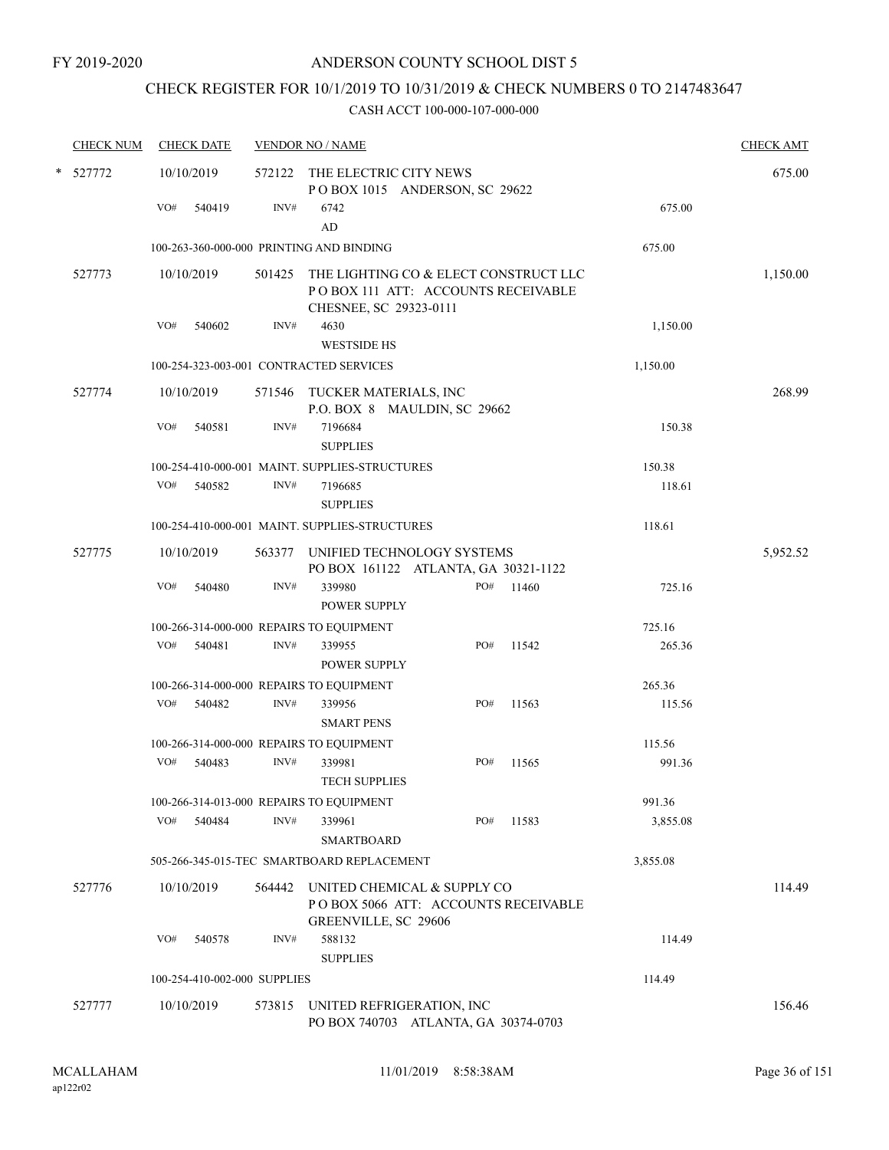# CHECK REGISTER FOR 10/1/2019 TO 10/31/2019 & CHECK NUMBERS 0 TO 2147483647

| <b>CHECK NUM</b> |            | <b>CHECK DATE</b>            |        | <b>VENDOR NO / NAME</b>                              |                                                                             |       |          | <b>CHECK AMT</b> |
|------------------|------------|------------------------------|--------|------------------------------------------------------|-----------------------------------------------------------------------------|-------|----------|------------------|
| * 527772         | 10/10/2019 |                              | 572122 | THE ELECTRIC CITY NEWS                               | POBOX 1015 ANDERSON, SC 29622                                               |       |          | 675.00           |
|                  | VO#        | 540419                       | INV#   | 6742<br>AD                                           |                                                                             |       | 675.00   |                  |
|                  |            |                              |        | 100-263-360-000-000 PRINTING AND BINDING             |                                                                             |       | 675.00   |                  |
| 527773           | 10/10/2019 |                              | 501425 |                                                      | THE LIGHTING CO & ELECT CONSTRUCT LLC<br>POBOX 111 ATT: ACCOUNTS RECEIVABLE |       |          | 1,150.00         |
|                  | VO#        | 540602                       | INV#   | CHESNEE, SC 29323-0111<br>4630<br><b>WESTSIDE HS</b> |                                                                             |       | 1,150.00 |                  |
|                  |            |                              |        | 100-254-323-003-001 CONTRACTED SERVICES              |                                                                             |       | 1,150.00 |                  |
| 527774           | 10/10/2019 |                              |        | 571546 TUCKER MATERIALS, INC                         | P.O. BOX 8 MAULDIN, SC 29662                                                |       |          | 268.99           |
|                  | VO#        | 540581                       | INV#   | 7196684<br><b>SUPPLIES</b>                           |                                                                             |       | 150.38   |                  |
|                  |            |                              |        | 100-254-410-000-001 MAINT. SUPPLIES-STRUCTURES       |                                                                             |       | 150.38   |                  |
|                  | VO#        | 540582                       | INV#   | 7196685<br><b>SUPPLIES</b>                           |                                                                             |       | 118.61   |                  |
|                  |            |                              |        | 100-254-410-000-001 MAINT. SUPPLIES-STRUCTURES       |                                                                             |       | 118.61   |                  |
| 527775           | 10/10/2019 |                              | 563377 |                                                      | UNIFIED TECHNOLOGY SYSTEMS<br>PO BOX 161122 ATLANTA, GA 30321-1122          |       |          | 5,952.52         |
|                  | VO#        | 540480                       | INV#   | 339980<br><b>POWER SUPPLY</b>                        | PO#                                                                         | 11460 | 725.16   |                  |
|                  |            |                              |        | 100-266-314-000-000 REPAIRS TO EQUIPMENT             |                                                                             |       | 725.16   |                  |
|                  | VO#        | 540481                       | INV#   | 339955<br><b>POWER SUPPLY</b>                        | PO#                                                                         | 11542 | 265.36   |                  |
|                  |            |                              |        | 100-266-314-000-000 REPAIRS TO EQUIPMENT             |                                                                             |       | 265.36   |                  |
|                  | VO#        | 540482                       | INV#   | 339956<br><b>SMART PENS</b>                          | PO#                                                                         | 11563 | 115.56   |                  |
|                  |            |                              |        | 100-266-314-000-000 REPAIRS TO EQUIPMENT             |                                                                             |       | 115.56   |                  |
|                  | VO#        | 540483                       | INV#   | 339981<br><b>TECH SUPPLIES</b>                       | PO#                                                                         | 11565 | 991.36   |                  |
|                  |            |                              |        | 100-266-314-013-000 REPAIRS TO EQUIPMENT             |                                                                             |       | 991.36   |                  |
|                  | VO#        | 540484                       | INV#   | 339961<br><b>SMARTBOARD</b>                          | PO#                                                                         | 11583 | 3,855.08 |                  |
|                  |            |                              |        | 505-266-345-015-TEC SMARTBOARD REPLACEMENT           |                                                                             |       | 3,855.08 |                  |
| 527776           | 10/10/2019 |                              | 564442 | UNITED CHEMICAL & SUPPLY CO<br>GREENVILLE, SC 29606  | POBOX 5066 ATT: ACCOUNTS RECEIVABLE                                         |       |          | 114.49           |
|                  | VO#        | 540578                       | INV#   | 588132<br><b>SUPPLIES</b>                            |                                                                             |       | 114.49   |                  |
|                  |            | 100-254-410-002-000 SUPPLIES |        |                                                      |                                                                             |       | 114.49   |                  |
| 527777           | 10/10/2019 |                              | 573815 | UNITED REFRIGERATION, INC                            | PO BOX 740703 ATLANTA, GA 30374-0703                                        |       |          | 156.46           |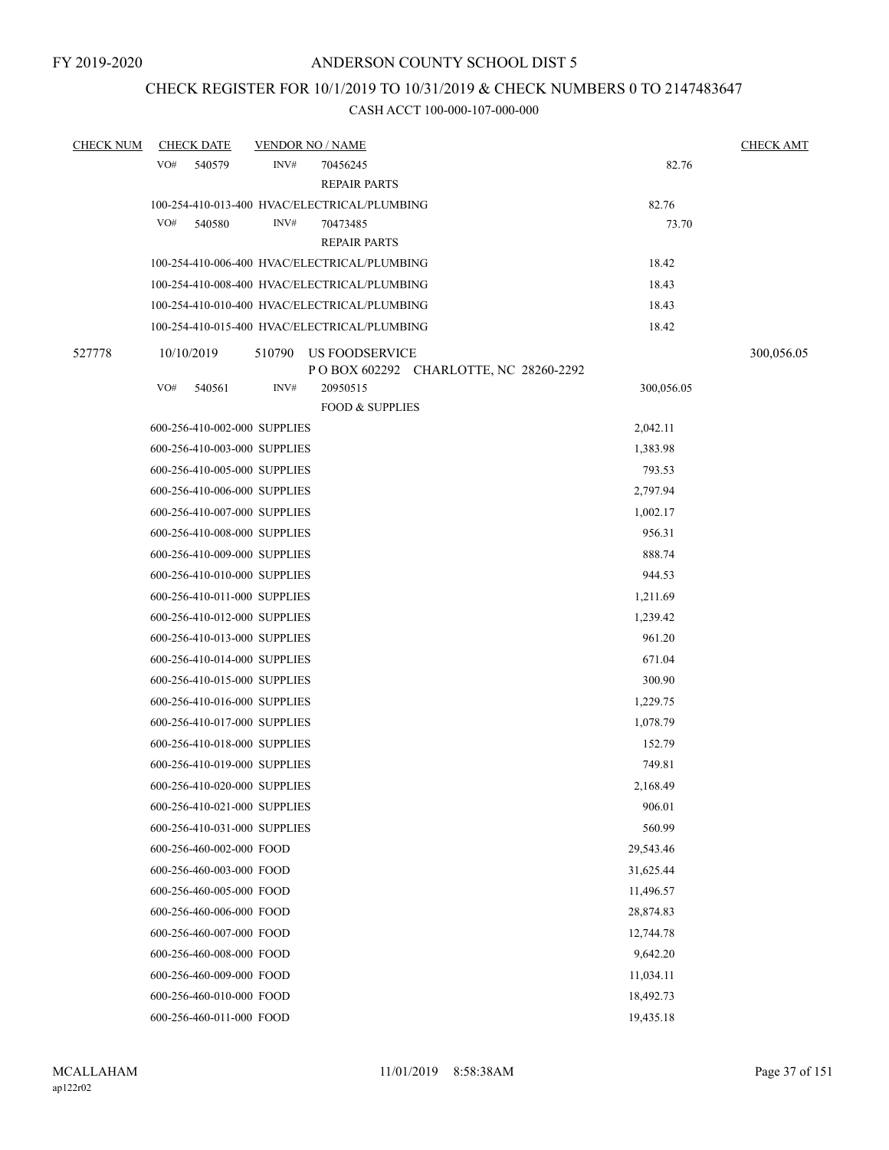### CHECK REGISTER FOR 10/1/2019 TO 10/31/2019 & CHECK NUMBERS 0 TO 2147483647

| <b>CHECK NUM</b> | <b>CHECK DATE</b>                            | <b>VENDOR NO / NAME</b> |                                        |                                         |            | <b>CHECK AMT</b> |
|------------------|----------------------------------------------|-------------------------|----------------------------------------|-----------------------------------------|------------|------------------|
|                  | VO#<br>540579                                | INV#                    | 70456245<br><b>REPAIR PARTS</b>        |                                         | 82.76      |                  |
|                  | 100-254-410-013-400 HVAC/ELECTRICAL/PLUMBING |                         |                                        |                                         | 82.76      |                  |
|                  | VO#<br>540580                                | INV#                    | 70473485<br>REPAIR PARTS               |                                         | 73.70      |                  |
|                  | 100-254-410-006-400 HVAC/ELECTRICAL/PLUMBING |                         |                                        |                                         | 18.42      |                  |
|                  | 100-254-410-008-400 HVAC/ELECTRICAL/PLUMBING |                         |                                        |                                         | 18.43      |                  |
|                  | 100-254-410-010-400 HVAC/ELECTRICAL/PLUMBING |                         |                                        |                                         | 18.43      |                  |
|                  | 100-254-410-015-400 HVAC/ELECTRICAL/PLUMBING |                         |                                        |                                         | 18.42      |                  |
| 527778           | 10/10/2019                                   | 510790                  | <b>US FOODSERVICE</b>                  | P O BOX 602292 CHARLOTTE, NC 28260-2292 |            | 300,056.05       |
|                  | VO#<br>540561                                | INV#                    | 20950515<br><b>FOOD &amp; SUPPLIES</b> |                                         | 300,056.05 |                  |
|                  | 600-256-410-002-000 SUPPLIES                 |                         |                                        |                                         | 2,042.11   |                  |
|                  | 600-256-410-003-000 SUPPLIES                 |                         |                                        |                                         | 1,383.98   |                  |
|                  | 600-256-410-005-000 SUPPLIES                 |                         |                                        |                                         | 793.53     |                  |
|                  | 600-256-410-006-000 SUPPLIES                 |                         |                                        |                                         | 2,797.94   |                  |
|                  | 600-256-410-007-000 SUPPLIES                 |                         |                                        |                                         | 1,002.17   |                  |
|                  | 600-256-410-008-000 SUPPLIES                 |                         |                                        |                                         | 956.31     |                  |
|                  | 600-256-410-009-000 SUPPLIES                 |                         |                                        |                                         | 888.74     |                  |
|                  | 600-256-410-010-000 SUPPLIES                 |                         |                                        |                                         | 944.53     |                  |
|                  | 600-256-410-011-000 SUPPLIES                 |                         |                                        |                                         | 1,211.69   |                  |
|                  | 600-256-410-012-000 SUPPLIES                 |                         |                                        |                                         | 1,239.42   |                  |
|                  | 600-256-410-013-000 SUPPLIES                 |                         |                                        |                                         | 961.20     |                  |
|                  | 600-256-410-014-000 SUPPLIES                 |                         |                                        |                                         | 671.04     |                  |
|                  | 600-256-410-015-000 SUPPLIES                 |                         |                                        |                                         | 300.90     |                  |
|                  | 600-256-410-016-000 SUPPLIES                 |                         |                                        |                                         | 1,229.75   |                  |
|                  | 600-256-410-017-000 SUPPLIES                 |                         |                                        |                                         | 1,078.79   |                  |
|                  | 600-256-410-018-000 SUPPLIES                 |                         |                                        |                                         | 152.79     |                  |
|                  | 600-256-410-019-000 SUPPLIES                 |                         |                                        |                                         | 749.81     |                  |
|                  | 600-256-410-020-000 SUPPLIES                 |                         |                                        |                                         | 2,168.49   |                  |
|                  | 600-256-410-021-000 SUPPLIES                 |                         |                                        |                                         | 906.01     |                  |
|                  | 600-256-410-031-000 SUPPLIES                 |                         |                                        |                                         | 560.99     |                  |
|                  | 600-256-460-002-000 FOOD                     |                         |                                        |                                         | 29,543.46  |                  |
|                  | 600-256-460-003-000 FOOD                     |                         |                                        |                                         | 31,625.44  |                  |
|                  | 600-256-460-005-000 FOOD                     |                         |                                        |                                         | 11,496.57  |                  |
|                  | 600-256-460-006-000 FOOD                     |                         |                                        |                                         | 28,874.83  |                  |
|                  | 600-256-460-007-000 FOOD                     |                         |                                        |                                         | 12,744.78  |                  |
|                  | 600-256-460-008-000 FOOD                     |                         |                                        |                                         | 9,642.20   |                  |
|                  | 600-256-460-009-000 FOOD                     |                         |                                        |                                         | 11,034.11  |                  |
|                  | 600-256-460-010-000 FOOD                     |                         |                                        |                                         | 18,492.73  |                  |
|                  | 600-256-460-011-000 FOOD                     |                         |                                        |                                         | 19,435.18  |                  |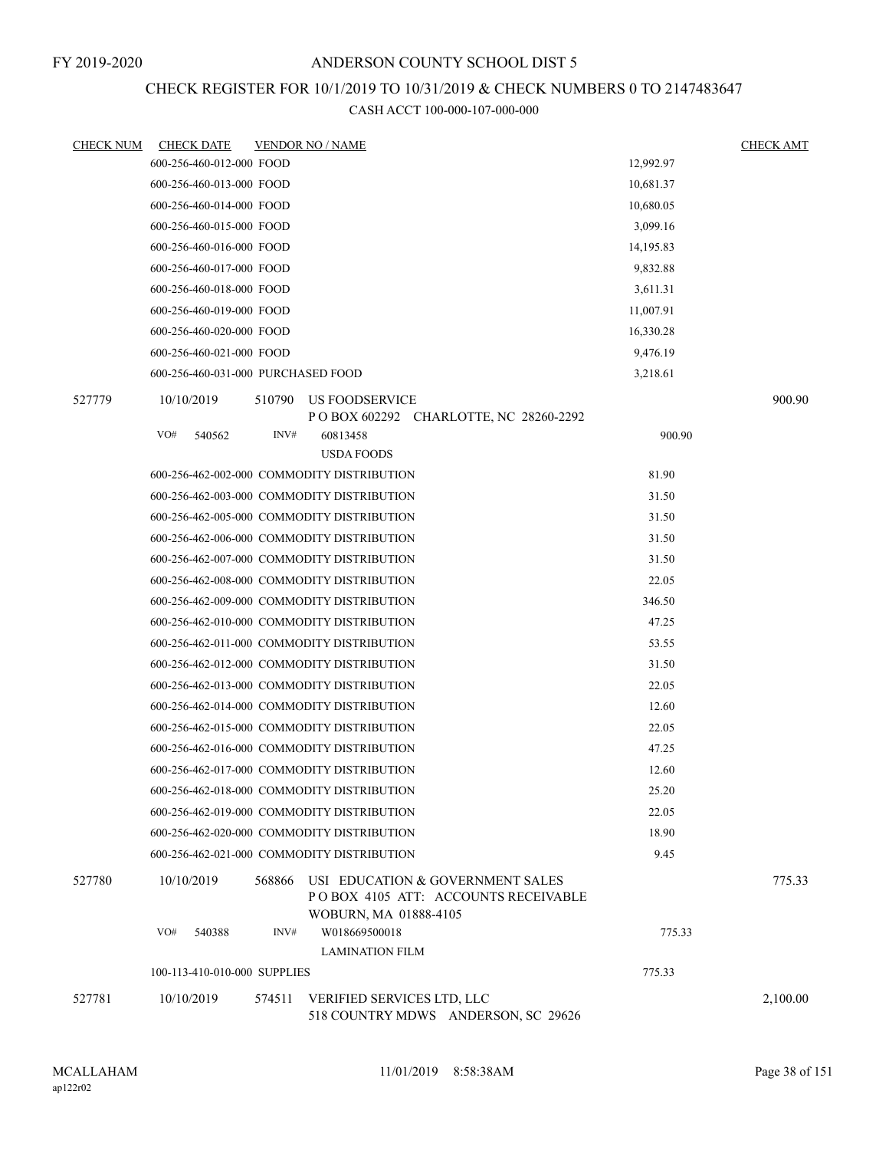### CHECK REGISTER FOR 10/1/2019 TO 10/31/2019 & CHECK NUMBERS 0 TO 2147483647

| <b>CHECK NUM</b> | <b>CHECK DATE</b>                  |        | <b>VENDOR NO / NAME</b>                                                                          |            | <b>CHECK AMT</b> |
|------------------|------------------------------------|--------|--------------------------------------------------------------------------------------------------|------------|------------------|
|                  | 600-256-460-012-000 FOOD           |        |                                                                                                  | 12,992.97  |                  |
|                  | 600-256-460-013-000 FOOD           |        |                                                                                                  | 10,681.37  |                  |
|                  | 600-256-460-014-000 FOOD           |        |                                                                                                  | 10,680.05  |                  |
|                  | 600-256-460-015-000 FOOD           |        |                                                                                                  | 3,099.16   |                  |
|                  | 600-256-460-016-000 FOOD           |        |                                                                                                  | 14, 195.83 |                  |
|                  | 600-256-460-017-000 FOOD           |        |                                                                                                  | 9,832.88   |                  |
|                  | 600-256-460-018-000 FOOD           |        |                                                                                                  | 3,611.31   |                  |
|                  | 600-256-460-019-000 FOOD           |        |                                                                                                  | 11,007.91  |                  |
|                  | 600-256-460-020-000 FOOD           |        |                                                                                                  | 16,330.28  |                  |
|                  | 600-256-460-021-000 FOOD           |        |                                                                                                  | 9,476.19   |                  |
|                  | 600-256-460-031-000 PURCHASED FOOD |        |                                                                                                  | 3,218.61   |                  |
| 527779           | 10/10/2019                         | 510790 | US FOODSERVICE                                                                                   |            | 900.90           |
|                  |                                    |        | P O BOX 602292 CHARLOTTE, NC 28260-2292                                                          |            |                  |
|                  | VO#<br>540562                      | INV#   | 60813458<br><b>USDA FOODS</b>                                                                    | 900.90     |                  |
|                  |                                    |        | 600-256-462-002-000 COMMODITY DISTRIBUTION                                                       | 81.90      |                  |
|                  |                                    |        | 600-256-462-003-000 COMMODITY DISTRIBUTION                                                       | 31.50      |                  |
|                  |                                    |        | 600-256-462-005-000 COMMODITY DISTRIBUTION                                                       | 31.50      |                  |
|                  |                                    |        | 600-256-462-006-000 COMMODITY DISTRIBUTION                                                       | 31.50      |                  |
|                  |                                    |        | 600-256-462-007-000 COMMODITY DISTRIBUTION                                                       | 31.50      |                  |
|                  |                                    |        | 600-256-462-008-000 COMMODITY DISTRIBUTION                                                       | 22.05      |                  |
|                  |                                    |        |                                                                                                  |            |                  |
|                  |                                    |        | 600-256-462-009-000 COMMODITY DISTRIBUTION                                                       | 346.50     |                  |
|                  |                                    |        | 600-256-462-010-000 COMMODITY DISTRIBUTION                                                       | 47.25      |                  |
|                  |                                    |        | 600-256-462-011-000 COMMODITY DISTRIBUTION                                                       | 53.55      |                  |
|                  |                                    |        | 600-256-462-012-000 COMMODITY DISTRIBUTION                                                       | 31.50      |                  |
|                  |                                    |        | 600-256-462-013-000 COMMODITY DISTRIBUTION                                                       | 22.05      |                  |
|                  |                                    |        | 600-256-462-014-000 COMMODITY DISTRIBUTION                                                       | 12.60      |                  |
|                  |                                    |        | 600-256-462-015-000 COMMODITY DISTRIBUTION                                                       | 22.05      |                  |
|                  |                                    |        | 600-256-462-016-000 COMMODITY DISTRIBUTION                                                       | 47.25      |                  |
|                  |                                    |        | 600-256-462-017-000 COMMODITY DISTRIBUTION                                                       | 12.60      |                  |
|                  |                                    |        | 600-256-462-018-000 COMMODITY DISTRIBUTION                                                       | 25.20      |                  |
|                  |                                    |        | 600-256-462-019-000 COMMODITY DISTRIBUTION                                                       | 22.05      |                  |
|                  |                                    |        | 600-256-462-020-000 COMMODITY DISTRIBUTION                                                       | 18.90      |                  |
|                  |                                    |        | 600-256-462-021-000 COMMODITY DISTRIBUTION                                                       | 9.45       |                  |
| 527780           | 10/10/2019                         | 568866 | USI EDUCATION & GOVERNMENT SALES<br>POBOX 4105 ATT: ACCOUNTS RECEIVABLE<br>WOBURN, MA 01888-4105 |            | 775.33           |
|                  | VO#<br>540388                      | INV#   | W018669500018<br><b>LAMINATION FILM</b>                                                          | 775.33     |                  |
|                  | 100-113-410-010-000 SUPPLIES       |        |                                                                                                  | 775.33     |                  |
| 527781           | 10/10/2019                         | 574511 | VERIFIED SERVICES LTD, LLC<br>518 COUNTRY MDWS ANDERSON, SC 29626                                |            | 2,100.00         |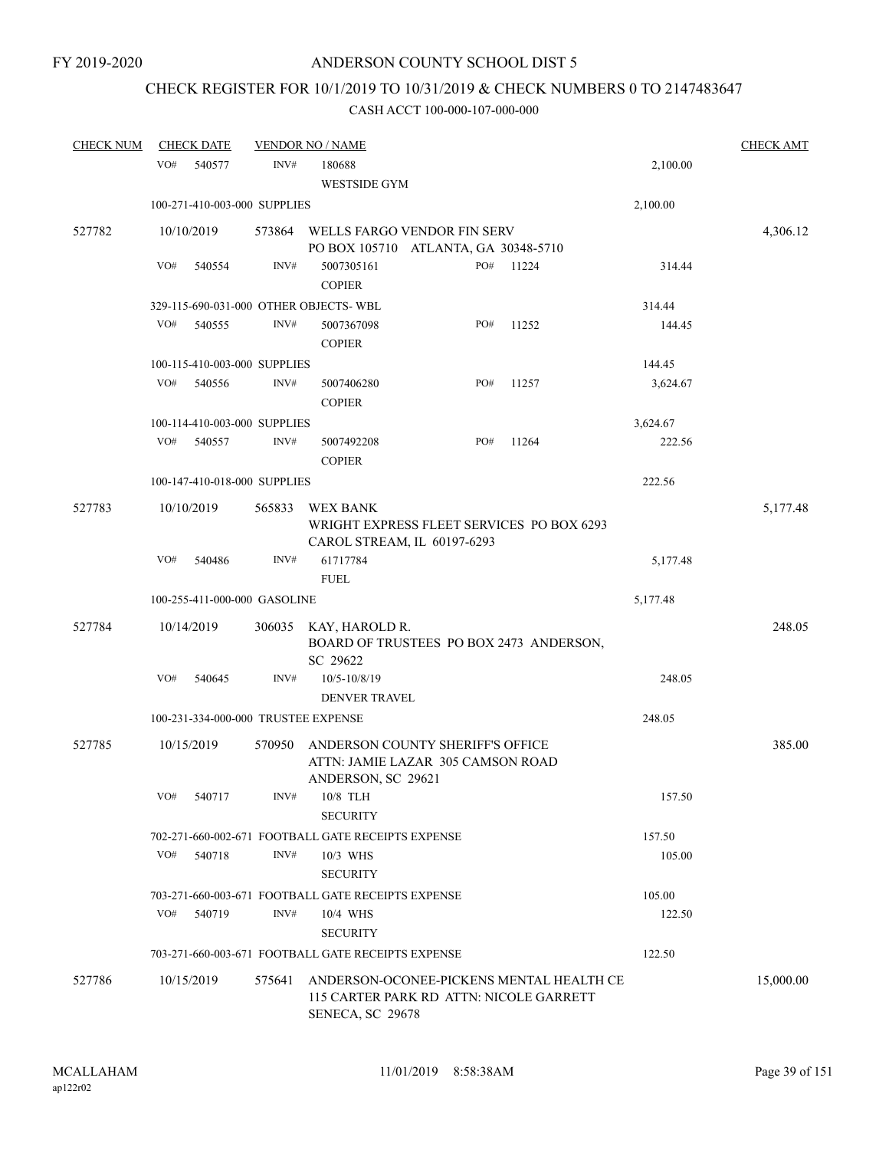# CHECK REGISTER FOR 10/1/2019 TO 10/31/2019 & CHECK NUMBERS 0 TO 2147483647

| <b>CHECK NUM</b> |     | <b>CHECK DATE</b>                   |        | <b>VENDOR NO / NAME</b>                            |                                                                                     |       |          | <b>CHECK AMT</b> |
|------------------|-----|-------------------------------------|--------|----------------------------------------------------|-------------------------------------------------------------------------------------|-------|----------|------------------|
|                  | VO# | 540577                              | INV#   | 180688<br><b>WESTSIDE GYM</b>                      |                                                                                     |       | 2,100.00 |                  |
|                  |     | 100-271-410-003-000 SUPPLIES        |        |                                                    |                                                                                     |       | 2,100.00 |                  |
| 527782           |     | 10/10/2019                          | 573864 |                                                    | WELLS FARGO VENDOR FIN SERV<br>PO BOX 105710 ATLANTA, GA 30348-5710                 |       |          | 4,306.12         |
|                  | VO# | 540554                              | INV#   | 5007305161<br><b>COPIER</b>                        | PO#                                                                                 | 11224 | 314.44   |                  |
|                  |     |                                     |        | 329-115-690-031-000 OTHER OBJECTS- WBL             |                                                                                     |       | 314.44   |                  |
|                  | VO# | 540555                              | INV#   | 5007367098<br><b>COPIER</b>                        | PO#                                                                                 | 11252 | 144.45   |                  |
|                  |     | 100-115-410-003-000 SUPPLIES        |        |                                                    |                                                                                     |       | 144.45   |                  |
|                  | VO# | 540556                              | INV#   | 5007406280<br><b>COPIER</b>                        | PO#                                                                                 | 11257 | 3,624.67 |                  |
|                  |     | 100-114-410-003-000 SUPPLIES        |        |                                                    |                                                                                     |       | 3,624.67 |                  |
|                  | VO# | 540557                              | INV#   | 5007492208<br><b>COPIER</b>                        | PO#                                                                                 | 11264 | 222.56   |                  |
|                  |     | 100-147-410-018-000 SUPPLIES        |        |                                                    |                                                                                     |       | 222.56   |                  |
| 527783           |     | 10/10/2019                          | 565833 | <b>WEX BANK</b>                                    | WRIGHT EXPRESS FLEET SERVICES PO BOX 6293<br>CAROL STREAM, IL 60197-6293            |       |          | 5,177.48         |
|                  | VO# | 540486                              | INV#   | 61717784<br><b>FUEL</b>                            |                                                                                     |       | 5,177.48 |                  |
|                  |     | 100-255-411-000-000 GASOLINE        |        |                                                    |                                                                                     |       | 5,177.48 |                  |
| 527784           |     | 10/14/2019                          |        | 306035 KAY, HAROLD R.<br>SC 29622                  | BOARD OF TRUSTEES PO BOX 2473 ANDERSON,                                             |       |          | 248.05           |
|                  | VO# | 540645                              | INV#   | 10/5-10/8/19<br><b>DENVER TRAVEL</b>               |                                                                                     |       | 248.05   |                  |
|                  |     | 100-231-334-000-000 TRUSTEE EXPENSE |        |                                                    |                                                                                     |       | 248.05   |                  |
| 527785           |     | 10/15/2019                          | 570950 | ANDERSON, SC 29621                                 | ANDERSON COUNTY SHERIFF'S OFFICE<br>ATTN: JAMIE LAZAR 305 CAMSON ROAD               |       |          | 385.00           |
|                  | VO# | 540717                              | INV#   | 10/8 TLH<br><b>SECURITY</b>                        |                                                                                     |       | 157.50   |                  |
|                  |     |                                     |        | 702-271-660-002-671 FOOTBALL GATE RECEIPTS EXPENSE |                                                                                     |       | 157.50   |                  |
|                  | VO# | 540718                              | INV#   | 10/3 WHS<br><b>SECURITY</b>                        |                                                                                     |       | 105.00   |                  |
|                  |     |                                     |        | 703-271-660-003-671 FOOTBALL GATE RECEIPTS EXPENSE |                                                                                     |       | 105.00   |                  |
|                  | VO# | 540719                              | INV#   | 10/4 WHS<br><b>SECURITY</b>                        |                                                                                     |       | 122.50   |                  |
|                  |     |                                     |        | 703-271-660-003-671 FOOTBALL GATE RECEIPTS EXPENSE |                                                                                     |       | 122.50   |                  |
| 527786           |     | 10/15/2019                          | 575641 | SENECA, SC 29678                                   | ANDERSON-OCONEE-PICKENS MENTAL HEALTH CE<br>115 CARTER PARK RD ATTN: NICOLE GARRETT |       |          | 15,000.00        |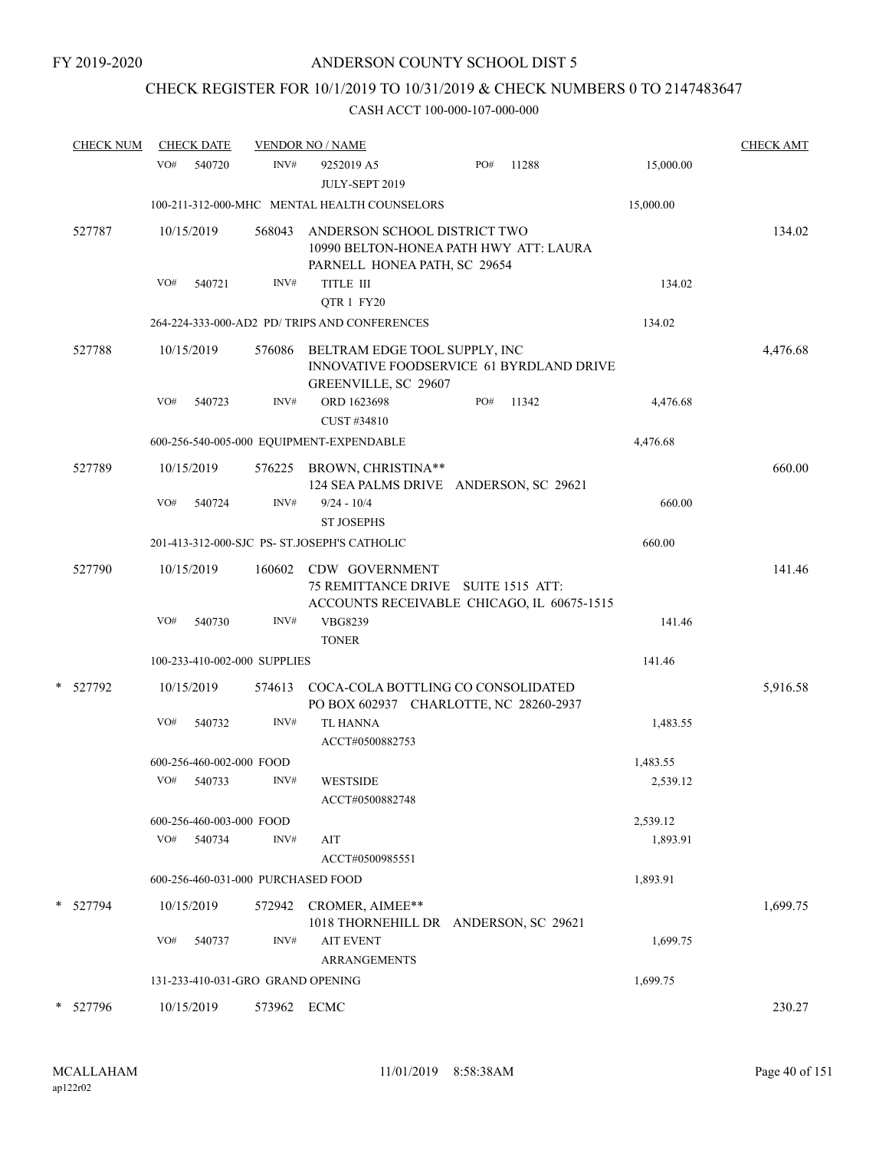## CHECK REGISTER FOR 10/1/2019 TO 10/31/2019 & CHECK NUMBERS 0 TO 2147483647

| <b>CHECK NUM</b> | <b>CHECK DATE</b>                  |             | <b>VENDOR NO / NAME</b>                                                                                    |     |       |           | <b>CHECK AMT</b> |
|------------------|------------------------------------|-------------|------------------------------------------------------------------------------------------------------------|-----|-------|-----------|------------------|
|                  | VO#<br>540720                      | INV#        | 9252019 A5<br>JULY-SEPT 2019                                                                               | PO# | 11288 | 15,000.00 |                  |
|                  |                                    |             | 100-211-312-000-MHC MENTAL HEALTH COUNSELORS                                                               |     |       | 15,000.00 |                  |
| 527787           | 10/15/2019                         | 568043      | ANDERSON SCHOOL DISTRICT TWO<br>10990 BELTON-HONEA PATH HWY ATT: LAURA<br>PARNELL HONEA PATH, SC 29654     |     |       |           | 134.02           |
|                  | VO#<br>540721                      | INV#        | TITLE III                                                                                                  |     |       | 134.02    |                  |
|                  |                                    |             | QTR 1 FY20                                                                                                 |     |       |           |                  |
|                  |                                    |             | 264-224-333-000-AD2 PD/ TRIPS AND CONFERENCES                                                              |     |       | 134.02    |                  |
| 527788           | 10/15/2019                         | 576086      | BELTRAM EDGE TOOL SUPPLY, INC<br>INNOVATIVE FOODSERVICE 61 BYRDLAND DRIVE<br>GREENVILLE, SC 29607          |     |       |           | 4,476.68         |
|                  | VO#<br>540723                      | INV#        | ORD 1623698<br>CUST #34810                                                                                 | PO# | 11342 | 4,476.68  |                  |
|                  |                                    |             | 600-256-540-005-000 EQUIPMENT-EXPENDABLE                                                                   |     |       | 4,476.68  |                  |
| 527789           | 10/15/2019                         |             | 576225 BROWN, CHRISTINA**<br>124 SEA PALMS DRIVE ANDERSON, SC 29621                                        |     |       |           | 660.00           |
|                  | VO#<br>540724                      | INV#        | $9/24 - 10/4$<br><b>ST JOSEPHS</b>                                                                         |     |       | 660.00    |                  |
|                  |                                    |             | 201-413-312-000-SJC PS- ST.JOSEPH'S CATHOLIC                                                               |     |       | 660.00    |                  |
| 527790           | 10/15/2019                         |             | 160602 CDW GOVERNMENT<br>75 REMITTANCE DRIVE SUITE 1515 ATT:<br>ACCOUNTS RECEIVABLE CHICAGO, IL 60675-1515 |     |       |           | 141.46           |
|                  | VO#<br>540730                      | INV#        | VBG8239<br><b>TONER</b>                                                                                    |     |       | 141.46    |                  |
|                  | 100-233-410-002-000 SUPPLIES       |             |                                                                                                            |     |       | 141.46    |                  |
| 527792           | 10/15/2019                         | 574613      | COCA-COLA BOTTLING CO CONSOLIDATED<br>PO BOX 602937 CHARLOTTE, NC 28260-2937                               |     |       |           | 5,916.58         |
|                  | VO#<br>540732                      | INV#        | <b>TL HANNA</b><br>ACCT#0500882753                                                                         |     |       | 1,483.55  |                  |
|                  | 600-256-460-002-000 FOOD           |             |                                                                                                            |     |       | 1,483.55  |                  |
|                  | VO#<br>540733                      | INV#        | <b>WESTSIDE</b><br>ACCT#0500882748                                                                         |     |       | 2,539.12  |                  |
|                  | 600-256-460-003-000 FOOD           |             |                                                                                                            |     |       | 2,539.12  |                  |
|                  | VO#<br>540734                      | INV#        | AIT<br>ACCT#0500985551                                                                                     |     |       | 1,893.91  |                  |
|                  | 600-256-460-031-000 PURCHASED FOOD |             |                                                                                                            |     |       | 1,893.91  |                  |
| 527794           | 10/15/2019                         | 572942      | CROMER, AIMEE**<br>1018 THORNEHILL DR ANDERSON, SC 29621                                                   |     |       |           | 1,699.75         |
|                  | VO#<br>540737                      | INV#        | <b>AIT EVENT</b><br><b>ARRANGEMENTS</b>                                                                    |     |       | 1,699.75  |                  |
|                  | 131-233-410-031-GRO GRAND OPENING  |             |                                                                                                            |     |       | 1,699.75  |                  |
| 527796           | 10/15/2019                         | 573962 ECMC |                                                                                                            |     |       |           | 230.27           |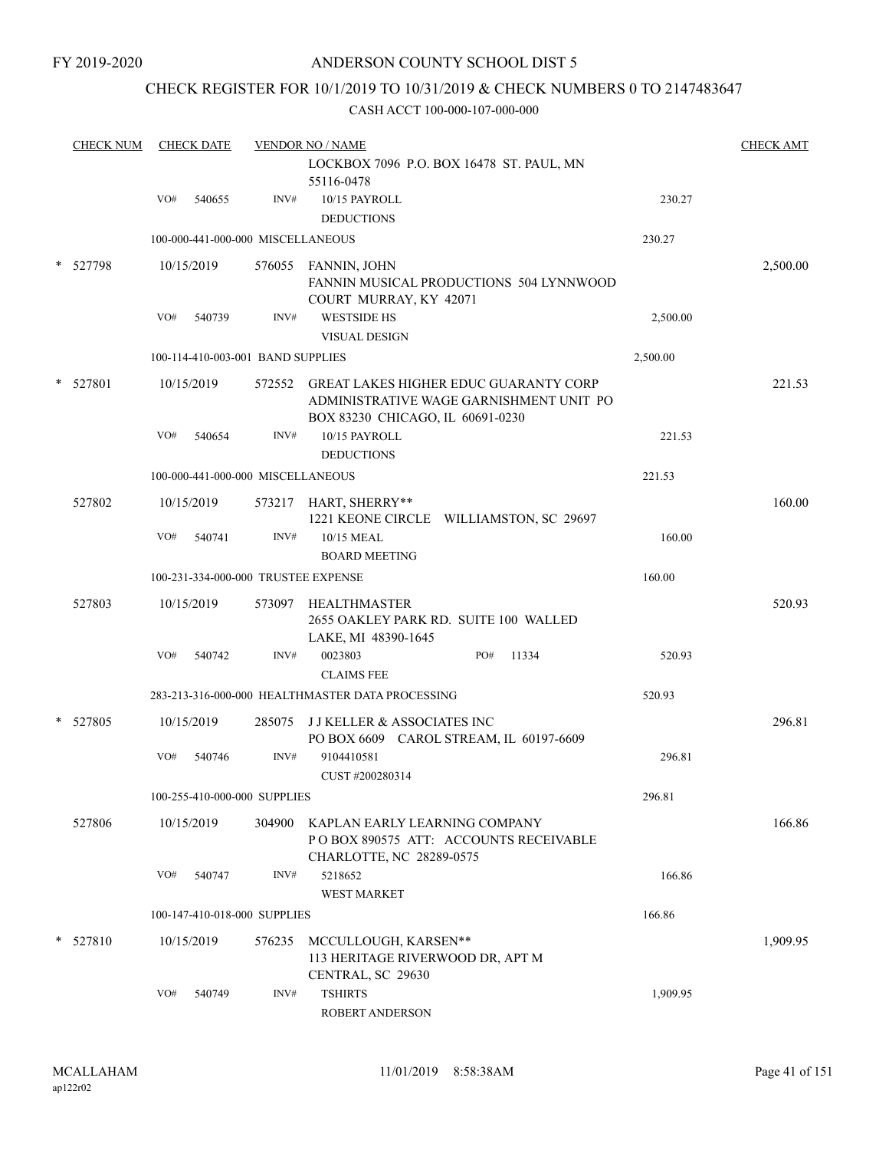### CHECK REGISTER FOR 10/1/2019 TO 10/31/2019 & CHECK NUMBERS 0 TO 2147483647

|   | <b>CHECK NUM</b> |     | <b>CHECK DATE</b>                 |        | <b>VENDOR NO / NAME</b><br>LOCKBOX 7096 P.O. BOX 16478 ST. PAUL, MN<br>55116-0478                                           |          | <b>CHECK AMT</b> |
|---|------------------|-----|-----------------------------------|--------|-----------------------------------------------------------------------------------------------------------------------------|----------|------------------|
|   |                  | VO# | 540655                            | INV#   | 10/15 PAYROLL<br><b>DEDUCTIONS</b>                                                                                          | 230.27   |                  |
|   |                  |     | 100-000-441-000-000 MISCELLANEOUS |        |                                                                                                                             | 230.27   |                  |
| * | 527798           |     | 10/15/2019                        |        | 576055 FANNIN, JOHN<br>FANNIN MUSICAL PRODUCTIONS 504 LYNNWOOD<br>COURT MURRAY, KY 42071                                    |          | 2,500.00         |
|   |                  | VO# | 540739                            | INV#   | <b>WESTSIDE HS</b>                                                                                                          | 2,500.00 |                  |
|   |                  |     | 100-114-410-003-001 BAND SUPPLIES |        | <b>VISUAL DESIGN</b>                                                                                                        | 2,500.00 |                  |
|   |                  |     |                                   |        |                                                                                                                             |          |                  |
|   | * 527801         |     | 10/15/2019                        |        | 572552 GREAT LAKES HIGHER EDUC GUARANTY CORP<br>ADMINISTRATIVE WAGE GARNISHMENT UNIT PO<br>BOX 83230 CHICAGO, IL 60691-0230 |          | 221.53           |
|   |                  | VO# | 540654                            | INV#   | 10/15 PAYROLL<br><b>DEDUCTIONS</b>                                                                                          | 221.53   |                  |
|   |                  |     | 100-000-441-000-000 MISCELLANEOUS |        |                                                                                                                             | 221.53   |                  |
|   | 527802           |     | 10/15/2019                        |        | 573217 HART, SHERRY**<br>1221 KEONE CIRCLE WILLIAMSTON, SC 29697                                                            |          | 160.00           |
|   |                  | VO# | 540741                            | INV#   | 10/15 MEAL<br><b>BOARD MEETING</b>                                                                                          | 160.00   |                  |
|   |                  |     |                                   |        | 100-231-334-000-000 TRUSTEE EXPENSE                                                                                         | 160.00   |                  |
|   | 527803           |     | 10/15/2019                        |        | 573097 HEALTHMASTER<br>2655 OAKLEY PARK RD. SUITE 100 WALLED<br>LAKE, MI 48390-1645                                         |          | 520.93           |
|   |                  | VO# | 540742                            | INV#   | 0023803<br>PO#<br>11334<br><b>CLAIMS FEE</b>                                                                                | 520.93   |                  |
|   |                  |     |                                   |        | 283-213-316-000-000 HEALTHMASTER DATA PROCESSING                                                                            | 520.93   |                  |
|   | 527805           |     | 10/15/2019                        | 285075 | <b>JJKELLER &amp; ASSOCIATES INC</b><br>PO BOX 6609 CAROL STREAM, IL 60197-6609                                             |          | 296.81           |
|   |                  | VO# | 540746                            | INV#   | 9104410581<br>CUST #200280314                                                                                               | 296.81   |                  |
|   |                  |     | 100-255-410-000-000 SUPPLIES      |        |                                                                                                                             | 296.81   |                  |
|   | 527806           |     | 10/15/2019                        | 304900 | KAPLAN EARLY LEARNING COMPANY<br>POBOX 890575 ATT: ACCOUNTS RECEIVABLE<br>CHARLOTTE, NC 28289-0575                          |          | 166.86           |
|   |                  | VO# | 540747                            | INV#   | 5218652<br>WEST MARKET                                                                                                      | 166.86   |                  |
|   |                  |     | 100-147-410-018-000 SUPPLIES      |        |                                                                                                                             | 166.86   |                  |
|   | $*$ 527810       |     | 10/15/2019                        | 576235 | MCCULLOUGH, KARSEN**<br>113 HERITAGE RIVERWOOD DR, APT M<br>CENTRAL, SC 29630                                               |          | 1,909.95         |
|   |                  | VO# | 540749                            | INV#   | <b>TSHIRTS</b><br>ROBERT ANDERSON                                                                                           | 1,909.95 |                  |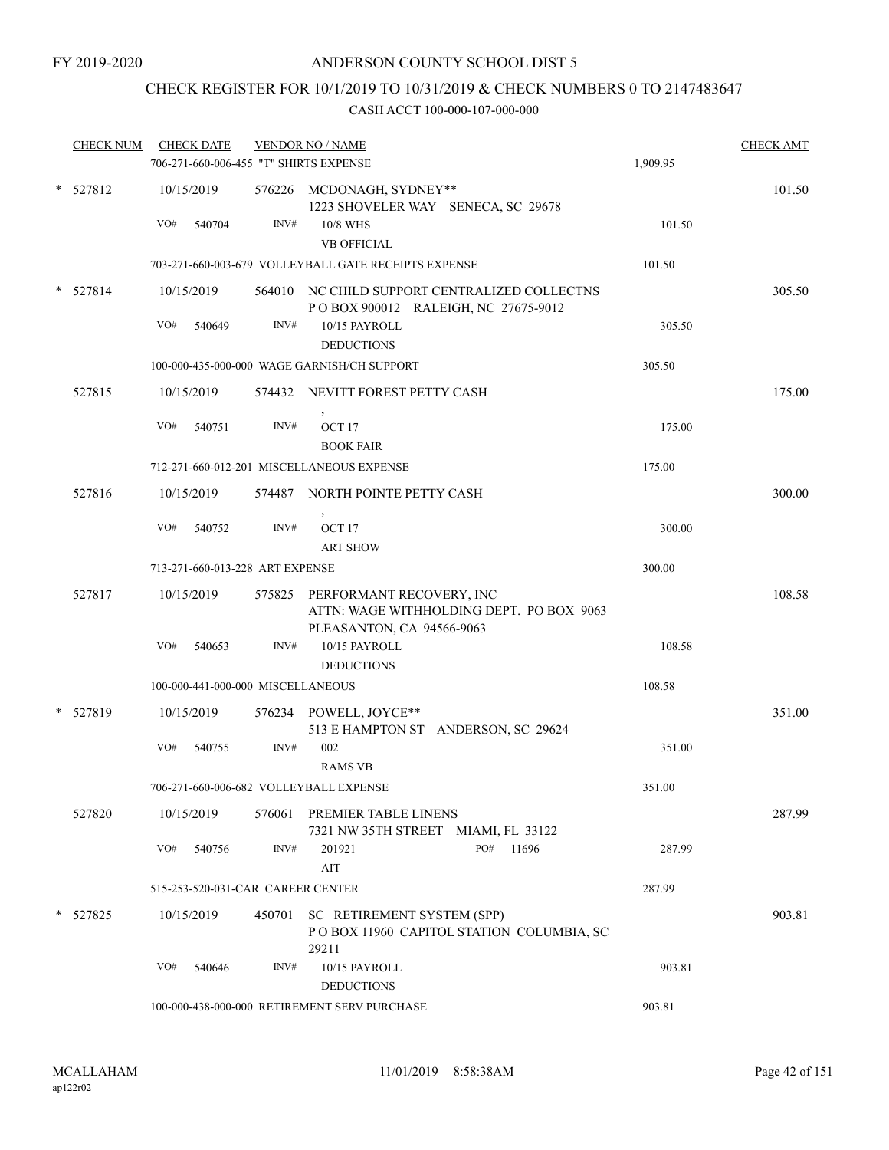## CHECK REGISTER FOR 10/1/2019 TO 10/31/2019 & CHECK NUMBERS 0 TO 2147483647

| <b>CHECK NUM</b> |            | <b>CHECK DATE</b>                 |        | <b>VENDOR NO / NAME</b>                                                                                  |          | <b>CHECK AMT</b> |
|------------------|------------|-----------------------------------|--------|----------------------------------------------------------------------------------------------------------|----------|------------------|
|                  |            |                                   |        | 706-271-660-006-455 "T" SHIRTS EXPENSE                                                                   | 1,909.95 |                  |
| $*$ 527812       | 10/15/2019 |                                   |        | 576226 MCDONAGH, SYDNEY**<br>1223 SHOVELER WAY SENECA, SC 29678                                          |          | 101.50           |
|                  | VO#        | 540704                            | INV#   | 10/8 WHS<br><b>VB OFFICIAL</b>                                                                           | 101.50   |                  |
|                  |            |                                   |        | 703-271-660-003-679 VOLLEYBALL GATE RECEIPTS EXPENSE                                                     | 101.50   |                  |
| $*$ 527814       | 10/15/2019 |                                   |        | 564010 NC CHILD SUPPORT CENTRALIZED COLLECTNS<br>POBOX 900012 RALEIGH, NC 27675-9012                     |          | 305.50           |
|                  | VO#        | 540649                            | INV#   | 10/15 PAYROLL<br><b>DEDUCTIONS</b>                                                                       | 305.50   |                  |
|                  |            |                                   |        | 100-000-435-000-000 WAGE GARNISH/CH SUPPORT                                                              | 305.50   |                  |
| 527815           | 10/15/2019 |                                   |        | 574432 NEVITT FOREST PETTY CASH                                                                          |          | 175.00           |
|                  | VO#        | 540751                            | INV#   | OCT <sub>17</sub><br><b>BOOK FAIR</b>                                                                    | 175.00   |                  |
|                  |            |                                   |        | 712-271-660-012-201 MISCELLANEOUS EXPENSE                                                                | 175.00   |                  |
| 527816           | 10/15/2019 |                                   |        | 574487 NORTH POINTE PETTY CASH                                                                           |          | 300.00           |
|                  | VO#        | 540752                            | INV#   | OCT <sub>17</sub><br><b>ART SHOW</b>                                                                     | 300.00   |                  |
|                  |            | 713-271-660-013-228 ART EXPENSE   |        |                                                                                                          | 300.00   |                  |
| 527817           | 10/15/2019 |                                   |        | 575825 PERFORMANT RECOVERY, INC<br>ATTN: WAGE WITHHOLDING DEPT. PO BOX 9063<br>PLEASANTON, CA 94566-9063 |          | 108.58           |
|                  | VO#        | 540653                            | INV#   | 10/15 PAYROLL<br><b>DEDUCTIONS</b>                                                                       | 108.58   |                  |
|                  |            | 100-000-441-000-000 MISCELLANEOUS |        |                                                                                                          | 108.58   |                  |
| * 527819         | 10/15/2019 |                                   |        | 576234 POWELL, JOYCE**<br>513 E HAMPTON ST ANDERSON, SC 29624                                            |          | 351.00           |
|                  | VO#        | 540755                            | INV#   | 002<br><b>RAMS VB</b>                                                                                    | 351.00   |                  |
|                  |            |                                   |        | 706-271-660-006-682 VOLLEYBALL EXPENSE                                                                   | 351.00   |                  |
| 527820           | 10/15/2019 |                                   | 576061 | PREMIER TABLE LINENS<br>7321 NW 35TH STREET MIAMI, FL 33122                                              |          | 287.99           |
|                  | VO#        | 540756                            | INV#   | PO#<br>201921<br>11696<br>AIT                                                                            | 287.99   |                  |
|                  |            | 515-253-520-031-CAR CAREER CENTER |        |                                                                                                          | 287.99   |                  |
| * 527825         | 10/15/2019 |                                   |        | 450701 SC RETIREMENT SYSTEM (SPP)<br>POBOX 11960 CAPITOL STATION COLUMBIA, SC<br>29211                   |          | 903.81           |
|                  | VO#        | 540646                            | INV#   | 10/15 PAYROLL<br><b>DEDUCTIONS</b>                                                                       | 903.81   |                  |
|                  |            |                                   |        | 100-000-438-000-000 RETIREMENT SERV PURCHASE                                                             | 903.81   |                  |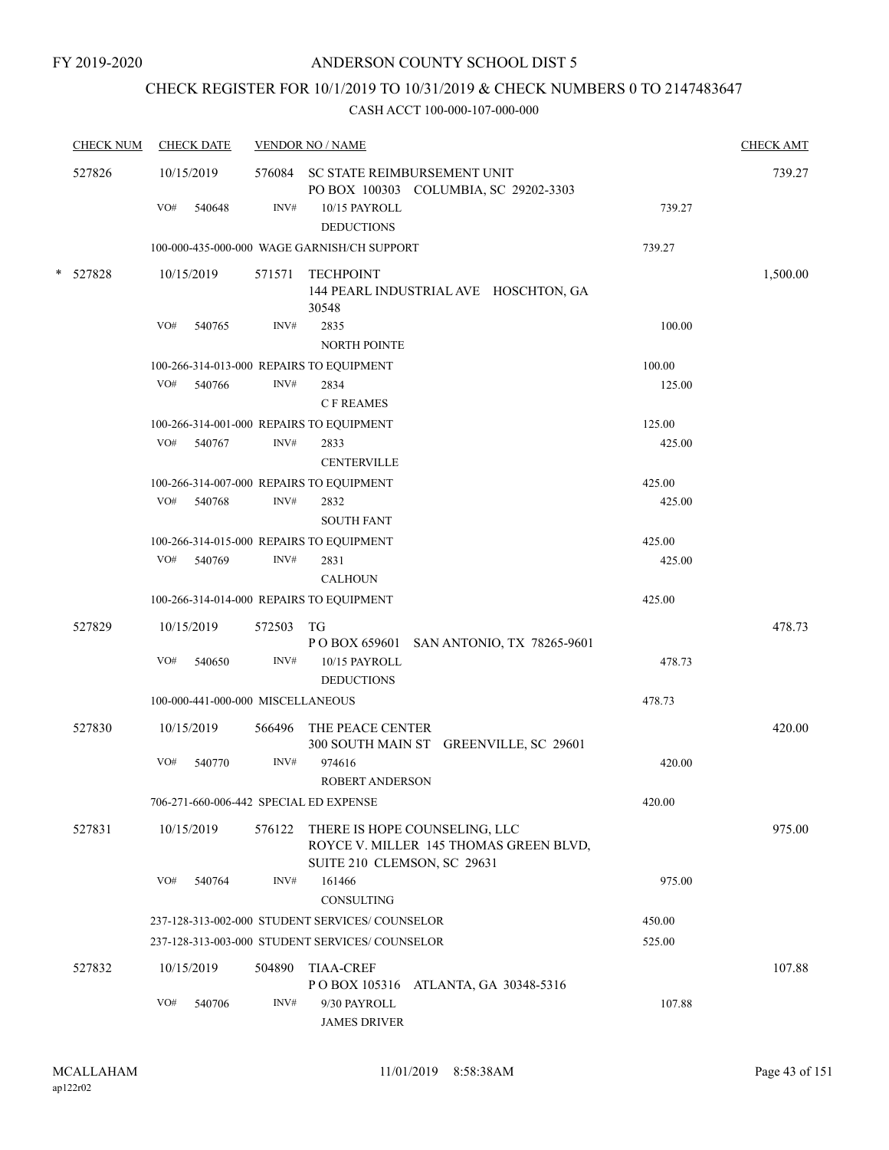## CHECK REGISTER FOR 10/1/2019 TO 10/31/2019 & CHECK NUMBERS 0 TO 2147483647

| <b>CHECK NUM</b> | <b>CHECK DATE</b>                      |        | <b>VENDOR NO / NAME</b>                                                                                |        | <b>CHECK AMT</b> |
|------------------|----------------------------------------|--------|--------------------------------------------------------------------------------------------------------|--------|------------------|
| 527826           | 10/15/2019                             |        | 576084 SC STATE REIMBURSEMENT UNIT<br>PO BOX 100303 COLUMBIA, SC 29202-3303                            |        | 739.27           |
|                  | VO#<br>540648                          | INV#   | 10/15 PAYROLL<br><b>DEDUCTIONS</b>                                                                     | 739.27 |                  |
|                  |                                        |        | 100-000-435-000-000 WAGE GARNISH/CH SUPPORT                                                            | 739.27 |                  |
| * 527828         | 10/15/2019                             |        | 571571 TECHPOINT<br>144 PEARL INDUSTRIAL AVE HOSCHTON, GA<br>30548                                     |        | 1,500.00         |
|                  | VO#<br>540765                          | INV#   | 2835<br><b>NORTH POINTE</b>                                                                            | 100.00 |                  |
|                  |                                        |        | 100-266-314-013-000 REPAIRS TO EQUIPMENT                                                               | 100.00 |                  |
|                  | VO#<br>540766                          | INV#   | 2834<br><b>CF REAMES</b>                                                                               | 125.00 |                  |
|                  |                                        |        | 100-266-314-001-000 REPAIRS TO EQUIPMENT                                                               | 125.00 |                  |
|                  | VO# 540767                             | INV#   | 2833<br><b>CENTERVILLE</b>                                                                             | 425.00 |                  |
|                  |                                        |        | 100-266-314-007-000 REPAIRS TO EQUIPMENT                                                               | 425.00 |                  |
|                  | VO#<br>540768                          | INV#   | 2832<br><b>SOUTH FANT</b>                                                                              | 425.00 |                  |
|                  |                                        |        | 100-266-314-015-000 REPAIRS TO EQUIPMENT                                                               | 425.00 |                  |
|                  | VO#<br>540769                          | INV#   | 2831<br><b>CALHOUN</b>                                                                                 | 425.00 |                  |
|                  |                                        |        | 100-266-314-014-000 REPAIRS TO EQUIPMENT                                                               | 425.00 |                  |
| 527829           | 10/15/2019                             | 572503 | TG<br>P O BOX 659601 SAN ANTONIO, TX 78265-9601                                                        |        | 478.73           |
|                  | VO#<br>540650                          | INV#   | 10/15 PAYROLL<br><b>DEDUCTIONS</b>                                                                     | 478.73 |                  |
|                  | 100-000-441-000-000 MISCELLANEOUS      |        |                                                                                                        | 478.73 |                  |
| 527830           | 10/15/2019                             | 566496 | THE PEACE CENTER<br>300 SOUTH MAIN ST GREENVILLE, SC 29601                                             |        | 420.00           |
|                  | VO#<br>540770                          | INV#   | 974616<br><b>ROBERT ANDERSON</b>                                                                       | 420.00 |                  |
|                  | 706-271-660-006-442 SPECIAL ED EXPENSE |        |                                                                                                        | 420.00 |                  |
| 527831           | 10/15/2019                             | 576122 | THERE IS HOPE COUNSELING, LLC<br>ROYCE V. MILLER 145 THOMAS GREEN BLVD,<br>SUITE 210 CLEMSON, SC 29631 |        | 975.00           |
|                  | VO#<br>540764                          | INV#   | 161466<br>CONSULTING                                                                                   | 975.00 |                  |
|                  |                                        |        | 237-128-313-002-000 STUDENT SERVICES/ COUNSELOR                                                        | 450.00 |                  |
|                  |                                        |        | 237-128-313-003-000 STUDENT SERVICES/COUNSELOR                                                         | 525.00 |                  |
| 527832           | 10/15/2019                             | 504890 | <b>TIAA-CREF</b><br>P O BOX 105316 ATLANTA, GA 30348-5316                                              |        | 107.88           |
|                  | VO#<br>540706                          | INV#   | 9/30 PAYROLL<br><b>JAMES DRIVER</b>                                                                    | 107.88 |                  |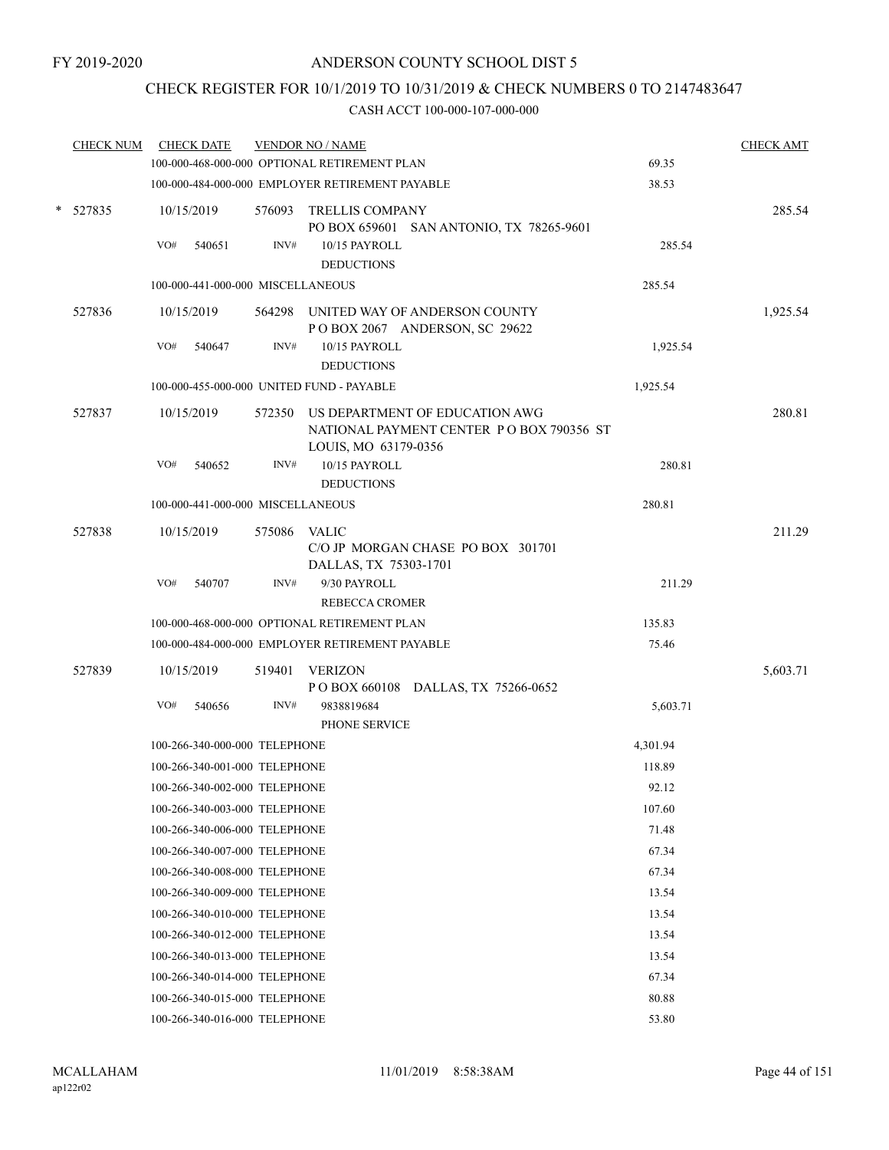## CHECK REGISTER FOR 10/1/2019 TO 10/31/2019 & CHECK NUMBERS 0 TO 2147483647

| <b>CHECK NUM</b> | <b>CHECK DATE</b>                         |              | <b>VENDOR NO / NAME</b>                                                                                   |          | <b>CHECK AMT</b> |
|------------------|-------------------------------------------|--------------|-----------------------------------------------------------------------------------------------------------|----------|------------------|
|                  |                                           |              | 100-000-468-000-000 OPTIONAL RETIREMENT PLAN                                                              | 69.35    |                  |
|                  |                                           |              | 100-000-484-000-000 EMPLOYER RETIREMENT PAYABLE                                                           | 38.53    |                  |
| $*$ 527835       | 10/15/2019                                |              | 576093 TRELLIS COMPANY<br>PO BOX 659601 SAN ANTONIO, TX 78265-9601                                        |          | 285.54           |
|                  | VO#<br>540651                             | INV#         | 10/15 PAYROLL<br><b>DEDUCTIONS</b>                                                                        | 285.54   |                  |
|                  | 100-000-441-000-000 MISCELLANEOUS         |              |                                                                                                           | 285.54   |                  |
| 527836           | 10/15/2019                                |              | 564298 UNITED WAY OF ANDERSON COUNTY<br>POBOX 2067 ANDERSON, SC 29622                                     |          | 1,925.54         |
|                  | VO#<br>540647                             | INV#         | 10/15 PAYROLL<br><b>DEDUCTIONS</b>                                                                        | 1,925.54 |                  |
|                  | 100-000-455-000-000 UNITED FUND - PAYABLE |              |                                                                                                           | 1,925.54 |                  |
| 527837           | 10/15/2019                                |              | 572350 US DEPARTMENT OF EDUCATION AWG<br>NATIONAL PAYMENT CENTER PO BOX 790356 ST<br>LOUIS, MO 63179-0356 |          | 280.81           |
|                  | VO#<br>540652                             | INV#         | 10/15 PAYROLL<br><b>DEDUCTIONS</b>                                                                        | 280.81   |                  |
|                  | 100-000-441-000-000 MISCELLANEOUS         |              |                                                                                                           | 280.81   |                  |
| 527838           | 10/15/2019                                | 575086 VALIC |                                                                                                           |          | 211.29           |
|                  |                                           |              | C/O JP MORGAN CHASE PO BOX 301701<br>DALLAS, TX 75303-1701                                                |          |                  |
|                  | VO#<br>540707                             | INV#         | 9/30 PAYROLL<br><b>REBECCA CROMER</b>                                                                     | 211.29   |                  |
|                  |                                           |              | 100-000-468-000-000 OPTIONAL RETIREMENT PLAN                                                              | 135.83   |                  |
|                  |                                           |              | 100-000-484-000-000 EMPLOYER RETIREMENT PAYABLE                                                           | 75.46    |                  |
| 527839           | 10/15/2019                                | 519401       | VERIZON                                                                                                   |          | 5,603.71         |
|                  | VO#<br>540656                             | INV#         | POBOX 660108 DALLAS, TX 75266-0652<br>9838819684                                                          | 5,603.71 |                  |
|                  |                                           |              | PHONE SERVICE                                                                                             |          |                  |
|                  | 100-266-340-000-000 TELEPHONE             |              |                                                                                                           | 4,301.94 |                  |
|                  | 100-266-340-001-000 TELEPHONE             |              |                                                                                                           | 118.89   |                  |
|                  | 100-266-340-002-000 TELEPHONE             |              |                                                                                                           | 92.12    |                  |
|                  | 100-266-340-003-000 TELEPHONE             |              |                                                                                                           | 107.60   |                  |
|                  | 100-266-340-006-000 TELEPHONE             |              |                                                                                                           | 71.48    |                  |
|                  | 100-266-340-007-000 TELEPHONE             |              |                                                                                                           | 67.34    |                  |
|                  | 100-266-340-008-000 TELEPHONE             |              |                                                                                                           | 67.34    |                  |
|                  | 100-266-340-009-000 TELEPHONE             |              |                                                                                                           | 13.54    |                  |
|                  | 100-266-340-010-000 TELEPHONE             |              |                                                                                                           | 13.54    |                  |
|                  | 100-266-340-012-000 TELEPHONE             |              |                                                                                                           | 13.54    |                  |
|                  | 100-266-340-013-000 TELEPHONE             |              |                                                                                                           | 13.54    |                  |
|                  | 100-266-340-014-000 TELEPHONE             |              |                                                                                                           | 67.34    |                  |
|                  | 100-266-340-015-000 TELEPHONE             |              |                                                                                                           | 80.88    |                  |
|                  | 100-266-340-016-000 TELEPHONE             |              |                                                                                                           | 53.80    |                  |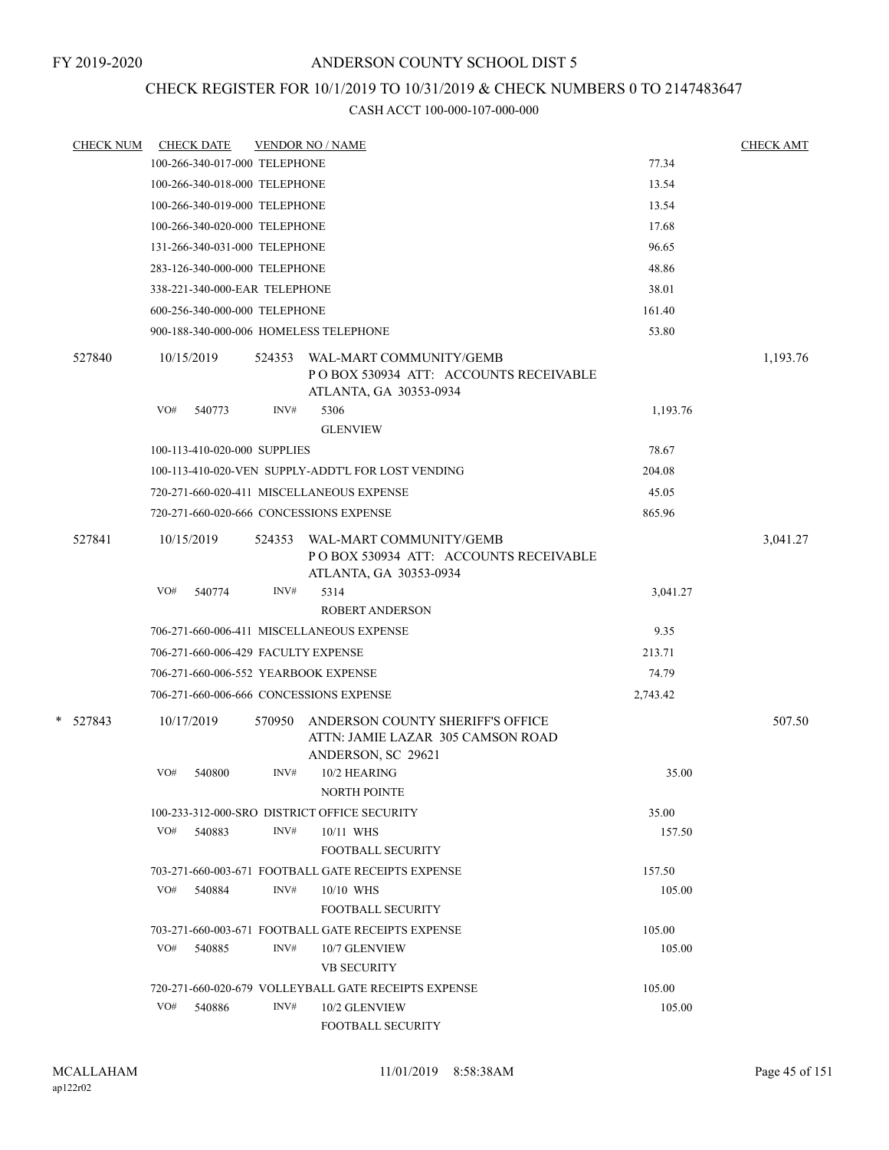### CHECK REGISTER FOR 10/1/2019 TO 10/31/2019 & CHECK NUMBERS 0 TO 2147483647

| <b>CHECK NUM</b> | <b>CHECK DATE</b>                       |        | <b>VENDOR NO / NAME</b>                                                                     |          | <b>CHECK AMT</b> |
|------------------|-----------------------------------------|--------|---------------------------------------------------------------------------------------------|----------|------------------|
|                  | 100-266-340-017-000 TELEPHONE           |        |                                                                                             | 77.34    |                  |
|                  | 100-266-340-018-000 TELEPHONE           |        |                                                                                             | 13.54    |                  |
|                  | 100-266-340-019-000 TELEPHONE           |        |                                                                                             | 13.54    |                  |
|                  | 100-266-340-020-000 TELEPHONE           |        |                                                                                             | 17.68    |                  |
|                  | 131-266-340-031-000 TELEPHONE           |        |                                                                                             | 96.65    |                  |
|                  | 283-126-340-000-000 TELEPHONE           |        |                                                                                             | 48.86    |                  |
|                  | 338-221-340-000-EAR TELEPHONE           |        |                                                                                             | 38.01    |                  |
|                  | 600-256-340-000-000 TELEPHONE           |        |                                                                                             | 161.40   |                  |
|                  | 900-188-340-000-006 HOMELESS TELEPHONE  |        |                                                                                             | 53.80    |                  |
| 527840           | 10/15/2019                              | 524353 | WAL-MART COMMUNITY/GEMB<br>PO BOX 530934 ATT: ACCOUNTS RECEIVABLE<br>ATLANTA, GA 30353-0934 |          | 1,193.76         |
|                  | VO#<br>540773                           | INV#   | 5306<br><b>GLENVIEW</b>                                                                     | 1,193.76 |                  |
|                  | 100-113-410-020-000 SUPPLIES            |        |                                                                                             | 78.67    |                  |
|                  |                                         |        | 100-113-410-020-VEN SUPPLY-ADDT'L FOR LOST VENDING                                          | 204.08   |                  |
|                  |                                         |        | 720-271-660-020-411 MISCELLANEOUS EXPENSE                                                   | 45.05    |                  |
|                  | 720-271-660-020-666 CONCESSIONS EXPENSE |        |                                                                                             | 865.96   |                  |
| 527841           | 10/15/2019                              | 524353 | WAL-MART COMMUNITY/GEMB<br>POBOX 530934 ATT: ACCOUNTS RECEIVABLE<br>ATLANTA, GA 30353-0934  |          | 3,041.27         |
|                  | VO#<br>540774                           | INV#   | 5314<br><b>ROBERT ANDERSON</b>                                                              | 3,041.27 |                  |
|                  |                                         |        | 706-271-660-006-411 MISCELLANEOUS EXPENSE                                                   | 9.35     |                  |
|                  | 706-271-660-006-429 FACULTY EXPENSE     |        |                                                                                             | 213.71   |                  |
|                  | 706-271-660-006-552 YEARBOOK EXPENSE    |        |                                                                                             | 74.79    |                  |
|                  | 706-271-660-006-666 CONCESSIONS EXPENSE |        |                                                                                             | 2,743.42 |                  |
| $*$ 527843       | 10/17/2019                              | 570950 | ANDERSON COUNTY SHERIFF'S OFFICE<br>ATTN: JAMIE LAZAR 305 CAMSON ROAD<br>ANDERSON, SC 29621 |          | 507.50           |
|                  | VO#<br>540800                           | INV#   | 10/2 HEARING<br>NORTH POINTE                                                                | 35.00    |                  |
|                  |                                         |        | 100-233-312-000-SRO DISTRICT OFFICE SECURITY                                                | 35.00    |                  |
|                  | VO#<br>540883                           | INV#   | 10/11 WHS<br><b>FOOTBALL SECURITY</b>                                                       | 157.50   |                  |
|                  |                                         |        | 703-271-660-003-671 FOOTBALL GATE RECEIPTS EXPENSE                                          | 157.50   |                  |
|                  | VO#<br>540884                           | INV#   | 10/10 WHS<br><b>FOOTBALL SECURITY</b>                                                       | 105.00   |                  |
|                  |                                         |        | 703-271-660-003-671 FOOTBALL GATE RECEIPTS EXPENSE                                          | 105.00   |                  |
|                  | VO#<br>540885                           | INV#   | 10/7 GLENVIEW<br><b>VB SECURITY</b>                                                         | 105.00   |                  |
|                  |                                         |        | 720-271-660-020-679 VOLLEYBALL GATE RECEIPTS EXPENSE                                        | 105.00   |                  |
|                  | VO#<br>540886                           | INV#   | 10/2 GLENVIEW<br><b>FOOTBALL SECURITY</b>                                                   | 105.00   |                  |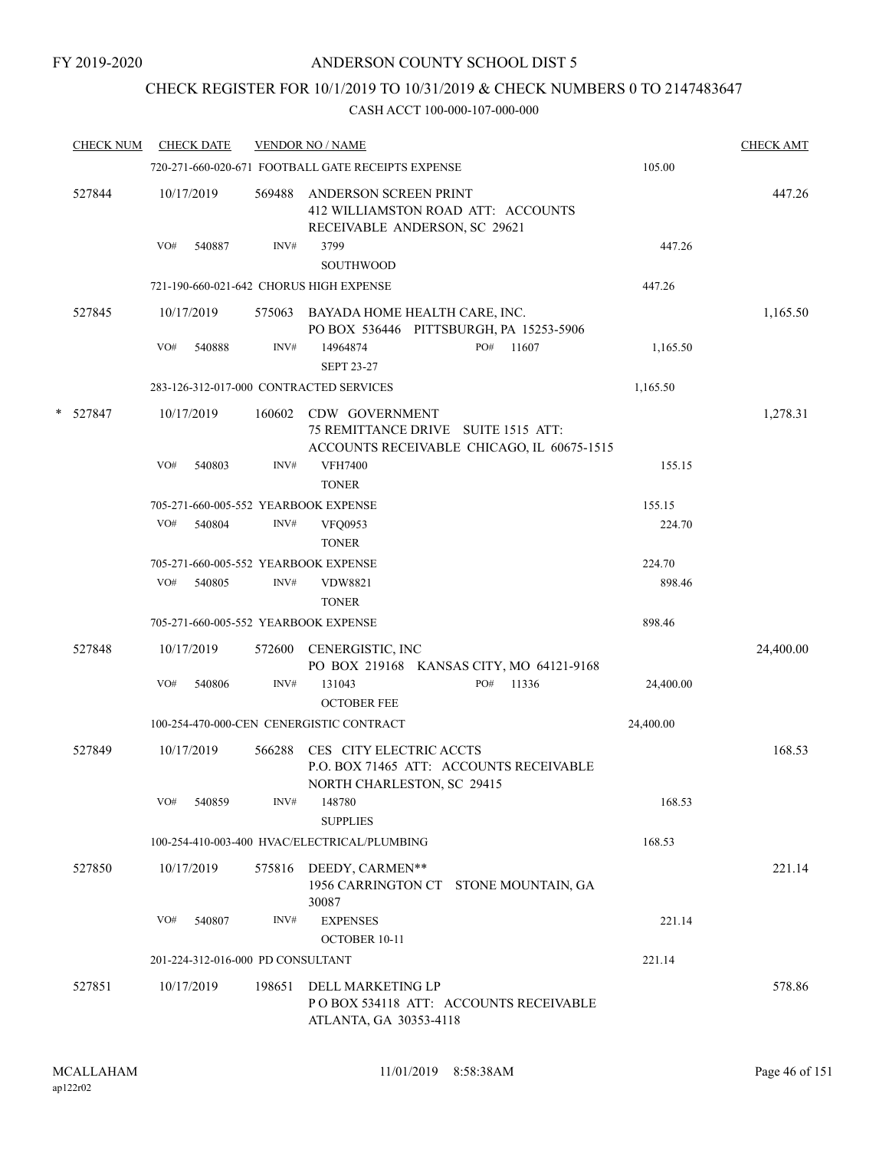### CHECK REGISTER FOR 10/1/2019 TO 10/31/2019 & CHECK NUMBERS 0 TO 2147483647

|   | <b>CHECK NUM</b> | <b>CHECK DATE</b>                       |        | <b>VENDOR NO / NAME</b>                                                                             |           | <b>CHECK AMT</b> |
|---|------------------|-----------------------------------------|--------|-----------------------------------------------------------------------------------------------------|-----------|------------------|
|   |                  |                                         |        | 720-271-660-020-671 FOOTBALL GATE RECEIPTS EXPENSE                                                  | 105.00    |                  |
|   | 527844           | 10/17/2019                              | 569488 | ANDERSON SCREEN PRINT<br>412 WILLIAMSTON ROAD ATT: ACCOUNTS<br>RECEIVABLE ANDERSON, SC 29621        |           | 447.26           |
|   |                  | VO#<br>540887                           | INV#   | 3799<br><b>SOUTHWOOD</b>                                                                            | 447.26    |                  |
|   |                  | 721-190-660-021-642 CHORUS HIGH EXPENSE |        |                                                                                                     | 447.26    |                  |
|   | 527845           | 10/17/2019                              |        | 575063 BAYADA HOME HEALTH CARE, INC.<br>PO BOX 536446 PITTSBURGH, PA 15253-5906                     |           | 1,165.50         |
|   |                  | VO#<br>540888                           | INV#   | PO#<br>14964874<br>11607<br><b>SEPT 23-27</b>                                                       | 1,165.50  |                  |
|   |                  | 283-126-312-017-000 CONTRACTED SERVICES |        |                                                                                                     | 1,165.50  |                  |
| * | 527847           | 10/17/2019                              | 160602 | CDW GOVERNMENT<br>75 REMITTANCE DRIVE SUITE 1515 ATT:<br>ACCOUNTS RECEIVABLE CHICAGO, IL 60675-1515 |           | 1,278.31         |
|   |                  | VO#<br>540803                           | INV#   | <b>VFH7400</b><br><b>TONER</b>                                                                      | 155.15    |                  |
|   |                  | 705-271-660-005-552 YEARBOOK EXPENSE    |        |                                                                                                     | 155.15    |                  |
|   |                  | VO#<br>540804                           | INV#   | <b>VFO0953</b><br><b>TONER</b>                                                                      | 224.70    |                  |
|   |                  | 705-271-660-005-552 YEARBOOK EXPENSE    |        |                                                                                                     | 224.70    |                  |
|   |                  | VO#<br>540805                           | INV#   | <b>VDW8821</b><br><b>TONER</b>                                                                      | 898.46    |                  |
|   |                  | 705-271-660-005-552 YEARBOOK EXPENSE    |        |                                                                                                     | 898.46    |                  |
|   | 527848           | 10/17/2019                              | 572600 | CENERGISTIC, INC<br>PO BOX 219168 KANSAS CITY, MO 64121-9168                                        |           | 24,400.00        |
|   |                  | VO#<br>540806                           | INV#   | PO#<br>11336<br>131043<br><b>OCTOBER FEE</b>                                                        | 24,400.00 |                  |
|   |                  |                                         |        | 100-254-470-000-CEN CENERGISTIC CONTRACT                                                            | 24,400.00 |                  |
|   | 527849           | 10/17/2019                              | 566288 | CES CITY ELECTRIC ACCTS<br>P.O. BOX 71465 ATT: ACCOUNTS RECEIVABLE<br>NORTH CHARLESTON, SC 29415    |           | 168.53           |
|   |                  | VO#<br>540859                           | INV#   | 148780<br><b>SUPPLIES</b>                                                                           | 168.53    |                  |
|   |                  |                                         |        | 100-254-410-003-400 HVAC/ELECTRICAL/PLUMBING                                                        | 168.53    |                  |
|   | 527850           | 10/17/2019                              |        | 575816 DEEDY, CARMEN**<br>1956 CARRINGTON CT STONE MOUNTAIN, GA<br>30087                            |           | 221.14           |
|   |                  | VO#<br>540807                           | INV#   | <b>EXPENSES</b><br><b>OCTOBER 10-11</b>                                                             | 221.14    |                  |
|   |                  | 201-224-312-016-000 PD CONSULTANT       |        |                                                                                                     | 221.14    |                  |
|   | 527851           | 10/17/2019                              | 198651 | DELL MARKETING LP<br>POBOX 534118 ATT: ACCOUNTS RECEIVABLE<br>ATLANTA, GA 30353-4118                |           | 578.86           |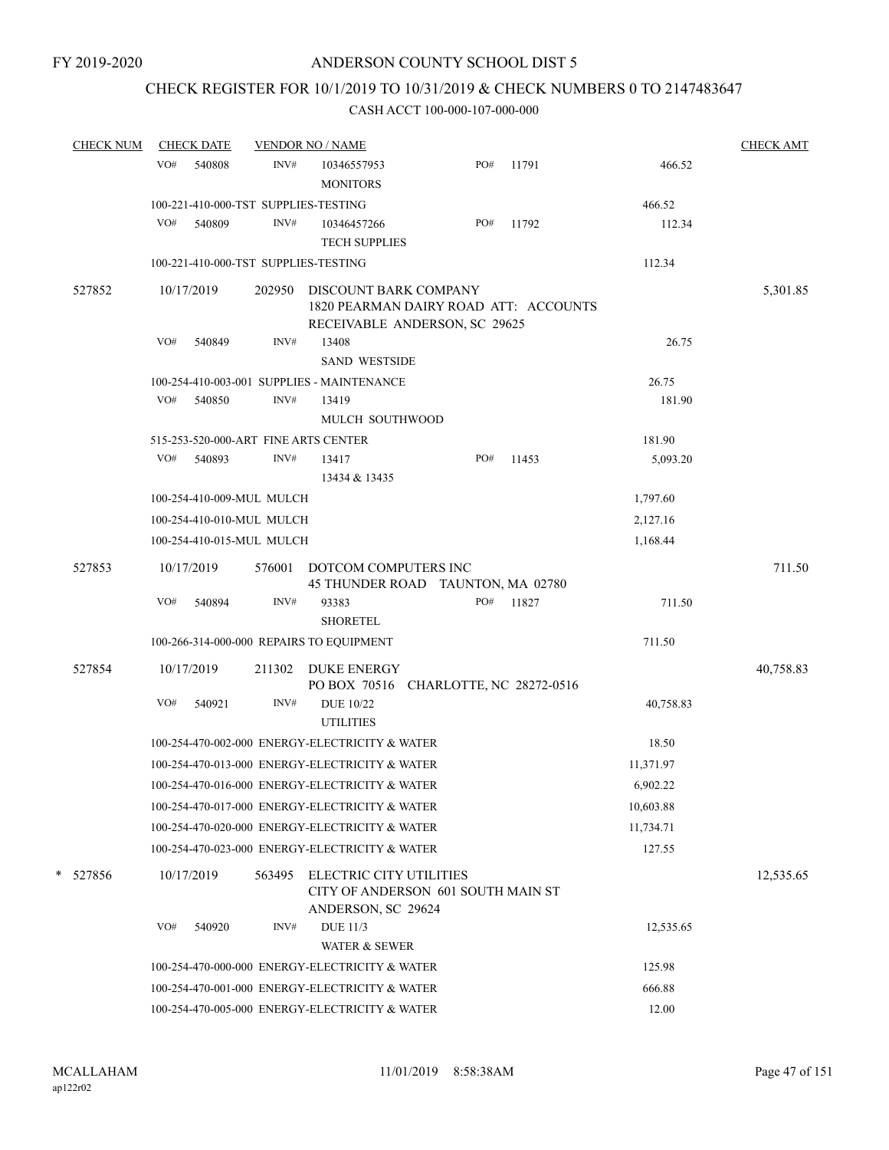### CHECK REGISTER FOR 10/1/2019 TO 10/31/2019 & CHECK NUMBERS 0 TO 2147483647

| <b>CHECK NUM</b> |     | <b>CHECK DATE</b>         |        | <b>VENDOR NO / NAME</b>                                                                         |     |       |           | <b>CHECK AMT</b> |
|------------------|-----|---------------------------|--------|-------------------------------------------------------------------------------------------------|-----|-------|-----------|------------------|
|                  | VO# | 540808                    | INV#   | 10346557953<br><b>MONITORS</b>                                                                  | PO# | 11791 | 466.52    |                  |
|                  |     |                           |        | 100-221-410-000-TST SUPPLIES-TESTING                                                            |     |       | 466.52    |                  |
|                  | VO# | 540809                    | INV#   | 10346457266<br><b>TECH SUPPLIES</b>                                                             | PO# | 11792 | 112.34    |                  |
|                  |     |                           |        | 100-221-410-000-TST SUPPLIES-TESTING                                                            |     |       | 112.34    |                  |
| 527852           |     | 10/17/2019                | 202950 | DISCOUNT BARK COMPANY<br>1820 PEARMAN DAIRY ROAD ATT: ACCOUNTS<br>RECEIVABLE ANDERSON, SC 29625 |     |       |           | 5,301.85         |
|                  | VO# | 540849                    | INV#   | 13408<br><b>SAND WESTSIDE</b>                                                                   |     |       | 26.75     |                  |
|                  |     |                           |        | 100-254-410-003-001 SUPPLIES - MAINTENANCE                                                      |     |       | 26.75     |                  |
|                  | VO# | 540850                    | INV#   | 13419<br>MULCH SOUTHWOOD                                                                        |     |       | 181.90    |                  |
|                  |     |                           |        | 515-253-520-000-ART FINE ARTS CENTER                                                            |     |       | 181.90    |                  |
|                  |     | VO# 540893                | INV#   | 13417<br>13434 & 13435                                                                          | PO# | 11453 | 5,093.20  |                  |
|                  |     | 100-254-410-009-MUL MULCH |        |                                                                                                 |     |       | 1,797.60  |                  |
|                  |     | 100-254-410-010-MUL MULCH |        |                                                                                                 |     |       | 2,127.16  |                  |
|                  |     | 100-254-410-015-MUL MULCH |        |                                                                                                 |     |       | 1,168.44  |                  |
| 527853           |     | 10/17/2019                | 576001 | DOTCOM COMPUTERS INC<br>45 THUNDER ROAD TAUNTON, MA 02780                                       |     |       |           | 711.50           |
|                  | VO# | 540894                    | INV#   | 93383<br><b>SHORETEL</b>                                                                        | PO# | 11827 | 711.50    |                  |
|                  |     |                           |        | 100-266-314-000-000 REPAIRS TO EQUIPMENT                                                        |     |       | 711.50    |                  |
| 527854           |     | 10/17/2019                |        | 211302 DUKE ENERGY<br>PO BOX 70516 CHARLOTTE, NC 28272-0516                                     |     |       |           | 40,758.83        |
|                  | VO# | 540921                    | INV#   | <b>DUE 10/22</b><br><b>UTILITIES</b>                                                            |     |       | 40,758.83 |                  |
|                  |     |                           |        | 100-254-470-002-000 ENERGY-ELECTRICITY & WATER                                                  |     |       | 18.50     |                  |
|                  |     |                           |        | 100-254-470-013-000 ENERGY-ELECTRICITY & WATER                                                  |     |       | 11,371.97 |                  |
|                  |     |                           |        | 100-254-470-016-000 ENERGY-ELECTRICITY & WATER                                                  |     |       | 6,902.22  |                  |
|                  |     |                           |        | 100-254-470-017-000 ENERGY-ELECTRICITY & WATER                                                  |     |       | 10,603.88 |                  |
|                  |     |                           |        | 100-254-470-020-000 ENERGY-ELECTRICITY & WATER                                                  |     |       | 11,734.71 |                  |
|                  |     |                           |        | 100-254-470-023-000 ENERGY-ELECTRICITY & WATER                                                  |     |       | 127.55    |                  |
| * 527856         |     | 10/17/2019                | 563495 | ELECTRIC CITY UTILITIES<br>CITY OF ANDERSON 601 SOUTH MAIN ST<br>ANDERSON, SC 29624             |     |       |           | 12,535.65        |
|                  | VO# | 540920                    | INV#   | <b>DUE 11/3</b>                                                                                 |     |       | 12,535.65 |                  |
|                  |     |                           |        | WATER & SEWER                                                                                   |     |       |           |                  |
|                  |     |                           |        | 100-254-470-000-000 ENERGY-ELECTRICITY & WATER                                                  |     |       | 125.98    |                  |
|                  |     |                           |        | 100-254-470-001-000 ENERGY-ELECTRICITY & WATER                                                  |     |       | 666.88    |                  |
|                  |     |                           |        | 100-254-470-005-000 ENERGY-ELECTRICITY & WATER                                                  |     |       | 12.00     |                  |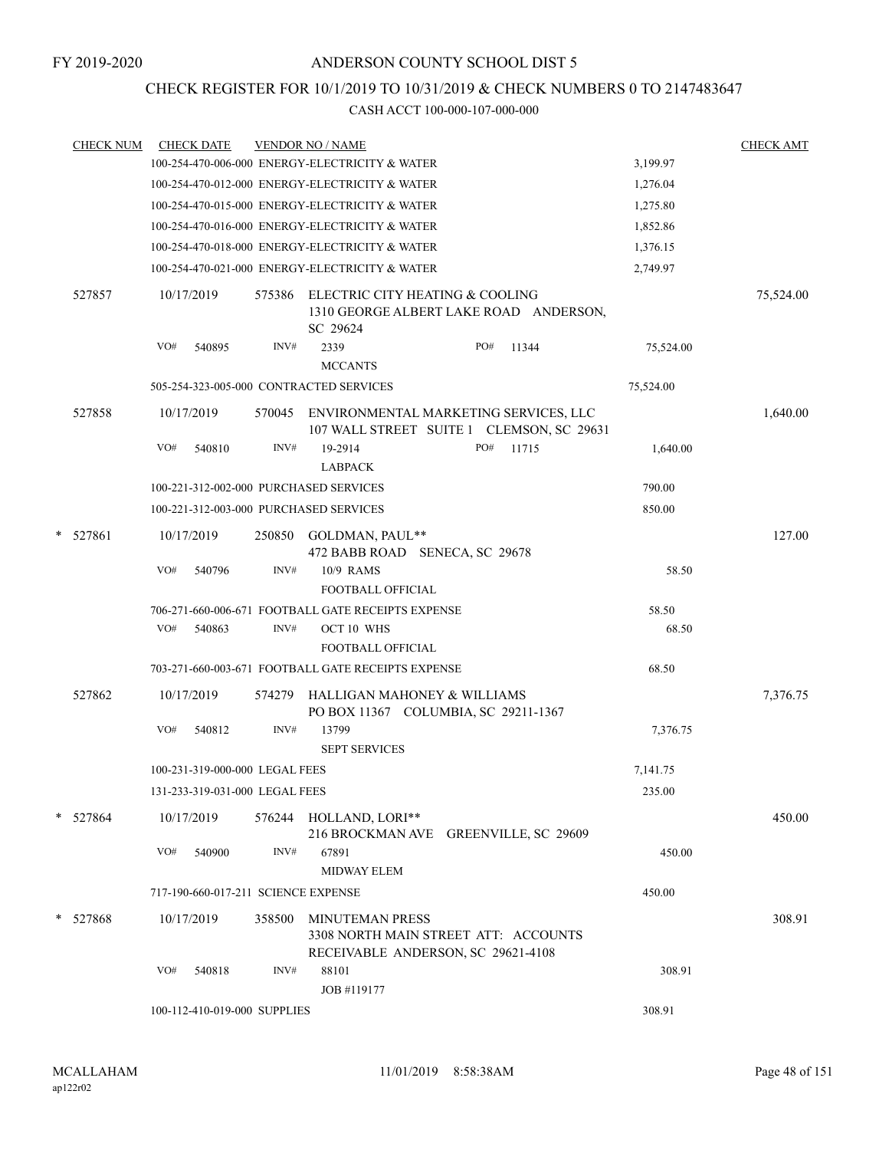### CHECK REGISTER FOR 10/1/2019 TO 10/31/2019 & CHECK NUMBERS 0 TO 2147483647

|   | <u>CHECK NUM</u> |     | <b>CHECK DATE</b>                   |        | <b>VENDOR NO / NAME</b>                                                                              |           | <b>CHECK AMT</b> |
|---|------------------|-----|-------------------------------------|--------|------------------------------------------------------------------------------------------------------|-----------|------------------|
|   |                  |     |                                     |        | 100-254-470-006-000 ENERGY-ELECTRICITY & WATER                                                       | 3,199.97  |                  |
|   |                  |     |                                     |        | 100-254-470-012-000 ENERGY-ELECTRICITY & WATER                                                       | 1,276.04  |                  |
|   |                  |     |                                     |        | 100-254-470-015-000 ENERGY-ELECTRICITY & WATER                                                       | 1,275.80  |                  |
|   |                  |     |                                     |        | 100-254-470-016-000 ENERGY-ELECTRICITY & WATER                                                       | 1,852.86  |                  |
|   |                  |     |                                     |        | 100-254-470-018-000 ENERGY-ELECTRICITY & WATER                                                       | 1,376.15  |                  |
|   |                  |     |                                     |        | 100-254-470-021-000 ENERGY-ELECTRICITY & WATER                                                       | 2,749.97  |                  |
|   | 527857           |     | 10/17/2019                          | 575386 | ELECTRIC CITY HEATING & COOLING<br>1310 GEORGE ALBERT LAKE ROAD ANDERSON,<br>SC 29624                |           | 75,524.00        |
|   |                  | VO# | 540895                              | INV#   | 2339<br>PO#<br>11344<br><b>MCCANTS</b>                                                               | 75,524.00 |                  |
|   |                  |     |                                     |        | 505-254-323-005-000 CONTRACTED SERVICES                                                              | 75,524.00 |                  |
|   | 527858           |     | 10/17/2019                          | 570045 | ENVIRONMENTAL MARKETING SERVICES, LLC<br>107 WALL STREET SUITE 1 CLEMSON, SC 29631                   |           | 1,640.00         |
|   |                  | VO# | 540810                              | INV#   | 19-2914<br>PO#<br>11715<br><b>LABPACK</b>                                                            | 1,640.00  |                  |
|   |                  |     |                                     |        | 100-221-312-002-000 PURCHASED SERVICES                                                               | 790.00    |                  |
|   |                  |     |                                     |        | 100-221-312-003-000 PURCHASED SERVICES                                                               | 850.00    |                  |
| * | 527861           |     | 10/17/2019                          | 250850 | GOLDMAN, PAUL**<br>472 BABB ROAD SENECA, SC 29678                                                    |           | 127.00           |
|   |                  | VO# | 540796                              | INV#   | 10/9 RAMS                                                                                            | 58.50     |                  |
|   |                  |     |                                     |        | FOOTBALL OFFICIAL                                                                                    |           |                  |
|   |                  |     |                                     |        | 706-271-660-006-671 FOOTBALL GATE RECEIPTS EXPENSE                                                   | 58.50     |                  |
|   |                  | VO# | 540863                              | INV#   | <b>OCT 10 WHS</b>                                                                                    | 68.50     |                  |
|   |                  |     |                                     |        | <b>FOOTBALL OFFICIAL</b>                                                                             |           |                  |
|   |                  |     |                                     |        | 703-271-660-003-671 FOOTBALL GATE RECEIPTS EXPENSE                                                   | 68.50     |                  |
|   | 527862           |     | 10/17/2019                          | 574279 | HALLIGAN MAHONEY & WILLIAMS<br>PO BOX 11367 COLUMBIA, SC 29211-1367                                  |           | 7,376.75         |
|   |                  | VO# | 540812                              | INV#   | 13799<br><b>SEPT SERVICES</b>                                                                        | 7,376.75  |                  |
|   |                  |     | 100-231-319-000-000 LEGAL FEES      |        |                                                                                                      | 7,141.75  |                  |
|   |                  |     | 131-233-319-031-000 LEGAL FEES      |        |                                                                                                      | 235.00    |                  |
|   | * 527864         |     | 10/17/2019                          | 576244 | HOLLAND, LORI**<br>216 BROCKMAN AVE GREENVILLE, SC 29609                                             |           | 450.00           |
|   |                  | VO# | 540900                              | INV#   | 67891                                                                                                | 450.00    |                  |
|   |                  |     |                                     |        | <b>MIDWAY ELEM</b>                                                                                   |           |                  |
|   |                  |     | 717-190-660-017-211 SCIENCE EXPENSE |        |                                                                                                      | 450.00    |                  |
|   | * 527868         |     | 10/17/2019                          | 358500 | <b>MINUTEMAN PRESS</b><br>3308 NORTH MAIN STREET ATT: ACCOUNTS<br>RECEIVABLE ANDERSON, SC 29621-4108 |           | 308.91           |
|   |                  | VO# | 540818                              | INV#   | 88101                                                                                                | 308.91    |                  |
|   |                  |     |                                     |        | JOB #119177                                                                                          |           |                  |
|   |                  |     | 100-112-410-019-000 SUPPLIES        |        |                                                                                                      | 308.91    |                  |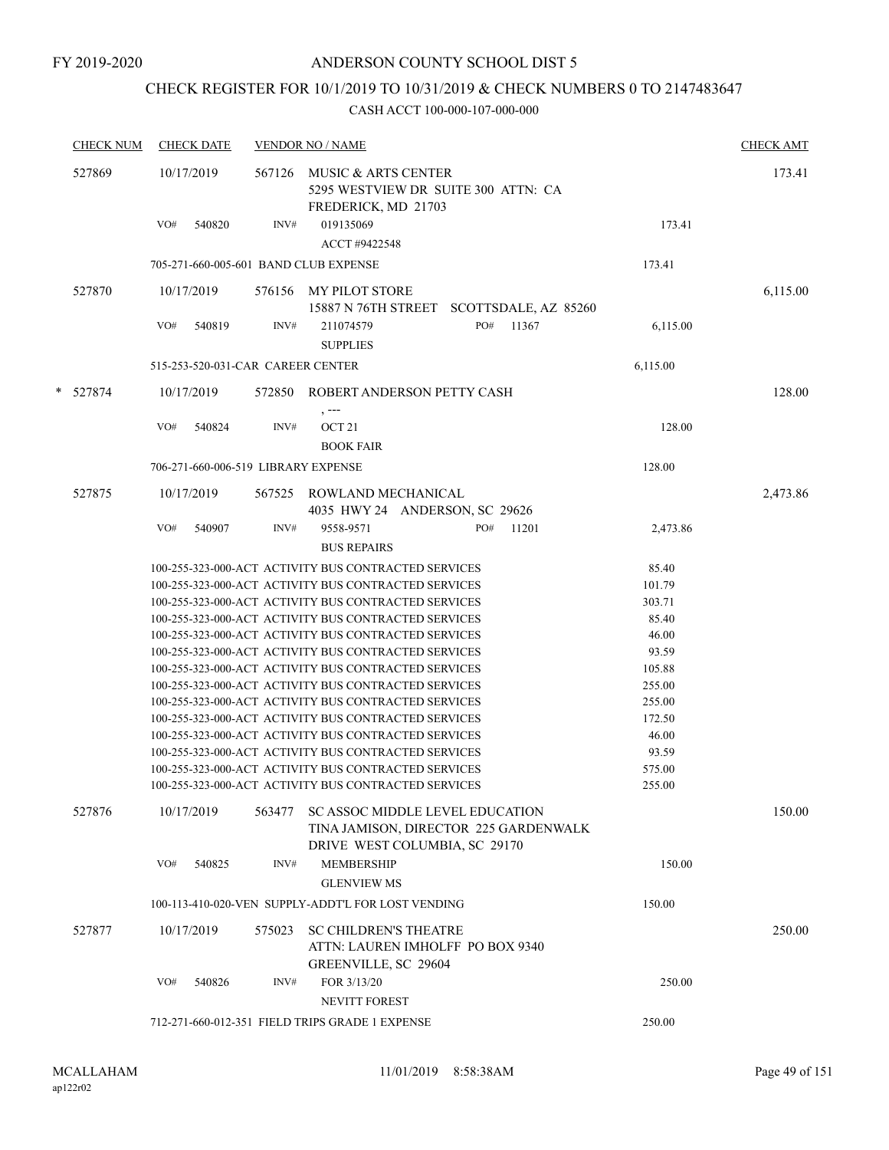## CHECK REGISTER FOR 10/1/2019 TO 10/31/2019 & CHECK NUMBERS 0 TO 2147483647

| <b>CHECK NUM</b> | <b>CHECK DATE</b>                                                                                                                  |                                       | <b>VENDOR NO / NAME</b>                                                                                      |                 | <b>CHECK AMT</b> |  |  |
|------------------|------------------------------------------------------------------------------------------------------------------------------------|---------------------------------------|--------------------------------------------------------------------------------------------------------------|-----------------|------------------|--|--|
| 527869           | 10/17/2019<br>567126<br>MUSIC & ARTS CENTER<br>5295 WESTVIEW DR SUITE 300 ATTN: CA<br>FREDERICK, MD 21703<br>VO#<br>INV#<br>540820 |                                       |                                                                                                              |                 |                  |  |  |
|                  |                                                                                                                                    |                                       | 019135069<br>ACCT #9422548                                                                                   | 173.41          |                  |  |  |
|                  |                                                                                                                                    | 705-271-660-005-601 BAND CLUB EXPENSE |                                                                                                              | 173.41          |                  |  |  |
| 527870           | 10/17/2019                                                                                                                         |                                       | 576156 MY PILOT STORE                                                                                        |                 | 6,115.00         |  |  |
|                  |                                                                                                                                    |                                       | 15887 N 76TH STREET SCOTTSDALE, AZ 85260                                                                     |                 |                  |  |  |
|                  | VO#<br>540819                                                                                                                      | INV#                                  | PO#<br>11367<br>211074579<br><b>SUPPLIES</b>                                                                 | 6,115.00        |                  |  |  |
|                  |                                                                                                                                    | 515-253-520-031-CAR CAREER CENTER     |                                                                                                              | 6,115.00        |                  |  |  |
| * 527874         | 10/17/2019                                                                                                                         |                                       | 572850 ROBERT ANDERSON PETTY CASH                                                                            |                 | 128.00           |  |  |
|                  |                                                                                                                                    |                                       | $, --$                                                                                                       |                 |                  |  |  |
|                  | VO#<br>540824                                                                                                                      | INV#                                  | OCT <sub>21</sub><br><b>BOOK FAIR</b>                                                                        | 128.00          |                  |  |  |
|                  |                                                                                                                                    | 706-271-660-006-519 LIBRARY EXPENSE   |                                                                                                              | 128.00          |                  |  |  |
| 527875           | 10/17/2019                                                                                                                         |                                       | 567525 ROWLAND MECHANICAL                                                                                    |                 | 2,473.86         |  |  |
|                  |                                                                                                                                    |                                       | 4035 HWY 24 ANDERSON, SC 29626                                                                               |                 |                  |  |  |
|                  | VO#<br>540907                                                                                                                      | INV#                                  | 9558-9571<br>PO#<br>11201<br><b>BUS REPAIRS</b>                                                              | 2,473.86        |                  |  |  |
|                  |                                                                                                                                    |                                       | 100-255-323-000-ACT ACTIVITY BUS CONTRACTED SERVICES                                                         | 85.40           |                  |  |  |
|                  |                                                                                                                                    |                                       | 100-255-323-000-ACT ACTIVITY BUS CONTRACTED SERVICES                                                         | 101.79          |                  |  |  |
|                  |                                                                                                                                    |                                       | 100-255-323-000-ACT ACTIVITY BUS CONTRACTED SERVICES                                                         | 303.71          |                  |  |  |
|                  |                                                                                                                                    |                                       | 100-255-323-000-ACT ACTIVITY BUS CONTRACTED SERVICES                                                         | 85.40           |                  |  |  |
|                  |                                                                                                                                    |                                       | 100-255-323-000-ACT ACTIVITY BUS CONTRACTED SERVICES                                                         | 46.00           |                  |  |  |
|                  |                                                                                                                                    |                                       | 100-255-323-000-ACT ACTIVITY BUS CONTRACTED SERVICES<br>100-255-323-000-ACT ACTIVITY BUS CONTRACTED SERVICES | 93.59<br>105.88 |                  |  |  |
|                  |                                                                                                                                    |                                       | 100-255-323-000-ACT ACTIVITY BUS CONTRACTED SERVICES                                                         | 255.00          |                  |  |  |
|                  |                                                                                                                                    |                                       | 100-255-323-000-ACT ACTIVITY BUS CONTRACTED SERVICES                                                         | 255.00          |                  |  |  |
|                  |                                                                                                                                    |                                       | 100-255-323-000-ACT ACTIVITY BUS CONTRACTED SERVICES                                                         | 172.50          |                  |  |  |
|                  |                                                                                                                                    |                                       | 100-255-323-000-ACT ACTIVITY BUS CONTRACTED SERVICES                                                         | 46.00           |                  |  |  |
|                  |                                                                                                                                    |                                       | 100-255-323-000-ACT ACTIVITY BUS CONTRACTED SERVICES                                                         | 93.59           |                  |  |  |
|                  |                                                                                                                                    |                                       | 100-255-323-000-ACT ACTIVITY BUS CONTRACTED SERVICES                                                         | 575.00          |                  |  |  |
|                  |                                                                                                                                    |                                       | 100-255-323-000-ACT ACTIVITY BUS CONTRACTED SERVICES                                                         | 255.00          |                  |  |  |
| 527876           | 10/17/2019                                                                                                                         | 563477                                | SC ASSOC MIDDLE LEVEL EDUCATION<br>TINA JAMISON, DIRECTOR 225 GARDENWALK<br>DRIVE WEST COLUMBIA, SC 29170    |                 | 150.00           |  |  |
|                  | VO#<br>540825                                                                                                                      | INV#                                  | <b>MEMBERSHIP</b>                                                                                            | 150.00          |                  |  |  |
|                  |                                                                                                                                    |                                       | <b>GLENVIEW MS</b>                                                                                           |                 |                  |  |  |
|                  |                                                                                                                                    |                                       | 100-113-410-020-VEN SUPPLY-ADDT'L FOR LOST VENDING                                                           | 150.00          |                  |  |  |
| 527877           | 10/17/2019                                                                                                                         | 575023                                | <b>SC CHILDREN'S THEATRE</b><br>ATTN: LAUREN IMHOLFF PO BOX 9340<br>GREENVILLE, SC 29604                     |                 | 250.00           |  |  |
|                  | VO#<br>540826                                                                                                                      | INV#                                  | FOR 3/13/20<br><b>NEVITT FOREST</b>                                                                          | 250.00          |                  |  |  |
|                  |                                                                                                                                    |                                       | 712-271-660-012-351 FIELD TRIPS GRADE 1 EXPENSE                                                              | 250.00          |                  |  |  |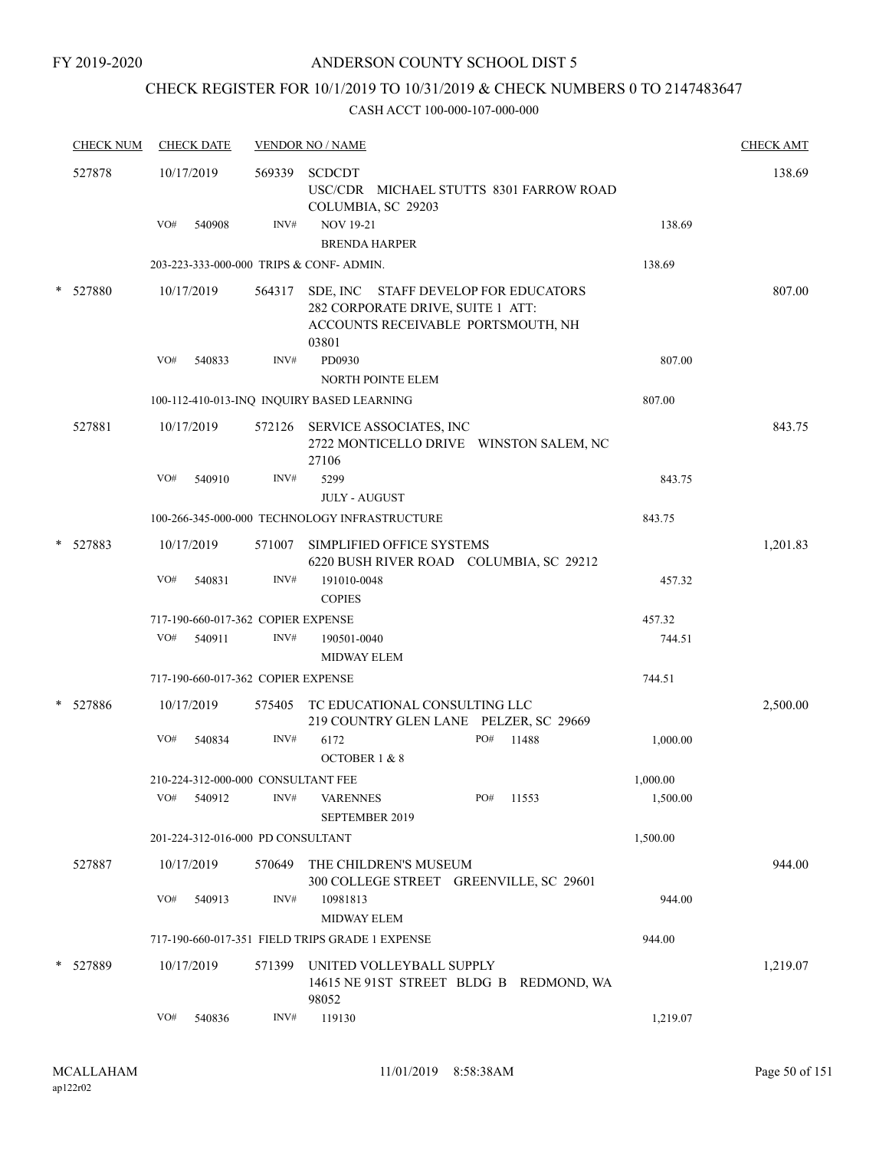## CHECK REGISTER FOR 10/1/2019 TO 10/31/2019 & CHECK NUMBERS 0 TO 2147483647

|   | <b>CHECK NUM</b> |     | <b>CHECK DATE</b> |                                    | <b>VENDOR NO / NAME</b>                                                                                                  |          | <b>CHECK AMT</b> |
|---|------------------|-----|-------------------|------------------------------------|--------------------------------------------------------------------------------------------------------------------------|----------|------------------|
|   | 527878           |     | 10/17/2019        | 569339                             | <b>SCDCDT</b><br>USC/CDR MICHAEL STUTTS 8301 FARROW ROAD<br>COLUMBIA, SC 29203                                           |          | 138.69           |
|   |                  | VO# | 540908            | INV#                               | <b>NOV 19-21</b><br><b>BRENDA HARPER</b>                                                                                 | 138.69   |                  |
|   |                  |     |                   |                                    | 203-223-333-000-000 TRIPS & CONF-ADMIN.                                                                                  | 138.69   |                  |
|   | * 527880         |     | 10/17/2019        | 564317                             | SDE, INC STAFF DEVELOP FOR EDUCATORS<br>282 CORPORATE DRIVE, SUITE 1 ATT:<br>ACCOUNTS RECEIVABLE PORTSMOUTH, NH<br>03801 |          | 807.00           |
|   |                  | VO# | 540833            | INV#                               | PD0930<br><b>NORTH POINTE ELEM</b>                                                                                       | 807.00   |                  |
|   |                  |     |                   |                                    | 100-112-410-013-INQ INQUIRY BASED LEARNING                                                                               | 807.00   |                  |
|   | 527881           |     | 10/17/2019        |                                    | 572126 SERVICE ASSOCIATES, INC<br>2722 MONTICELLO DRIVE WINSTON SALEM, NC<br>27106                                       |          | 843.75           |
|   |                  | VO# | 540910            | INV#                               | 5299<br><b>JULY - AUGUST</b>                                                                                             | 843.75   |                  |
|   |                  |     |                   |                                    | 100-266-345-000-000 TECHNOLOGY INFRASTRUCTURE                                                                            | 843.75   |                  |
| * | 527883           |     | 10/17/2019        | 571007                             | SIMPLIFIED OFFICE SYSTEMS<br>6220 BUSH RIVER ROAD COLUMBIA, SC 29212                                                     |          | 1,201.83         |
|   |                  | VO# | 540831            | INV#                               | 191010-0048<br><b>COPIES</b>                                                                                             | 457.32   |                  |
|   |                  |     |                   | 717-190-660-017-362 COPIER EXPENSE |                                                                                                                          | 457.32   |                  |
|   |                  | VO# | 540911            | INV#                               | 190501-0040<br><b>MIDWAY ELEM</b>                                                                                        | 744.51   |                  |
|   |                  |     |                   | 717-190-660-017-362 COPIER EXPENSE |                                                                                                                          | 744.51   |                  |
|   | * 527886         |     | 10/17/2019        | 575405                             | TC EDUCATIONAL CONSULTING LLC<br>219 COUNTRY GLEN LANE PELZER, SC 29669                                                  |          | 2,500.00         |
|   |                  | VO# | 540834            | INV#                               | PO#<br>6172<br>11488<br>OCTOBER 1 & 8                                                                                    | 1,000.00 |                  |
|   |                  |     |                   | 210-224-312-000-000 CONSULTANT FEE |                                                                                                                          | 1,000.00 |                  |
|   |                  | VO# | 540912            | INV#                               | PO#<br>11553<br><b>VARENNES</b><br>SEPTEMBER 2019                                                                        | 1,500.00 |                  |
|   |                  |     |                   | 201-224-312-016-000 PD CONSULTANT  |                                                                                                                          | 1,500.00 |                  |
|   | 527887           |     | 10/17/2019        | 570649                             | THE CHILDREN'S MUSEUM<br>300 COLLEGE STREET GREENVILLE, SC 29601                                                         |          | 944.00           |
|   |                  | VO# | 540913            | INV#                               | 10981813<br><b>MIDWAY ELEM</b>                                                                                           | 944.00   |                  |
|   |                  |     |                   |                                    | 717-190-660-017-351 FIELD TRIPS GRADE 1 EXPENSE                                                                          | 944.00   |                  |
|   | * 527889         |     | 10/17/2019        | 571399                             | UNITED VOLLEYBALL SUPPLY<br>14615 NE 91ST STREET BLDG B REDMOND, WA<br>98052                                             |          | 1,219.07         |
|   |                  | VO# | 540836            | INV#                               | 119130                                                                                                                   | 1,219.07 |                  |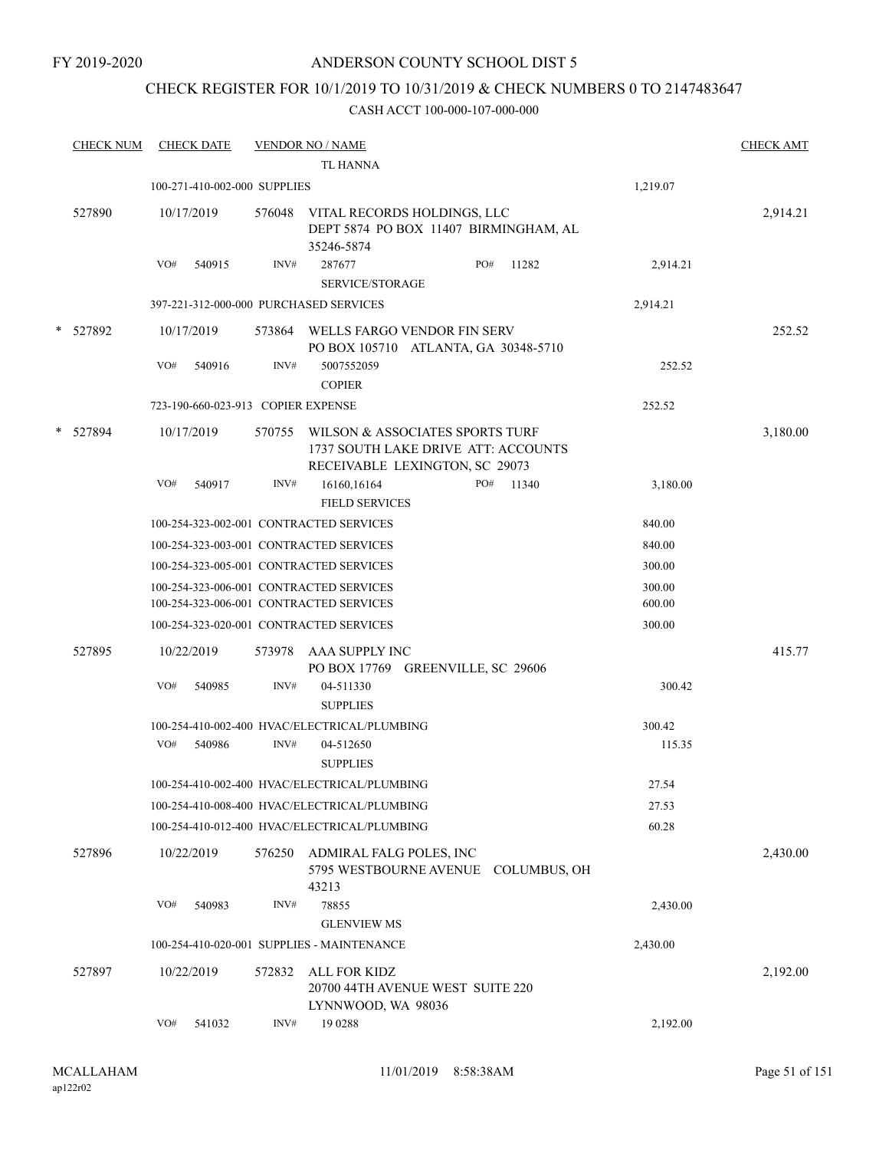FY 2019-2020

### ANDERSON COUNTY SCHOOL DIST 5

## CHECK REGISTER FOR 10/1/2019 TO 10/31/2019 & CHECK NUMBERS 0 TO 2147483647

|        | <b>CHECK NUM</b> |     | <b>CHECK DATE</b>                  |        | <b>VENDOR NO / NAME</b><br><b>TL HANNA</b>                                                               |     |       |                  | <b>CHECK AMT</b> |
|--------|------------------|-----|------------------------------------|--------|----------------------------------------------------------------------------------------------------------|-----|-------|------------------|------------------|
|        |                  |     | 100-271-410-002-000 SUPPLIES       |        |                                                                                                          |     |       | 1,219.07         |                  |
|        | 527890           |     | 10/17/2019                         | 576048 | VITAL RECORDS HOLDINGS, LLC<br>DEPT 5874 PO BOX 11407 BIRMINGHAM, AL<br>35246-5874                       |     |       |                  | 2,914.21         |
|        |                  | VO# | 540915                             | INV#   | 287677<br><b>SERVICE/STORAGE</b>                                                                         | PO# | 11282 | 2,914.21         |                  |
|        |                  |     |                                    |        | 397-221-312-000-000 PURCHASED SERVICES                                                                   |     |       | 2,914.21         |                  |
|        | * 527892         |     | 10/17/2019                         |        | 573864 WELLS FARGO VENDOR FIN SERV<br>PO BOX 105710 ATLANTA, GA 30348-5710                               |     |       |                  | 252.52           |
|        |                  | VO# | 540916                             | INV#   | 5007552059<br><b>COPIER</b>                                                                              |     |       | 252.52           |                  |
|        |                  |     | 723-190-660-023-913 COPIER EXPENSE |        |                                                                                                          |     |       | 252.52           |                  |
| $\ast$ | 527894           |     | 10/17/2019                         | 570755 | WILSON & ASSOCIATES SPORTS TURF<br>1737 SOUTH LAKE DRIVE ATT: ACCOUNTS<br>RECEIVABLE LEXINGTON, SC 29073 |     |       |                  | 3,180.00         |
|        |                  | VO# | 540917                             | INV#   | 16160,16164<br><b>FIELD SERVICES</b>                                                                     | PO# | 11340 | 3,180.00         |                  |
|        |                  |     |                                    |        | 100-254-323-002-001 CONTRACTED SERVICES                                                                  |     |       | 840.00           |                  |
|        |                  |     |                                    |        | 100-254-323-003-001 CONTRACTED SERVICES                                                                  |     |       | 840.00           |                  |
|        |                  |     |                                    |        | 100-254-323-005-001 CONTRACTED SERVICES                                                                  |     |       | 300.00           |                  |
|        |                  |     |                                    |        | 100-254-323-006-001 CONTRACTED SERVICES<br>100-254-323-006-001 CONTRACTED SERVICES                       |     |       | 300.00<br>600.00 |                  |
|        |                  |     |                                    |        | 100-254-323-020-001 CONTRACTED SERVICES                                                                  |     |       | 300.00           |                  |
|        | 527895           |     | 10/22/2019                         | 573978 | AAA SUPPLY INC<br>PO BOX 17769 GREENVILLE, SC 29606                                                      |     |       |                  | 415.77           |
|        |                  | VO# | 540985                             | INV#   | 04-511330<br><b>SUPPLIES</b>                                                                             |     |       | 300.42           |                  |
|        |                  |     |                                    |        | 100-254-410-002-400 HVAC/ELECTRICAL/PLUMBING                                                             |     |       | 300.42           |                  |
|        |                  | VO# | 540986                             | INV#   | 04-512650<br><b>SUPPLIES</b>                                                                             |     |       | 115.35           |                  |
|        |                  |     |                                    |        | 100-254-410-002-400 HVAC/ELECTRICAL/PLUMBING                                                             |     |       | 27.54            |                  |
|        |                  |     |                                    |        | 100-254-410-008-400 HVAC/ELECTRICAL/PLUMBING                                                             |     |       | 27.53            |                  |
|        |                  |     |                                    |        | 100-254-410-012-400 HVAC/ELECTRICAL/PLUMBING                                                             |     |       | 60.28            |                  |
|        | 527896           |     | 10/22/2019                         | 576250 | ADMIRAL FALG POLES, INC<br>5795 WESTBOURNE AVENUE COLUMBUS, OH<br>43213                                  |     |       |                  | 2,430.00         |
|        |                  | VO# | 540983                             | INV#   | 78855<br><b>GLENVIEW MS</b>                                                                              |     |       | 2,430.00         |                  |
|        |                  |     |                                    |        | 100-254-410-020-001 SUPPLIES - MAINTENANCE                                                               |     |       | 2,430.00         |                  |
|        | 527897           |     | 10/22/2019                         | 572832 | ALL FOR KIDZ<br>20700 44TH AVENUE WEST SUITE 220                                                         |     |       |                  | 2,192.00         |
|        |                  | VO# | 541032                             | INV#   | LYNNWOOD, WA 98036<br>19 0288                                                                            |     |       | 2,192.00         |                  |
|        |                  |     |                                    |        |                                                                                                          |     |       |                  |                  |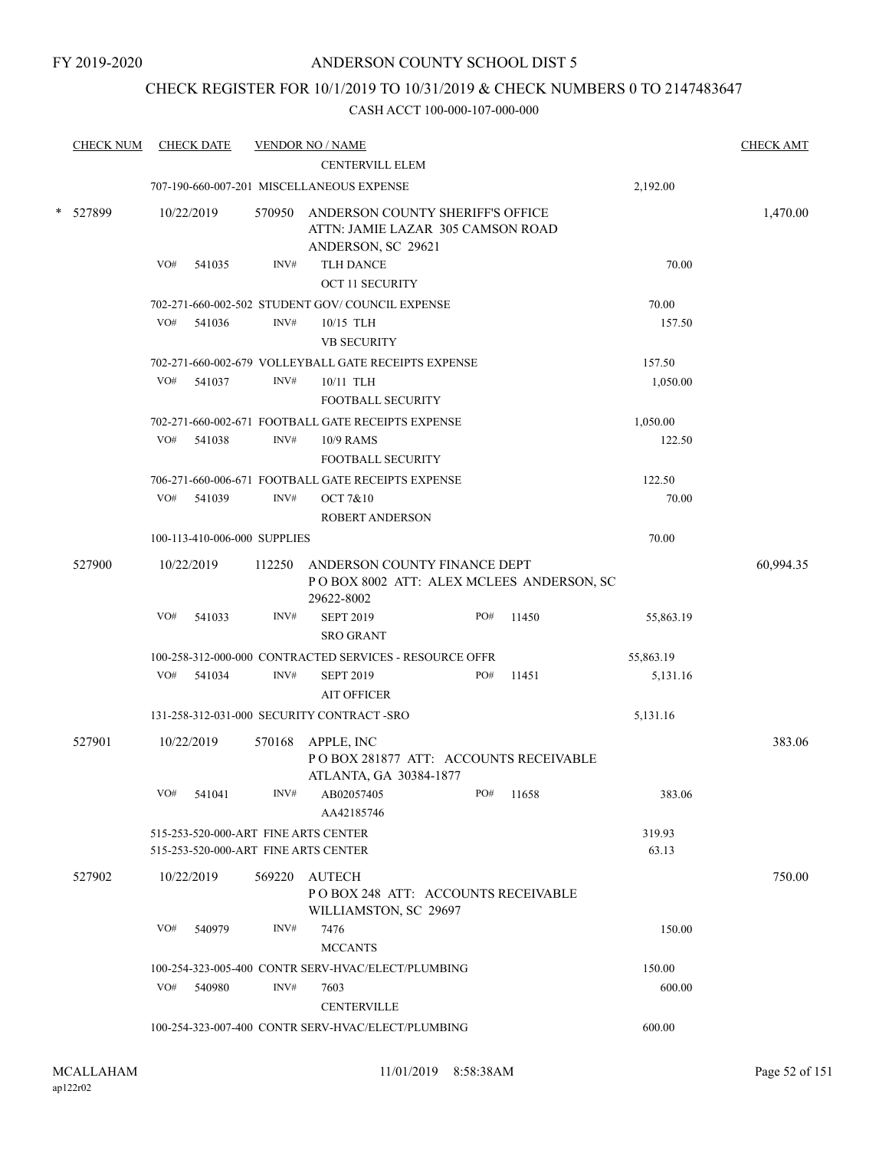### CHECK REGISTER FOR 10/1/2019 TO 10/31/2019 & CHECK NUMBERS 0 TO 2147483647

|        | <b>CHECK NUM</b> |                                                              | <b>CHECK DATE</b>            |        | <b>VENDOR NO / NAME</b><br><b>CENTERVILL ELEM</b>                                                  |     |  |           |                 | <b>CHECK AMT</b> |  |
|--------|------------------|--------------------------------------------------------------|------------------------------|--------|----------------------------------------------------------------------------------------------------|-----|--|-----------|-----------------|------------------|--|
|        |                  |                                                              |                              |        | 707-190-660-007-201 MISCELLANEOUS EXPENSE                                                          |     |  |           | 2,192.00        |                  |  |
|        |                  |                                                              |                              |        |                                                                                                    |     |  |           |                 |                  |  |
| $\ast$ | 527899           |                                                              | 10/22/2019                   |        | 570950 ANDERSON COUNTY SHERIFF'S OFFICE<br>ATTN: JAMIE LAZAR 305 CAMSON ROAD<br>ANDERSON, SC 29621 |     |  |           |                 | 1,470.00         |  |
|        |                  | VO#                                                          | 541035                       | INV#   | <b>TLH DANCE</b>                                                                                   |     |  |           | 70.00           |                  |  |
|        |                  |                                                              |                              |        | <b>OCT 11 SECURITY</b>                                                                             |     |  |           |                 |                  |  |
|        |                  |                                                              |                              |        | 702-271-660-002-502 STUDENT GOV/COUNCIL EXPENSE                                                    |     |  |           | 70.00           |                  |  |
|        |                  | VO#                                                          | 541036                       | INV#   | $10/15$ TLH                                                                                        |     |  |           | 157.50          |                  |  |
|        |                  |                                                              |                              |        | <b>VB SECURITY</b>                                                                                 |     |  |           |                 |                  |  |
|        |                  |                                                              |                              |        | 702-271-660-002-679 VOLLEYBALL GATE RECEIPTS EXPENSE                                               |     |  |           | 157.50          |                  |  |
|        |                  | VO#                                                          | 541037                       | INV#   | 10/11 TLH                                                                                          |     |  |           | 1,050.00        |                  |  |
|        |                  |                                                              |                              |        | FOOTBALL SECURITY                                                                                  |     |  |           |                 |                  |  |
|        |                  |                                                              |                              |        | 702-271-660-002-671 FOOTBALL GATE RECEIPTS EXPENSE                                                 |     |  |           | 1,050.00        |                  |  |
|        |                  | VO#                                                          | 541038                       | INV#   | 10/9 RAMS<br><b>FOOTBALL SECURITY</b>                                                              |     |  |           | 122.50          |                  |  |
|        |                  |                                                              |                              |        |                                                                                                    |     |  |           |                 |                  |  |
|        |                  | VO#                                                          |                              |        | 706-271-660-006-671 FOOTBALL GATE RECEIPTS EXPENSE                                                 |     |  |           | 122.50          |                  |  |
|        |                  |                                                              | 541039                       | INV#   | OCT 7&10<br><b>ROBERT ANDERSON</b>                                                                 |     |  |           | 70.00           |                  |  |
|        |                  |                                                              | 100-113-410-006-000 SUPPLIES |        |                                                                                                    |     |  |           | 70.00           |                  |  |
|        | 527900           |                                                              | 10/22/2019                   | 112250 | ANDERSON COUNTY FINANCE DEPT<br>POBOX 8002 ATT: ALEX MCLEES ANDERSON, SC<br>29622-8002             |     |  |           |                 | 60,994.35        |  |
|        |                  | VO#                                                          | 541033                       | INV#   | <b>SEPT 2019</b><br><b>SRO GRANT</b>                                                               | PO# |  | 11450     | 55,863.19       |                  |  |
|        |                  |                                                              |                              |        | 100-258-312-000-000 CONTRACTED SERVICES - RESOURCE OFFR                                            |     |  |           | 55,863.19       |                  |  |
|        |                  | VO#                                                          | 541034                       | INV#   | <b>SEPT 2019</b>                                                                                   | PO# |  | 11451     | 5,131.16        |                  |  |
|        |                  |                                                              |                              |        | <b>AIT OFFICER</b>                                                                                 |     |  |           |                 |                  |  |
|        |                  |                                                              |                              |        | 131-258-312-031-000 SECURITY CONTRACT -SRO                                                         |     |  |           | 5,131.16        |                  |  |
|        | 527901           |                                                              | 10/22/2019                   |        | 570168 APPLE, INC<br>POBOX 281877 ATT: ACCOUNTS RECEIVABLE<br>ATLANTA, GA 30384-1877               |     |  |           |                 | 383.06           |  |
|        |                  | VO#                                                          | 541041                       | INV#   | AB02057405<br>AA42185746                                                                           |     |  | PO# 11658 | 383.06          |                  |  |
|        |                  |                                                              |                              |        | 515-253-520-000-ART FINE ARTS CENTER<br>515-253-520-000-ART FINE ARTS CENTER                       |     |  |           | 319.93<br>63.13 |                  |  |
|        | 527902           |                                                              | 10/22/2019                   |        | 569220 AUTECH<br>PO BOX 248 ATT: ACCOUNTS RECEIVABLE<br>WILLIAMSTON, SC 29697                      |     |  |           |                 | 750.00           |  |
|        |                  |                                                              | VO# 540979                   | INV#   | 7476<br><b>MCCANTS</b>                                                                             |     |  |           | 150.00          |                  |  |
|        |                  | 150.00<br>100-254-323-005-400 CONTR SERV-HVAC/ELECT/PLUMBING |                              |        |                                                                                                    |     |  |           |                 |                  |  |
|        |                  | VO#                                                          | 540980                       | INV#   | 7603<br><b>CENTERVILLE</b>                                                                         |     |  |           | 600.00          |                  |  |
|        |                  |                                                              |                              |        | 100-254-323-007-400 CONTR SERV-HVAC/ELECT/PLUMBING                                                 |     |  |           | 600.00          |                  |  |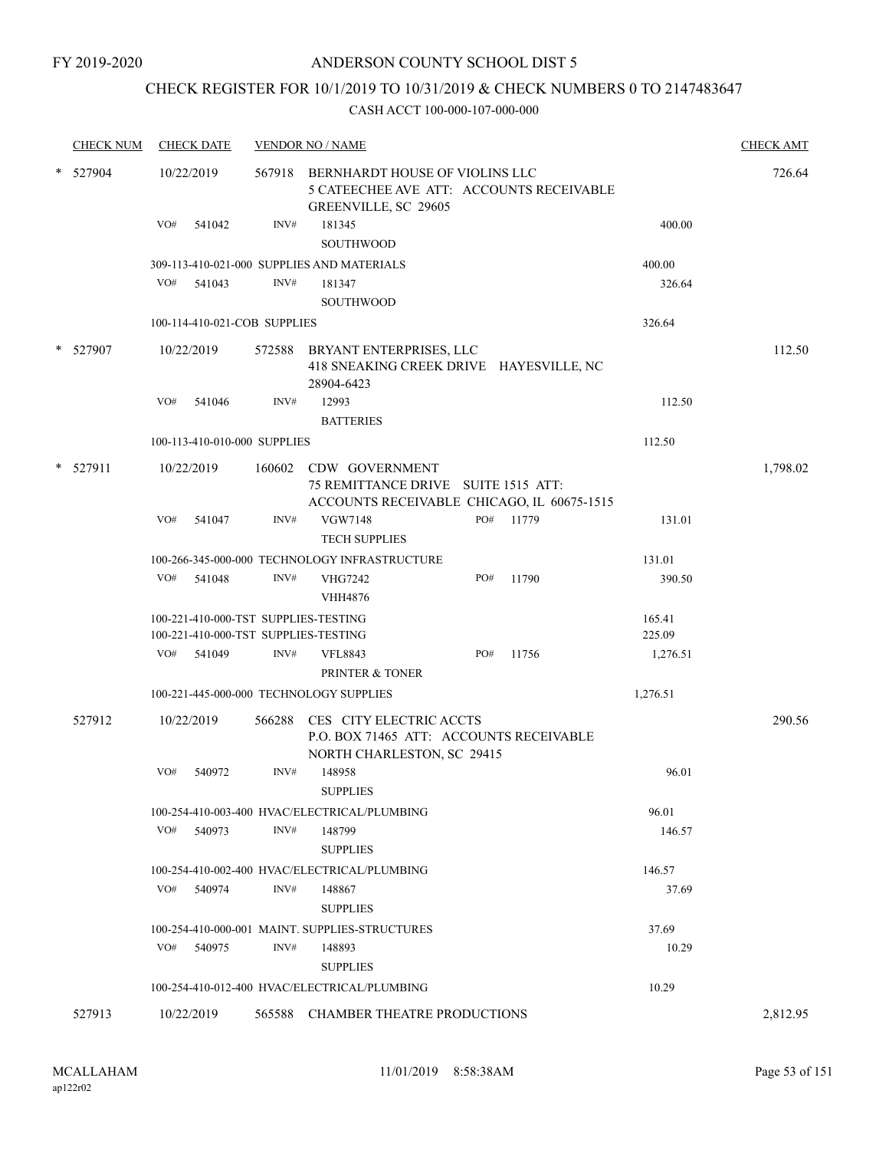FY 2019-2020

### ANDERSON COUNTY SCHOOL DIST 5

## CHECK REGISTER FOR 10/1/2019 TO 10/31/2019 & CHECK NUMBERS 0 TO 2147483647

|        | <b>CHECK NUM</b> |     | <b>CHECK DATE</b>            |      | <b>VENDOR NO / NAME</b>                                                                                    |     |           |          | <b>CHECK AMT</b> |
|--------|------------------|-----|------------------------------|------|------------------------------------------------------------------------------------------------------------|-----|-----------|----------|------------------|
| $\ast$ | 527904           |     | 10/22/2019                   |      | 567918 BERNHARDT HOUSE OF VIOLINS LLC<br>5 CATEECHEE AVE ATT: ACCOUNTS RECEIVABLE<br>GREENVILLE, SC 29605  |     |           |          | 726.64           |
|        |                  | VO# | 541042                       | INV# | 181345<br>SOUTHWOOD                                                                                        |     |           | 400.00   |                  |
|        |                  |     |                              |      | 309-113-410-021-000 SUPPLIES AND MATERIALS                                                                 |     |           | 400.00   |                  |
|        |                  |     | VO# 541043                   | INV# | 181347<br><b>SOUTHWOOD</b>                                                                                 |     |           | 326.64   |                  |
|        |                  |     | 100-114-410-021-COB SUPPLIES |      |                                                                                                            |     |           | 326.64   |                  |
|        | * 527907         |     | 10/22/2019                   |      | 572588 BRYANT ENTERPRISES, LLC<br>418 SNEAKING CREEK DRIVE HAYESVILLE, NC<br>28904-6423                    |     |           |          | 112.50           |
|        |                  | VO# | 541046                       | INV# | 12993<br><b>BATTERIES</b>                                                                                  |     |           | 112.50   |                  |
|        |                  |     | 100-113-410-010-000 SUPPLIES |      |                                                                                                            |     |           | 112.50   |                  |
|        | $*$ 527911       |     | 10/22/2019                   |      | 160602 CDW GOVERNMENT<br>75 REMITTANCE DRIVE SUITE 1515 ATT:<br>ACCOUNTS RECEIVABLE CHICAGO, IL 60675-1515 |     |           |          | 1,798.02         |
|        |                  | VO# | 541047                       | INV# | <b>VGW7148</b><br><b>TECH SUPPLIES</b>                                                                     |     | PO# 11779 | 131.01   |                  |
|        |                  |     |                              |      | 100-266-345-000-000 TECHNOLOGY INFRASTRUCTURE                                                              |     |           | 131.01   |                  |
|        |                  | VO# | 541048                       | INV# | <b>VHG7242</b><br><b>VHH4876</b>                                                                           | PO# | 11790     | 390.50   |                  |
|        |                  |     |                              |      | 100-221-410-000-TST SUPPLIES-TESTING                                                                       |     |           | 165.41   |                  |
|        |                  |     |                              |      | 100-221-410-000-TST SUPPLIES-TESTING                                                                       |     |           | 225.09   |                  |
|        |                  | VO# | 541049                       | INV# | <b>VFL8843</b><br>PRINTER & TONER                                                                          | PO# | 11756     | 1,276.51 |                  |
|        |                  |     |                              |      | 100-221-445-000-000 TECHNOLOGY SUPPLIES                                                                    |     |           | 1,276.51 |                  |
|        | 527912           |     | 10/22/2019                   |      | 566288 CES CITY ELECTRIC ACCTS<br>P.O. BOX 71465 ATT: ACCOUNTS RECEIVABLE<br>NORTH CHARLESTON, SC 29415    |     |           |          | 290.56           |
|        |                  | VO# | 540972                       | INV# | 148958<br><b>SUPPLIES</b>                                                                                  |     |           | 96.01    |                  |
|        |                  |     |                              |      | 100-254-410-003-400 HVAC/ELECTRICAL/PLUMBING                                                               |     |           | 96.01    |                  |
|        |                  | VO# | 540973                       | INV# | 148799<br><b>SUPPLIES</b>                                                                                  |     |           | 146.57   |                  |
|        |                  |     |                              |      | 100-254-410-002-400 HVAC/ELECTRICAL/PLUMBING                                                               |     |           | 146.57   |                  |
|        |                  | VO# | 540974                       | INV# | 148867<br><b>SUPPLIES</b>                                                                                  |     |           | 37.69    |                  |
|        |                  |     |                              |      | 100-254-410-000-001 MAINT. SUPPLIES-STRUCTURES                                                             |     |           | 37.69    |                  |
|        |                  | VO# | 540975                       | INV# | 148893<br><b>SUPPLIES</b>                                                                                  |     |           | 10.29    |                  |
|        |                  |     |                              |      | 100-254-410-012-400 HVAC/ELECTRICAL/PLUMBING                                                               |     |           | 10.29    |                  |
|        | 527913           |     | 10/22/2019                   |      | 565588 CHAMBER THEATRE PRODUCTIONS                                                                         |     |           |          | 2,812.95         |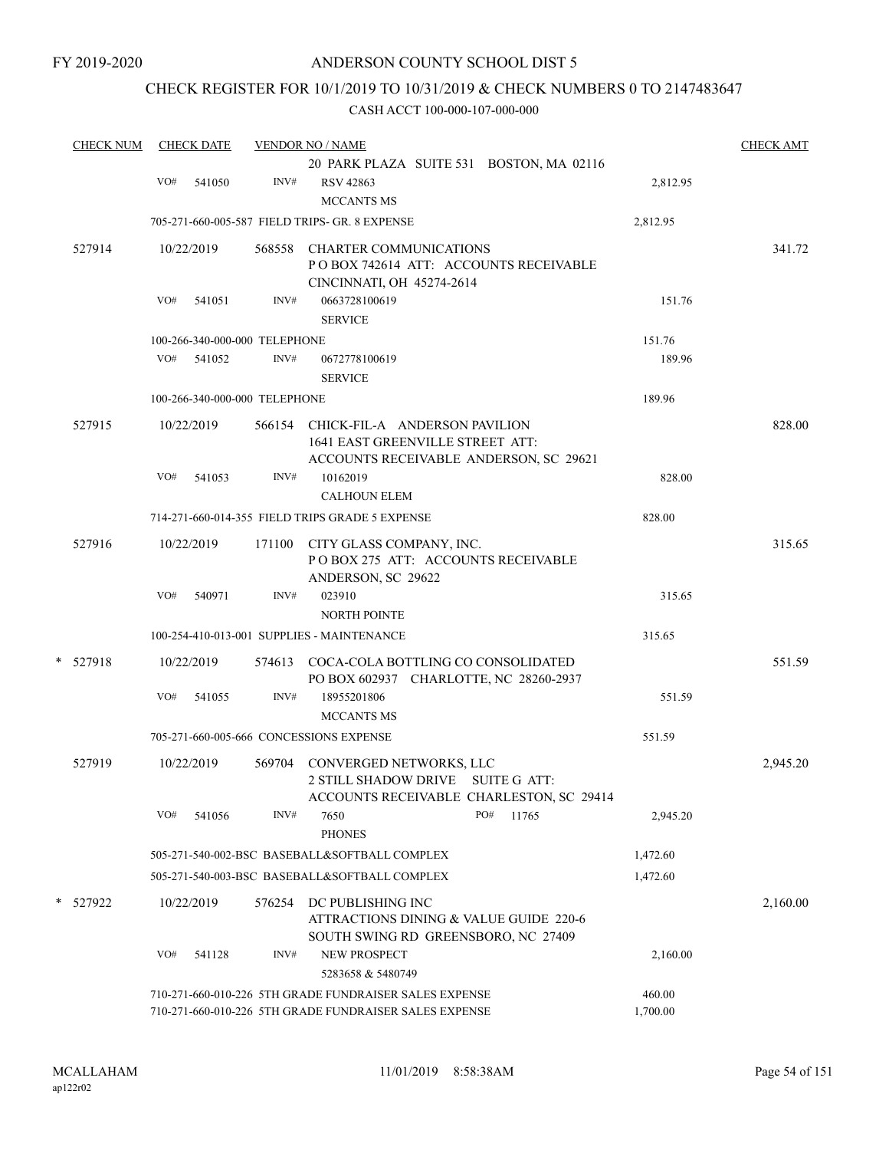### CHECK REGISTER FOR 10/1/2019 TO 10/31/2019 & CHECK NUMBERS 0 TO 2147483647

| <b>CHECK NUM</b> |     | <b>CHECK DATE</b> |                               | <b>VENDOR NO / NAME</b>                                                                                          |                    | <b>CHECK AMT</b> |
|------------------|-----|-------------------|-------------------------------|------------------------------------------------------------------------------------------------------------------|--------------------|------------------|
|                  |     |                   |                               | 20 PARK PLAZA SUITE 531 BOSTON, MA 02116                                                                         |                    |                  |
|                  | VO# | 541050            | INV#                          | <b>RSV 42863</b>                                                                                                 | 2,812.95           |                  |
|                  |     |                   |                               | <b>MCCANTS MS</b>                                                                                                |                    |                  |
|                  |     |                   |                               | 705-271-660-005-587 FIELD TRIPS- GR. 8 EXPENSE                                                                   | 2,812.95           |                  |
|                  |     |                   |                               |                                                                                                                  |                    |                  |
| 527914           |     | 10/22/2019        | 568558                        | <b>CHARTER COMMUNICATIONS</b>                                                                                    |                    | 341.72           |
|                  |     |                   |                               | PO BOX 742614 ATT: ACCOUNTS RECEIVABLE                                                                           |                    |                  |
|                  |     |                   |                               | CINCINNATI, OH 45274-2614                                                                                        |                    |                  |
|                  | VO# | 541051            | INV#                          | 0663728100619                                                                                                    | 151.76             |                  |
|                  |     |                   |                               | <b>SERVICE</b>                                                                                                   |                    |                  |
|                  |     |                   | 100-266-340-000-000 TELEPHONE |                                                                                                                  | 151.76             |                  |
|                  | VO# | 541052            | INV#                          | 0672778100619                                                                                                    | 189.96             |                  |
|                  |     |                   |                               | <b>SERVICE</b>                                                                                                   |                    |                  |
|                  |     |                   | 100-266-340-000-000 TELEPHONE |                                                                                                                  | 189.96             |                  |
| 527915           |     | 10/22/2019        |                               | 566154 CHICK-FIL-A ANDERSON PAVILION                                                                             |                    | 828.00           |
|                  |     |                   |                               | 1641 EAST GREENVILLE STREET ATT:                                                                                 |                    |                  |
|                  |     |                   |                               | ACCOUNTS RECEIVABLE ANDERSON, SC 29621                                                                           |                    |                  |
|                  | VO# |                   | INV#                          | 10162019                                                                                                         |                    |                  |
|                  |     | 541053            |                               |                                                                                                                  | 828.00             |                  |
|                  |     |                   |                               | <b>CALHOUN ELEM</b>                                                                                              |                    |                  |
|                  |     |                   |                               | 714-271-660-014-355 FIELD TRIPS GRADE 5 EXPENSE                                                                  | 828.00             |                  |
| 527916           |     | 10/22/2019        | 171100                        | CITY GLASS COMPANY, INC.                                                                                         |                    | 315.65           |
|                  |     |                   |                               | POBOX 275 ATT: ACCOUNTS RECEIVABLE                                                                               |                    |                  |
|                  |     |                   |                               | ANDERSON, SC 29622                                                                                               |                    |                  |
|                  | VO# | 540971            | INV#                          | 023910                                                                                                           | 315.65             |                  |
|                  |     |                   |                               | <b>NORTH POINTE</b>                                                                                              |                    |                  |
|                  |     |                   |                               | 100-254-410-013-001 SUPPLIES - MAINTENANCE                                                                       | 315.65             |                  |
| * 527918         |     | 10/22/2019        |                               | 574613 COCA-COLA BOTTLING CO CONSOLIDATED                                                                        |                    | 551.59           |
|                  |     |                   |                               | PO BOX 602937 CHARLOTTE, NC 28260-2937                                                                           |                    |                  |
|                  | VO# | 541055            | INV#                          | 18955201806                                                                                                      | 551.59             |                  |
|                  |     |                   |                               | <b>MCCANTS MS</b>                                                                                                |                    |                  |
|                  |     |                   |                               |                                                                                                                  |                    |                  |
|                  |     |                   |                               | 705-271-660-005-666 CONCESSIONS EXPENSE                                                                          | 551.59             |                  |
| 527919           |     | 10/22/2019        |                               | 569704 CONVERGED NETWORKS, LLC                                                                                   |                    | 2,945.20         |
|                  |     |                   |                               | 2 STILL SHADOW DRIVE SUITE G ATT:                                                                                |                    |                  |
|                  |     |                   |                               | ACCOUNTS RECEIVABLE CHARLESTON, SC 29414                                                                         |                    |                  |
|                  | VO# | 541056            | INV#                          | 7650<br>PO#<br>11765                                                                                             | 2,945.20           |                  |
|                  |     |                   |                               | <b>PHONES</b>                                                                                                    |                    |                  |
|                  |     |                   |                               | 505-271-540-002-BSC BASEBALL&SOFTBALL COMPLEX                                                                    | 1,472.60           |                  |
|                  |     |                   |                               | 505-271-540-003-BSC BASEBALL&SOFTBALL COMPLEX                                                                    | 1,472.60           |                  |
| * 527922         |     | 10/22/2019        | 576254                        | DC PUBLISHING INC                                                                                                |                    | 2,160.00         |
|                  |     |                   |                               | ATTRACTIONS DINING & VALUE GUIDE 220-6                                                                           |                    |                  |
|                  |     |                   |                               | SOUTH SWING RD GREENSBORO, NC 27409                                                                              |                    |                  |
|                  | VO# | 541128            | INV#                          | <b>NEW PROSPECT</b>                                                                                              | 2,160.00           |                  |
|                  |     |                   |                               | 5283658 & 5480749                                                                                                |                    |                  |
|                  |     |                   |                               |                                                                                                                  |                    |                  |
|                  |     |                   |                               | 710-271-660-010-226 5TH GRADE FUNDRAISER SALES EXPENSE<br>710-271-660-010-226 5TH GRADE FUNDRAISER SALES EXPENSE | 460.00<br>1,700.00 |                  |
|                  |     |                   |                               |                                                                                                                  |                    |                  |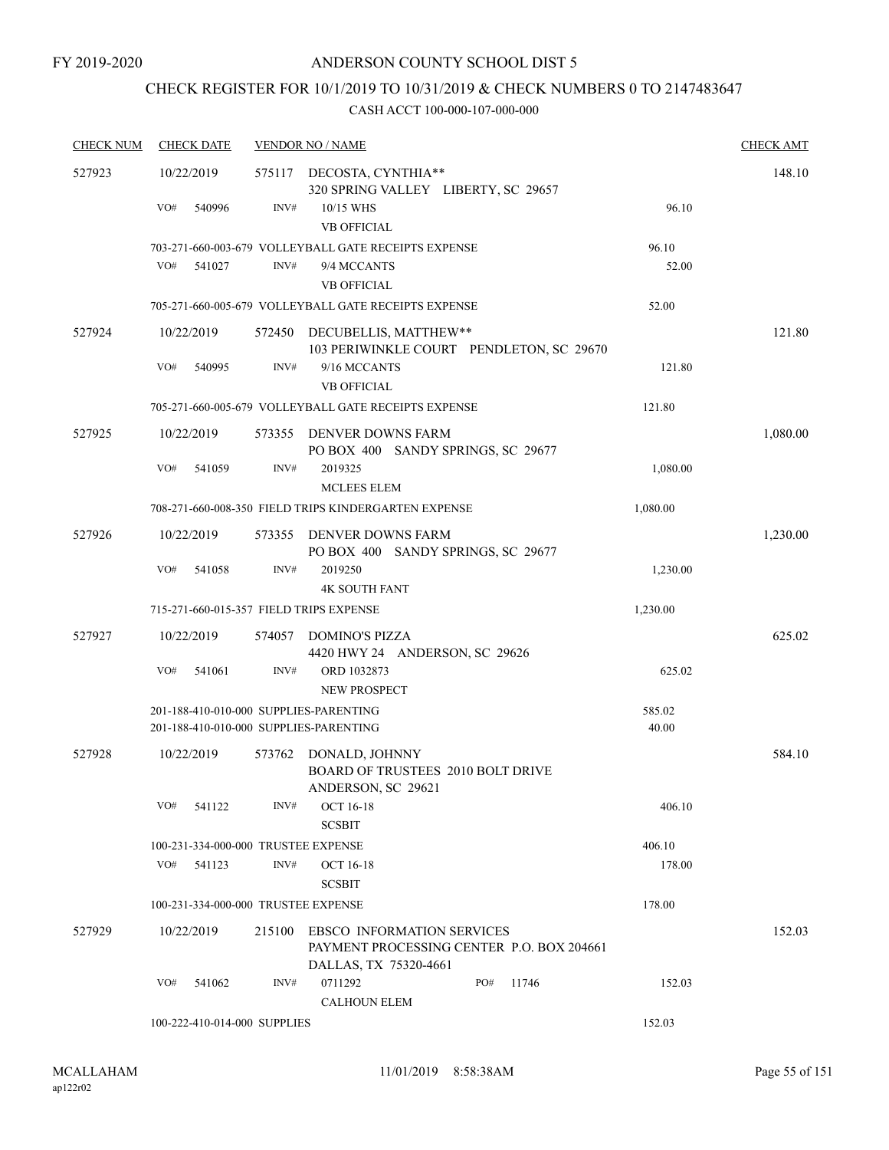## CHECK REGISTER FOR 10/1/2019 TO 10/31/2019 & CHECK NUMBERS 0 TO 2147483647

| <b>CHECK NUM</b> | <b>CHECK DATE</b>                   |        | <b>VENDOR NO / NAME</b>                                                                                 |     |       |          | <b>CHECK AMT</b> |
|------------------|-------------------------------------|--------|---------------------------------------------------------------------------------------------------------|-----|-------|----------|------------------|
| 527923           | 10/22/2019                          |        | 575117 DECOSTA, CYNTHIA**<br>320 SPRING VALLEY LIBERTY, SC 29657                                        |     |       |          | 148.10           |
|                  | VO#<br>540996                       | INV#   | 10/15 WHS<br><b>VB OFFICIAL</b>                                                                         |     |       | 96.10    |                  |
|                  |                                     |        | 703-271-660-003-679 VOLLEYBALL GATE RECEIPTS EXPENSE                                                    |     |       | 96.10    |                  |
|                  | VO#<br>541027                       | INV#   | 9/4 MCCANTS                                                                                             |     |       | 52.00    |                  |
|                  |                                     |        | <b>VB OFFICIAL</b>                                                                                      |     |       |          |                  |
|                  |                                     |        | 705-271-660-005-679 VOLLEYBALL GATE RECEIPTS EXPENSE                                                    |     |       | 52.00    |                  |
| 527924           | 10/22/2019                          |        | 572450 DECUBELLIS, MATTHEW**<br>103 PERIWINKLE COURT PENDLETON, SC 29670                                |     |       |          | 121.80           |
|                  | VO#<br>540995                       | INV#   | 9/16 MCCANTS<br><b>VB OFFICIAL</b>                                                                      |     |       | 121.80   |                  |
|                  |                                     |        | 705-271-660-005-679 VOLLEYBALL GATE RECEIPTS EXPENSE                                                    |     |       | 121.80   |                  |
| 527925           | 10/22/2019                          | 573355 | DENVER DOWNS FARM<br>PO BOX 400 SANDY SPRINGS, SC 29677                                                 |     |       |          | 1,080.00         |
|                  | VO#<br>541059                       | INV#   | 2019325<br><b>MCLEES ELEM</b>                                                                           |     |       | 1,080.00 |                  |
|                  |                                     |        | 708-271-660-008-350 FIELD TRIPS KINDERGARTEN EXPENSE                                                    |     |       | 1,080.00 |                  |
| 527926           | 10/22/2019                          |        | 573355 DENVER DOWNS FARM<br>PO BOX 400 SANDY SPRINGS, SC 29677                                          |     |       |          | 1,230.00         |
|                  | VO#<br>541058                       | INV#   | 2019250<br><b>4K SOUTH FANT</b>                                                                         |     |       | 1,230.00 |                  |
|                  |                                     |        | 715-271-660-015-357 FIELD TRIPS EXPENSE                                                                 |     |       | 1,230.00 |                  |
| 527927           | 10/22/2019                          |        | 574057 DOMINO'S PIZZA<br>4420 HWY 24 ANDERSON, SC 29626                                                 |     |       |          | 625.02           |
|                  | VO#<br>541061                       | INV#   | ORD 1032873<br><b>NEW PROSPECT</b>                                                                      |     |       | 625.02   |                  |
|                  |                                     |        | 201-188-410-010-000 SUPPLIES-PARENTING                                                                  |     |       | 585.02   |                  |
|                  |                                     |        | 201-188-410-010-000 SUPPLIES-PARENTING                                                                  |     |       | 40.00    |                  |
| 527928           | 10/22/2019                          | 573762 | DONALD, JOHNNY<br>BOARD OF TRUSTEES 2010 BOLT DRIVE<br>ANDERSON, SC 29621                               |     |       |          | 584.10           |
|                  | VO#<br>541122                       | INV#   | <b>OCT 16-18</b><br><b>SCSBIT</b>                                                                       |     |       | 406.10   |                  |
|                  | 100-231-334-000-000 TRUSTEE EXPENSE |        |                                                                                                         |     |       | 406.10   |                  |
|                  | VO#<br>541123                       | INV#   | <b>OCT 16-18</b>                                                                                        |     |       | 178.00   |                  |
|                  |                                     |        | <b>SCSBIT</b>                                                                                           |     |       |          |                  |
|                  | 100-231-334-000-000 TRUSTEE EXPENSE |        |                                                                                                         |     |       | 178.00   |                  |
| 527929           | 10/22/2019                          | 215100 | <b>EBSCO INFORMATION SERVICES</b><br>PAYMENT PROCESSING CENTER P.O. BOX 204661<br>DALLAS, TX 75320-4661 |     |       |          | 152.03           |
|                  | VO#<br>541062                       | INV#   | 0711292                                                                                                 | PO# | 11746 | 152.03   |                  |
|                  |                                     |        | <b>CALHOUN ELEM</b>                                                                                     |     |       |          |                  |
|                  | 100-222-410-014-000 SUPPLIES        |        |                                                                                                         |     |       | 152.03   |                  |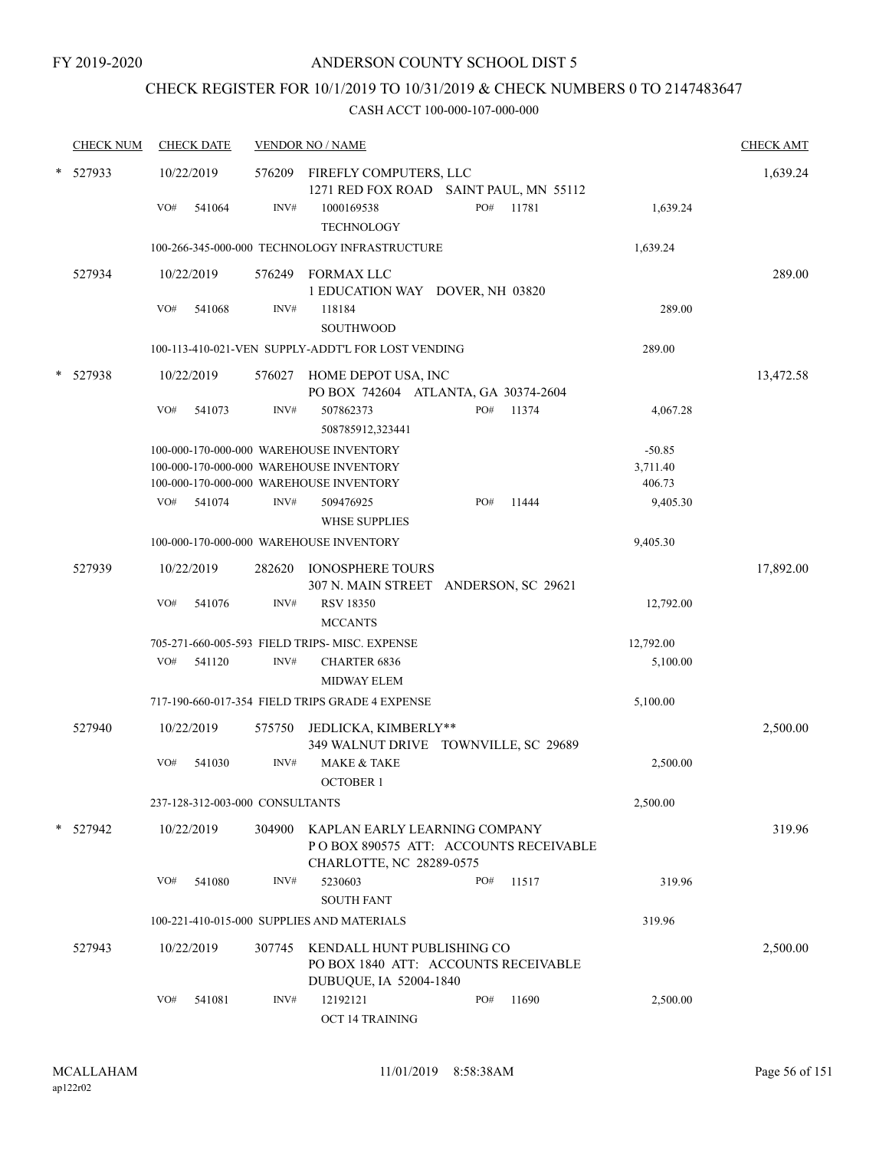## CHECK REGISTER FOR 10/1/2019 TO 10/31/2019 & CHECK NUMBERS 0 TO 2147483647

| <b>CHECK NUM</b> | <b>CHECK DATE</b>               |        | <b>VENDOR NO / NAME</b>                                                                            |     |       |                    | <b>CHECK AMT</b> |
|------------------|---------------------------------|--------|----------------------------------------------------------------------------------------------------|-----|-------|--------------------|------------------|
| * 527933         | 10/22/2019                      |        | 576209 FIREFLY COMPUTERS, LLC<br>1271 RED FOX ROAD SAINT PAUL, MN 55112                            |     |       |                    | 1,639.24         |
|                  | VO#<br>541064                   | INV#   | 1000169538<br><b>TECHNOLOGY</b>                                                                    | PO# | 11781 | 1,639.24           |                  |
|                  |                                 |        | 100-266-345-000-000 TECHNOLOGY INFRASTRUCTURE                                                      |     |       | 1,639.24           |                  |
| 527934           | 10/22/2019                      |        | 576249 FORMAX LLC<br>1 EDUCATION WAY DOVER, NH 03820                                               |     |       |                    | 289.00           |
|                  | VO#<br>541068                   | INV#   | 118184<br><b>SOUTHWOOD</b>                                                                         |     |       | 289.00             |                  |
|                  |                                 |        | 100-113-410-021-VEN SUPPLY-ADDT'L FOR LOST VENDING                                                 |     |       | 289.00             |                  |
| 527938           | 10/22/2019                      |        | 576027 HOME DEPOT USA, INC<br>PO BOX 742604 ATLANTA, GA 30374-2604                                 |     |       |                    | 13,472.58        |
|                  | VO#<br>541073                   | INV#   | 507862373<br>508785912,323441                                                                      | PO# | 11374 | 4,067.28           |                  |
|                  |                                 |        | 100-000-170-000-000 WAREHOUSE INVENTORY                                                            |     |       | $-50.85$           |                  |
|                  |                                 |        | 100-000-170-000-000 WAREHOUSE INVENTORY                                                            |     |       | 3,711.40           |                  |
|                  | VO#<br>541074                   | INV#   | 100-000-170-000-000 WAREHOUSE INVENTORY<br>509476925                                               | PO# | 11444 | 406.73<br>9,405.30 |                  |
|                  |                                 |        | <b>WHSE SUPPLIES</b>                                                                               |     |       |                    |                  |
|                  |                                 |        | 100-000-170-000-000 WAREHOUSE INVENTORY                                                            |     |       | 9,405.30           |                  |
| 527939           | 10/22/2019                      |        | 282620 IONOSPHERE TOURS<br>307 N. MAIN STREET ANDERSON, SC 29621                                   |     |       |                    | 17,892.00        |
|                  | VO#<br>541076                   | INV#   | <b>RSV 18350</b><br><b>MCCANTS</b>                                                                 |     |       | 12,792.00          |                  |
|                  |                                 |        | 705-271-660-005-593 FIELD TRIPS- MISC. EXPENSE                                                     |     |       | 12,792.00          |                  |
|                  | VO#<br>541120                   | INV#   | <b>CHARTER 6836</b><br><b>MIDWAY ELEM</b>                                                          |     |       | 5,100.00           |                  |
|                  |                                 |        | 717-190-660-017-354 FIELD TRIPS GRADE 4 EXPENSE                                                    |     |       | 5,100.00           |                  |
| 527940           | 10/22/2019                      |        | 575750 JEDLICKA, KIMBERLY**<br>349 WALNUT DRIVE TOWNVILLE, SC 29689                                |     |       |                    | 2,500.00         |
|                  | VO#<br>541030                   | INV#   | <b>MAKE &amp; TAKE</b><br><b>OCTOBER 1</b>                                                         |     |       | 2,500.00           |                  |
|                  | 237-128-312-003-000 CONSULTANTS |        |                                                                                                    |     |       | 2,500.00           |                  |
| * 527942         | 10/22/2019                      | 304900 | KAPLAN EARLY LEARNING COMPANY<br>POBOX 890575 ATT: ACCOUNTS RECEIVABLE<br>CHARLOTTE, NC 28289-0575 |     |       |                    | 319.96           |
|                  | VO#<br>541080                   | INV#   | 5230603<br><b>SOUTH FANT</b>                                                                       | PO# | 11517 | 319.96             |                  |
|                  |                                 |        | 100-221-410-015-000 SUPPLIES AND MATERIALS                                                         |     |       | 319.96             |                  |
| 527943           | 10/22/2019                      | 307745 | KENDALL HUNT PUBLISHING CO<br>PO BOX 1840 ATT: ACCOUNTS RECEIVABLE<br>DUBUQUE, IA 52004-1840       |     |       |                    | 2,500.00         |
|                  | VO#<br>541081                   | INV#   | 12192121<br>OCT 14 TRAINING                                                                        | PO# | 11690 | 2,500.00           |                  |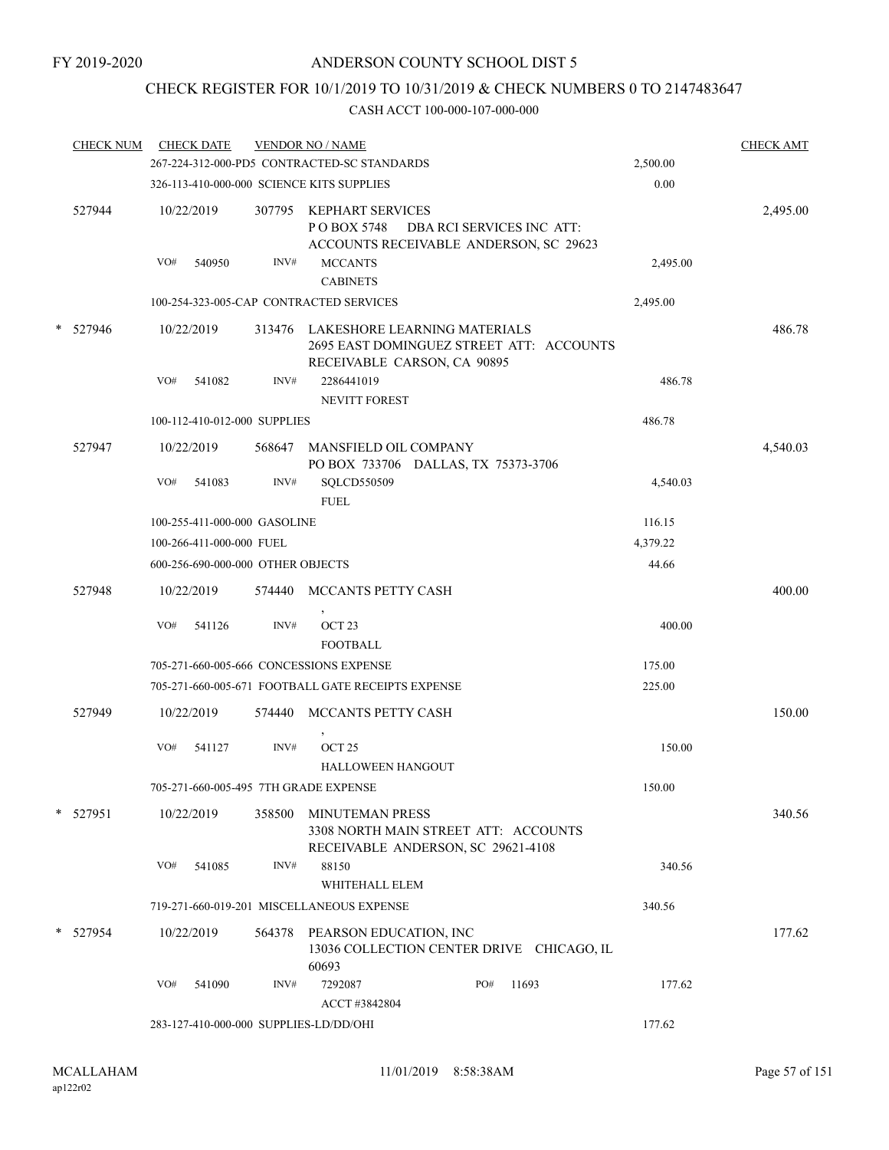## CHECK REGISTER FOR 10/1/2019 TO 10/31/2019 & CHECK NUMBERS 0 TO 2147483647

| <b>CHECK NUM</b> |     | <b>CHECK DATE</b>                 |        | <b>VENDOR NO / NAME</b>                                                                                 |                           |       |          | <b>CHECK AMT</b> |
|------------------|-----|-----------------------------------|--------|---------------------------------------------------------------------------------------------------------|---------------------------|-------|----------|------------------|
|                  |     |                                   |        | 267-224-312-000-PD5 CONTRACTED-SC STANDARDS                                                             |                           |       | 2,500.00 |                  |
|                  |     |                                   |        | 326-113-410-000-000 SCIENCE KITS SUPPLIES                                                               |                           |       | 0.00     |                  |
| 527944           | VO# | 10/22/2019<br>540950              | INV#   | 307795 KEPHART SERVICES<br>PO BOX 5748<br>ACCOUNTS RECEIVABLE ANDERSON, SC 29623<br><b>MCCANTS</b>      | DBA RCI SERVICES INC ATT: |       | 2,495.00 | 2,495.00         |
|                  |     |                                   |        | <b>CABINETS</b>                                                                                         |                           |       |          |                  |
|                  |     |                                   |        | 100-254-323-005-CAP CONTRACTED SERVICES                                                                 |                           |       | 2,495.00 |                  |
| * 527946         |     | 10/22/2019                        | 313476 | LAKESHORE LEARNING MATERIALS<br>2695 EAST DOMINGUEZ STREET ATT: ACCOUNTS<br>RECEIVABLE CARSON, CA 90895 |                           |       |          | 486.78           |
|                  | VO# | 541082                            | INV#   | 2286441019<br><b>NEVITT FOREST</b>                                                                      |                           |       | 486.78   |                  |
|                  |     | 100-112-410-012-000 SUPPLIES      |        |                                                                                                         |                           |       | 486.78   |                  |
| 527947           |     | 10/22/2019                        | 568647 | <b>MANSFIELD OIL COMPANY</b><br>PO BOX 733706 DALLAS, TX 75373-3706                                     |                           |       |          | 4,540.03         |
|                  | VO# | 541083                            | INV#   | SQLCD550509<br><b>FUEL</b>                                                                              |                           |       | 4,540.03 |                  |
|                  |     | 100-255-411-000-000 GASOLINE      |        |                                                                                                         |                           |       | 116.15   |                  |
|                  |     | 100-266-411-000-000 FUEL          |        |                                                                                                         |                           |       | 4,379.22 |                  |
|                  |     | 600-256-690-000-000 OTHER OBJECTS |        |                                                                                                         |                           |       | 44.66    |                  |
| 527948           |     | 10/22/2019                        | 574440 | MCCANTS PETTY CASH                                                                                      |                           |       |          | 400.00           |
|                  | VO# | 541126                            | INV#   | OCT <sub>23</sub><br><b>FOOTBALL</b>                                                                    |                           |       | 400.00   |                  |
|                  |     |                                   |        | 705-271-660-005-666 CONCESSIONS EXPENSE                                                                 |                           |       | 175.00   |                  |
|                  |     |                                   |        | 705-271-660-005-671 FOOTBALL GATE RECEIPTS EXPENSE                                                      |                           |       | 225.00   |                  |
| 527949           |     | 10/22/2019                        | 574440 | MCCANTS PETTY CASH                                                                                      |                           |       |          | 150.00           |
|                  | VO# | 541127                            | INV#   | OCT <sub>25</sub><br>HALLOWEEN HANGOUT                                                                  |                           |       | 150.00   |                  |
|                  |     |                                   |        | 705-271-660-005-495 7TH GRADE EXPENSE                                                                   |                           |       | 150.00   |                  |
| * 527951         |     | 10/22/2019                        | 358500 | <b>MINUTEMAN PRESS</b><br>3308 NORTH MAIN STREET ATT: ACCOUNTS<br>RECEIVABLE ANDERSON, SC 29621-4108    |                           |       |          | 340.56           |
|                  | VO# | 541085                            | INV#   | 88150<br>WHITEHALL ELEM                                                                                 |                           |       | 340.56   |                  |
|                  |     |                                   |        | 719-271-660-019-201 MISCELLANEOUS EXPENSE                                                               |                           |       | 340.56   |                  |
| * 527954         |     | 10/22/2019                        |        | 564378 PEARSON EDUCATION, INC<br>13036 COLLECTION CENTER DRIVE CHICAGO, IL<br>60693                     |                           |       |          | 177.62           |
|                  | VO# | 541090                            | INV#   | 7292087<br>ACCT #3842804                                                                                | PO#                       | 11693 | 177.62   |                  |
|                  |     |                                   |        | 283-127-410-000-000 SUPPLIES-LD/DD/OHI                                                                  |                           |       | 177.62   |                  |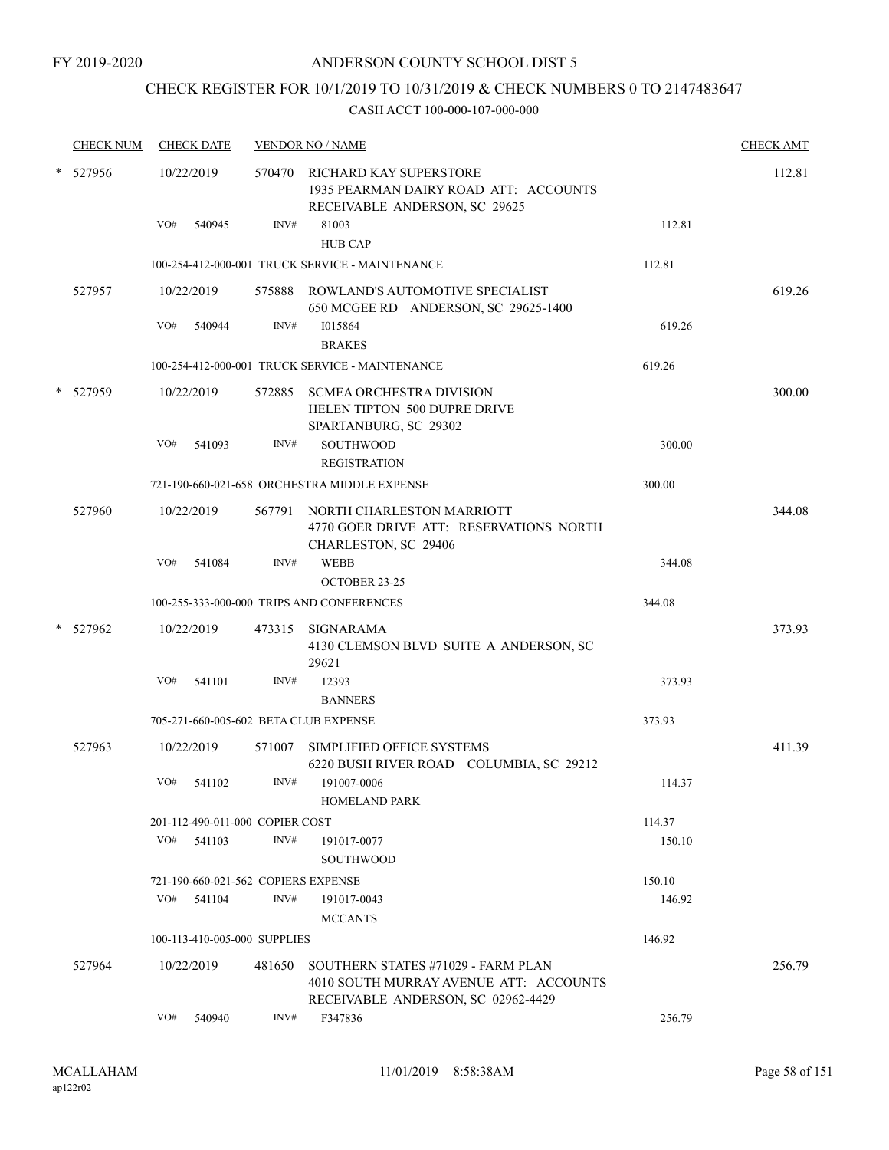## CHECK REGISTER FOR 10/1/2019 TO 10/31/2019 & CHECK NUMBERS 0 TO 2147483647

|   | <b>CHECK NUM</b> |     | <b>CHECK DATE</b>                   |        | <b>VENDOR NO / NAME</b>                                                                                            |        | <b>CHECK AMT</b> |
|---|------------------|-----|-------------------------------------|--------|--------------------------------------------------------------------------------------------------------------------|--------|------------------|
| * | 527956           |     | 10/22/2019                          | 570470 | RICHARD KAY SUPERSTORE<br>1935 PEARMAN DAIRY ROAD ATT: ACCOUNTS<br>RECEIVABLE ANDERSON, SC 29625                   |        | 112.81           |
|   |                  | VO# | 540945                              | INV#   | 81003<br><b>HUB CAP</b>                                                                                            | 112.81 |                  |
|   |                  |     |                                     |        | 100-254-412-000-001 TRUCK SERVICE - MAINTENANCE                                                                    | 112.81 |                  |
|   | 527957           |     | 10/22/2019                          | 575888 | ROWLAND'S AUTOMOTIVE SPECIALIST<br>650 MCGEE RD ANDERSON, SC 29625-1400                                            |        | 619.26           |
|   |                  | VO# | 540944                              | INV#   | 1015864<br><b>BRAKES</b>                                                                                           | 619.26 |                  |
|   |                  |     |                                     |        | 100-254-412-000-001 TRUCK SERVICE - MAINTENANCE                                                                    | 619.26 |                  |
|   | 527959           |     | 10/22/2019                          | 572885 | <b>SCMEA ORCHESTRA DIVISION</b><br>HELEN TIPTON 500 DUPRE DRIVE<br>SPARTANBURG, SC 29302                           |        | 300.00           |
|   |                  | VO# | 541093                              | INV#   | <b>SOUTHWOOD</b><br><b>REGISTRATION</b>                                                                            | 300.00 |                  |
|   |                  |     |                                     |        | 721-190-660-021-658 ORCHESTRA MIDDLE EXPENSE                                                                       | 300.00 |                  |
|   | 527960           |     | 10/22/2019                          | 567791 | NORTH CHARLESTON MARRIOTT<br>4770 GOER DRIVE ATT: RESERVATIONS NORTH<br>CHARLESTON, SC 29406                       |        | 344.08           |
|   |                  | VO# | 541084                              | INV#   | <b>WEBB</b><br>OCTOBER 23-25                                                                                       | 344.08 |                  |
|   |                  |     |                                     |        | 100-255-333-000-000 TRIPS AND CONFERENCES                                                                          | 344.08 |                  |
|   | 527962           |     | 10/22/2019                          |        | 473315 SIGNARAMA<br>4130 CLEMSON BLVD SUITE A ANDERSON, SC<br>29621                                                |        | 373.93           |
|   |                  | VO# | 541101                              | INV#   | 12393<br><b>BANNERS</b>                                                                                            | 373.93 |                  |
|   |                  |     |                                     |        | 705-271-660-005-602 BETA CLUB EXPENSE                                                                              | 373.93 |                  |
|   | 527963           |     | 10/22/2019                          | 571007 | SIMPLIFIED OFFICE SYSTEMS<br>6220 BUSH RIVER ROAD COLUMBIA, SC 29212                                               |        | 411.39           |
|   |                  | VO# | 541102                              | INV#   | 191007-0006<br><b>HOMELAND PARK</b>                                                                                | 114.37 |                  |
|   |                  |     | 201-112-490-011-000 COPIER COST     |        |                                                                                                                    | 114.37 |                  |
|   |                  | VO# | 541103                              | INV#   | 191017-0077<br><b>SOUTHWOOD</b>                                                                                    | 150.10 |                  |
|   |                  |     | 721-190-660-021-562 COPIERS EXPENSE |        |                                                                                                                    | 150.10 |                  |
|   |                  | VO# | 541104                              | INV#   | 191017-0043<br><b>MCCANTS</b>                                                                                      | 146.92 |                  |
|   |                  |     | 100-113-410-005-000 SUPPLIES        |        |                                                                                                                    | 146.92 |                  |
|   | 527964           |     | 10/22/2019                          | 481650 | SOUTHERN STATES #71029 - FARM PLAN<br>4010 SOUTH MURRAY AVENUE ATT: ACCOUNTS<br>RECEIVABLE ANDERSON, SC 02962-4429 |        | 256.79           |
|   |                  | VO# | 540940                              | INV#   | F347836                                                                                                            | 256.79 |                  |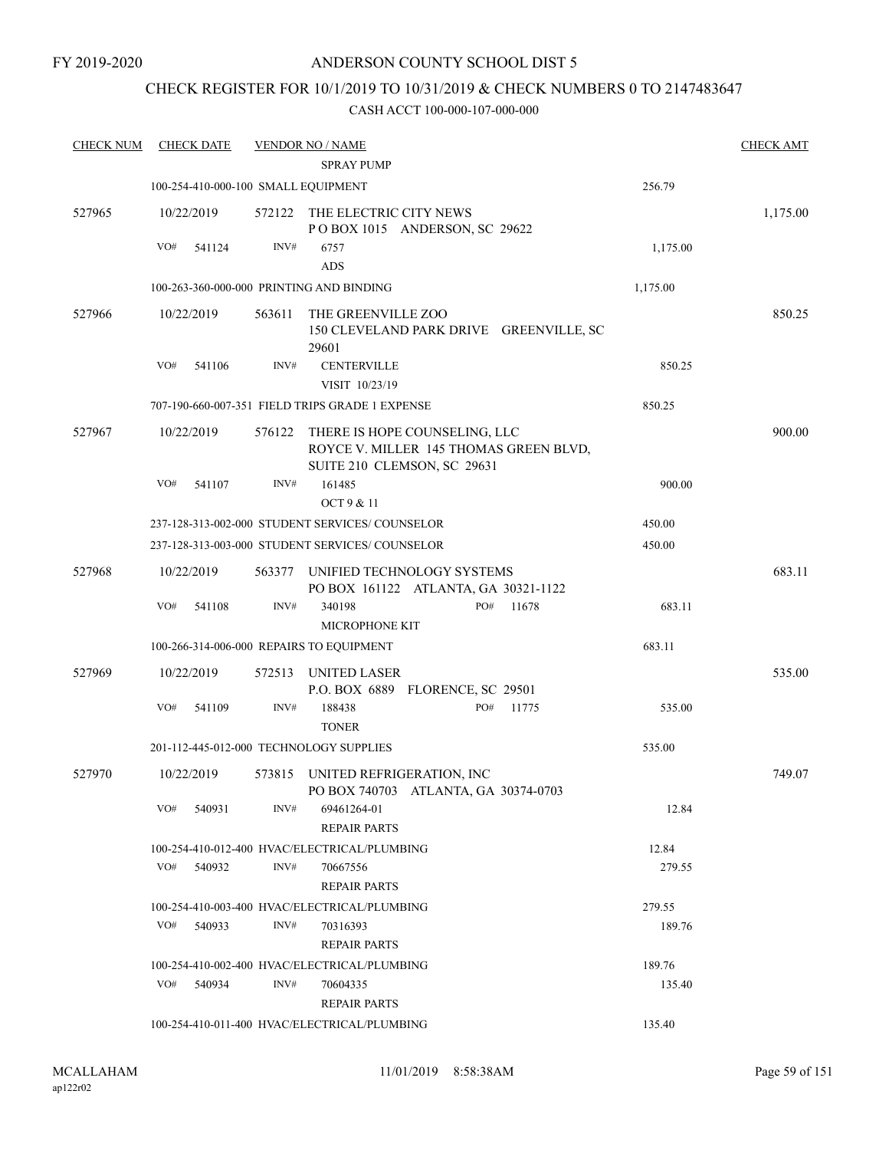### CHECK REGISTER FOR 10/1/2019 TO 10/31/2019 & CHECK NUMBERS 0 TO 2147483647

| <b>CHECK NUM</b> | <b>CHECK DATE</b>                        |        | <b>VENDOR NO / NAME</b>                                      |                                         |       |          | <b>CHECK AMT</b> |
|------------------|------------------------------------------|--------|--------------------------------------------------------------|-----------------------------------------|-------|----------|------------------|
|                  |                                          |        | <b>SPRAY PUMP</b>                                            |                                         |       |          |                  |
|                  | 100-254-410-000-100 SMALL EQUIPMENT      |        |                                                              |                                         |       | 256.79   |                  |
| 527965           | 10/22/2019                               |        | 572122 THE ELECTRIC CITY NEWS                                | POBOX 1015 ANDERSON, SC 29622           |       |          | 1,175.00         |
|                  | VO#<br>541124                            | INV#   | 6757                                                         |                                         |       | 1,175.00 |                  |
|                  |                                          |        | <b>ADS</b>                                                   |                                         |       |          |                  |
|                  | 100-263-360-000-000 PRINTING AND BINDING |        |                                                              |                                         |       | 1,175.00 |                  |
| 527966           | 10/22/2019                               | 563611 | THE GREENVILLE ZOO<br>29601                                  | 150 CLEVELAND PARK DRIVE GREENVILLE, SC |       |          | 850.25           |
|                  | VO#<br>541106                            | INV#   | <b>CENTERVILLE</b><br>VISIT 10/23/19                         |                                         |       | 850.25   |                  |
|                  |                                          |        | 707-190-660-007-351 FIELD TRIPS GRADE 1 EXPENSE              |                                         |       | 850.25   |                  |
| 527967           | 10/22/2019                               | 576122 | THERE IS HOPE COUNSELING, LLC<br>SUITE 210 CLEMSON, SC 29631 | ROYCE V. MILLER 145 THOMAS GREEN BLVD,  |       |          | 900.00           |
|                  | VO#<br>541107                            | INV#   | 161485<br>OCT 9 & 11                                         |                                         |       | 900.00   |                  |
|                  |                                          |        | 237-128-313-002-000 STUDENT SERVICES/ COUNSELOR              |                                         |       | 450.00   |                  |
|                  |                                          |        | 237-128-313-003-000 STUDENT SERVICES/COUNSELOR               |                                         |       | 450.00   |                  |
| 527968           | 10/22/2019                               | 563377 | UNIFIED TECHNOLOGY SYSTEMS                                   | PO BOX 161122 ATLANTA, GA 30321-1122    |       |          | 683.11           |
|                  | VO#<br>541108                            | INV#   | 340198<br>MICROPHONE KIT                                     | PO#                                     | 11678 | 683.11   |                  |
|                  | 100-266-314-006-000 REPAIRS TO EQUIPMENT |        |                                                              |                                         |       | 683.11   |                  |
| 527969           | 10/22/2019                               | 572513 | <b>UNITED LASER</b>                                          | P.O. BOX 6889 FLORENCE, SC 29501        |       |          | 535.00           |
|                  | VO#<br>541109                            | INV#   | 188438<br><b>TONER</b>                                       | PO#                                     | 11775 | 535.00   |                  |
|                  | 201-112-445-012-000 TECHNOLOGY SUPPLIES  |        |                                                              |                                         |       | 535.00   |                  |
| 527970           | 10/22/2019                               |        | 573815 UNITED REFRIGERATION, INC                             | PO BOX 740703 ATLANTA, GA 30374-0703    |       |          | 749.07           |
|                  | VO#<br>540931                            | INV#   | 69461264-01<br><b>REPAIR PARTS</b>                           |                                         |       | 12.84    |                  |
|                  |                                          |        | 100-254-410-012-400 HVAC/ELECTRICAL/PLUMBING                 |                                         |       | 12.84    |                  |
|                  | VO#<br>540932                            | INV#   | 70667556<br><b>REPAIR PARTS</b>                              |                                         |       | 279.55   |                  |
|                  |                                          |        | 100-254-410-003-400 HVAC/ELECTRICAL/PLUMBING                 |                                         |       | 279.55   |                  |
|                  | VO#<br>540933                            | INV#   | 70316393<br><b>REPAIR PARTS</b>                              |                                         |       | 189.76   |                  |
|                  |                                          |        | 100-254-410-002-400 HVAC/ELECTRICAL/PLUMBING                 |                                         |       | 189.76   |                  |
|                  | VO#<br>540934                            | INV#   | 70604335<br><b>REPAIR PARTS</b>                              |                                         |       | 135.40   |                  |
|                  |                                          |        | 100-254-410-011-400 HVAC/ELECTRICAL/PLUMBING                 |                                         |       | 135.40   |                  |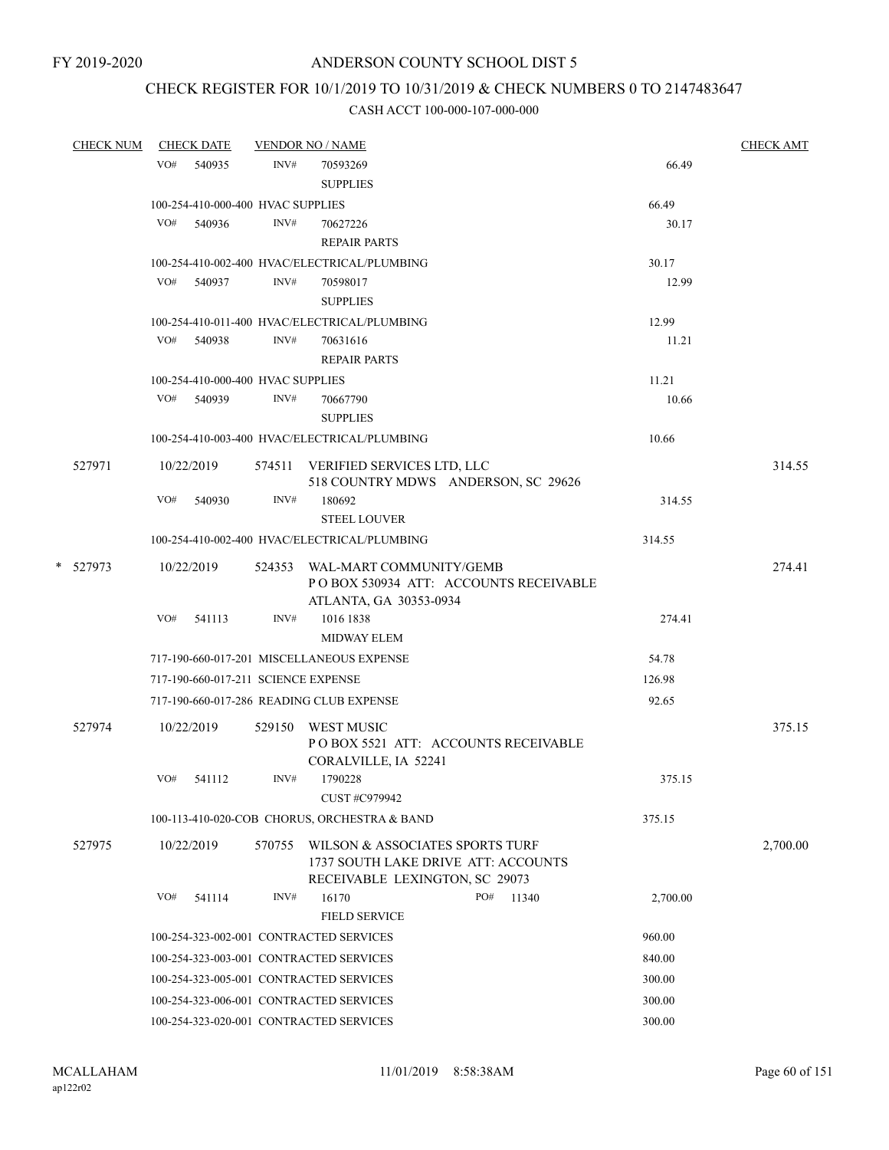### CHECK REGISTER FOR 10/1/2019 TO 10/31/2019 & CHECK NUMBERS 0 TO 2147483647

| <b>CHECK NUM</b> | <b>CHECK DATE</b>                   |        | <b>VENDOR NO / NAME</b>                      |          | <b>CHECK AMT</b> |
|------------------|-------------------------------------|--------|----------------------------------------------|----------|------------------|
|                  | VO# 540935                          | INV#   | 70593269                                     | 66.49    |                  |
|                  |                                     |        | <b>SUPPLIES</b>                              |          |                  |
|                  | 100-254-410-000-400 HVAC SUPPLIES   |        |                                              | 66.49    |                  |
|                  | VO#<br>540936                       | INV#   | 70627226                                     | 30.17    |                  |
|                  |                                     |        | <b>REPAIR PARTS</b>                          |          |                  |
|                  |                                     |        | 100-254-410-002-400 HVAC/ELECTRICAL/PLUMBING | 30.17    |                  |
|                  | VO# 540937                          | INV#   | 70598017                                     | 12.99    |                  |
|                  |                                     |        | <b>SUPPLIES</b>                              |          |                  |
|                  |                                     |        | 100-254-410-011-400 HVAC/ELECTRICAL/PLUMBING | 12.99    |                  |
|                  | VO# 540938                          | INV#   | 70631616                                     | 11.21    |                  |
|                  |                                     |        | <b>REPAIR PARTS</b>                          |          |                  |
|                  | 100-254-410-000-400 HVAC SUPPLIES   |        |                                              | 11.21    |                  |
|                  | VO#<br>540939                       | INV#   | 70667790                                     | 10.66    |                  |
|                  |                                     |        | <b>SUPPLIES</b>                              |          |                  |
|                  |                                     |        | 100-254-410-003-400 HVAC/ELECTRICAL/PLUMBING | 10.66    |                  |
| 527971           | 10/22/2019                          |        | 574511 VERIFIED SERVICES LTD, LLC            |          | 314.55           |
|                  |                                     |        | 518 COUNTRY MDWS ANDERSON, SC 29626          |          |                  |
|                  | VO#<br>540930                       | INV#   | 180692                                       | 314.55   |                  |
|                  |                                     |        | STEEL LOUVER                                 |          |                  |
|                  |                                     |        | 100-254-410-002-400 HVAC/ELECTRICAL/PLUMBING | 314.55   |                  |
| * 527973         | 10/22/2019                          |        | 524353 WAL-MART COMMUNITY/GEMB               |          | 274.41           |
|                  |                                     |        | POBOX 530934 ATT: ACCOUNTS RECEIVABLE        |          |                  |
|                  |                                     |        | ATLANTA, GA 30353-0934                       |          |                  |
|                  | VO# 541113                          | INV#   | 1016 1838                                    | 274.41   |                  |
|                  |                                     |        | <b>MIDWAY ELEM</b>                           |          |                  |
|                  |                                     |        | 717-190-660-017-201 MISCELLANEOUS EXPENSE    | 54.78    |                  |
|                  | 717-190-660-017-211 SCIENCE EXPENSE |        |                                              | 126.98   |                  |
|                  |                                     |        | 717-190-660-017-286 READING CLUB EXPENSE     | 92.65    |                  |
| 527974           | 10/22/2019                          |        | 529150 WEST MUSIC                            |          | 375.15           |
|                  |                                     |        | POBOX 5521 ATT: ACCOUNTS RECEIVABLE          |          |                  |
|                  |                                     |        | CORALVILLE, IA 52241                         |          |                  |
|                  | VO#<br>541112                       | INV#   | 1790228                                      | 375.15   |                  |
|                  |                                     |        | CUST #C979942                                |          |                  |
|                  |                                     |        | 100-113-410-020-COB CHORUS, ORCHESTRA & BAND | 375.15   |                  |
| 527975           | 10/22/2019                          | 570755 | WILSON & ASSOCIATES SPORTS TURF              |          | 2,700.00         |
|                  |                                     |        | 1737 SOUTH LAKE DRIVE ATT: ACCOUNTS          |          |                  |
|                  |                                     |        | RECEIVABLE LEXINGTON, SC 29073               |          |                  |
|                  | VO#<br>541114                       | INV#   | 16170<br>PO#<br>11340                        | 2,700.00 |                  |
|                  |                                     |        | <b>FIELD SERVICE</b>                         |          |                  |
|                  |                                     |        | 100-254-323-002-001 CONTRACTED SERVICES      | 960.00   |                  |
|                  |                                     |        | 100-254-323-003-001 CONTRACTED SERVICES      | 840.00   |                  |
|                  |                                     |        | 100-254-323-005-001 CONTRACTED SERVICES      | 300.00   |                  |
|                  |                                     |        | 100-254-323-006-001 CONTRACTED SERVICES      | 300.00   |                  |
|                  |                                     |        | 100-254-323-020-001 CONTRACTED SERVICES      | 300.00   |                  |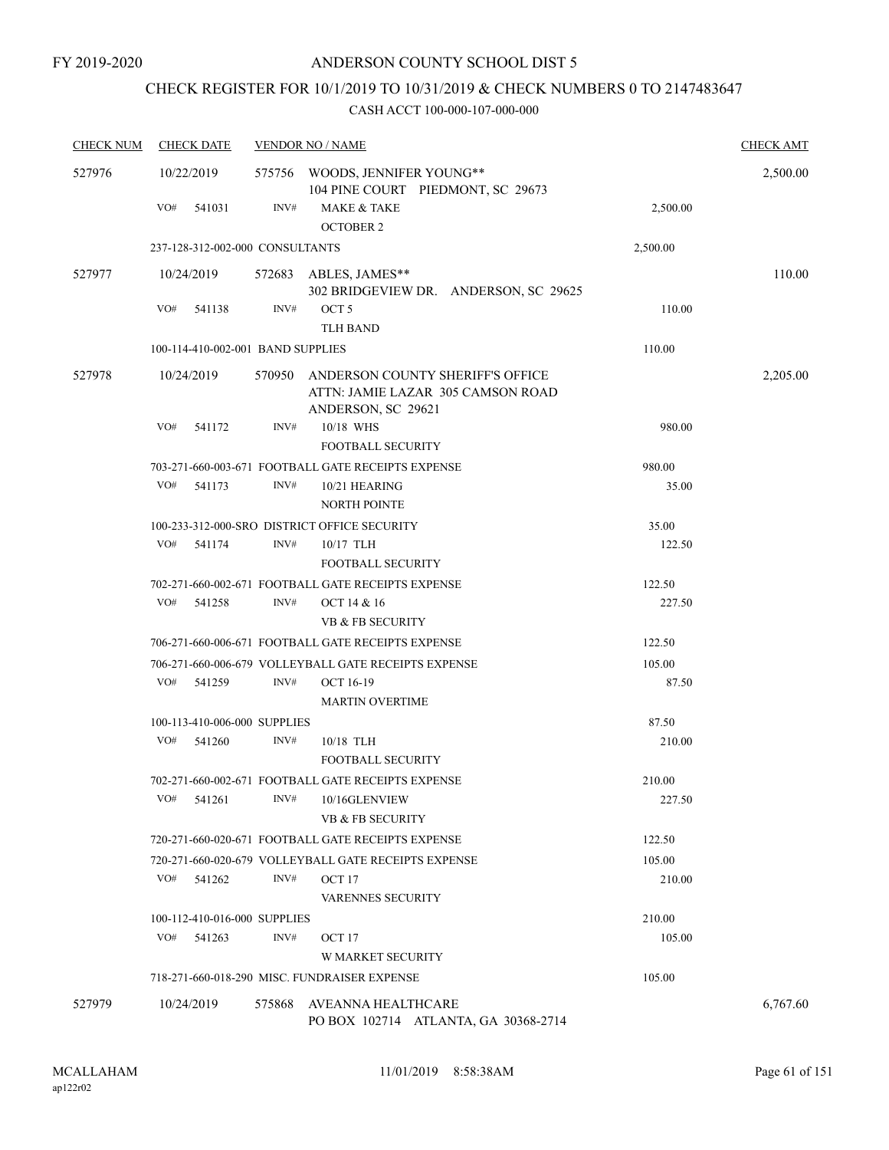## CHECK REGISTER FOR 10/1/2019 TO 10/31/2019 & CHECK NUMBERS 0 TO 2147483647

| <b>CHECK NUM</b> | <b>CHECK DATE</b>                 |        | <b>VENDOR NO / NAME</b>                                                                            |                  | <b>CHECK AMT</b> |
|------------------|-----------------------------------|--------|----------------------------------------------------------------------------------------------------|------------------|------------------|
| 527976           | 10/22/2019                        |        | 575756 WOODS, JENNIFER YOUNG**<br>104 PINE COURT PIEDMONT, SC 29673                                |                  | 2,500.00         |
|                  | VO#<br>541031                     | INV#   | <b>MAKE &amp; TAKE</b><br><b>OCTOBER 2</b>                                                         | 2,500.00         |                  |
|                  | 237-128-312-002-000 CONSULTANTS   |        |                                                                                                    | 2,500.00         |                  |
| 527977           | 10/24/2019                        |        | 572683 ABLES, JAMES**<br>302 BRIDGEVIEW DR. ANDERSON, SC 29625                                     |                  | 110.00           |
|                  | VO#<br>541138                     | INV#   | OCT <sub>5</sub><br><b>TLH BAND</b>                                                                | 110.00           |                  |
|                  | 100-114-410-002-001 BAND SUPPLIES |        |                                                                                                    | 110.00           |                  |
| 527978           | 10/24/2019                        | 570950 | ANDERSON COUNTY SHERIFF'S OFFICE<br>ATTN: JAMIE LAZAR 305 CAMSON ROAD<br>ANDERSON, SC 29621        |                  | 2,205.00         |
|                  | VO#<br>541172                     | INV#   | 10/18 WHS<br><b>FOOTBALL SECURITY</b>                                                              | 980.00           |                  |
|                  |                                   |        | 703-271-660-003-671 FOOTBALL GATE RECEIPTS EXPENSE                                                 | 980.00           |                  |
|                  | VO#<br>541173                     | INV#   | 10/21 HEARING<br><b>NORTH POINTE</b>                                                               | 35.00            |                  |
|                  |                                   |        | 100-233-312-000-SRO DISTRICT OFFICE SECURITY                                                       | 35.00            |                  |
|                  | VO#<br>541174                     | INV#   | 10/17 TLH<br><b>FOOTBALL SECURITY</b>                                                              | 122.50           |                  |
|                  |                                   |        | 702-271-660-002-671 FOOTBALL GATE RECEIPTS EXPENSE                                                 | 122.50           |                  |
|                  | VO#<br>541258                     | INV#   | OCT 14 & 16<br><b>VB &amp; FB SECURITY</b>                                                         | 227.50           |                  |
|                  |                                   |        | 706-271-660-006-671 FOOTBALL GATE RECEIPTS EXPENSE                                                 | 122.50           |                  |
|                  |                                   |        | 706-271-660-006-679 VOLLEYBALL GATE RECEIPTS EXPENSE                                               | 105.00           |                  |
|                  | VO#<br>541259                     | INV#   | OCT 16-19<br><b>MARTIN OVERTIME</b>                                                                | 87.50            |                  |
|                  | 100-113-410-006-000 SUPPLIES      |        |                                                                                                    | 87.50            |                  |
|                  | VO#<br>541260                     | INV#   | $10/18$ TLH<br><b>FOOTBALL SECURITY</b>                                                            | 210.00           |                  |
|                  | VO#<br>541261                     | INV#   | 702-271-660-002-671 FOOTBALL GATE RECEIPTS EXPENSE<br>10/16GLENVIEW<br><b>VB &amp; FB SECURITY</b> | 210.00<br>227.50 |                  |
|                  |                                   |        | 720-271-660-020-671 FOOTBALL GATE RECEIPTS EXPENSE                                                 | 122.50           |                  |
|                  |                                   |        | 720-271-660-020-679 VOLLEYBALL GATE RECEIPTS EXPENSE                                               | 105.00           |                  |
|                  | VO#<br>541262                     | INV#   | OCT 17<br><b>VARENNES SECURITY</b>                                                                 | 210.00           |                  |
|                  | 100-112-410-016-000 SUPPLIES      |        |                                                                                                    | 210.00           |                  |
|                  | VO#<br>541263                     | INV#   | OCT <sub>17</sub><br><b>W MARKET SECURITY</b>                                                      | 105.00           |                  |
|                  |                                   |        | 718-271-660-018-290 MISC. FUNDRAISER EXPENSE                                                       | 105.00           |                  |
| 527979           | 10/24/2019                        | 575868 | AVEANNA HEALTHCARE<br>PO BOX 102714 ATLANTA, GA 30368-2714                                         |                  | 6,767.60         |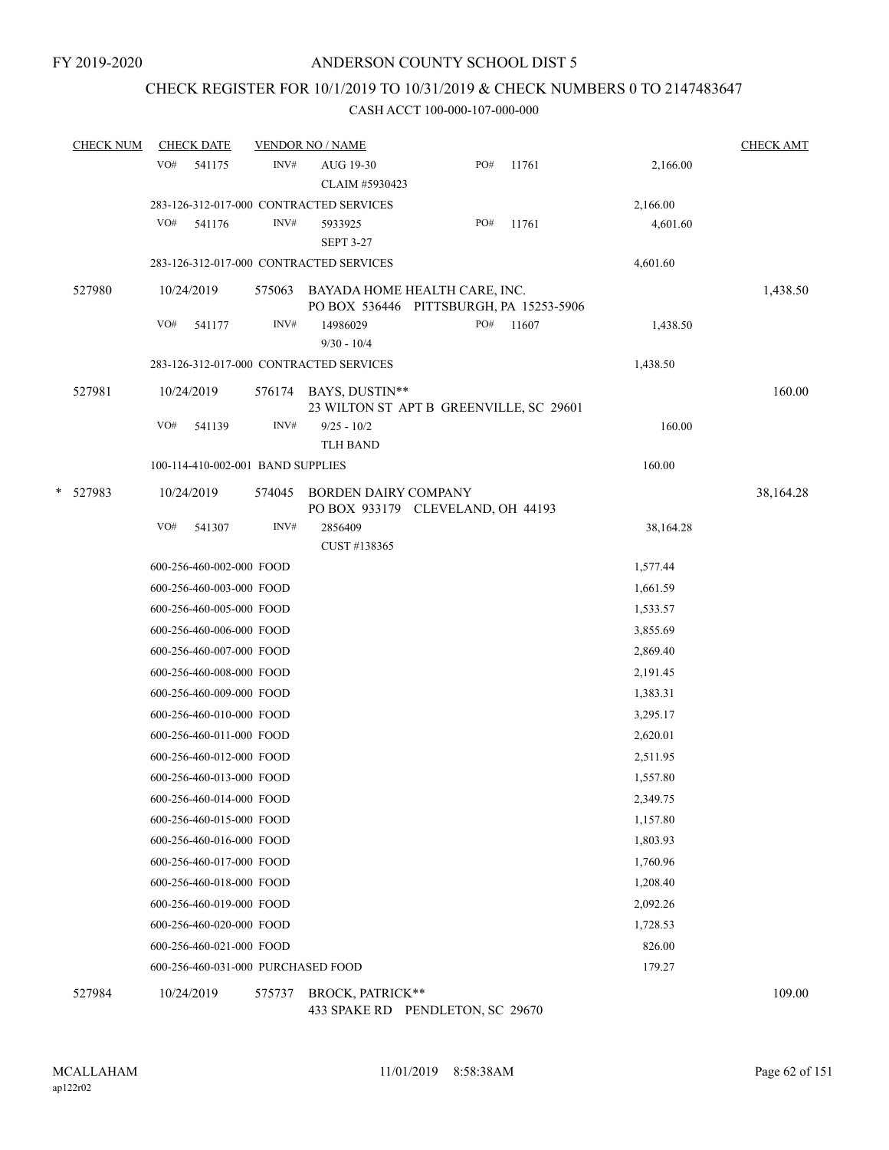### CHECK REGISTER FOR 10/1/2019 TO 10/31/2019 & CHECK NUMBERS 0 TO 2147483647

#### CASH ACCT 100-000-107-000-000

|   | <b>CHECK NUM</b> |     | <b>CHECK DATE</b>                  |        | <b>VENDOR NO / NAME</b>                                                  |     |       |           | <b>CHECK AMT</b> |
|---|------------------|-----|------------------------------------|--------|--------------------------------------------------------------------------|-----|-------|-----------|------------------|
|   |                  | VO# | 541175                             | INV#   | AUG 19-30                                                                | PO# | 11761 | 2,166.00  |                  |
|   |                  |     |                                    |        | CLAIM #5930423                                                           |     |       |           |                  |
|   |                  |     |                                    |        | 283-126-312-017-000 CONTRACTED SERVICES                                  |     |       | 2,166.00  |                  |
|   |                  | VO# | 541176                             | INV#   | 5933925<br><b>SEPT 3-27</b>                                              | PO# | 11761 | 4,601.60  |                  |
|   |                  |     |                                    |        | 283-126-312-017-000 CONTRACTED SERVICES                                  |     |       | 4,601.60  |                  |
|   | 527980           |     | 10/24/2019                         | 575063 | BAYADA HOME HEALTH CARE, INC.<br>PO BOX 536446 PITTSBURGH, PA 15253-5906 |     |       |           | 1,438.50         |
|   |                  | VO# | 541177                             | INV#   | 14986029<br>$9/30 - 10/4$                                                | PO# | 11607 | 1,438.50  |                  |
|   |                  |     |                                    |        | 283-126-312-017-000 CONTRACTED SERVICES                                  |     |       | 1,438.50  |                  |
|   | 527981           |     | 10/24/2019                         | 576174 | BAYS, DUSTIN**<br>23 WILTON ST APT B GREENVILLE, SC 29601                |     |       |           | 160.00           |
|   |                  | VO# | 541139                             | INV#   | $9/25 - 10/2$<br><b>TLH BAND</b>                                         |     |       | 160.00    |                  |
|   |                  |     | 100-114-410-002-001 BAND SUPPLIES  |        |                                                                          |     |       | 160.00    |                  |
| * | 527983           |     | 10/24/2019                         | 574045 | BORDEN DAIRY COMPANY<br>PO BOX 933179 CLEVELAND, OH 44193                |     |       |           | 38,164.28        |
|   |                  | VO# | 541307                             | INV#   | 2856409<br>CUST #138365                                                  |     |       | 38,164.28 |                  |
|   |                  |     | 600-256-460-002-000 FOOD           |        |                                                                          |     |       | 1,577.44  |                  |
|   |                  |     | 600-256-460-003-000 FOOD           |        |                                                                          |     |       | 1,661.59  |                  |
|   |                  |     | 600-256-460-005-000 FOOD           |        |                                                                          |     |       | 1,533.57  |                  |
|   |                  |     | 600-256-460-006-000 FOOD           |        |                                                                          |     |       | 3,855.69  |                  |
|   |                  |     | 600-256-460-007-000 FOOD           |        |                                                                          |     |       | 2,869.40  |                  |
|   |                  |     | 600-256-460-008-000 FOOD           |        |                                                                          |     |       | 2,191.45  |                  |
|   |                  |     | 600-256-460-009-000 FOOD           |        |                                                                          |     |       | 1,383.31  |                  |
|   |                  |     | 600-256-460-010-000 FOOD           |        |                                                                          |     |       | 3,295.17  |                  |
|   |                  |     | 600-256-460-011-000 FOOD           |        |                                                                          |     |       | 2,620.01  |                  |
|   |                  |     | 600-256-460-012-000 FOOD           |        |                                                                          |     |       | 2,511.95  |                  |
|   |                  |     | 600-256-460-013-000 FOOD           |        |                                                                          |     |       | 1,557.80  |                  |
|   |                  |     | 600-256-460-014-000 FOOD           |        |                                                                          |     |       | 2,349.75  |                  |
|   |                  |     | 600-256-460-015-000 FOOD           |        |                                                                          |     |       | 1,157.80  |                  |
|   |                  |     | 600-256-460-016-000 FOOD           |        |                                                                          |     |       | 1,803.93  |                  |
|   |                  |     | 600-256-460-017-000 FOOD           |        |                                                                          |     |       | 1,760.96  |                  |
|   |                  |     | 600-256-460-018-000 FOOD           |        |                                                                          |     |       | 1,208.40  |                  |
|   |                  |     | 600-256-460-019-000 FOOD           |        |                                                                          |     |       | 2,092.26  |                  |
|   |                  |     | 600-256-460-020-000 FOOD           |        |                                                                          |     |       | 1,728.53  |                  |
|   |                  |     | 600-256-460-021-000 FOOD           |        |                                                                          |     |       | 826.00    |                  |
|   |                  |     | 600-256-460-031-000 PURCHASED FOOD |        |                                                                          |     |       | 179.27    |                  |
|   | 527984           |     | 10/24/2019                         | 575737 | BROCK, PATRICK**                                                         |     |       |           | 109.00           |

433 SPAKE RD PENDLETON, SC 29670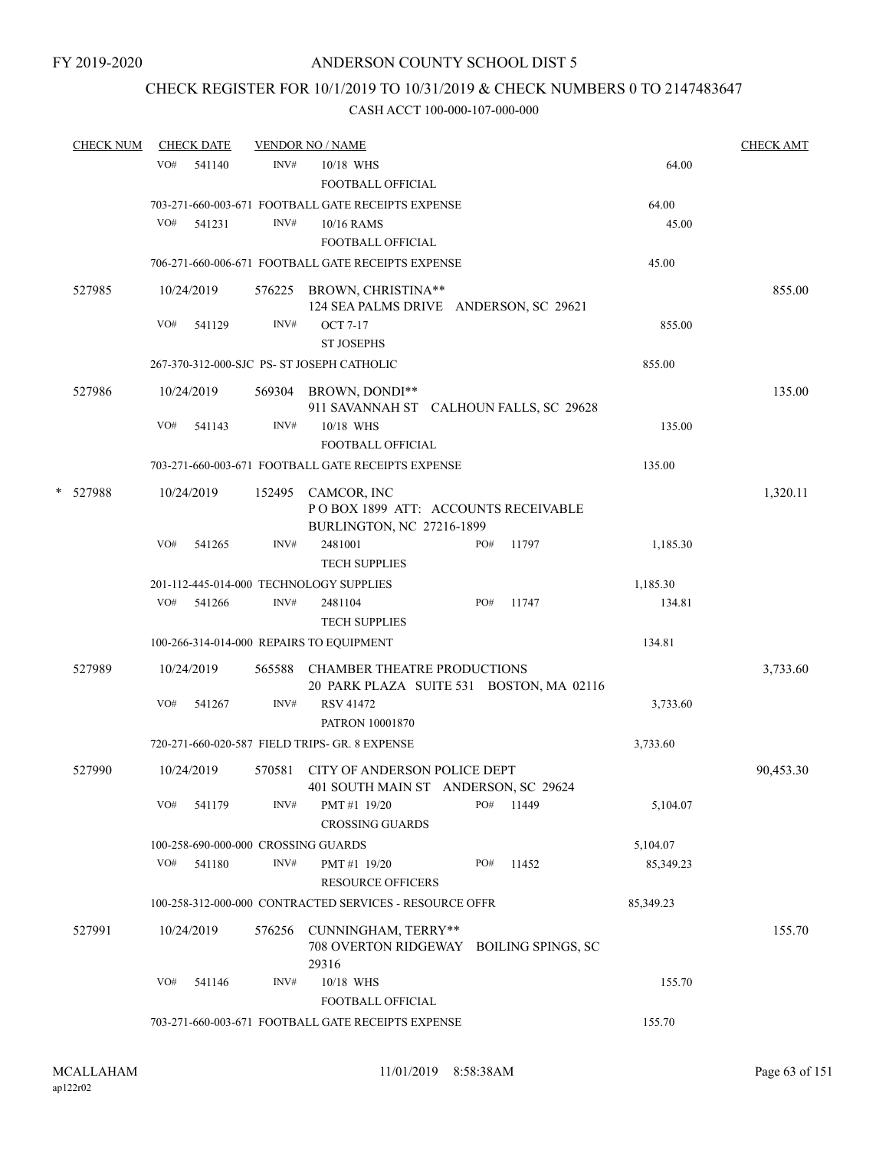### CHECK REGISTER FOR 10/1/2019 TO 10/31/2019 & CHECK NUMBERS 0 TO 2147483647

| <b>CHECK NUM</b> | <b>CHECK DATE</b> |                                     | <b>VENDOR NO / NAME</b>                                                                |           | <b>CHECK AMT</b> |
|------------------|-------------------|-------------------------------------|----------------------------------------------------------------------------------------|-----------|------------------|
|                  | VO#<br>541140     | INV#                                | 10/18 WHS                                                                              | 64.00     |                  |
|                  |                   |                                     | FOOTBALL OFFICIAL                                                                      |           |                  |
|                  |                   |                                     | 703-271-660-003-671 FOOTBALL GATE RECEIPTS EXPENSE                                     | 64.00     |                  |
|                  | VO#<br>541231     | INV#                                | 10/16 RAMS                                                                             | 45.00     |                  |
|                  |                   |                                     | FOOTBALL OFFICIAL                                                                      |           |                  |
|                  |                   |                                     | 706-271-660-006-671 FOOTBALL GATE RECEIPTS EXPENSE                                     | 45.00     |                  |
| 527985           | 10/24/2019        |                                     | 576225 BROWN, CHRISTINA**<br>124 SEA PALMS DRIVE ANDERSON, SC 29621                    |           | 855.00           |
|                  | VO#<br>541129     | INV#                                | <b>OCT 7-17</b>                                                                        | 855.00    |                  |
|                  |                   |                                     | <b>ST JOSEPHS</b>                                                                      |           |                  |
|                  |                   |                                     | 267-370-312-000-SJC PS- ST JOSEPH CATHOLIC                                             | 855.00    |                  |
| 527986           | 10/24/2019        |                                     | 569304 BROWN, DONDI**<br>911 SAVANNAH ST CALHOUN FALLS, SC 29628                       |           | 135.00           |
|                  | VO#<br>541143     | INV#                                | 10/18 WHS<br><b>FOOTBALL OFFICIAL</b>                                                  | 135.00    |                  |
|                  |                   |                                     | 703-271-660-003-671 FOOTBALL GATE RECEIPTS EXPENSE                                     | 135.00    |                  |
| * 527988         | 10/24/2019        |                                     | 152495 CAMCOR, INC<br>POBOX 1899 ATT: ACCOUNTS RECEIVABLE<br>BURLINGTON, NC 27216-1899 |           | 1,320.11         |
|                  | VO#<br>541265     | INV#                                | 2481001<br>PO#<br>11797<br><b>TECH SUPPLIES</b>                                        | 1,185.30  |                  |
|                  |                   |                                     | 201-112-445-014-000 TECHNOLOGY SUPPLIES                                                | 1,185.30  |                  |
|                  | VO#<br>541266     | INV#                                | PO#<br>2481104<br>11747                                                                | 134.81    |                  |
|                  |                   |                                     | <b>TECH SUPPLIES</b>                                                                   |           |                  |
|                  |                   |                                     | 100-266-314-014-000 REPAIRS TO EQUIPMENT                                               | 134.81    |                  |
| 527989           | 10/24/2019        | 565588                              | <b>CHAMBER THEATRE PRODUCTIONS</b><br>20 PARK PLAZA SUITE 531 BOSTON, MA 02116         |           | 3,733.60         |
|                  | VO#<br>541267     | INV#                                | RSV 41472<br>PATRON 10001870                                                           | 3,733.60  |                  |
|                  |                   |                                     | 720-271-660-020-587 FIELD TRIPS- GR. 8 EXPENSE                                         | 3,733.60  |                  |
| 527990           | 10/24/2019        | 570581                              | CITY OF ANDERSON POLICE DEPT<br>401 SOUTH MAIN ST ANDERSON, SC 29624                   |           | 90,453.30        |
|                  | VO#<br>541179     | INV#                                | PO#<br>11449<br>PMT#1 19/20<br><b>CROSSING GUARDS</b>                                  | 5,104.07  |                  |
|                  |                   | 100-258-690-000-000 CROSSING GUARDS |                                                                                        | 5,104.07  |                  |
|                  | VO#<br>541180     | INV#                                | PMT#1 19/20<br>PO#<br>11452<br><b>RESOURCE OFFICERS</b>                                | 85,349.23 |                  |
|                  |                   |                                     | 100-258-312-000-000 CONTRACTED SERVICES - RESOURCE OFFR                                | 85,349.23 |                  |
| 527991           | 10/24/2019        | 576256                              | CUNNINGHAM, TERRY**<br>708 OVERTON RIDGEWAY BOILING SPINGS, SC<br>29316                |           | 155.70           |
|                  | VO#<br>541146     | INV#                                | 10/18 WHS<br>FOOTBALL OFFICIAL                                                         | 155.70    |                  |
|                  |                   |                                     | 703-271-660-003-671 FOOTBALL GATE RECEIPTS EXPENSE                                     | 155.70    |                  |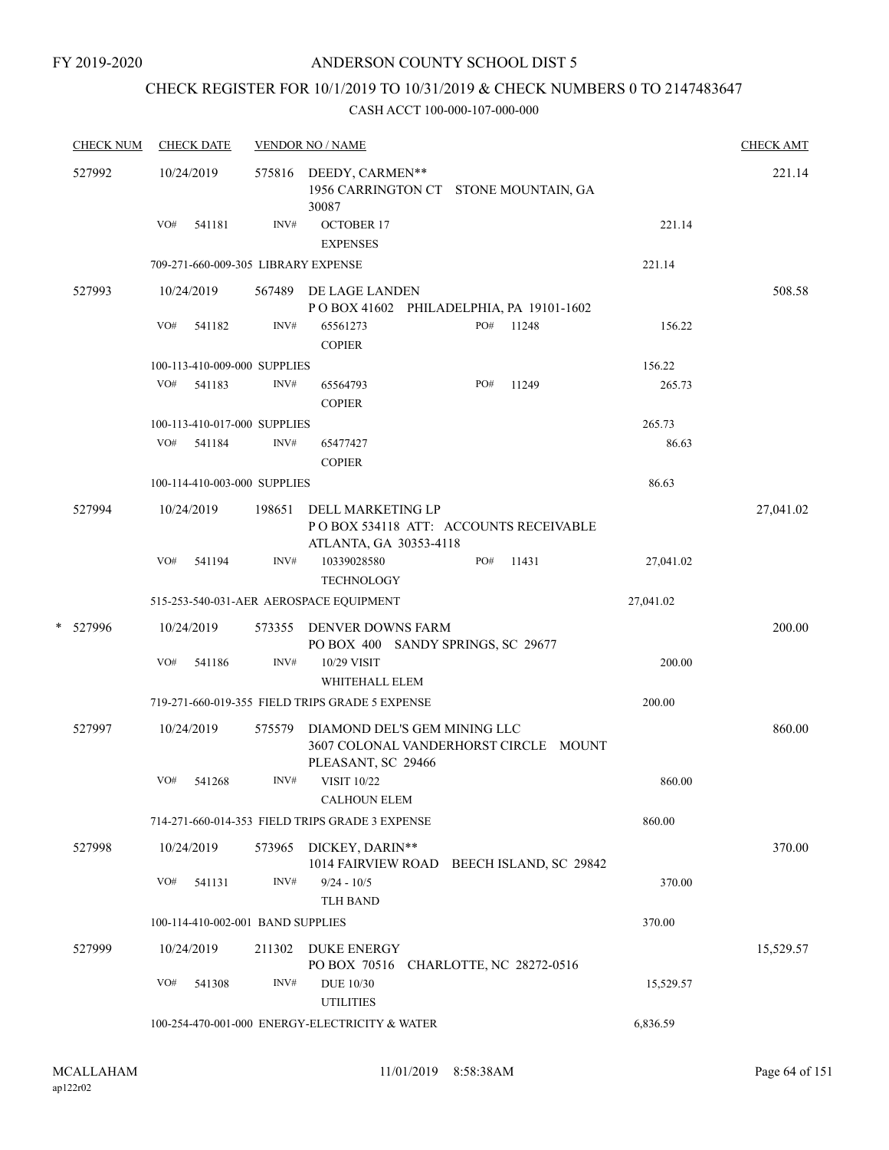FY 2019-2020

### ANDERSON COUNTY SCHOOL DIST 5

## CHECK REGISTER FOR 10/1/2019 TO 10/31/2019 & CHECK NUMBERS 0 TO 2147483647

|   | <b>CHECK NUM</b> |     | <b>CHECK DATE</b>                 |        | <b>VENDOR NO / NAME</b>                                                                     |           | <b>CHECK AMT</b> |
|---|------------------|-----|-----------------------------------|--------|---------------------------------------------------------------------------------------------|-----------|------------------|
|   | 527992           |     | 10/24/2019                        |        | 575816 DEEDY, CARMEN**<br>1956 CARRINGTON CT STONE MOUNTAIN, GA<br>30087                    |           | 221.14           |
|   |                  | VO# | 541181                            | INV#   | <b>OCTOBER 17</b><br><b>EXPENSES</b>                                                        | 221.14    |                  |
|   |                  |     |                                   |        | 709-271-660-009-305 LIBRARY EXPENSE                                                         | 221.14    |                  |
|   | 527993           |     | 10/24/2019                        |        | 567489 DE LAGE LANDEN                                                                       |           | 508.58           |
|   |                  |     |                                   |        | POBOX 41602 PHILADELPHIA, PA 19101-1602                                                     |           |                  |
|   |                  | VO# | 541182                            | INV#   | PO# 11248<br>65561273<br><b>COPIER</b>                                                      | 156.22    |                  |
|   |                  |     | 100-113-410-009-000 SUPPLIES      |        |                                                                                             | 156.22    |                  |
|   |                  | VO# | 541183                            | INV#   | PO#<br>65564793<br>11249<br><b>COPIER</b>                                                   | 265.73    |                  |
|   |                  |     | 100-113-410-017-000 SUPPLIES      |        |                                                                                             | 265.73    |                  |
|   |                  | VO# | 541184                            | INV#   | 65477427<br><b>COPIER</b>                                                                   | 86.63     |                  |
|   |                  |     | 100-114-410-003-000 SUPPLIES      |        |                                                                                             | 86.63     |                  |
|   | 527994           |     | 10/24/2019                        | 198651 | DELL MARKETING LP<br>POBOX 534118 ATT: ACCOUNTS RECEIVABLE<br>ATLANTA, GA 30353-4118        |           | 27,041.02        |
|   |                  | VO# | 541194                            | INV#   | PO#<br>10339028580<br>11431<br><b>TECHNOLOGY</b>                                            | 27,041.02 |                  |
|   |                  |     |                                   |        | 515-253-540-031-AER AEROSPACE EQUIPMENT                                                     | 27,041.02 |                  |
| * | 527996           |     | 10/24/2019                        |        | 573355 DENVER DOWNS FARM<br>PO BOX 400 SANDY SPRINGS, SC 29677                              |           | 200.00           |
|   |                  | VO# | 541186                            | INV#   | 10/29 VISIT<br>WHITEHALL ELEM                                                               | 200.00    |                  |
|   |                  |     |                                   |        | 719-271-660-019-355 FIELD TRIPS GRADE 5 EXPENSE                                             | 200.00    |                  |
|   | 527997           |     | 10/24/2019                        | 575579 | DIAMOND DEL'S GEM MINING LLC<br>3607 COLONAL VANDERHORST CIRCLE MOUNT<br>PLEASANT, SC 29466 |           | 860.00           |
|   |                  | VO# | 541268                            | INV#   | <b>VISIT 10/22</b><br><b>CALHOUN ELEM</b>                                                   | 860.00    |                  |
|   |                  |     |                                   |        | 714-271-660-014-353 FIELD TRIPS GRADE 3 EXPENSE                                             | 860.00    |                  |
|   | 527998           |     | 10/24/2019                        | 573965 | DICKEY, DARIN**<br>1014 FAIRVIEW ROAD BEECH ISLAND, SC 29842                                |           | 370.00           |
|   |                  | VO# | 541131                            | INV#   | $9/24 - 10/5$<br><b>TLH BAND</b>                                                            | 370.00    |                  |
|   |                  |     | 100-114-410-002-001 BAND SUPPLIES |        |                                                                                             | 370.00    |                  |
|   | 527999           |     | 10/24/2019                        | 211302 | <b>DUKE ENERGY</b><br>PO BOX 70516 CHARLOTTE, NC 28272-0516                                 |           | 15,529.57        |
|   |                  | VO# | 541308                            | INV#   | <b>DUE 10/30</b><br><b>UTILITIES</b>                                                        | 15,529.57 |                  |
|   |                  |     |                                   |        | 100-254-470-001-000 ENERGY-ELECTRICITY & WATER                                              | 6,836.59  |                  |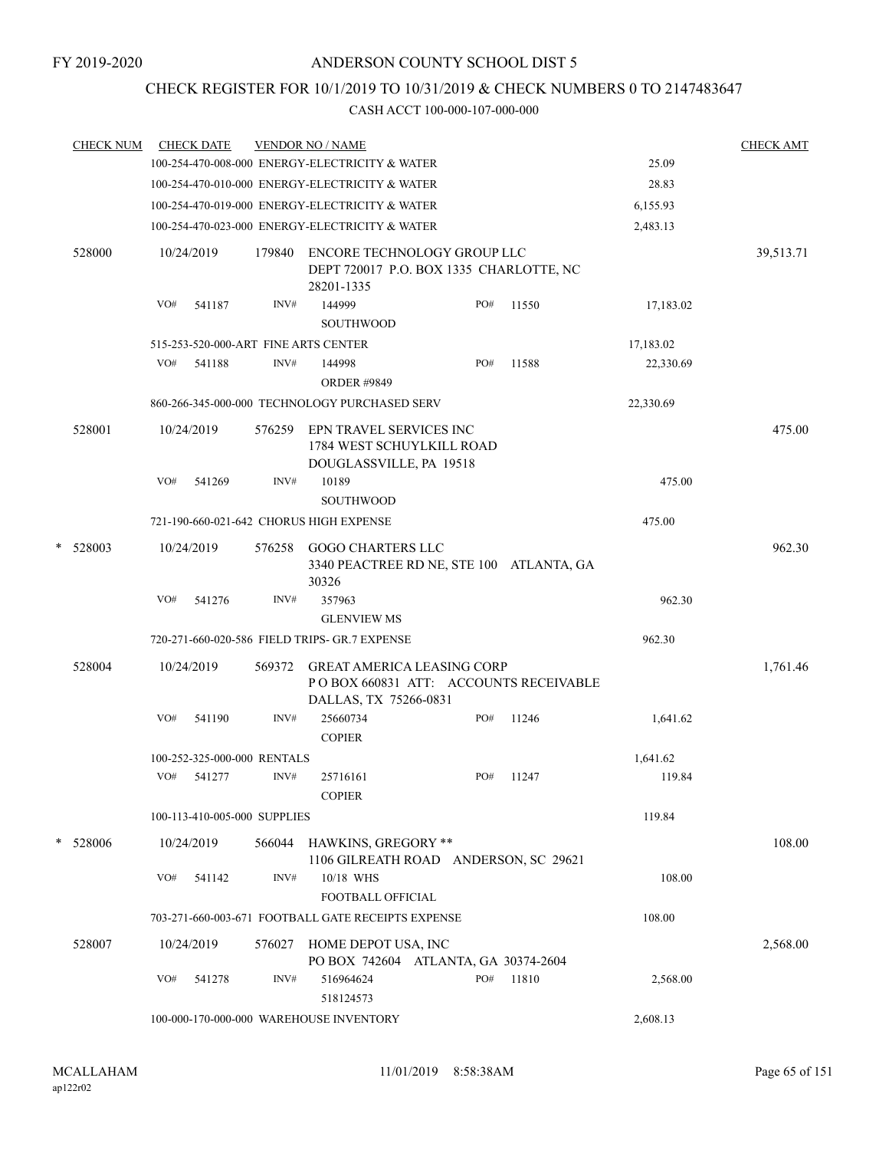### CHECK REGISTER FOR 10/1/2019 TO 10/31/2019 & CHECK NUMBERS 0 TO 2147483647

|   | <b>CHECK NUM</b> |     | <b>CHECK DATE</b>            |        | <b>VENDOR NO / NAME</b>                                                                              |     |       |           | <b>CHECK AMT</b> |
|---|------------------|-----|------------------------------|--------|------------------------------------------------------------------------------------------------------|-----|-------|-----------|------------------|
|   |                  |     |                              |        | 100-254-470-008-000 ENERGY-ELECTRICITY & WATER                                                       |     |       | 25.09     |                  |
|   |                  |     |                              |        | 100-254-470-010-000 ENERGY-ELECTRICITY & WATER                                                       |     |       | 28.83     |                  |
|   |                  |     |                              |        | 100-254-470-019-000 ENERGY-ELECTRICITY & WATER                                                       |     |       | 6,155.93  |                  |
|   |                  |     |                              |        | 100-254-470-023-000 ENERGY-ELECTRICITY & WATER                                                       |     |       | 2,483.13  |                  |
|   | 528000           |     | 10/24/2019                   | 179840 | ENCORE TECHNOLOGY GROUP LLC<br>DEPT 720017 P.O. BOX 1335 CHARLOTTE, NC<br>28201-1335                 |     |       |           | 39,513.71        |
|   |                  | VO# | 541187                       | INV#   | 144999<br><b>SOUTHWOOD</b>                                                                           | PO# | 11550 | 17,183.02 |                  |
|   |                  |     |                              |        | 515-253-520-000-ART FINE ARTS CENTER                                                                 |     |       | 17,183.02 |                  |
|   |                  | VO# | 541188                       | INV#   | 144998<br><b>ORDER #9849</b>                                                                         | PO# | 11588 | 22,330.69 |                  |
|   |                  |     |                              |        | 860-266-345-000-000 TECHNOLOGY PURCHASED SERV                                                        |     |       | 22,330.69 |                  |
|   | 528001           |     | 10/24/2019                   | 576259 | EPN TRAVEL SERVICES INC<br>1784 WEST SCHUYLKILL ROAD<br>DOUGLASSVILLE, PA 19518                      |     |       |           | 475.00           |
|   |                  | VO# | 541269                       | INV#   | 10189<br>SOUTHWOOD                                                                                   |     |       | 475.00    |                  |
|   |                  |     |                              |        | 721-190-660-021-642 CHORUS HIGH EXPENSE                                                              |     |       | 475.00    |                  |
| * | 528003           |     | 10/24/2019                   | 576258 | <b>GOGO CHARTERS LLC</b><br>3340 PEACTREE RD NE, STE 100 ATLANTA, GA<br>30326                        |     |       |           | 962.30           |
|   |                  | VO# | 541276                       | INV#   | 357963                                                                                               |     |       | 962.30    |                  |
|   |                  |     |                              |        | <b>GLENVIEW MS</b>                                                                                   |     |       |           |                  |
|   |                  |     |                              |        | 720-271-660-020-586 FIELD TRIPS- GR.7 EXPENSE                                                        |     |       | 962.30    |                  |
|   | 528004           |     | 10/24/2019                   | 569372 | <b>GREAT AMERICA LEASING CORP</b><br>PO BOX 660831 ATT: ACCOUNTS RECEIVABLE<br>DALLAS, TX 75266-0831 |     |       |           | 1,761.46         |
|   |                  | VO# | 541190                       | INV#   | 25660734<br><b>COPIER</b>                                                                            | PO# | 11246 | 1,641.62  |                  |
|   |                  |     | 100-252-325-000-000 RENTALS  |        |                                                                                                      |     |       | 1,641.62  |                  |
|   |                  | VO# | 541277                       | INV#   | 25716161<br><b>COPIER</b>                                                                            | PO# | 11247 | 119.84    |                  |
|   |                  |     | 100-113-410-005-000 SUPPLIES |        |                                                                                                      |     |       | 119.84    |                  |
|   | * 528006         |     | 10/24/2019                   | 566044 | <b>HAWKINS, GREGORY **</b><br>1106 GILREATH ROAD ANDERSON, SC 29621                                  |     |       |           | 108.00           |
|   |                  | VO# | 541142                       | INV#   | 10/18 WHS<br>FOOTBALL OFFICIAL                                                                       |     |       | 108.00    |                  |
|   |                  |     |                              |        | 703-271-660-003-671 FOOTBALL GATE RECEIPTS EXPENSE                                                   |     |       | 108.00    |                  |
|   | 528007           |     | 10/24/2019                   | 576027 | HOME DEPOT USA, INC<br>PO BOX 742604 ATLANTA, GA 30374-2604                                          |     |       |           | 2,568.00         |
|   |                  | VO# | 541278                       | INV#   | 516964624<br>518124573                                                                               | PO# | 11810 | 2,568.00  |                  |
|   |                  |     |                              |        | 100-000-170-000-000 WAREHOUSE INVENTORY                                                              |     |       | 2,608.13  |                  |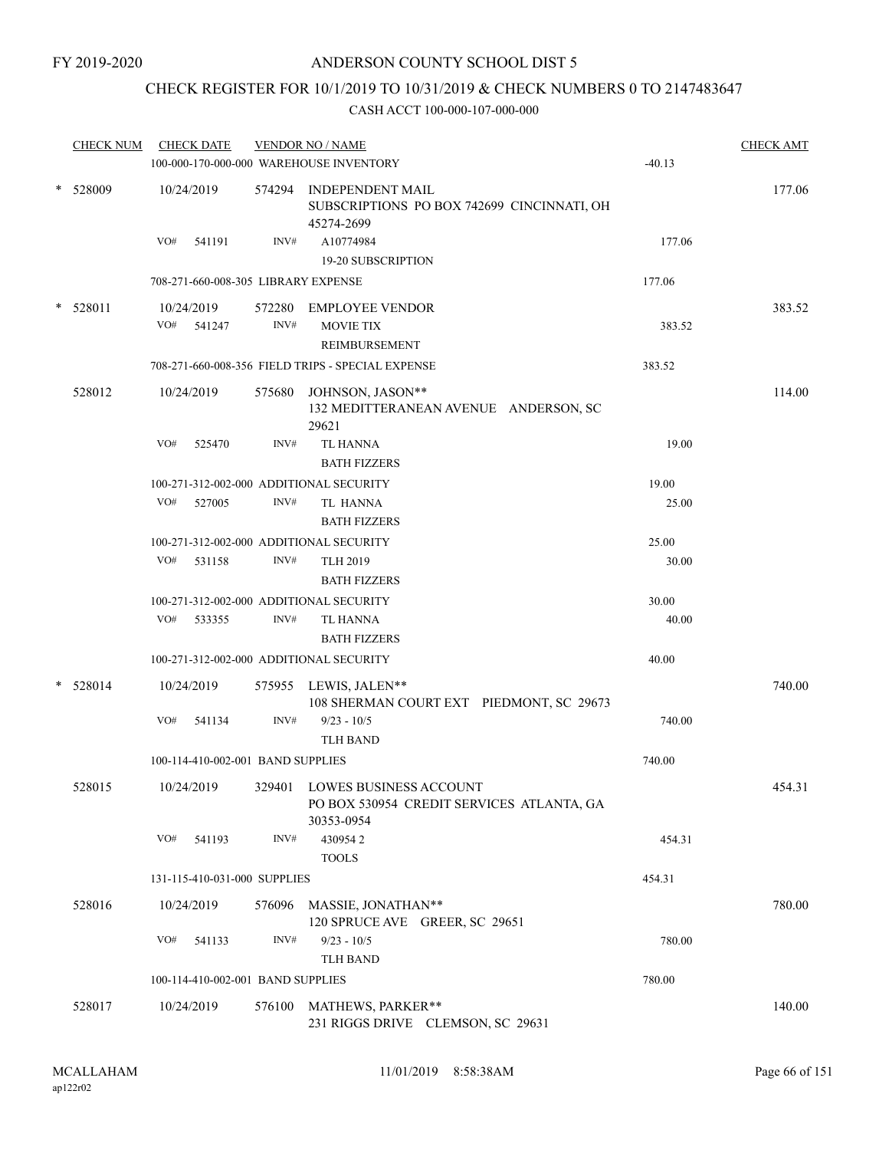### CHECK REGISTER FOR 10/1/2019 TO 10/31/2019 & CHECK NUMBERS 0 TO 2147483647

|        | <b>CHECK NUM</b> |            | <b>CHECK DATE</b>                   |        | <b>VENDOR NO / NAME</b>                                                                  |          | <b>CHECK AMT</b> |
|--------|------------------|------------|-------------------------------------|--------|------------------------------------------------------------------------------------------|----------|------------------|
|        |                  |            |                                     |        | 100-000-170-000-000 WAREHOUSE INVENTORY                                                  | $-40.13$ |                  |
|        | $*$ 528009       | 10/24/2019 |                                     |        | 574294 INDEPENDENT MAIL<br>SUBSCRIPTIONS PO BOX 742699 CINCINNATI, OH<br>45274-2699      |          | 177.06           |
|        |                  | VO#        | 541191                              | INV#   | A10774984<br>19-20 SUBSCRIPTION                                                          | 177.06   |                  |
|        |                  |            | 708-271-660-008-305 LIBRARY EXPENSE |        |                                                                                          | 177.06   |                  |
| $\ast$ | 528011           |            | 10/24/2019                          | 572280 | EMPLOYEE VENDOR                                                                          |          | 383.52           |
|        |                  |            | VO# 541247                          | INV#   | <b>MOVIE TIX</b>                                                                         | 383.52   |                  |
|        |                  |            |                                     |        | REIMBURSEMENT                                                                            |          |                  |
|        |                  |            |                                     |        | 708-271-660-008-356 FIELD TRIPS - SPECIAL EXPENSE                                        | 383.52   |                  |
|        | 528012           |            | 10/24/2019                          |        | 575680 JOHNSON, JASON**<br>132 MEDITTERANEAN AVENUE ANDERSON, SC<br>29621                |          | 114.00           |
|        |                  | VO#        | 525470                              | INV#   | <b>TL HANNA</b><br><b>BATH FIZZERS</b>                                                   | 19.00    |                  |
|        |                  |            |                                     |        | 100-271-312-002-000 ADDITIONAL SECURITY                                                  | 19.00    |                  |
|        |                  | VO#        | 527005                              | INV#   | TL HANNA<br><b>BATH FIZZERS</b>                                                          | 25.00    |                  |
|        |                  |            |                                     |        | 100-271-312-002-000 ADDITIONAL SECURITY                                                  | 25.00    |                  |
|        |                  | VO#        | 531158                              | INV#   | <b>TLH 2019</b><br><b>BATH FIZZERS</b>                                                   | 30.00    |                  |
|        |                  |            |                                     |        | 100-271-312-002-000 ADDITIONAL SECURITY                                                  | 30.00    |                  |
|        |                  | VO#        | 533355                              | INV#   | <b>TL HANNA</b><br><b>BATH FIZZERS</b>                                                   | 40.00    |                  |
|        |                  |            |                                     |        | 100-271-312-002-000 ADDITIONAL SECURITY                                                  | 40.00    |                  |
| $\ast$ | 528014           |            | 10/24/2019                          |        | 575955 LEWIS, JALEN**<br>108 SHERMAN COURT EXT PIEDMONT, SC 29673                        |          | 740.00           |
|        |                  | VO#        | 541134                              | INV#   | $9/23 - 10/5$<br><b>TLH BAND</b>                                                         | 740.00   |                  |
|        |                  |            | 100-114-410-002-001 BAND SUPPLIES   |        |                                                                                          | 740.00   |                  |
|        | 528015           |            | 10/24/2019                          |        | 329401 LOWES BUSINESS ACCOUNT<br>PO BOX 530954 CREDIT SERVICES ATLANTA, GA<br>30353-0954 |          | 454.31           |
|        |                  |            | VO# 541193                          | INV#   | 4309542<br><b>TOOLS</b>                                                                  | 454.31   |                  |
|        |                  |            | 131-115-410-031-000 SUPPLIES        |        |                                                                                          | 454.31   |                  |
|        | 528016           |            | 10/24/2019                          |        | 576096 MASSIE, JONATHAN**<br>120 SPRUCE AVE GREER, SC 29651                              |          | 780.00           |
|        |                  | VO#        | 541133                              | INV#   | $9/23 - 10/5$                                                                            | 780.00   |                  |
|        |                  |            |                                     |        | <b>TLH BAND</b>                                                                          |          |                  |
|        |                  |            | 100-114-410-002-001 BAND SUPPLIES   |        |                                                                                          | 780.00   |                  |
|        | 528017           |            | 10/24/2019                          |        | 576100 MATHEWS, PARKER**                                                                 |          | 140.00           |
|        |                  |            |                                     |        | 231 RIGGS DRIVE CLEMSON, SC 29631                                                        |          |                  |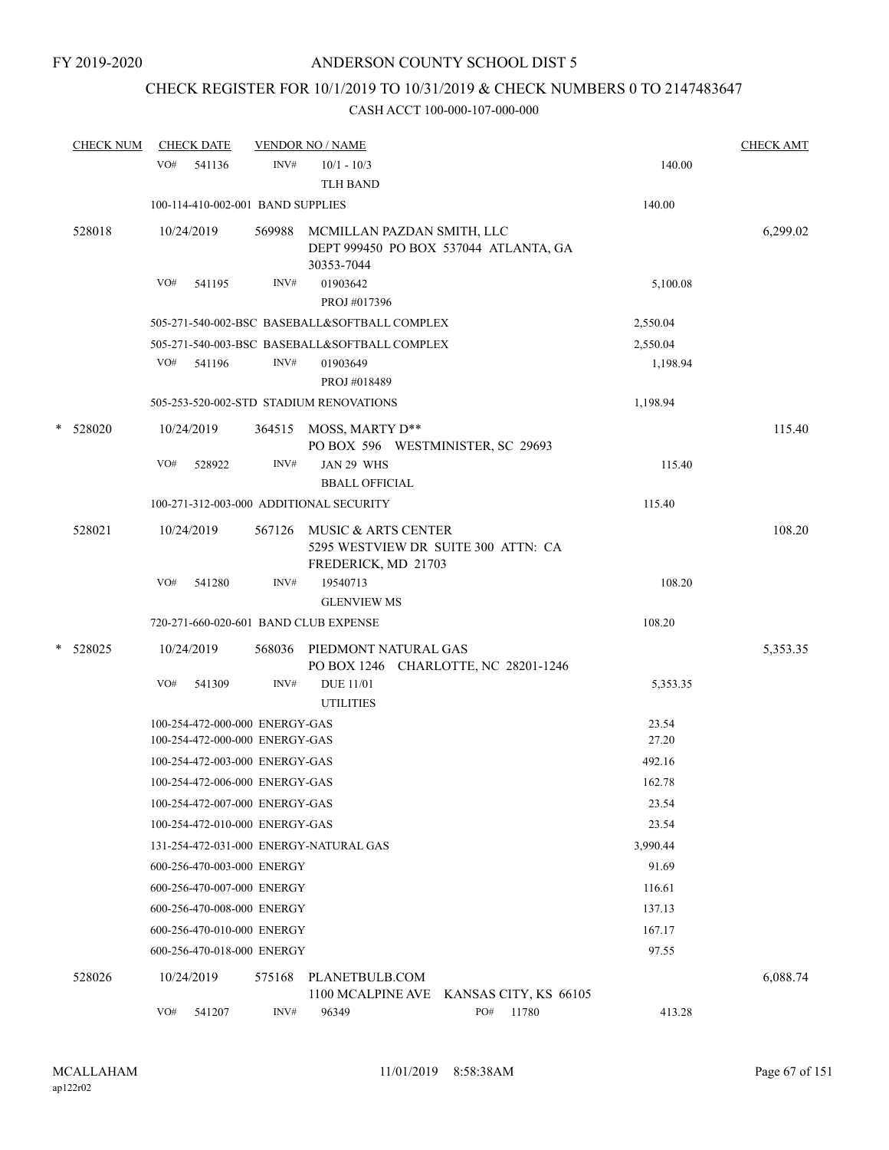## CHECK REGISTER FOR 10/1/2019 TO 10/31/2019 & CHECK NUMBERS 0 TO 2147483647

|   | <b>CHECK NUM</b> |            | <b>CHECK DATE</b>                                                |        | <b>VENDOR NO / NAME</b>                                                                  |                                         |                | <b>CHECK AMT</b> |
|---|------------------|------------|------------------------------------------------------------------|--------|------------------------------------------------------------------------------------------|-----------------------------------------|----------------|------------------|
|   |                  | VO#        | 541136                                                           | INV#   | $10/1 - 10/3$<br><b>TLH BAND</b>                                                         |                                         | 140.00         |                  |
|   |                  |            | 100-114-410-002-001 BAND SUPPLIES                                |        |                                                                                          |                                         | 140.00         |                  |
|   | 528018           | 10/24/2019 |                                                                  |        | 569988 MCMILLAN PAZDAN SMITH, LLC<br>30353-7044                                          | DEPT 999450 PO BOX 537044 ATLANTA, GA   |                | 6,299.02         |
|   |                  | VO#        | 541195                                                           | INV#   | 01903642<br>PROJ #017396                                                                 |                                         | 5,100.08       |                  |
|   |                  |            |                                                                  |        | 505-271-540-002-BSC BASEBALL&SOFTBALL COMPLEX                                            |                                         | 2,550.04       |                  |
|   |                  |            |                                                                  |        | 505-271-540-003-BSC BASEBALL&SOFTBALL COMPLEX                                            |                                         | 2,550.04       |                  |
|   |                  | VO#        | 541196                                                           | INV#   | 01903649<br>PROJ #018489                                                                 |                                         | 1,198.94       |                  |
|   |                  |            |                                                                  |        | 505-253-520-002-STD STADIUM RENOVATIONS                                                  |                                         | 1,198.94       |                  |
|   | * 528020         | 10/24/2019 |                                                                  |        | 364515 MOSS, MARTY D**<br>PO BOX 596 WESTMINISTER, SC 29693                              |                                         |                | 115.40           |
|   |                  | VO#        | 528922                                                           | INV#   | JAN 29 WHS<br><b>BBALL OFFICIAL</b>                                                      |                                         | 115.40         |                  |
|   |                  |            |                                                                  |        | 100-271-312-003-000 ADDITIONAL SECURITY                                                  |                                         | 115.40         |                  |
|   | 528021           | 10/24/2019 |                                                                  |        | 567126 MUSIC & ARTS CENTER<br>5295 WESTVIEW DR SUITE 300 ATTN: CA<br>FREDERICK, MD 21703 |                                         |                | 108.20           |
|   |                  | VO#        | 541280                                                           | INV#   | 19540713<br><b>GLENVIEW MS</b>                                                           |                                         | 108.20         |                  |
|   |                  |            |                                                                  |        | 720-271-660-020-601 BAND CLUB EXPENSE                                                    |                                         | 108.20         |                  |
| * | 528025           | 10/24/2019 |                                                                  |        | 568036 PIEDMONT NATURAL GAS                                                              | PO BOX 1246 CHARLOTTE, NC 28201-1246    |                | 5,353.35         |
|   |                  | VO#        | 541309                                                           | INV#   | <b>DUE 11/01</b><br><b>UTILITIES</b>                                                     |                                         | 5,353.35       |                  |
|   |                  |            | 100-254-472-000-000 ENERGY-GAS<br>100-254-472-000-000 ENERGY-GAS |        |                                                                                          |                                         | 23.54<br>27.20 |                  |
|   |                  |            | 100-254-472-003-000 ENERGY-GAS                                   |        |                                                                                          |                                         | 492.16         |                  |
|   |                  |            | 100-254-472-006-000 ENERGY-GAS                                   |        |                                                                                          |                                         | 162.78         |                  |
|   |                  |            | 100-254-472-007-000 ENERGY-GAS                                   |        |                                                                                          |                                         | 23.54          |                  |
|   |                  |            | 100-254-472-010-000 ENERGY-GAS                                   |        |                                                                                          |                                         | 23.54          |                  |
|   |                  |            |                                                                  |        | 131-254-472-031-000 ENERGY-NATURAL GAS                                                   |                                         | 3,990.44       |                  |
|   |                  |            | 600-256-470-003-000 ENERGY                                       |        |                                                                                          |                                         | 91.69          |                  |
|   |                  |            | 600-256-470-007-000 ENERGY                                       |        |                                                                                          |                                         | 116.61         |                  |
|   |                  |            | 600-256-470-008-000 ENERGY                                       |        |                                                                                          |                                         | 137.13         |                  |
|   |                  |            | 600-256-470-010-000 ENERGY                                       |        |                                                                                          |                                         | 167.17         |                  |
|   |                  |            | 600-256-470-018-000 ENERGY                                       |        |                                                                                          |                                         | 97.55          |                  |
|   | 528026           | 10/24/2019 |                                                                  | 575168 | PLANETBULB.COM                                                                           | 1100 MCALPINE AVE KANSAS CITY, KS 66105 |                | 6,088.74         |
|   |                  | VO#        | 541207                                                           | INV#   | 96349                                                                                    | PO#<br>11780                            | 413.28         |                  |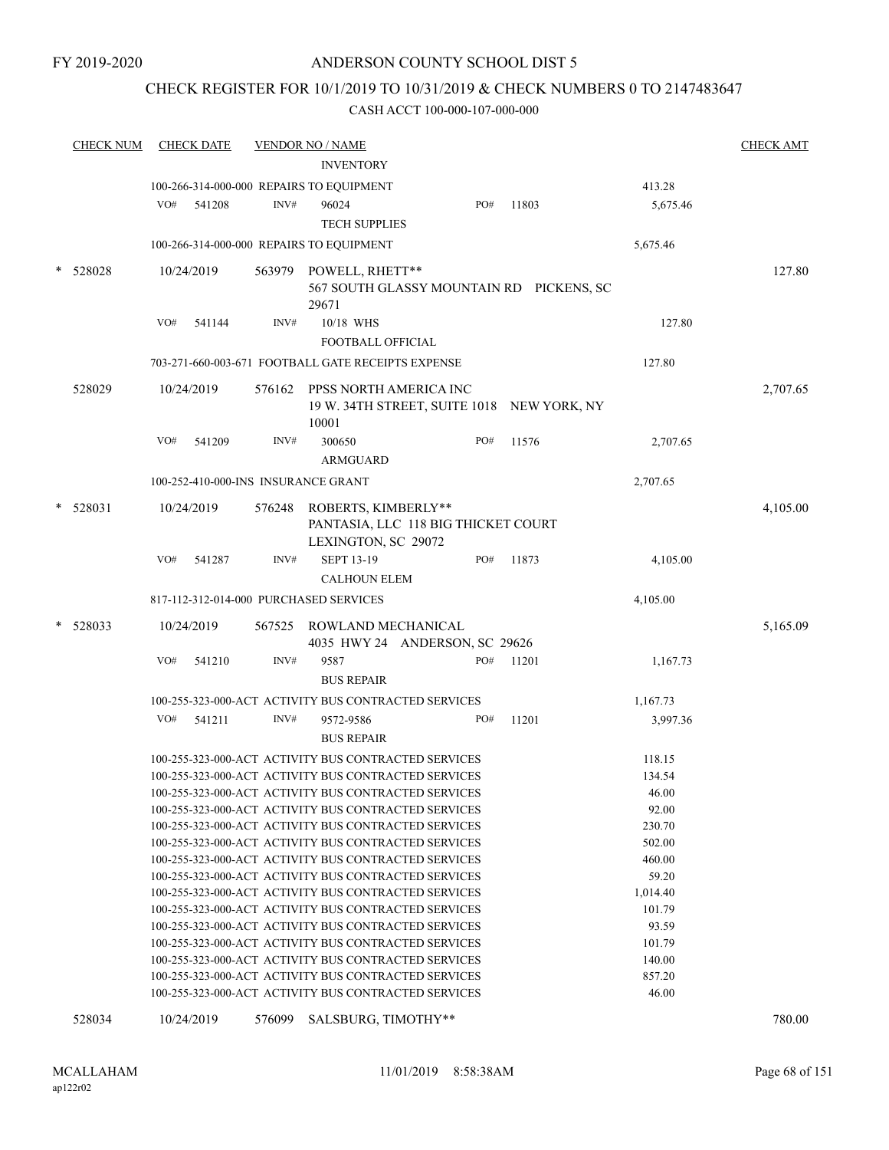### CHECK REGISTER FOR 10/1/2019 TO 10/31/2019 & CHECK NUMBERS 0 TO 2147483647

| <b>CHECK NUM</b> |     | <b>CHECK DATE</b> |        | <b>VENDOR NO / NAME</b>                                                                                      |                                            |       |                    | <b>CHECK AMT</b> |
|------------------|-----|-------------------|--------|--------------------------------------------------------------------------------------------------------------|--------------------------------------------|-------|--------------------|------------------|
|                  |     |                   |        | <b>INVENTORY</b>                                                                                             |                                            |       |                    |                  |
|                  |     |                   |        | 100-266-314-000-000 REPAIRS TO EQUIPMENT                                                                     |                                            |       | 413.28             |                  |
|                  | VO# | 541208            | INV#   | 96024                                                                                                        | PO#                                        | 11803 | 5,675.46           |                  |
|                  |     |                   |        | <b>TECH SUPPLIES</b>                                                                                         |                                            |       |                    |                  |
|                  |     |                   |        | 100-266-314-000-000 REPAIRS TO EQUIPMENT                                                                     |                                            |       | 5,675.46           |                  |
| 528028           |     | 10/24/2019        |        | 563979 POWELL, RHETT**                                                                                       |                                            |       |                    | 127.80           |
|                  |     |                   |        |                                                                                                              | 567 SOUTH GLASSY MOUNTAIN RD PICKENS, SC   |       |                    |                  |
|                  |     |                   |        | 29671                                                                                                        |                                            |       |                    |                  |
|                  | VO# | 541144            | INV#   | 10/18 WHS                                                                                                    |                                            |       | 127.80             |                  |
|                  |     |                   |        | FOOTBALL OFFICIAL                                                                                            |                                            |       |                    |                  |
|                  |     |                   |        | 703-271-660-003-671 FOOTBALL GATE RECEIPTS EXPENSE                                                           |                                            |       | 127.80             |                  |
| 528029           |     | 10/24/2019        |        | 576162 PPSS NORTH AMERICA INC                                                                                |                                            |       |                    | 2,707.65         |
|                  |     |                   |        |                                                                                                              | 19 W. 34TH STREET, SUITE 1018 NEW YORK, NY |       |                    |                  |
|                  |     |                   |        | 10001                                                                                                        |                                            |       |                    |                  |
|                  | VO# | 541209            | INV#   | 300650                                                                                                       | PO#                                        | 11576 | 2,707.65           |                  |
|                  |     |                   |        | <b>ARMGUARD</b>                                                                                              |                                            |       |                    |                  |
|                  |     |                   |        | 100-252-410-000-INS INSURANCE GRANT                                                                          |                                            |       | 2,707.65           |                  |
| 528031           |     | 10/24/2019        |        | ROBERTS, KIMBERLY**                                                                                          |                                            |       |                    | 4,105.00         |
|                  |     |                   | 576248 |                                                                                                              | PANTASIA, LLC 118 BIG THICKET COURT        |       |                    |                  |
|                  |     |                   |        | LEXINGTON, SC 29072                                                                                          |                                            |       |                    |                  |
|                  | VO# | 541287            | INV#   | <b>SEPT 13-19</b>                                                                                            | PO#                                        | 11873 | 4,105.00           |                  |
|                  |     |                   |        | <b>CALHOUN ELEM</b>                                                                                          |                                            |       |                    |                  |
|                  |     |                   |        | 817-112-312-014-000 PURCHASED SERVICES                                                                       |                                            |       | 4,105.00           |                  |
|                  |     |                   |        |                                                                                                              |                                            |       |                    |                  |
| 528033           |     | 10/24/2019        | 567525 | ROWLAND MECHANICAL                                                                                           |                                            |       |                    | 5,165.09         |
|                  |     |                   |        |                                                                                                              | 4035 HWY 24 ANDERSON, SC 29626             |       |                    |                  |
|                  | VO# | 541210            | INV#   | 9587                                                                                                         | PO#                                        | 11201 | 1,167.73           |                  |
|                  |     |                   |        | <b>BUS REPAIR</b>                                                                                            |                                            |       |                    |                  |
|                  |     |                   |        | 100-255-323-000-ACT ACTIVITY BUS CONTRACTED SERVICES                                                         |                                            |       | 1,167.73           |                  |
|                  | VO# | 541211            | INV#   | 9572-9586                                                                                                    | PO#                                        | 11201 | 3,997.36           |                  |
|                  |     |                   |        | <b>BUS REPAIR</b>                                                                                            |                                            |       |                    |                  |
|                  |     |                   |        | 100-255-323-000-ACT ACTIVITY BUS CONTRACTED SERVICES                                                         |                                            |       | 118.15             |                  |
|                  |     |                   |        | 100-255-323-000-ACT ACTIVITY BUS CONTRACTED SERVICES                                                         |                                            |       | 134.54             |                  |
|                  |     |                   |        | 100-255-323-000-ACT ACTIVITY BUS CONTRACTED SERVICES                                                         |                                            |       | 46.00              |                  |
|                  |     |                   |        | 100-255-323-000-ACT ACTIVITY BUS CONTRACTED SERVICES                                                         |                                            |       | 92.00              |                  |
|                  |     |                   |        | 100-255-323-000-ACT ACTIVITY BUS CONTRACTED SERVICES                                                         |                                            |       | 230.70             |                  |
|                  |     |                   |        | 100-255-323-000-ACT ACTIVITY BUS CONTRACTED SERVICES                                                         |                                            |       | 502.00             |                  |
|                  |     |                   |        | 100-255-323-000-ACT ACTIVITY BUS CONTRACTED SERVICES                                                         |                                            |       | 460.00             |                  |
|                  |     |                   |        | 100-255-323-000-ACT ACTIVITY BUS CONTRACTED SERVICES                                                         |                                            |       | 59.20              |                  |
|                  |     |                   |        | 100-255-323-000-ACT ACTIVITY BUS CONTRACTED SERVICES<br>100-255-323-000-ACT ACTIVITY BUS CONTRACTED SERVICES |                                            |       | 1,014.40<br>101.79 |                  |
|                  |     |                   |        | 100-255-323-000-ACT ACTIVITY BUS CONTRACTED SERVICES                                                         |                                            |       | 93.59              |                  |
|                  |     |                   |        | 100-255-323-000-ACT ACTIVITY BUS CONTRACTED SERVICES                                                         |                                            |       | 101.79             |                  |
|                  |     |                   |        | 100-255-323-000-ACT ACTIVITY BUS CONTRACTED SERVICES                                                         |                                            |       | 140.00             |                  |
|                  |     |                   |        | 100-255-323-000-ACT ACTIVITY BUS CONTRACTED SERVICES                                                         |                                            |       | 857.20             |                  |
|                  |     |                   |        | 100-255-323-000-ACT ACTIVITY BUS CONTRACTED SERVICES                                                         |                                            |       | 46.00              |                  |
| 528034           |     | 10/24/2019        | 576099 | SALSBURG, TIMOTHY**                                                                                          |                                            |       |                    | 780.00           |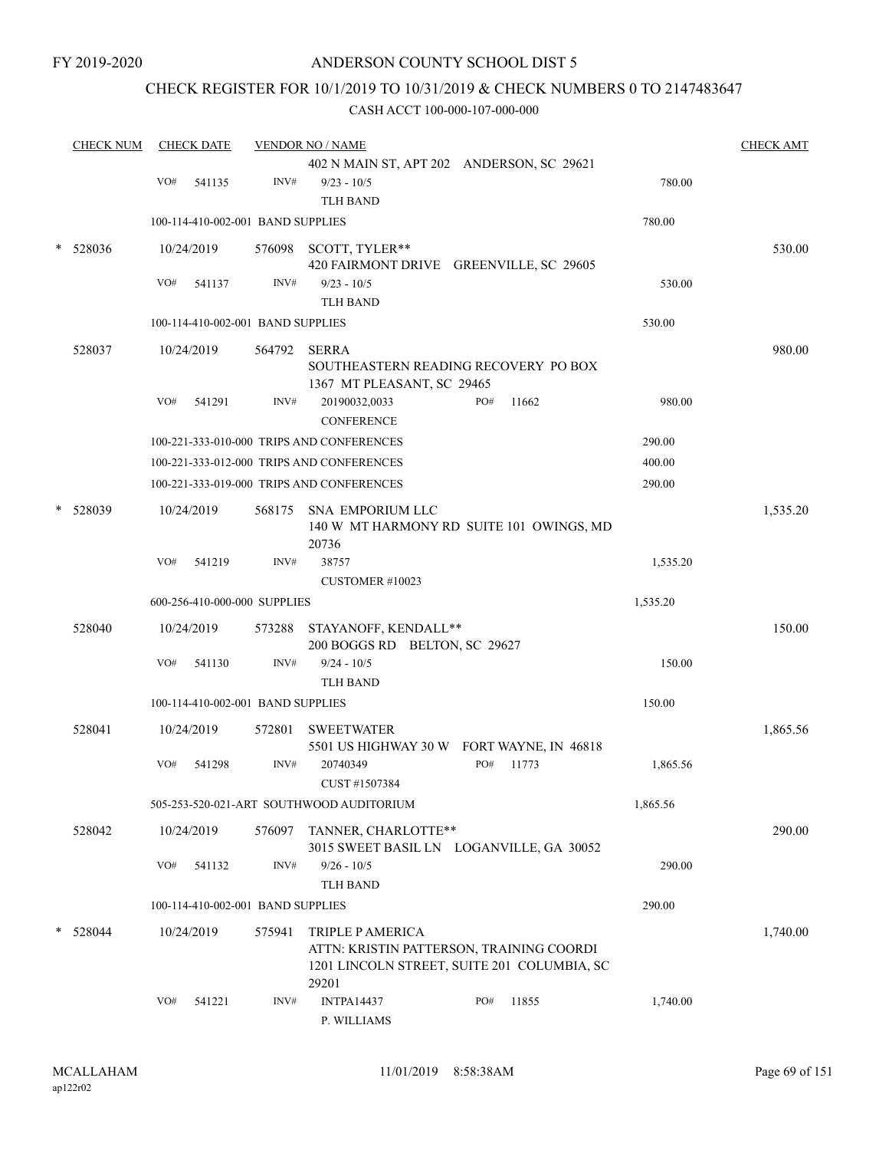### CHECK REGISTER FOR 10/1/2019 TO 10/31/2019 & CHECK NUMBERS 0 TO 2147483647

|   | <b>CHECK NUM</b> |            | <b>CHECK DATE</b>                 |        | <b>VENDOR NO / NAME</b>                                                                                     |     |       |          | <b>CHECK AMT</b> |
|---|------------------|------------|-----------------------------------|--------|-------------------------------------------------------------------------------------------------------------|-----|-------|----------|------------------|
|   |                  | $\rm VO\#$ | 541135                            | INV#   | 402 N MAIN ST, APT 202 ANDERSON, SC 29621<br>$9/23 - 10/5$                                                  |     |       | 780.00   |                  |
|   |                  |            |                                   |        | <b>TLH BAND</b>                                                                                             |     |       |          |                  |
|   |                  |            | 100-114-410-002-001 BAND SUPPLIES |        |                                                                                                             |     |       | 780.00   |                  |
|   | 528036           |            | 10/24/2019                        |        | 576098 SCOTT, TYLER**                                                                                       |     |       |          | 530.00           |
|   |                  |            |                                   |        | 420 FAIRMONT DRIVE GREENVILLE, SC 29605                                                                     |     |       |          |                  |
|   |                  | VO#        | 541137                            | INV#   | $9/23 - 10/5$<br><b>TLH BAND</b>                                                                            |     |       | 530.00   |                  |
|   |                  |            | 100-114-410-002-001 BAND SUPPLIES |        |                                                                                                             |     |       | 530.00   |                  |
|   |                  |            |                                   |        |                                                                                                             |     |       |          |                  |
|   | 528037           |            | 10/24/2019                        | 564792 | <b>SERRA</b><br>SOUTHEASTERN READING RECOVERY PO BOX<br>1367 MT PLEASANT, SC 29465                          |     |       |          | 980.00           |
|   |                  | VO#        | 541291                            | INV#   | 20190032,0033<br><b>CONFERENCE</b>                                                                          | PO# | 11662 | 980.00   |                  |
|   |                  |            |                                   |        | 100-221-333-010-000 TRIPS AND CONFERENCES                                                                   |     |       | 290.00   |                  |
|   |                  |            |                                   |        | 100-221-333-012-000 TRIPS AND CONFERENCES                                                                   |     |       | 400.00   |                  |
|   |                  |            |                                   |        | 100-221-333-019-000 TRIPS AND CONFERENCES                                                                   |     |       | 290.00   |                  |
|   | 528039           |            | 10/24/2019                        | 568175 | SNA EMPORIUM LLC<br>140 W MT HARMONY RD SUITE 101 OWINGS, MD<br>20736                                       |     |       |          | 1,535.20         |
|   |                  | VO#        | 541219                            | INV#   | 38757                                                                                                       |     |       | 1,535.20 |                  |
|   |                  |            |                                   |        | CUSTOMER #10023                                                                                             |     |       |          |                  |
|   |                  |            | 600-256-410-000-000 SUPPLIES      |        |                                                                                                             |     |       | 1,535.20 |                  |
|   | 528040           |            | 10/24/2019                        | 573288 | STAYANOFF, KENDALL**<br>200 BOGGS RD BELTON, SC 29627                                                       |     |       |          | 150.00           |
|   |                  | VO#        | 541130                            | INV#   | $9/24 - 10/5$<br><b>TLH BAND</b>                                                                            |     |       | 150.00   |                  |
|   |                  |            | 100-114-410-002-001 BAND SUPPLIES |        |                                                                                                             |     |       | 150.00   |                  |
|   | 528041           |            | 10/24/2019                        | 572801 | <b>SWEETWATER</b><br>5501 US HIGHWAY 30 W FORT WAYNE, IN 46818                                              |     |       |          | 1,865.56         |
|   |                  | VO#        | 541298                            | INV#   | 20740349                                                                                                    | PO# | 11773 | 1,865.56 |                  |
|   |                  |            |                                   |        | CUST #1507384<br>505-253-520-021-ART SOUTHWOOD AUDITORIUM                                                   |     |       | 1,865.56 |                  |
|   |                  |            |                                   |        |                                                                                                             |     |       |          |                  |
|   | 528042           |            | 10/24/2019                        | 576097 | TANNER, CHARLOTTE**<br>3015 SWEET BASIL LN LOGANVILLE, GA 30052                                             |     |       |          | 290.00           |
|   |                  | VO#        | 541132                            | INV#   | $9/26 - 10/5$<br><b>TLH BAND</b>                                                                            |     |       | 290.00   |                  |
|   |                  |            | 100-114-410-002-001 BAND SUPPLIES |        |                                                                                                             |     |       | 290.00   |                  |
| * | 528044           |            | 10/24/2019                        | 575941 | TRIPLE P AMERICA<br>ATTN: KRISTIN PATTERSON, TRAINING COORDI<br>1201 LINCOLN STREET, SUITE 201 COLUMBIA, SC |     |       |          | 1,740.00         |
|   |                  | VO#        | 541221                            | INV#   | 29201<br><b>INTPA14437</b><br>P. WILLIAMS                                                                   | PO# | 11855 | 1,740.00 |                  |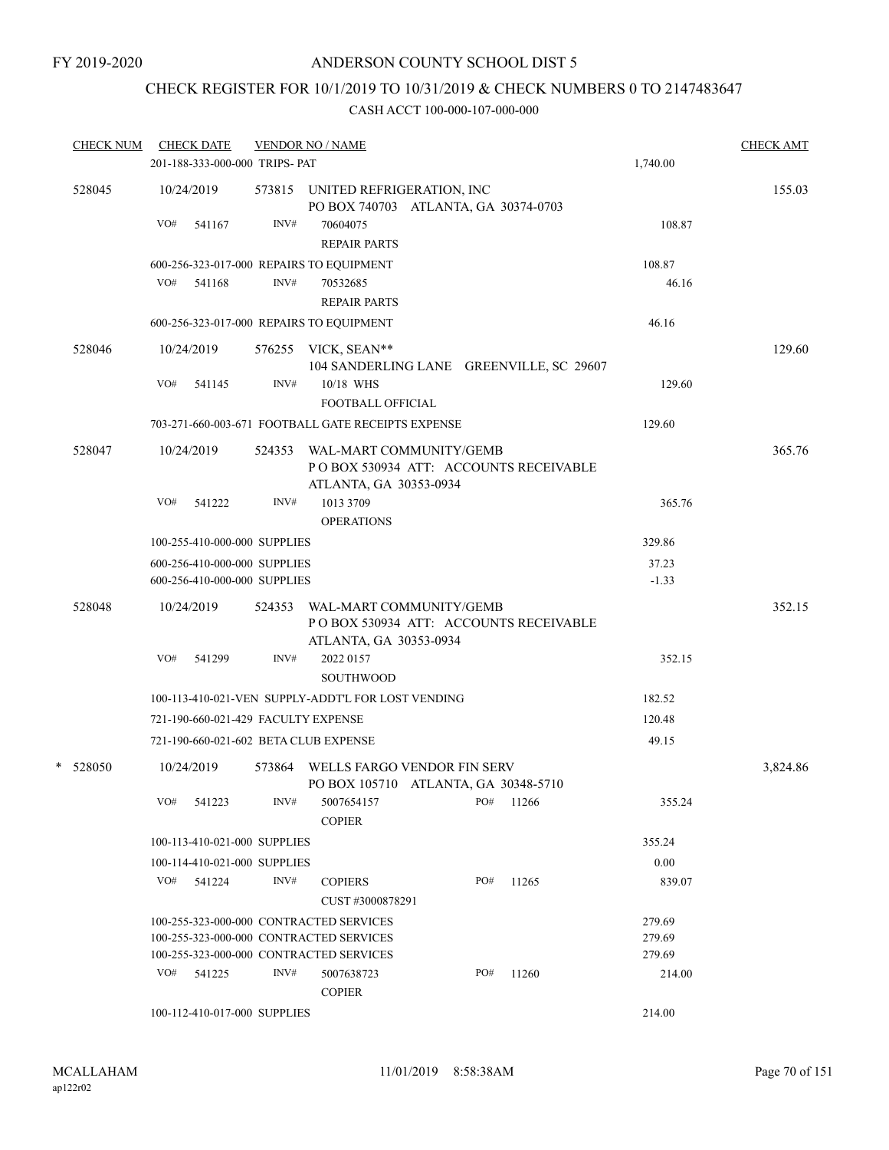## CHECK REGISTER FOR 10/1/2019 TO 10/31/2019 & CHECK NUMBERS 0 TO 2147483647

| <b>CHECK NUM</b> |     | <b>CHECK DATE</b>                                            |        | <b>VENDOR NO / NAME</b>                                                                     |     |       |                  | <b>CHECK AMT</b> |
|------------------|-----|--------------------------------------------------------------|--------|---------------------------------------------------------------------------------------------|-----|-------|------------------|------------------|
|                  |     | 201-188-333-000-000 TRIPS- PAT                               |        |                                                                                             |     |       | 1,740.00         |                  |
| 528045           |     | 10/24/2019                                                   |        | 573815 UNITED REFRIGERATION, INC<br>PO BOX 740703 ATLANTA, GA 30374-0703                    |     |       |                  | 155.03           |
|                  | VO# | 541167                                                       | INV#   | 70604075<br><b>REPAIR PARTS</b>                                                             |     |       | 108.87           |                  |
|                  |     |                                                              |        | 600-256-323-017-000 REPAIRS TO EQUIPMENT                                                    |     |       | 108.87           |                  |
|                  |     | VO# 541168                                                   | INV#   | 70532685<br><b>REPAIR PARTS</b>                                                             |     |       | 46.16            |                  |
|                  |     |                                                              |        | 600-256-323-017-000 REPAIRS TO EQUIPMENT                                                    |     |       | 46.16            |                  |
| 528046           |     | 10/24/2019                                                   |        | 576255 VICK, SEAN**<br>104 SANDERLING LANE GREENVILLE, SC 29607                             |     |       |                  | 129.60           |
|                  | VO# | 541145                                                       | INV#   | 10/18 WHS<br>FOOTBALL OFFICIAL                                                              |     |       | 129.60           |                  |
|                  |     |                                                              |        | 703-271-660-003-671 FOOTBALL GATE RECEIPTS EXPENSE                                          |     |       | 129.60           |                  |
| 528047           |     | 10/24/2019                                                   | 524353 | WAL-MART COMMUNITY/GEMB<br>PO BOX 530934 ATT: ACCOUNTS RECEIVABLE<br>ATLANTA, GA 30353-0934 |     |       |                  | 365.76           |
|                  | VO# | 541222                                                       | INV#   | 1013 3709<br><b>OPERATIONS</b>                                                              |     |       | 365.76           |                  |
|                  |     | 100-255-410-000-000 SUPPLIES                                 |        |                                                                                             |     |       | 329.86           |                  |
|                  |     | 600-256-410-000-000 SUPPLIES<br>600-256-410-000-000 SUPPLIES |        |                                                                                             |     |       | 37.23<br>$-1.33$ |                  |
| 528048           |     | 10/24/2019                                                   | 524353 | WAL-MART COMMUNITY/GEMB<br>PO BOX 530934 ATT: ACCOUNTS RECEIVABLE<br>ATLANTA, GA 30353-0934 |     |       |                  | 352.15           |
|                  | VO# | 541299                                                       | INV#   | 2022 0157<br>SOUTHWOOD                                                                      |     |       | 352.15           |                  |
|                  |     |                                                              |        | 100-113-410-021-VEN SUPPLY-ADDT'L FOR LOST VENDING                                          |     |       | 182.52           |                  |
|                  |     | 721-190-660-021-429 FACULTY EXPENSE                          |        |                                                                                             |     |       | 120.48           |                  |
|                  |     |                                                              |        | 721-190-660-021-602 BETA CLUB EXPENSE                                                       |     |       | 49.15            |                  |
| * 528050         |     | 10/24/2019                                                   | 573864 | WELLS FARGO VENDOR FIN SERV<br>PO BOX 105710 ATLANTA, GA 30348-5710                         |     |       |                  | 3,824.86         |
|                  | VO# | 541223                                                       | INV#   | 5007654157<br><b>COPIER</b>                                                                 | PO# | 11266 | 355.24           |                  |
|                  |     | 100-113-410-021-000 SUPPLIES                                 |        |                                                                                             |     |       | 355.24           |                  |
|                  |     | 100-114-410-021-000 SUPPLIES                                 |        |                                                                                             |     |       | 0.00             |                  |
|                  |     | VO# 541224                                                   | INV#   | <b>COPIERS</b><br>CUST#3000878291                                                           | PO# | 11265 | 839.07           |                  |
|                  |     |                                                              |        | 100-255-323-000-000 CONTRACTED SERVICES                                                     |     |       | 279.69           |                  |
|                  |     |                                                              |        | 100-255-323-000-000 CONTRACTED SERVICES                                                     |     |       | 279.69           |                  |
|                  |     |                                                              |        | 100-255-323-000-000 CONTRACTED SERVICES                                                     |     |       | 279.69           |                  |
|                  |     | VO# 541225                                                   | INV#   | 5007638723<br><b>COPIER</b>                                                                 | PO# | 11260 | 214.00           |                  |
|                  |     | 100-112-410-017-000 SUPPLIES                                 |        |                                                                                             |     |       | 214.00           |                  |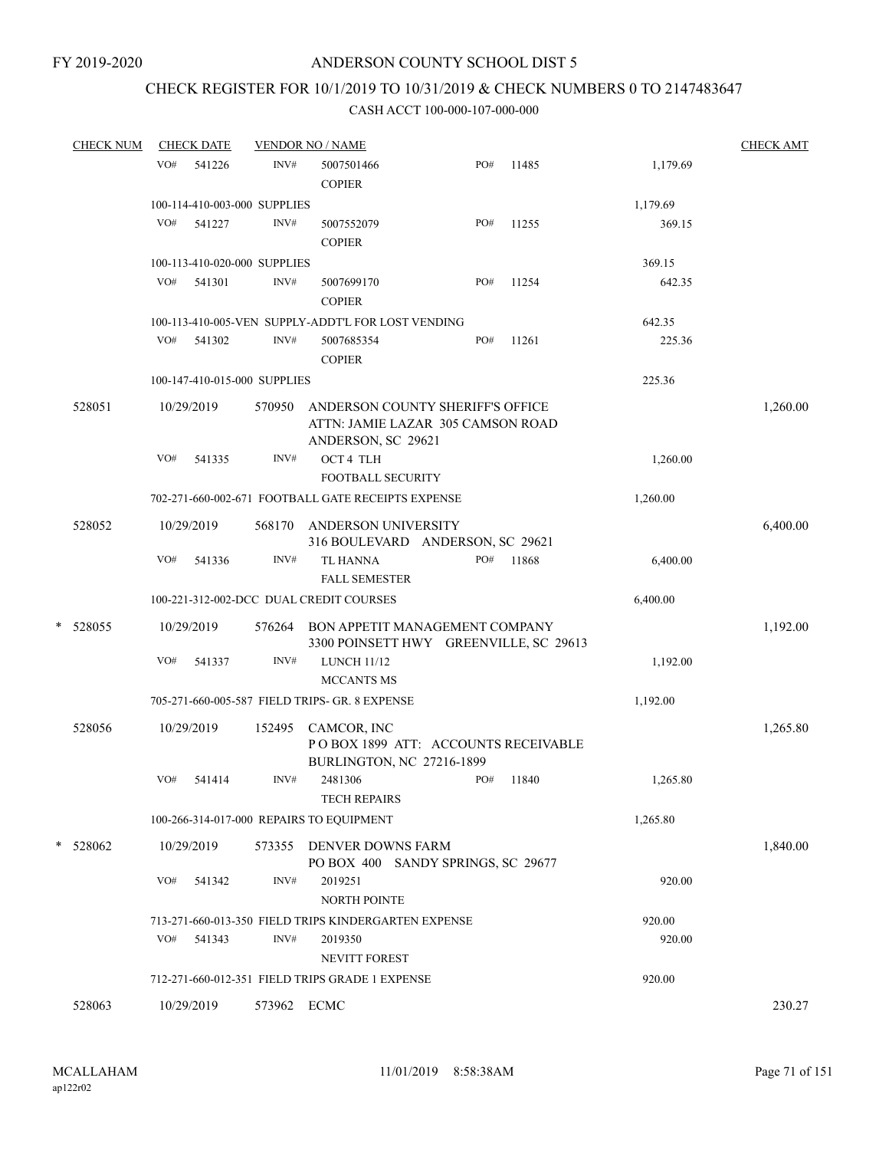### CHECK REGISTER FOR 10/1/2019 TO 10/31/2019 & CHECK NUMBERS 0 TO 2147483647

|   | <b>CHECK NUM</b> | <b>CHECK DATE</b> |            |                              | <b>VENDOR NO / NAME</b>                                                                     |     |       |          | <b>CHECK AMT</b> |  |
|---|------------------|-------------------|------------|------------------------------|---------------------------------------------------------------------------------------------|-----|-------|----------|------------------|--|
|   |                  | VO#               | 541226     | INV#                         | 5007501466<br><b>COPIER</b>                                                                 | PO# | 11485 | 1,179.69 |                  |  |
|   |                  |                   |            | 100-114-410-003-000 SUPPLIES |                                                                                             |     |       | 1,179.69 |                  |  |
|   |                  | VO#               | 541227     | INV#                         | 5007552079<br><b>COPIER</b>                                                                 | PO# | 11255 | 369.15   |                  |  |
|   |                  |                   |            | 100-113-410-020-000 SUPPLIES |                                                                                             |     |       | 369.15   |                  |  |
|   |                  | VO#               | 541301     | INV#                         | 5007699170<br><b>COPIER</b>                                                                 | PO# | 11254 | 642.35   |                  |  |
|   |                  |                   |            |                              | 100-113-410-005-VEN SUPPLY-ADDT'L FOR LOST VENDING                                          |     |       | 642.35   |                  |  |
|   |                  | VO#               | 541302     | INV#                         | 5007685354<br><b>COPIER</b>                                                                 | PO# | 11261 | 225.36   |                  |  |
|   |                  |                   |            | 100-147-410-015-000 SUPPLIES |                                                                                             |     |       | 225.36   |                  |  |
|   | 528051           |                   | 10/29/2019 | 570950                       | ANDERSON COUNTY SHERIFF'S OFFICE<br>ATTN: JAMIE LAZAR 305 CAMSON ROAD<br>ANDERSON, SC 29621 |     |       |          | 1,260.00         |  |
|   |                  | VO#               | 541335     | INV#                         | OCT 4 TLH<br>FOOTBALL SECURITY                                                              |     |       | 1,260.00 |                  |  |
|   |                  |                   |            |                              | 702-271-660-002-671 FOOTBALL GATE RECEIPTS EXPENSE                                          |     |       | 1,260.00 |                  |  |
|   | 528052           |                   | 10/29/2019 | 568170                       | ANDERSON UNIVERSITY<br>316 BOULEVARD ANDERSON, SC 29621                                     |     |       |          | 6,400.00         |  |
|   |                  | VO#               | 541336     | INV#                         | <b>TL HANNA</b><br><b>FALL SEMESTER</b>                                                     | PO# | 11868 | 6,400.00 |                  |  |
|   |                  |                   |            |                              | 100-221-312-002-DCC DUAL CREDIT COURSES                                                     |     |       | 6,400.00 |                  |  |
| * | 528055           |                   | 10/29/2019 | 576264                       | BON APPETIT MANAGEMENT COMPANY<br>3300 POINSETT HWY GREENVILLE, SC 29613                    |     |       |          | 1,192.00         |  |
|   |                  | VO#               | 541337     | INV#                         | <b>LUNCH 11/12</b><br><b>MCCANTS MS</b>                                                     |     |       | 1,192.00 |                  |  |
|   |                  |                   |            |                              | 705-271-660-005-587 FIELD TRIPS- GR. 8 EXPENSE                                              |     |       | 1,192.00 |                  |  |
|   | 528056           |                   | 10/29/2019 | 152495                       | CAMCOR, INC<br>POBOX 1899 ATT: ACCOUNTS RECEIVABLE<br>BURLINGTON, NC 27216-1899             |     |       |          | 1,265.80         |  |
|   |                  | VO#               | 541414     | INV#                         | 2481306<br><b>TECH REPAIRS</b>                                                              | PO# | 11840 | 1,265.80 |                  |  |
|   |                  |                   |            |                              | 100-266-314-017-000 REPAIRS TO EQUIPMENT                                                    |     |       | 1,265.80 |                  |  |
|   | * 528062         |                   | 10/29/2019 |                              | 573355 DENVER DOWNS FARM<br>PO BOX 400 SANDY SPRINGS, SC 29677                              |     |       |          | 1,840.00         |  |
|   |                  | VO#               | 541342     | INV#                         | 2019251<br>NORTH POINTE                                                                     |     |       | 920.00   |                  |  |
|   |                  |                   |            |                              | 713-271-660-013-350 FIELD TRIPS KINDERGARTEN EXPENSE                                        |     |       | 920.00   |                  |  |
|   |                  | VO#               | 541343     | INV#                         | 2019350<br><b>NEVITT FOREST</b>                                                             |     |       | 920.00   |                  |  |
|   |                  |                   |            |                              | 712-271-660-012-351 FIELD TRIPS GRADE 1 EXPENSE                                             |     |       | 920.00   |                  |  |
|   | 528063           |                   | 10/29/2019 | 573962 ECMC                  |                                                                                             |     |       |          | 230.27           |  |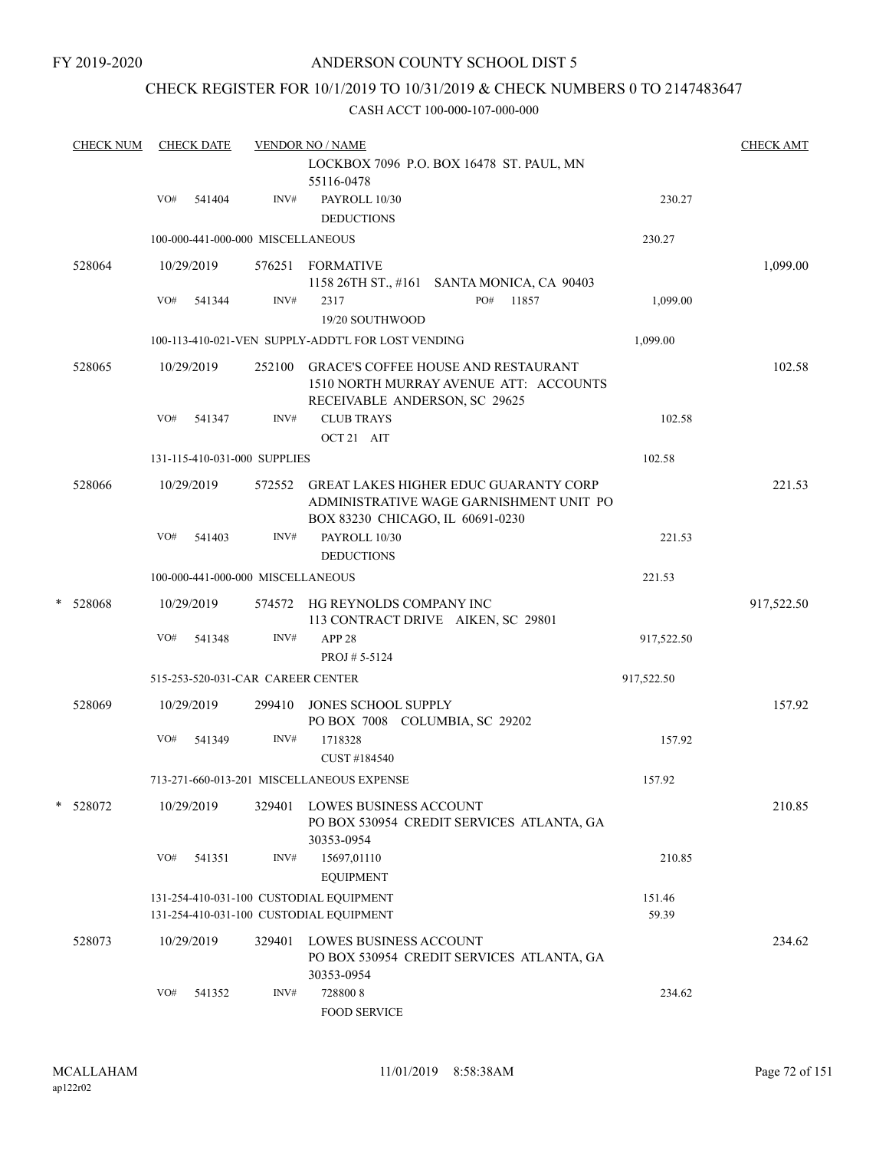### CHECK REGISTER FOR 10/1/2019 TO 10/31/2019 & CHECK NUMBERS 0 TO 2147483647

| <b>CHECK NUM</b> |     | <b>CHECK DATE</b> |                                   | <b>VENDOR NO / NAME</b>                                                                                                     |                 | <b>CHECK AMT</b> |
|------------------|-----|-------------------|-----------------------------------|-----------------------------------------------------------------------------------------------------------------------------|-----------------|------------------|
|                  |     |                   |                                   | LOCKBOX 7096 P.O. BOX 16478 ST. PAUL, MN<br>55116-0478                                                                      |                 |                  |
|                  | VO# | 541404            | INV#                              | PAYROLL 10/30<br><b>DEDUCTIONS</b>                                                                                          | 230.27          |                  |
|                  |     |                   | 100-000-441-000-000 MISCELLANEOUS |                                                                                                                             | 230.27          |                  |
| 528064           |     | 10/29/2019        |                                   | 576251 FORMATIVE<br>1158 26TH ST., #161 SANTA MONICA, CA 90403                                                              |                 | 1,099.00         |
|                  | VO# | 541344            | INV#                              | 2317<br>PO#<br>11857<br>19/20 SOUTHWOOD                                                                                     | 1,099.00        |                  |
|                  |     |                   |                                   | 100-113-410-021-VEN SUPPLY-ADDT'L FOR LOST VENDING                                                                          | 1,099.00        |                  |
| 528065           |     | 10/29/2019        | 252100                            | <b>GRACE'S COFFEE HOUSE AND RESTAURANT</b><br>1510 NORTH MURRAY AVENUE ATT: ACCOUNTS<br>RECEIVABLE ANDERSON, SC 29625       |                 | 102.58           |
|                  | VO# | 541347            | INV#                              | <b>CLUB TRAYS</b><br>OCT 21 AIT                                                                                             | 102.58          |                  |
|                  |     |                   | 131-115-410-031-000 SUPPLIES      |                                                                                                                             | 102.58          |                  |
| 528066           |     | 10/29/2019        |                                   | 572552 GREAT LAKES HIGHER EDUC GUARANTY CORP<br>ADMINISTRATIVE WAGE GARNISHMENT UNIT PO<br>BOX 83230 CHICAGO, IL 60691-0230 |                 | 221.53           |
|                  | VO# | 541403            | INV#                              | PAYROLL 10/30<br><b>DEDUCTIONS</b>                                                                                          | 221.53          |                  |
|                  |     |                   | 100-000-441-000-000 MISCELLANEOUS |                                                                                                                             | 221.53          |                  |
| * 528068         |     | 10/29/2019        |                                   | 574572 HG REYNOLDS COMPANY INC<br>113 CONTRACT DRIVE AIKEN, SC 29801                                                        |                 | 917,522.50       |
|                  | VO# | 541348            | INV#                              | APP <sub>28</sub><br>PROJ #5-5124                                                                                           | 917,522.50      |                  |
|                  |     |                   | 515-253-520-031-CAR CAREER CENTER |                                                                                                                             | 917,522.50      |                  |
| 528069           |     | 10/29/2019        | 299410                            | JONES SCHOOL SUPPLY<br>PO BOX 7008 COLUMBIA, SC 29202                                                                       |                 | 157.92           |
|                  | VO# | 541349            | INV#                              | 1718328<br>CUST #184540                                                                                                     | 157.92          |                  |
|                  |     |                   |                                   | 713-271-660-013-201 MISCELLANEOUS EXPENSE                                                                                   | 157.92          |                  |
| * 528072         |     | 10/29/2019        | 329401                            | LOWES BUSINESS ACCOUNT<br>PO BOX 530954 CREDIT SERVICES ATLANTA, GA<br>30353-0954                                           |                 | 210.85           |
|                  | VO# | 541351            | INV#                              | 15697,01110<br><b>EQUIPMENT</b>                                                                                             | 210.85          |                  |
|                  |     |                   |                                   | 131-254-410-031-100 CUSTODIAL EQUIPMENT<br>131-254-410-031-100 CUSTODIAL EQUIPMENT                                          | 151.46<br>59.39 |                  |
| 528073           |     | 10/29/2019        | 329401                            | <b>LOWES BUSINESS ACCOUNT</b><br>PO BOX 530954 CREDIT SERVICES ATLANTA, GA<br>30353-0954                                    |                 | 234.62           |
|                  | VO# | 541352            | INV#                              | 7288008<br><b>FOOD SERVICE</b>                                                                                              | 234.62          |                  |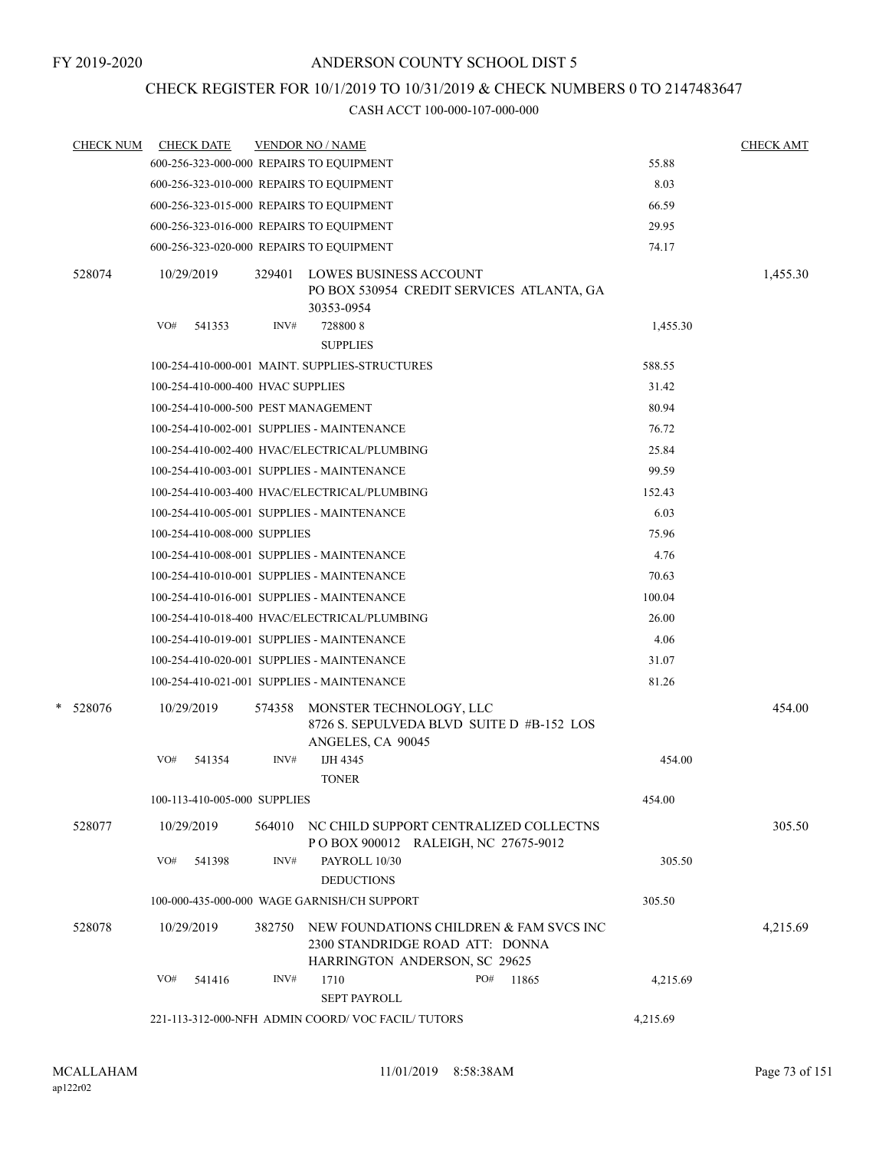## CHECK REGISTER FOR 10/1/2019 TO 10/31/2019 & CHECK NUMBERS 0 TO 2147483647

| <b>CHECK NUM</b> | <b>CHECK DATE</b>                        |        | <b>VENDOR NO / NAME</b>                                                                                     |     |       |          | <b>CHECK AMT</b> |
|------------------|------------------------------------------|--------|-------------------------------------------------------------------------------------------------------------|-----|-------|----------|------------------|
|                  | 600-256-323-000-000 REPAIRS TO EQUIPMENT |        |                                                                                                             |     |       | 55.88    |                  |
|                  | 600-256-323-010-000 REPAIRS TO EQUIPMENT |        |                                                                                                             |     |       | 8.03     |                  |
|                  | 600-256-323-015-000 REPAIRS TO EQUIPMENT |        |                                                                                                             |     |       | 66.59    |                  |
|                  | 600-256-323-016-000 REPAIRS TO EQUIPMENT |        |                                                                                                             |     |       | 29.95    |                  |
|                  | 600-256-323-020-000 REPAIRS TO EQUIPMENT |        |                                                                                                             |     |       | 74.17    |                  |
| 528074           | 10/29/2019                               |        | 329401 LOWES BUSINESS ACCOUNT<br>PO BOX 530954 CREDIT SERVICES ATLANTA, GA<br>30353-0954                    |     |       |          | 1,455.30         |
|                  | VO#<br>541353                            | INV#   | 7288008<br><b>SUPPLIES</b>                                                                                  |     |       | 1,455.30 |                  |
|                  |                                          |        | 100-254-410-000-001 MAINT. SUPPLIES-STRUCTURES                                                              |     |       | 588.55   |                  |
|                  | 100-254-410-000-400 HVAC SUPPLIES        |        |                                                                                                             |     |       | 31.42    |                  |
|                  | 100-254-410-000-500 PEST MANAGEMENT      |        |                                                                                                             |     |       | 80.94    |                  |
|                  |                                          |        | 100-254-410-002-001 SUPPLIES - MAINTENANCE                                                                  |     |       | 76.72    |                  |
|                  |                                          |        | 100-254-410-002-400 HVAC/ELECTRICAL/PLUMBING                                                                |     |       | 25.84    |                  |
|                  |                                          |        | 100-254-410-003-001 SUPPLIES - MAINTENANCE                                                                  |     |       | 99.59    |                  |
|                  |                                          |        | 100-254-410-003-400 HVAC/ELECTRICAL/PLUMBING                                                                |     |       | 152.43   |                  |
|                  |                                          |        | 100-254-410-005-001 SUPPLIES - MAINTENANCE                                                                  |     |       | 6.03     |                  |
|                  | 100-254-410-008-000 SUPPLIES             |        |                                                                                                             |     |       | 75.96    |                  |
|                  |                                          |        | 100-254-410-008-001 SUPPLIES - MAINTENANCE                                                                  |     |       | 4.76     |                  |
|                  |                                          |        | 100-254-410-010-001 SUPPLIES - MAINTENANCE                                                                  |     |       | 70.63    |                  |
|                  |                                          |        | 100-254-410-016-001 SUPPLIES - MAINTENANCE                                                                  |     |       | 100.04   |                  |
|                  |                                          |        | 100-254-410-018-400 HVAC/ELECTRICAL/PLUMBING                                                                |     |       | 26.00    |                  |
|                  |                                          |        | 100-254-410-019-001 SUPPLIES - MAINTENANCE                                                                  |     |       | 4.06     |                  |
|                  |                                          |        | 100-254-410-020-001 SUPPLIES - MAINTENANCE                                                                  |     |       | 31.07    |                  |
|                  |                                          |        | 100-254-410-021-001 SUPPLIES - MAINTENANCE                                                                  |     |       | 81.26    |                  |
| * 528076         | 10/29/2019                               | 574358 | MONSTER TECHNOLOGY, LLC<br>8726 S. SEPULVEDA BLVD SUITE D #B-152 LOS<br>ANGELES, CA 90045                   |     |       |          | 454.00           |
|                  | VO#<br>541354                            | INV#   | IJH 4345<br><b>TONER</b>                                                                                    |     |       | 454.00   |                  |
|                  | 100-113-410-005-000 SUPPLIES             |        |                                                                                                             |     |       | 454.00   |                  |
| 528077           | 10/29/2019                               | 564010 | NC CHILD SUPPORT CENTRALIZED COLLECTNS<br>POBOX 900012 RALEIGH, NC 27675-9012                               |     |       |          | 305.50           |
|                  | VO#<br>541398                            | INV#   | PAYROLL 10/30<br><b>DEDUCTIONS</b>                                                                          |     |       | 305.50   |                  |
|                  |                                          |        | 100-000-435-000-000 WAGE GARNISH/CH SUPPORT                                                                 |     |       | 305.50   |                  |
| 528078           | 10/29/2019                               | 382750 | NEW FOUNDATIONS CHILDREN & FAM SVCS INC<br>2300 STANDRIDGE ROAD ATT: DONNA<br>HARRINGTON ANDERSON, SC 29625 |     |       |          | 4,215.69         |
|                  | VO#<br>541416                            | INV#   | 1710<br>SEPT PAYROLL                                                                                        | PO# | 11865 | 4,215.69 |                  |
|                  |                                          |        | 221-113-312-000-NFH ADMIN COORD/VOC FACIL/TUTORS                                                            |     |       | 4,215.69 |                  |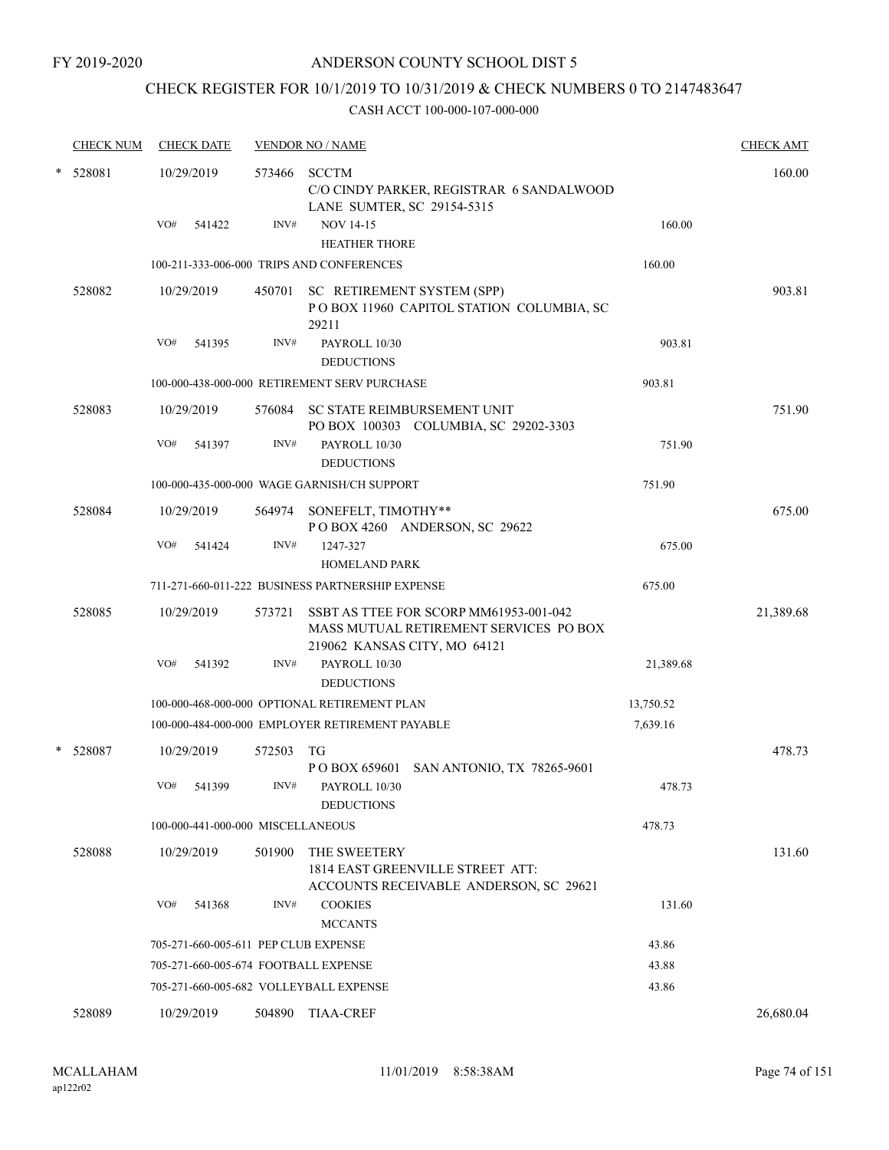# CHECK REGISTER FOR 10/1/2019 TO 10/31/2019 & CHECK NUMBERS 0 TO 2147483647

|        | <b>CHECK NUM</b> | <b>CHECK DATE</b>                      |        | <b>VENDOR NO / NAME</b>                                                                                          |           | <b>CHECK AMT</b> |
|--------|------------------|----------------------------------------|--------|------------------------------------------------------------------------------------------------------------------|-----------|------------------|
| $\ast$ | 528081           | 10/29/2019                             | 573466 | SCCTM<br>C/O CINDY PARKER, REGISTRAR 6 SANDALWOOD<br>LANE SUMTER, SC 29154-5315                                  |           | 160.00           |
|        |                  | VO#<br>541422                          | INV#   | <b>NOV 14-15</b><br><b>HEATHER THORE</b>                                                                         | 160.00    |                  |
|        |                  |                                        |        | 100-211-333-006-000 TRIPS AND CONFERENCES                                                                        | 160.00    |                  |
|        | 528082           | 10/29/2019                             |        | 450701 SC RETIREMENT SYSTEM (SPP)<br>POBOX 11960 CAPITOL STATION COLUMBIA, SC<br>29211                           |           | 903.81           |
|        |                  | VO#<br>541395                          | INV#   | PAYROLL 10/30<br><b>DEDUCTIONS</b>                                                                               | 903.81    |                  |
|        |                  |                                        |        | 100-000-438-000-000 RETIREMENT SERV PURCHASE                                                                     | 903.81    |                  |
|        | 528083           | 10/29/2019                             |        | 576084 SC STATE REIMBURSEMENT UNIT<br>PO BOX 100303 COLUMBIA, SC 29202-3303                                      |           | 751.90           |
|        |                  | VO#<br>541397                          | INV#   | PAYROLL 10/30<br><b>DEDUCTIONS</b>                                                                               | 751.90    |                  |
|        |                  |                                        |        | 100-000-435-000-000 WAGE GARNISH/CH SUPPORT                                                                      | 751.90    |                  |
|        | 528084           | 10/29/2019                             |        | 564974 SONEFELT, TIMOTHY**<br>POBOX 4260 ANDERSON, SC 29622                                                      |           | 675.00           |
|        |                  | VO#<br>541424                          | INV#   | 1247-327<br><b>HOMELAND PARK</b>                                                                                 | 675.00    |                  |
|        |                  |                                        |        | 711-271-660-011-222 BUSINESS PARTNERSHIP EXPENSE                                                                 | 675.00    |                  |
|        | 528085           | 10/29/2019                             | 573721 | SSBT AS TTEE FOR SCORP MM61953-001-042<br>MASS MUTUAL RETIREMENT SERVICES PO BOX<br>219062 KANSAS CITY, MO 64121 |           | 21,389.68        |
|        |                  | VO#<br>541392                          | INV#   | PAYROLL 10/30<br><b>DEDUCTIONS</b>                                                                               | 21,389.68 |                  |
|        |                  |                                        |        | 100-000-468-000-000 OPTIONAL RETIREMENT PLAN                                                                     | 13,750.52 |                  |
|        |                  |                                        |        | 100-000-484-000-000 EMPLOYER RETIREMENT PAYABLE                                                                  | 7,639.16  |                  |
|        | * 528087         | 10/29/2019                             | 572503 | TG<br>P O BOX 659601 SAN ANTONIO, TX 78265-9601                                                                  |           | 478.73           |
|        |                  | VO#<br>541399                          | INV#   | PAYROLL 10/30<br><b>DEDUCTIONS</b>                                                                               | 478.73    |                  |
|        |                  | 100-000-441-000-000 MISCELLANEOUS      |        |                                                                                                                  | 478.73    |                  |
|        | 528088           | 10/29/2019                             | 501900 | THE SWEETERY<br>1814 EAST GREENVILLE STREET ATT:<br>ACCOUNTS RECEIVABLE ANDERSON, SC 29621                       |           | 131.60           |
|        |                  | VO#<br>541368                          | INV#   | <b>COOKIES</b><br><b>MCCANTS</b>                                                                                 | 131.60    |                  |
|        |                  | 705-271-660-005-611 PEP CLUB EXPENSE   |        |                                                                                                                  | 43.86     |                  |
|        |                  | 705-271-660-005-674 FOOTBALL EXPENSE   |        |                                                                                                                  | 43.88     |                  |
|        |                  | 705-271-660-005-682 VOLLEYBALL EXPENSE |        |                                                                                                                  | 43.86     |                  |
|        | 528089           | 10/29/2019                             | 504890 | <b>TIAA-CREF</b>                                                                                                 |           | 26,680.04        |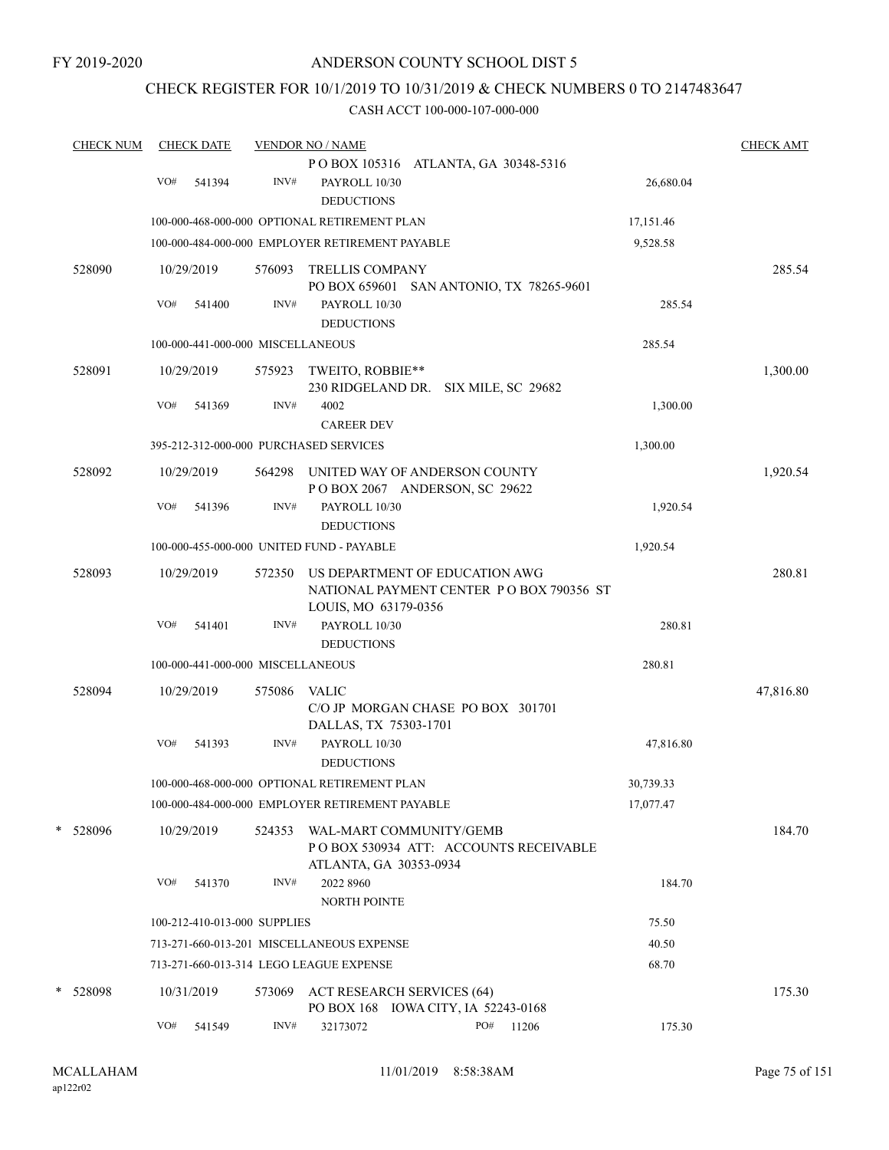## CHECK REGISTER FOR 10/1/2019 TO 10/31/2019 & CHECK NUMBERS 0 TO 2147483647

| <b>CHECK NUM</b> | <b>CHECK DATE</b>                               |        | <b>VENDOR NO / NAME</b>                                                    |     |                                          |           | <b>CHECK AMT</b> |
|------------------|-------------------------------------------------|--------|----------------------------------------------------------------------------|-----|------------------------------------------|-----------|------------------|
|                  |                                                 |        | POBOX 105316 ATLANTA, GA 30348-5316                                        |     |                                          |           |                  |
|                  | VO#<br>541394                                   | INV#   | PAYROLL 10/30<br><b>DEDUCTIONS</b>                                         |     |                                          | 26,680.04 |                  |
|                  | 100-000-468-000-000 OPTIONAL RETIREMENT PLAN    |        |                                                                            |     |                                          | 17,151.46 |                  |
|                  | 100-000-484-000-000 EMPLOYER RETIREMENT PAYABLE |        |                                                                            |     |                                          | 9,528.58  |                  |
| 528090           | 10/29/2019                                      | 576093 | <b>TRELLIS COMPANY</b>                                                     |     | PO BOX 659601 SAN ANTONIO, TX 78265-9601 |           | 285.54           |
|                  | VO#<br>541400                                   | INV#   | PAYROLL 10/30<br><b>DEDUCTIONS</b>                                         |     |                                          | 285.54    |                  |
|                  | 100-000-441-000-000 MISCELLANEOUS               |        |                                                                            |     |                                          | 285.54    |                  |
| 528091           | 10/29/2019                                      | 575923 | TWEITO, ROBBIE**<br>230 RIDGELAND DR. SIX MILE, SC 29682                   |     |                                          |           | 1,300.00         |
|                  | VO#<br>541369                                   | INV#   | 4002<br><b>CAREER DEV</b>                                                  |     |                                          | 1,300.00  |                  |
|                  | 395-212-312-000-000 PURCHASED SERVICES          |        |                                                                            |     |                                          | 1,300.00  |                  |
| 528092           | 10/29/2019                                      | 564298 | UNITED WAY OF ANDERSON COUNTY<br>POBOX 2067 ANDERSON, SC 29622             |     |                                          |           | 1,920.54         |
|                  | VO#<br>541396                                   | INV#   | PAYROLL 10/30<br><b>DEDUCTIONS</b>                                         |     |                                          | 1,920.54  |                  |
|                  | 100-000-455-000-000 UNITED FUND - PAYABLE       |        |                                                                            |     |                                          | 1,920.54  |                  |
| 528093           | 10/29/2019                                      | 572350 | US DEPARTMENT OF EDUCATION AWG<br>LOUIS, MO 63179-0356                     |     | NATIONAL PAYMENT CENTER PO BOX 790356 ST |           | 280.81           |
|                  | VO#<br>541401                                   | INV#   | PAYROLL 10/30<br><b>DEDUCTIONS</b>                                         |     |                                          | 280.81    |                  |
|                  | 100-000-441-000-000 MISCELLANEOUS               |        |                                                                            |     |                                          | 280.81    |                  |
| 528094           | 10/29/2019                                      | 575086 | <b>VALIC</b><br>C/O JP MORGAN CHASE PO BOX 301701<br>DALLAS, TX 75303-1701 |     |                                          |           | 47,816.80        |
|                  | VO#<br>541393                                   | INV#   | PAYROLL 10/30<br><b>DEDUCTIONS</b>                                         |     |                                          | 47,816.80 |                  |
|                  | 100-000-468-000-000 OPTIONAL RETIREMENT PLAN    |        |                                                                            |     |                                          | 30,739.33 |                  |
|                  | 100-000-484-000-000 EMPLOYER RETIREMENT PAYABLE |        |                                                                            |     |                                          | 17,077.47 |                  |
| * 528096         | 10/29/2019                                      | 524353 | WAL-MART COMMUNITY/GEMB<br>ATLANTA, GA 30353-0934                          |     | PO BOX 530934 ATT: ACCOUNTS RECEIVABLE   |           | 184.70           |
|                  | VO#<br>541370                                   | INV#   | 2022 8960<br><b>NORTH POINTE</b>                                           |     |                                          | 184.70    |                  |
|                  | 100-212-410-013-000 SUPPLIES                    |        |                                                                            |     |                                          | 75.50     |                  |
|                  | 713-271-660-013-201 MISCELLANEOUS EXPENSE       |        |                                                                            |     |                                          | 40.50     |                  |
|                  | 713-271-660-013-314 LEGO LEAGUE EXPENSE         |        |                                                                            |     |                                          | 68.70     |                  |
| *<br>528098      | 10/31/2019                                      | 573069 | <b>ACT RESEARCH SERVICES (64)</b><br>PO BOX 168 IOWA CITY, IA 52243-0168   |     |                                          |           | 175.30           |
|                  | VO#<br>541549                                   | INV#   | 32173072                                                                   | PO# | 11206                                    | 175.30    |                  |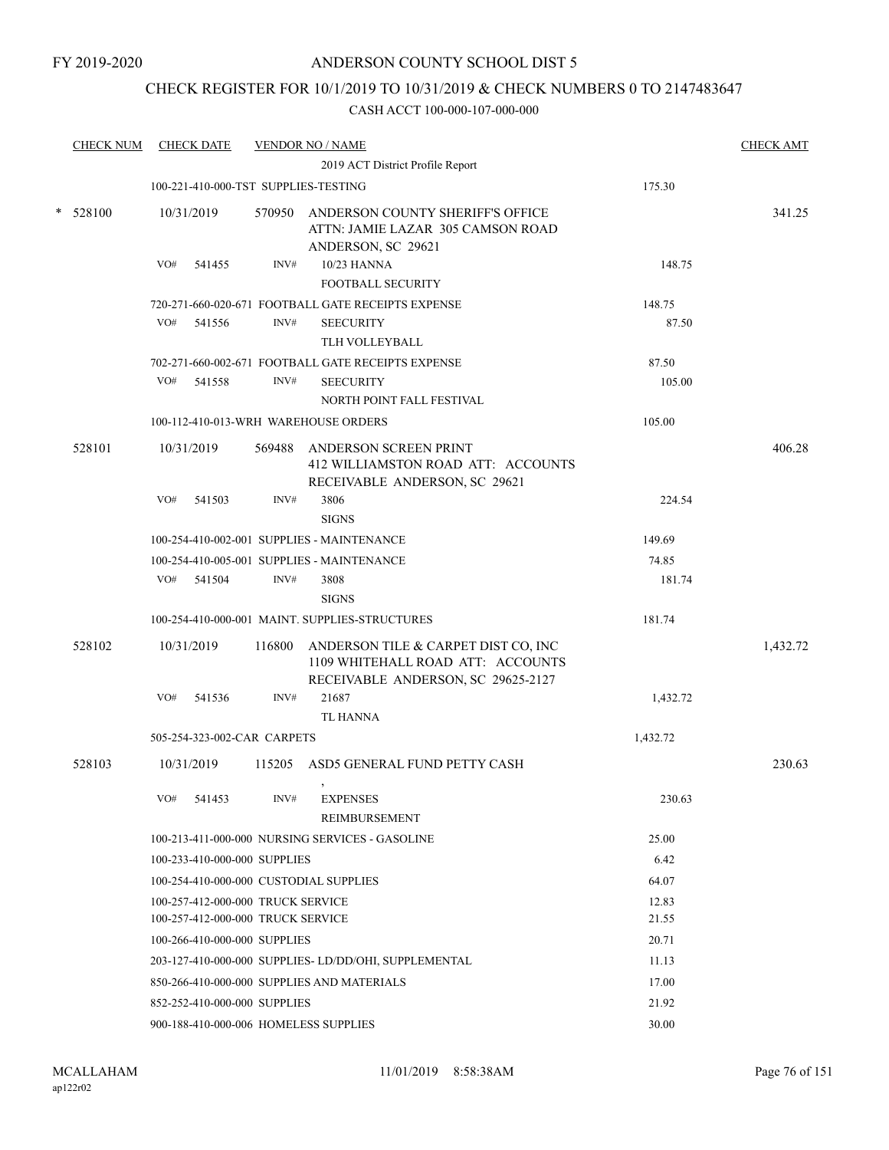## CHECK REGISTER FOR 10/1/2019 TO 10/31/2019 & CHECK NUMBERS 0 TO 2147483647

|        | <b>CHECK NUM</b> |            | <b>CHECK DATE</b>                 |        | <b>VENDOR NO / NAME</b>                                                                                        |          | <b>CHECK AMT</b> |
|--------|------------------|------------|-----------------------------------|--------|----------------------------------------------------------------------------------------------------------------|----------|------------------|
|        |                  |            |                                   |        | 2019 ACT District Profile Report                                                                               |          |                  |
|        |                  |            |                                   |        | 100-221-410-000-TST SUPPLIES-TESTING                                                                           | 175.30   |                  |
| $\ast$ | 528100           | 10/31/2019 |                                   |        | 570950 ANDERSON COUNTY SHERIFF'S OFFICE<br>ATTN: JAMIE LAZAR 305 CAMSON ROAD<br>ANDERSON, SC 29621             |          | 341.25           |
|        |                  | VO#        | 541455                            | INV#   | 10/23 HANNA<br><b>FOOTBALL SECURITY</b>                                                                        | 148.75   |                  |
|        |                  |            |                                   |        | 720-271-660-020-671 FOOTBALL GATE RECEIPTS EXPENSE                                                             | 148.75   |                  |
|        |                  | VO#        | 541556                            | INV#   | <b>SEECURITY</b><br>TLH VOLLEYBALL                                                                             | 87.50    |                  |
|        |                  |            |                                   |        | 702-271-660-002-671 FOOTBALL GATE RECEIPTS EXPENSE                                                             | 87.50    |                  |
|        |                  | VO#        | 541558                            | INV#   | <b>SEECURITY</b><br>NORTH POINT FALL FESTIVAL                                                                  | 105.00   |                  |
|        |                  |            |                                   |        | 100-112-410-013-WRH WAREHOUSE ORDERS                                                                           | 105.00   |                  |
|        | 528101           | 10/31/2019 |                                   |        | 569488 ANDERSON SCREEN PRINT<br>412 WILLIAMSTON ROAD ATT: ACCOUNTS<br>RECEIVABLE ANDERSON, SC 29621            |          | 406.28           |
|        |                  | VO#        | 541503                            | INV#   | 3806<br><b>SIGNS</b>                                                                                           | 224.54   |                  |
|        |                  |            |                                   |        | 100-254-410-002-001 SUPPLIES - MAINTENANCE                                                                     | 149.69   |                  |
|        |                  |            |                                   |        | 100-254-410-005-001 SUPPLIES - MAINTENANCE                                                                     | 74.85    |                  |
|        |                  |            | VO# 541504                        | INV#   | 3808<br><b>SIGNS</b>                                                                                           | 181.74   |                  |
|        |                  |            |                                   |        | 100-254-410-000-001 MAINT. SUPPLIES-STRUCTURES                                                                 | 181.74   |                  |
|        | 528102           | 10/31/2019 |                                   | 116800 | ANDERSON TILE & CARPET DIST CO, INC<br>1109 WHITEHALL ROAD ATT: ACCOUNTS<br>RECEIVABLE ANDERSON, SC 29625-2127 |          | 1,432.72         |
|        |                  | VO#        | 541536                            | INV#   | 21687<br><b>TL HANNA</b>                                                                                       | 1,432.72 |                  |
|        |                  |            | 505-254-323-002-CAR CARPETS       |        |                                                                                                                | 1,432.72 |                  |
|        | 528103           | 10/31/2019 |                                   |        | 115205 ASD5 GENERAL FUND PETTY CASH                                                                            |          | 230.63           |
|        |                  | VO#        | 541453                            | INV#   | <b>EXPENSES</b><br>REIMBURSEMENT                                                                               | 230.63   |                  |
|        |                  |            |                                   |        | 100-213-411-000-000 NURSING SERVICES - GASOLINE                                                                | 25.00    |                  |
|        |                  |            | 100-233-410-000-000 SUPPLIES      |        |                                                                                                                | 6.42     |                  |
|        |                  |            |                                   |        | 100-254-410-000-000 CUSTODIAL SUPPLIES                                                                         | 64.07    |                  |
|        |                  |            | 100-257-412-000-000 TRUCK SERVICE |        |                                                                                                                | 12.83    |                  |
|        |                  |            | 100-257-412-000-000 TRUCK SERVICE |        |                                                                                                                | 21.55    |                  |
|        |                  |            | 100-266-410-000-000 SUPPLIES      |        |                                                                                                                | 20.71    |                  |
|        |                  |            |                                   |        | 203-127-410-000-000 SUPPLIES- LD/DD/OHI, SUPPLEMENTAL                                                          | 11.13    |                  |
|        |                  |            |                                   |        | 850-266-410-000-000 SUPPLIES AND MATERIALS                                                                     | 17.00    |                  |
|        |                  |            | 852-252-410-000-000 SUPPLIES      |        |                                                                                                                | 21.92    |                  |
|        |                  |            |                                   |        | 900-188-410-000-006 HOMELESS SUPPLIES                                                                          | 30.00    |                  |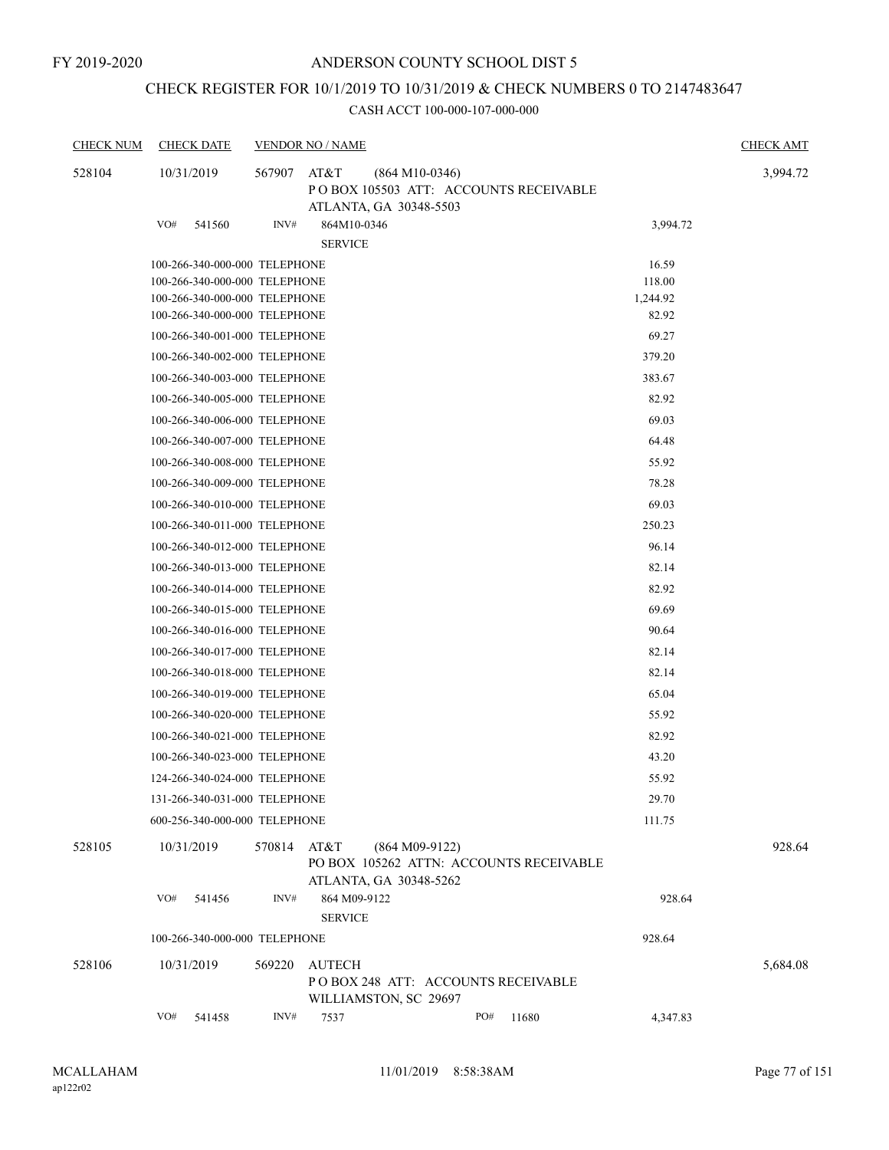# CHECK REGISTER FOR 10/1/2019 TO 10/31/2019 & CHECK NUMBERS 0 TO 2147483647

| <b>CHECK NUM</b> | <b>CHECK DATE</b>             |        | <b>VENDOR NO / NAME</b>        |                                                                                     |     |                                         |          | <b>CHECK AMT</b> |
|------------------|-------------------------------|--------|--------------------------------|-------------------------------------------------------------------------------------|-----|-----------------------------------------|----------|------------------|
| 528104           | 10/31/2019                    | 567907 | AT&T                           | $(864 M10-0346)$<br>POBOX 105503 ATT: ACCOUNTS RECEIVABLE<br>ATLANTA, GA 30348-5503 |     |                                         |          | 3,994.72         |
|                  | VO#<br>541560                 | INV#   | 864M10-0346<br><b>SERVICE</b>  |                                                                                     |     |                                         | 3,994.72 |                  |
|                  | 100-266-340-000-000 TELEPHONE |        |                                |                                                                                     |     |                                         | 16.59    |                  |
|                  | 100-266-340-000-000 TELEPHONE |        |                                |                                                                                     |     |                                         | 118.00   |                  |
|                  | 100-266-340-000-000 TELEPHONE |        |                                |                                                                                     |     |                                         | 1,244.92 |                  |
|                  | 100-266-340-000-000 TELEPHONE |        |                                |                                                                                     |     |                                         | 82.92    |                  |
|                  | 100-266-340-001-000 TELEPHONE |        |                                |                                                                                     |     |                                         | 69.27    |                  |
|                  | 100-266-340-002-000 TELEPHONE |        |                                |                                                                                     |     |                                         | 379.20   |                  |
|                  | 100-266-340-003-000 TELEPHONE |        |                                |                                                                                     |     |                                         | 383.67   |                  |
|                  | 100-266-340-005-000 TELEPHONE |        |                                |                                                                                     |     |                                         | 82.92    |                  |
|                  | 100-266-340-006-000 TELEPHONE |        |                                |                                                                                     |     |                                         | 69.03    |                  |
|                  | 100-266-340-007-000 TELEPHONE |        |                                |                                                                                     |     |                                         | 64.48    |                  |
|                  | 100-266-340-008-000 TELEPHONE |        |                                |                                                                                     |     |                                         | 55.92    |                  |
|                  | 100-266-340-009-000 TELEPHONE |        |                                |                                                                                     |     |                                         | 78.28    |                  |
|                  | 100-266-340-010-000 TELEPHONE |        |                                |                                                                                     |     |                                         | 69.03    |                  |
|                  | 100-266-340-011-000 TELEPHONE |        |                                |                                                                                     |     |                                         | 250.23   |                  |
|                  | 100-266-340-012-000 TELEPHONE |        |                                |                                                                                     |     |                                         | 96.14    |                  |
|                  | 100-266-340-013-000 TELEPHONE |        |                                |                                                                                     |     |                                         | 82.14    |                  |
|                  | 100-266-340-014-000 TELEPHONE |        |                                |                                                                                     |     |                                         | 82.92    |                  |
|                  | 100-266-340-015-000 TELEPHONE |        |                                |                                                                                     |     |                                         | 69.69    |                  |
|                  | 100-266-340-016-000 TELEPHONE |        |                                |                                                                                     |     |                                         | 90.64    |                  |
|                  | 100-266-340-017-000 TELEPHONE |        |                                |                                                                                     |     |                                         | 82.14    |                  |
|                  | 100-266-340-018-000 TELEPHONE |        |                                |                                                                                     |     |                                         | 82.14    |                  |
|                  |                               |        |                                |                                                                                     |     |                                         |          |                  |
|                  | 100-266-340-019-000 TELEPHONE |        |                                |                                                                                     |     |                                         | 65.04    |                  |
|                  | 100-266-340-020-000 TELEPHONE |        |                                |                                                                                     |     |                                         | 55.92    |                  |
|                  | 100-266-340-021-000 TELEPHONE |        |                                |                                                                                     |     |                                         | 82.92    |                  |
|                  | 100-266-340-023-000 TELEPHONE |        |                                |                                                                                     |     |                                         | 43.20    |                  |
|                  | 124-266-340-024-000 TELEPHONE |        |                                |                                                                                     |     |                                         | 55.92    |                  |
|                  | 131-266-340-031-000 TELEPHONE |        |                                |                                                                                     |     |                                         | 29.70    |                  |
|                  | 600-256-340-000-000 TELEPHONE |        |                                |                                                                                     |     |                                         | 111.75   |                  |
| 528105           | 10/31/2019                    | 570814 | AT&T                           | $(864 M09-9122)$<br>ATLANTA, GA 30348-5262                                          |     | PO BOX 105262 ATTN: ACCOUNTS RECEIVABLE |          | 928.64           |
|                  | VO#<br>541456                 | INV#   | 864 M09-9122<br><b>SERVICE</b> |                                                                                     |     |                                         | 928.64   |                  |
|                  | 100-266-340-000-000 TELEPHONE |        |                                |                                                                                     |     |                                         | 928.64   |                  |
| 528106           | 10/31/2019                    | 569220 | <b>AUTECH</b>                  | PO BOX 248 ATT: ACCOUNTS RECEIVABLE<br>WILLIAMSTON, SC 29697                        |     |                                         |          | 5,684.08         |
|                  | VO#<br>541458                 | INV#   | 7537                           |                                                                                     | PO# | 11680                                   | 4,347.83 |                  |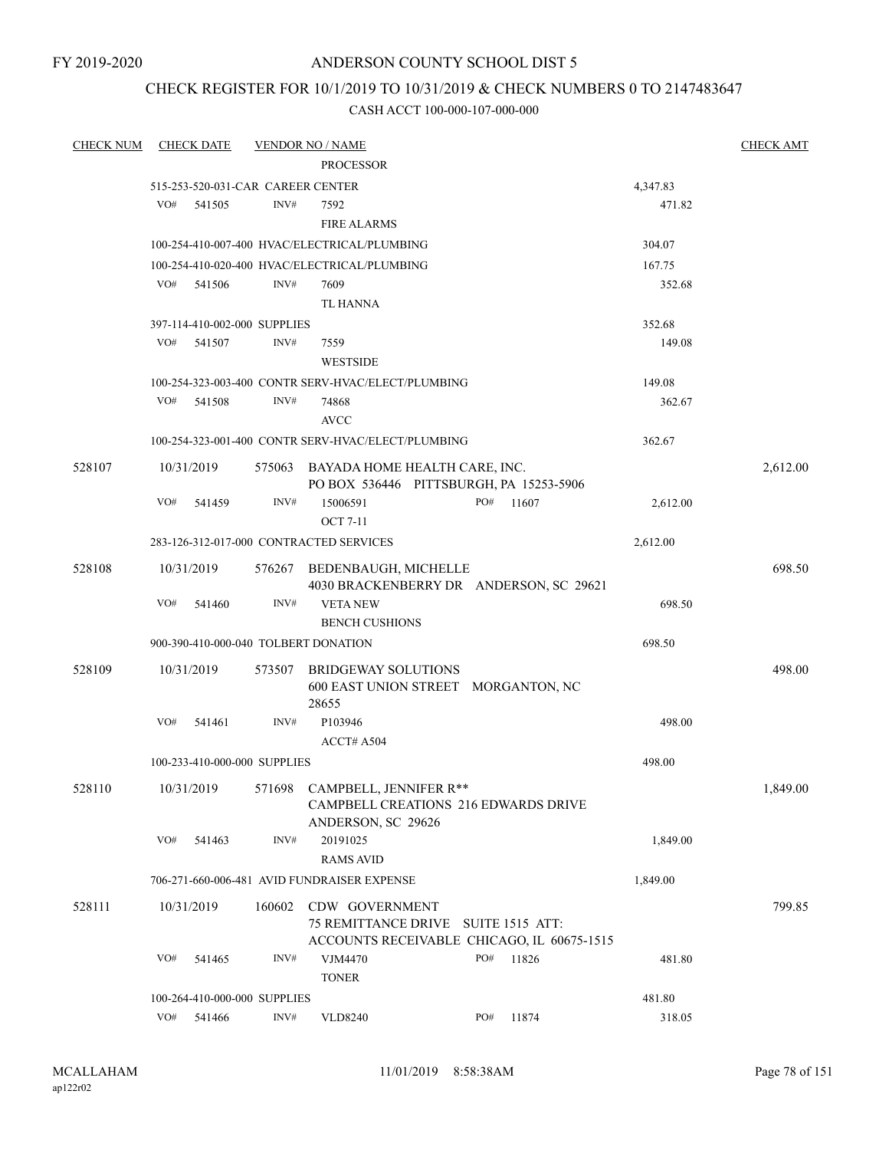FY 2019-2020

## ANDERSON COUNTY SCHOOL DIST 5

## CHECK REGISTER FOR 10/1/2019 TO 10/31/2019 & CHECK NUMBERS 0 TO 2147483647

| <b>CHECK NUM</b> |     | <b>CHECK DATE</b> |                              | <b>VENDOR NO / NAME</b>                                                                             |     |       |          | <b>CHECK AMT</b> |
|------------------|-----|-------------------|------------------------------|-----------------------------------------------------------------------------------------------------|-----|-------|----------|------------------|
|                  |     |                   |                              | <b>PROCESSOR</b>                                                                                    |     |       |          |                  |
|                  |     |                   |                              | 515-253-520-031-CAR CAREER CENTER                                                                   |     |       | 4,347.83 |                  |
|                  | VO# | 541505            | INV#                         | 7592                                                                                                |     |       | 471.82   |                  |
|                  |     |                   |                              | <b>FIRE ALARMS</b>                                                                                  |     |       |          |                  |
|                  |     |                   |                              | 100-254-410-007-400 HVAC/ELECTRICAL/PLUMBING                                                        |     |       | 304.07   |                  |
|                  |     |                   |                              | 100-254-410-020-400 HVAC/ELECTRICAL/PLUMBING                                                        |     |       | 167.75   |                  |
|                  | VO# | 541506            | INV#                         | 7609                                                                                                |     |       | 352.68   |                  |
|                  |     |                   |                              | <b>TL HANNA</b>                                                                                     |     |       |          |                  |
|                  |     |                   | 397-114-410-002-000 SUPPLIES |                                                                                                     |     |       | 352.68   |                  |
|                  | VO# | 541507            | INV#                         | 7559                                                                                                |     |       | 149.08   |                  |
|                  |     |                   |                              | <b>WESTSIDE</b>                                                                                     |     |       |          |                  |
|                  |     |                   |                              | 100-254-323-003-400 CONTR SERV-HVAC/ELECT/PLUMBING                                                  |     |       | 149.08   |                  |
|                  | VO# | 541508            | INV#                         | 74868                                                                                               |     |       | 362.67   |                  |
|                  |     |                   |                              | <b>AVCC</b>                                                                                         |     |       |          |                  |
|                  |     |                   |                              | 100-254-323-001-400 CONTR SERV-HVAC/ELECT/PLUMBING                                                  |     |       | 362.67   |                  |
| 528107           |     | 10/31/2019        |                              | 575063 BAYADA HOME HEALTH CARE, INC.<br>PO BOX 536446 PITTSBURGH, PA 15253-5906                     |     |       |          | 2,612.00         |
|                  | VO# | 541459            | INV#                         | 15006591                                                                                            | PO# | 11607 | 2,612.00 |                  |
|                  |     |                   |                              | <b>OCT 7-11</b>                                                                                     |     |       |          |                  |
|                  |     |                   |                              | 283-126-312-017-000 CONTRACTED SERVICES                                                             |     |       | 2,612.00 |                  |
|                  |     |                   |                              |                                                                                                     |     |       |          |                  |
| 528108           |     | 10/31/2019        |                              | 576267 BEDENBAUGH, MICHELLE<br>4030 BRACKENBERRY DR ANDERSON, SC 29621                              |     |       |          | 698.50           |
|                  | VO# | 541460            | INV#                         | <b>VETA NEW</b>                                                                                     |     |       | 698.50   |                  |
|                  |     |                   |                              | <b>BENCH CUSHIONS</b>                                                                               |     |       |          |                  |
|                  |     |                   |                              | 900-390-410-000-040 TOLBERT DONATION                                                                |     |       | 698.50   |                  |
|                  |     |                   |                              |                                                                                                     |     |       |          |                  |
| 528109           |     | 10/31/2019        | 573507                       | BRIDGEWAY SOLUTIONS<br>600 EAST UNION STREET MORGANTON, NC<br>28655                                 |     |       |          | 498.00           |
|                  | VO# | 541461            | INV#                         | P103946                                                                                             |     |       | 498.00   |                  |
|                  |     |                   |                              | ACCT# A504                                                                                          |     |       |          |                  |
|                  |     |                   | 100-233-410-000-000 SUPPLIES |                                                                                                     |     |       | 498.00   |                  |
|                  |     |                   |                              |                                                                                                     |     |       |          |                  |
| 528110           |     |                   |                              | 10/31/2019 571698 CAMPBELL, JENNIFER R**<br>CAMPBELL CREATIONS 216 EDWARDS DRIVE                    |     |       |          | 1,849.00         |
|                  |     |                   |                              | ANDERSON, SC 29626                                                                                  |     |       |          |                  |
|                  | VO# | 541463            | INV#                         | 20191025                                                                                            |     |       | 1,849.00 |                  |
|                  |     |                   |                              | <b>RAMS AVID</b>                                                                                    |     |       |          |                  |
|                  |     |                   |                              | 706-271-660-006-481 AVID FUNDRAISER EXPENSE                                                         |     |       | 1,849.00 |                  |
| 528111           |     | 10/31/2019        | 160602                       | CDW GOVERNMENT<br>75 REMITTANCE DRIVE SUITE 1515 ATT:<br>ACCOUNTS RECEIVABLE CHICAGO, IL 60675-1515 |     |       |          | 799.85           |
|                  | VO# | 541465            | INV#                         | VJM4470                                                                                             | PO# | 11826 | 481.80   |                  |
|                  |     |                   |                              | <b>TONER</b>                                                                                        |     |       |          |                  |
|                  |     |                   | 100-264-410-000-000 SUPPLIES |                                                                                                     |     |       | 481.80   |                  |
|                  | VO# | 541466            | INV#                         | <b>VLD8240</b>                                                                                      | PO# | 11874 | 318.05   |                  |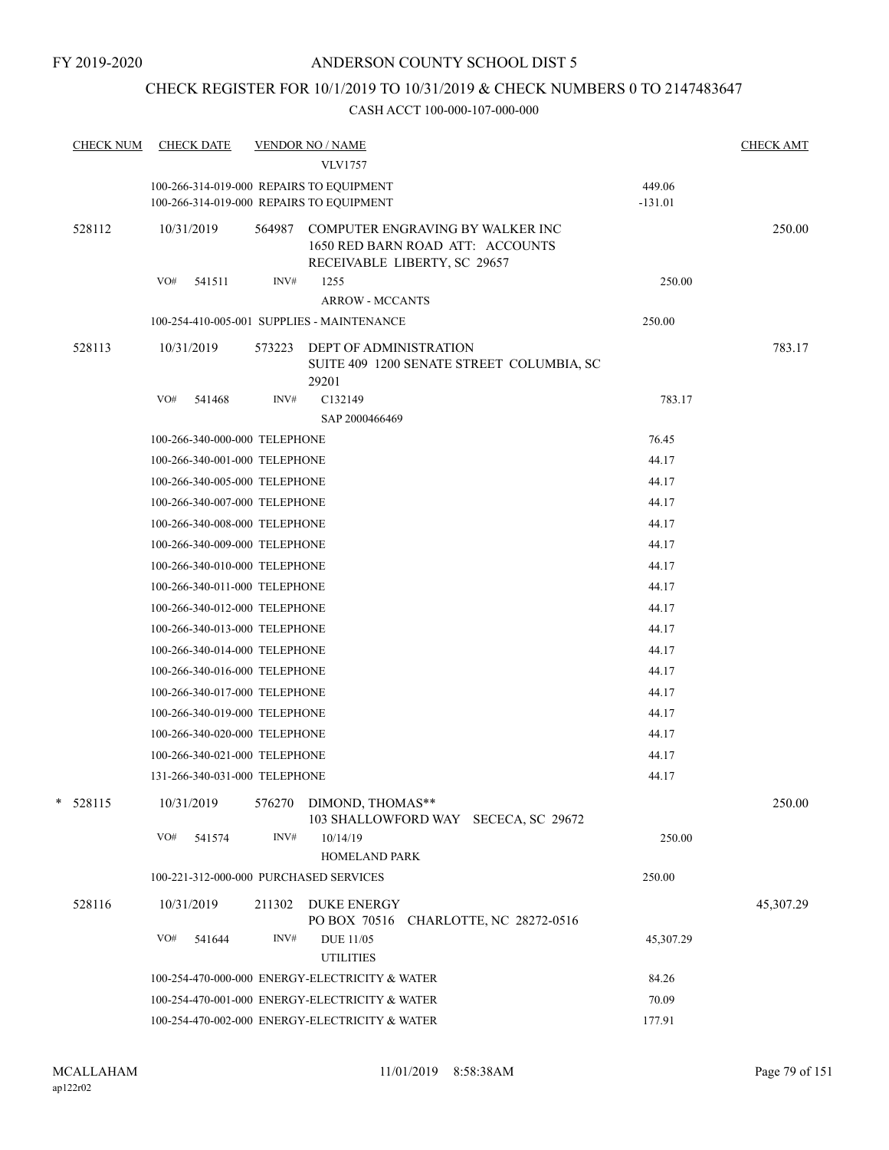## CHECK REGISTER FOR 10/1/2019 TO 10/31/2019 & CHECK NUMBERS 0 TO 2147483647

| <b>CHECK NUM</b> | <b>CHECK DATE</b>                                                                    | <b>VENDOR NO / NAME</b> |                                                                                                      |                     | <b>CHECK AMT</b> |
|------------------|--------------------------------------------------------------------------------------|-------------------------|------------------------------------------------------------------------------------------------------|---------------------|------------------|
|                  |                                                                                      |                         | <b>VLV1757</b>                                                                                       |                     |                  |
|                  | 100-266-314-019-000 REPAIRS TO EQUIPMENT<br>100-266-314-019-000 REPAIRS TO EQUIPMENT |                         |                                                                                                      | 449.06<br>$-131.01$ |                  |
| 528112           | 10/31/2019                                                                           | 564987                  | COMPUTER ENGRAVING BY WALKER INC<br>1650 RED BARN ROAD ATT: ACCOUNTS<br>RECEIVABLE LIBERTY, SC 29657 |                     | 250.00           |
|                  | VO#<br>541511                                                                        | INV#                    | 1255<br><b>ARROW - MCCANTS</b>                                                                       | 250.00              |                  |
|                  | 100-254-410-005-001 SUPPLIES - MAINTENANCE                                           |                         |                                                                                                      | 250.00              |                  |
| 528113           | 10/31/2019                                                                           | 573223                  | <b>DEPT OF ADMINISTRATION</b><br>SUITE 409 1200 SENATE STREET COLUMBIA, SC<br>29201                  |                     | 783.17           |
|                  | VO#<br>541468                                                                        | INV#                    | C132149<br>SAP 2000466469                                                                            | 783.17              |                  |
|                  | 100-266-340-000-000 TELEPHONE                                                        |                         |                                                                                                      | 76.45               |                  |
|                  | 100-266-340-001-000 TELEPHONE                                                        |                         |                                                                                                      | 44.17               |                  |
|                  | 100-266-340-005-000 TELEPHONE                                                        |                         |                                                                                                      | 44.17               |                  |
|                  | 100-266-340-007-000 TELEPHONE                                                        |                         |                                                                                                      | 44.17               |                  |
|                  | 100-266-340-008-000 TELEPHONE                                                        |                         |                                                                                                      | 44.17               |                  |
|                  | 100-266-340-009-000 TELEPHONE                                                        |                         |                                                                                                      | 44.17               |                  |
|                  | 100-266-340-010-000 TELEPHONE                                                        |                         |                                                                                                      | 44.17               |                  |
|                  | 100-266-340-011-000 TELEPHONE                                                        |                         |                                                                                                      | 44.17               |                  |
|                  | 100-266-340-012-000 TELEPHONE                                                        |                         |                                                                                                      | 44.17               |                  |
|                  | 100-266-340-013-000 TELEPHONE                                                        |                         |                                                                                                      | 44.17               |                  |
|                  | 100-266-340-014-000 TELEPHONE                                                        |                         |                                                                                                      | 44.17               |                  |
|                  | 100-266-340-016-000 TELEPHONE                                                        |                         |                                                                                                      | 44.17               |                  |
|                  | 100-266-340-017-000 TELEPHONE                                                        |                         |                                                                                                      | 44.17               |                  |
|                  | 100-266-340-019-000 TELEPHONE                                                        |                         |                                                                                                      | 44.17               |                  |
|                  | 100-266-340-020-000 TELEPHONE                                                        |                         |                                                                                                      | 44.17               |                  |
|                  | 100-266-340-021-000 TELEPHONE                                                        |                         |                                                                                                      | 44.17               |                  |
|                  | 131-266-340-031-000 TELEPHONE                                                        |                         |                                                                                                      | 44.17               |                  |
| $*$ 528115       | 10/31/2019                                                                           | 576270                  | DIMOND, THOMAS**<br>103 SHALLOWFORD WAY SECECA, SC 29672                                             |                     | 250.00           |
|                  | VO#<br>541574                                                                        | INV#                    | 10/14/19<br><b>HOMELAND PARK</b>                                                                     | 250.00              |                  |
|                  | 100-221-312-000-000 PURCHASED SERVICES                                               |                         |                                                                                                      | 250.00              |                  |
|                  |                                                                                      |                         |                                                                                                      |                     |                  |
| 528116           | 10/31/2019                                                                           | 211302                  | <b>DUKE ENERGY</b><br>PO BOX 70516 CHARLOTTE, NC 28272-0516                                          |                     | 45,307.29        |
|                  | VO#<br>541644                                                                        | INV#                    | <b>DUE 11/05</b><br><b>UTILITIES</b>                                                                 | 45,307.29           |                  |
|                  |                                                                                      |                         | 100-254-470-000-000 ENERGY-ELECTRICITY & WATER                                                       | 84.26               |                  |
|                  |                                                                                      |                         | 100-254-470-001-000 ENERGY-ELECTRICITY & WATER                                                       | 70.09               |                  |
|                  |                                                                                      |                         | 100-254-470-002-000 ENERGY-ELECTRICITY & WATER                                                       | 177.91              |                  |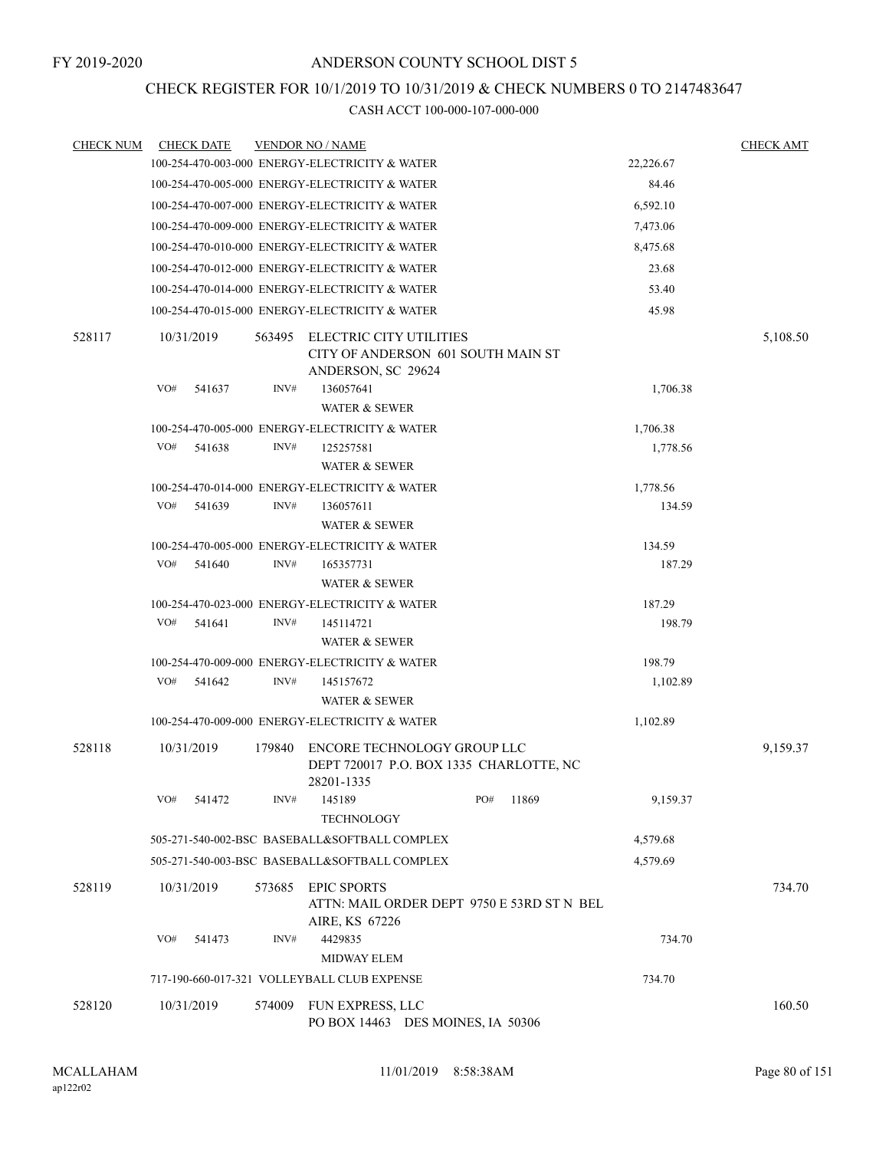## CHECK REGISTER FOR 10/1/2019 TO 10/31/2019 & CHECK NUMBERS 0 TO 2147483647

| <b>CHECK NUM</b> |            | <b>CHECK DATE</b> |        | <b>VENDOR NO / NAME</b>                                                                    |     |       |           | <b>CHECK AMT</b> |
|------------------|------------|-------------------|--------|--------------------------------------------------------------------------------------------|-----|-------|-----------|------------------|
|                  |            |                   |        | 100-254-470-003-000 ENERGY-ELECTRICITY & WATER                                             |     |       | 22,226.67 |                  |
|                  |            |                   |        | 100-254-470-005-000 ENERGY-ELECTRICITY & WATER                                             |     |       | 84.46     |                  |
|                  |            |                   |        | 100-254-470-007-000 ENERGY-ELECTRICITY & WATER                                             |     |       | 6,592.10  |                  |
|                  |            |                   |        | 100-254-470-009-000 ENERGY-ELECTRICITY & WATER                                             |     |       | 7,473.06  |                  |
|                  |            |                   |        | 100-254-470-010-000 ENERGY-ELECTRICITY & WATER                                             |     |       | 8,475.68  |                  |
|                  |            |                   |        | 100-254-470-012-000 ENERGY-ELECTRICITY & WATER                                             |     |       | 23.68     |                  |
|                  |            |                   |        | 100-254-470-014-000 ENERGY-ELECTRICITY & WATER                                             |     |       | 53.40     |                  |
|                  |            |                   |        | 100-254-470-015-000 ENERGY-ELECTRICITY & WATER                                             |     |       | 45.98     |                  |
| 528117           | 10/31/2019 |                   | 563495 | <b>ELECTRIC CITY UTILITIES</b><br>CITY OF ANDERSON 601 SOUTH MAIN ST<br>ANDERSON, SC 29624 |     |       |           | 5,108.50         |
|                  | VO#        | 541637            | INV#   | 136057641<br><b>WATER &amp; SEWER</b>                                                      |     |       | 1,706.38  |                  |
|                  |            |                   |        | 100-254-470-005-000 ENERGY-ELECTRICITY & WATER                                             |     |       | 1,706.38  |                  |
|                  | VO#        | 541638            | INV#   | 125257581                                                                                  |     |       | 1,778.56  |                  |
|                  |            |                   |        | WATER & SEWER                                                                              |     |       |           |                  |
|                  |            |                   |        | 100-254-470-014-000 ENERGY-ELECTRICITY & WATER                                             |     |       | 1,778.56  |                  |
|                  | VO#        | 541639            | INV#   | 136057611                                                                                  |     |       | 134.59    |                  |
|                  |            |                   |        | <b>WATER &amp; SEWER</b>                                                                   |     |       |           |                  |
|                  |            |                   |        | 100-254-470-005-000 ENERGY-ELECTRICITY & WATER                                             |     |       | 134.59    |                  |
|                  | VO#        | 541640            | INV#   | 165357731                                                                                  |     |       | 187.29    |                  |
|                  |            |                   |        | <b>WATER &amp; SEWER</b>                                                                   |     |       |           |                  |
|                  |            |                   |        | 100-254-470-023-000 ENERGY-ELECTRICITY & WATER                                             |     |       | 187.29    |                  |
|                  | VO#        | 541641            | INV#   | 145114721                                                                                  |     |       | 198.79    |                  |
|                  |            |                   |        | WATER & SEWER                                                                              |     |       |           |                  |
|                  |            |                   |        | 100-254-470-009-000 ENERGY-ELECTRICITY & WATER                                             |     |       | 198.79    |                  |
|                  | VO#        | 541642            | INV#   | 145157672<br><b>WATER &amp; SEWER</b>                                                      |     |       | 1,102.89  |                  |
|                  |            |                   |        | 100-254-470-009-000 ENERGY-ELECTRICITY & WATER                                             |     |       | 1,102.89  |                  |
| 528118           | 10/31/2019 |                   | 179840 | ENCORE TECHNOLOGY GROUP LLC<br>DEPT 720017 P.O. BOX 1335 CHARLOTTE, NC<br>28201-1335       |     |       |           | 9,159.37         |
|                  | VO#        | 541472            | INV#   | 145189<br><b>TECHNOLOGY</b>                                                                | PO# | 11869 | 9,159.37  |                  |
|                  |            |                   |        | 505-271-540-002-BSC BASEBALL&SOFTBALL COMPLEX                                              |     |       | 4,579.68  |                  |
|                  |            |                   |        | 505-271-540-003-BSC BASEBALL&SOFTBALL COMPLEX                                              |     |       | 4,579.69  |                  |
| 528119           | 10/31/2019 |                   | 573685 | <b>EPIC SPORTS</b><br>ATTN: MAIL ORDER DEPT 9750 E 53RD ST N BEL<br>AIRE, KS 67226         |     |       |           | 734.70           |
|                  | VO#        | 541473            | INV#   | 4429835<br>MIDWAY ELEM                                                                     |     |       | 734.70    |                  |
|                  |            |                   |        | 717-190-660-017-321 VOLLEYBALL CLUB EXPENSE                                                |     |       | 734.70    |                  |
|                  |            |                   |        |                                                                                            |     |       |           |                  |
| 528120           | 10/31/2019 |                   | 574009 | FUN EXPRESS, LLC<br>PO BOX 14463 DES MOINES, IA 50306                                      |     |       |           | 160.50           |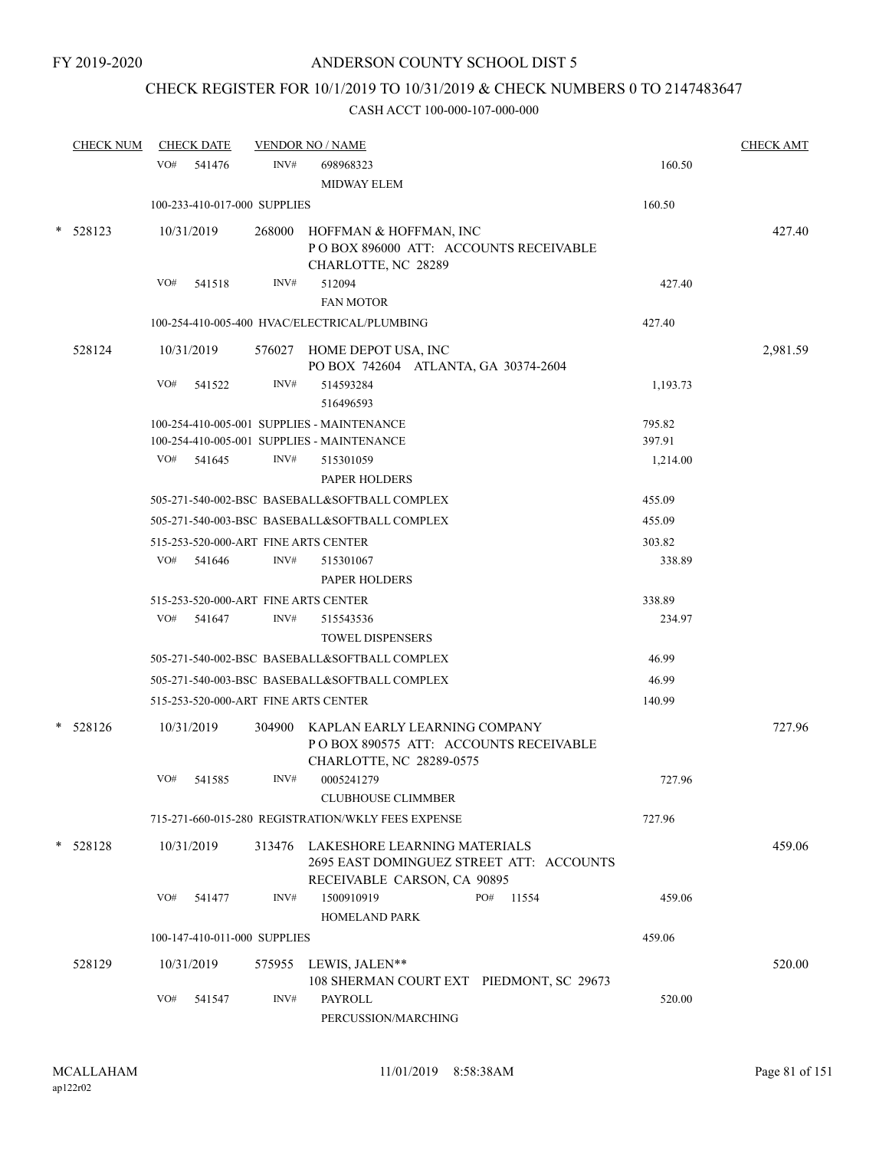# CHECK REGISTER FOR 10/1/2019 TO 10/31/2019 & CHECK NUMBERS 0 TO 2147483647

|   | <b>CHECK NUM</b> |            | <b>CHECK DATE</b> |                              | <b>VENDOR NO / NAME</b>                                                                                    |          | <b>CHECK AMT</b> |
|---|------------------|------------|-------------------|------------------------------|------------------------------------------------------------------------------------------------------------|----------|------------------|
|   |                  | VO#        | 541476            | INV#                         | 698968323                                                                                                  | 160.50   |                  |
|   |                  |            |                   |                              | <b>MIDWAY ELEM</b>                                                                                         |          |                  |
|   |                  |            |                   | 100-233-410-017-000 SUPPLIES |                                                                                                            | 160.50   |                  |
| * | 528123           | 10/31/2019 |                   |                              | 268000 HOFFMAN & HOFFMAN, INC<br>POBOX 896000 ATT: ACCOUNTS RECEIVABLE<br>CHARLOTTE, NC 28289              |          | 427.40           |
|   |                  | VO#        | 541518            | INV#                         | 512094                                                                                                     | 427.40   |                  |
|   |                  |            |                   |                              | <b>FAN MOTOR</b>                                                                                           |          |                  |
|   |                  |            |                   |                              | 100-254-410-005-400 HVAC/ELECTRICAL/PLUMBING                                                               | 427.40   |                  |
|   | 528124           | 10/31/2019 |                   |                              | 576027 HOME DEPOT USA, INC<br>PO BOX 742604 ATLANTA, GA 30374-2604                                         |          | 2,981.59         |
|   |                  | VO#        | 541522            | INV#                         | 514593284<br>516496593                                                                                     | 1,193.73 |                  |
|   |                  |            |                   |                              | 100-254-410-005-001 SUPPLIES - MAINTENANCE                                                                 | 795.82   |                  |
|   |                  |            |                   |                              | 100-254-410-005-001 SUPPLIES - MAINTENANCE                                                                 | 397.91   |                  |
|   |                  |            | VO# 541645        | INV#                         | 515301059<br>PAPER HOLDERS                                                                                 | 1,214.00 |                  |
|   |                  |            |                   |                              | 505-271-540-002-BSC BASEBALL&SOFTBALL COMPLEX                                                              | 455.09   |                  |
|   |                  |            |                   |                              | 505-271-540-003-BSC BASEBALL&SOFTBALL COMPLEX                                                              | 455.09   |                  |
|   |                  |            |                   |                              | 515-253-520-000-ART FINE ARTS CENTER                                                                       | 303.82   |                  |
|   |                  | VO#        | 541646            | INV#                         | 515301067<br>PAPER HOLDERS                                                                                 | 338.89   |                  |
|   |                  |            |                   |                              | 515-253-520-000-ART FINE ARTS CENTER                                                                       | 338.89   |                  |
|   |                  | VO#        | 541647            | INV#                         | 515543536<br><b>TOWEL DISPENSERS</b>                                                                       | 234.97   |                  |
|   |                  |            |                   |                              | 505-271-540-002-BSC BASEBALL&SOFTBALL COMPLEX                                                              | 46.99    |                  |
|   |                  |            |                   |                              | 505-271-540-003-BSC BASEBALL&SOFTBALL COMPLEX                                                              | 46.99    |                  |
|   |                  |            |                   |                              | 515-253-520-000-ART FINE ARTS CENTER                                                                       | 140.99   |                  |
| * | 528126           | 10/31/2019 |                   |                              | 304900 KAPLAN EARLY LEARNING COMPANY<br>PO BOX 890575 ATT: ACCOUNTS RECEIVABLE<br>CHARLOTTE, NC 28289-0575 |          | 727.96           |
|   |                  | VO#        | 541585            | INV#                         | 0005241279<br><b>CLUBHOUSE CLIMMBER</b>                                                                    | 727.96   |                  |
|   |                  |            |                   |                              | 715-271-660-015-280 REGISTRATION/WKLY FEES EXPENSE                                                         | 727.96   |                  |
|   | $* 528128$       | 10/31/2019 |                   |                              | 313476 LAKESHORE LEARNING MATERIALS<br>2695 EAST DOMINGUEZ STREET ATT: ACCOUNTS                            |          | 459.06           |
|   |                  | VO#        | 541477            | INV#                         | RECEIVABLE CARSON, CA 90895<br>1500910919<br>PO#<br>11554<br><b>HOMELAND PARK</b>                          | 459.06   |                  |
|   |                  |            |                   | 100-147-410-011-000 SUPPLIES |                                                                                                            | 459.06   |                  |
|   | 528129           | 10/31/2019 |                   | 575955                       | LEWIS, JALEN**<br>108 SHERMAN COURT EXT PIEDMONT, SC 29673                                                 |          | 520.00           |
|   |                  | VO#        | 541547            | INV#                         | <b>PAYROLL</b><br>PERCUSSION/MARCHING                                                                      | 520.00   |                  |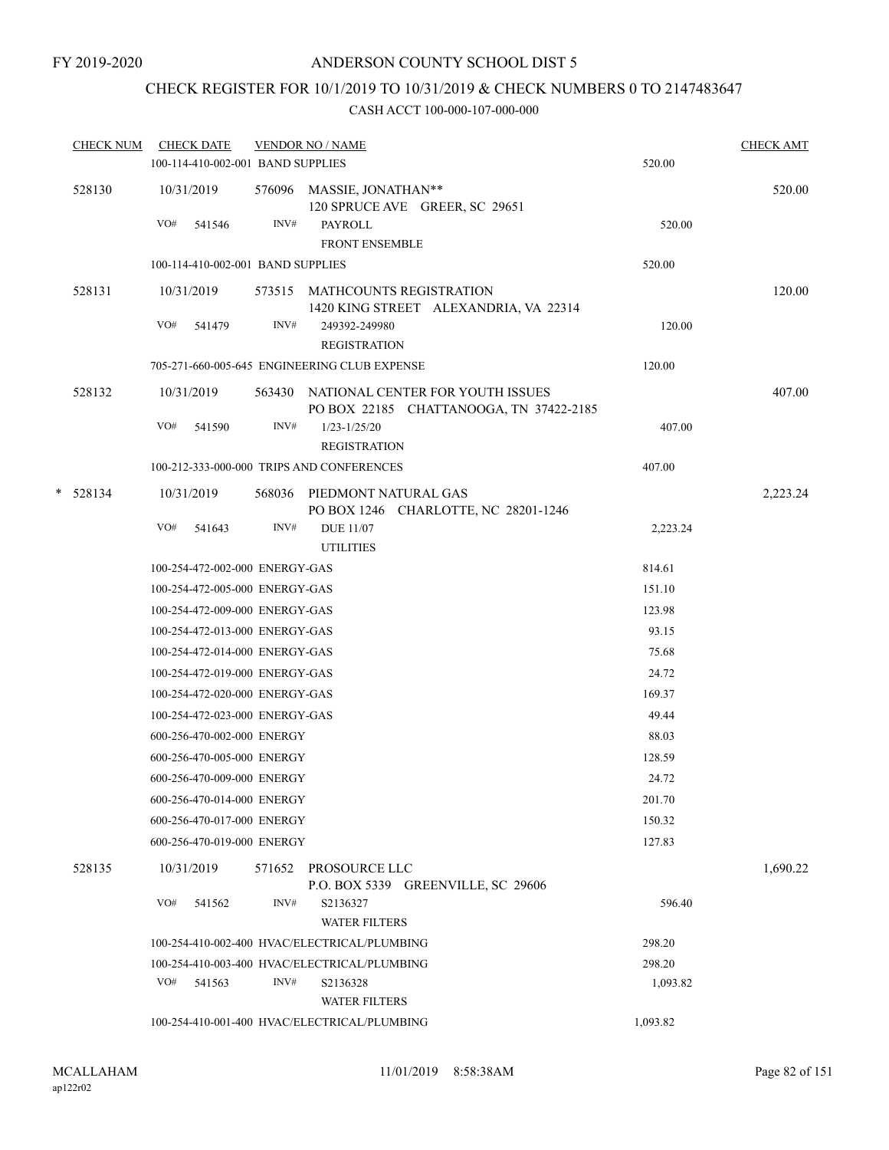# CHECK REGISTER FOR 10/1/2019 TO 10/31/2019 & CHECK NUMBERS 0 TO 2147483647

| <b>CHECK NUM</b> | <b>CHECK DATE</b> |                                   |        | <b>VENDOR NO / NAME</b>                                                            |          | <b>CHECK AMT</b> |
|------------------|-------------------|-----------------------------------|--------|------------------------------------------------------------------------------------|----------|------------------|
|                  |                   | 100-114-410-002-001 BAND SUPPLIES |        |                                                                                    | 520.00   |                  |
| 528130           | 10/31/2019        |                                   |        | 576096 MASSIE, JONATHAN**<br>120 SPRUCE AVE GREER, SC 29651                        |          | 520.00           |
|                  | VO#               | 541546                            | INV#   | <b>PAYROLL</b><br><b>FRONT ENSEMBLE</b>                                            | 520.00   |                  |
|                  |                   | 100-114-410-002-001 BAND SUPPLIES |        |                                                                                    | 520.00   |                  |
| 528131           | 10/31/2019        |                                   |        | 573515 MATHCOUNTS REGISTRATION<br>1420 KING STREET ALEXANDRIA, VA 22314            |          | 120.00           |
|                  | VO#               | 541479                            | INV#   | 249392-249980<br><b>REGISTRATION</b>                                               | 120.00   |                  |
|                  |                   |                                   |        | 705-271-660-005-645 ENGINEERING CLUB EXPENSE                                       | 120.00   |                  |
| 528132           | 10/31/2019        |                                   |        | 563430 NATIONAL CENTER FOR YOUTH ISSUES<br>PO BOX 22185 CHATTANOOGA, TN 37422-2185 |          | 407.00           |
|                  | VO#               | 541590                            | INV#   | $1/23 - 1/25/20$<br><b>REGISTRATION</b>                                            | 407.00   |                  |
|                  |                   |                                   |        | 100-212-333-000-000 TRIPS AND CONFERENCES                                          | 407.00   |                  |
| $*$ 528134       | 10/31/2019        |                                   |        | 568036 PIEDMONT NATURAL GAS<br>PO BOX 1246 CHARLOTTE, NC 28201-1246                |          | 2,223.24         |
|                  | VO#               | 541643                            | INV#   | <b>DUE 11/07</b><br><b>UTILITIES</b>                                               | 2,223.24 |                  |
|                  |                   | 100-254-472-002-000 ENERGY-GAS    |        |                                                                                    | 814.61   |                  |
|                  |                   | 100-254-472-005-000 ENERGY-GAS    |        |                                                                                    | 151.10   |                  |
|                  |                   | 100-254-472-009-000 ENERGY-GAS    |        |                                                                                    | 123.98   |                  |
|                  |                   | 100-254-472-013-000 ENERGY-GAS    |        |                                                                                    | 93.15    |                  |
|                  |                   | 100-254-472-014-000 ENERGY-GAS    |        |                                                                                    | 75.68    |                  |
|                  |                   | 100-254-472-019-000 ENERGY-GAS    |        |                                                                                    | 24.72    |                  |
|                  |                   | 100-254-472-020-000 ENERGY-GAS    |        |                                                                                    | 169.37   |                  |
|                  |                   | 100-254-472-023-000 ENERGY-GAS    |        |                                                                                    | 49.44    |                  |
|                  |                   | 600-256-470-002-000 ENERGY        |        |                                                                                    | 88.03    |                  |
|                  |                   | 600-256-470-005-000 ENERGY        |        |                                                                                    | 128.59   |                  |
|                  |                   | 600-256-470-009-000 ENERGY        |        |                                                                                    | 24.72    |                  |
|                  |                   | 600-256-470-014-000 ENERGY        |        |                                                                                    | 201.70   |                  |
|                  |                   | 600-256-470-017-000 ENERGY        |        |                                                                                    | 150.32   |                  |
|                  |                   | 600-256-470-019-000 ENERGY        |        |                                                                                    | 127.83   |                  |
| 528135           | 10/31/2019        |                                   | 571652 | PROSOURCE LLC<br>P.O. BOX 5339 GREENVILLE, SC 29606                                |          | 1,690.22         |
|                  | VO#               | 541562                            | INV#   | S2136327<br><b>WATER FILTERS</b>                                                   | 596.40   |                  |
|                  |                   |                                   |        | 100-254-410-002-400 HVAC/ELECTRICAL/PLUMBING                                       | 298.20   |                  |
|                  |                   |                                   |        | 100-254-410-003-400 HVAC/ELECTRICAL/PLUMBING                                       | 298.20   |                  |
|                  | VO#               | 541563                            | INV#   | S2136328<br><b>WATER FILTERS</b>                                                   | 1,093.82 |                  |
|                  |                   |                                   |        | 100-254-410-001-400 HVAC/ELECTRICAL/PLUMBING                                       | 1,093.82 |                  |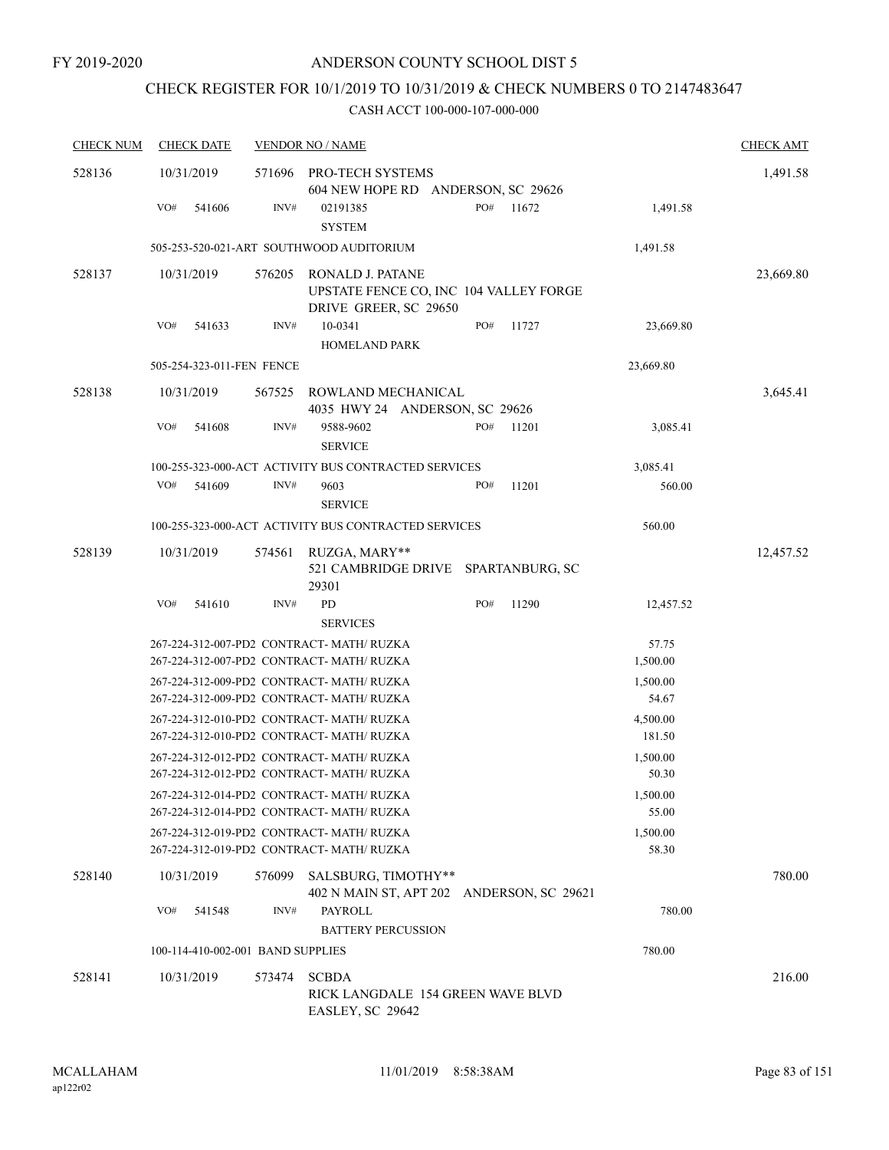# CHECK REGISTER FOR 10/1/2019 TO 10/31/2019 & CHECK NUMBERS 0 TO 2147483647

| <b>CHECK NUM</b> | <b>CHECK DATE</b>                 |        | <b>VENDOR NO / NAME</b>                                                                |     |       |                   | <b>CHECK AMT</b> |
|------------------|-----------------------------------|--------|----------------------------------------------------------------------------------------|-----|-------|-------------------|------------------|
| 528136           | 10/31/2019                        | 571696 | PRO-TECH SYSTEMS<br>604 NEW HOPE RD ANDERSON, SC 29626                                 |     |       |                   | 1,491.58         |
|                  | VO#<br>541606                     | INV#   | 02191385<br><b>SYSTEM</b>                                                              | PO# | 11672 | 1,491.58          |                  |
|                  |                                   |        | 505-253-520-021-ART SOUTHWOOD AUDITORIUM                                               |     |       | 1,491.58          |                  |
| 528137           | 10/31/2019                        | 576205 | RONALD J. PATANE<br>UPSTATE FENCE CO, INC 104 VALLEY FORGE<br>DRIVE GREER, SC 29650    |     |       |                   | 23,669.80        |
|                  | VO#<br>541633                     | INV#   | 10-0341<br>HOMELAND PARK                                                               | PO# | 11727 | 23,669.80         |                  |
|                  | 505-254-323-011-FEN FENCE         |        |                                                                                        |     |       | 23,669.80         |                  |
| 528138           | 10/31/2019                        | 567525 | ROWLAND MECHANICAL<br>4035 HWY 24 ANDERSON, SC 29626                                   |     |       |                   | 3,645.41         |
|                  | VO#<br>541608                     | INV#   | 9588-9602<br><b>SERVICE</b>                                                            | PO# | 11201 | 3,085.41          |                  |
|                  |                                   |        | 100-255-323-000-ACT ACTIVITY BUS CONTRACTED SERVICES                                   |     |       | 3,085.41          |                  |
|                  | VO#<br>541609                     | INV#   | 9603<br><b>SERVICE</b>                                                                 | PO# | 11201 | 560.00            |                  |
|                  |                                   |        | 100-255-323-000-ACT ACTIVITY BUS CONTRACTED SERVICES                                   |     |       | 560.00            |                  |
| 528139           | 10/31/2019                        | 574561 | RUZGA, MARY**<br>521 CAMBRIDGE DRIVE SPARTANBURG, SC<br>29301                          |     |       |                   | 12,457.52        |
|                  | VO#<br>541610                     | INV#   | <b>PD</b><br><b>SERVICES</b>                                                           | PO# | 11290 | 12,457.52         |                  |
|                  |                                   |        | 267-224-312-007-PD2 CONTRACT- MATH/ RUZKA                                              |     |       | 57.75             |                  |
|                  |                                   |        | 267-224-312-007-PD2 CONTRACT- MATH/ RUZKA                                              |     |       | 1,500.00          |                  |
|                  |                                   |        | 267-224-312-009-PD2 CONTRACT- MATH/ RUZKA<br>267-224-312-009-PD2 CONTRACT- MATH/ RUZKA |     |       | 1,500.00<br>54.67 |                  |
|                  |                                   |        | 267-224-312-010-PD2 CONTRACT- MATH/ RUZKA                                              |     |       | 4,500.00          |                  |
|                  |                                   |        | 267-224-312-010-PD2 CONTRACT- MATH/ RUZKA                                              |     |       | 181.50            |                  |
|                  |                                   |        | 267-224-312-012-PD2_CONTRACT- MATH/ RUZKA                                              |     |       | 1,500.00          |                  |
|                  |                                   |        | 267-224-312-012-PD2 CONTRACT- MATH/ RUZKA                                              |     |       | 50.30             |                  |
|                  |                                   |        | 267-224-312-014-PD2 CONTRACT- MATH/RUZKA                                               |     |       | 1,500.00          |                  |
|                  |                                   |        | 267-224-312-014-PD2 CONTRACT- MATH/RUZKA                                               |     |       | 55.00             |                  |
|                  |                                   |        | 267-224-312-019-PD2 CONTRACT- MATH/ RUZKA<br>267-224-312-019-PD2 CONTRACT- MATH/ RUZKA |     |       | 1,500.00<br>58.30 |                  |
| 528140           | 10/31/2019                        | 576099 | SALSBURG, TIMOTHY**<br>402 N MAIN ST, APT 202 ANDERSON, SC 29621                       |     |       |                   | 780.00           |
|                  | VO#<br>541548                     | INV#   | PAYROLL<br><b>BATTERY PERCUSSION</b>                                                   |     |       | 780.00            |                  |
|                  | 100-114-410-002-001 BAND SUPPLIES |        |                                                                                        |     |       | 780.00            |                  |
| 528141           | 10/31/2019                        | 573474 | <b>SCBDA</b><br>RICK LANGDALE 154 GREEN WAVE BLVD<br>EASLEY, SC 29642                  |     |       |                   | 216.00           |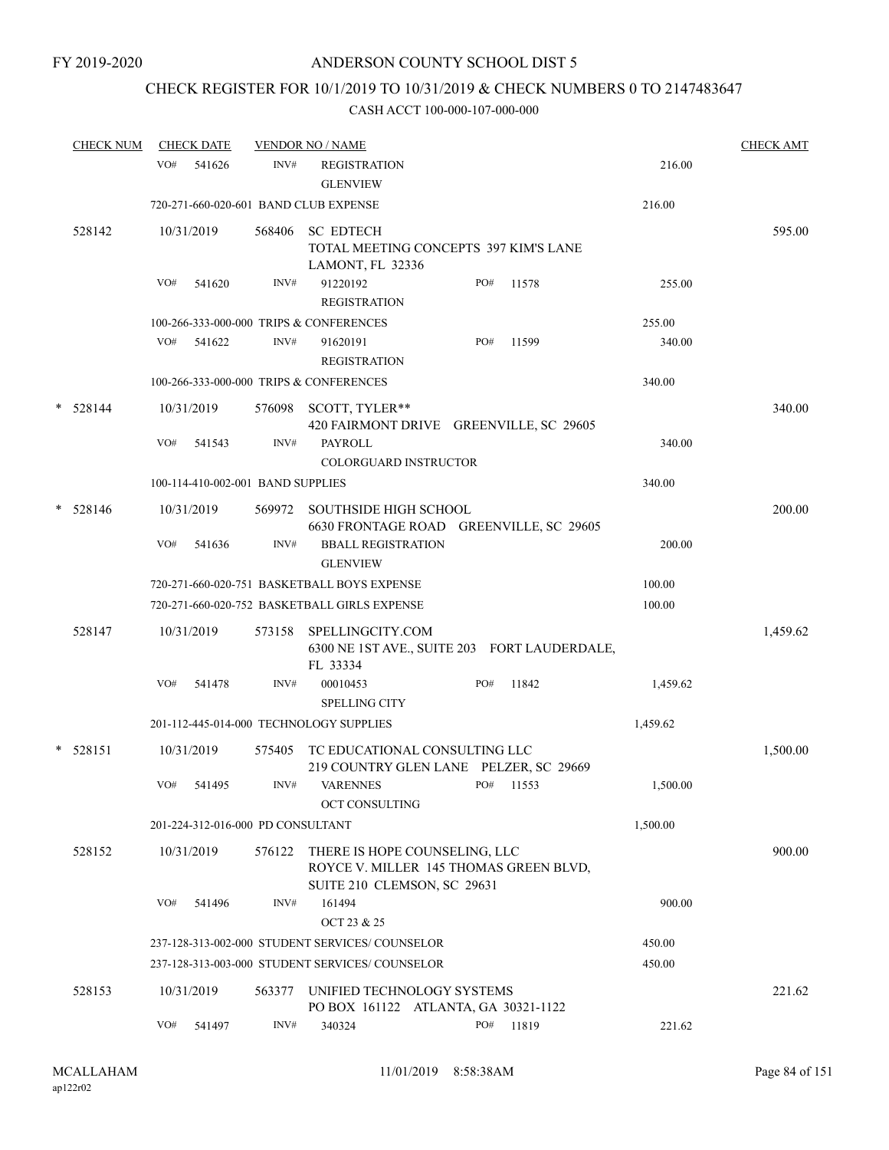# CHECK REGISTER FOR 10/1/2019 TO 10/31/2019 & CHECK NUMBERS 0 TO 2147483647

|        | <b>CHECK NUM</b> | <b>CHECK DATE</b> |                                       | <b>VENDOR NO / NAME</b>                                                   |                                              |          | <b>CHECK AMT</b> |
|--------|------------------|-------------------|---------------------------------------|---------------------------------------------------------------------------|----------------------------------------------|----------|------------------|
|        |                  | VO#<br>541626     | INV#                                  | <b>REGISTRATION</b><br><b>GLENVIEW</b>                                    |                                              | 216.00   |                  |
|        |                  |                   | 720-271-660-020-601 BAND CLUB EXPENSE |                                                                           |                                              | 216.00   |                  |
|        | 528142           | 10/31/2019        |                                       | 568406 SC EDTECH<br>LAMONT, FL 32336                                      | TOTAL MEETING CONCEPTS 397 KIM'S LANE        |          | 595.00           |
|        |                  | VO#<br>541620     | INV#                                  | 91220192<br><b>REGISTRATION</b>                                           | PO#<br>11578                                 | 255.00   |                  |
|        |                  |                   |                                       | 100-266-333-000-000 TRIPS & CONFERENCES                                   |                                              | 255.00   |                  |
|        |                  | VO#<br>541622     | INV#                                  | 91620191<br><b>REGISTRATION</b>                                           | PO#<br>11599                                 | 340.00   |                  |
|        |                  |                   |                                       | 100-266-333-000-000 TRIPS & CONFERENCES                                   |                                              | 340.00   |                  |
|        | $* 528144$       | 10/31/2019        | 576098                                | SCOTT, TYLER**                                                            | 420 FAIRMONT DRIVE GREENVILLE, SC 29605      |          | 340.00           |
|        |                  | VO#<br>541543     | INV#                                  | <b>PAYROLL</b><br><b>COLORGUARD INSTRUCTOR</b>                            |                                              | 340.00   |                  |
|        |                  |                   | 100-114-410-002-001 BAND SUPPLIES     |                                                                           |                                              | 340.00   |                  |
| $\ast$ | 528146           | 10/31/2019        | 569972                                | <b>SOUTHSIDE HIGH SCHOOL</b>                                              | 6630 FRONTAGE ROAD GREENVILLE, SC 29605      |          | 200.00           |
|        |                  | VO#<br>541636     | INV#                                  | <b>BBALL REGISTRATION</b><br><b>GLENVIEW</b>                              |                                              | 200.00   |                  |
|        |                  |                   |                                       | 720-271-660-020-751 BASKETBALL BOYS EXPENSE                               |                                              | 100.00   |                  |
|        |                  |                   |                                       | 720-271-660-020-752 BASKETBALL GIRLS EXPENSE                              |                                              | 100.00   |                  |
|        | 528147           | 10/31/2019        | 573158                                | SPELLINGCITY.COM<br>FL 33334                                              | 6300 NE 1ST AVE., SUITE 203 FORT LAUDERDALE, |          | 1,459.62         |
|        |                  | VO#<br>541478     | INV#                                  | 00010453<br><b>SPELLING CITY</b>                                          | PO#<br>11842                                 | 1,459.62 |                  |
|        |                  |                   |                                       | 201-112-445-014-000 TECHNOLOGY SUPPLIES                                   |                                              | 1,459.62 |                  |
|        | $* 528151$       | 10/31/2019        | 575405                                | TC EDUCATIONAL CONSULTING LLC                                             | 219 COUNTRY GLEN LANE PELZER, SC 29669       |          | 1,500.00         |
|        |                  | VO#<br>541495     | INV#                                  | <b>VARENNES</b><br>OCT CONSULTING                                         | PO# 11553                                    | 1,500.00 |                  |
|        |                  |                   | 201-224-312-016-000 PD CONSULTANT     |                                                                           |                                              | 1,500.00 |                  |
|        | 528152           | 10/31/2019        |                                       | 576122 THERE IS HOPE COUNSELING, LLC<br>SUITE 210 CLEMSON, SC 29631       | ROYCE V. MILLER 145 THOMAS GREEN BLVD,       |          | 900.00           |
|        |                  | VO#<br>541496     | INV#                                  | 161494<br>OCT 23 & 25                                                     |                                              | 900.00   |                  |
|        |                  |                   |                                       | 237-128-313-002-000 STUDENT SERVICES/COUNSELOR                            |                                              | 450.00   |                  |
|        |                  |                   |                                       | 237-128-313-003-000 STUDENT SERVICES/ COUNSELOR                           |                                              | 450.00   |                  |
|        | 528153           | 10/31/2019        |                                       | 563377 UNIFIED TECHNOLOGY SYSTEMS<br>PO BOX 161122 ATLANTA, GA 30321-1122 |                                              |          | 221.62           |
|        |                  | VO#<br>541497     | INV#                                  | 340324                                                                    | 11819<br>PO#                                 | 221.62   |                  |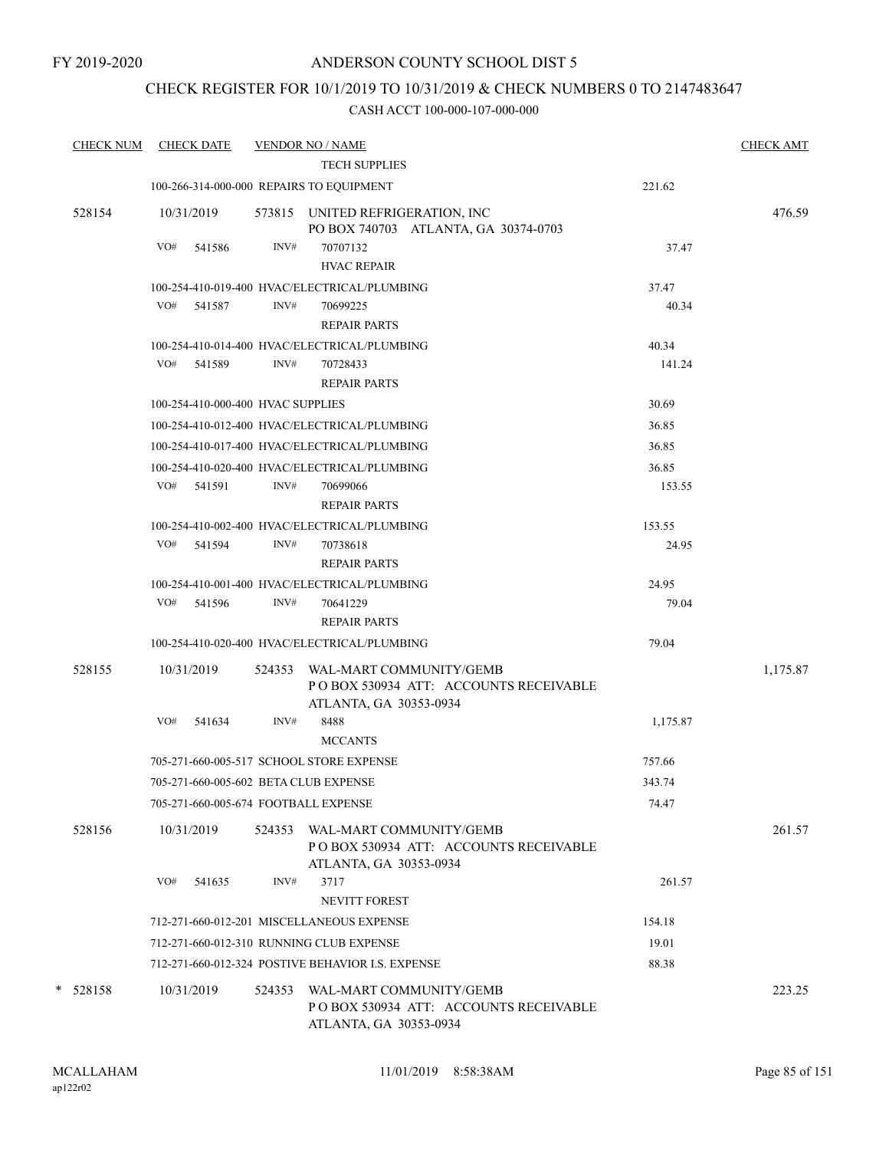## CHECK REGISTER FOR 10/1/2019 TO 10/31/2019 & CHECK NUMBERS 0 TO 2147483647

| <b>CHECK NUM</b> |            | <b>CHECK DATE</b>                 |        | <b>VENDOR NO / NAME</b>                                                                            |                 | <b>CHECK AMT</b> |
|------------------|------------|-----------------------------------|--------|----------------------------------------------------------------------------------------------------|-----------------|------------------|
|                  |            |                                   |        | <b>TECH SUPPLIES</b>                                                                               |                 |                  |
|                  |            |                                   |        | 100-266-314-000-000 REPAIRS TO EQUIPMENT                                                           | 221.62          |                  |
| 528154           | 10/31/2019 |                                   |        | 573815 UNITED REFRIGERATION, INC<br>PO BOX 740703 ATLANTA, GA 30374-0703                           |                 | 476.59           |
|                  | VO#        | 541586                            | INV#   | 70707132                                                                                           | 37.47           |                  |
|                  |            |                                   |        | <b>HVAC REPAIR</b>                                                                                 |                 |                  |
|                  |            |                                   |        | 100-254-410-019-400 HVAC/ELECTRICAL/PLUMBING                                                       | 37.47           |                  |
|                  |            | VO# 541587                        | INV#   | 70699225<br><b>REPAIR PARTS</b>                                                                    | 40.34           |                  |
|                  |            |                                   |        | 100-254-410-014-400 HVAC/ELECTRICAL/PLUMBING                                                       | 40.34           |                  |
|                  | VO#        | 541589                            | INV#   | 70728433                                                                                           | 141.24          |                  |
|                  |            |                                   |        | <b>REPAIR PARTS</b>                                                                                |                 |                  |
|                  |            | 100-254-410-000-400 HVAC SUPPLIES |        |                                                                                                    | 30.69           |                  |
|                  |            |                                   |        | 100-254-410-012-400 HVAC/ELECTRICAL/PLUMBING                                                       | 36.85           |                  |
|                  |            |                                   |        | 100-254-410-017-400 HVAC/ELECTRICAL/PLUMBING                                                       | 36.85           |                  |
|                  |            |                                   |        |                                                                                                    |                 |                  |
|                  | VO# 541591 |                                   | INV#   | 100-254-410-020-400 HVAC/ELECTRICAL/PLUMBING<br>70699066                                           | 36.85<br>153.55 |                  |
|                  |            |                                   |        | <b>REPAIR PARTS</b>                                                                                |                 |                  |
|                  |            |                                   |        | 100-254-410-002-400 HVAC/ELECTRICAL/PLUMBING                                                       | 153.55          |                  |
|                  |            | VO# 541594                        | INV#   | 70738618                                                                                           | 24.95           |                  |
|                  |            |                                   |        | <b>REPAIR PARTS</b>                                                                                |                 |                  |
|                  |            |                                   |        | 100-254-410-001-400 HVAC/ELECTRICAL/PLUMBING                                                       | 24.95           |                  |
|                  | VO# 541596 |                                   | INV#   | 70641229                                                                                           | 79.04           |                  |
|                  |            |                                   |        | <b>REPAIR PARTS</b>                                                                                |                 |                  |
|                  |            |                                   |        | 100-254-410-020-400 HVAC/ELECTRICAL/PLUMBING                                                       | 79.04           |                  |
| 528155           | 10/31/2019 |                                   |        | 524353 WAL-MART COMMUNITY/GEMB<br>PO BOX 530934 ATT: ACCOUNTS RECEIVABLE                           |                 | 1,175.87         |
|                  | VO#        | 541634                            | INV#   | ATLANTA, GA 30353-0934<br>8488                                                                     |                 |                  |
|                  |            |                                   |        | <b>MCCANTS</b>                                                                                     | 1,175.87        |                  |
|                  |            |                                   |        | 705-271-660-005-517 SCHOOL STORE EXPENSE                                                           | 757.66          |                  |
|                  |            |                                   |        | 705-271-660-005-602 BETA CLUB EXPENSE                                                              | 343.74          |                  |
|                  |            |                                   |        | 705-271-660-005-674 FOOTBALL EXPENSE                                                               | 74.47           |                  |
| 528156           | 10/31/2019 |                                   |        | 524353 WAL-MART COMMUNITY/GEMB<br>PO BOX 530934 ATT: ACCOUNTS RECEIVABLE<br>ATLANTA, GA 30353-0934 |                 | 261.57           |
|                  | VO#        | 541635                            | INV#   | 3717<br>NEVITT FOREST                                                                              | 261.57          |                  |
|                  |            |                                   |        | 712-271-660-012-201 MISCELLANEOUS EXPENSE                                                          | 154.18          |                  |
|                  |            |                                   |        | 712-271-660-012-310 RUNNING CLUB EXPENSE                                                           | 19.01           |                  |
|                  |            |                                   |        | 712-271-660-012-324 POSTIVE BEHAVIOR I.S. EXPENSE                                                  | 88.38           |                  |
| $* 528158$       | 10/31/2019 |                                   | 524353 | WAL-MART COMMUNITY/GEMB<br>PO BOX 530934 ATT: ACCOUNTS RECEIVABLE<br>ATLANTA, GA 30353-0934        |                 | 223.25           |
|                  |            |                                   |        |                                                                                                    |                 |                  |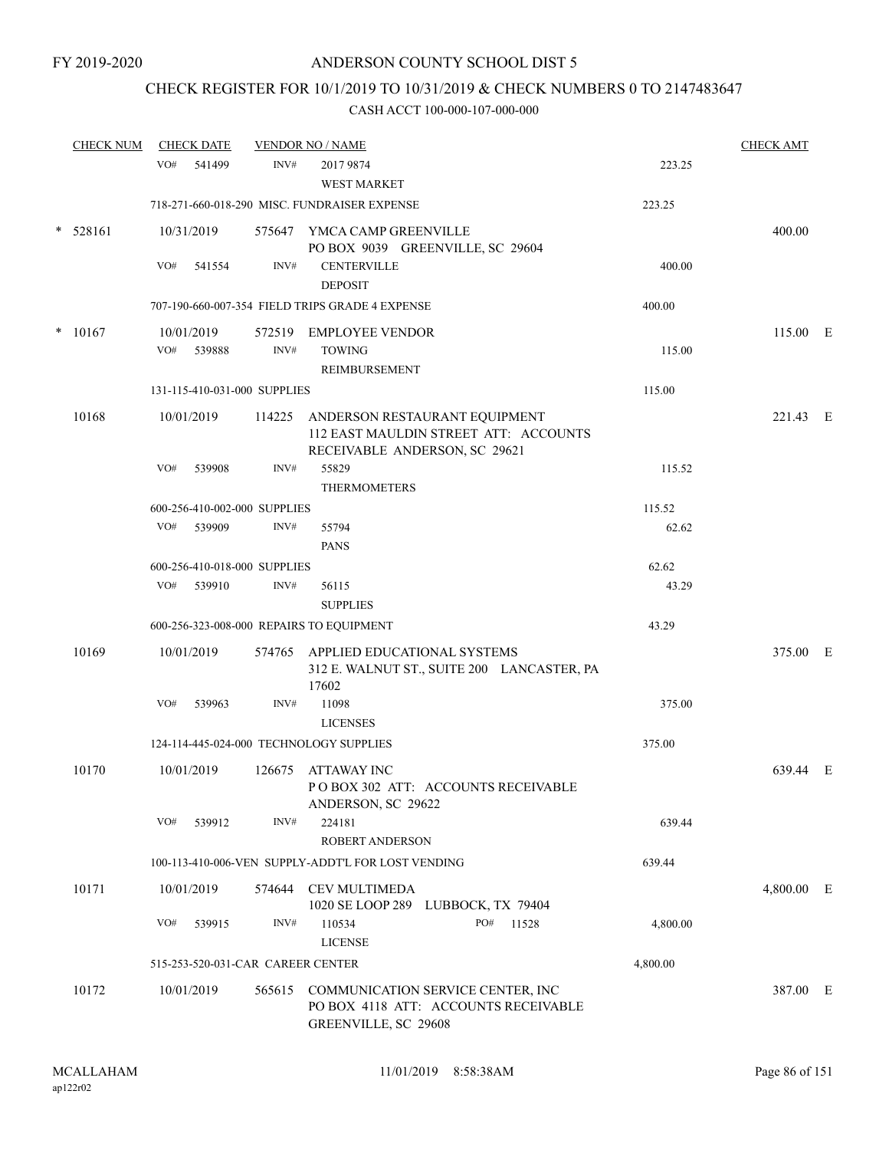## CHECK REGISTER FOR 10/1/2019 TO 10/31/2019 & CHECK NUMBERS 0 TO 2147483647

|        | <b>CHECK NUM</b> |     | <b>CHECK DATE</b>    |                                   | <b>VENDOR NO / NAME</b>                                                                                        |          | <b>CHECK AMT</b> |  |
|--------|------------------|-----|----------------------|-----------------------------------|----------------------------------------------------------------------------------------------------------------|----------|------------------|--|
|        |                  | VO# | 541499               | INV#                              | 2017 9874<br>WEST MARKET                                                                                       | 223.25   |                  |  |
|        |                  |     |                      |                                   | 718-271-660-018-290 MISC. FUNDRAISER EXPENSE                                                                   | 223.25   |                  |  |
|        | $* 528161$       |     | 10/31/2019           |                                   | 575647 YMCA CAMP GREENVILLE<br>PO BOX 9039 GREENVILLE, SC 29604                                                |          | 400.00           |  |
|        |                  | VO# | 541554               | INV#                              | <b>CENTERVILLE</b><br><b>DEPOSIT</b>                                                                           | 400.00   |                  |  |
|        |                  |     |                      |                                   | 707-190-660-007-354 FIELD TRIPS GRADE 4 EXPENSE                                                                | 400.00   |                  |  |
| $\ast$ | 10167            | VO# | 10/01/2019<br>539888 | 572519<br>INV#                    | <b>EMPLOYEE VENDOR</b><br><b>TOWING</b>                                                                        | 115.00   | 115.00 E         |  |
|        |                  |     |                      |                                   | REIMBURSEMENT                                                                                                  |          |                  |  |
|        |                  |     |                      | 131-115-410-031-000 SUPPLIES      |                                                                                                                | 115.00   |                  |  |
|        | 10168            |     | 10/01/2019           |                                   | 114225 ANDERSON RESTAURANT EQUIPMENT<br>112 EAST MAULDIN STREET ATT: ACCOUNTS<br>RECEIVABLE ANDERSON, SC 29621 |          | 221.43 E         |  |
|        |                  | VO# | 539908               | INV#                              | 55829<br><b>THERMOMETERS</b>                                                                                   | 115.52   |                  |  |
|        |                  |     |                      | 600-256-410-002-000 SUPPLIES      |                                                                                                                | 115.52   |                  |  |
|        |                  | VO# | 539909               | INV#                              | 55794<br><b>PANS</b>                                                                                           | 62.62    |                  |  |
|        |                  |     |                      | 600-256-410-018-000 SUPPLIES      |                                                                                                                | 62.62    |                  |  |
|        |                  |     | VO# 539910           | INV#                              | 56115<br><b>SUPPLIES</b>                                                                                       | 43.29    |                  |  |
|        |                  |     |                      |                                   | 600-256-323-008-000 REPAIRS TO EQUIPMENT                                                                       | 43.29    |                  |  |
|        | 10169            |     | 10/01/2019           |                                   | 574765 APPLIED EDUCATIONAL SYSTEMS<br>312 E. WALNUT ST., SUITE 200 LANCASTER, PA<br>17602                      |          | 375.00 E         |  |
|        |                  | VO# | 539963               | INV#                              | 11098<br><b>LICENSES</b>                                                                                       | 375.00   |                  |  |
|        |                  |     |                      |                                   | 124-114-445-024-000 TECHNOLOGY SUPPLIES                                                                        | 375.00   |                  |  |
|        | 10170            |     | 10/01/2019           |                                   | 126675 ATTAWAY INC<br>PO BOX 302 ATT: ACCOUNTS RECEIVABLE<br>ANDERSON, SC 29622                                |          | 639.44 E         |  |
|        |                  | VO# | 539912               | INV#                              | 224181<br><b>ROBERT ANDERSON</b>                                                                               | 639.44   |                  |  |
|        |                  |     |                      |                                   | 100-113-410-006-VEN SUPPLY-ADDT'L FOR LOST VENDING                                                             | 639.44   |                  |  |
|        | 10171            |     | 10/01/2019           | 574644                            | CEV MULTIMEDA<br>1020 SE LOOP 289 LUBBOCK, TX 79404                                                            |          | 4,800.00 E       |  |
|        |                  | VO# | 539915               | INV#                              | 110534<br>PO#<br>11528<br><b>LICENSE</b>                                                                       | 4,800.00 |                  |  |
|        |                  |     |                      | 515-253-520-031-CAR CAREER CENTER |                                                                                                                | 4,800.00 |                  |  |
|        | 10172            |     | 10/01/2019           |                                   | 565615 COMMUNICATION SERVICE CENTER, INC<br>PO BOX 4118 ATT: ACCOUNTS RECEIVABLE<br>GREENVILLE, SC 29608       |          | 387.00 E         |  |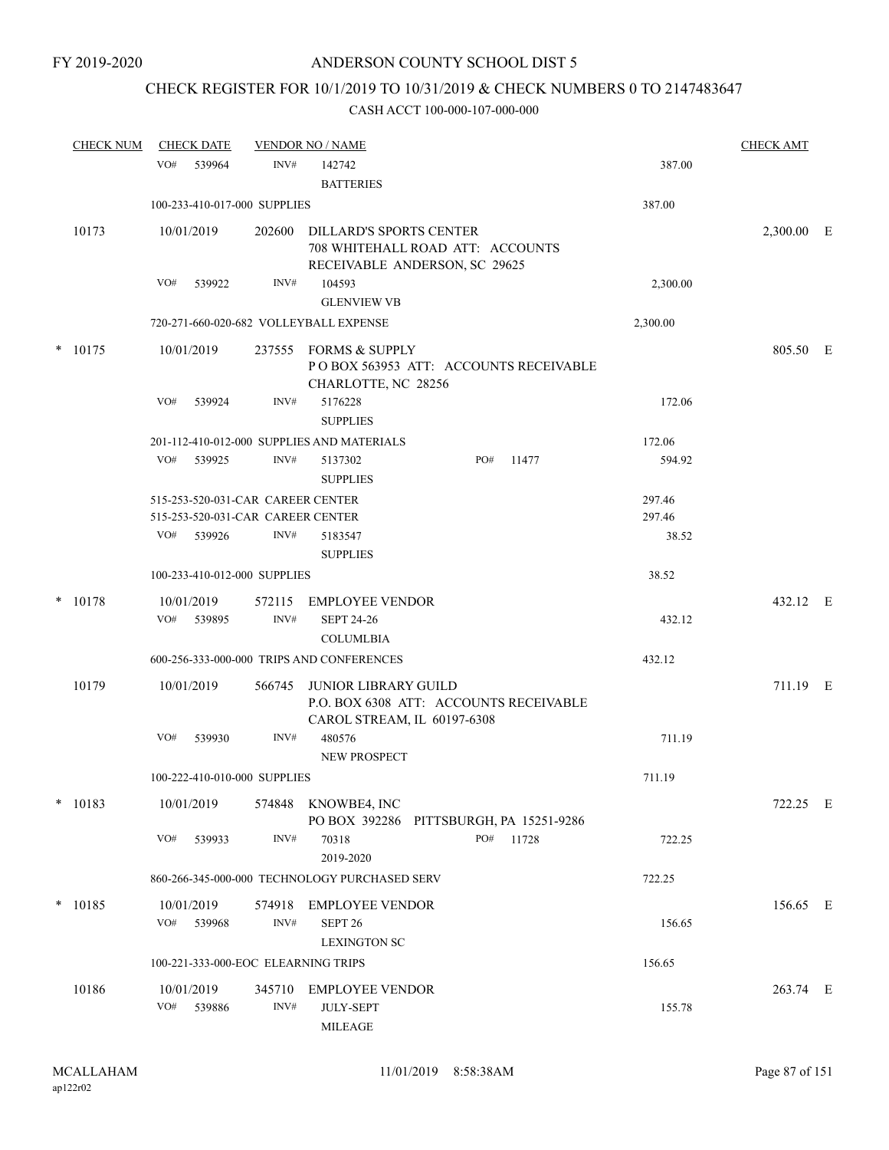# CHECK REGISTER FOR 10/1/2019 TO 10/31/2019 & CHECK NUMBERS 0 TO 2147483647

|        | <b>CHECK NUM</b> | <b>CHECK DATE</b>                      |                          | <b>VENDOR NO / NAME</b>                                                                              |     |       |          | <b>CHECK AMT</b> |  |
|--------|------------------|----------------------------------------|--------------------------|------------------------------------------------------------------------------------------------------|-----|-------|----------|------------------|--|
|        |                  | VO#<br>539964                          | INV#                     | 142742<br><b>BATTERIES</b>                                                                           |     |       | 387.00   |                  |  |
|        |                  | 100-233-410-017-000 SUPPLIES           |                          |                                                                                                      |     |       | 387.00   |                  |  |
|        | 10173            | 10/01/2019                             | 202600                   | <b>DILLARD'S SPORTS CENTER</b><br>708 WHITEHALL ROAD ATT: ACCOUNTS<br>RECEIVABLE ANDERSON, SC 29625  |     |       |          | 2,300.00 E       |  |
|        |                  | VO#<br>539922                          | INV#                     | 104593                                                                                               |     |       | 2,300.00 |                  |  |
|        |                  |                                        |                          | <b>GLENVIEW VB</b>                                                                                   |     |       |          |                  |  |
|        |                  | 720-271-660-020-682 VOLLEYBALL EXPENSE |                          |                                                                                                      |     |       | 2,300.00 |                  |  |
|        | $*$ 10175        | 10/01/2019                             |                          | 237555 FORMS & SUPPLY<br>POBOX 563953 ATT: ACCOUNTS RECEIVABLE<br>CHARLOTTE, NC 28256                |     |       |          | 805.50 E         |  |
|        |                  | VO#<br>539924                          | INV#                     | 5176228<br><b>SUPPLIES</b>                                                                           |     |       | 172.06   |                  |  |
|        |                  |                                        |                          | 201-112-410-012-000 SUPPLIES AND MATERIALS                                                           |     |       | 172.06   |                  |  |
|        |                  | VO#<br>539925                          | INV#                     | 5137302<br><b>SUPPLIES</b>                                                                           | PO# | 11477 | 594.92   |                  |  |
|        |                  | 515-253-520-031-CAR CAREER CENTER      |                          |                                                                                                      |     |       | 297.46   |                  |  |
|        |                  | 515-253-520-031-CAR CAREER CENTER      |                          |                                                                                                      |     |       | 297.46   |                  |  |
|        |                  | VO#<br>539926                          | INV#                     | 5183547<br><b>SUPPLIES</b>                                                                           |     |       | 38.52    |                  |  |
|        |                  | 100-233-410-012-000 SUPPLIES           |                          |                                                                                                      |     |       | 38.52    |                  |  |
| $\ast$ | 10178            | 10/01/2019<br>VO#<br>539895            | 572115<br>INV#           | <b>EMPLOYEE VENDOR</b><br><b>SEPT 24-26</b>                                                          |     |       | 432.12   | 432.12 E         |  |
|        |                  |                                        |                          | <b>COLUMLBIA</b><br>600-256-333-000-000 TRIPS AND CONFERENCES                                        |     |       | 432.12   |                  |  |
|        |                  |                                        |                          |                                                                                                      |     |       |          |                  |  |
|        | 10179            | 10/01/2019                             | 566745                   | <b>JUNIOR LIBRARY GUILD</b><br>P.O. BOX 6308 ATT: ACCOUNTS RECEIVABLE<br>CAROL STREAM, IL 60197-6308 |     |       |          | 711.19 E         |  |
|        |                  | VO#<br>539930                          | INV#                     | 480576<br>NEW PROSPECT                                                                               |     |       | 711.19   |                  |  |
|        |                  | 100-222-410-010-000 SUPPLIES           |                          |                                                                                                      |     |       | 711.19   |                  |  |
|        | $* 10183$        | 10/01/2019                             |                          | 574848 KNOWBE4, INC<br>PO BOX 392286 PITTSBURGH, PA 15251-9286                                       |     |       |          | 722.25 E         |  |
|        |                  | VO#<br>539933                          | INV#                     | 70318<br>2019-2020                                                                                   | PO# | 11728 | 722.25   |                  |  |
|        |                  |                                        |                          | 860-266-345-000-000 TECHNOLOGY PURCHASED SERV                                                        |     |       | 722.25   |                  |  |
|        | $* 10185$        | 10/01/2019<br>VO#<br>539968            | 574918<br>INV#           | <b>EMPLOYEE VENDOR</b><br>SEPT <sub>26</sub><br><b>LEXINGTON SC</b>                                  |     |       | 156.65   | 156.65 E         |  |
|        |                  | 100-221-333-000-EOC ELEARNING TRIPS    |                          |                                                                                                      |     |       | 156.65   |                  |  |
|        | 10186            | 10/01/2019<br>VO#<br>539886            | 345710<br>$\text{INV}\#$ | <b>EMPLOYEE VENDOR</b><br><b>JULY-SEPT</b><br><b>MILEAGE</b>                                         |     |       | 155.78   | 263.74 E         |  |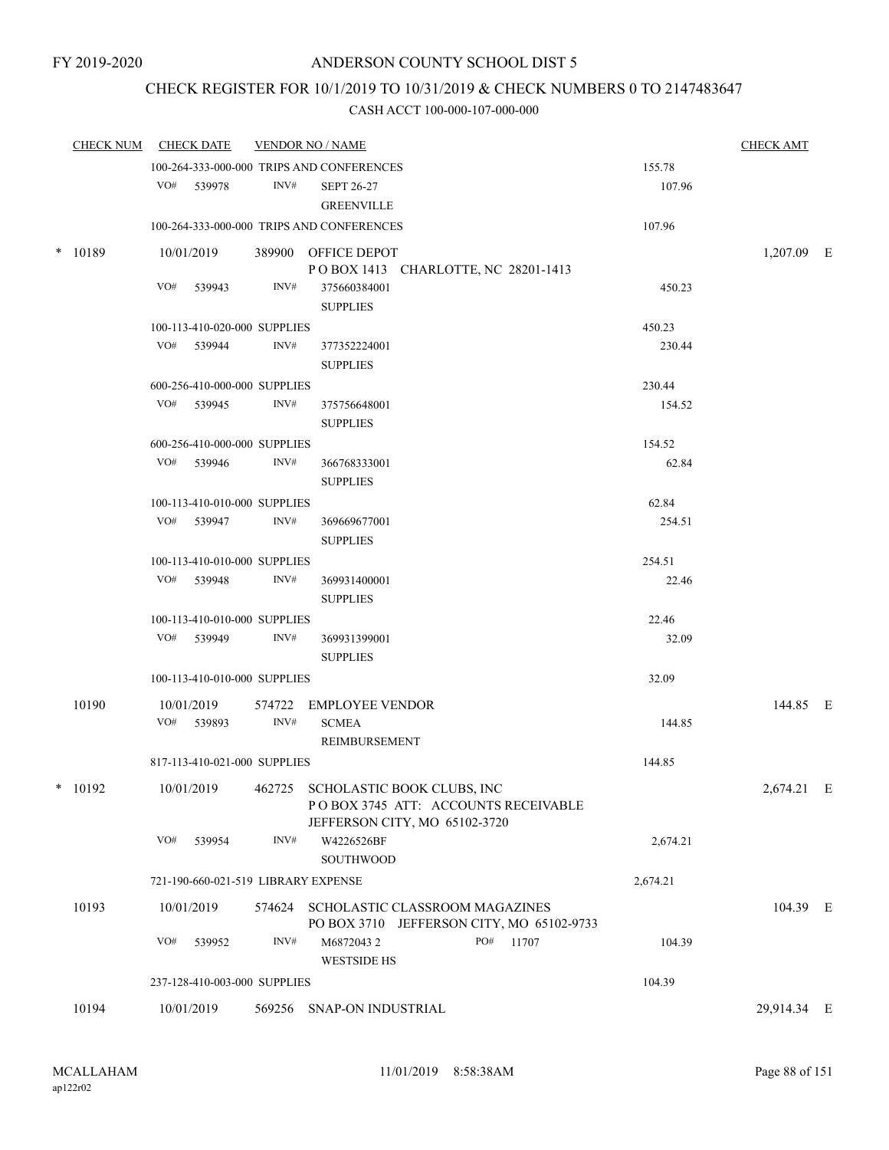## CHECK REGISTER FOR 10/1/2019 TO 10/31/2019 & CHECK NUMBERS 0 TO 2147483647

| <b>CHECK NUM</b> | <b>CHECK DATE</b>                   |      | <b>VENDOR NO / NAME</b>                                                            |          | <b>CHECK AMT</b> |  |
|------------------|-------------------------------------|------|------------------------------------------------------------------------------------|----------|------------------|--|
|                  |                                     |      | 100-264-333-000-000 TRIPS AND CONFERENCES                                          | 155.78   |                  |  |
|                  | VO# 539978                          | INV# | <b>SEPT 26-27</b><br><b>GREENVILLE</b>                                             | 107.96   |                  |  |
|                  |                                     |      | 100-264-333-000-000 TRIPS AND CONFERENCES                                          | 107.96   |                  |  |
| $* 10189$        | 10/01/2019                          |      | 389900 OFFICE DEPOT                                                                |          | 1,207.09 E       |  |
|                  |                                     |      | POBOX 1413 CHARLOTTE, NC 28201-1413                                                |          |                  |  |
|                  | VO# 539943                          | INV# | 375660384001                                                                       | 450.23   |                  |  |
|                  |                                     |      | <b>SUPPLIES</b>                                                                    |          |                  |  |
|                  | 100-113-410-020-000 SUPPLIES        |      |                                                                                    | 450.23   |                  |  |
|                  | VO# 539944                          | INV# | 377352224001                                                                       | 230.44   |                  |  |
|                  |                                     |      | <b>SUPPLIES</b>                                                                    |          |                  |  |
|                  | 600-256-410-000-000 SUPPLIES        |      |                                                                                    | 230.44   |                  |  |
|                  | VO# 539945                          | INV# | 375756648001<br><b>SUPPLIES</b>                                                    | 154.52   |                  |  |
|                  | 600-256-410-000-000 SUPPLIES        |      |                                                                                    | 154.52   |                  |  |
|                  | VO# 539946                          | INV# | 366768333001                                                                       | 62.84    |                  |  |
|                  |                                     |      | <b>SUPPLIES</b>                                                                    |          |                  |  |
|                  | 100-113-410-010-000 SUPPLIES        |      |                                                                                    | 62.84    |                  |  |
|                  | VO# 539947                          | INV# | 369669677001                                                                       | 254.51   |                  |  |
|                  |                                     |      | <b>SUPPLIES</b>                                                                    |          |                  |  |
|                  | 100-113-410-010-000 SUPPLIES        |      |                                                                                    | 254.51   |                  |  |
|                  | VO# 539948                          | INV# | 369931400001                                                                       | 22.46    |                  |  |
|                  |                                     |      | <b>SUPPLIES</b>                                                                    |          |                  |  |
|                  | 100-113-410-010-000 SUPPLIES        |      |                                                                                    | 22.46    |                  |  |
|                  | VO# 539949                          | INV# | 369931399001<br><b>SUPPLIES</b>                                                    | 32.09    |                  |  |
|                  | 100-113-410-010-000 SUPPLIES        |      |                                                                                    | 32.09    |                  |  |
|                  |                                     |      |                                                                                    |          |                  |  |
| 10190            | 10/01/2019<br>VO# 539893            | INV# | 574722 EMPLOYEE VENDOR<br><b>SCMEA</b>                                             | 144.85   | 144.85 E         |  |
|                  |                                     |      | REIMBURSEMENT                                                                      |          |                  |  |
|                  | 817-113-410-021-000 SUPPLIES        |      |                                                                                    | 144.85   |                  |  |
|                  |                                     |      |                                                                                    |          |                  |  |
| * 10192          | 10/01/2019                          |      | 462725 SCHOLASTIC BOOK CLUBS, INC<br>POBOX 3745 ATT: ACCOUNTS RECEIVABLE           |          | 2,674.21 E       |  |
|                  |                                     |      | JEFFERSON CITY, MO 65102-3720                                                      |          |                  |  |
|                  | VO# 539954                          | INV# | W4226526BF                                                                         | 2,674.21 |                  |  |
|                  |                                     |      | SOUTHWOOD                                                                          |          |                  |  |
|                  | 721-190-660-021-519 LIBRARY EXPENSE |      |                                                                                    | 2,674.21 |                  |  |
| 10193            | 10/01/2019                          |      | 574624 SCHOLASTIC CLASSROOM MAGAZINES<br>PO BOX 3710 JEFFERSON CITY, MO 65102-9733 |          | 104.39 E         |  |
|                  | VO# 539952                          | INV# | PO# 11707<br>M68720432<br><b>WESTSIDE HS</b>                                       | 104.39   |                  |  |
|                  | 237-128-410-003-000 SUPPLIES        |      |                                                                                    | 104.39   |                  |  |
| 10194            | 10/01/2019                          |      | 569256 SNAP-ON INDUSTRIAL                                                          |          | 29,914.34 E      |  |
|                  |                                     |      |                                                                                    |          |                  |  |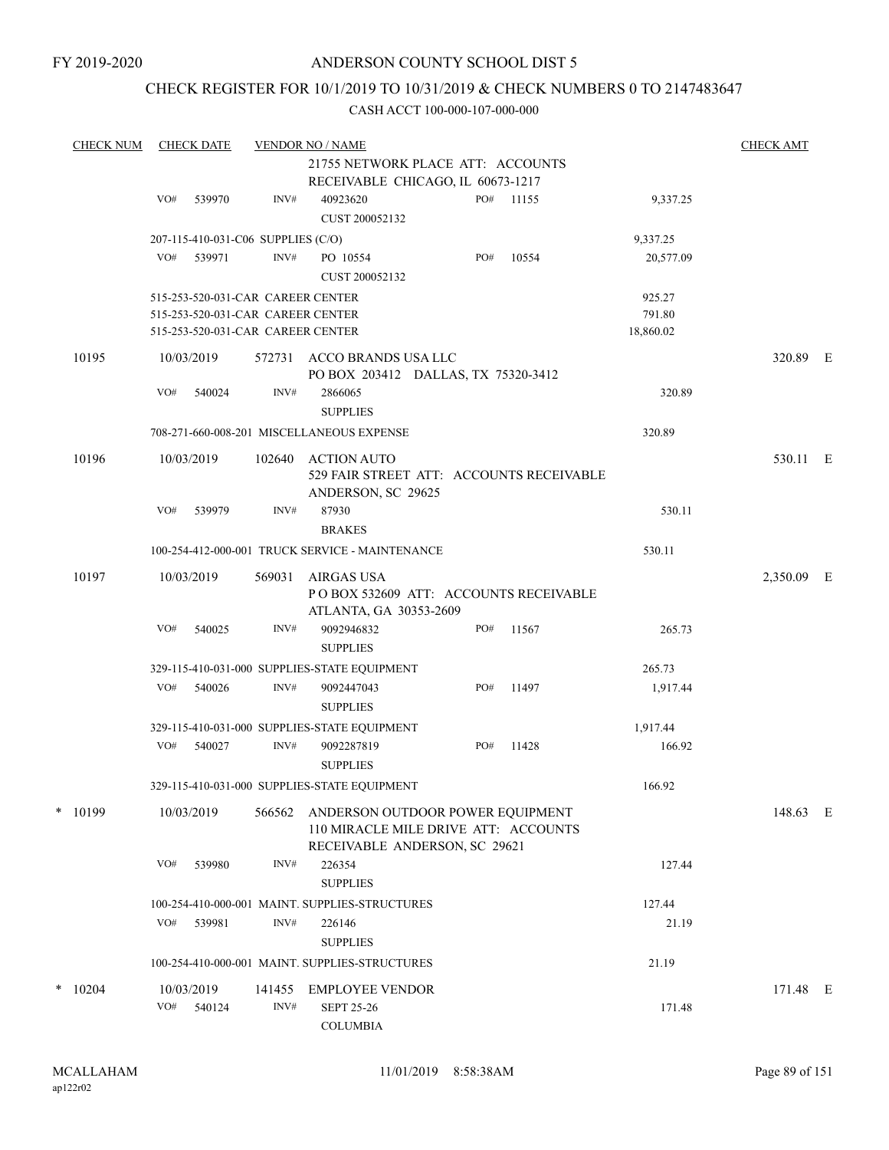## CHECK REGISTER FOR 10/1/2019 TO 10/31/2019 & CHECK NUMBERS 0 TO 2147483647

| <b>CHECK NUM</b> |     | <b>CHECK DATE</b>                                                                                           |                | <b>VENDOR NO / NAME</b>                                                                                   |     |       |                               | <b>CHECK AMT</b> |  |
|------------------|-----|-------------------------------------------------------------------------------------------------------------|----------------|-----------------------------------------------------------------------------------------------------------|-----|-------|-------------------------------|------------------|--|
|                  |     |                                                                                                             |                | 21755 NETWORK PLACE ATT: ACCOUNTS<br>RECEIVABLE CHICAGO, IL 60673-1217                                    |     |       |                               |                  |  |
|                  | VO# | 539970                                                                                                      | INV#           | 40923620<br>CUST 200052132                                                                                | PO# | 11155 | 9,337.25                      |                  |  |
|                  |     | 207-115-410-031-C06 SUPPLIES (C/O)                                                                          |                |                                                                                                           |     |       | 9,337.25                      |                  |  |
|                  | VO# | 539971                                                                                                      | INV#           | PO 10554<br>CUST 200052132                                                                                | PO# | 10554 | 20,577.09                     |                  |  |
|                  |     | 515-253-520-031-CAR CAREER CENTER<br>515-253-520-031-CAR CAREER CENTER<br>515-253-520-031-CAR CAREER CENTER |                |                                                                                                           |     |       | 925.27<br>791.80<br>18,860.02 |                  |  |
| 10195            |     | 10/03/2019                                                                                                  | 572731         | ACCO BRANDS USA LLC<br>PO BOX 203412 DALLAS, TX 75320-3412                                                |     |       |                               | 320.89 E         |  |
|                  | VO# | 540024                                                                                                      | INV#           | 2866065<br><b>SUPPLIES</b>                                                                                |     |       | 320.89                        |                  |  |
|                  |     |                                                                                                             |                | 708-271-660-008-201 MISCELLANEOUS EXPENSE                                                                 |     |       | 320.89                        |                  |  |
| 10196            |     | 10/03/2019                                                                                                  | 102640         | ACTION AUTO<br>529 FAIR STREET ATT: ACCOUNTS RECEIVABLE<br>ANDERSON, SC 29625                             |     |       |                               | 530.11 E         |  |
|                  | VO# | 539979                                                                                                      | INV#           | 87930<br><b>BRAKES</b>                                                                                    |     |       | 530.11                        |                  |  |
|                  |     |                                                                                                             |                | 100-254-412-000-001 TRUCK SERVICE - MAINTENANCE                                                           |     |       | 530.11                        |                  |  |
| 10197            |     | 10/03/2019                                                                                                  | 569031         | AIRGAS USA<br>POBOX 532609 ATT: ACCOUNTS RECEIVABLE<br>ATLANTA, GA 30353-2609                             |     |       |                               | 2,350.09 E       |  |
|                  | VO# | 540025                                                                                                      | INV#           | 9092946832<br><b>SUPPLIES</b>                                                                             | PO# | 11567 | 265.73                        |                  |  |
|                  |     |                                                                                                             |                | 329-115-410-031-000 SUPPLIES-STATE EQUIPMENT                                                              |     |       | 265.73                        |                  |  |
|                  | VO# | 540026                                                                                                      | INV#           | 9092447043<br><b>SUPPLIES</b>                                                                             | PO# | 11497 | 1,917.44                      |                  |  |
|                  |     |                                                                                                             |                | 329-115-410-031-000 SUPPLIES-STATE EQUIPMENT                                                              |     |       | 1,917.44                      |                  |  |
|                  | VO# | 540027                                                                                                      | INV#           | 9092287819<br><b>SUPPLIES</b>                                                                             | PO# | 11428 | 166.92                        |                  |  |
|                  |     |                                                                                                             |                | 329-115-410-031-000 SUPPLIES-STATE EQUIPMENT                                                              |     |       | 166.92                        |                  |  |
| $*$ 10199        |     | 10/03/2019                                                                                                  | 566562         | ANDERSON OUTDOOR POWER EQUIPMENT<br>110 MIRACLE MILE DRIVE ATT: ACCOUNTS<br>RECEIVABLE ANDERSON, SC 29621 |     |       |                               | 148.63 E         |  |
|                  | VO# | 539980                                                                                                      | INV#           | 226354<br><b>SUPPLIES</b>                                                                                 |     |       | 127.44                        |                  |  |
|                  |     |                                                                                                             |                | 100-254-410-000-001 MAINT. SUPPLIES-STRUCTURES                                                            |     |       | 127.44                        |                  |  |
|                  | VO# | 539981                                                                                                      | INV#           | 226146<br><b>SUPPLIES</b>                                                                                 |     |       | 21.19                         |                  |  |
|                  |     |                                                                                                             |                | 100-254-410-000-001 MAINT. SUPPLIES-STRUCTURES                                                            |     |       | 21.19                         |                  |  |
| $*$ 10204        | VO# | 10/03/2019<br>540124                                                                                        | 141455<br>INV# | <b>EMPLOYEE VENDOR</b>                                                                                    |     |       | 171.48                        | 171.48 E         |  |
|                  |     |                                                                                                             |                | <b>SEPT 25-26</b><br><b>COLUMBIA</b>                                                                      |     |       |                               |                  |  |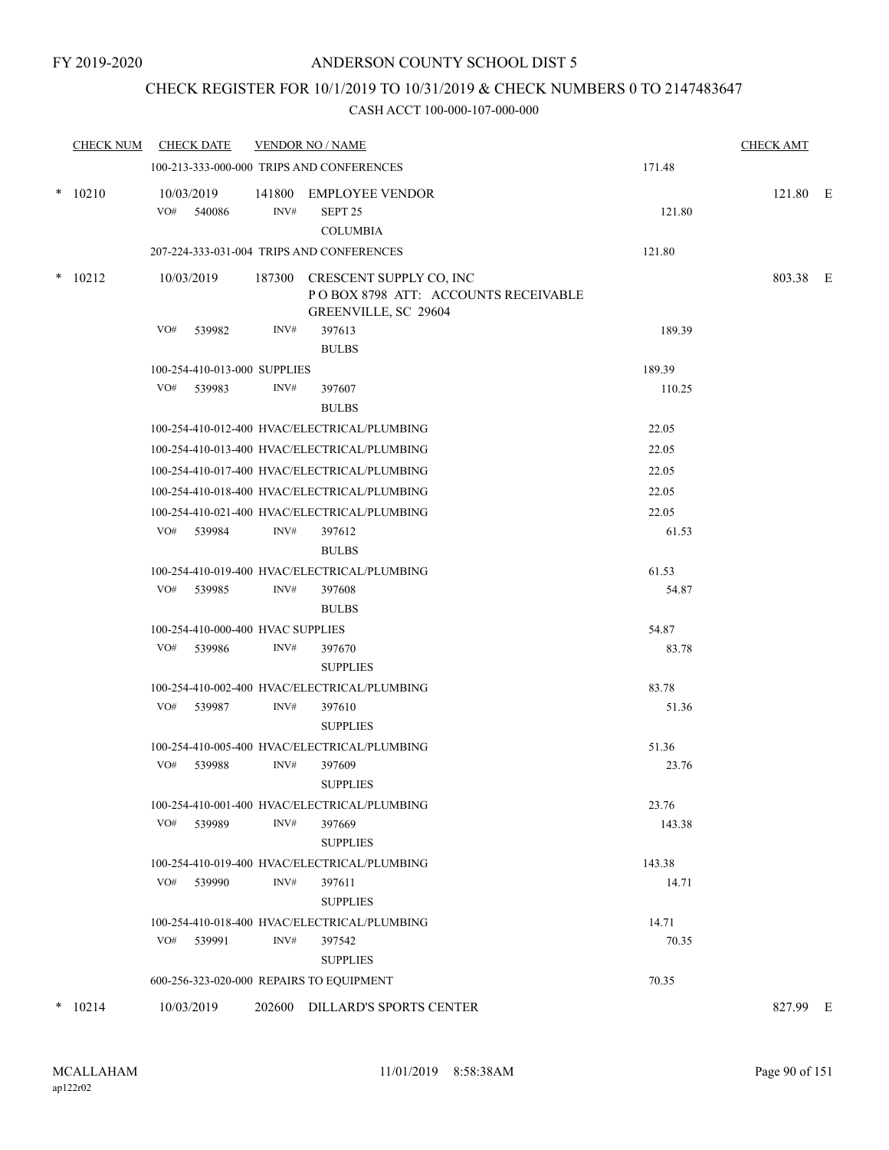## CHECK REGISTER FOR 10/1/2019 TO 10/31/2019 & CHECK NUMBERS 0 TO 2147483647

|           | CHECK NUM CHECK DATE                     |      | <b>VENDOR NO / NAME</b>                                                                                      |                  | <b>CHECK AMT</b> |  |
|-----------|------------------------------------------|------|--------------------------------------------------------------------------------------------------------------|------------------|------------------|--|
|           |                                          |      | 100-213-333-000-000 TRIPS AND CONFERENCES                                                                    | 171.48           |                  |  |
| $* 10210$ | 10/03/2019<br>VO#<br>540086              | INV# | 141800 EMPLOYEE VENDOR<br>SEPT <sub>25</sub><br><b>COLUMBIA</b><br>207-224-333-031-004 TRIPS AND CONFERENCES | 121.80<br>121.80 | 121.80 E         |  |
|           |                                          |      |                                                                                                              |                  |                  |  |
| $*$ 10212 | 10/03/2019                               |      | 187300 CRESCENT SUPPLY CO, INC<br>POBOX 8798 ATT: ACCOUNTS RECEIVABLE<br>GREENVILLE, SC 29604                |                  | 803.38 E         |  |
|           | VO#<br>539982                            | INV# | 397613<br><b>BULBS</b>                                                                                       | 189.39           |                  |  |
|           | 100-254-410-013-000 SUPPLIES             |      |                                                                                                              | 189.39           |                  |  |
|           | VO# 539983                               | INV# | 397607<br><b>BULBS</b>                                                                                       | 110.25           |                  |  |
|           |                                          |      | 100-254-410-012-400 HVAC/ELECTRICAL/PLUMBING                                                                 | 22.05            |                  |  |
|           |                                          |      | 100-254-410-013-400 HVAC/ELECTRICAL/PLUMBING                                                                 | 22.05            |                  |  |
|           |                                          |      | 100-254-410-017-400 HVAC/ELECTRICAL/PLUMBING                                                                 | 22.05            |                  |  |
|           |                                          |      | 100-254-410-018-400 HVAC/ELECTRICAL/PLUMBING                                                                 | 22.05            |                  |  |
|           |                                          |      | 100-254-410-021-400 HVAC/ELECTRICAL/PLUMBING                                                                 | 22.05            |                  |  |
|           | VO# 539984                               | INV# | 397612<br><b>BULBS</b>                                                                                       | 61.53            |                  |  |
|           |                                          |      | 100-254-410-019-400 HVAC/ELECTRICAL/PLUMBING                                                                 | 61.53            |                  |  |
|           | VO# 539985                               | INV# | 397608<br><b>BULBS</b>                                                                                       | 54.87            |                  |  |
|           | 100-254-410-000-400 HVAC SUPPLIES        |      |                                                                                                              | 54.87            |                  |  |
|           | VO# 539986                               | INV# | 397670<br><b>SUPPLIES</b>                                                                                    | 83.78            |                  |  |
|           |                                          |      | 100-254-410-002-400 HVAC/ELECTRICAL/PLUMBING                                                                 | 83.78            |                  |  |
|           | VO#<br>539987                            | INV# | 397610<br><b>SUPPLIES</b>                                                                                    | 51.36            |                  |  |
|           |                                          |      | 100-254-410-005-400 HVAC/ELECTRICAL/PLUMBING                                                                 | 51.36            |                  |  |
|           | VO#<br>539988                            | INV# | 397609<br><b>SUPPLIES</b>                                                                                    | 23.76            |                  |  |
|           |                                          |      | 100-254-410-001-400 HVAC/ELECTRICAL/PLUMBING                                                                 | 23.76            |                  |  |
|           | VO#<br>539989                            | INV# | 397669<br><b>SUPPLIES</b>                                                                                    | 143.38           |                  |  |
|           |                                          |      | 100-254-410-019-400 HVAC/ELECTRICAL/PLUMBING                                                                 | 143.38           |                  |  |
|           | VO#<br>539990                            | INV# | 397611<br><b>SUPPLIES</b>                                                                                    | 14.71            |                  |  |
|           |                                          |      | 100-254-410-018-400 HVAC/ELECTRICAL/PLUMBING                                                                 | 14.71            |                  |  |
|           | VO# 539991                               | INV# | 397542<br><b>SUPPLIES</b>                                                                                    | 70.35            |                  |  |
|           | 600-256-323-020-000 REPAIRS TO EQUIPMENT |      |                                                                                                              | 70.35            |                  |  |
| $* 10214$ | 10/03/2019                               |      | 202600 DILLARD'S SPORTS CENTER                                                                               |                  | 827.99 E         |  |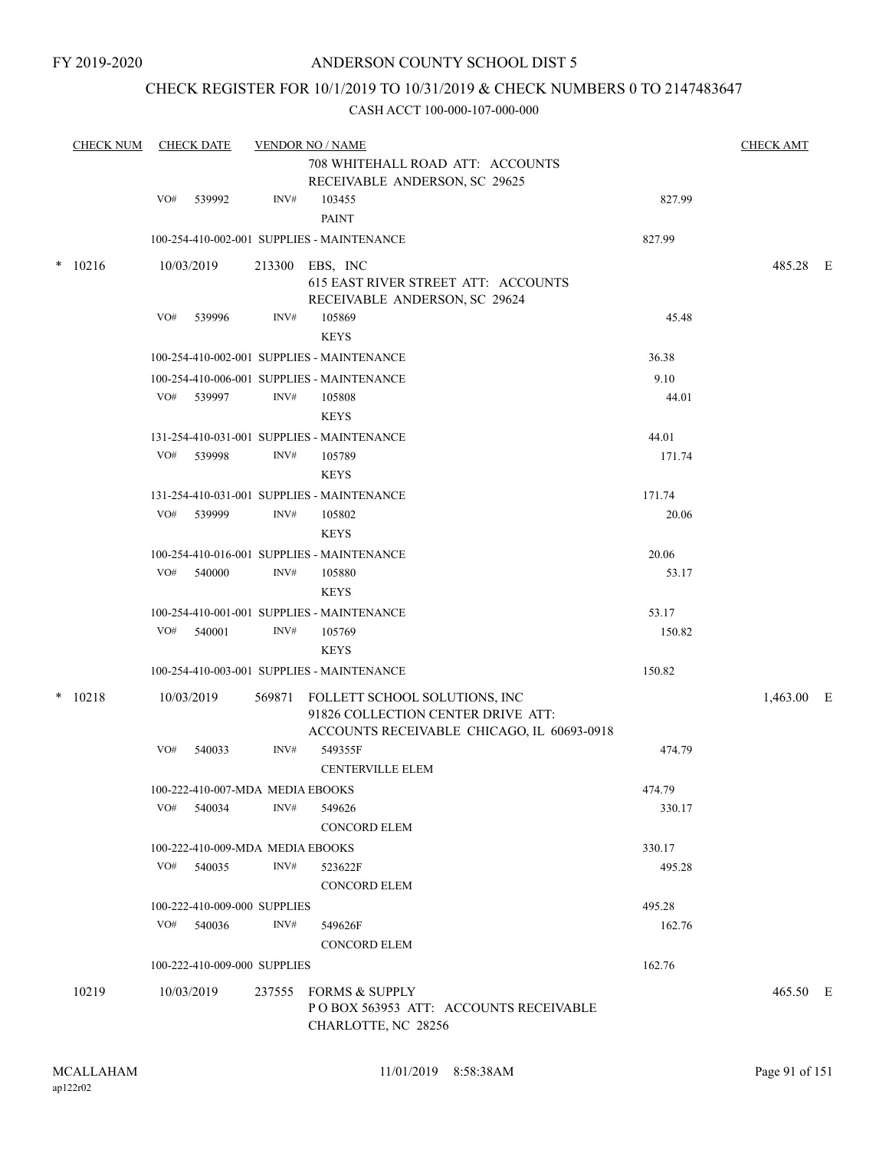## CHECK REGISTER FOR 10/1/2019 TO 10/31/2019 & CHECK NUMBERS 0 TO 2147483647

| <b>CHECK NUM</b> |     | <b>CHECK DATE</b>                |                | <b>VENDOR NO / NAME</b><br>708 WHITEHALL ROAD ATT: ACCOUNTS<br>RECEIVABLE ANDERSON, SC 29625                             |        | <b>CHECK AMT</b> |  |
|------------------|-----|----------------------------------|----------------|--------------------------------------------------------------------------------------------------------------------------|--------|------------------|--|
|                  | VO# | 539992                           | INV#           | 103455                                                                                                                   | 827.99 |                  |  |
|                  |     |                                  |                | <b>PAINT</b>                                                                                                             |        |                  |  |
|                  |     |                                  |                | 100-254-410-002-001 SUPPLIES - MAINTENANCE                                                                               | 827.99 |                  |  |
| $* 10216$        |     | 10/03/2019                       |                | 213300 EBS, INC<br>615 EAST RIVER STREET ATT: ACCOUNTS<br>RECEIVABLE ANDERSON, SC 29624                                  |        | 485.28 E         |  |
|                  | VO# | 539996                           | INV#           | 105869<br><b>KEYS</b>                                                                                                    | 45.48  |                  |  |
|                  |     |                                  |                | 100-254-410-002-001 SUPPLIES - MAINTENANCE                                                                               | 36.38  |                  |  |
|                  |     |                                  |                | 100-254-410-006-001 SUPPLIES - MAINTENANCE                                                                               | 9.10   |                  |  |
|                  |     | VO# 539997                       | INV#           | 105808<br><b>KEYS</b>                                                                                                    | 44.01  |                  |  |
|                  |     |                                  |                | 131-254-410-031-001 SUPPLIES - MAINTENANCE                                                                               | 44.01  |                  |  |
|                  | VO# | 539998                           | $\text{INV}\#$ | 105789                                                                                                                   | 171.74 |                  |  |
|                  |     |                                  |                | <b>KEYS</b>                                                                                                              |        |                  |  |
|                  |     |                                  |                | 131-254-410-031-001 SUPPLIES - MAINTENANCE                                                                               | 171.74 |                  |  |
|                  |     | VO# 539999                       | INV#           | 105802                                                                                                                   | 20.06  |                  |  |
|                  |     |                                  |                | <b>KEYS</b>                                                                                                              |        |                  |  |
|                  |     |                                  |                | 100-254-410-016-001 SUPPLIES - MAINTENANCE                                                                               | 20.06  |                  |  |
|                  | VO# | 540000                           | INV#           | 105880                                                                                                                   | 53.17  |                  |  |
|                  |     |                                  |                | <b>KEYS</b>                                                                                                              |        |                  |  |
|                  |     |                                  |                | 100-254-410-001-001 SUPPLIES - MAINTENANCE                                                                               | 53.17  |                  |  |
|                  | VO# | 540001                           | INV#           | 105769                                                                                                                   | 150.82 |                  |  |
|                  |     |                                  |                | <b>KEYS</b>                                                                                                              |        |                  |  |
|                  |     |                                  |                | 100-254-410-003-001 SUPPLIES - MAINTENANCE                                                                               | 150.82 |                  |  |
| $* 10218$        |     | 10/03/2019                       |                | 569871 FOLLETT SCHOOL SOLUTIONS, INC<br>91826 COLLECTION CENTER DRIVE ATT:<br>ACCOUNTS RECEIVABLE CHICAGO, IL 60693-0918 |        | 1,463.00 E       |  |
|                  | VO# | 540033                           | INV#           | 549355F<br><b>CENTERVILLE ELEM</b>                                                                                       | 474.79 |                  |  |
|                  |     | 100-222-410-007-MDA MEDIA EBOOKS |                |                                                                                                                          | 474.79 |                  |  |
|                  |     | $VO#$ 540034                     | INV#           | 549626<br><b>CONCORD ELEM</b>                                                                                            | 330.17 |                  |  |
|                  |     | 100-222-410-009-MDA MEDIA EBOOKS |                |                                                                                                                          | 330.17 |                  |  |
|                  |     | VO# 540035                       | INV#           | 523622F                                                                                                                  | 495.28 |                  |  |
|                  |     |                                  |                | <b>CONCORD ELEM</b>                                                                                                      |        |                  |  |
|                  |     | 100-222-410-009-000 SUPPLIES     |                |                                                                                                                          | 495.28 |                  |  |
|                  |     | VO# 540036                       | INV#           | 549626F                                                                                                                  | 162.76 |                  |  |
|                  |     |                                  |                | <b>CONCORD ELEM</b>                                                                                                      |        |                  |  |
|                  |     | 100-222-410-009-000 SUPPLIES     |                |                                                                                                                          | 162.76 |                  |  |
| 10219            |     | 10/03/2019                       |                | 237555 FORMS & SUPPLY<br>POBOX 563953 ATT: ACCOUNTS RECEIVABLE<br>CHARLOTTE, NC 28256                                    |        | 465.50 E         |  |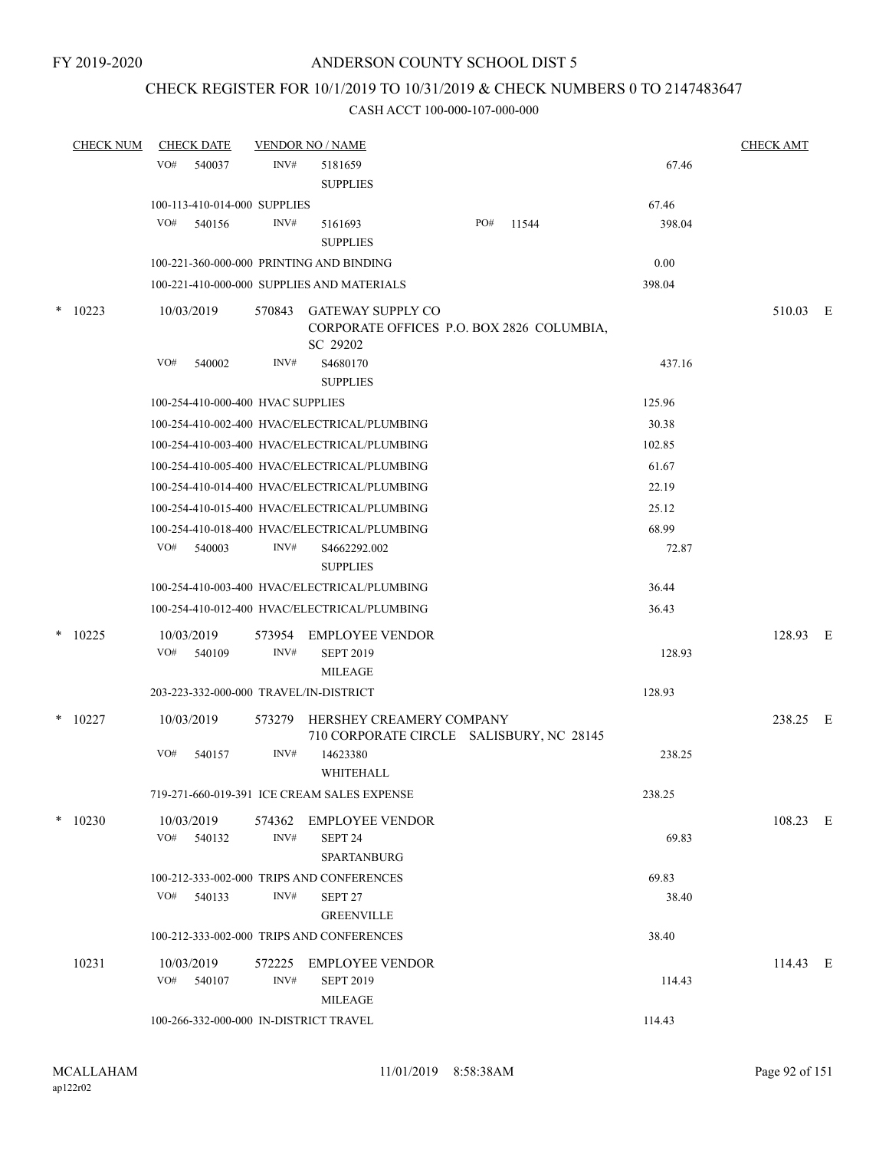## CHECK REGISTER FOR 10/1/2019 TO 10/31/2019 & CHECK NUMBERS 0 TO 2147483647

|        | <b>CHECK NUM</b> | <b>CHECK DATE</b>                      |                | <b>VENDOR NO / NAME</b>                                                           |     |       |        | <b>CHECK AMT</b> |  |
|--------|------------------|----------------------------------------|----------------|-----------------------------------------------------------------------------------|-----|-------|--------|------------------|--|
|        |                  | VO#<br>540037                          | INV#           | 5181659<br><b>SUPPLIES</b>                                                        |     |       | 67.46  |                  |  |
|        |                  | 100-113-410-014-000 SUPPLIES           |                |                                                                                   |     |       | 67.46  |                  |  |
|        |                  | VO#<br>540156                          | INV#           | 5161693<br><b>SUPPLIES</b>                                                        | PO# | 11544 | 398.04 |                  |  |
|        |                  |                                        |                | 100-221-360-000-000 PRINTING AND BINDING                                          |     |       | 0.00   |                  |  |
|        |                  |                                        |                | 100-221-410-000-000 SUPPLIES AND MATERIALS                                        |     |       | 398.04 |                  |  |
| $\ast$ | 10223            | 10/03/2019                             | 570843         | <b>GATEWAY SUPPLY CO</b><br>CORPORATE OFFICES P.O. BOX 2826 COLUMBIA,<br>SC 29202 |     |       |        | 510.03 E         |  |
|        |                  | VO#<br>540002                          | INV#           | S4680170<br><b>SUPPLIES</b>                                                       |     |       | 437.16 |                  |  |
|        |                  | 100-254-410-000-400 HVAC SUPPLIES      |                |                                                                                   |     |       | 125.96 |                  |  |
|        |                  |                                        |                | 100-254-410-002-400 HVAC/ELECTRICAL/PLUMBING                                      |     |       | 30.38  |                  |  |
|        |                  |                                        |                | 100-254-410-003-400 HVAC/ELECTRICAL/PLUMBING                                      |     |       | 102.85 |                  |  |
|        |                  |                                        |                | 100-254-410-005-400 HVAC/ELECTRICAL/PLUMBING                                      |     |       | 61.67  |                  |  |
|        |                  |                                        |                | 100-254-410-014-400 HVAC/ELECTRICAL/PLUMBING                                      |     |       | 22.19  |                  |  |
|        |                  |                                        |                | 100-254-410-015-400 HVAC/ELECTRICAL/PLUMBING                                      |     |       | 25.12  |                  |  |
|        |                  |                                        |                | 100-254-410-018-400 HVAC/ELECTRICAL/PLUMBING                                      |     |       | 68.99  |                  |  |
|        |                  | VO#<br>540003                          | INV#           | S4662292.002<br><b>SUPPLIES</b>                                                   |     |       | 72.87  |                  |  |
|        |                  |                                        |                | 100-254-410-003-400 HVAC/ELECTRICAL/PLUMBING                                      |     |       | 36.44  |                  |  |
|        |                  |                                        |                | 100-254-410-012-400 HVAC/ELECTRICAL/PLUMBING                                      |     |       | 36.43  |                  |  |
|        | $*$ 10225        | 10/03/2019<br>VO#<br>540109            | INV#           | 573954 EMPLOYEE VENDOR<br><b>SEPT 2019</b><br><b>MILEAGE</b>                      |     |       | 128.93 | 128.93 E         |  |
|        |                  | 203-223-332-000-000 TRAVEL/IN-DISTRICT |                |                                                                                   |     |       | 128.93 |                  |  |
|        | $*$ 10227        | 10/03/2019                             | 573279         | HERSHEY CREAMERY COMPANY<br>710 CORPORATE CIRCLE SALISBURY, NC 28145              |     |       |        | 238.25 E         |  |
|        |                  | VO#<br>540157                          | INV#           | 14623380<br>WHITEHALL                                                             |     |       | 238.25 |                  |  |
|        |                  |                                        |                | 719-271-660-019-391 ICE CREAM SALES EXPENSE                                       |     |       | 238.25 |                  |  |
|        | $*$ 10230        | 10/03/2019<br>VO#<br>540132            | INV#           | 574362 EMPLOYEE VENDOR<br>SEPT 24<br><b>SPARTANBURG</b>                           |     |       | 69.83  | 108.23 E         |  |
|        |                  |                                        |                | 100-212-333-002-000 TRIPS AND CONFERENCES                                         |     |       | 69.83  |                  |  |
|        |                  | VO#<br>540133                          | INV#           | SEPT 27<br><b>GREENVILLE</b>                                                      |     |       | 38.40  |                  |  |
|        |                  |                                        |                | 100-212-333-002-000 TRIPS AND CONFERENCES                                         |     |       | 38.40  |                  |  |
|        | 10231            | 10/03/2019<br>VO#<br>540107            | 572225<br>INV# | <b>EMPLOYEE VENDOR</b><br><b>SEPT 2019</b>                                        |     |       | 114.43 | 114.43 E         |  |
|        |                  | 100-266-332-000-000 IN-DISTRICT TRAVEL |                | <b>MILEAGE</b>                                                                    |     |       | 114.43 |                  |  |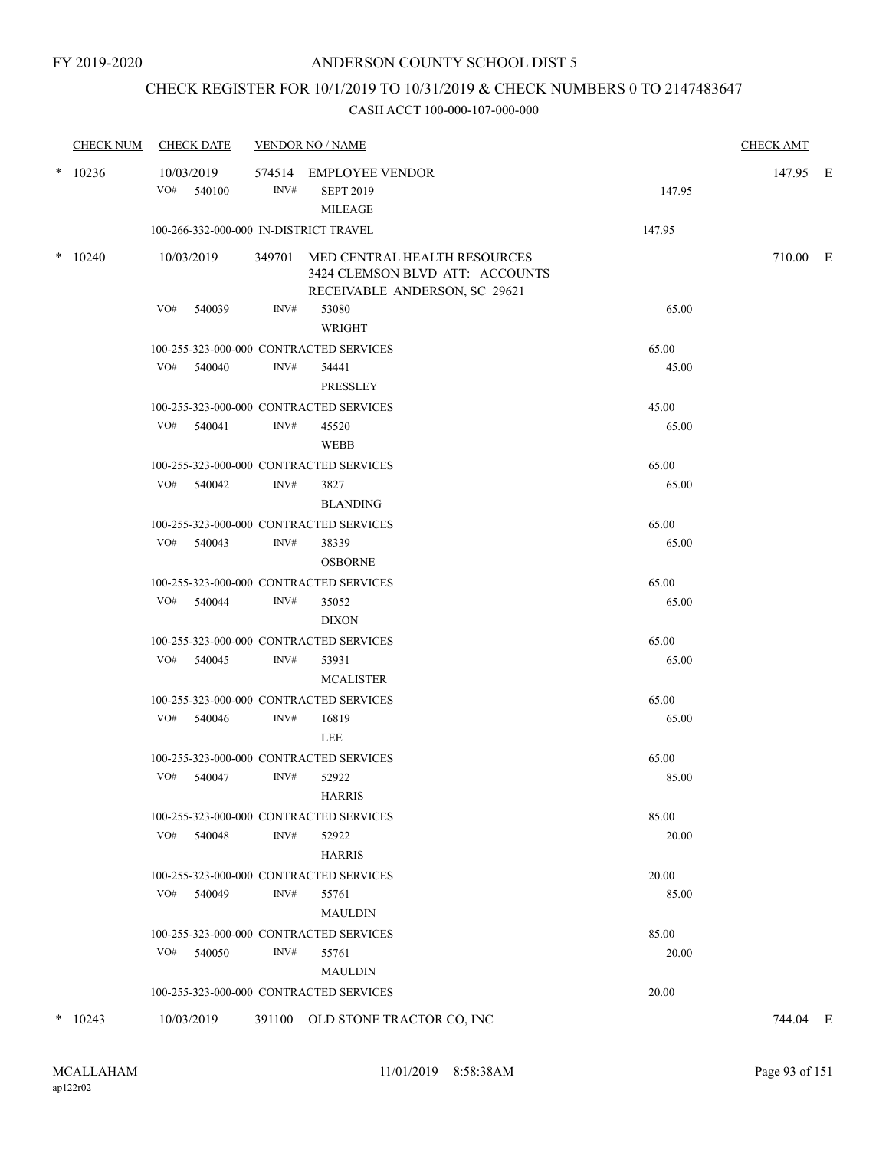## CHECK REGISTER FOR 10/1/2019 TO 10/31/2019 & CHECK NUMBERS 0 TO 2147483647

| <b>CHECK NUM</b> | <b>CHECK DATE</b>                      |      | <b>VENDOR NO / NAME</b>                                                                                 |        | <b>CHECK AMT</b> |  |
|------------------|----------------------------------------|------|---------------------------------------------------------------------------------------------------------|--------|------------------|--|
| $*$ 10236        | 10/03/2019<br>VO#<br>540100            | INV# | 574514 EMPLOYEE VENDOR<br><b>SEPT 2019</b><br><b>MILEAGE</b>                                            | 147.95 | 147.95 E         |  |
|                  | 100-266-332-000-000 IN-DISTRICT TRAVEL |      |                                                                                                         | 147.95 |                  |  |
| $*$ 10240        | 10/03/2019                             |      | 349701 MED CENTRAL HEALTH RESOURCES<br>3424 CLEMSON BLVD ATT: ACCOUNTS<br>RECEIVABLE ANDERSON, SC 29621 |        | 710.00 E         |  |
|                  | VO#<br>540039                          | INV# | 53080<br>WRIGHT                                                                                         | 65.00  |                  |  |
|                  |                                        |      | 100-255-323-000-000 CONTRACTED SERVICES                                                                 | 65.00  |                  |  |
|                  | VO#<br>540040                          | INV# | 54441<br>PRESSLEY                                                                                       | 45.00  |                  |  |
|                  |                                        |      | 100-255-323-000-000 CONTRACTED SERVICES                                                                 | 45.00  |                  |  |
|                  | VO# 540041                             | INV# | 45520<br><b>WEBB</b>                                                                                    | 65.00  |                  |  |
|                  |                                        |      | 100-255-323-000-000 CONTRACTED SERVICES                                                                 | 65.00  |                  |  |
|                  | VO# 540042                             | INV# | 3827<br><b>BLANDING</b>                                                                                 | 65.00  |                  |  |
|                  |                                        |      | 100-255-323-000-000 CONTRACTED SERVICES                                                                 | 65.00  |                  |  |
|                  | VO# 540043                             | INV# | 38339<br><b>OSBORNE</b>                                                                                 | 65.00  |                  |  |
|                  |                                        |      | 100-255-323-000-000 CONTRACTED SERVICES                                                                 | 65.00  |                  |  |
|                  | VO# 540044                             | INV# | 35052<br><b>DIXON</b>                                                                                   | 65.00  |                  |  |
|                  |                                        |      | 100-255-323-000-000 CONTRACTED SERVICES                                                                 | 65.00  |                  |  |
|                  | VO#<br>540045                          | INV# | 53931<br><b>MCALISTER</b>                                                                               | 65.00  |                  |  |
|                  |                                        |      | 100-255-323-000-000 CONTRACTED SERVICES                                                                 | 65.00  |                  |  |
|                  | VO#<br>540046                          | INV# | 16819<br>LEE                                                                                            | 65.00  |                  |  |
|                  |                                        |      | 100-255-323-000-000 CONTRACTED SERVICES                                                                 | 65.00  |                  |  |
|                  | VO# 540047                             | INV# | 52922<br><b>HARRIS</b>                                                                                  | 85.00  |                  |  |
|                  |                                        |      | 100-255-323-000-000 CONTRACTED SERVICES                                                                 | 85.00  |                  |  |
|                  | VO# 540048                             | INV# | 52922<br><b>HARRIS</b>                                                                                  | 20.00  |                  |  |
|                  |                                        |      | 100-255-323-000-000 CONTRACTED SERVICES                                                                 | 20.00  |                  |  |
|                  | VO#<br>540049                          | INV# | 55761<br><b>MAULDIN</b>                                                                                 | 85.00  |                  |  |
|                  |                                        |      | 100-255-323-000-000 CONTRACTED SERVICES                                                                 | 85.00  |                  |  |
|                  | VO#<br>540050                          | INV# | 55761<br><b>MAULDIN</b>                                                                                 | 20.00  |                  |  |
|                  |                                        |      | 100-255-323-000-000 CONTRACTED SERVICES                                                                 | 20.00  |                  |  |
| $*$ 10243        | 10/03/2019                             |      | 391100 OLD STONE TRACTOR CO, INC                                                                        |        | 744.04 E         |  |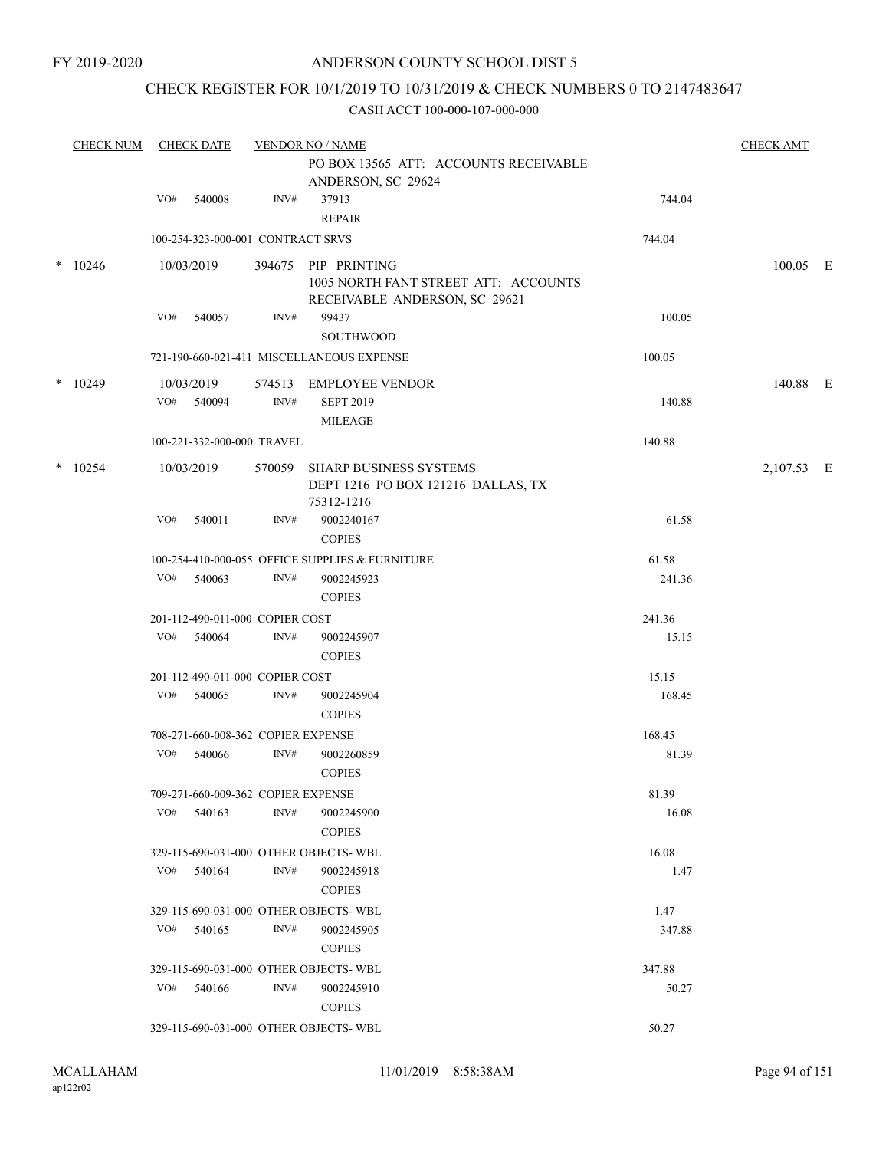### CHECK REGISTER FOR 10/1/2019 TO 10/31/2019 & CHECK NUMBERS 0 TO 2147483647

| <b>CHECK NUM</b> | <b>CHECK DATE</b> |                                    |                | <b>VENDOR NO / NAME</b>                                                                      |        | <b>CHECK AMT</b> |  |
|------------------|-------------------|------------------------------------|----------------|----------------------------------------------------------------------------------------------|--------|------------------|--|
|                  |                   |                                    |                | PO BOX 13565 ATT: ACCOUNTS RECEIVABLE<br>ANDERSON, SC 29624                                  |        |                  |  |
|                  | VO#               | 540008                             | INV#           | 37913<br><b>REPAIR</b>                                                                       | 744.04 |                  |  |
|                  |                   | 100-254-323-000-001 CONTRACT SRVS  |                |                                                                                              | 744.04 |                  |  |
| $*$ 10246        |                   | 10/03/2019                         |                | 394675 PIP PRINTING<br>1005 NORTH FANT STREET ATT: ACCOUNTS<br>RECEIVABLE ANDERSON, SC 29621 |        | 100.05 E         |  |
|                  | VO#               | 540057                             | INV#           | 99437<br><b>SOUTHWOOD</b>                                                                    | 100.05 |                  |  |
|                  |                   |                                    |                | 721-190-660-021-411 MISCELLANEOUS EXPENSE                                                    | 100.05 |                  |  |
| $*$ 10249        |                   | 10/03/2019<br>VO# 540094           | 574513<br>INV# | <b>EMPLOYEE VENDOR</b><br><b>SEPT 2019</b>                                                   | 140.88 | 140.88 E         |  |
|                  |                   |                                    |                | <b>MILEAGE</b>                                                                               |        |                  |  |
|                  |                   | 100-221-332-000-000 TRAVEL         |                |                                                                                              | 140.88 |                  |  |
| $*$ 10254        |                   | 10/03/2019                         | 570059         | <b>SHARP BUSINESS SYSTEMS</b><br>DEPT 1216 PO BOX 121216 DALLAS, TX<br>75312-1216            |        | 2,107.53 E       |  |
|                  | VO#               | 540011                             | INV#           | 9002240167<br><b>COPIES</b>                                                                  | 61.58  |                  |  |
|                  |                   |                                    |                | 100-254-410-000-055 OFFICE SUPPLIES & FURNITURE                                              | 61.58  |                  |  |
|                  |                   | VO# 540063                         | INV#           | 9002245923<br><b>COPIES</b>                                                                  | 241.36 |                  |  |
|                  |                   | 201-112-490-011-000 COPIER COST    |                |                                                                                              | 241.36 |                  |  |
|                  | VO#               | 540064                             | INV#           | 9002245907<br><b>COPIES</b>                                                                  | 15.15  |                  |  |
|                  |                   | 201-112-490-011-000 COPIER COST    |                |                                                                                              | 15.15  |                  |  |
|                  | VO#               | 540065                             | INV#           | 9002245904<br><b>COPIES</b>                                                                  | 168.45 |                  |  |
|                  |                   | 708-271-660-008-362 COPIER EXPENSE |                |                                                                                              | 168.45 |                  |  |
|                  | VO#               | 540066                             | INV#           | 9002260859<br><b>COPIES</b>                                                                  | 81.39  |                  |  |
|                  |                   | 709-271-660-009-362 COPIER EXPENSE |                |                                                                                              | 81.39  |                  |  |
|                  | VO#               | 540163                             | INV#           | 9002245900<br><b>COPIES</b>                                                                  | 16.08  |                  |  |
|                  |                   |                                    |                | 329-115-690-031-000 OTHER OBJECTS-WBL                                                        | 16.08  |                  |  |
|                  | VO#               | 540164                             | INV#           | 9002245918<br><b>COPIES</b>                                                                  | 1.47   |                  |  |
|                  |                   |                                    |                | 329-115-690-031-000 OTHER OBJECTS-WBL                                                        | 1.47   |                  |  |
|                  | VO#               | 540165                             | INV#           | 9002245905<br><b>COPIES</b>                                                                  | 347.88 |                  |  |
|                  |                   |                                    |                | 329-115-690-031-000 OTHER OBJECTS-WBL                                                        | 347.88 |                  |  |
|                  | VO#               | 540166                             | INV#           | 9002245910<br><b>COPIES</b>                                                                  | 50.27  |                  |  |
|                  |                   |                                    |                | 329-115-690-031-000 OTHER OBJECTS-WBL                                                        | 50.27  |                  |  |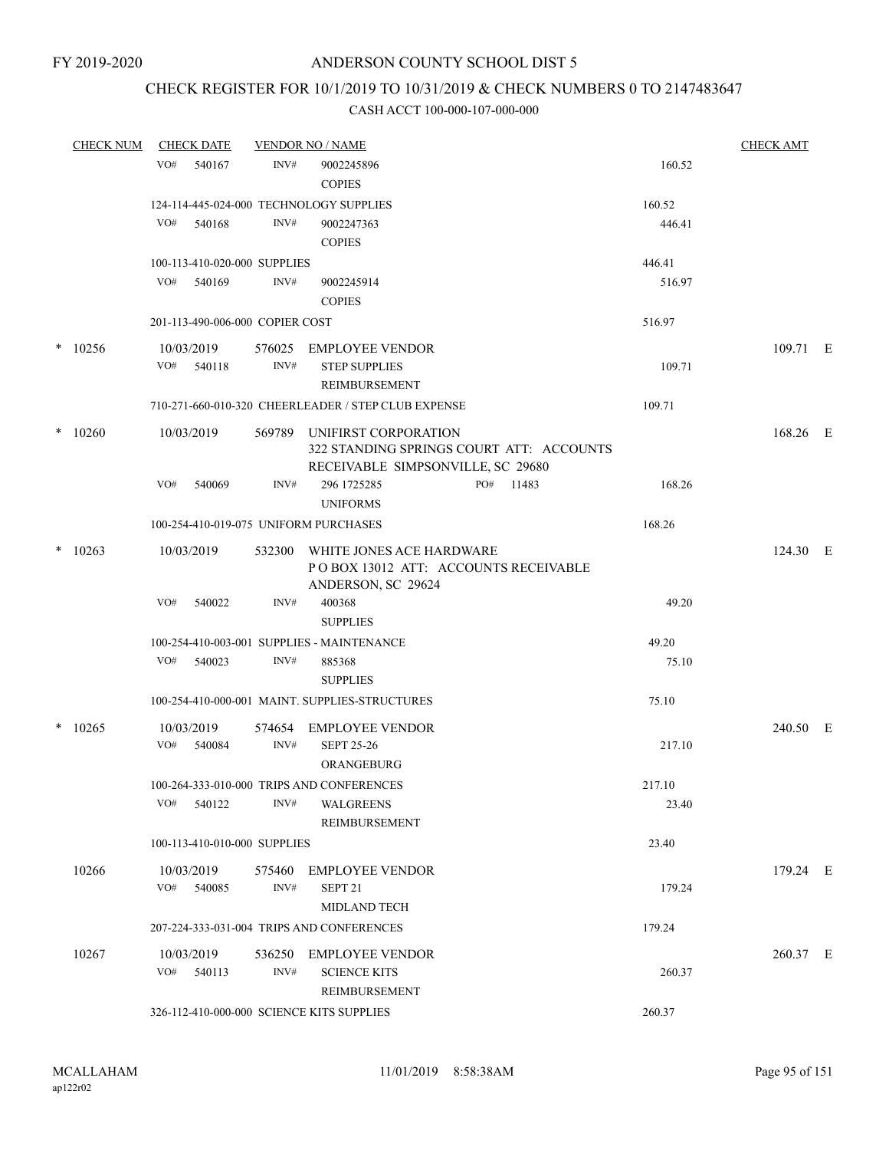# CHECK REGISTER FOR 10/1/2019 TO 10/31/2019 & CHECK NUMBERS 0 TO 2147483647

| <b>CHECK NUM</b> |     | <b>CHECK DATE</b>               |                | <b>VENDOR NO / NAME</b>                                                                                      |                 | <b>CHECK AMT</b> |  |
|------------------|-----|---------------------------------|----------------|--------------------------------------------------------------------------------------------------------------|-----------------|------------------|--|
|                  | VO# | 540167                          | INV#           | 9002245896<br><b>COPIES</b>                                                                                  | 160.52          |                  |  |
|                  |     |                                 |                | 124-114-445-024-000 TECHNOLOGY SUPPLIES                                                                      | 160.52          |                  |  |
|                  | VO# | 540168                          | INV#           | 9002247363<br><b>COPIES</b>                                                                                  | 446.41          |                  |  |
|                  |     | 100-113-410-020-000 SUPPLIES    |                |                                                                                                              | 446.41          |                  |  |
|                  |     | VO# 540169                      | INV#           | 9002245914<br><b>COPIES</b>                                                                                  | 516.97          |                  |  |
|                  |     | 201-113-490-006-000 COPIER COST |                |                                                                                                              | 516.97          |                  |  |
| $*$ 10256        |     | 10/03/2019                      | 576025         | EMPLOYEE VENDOR                                                                                              |                 | 109.71 E         |  |
|                  |     | VO# 540118                      | INV#           | <b>STEP SUPPLIES</b><br>REIMBURSEMENT                                                                        | 109.71          |                  |  |
|                  |     |                                 |                | 710-271-660-010-320 CHEERLEADER / STEP CLUB EXPENSE                                                          | 109.71          |                  |  |
| $*10260$         |     | 10/03/2019                      |                | 569789 UNIFIRST CORPORATION<br>322 STANDING SPRINGS COURT ATT: ACCOUNTS<br>RECEIVABLE SIMPSONVILLE, SC 29680 |                 | 168.26 E         |  |
|                  | VO# | 540069                          | INV#           | PO# 11483<br>296 1725285<br><b>UNIFORMS</b>                                                                  | 168.26          |                  |  |
|                  |     |                                 |                | 100-254-410-019-075 UNIFORM PURCHASES                                                                        | 168.26          |                  |  |
| $*10263$         |     | 10/03/2019                      | 532300         | WHITE JONES ACE HARDWARE<br>POBOX 13012 ATT: ACCOUNTS RECEIVABLE<br>ANDERSON, SC 29624                       |                 | 124.30 E         |  |
|                  | VO# | 540022                          | INV#           | 400368<br><b>SUPPLIES</b>                                                                                    | 49.20           |                  |  |
|                  |     |                                 |                | 100-254-410-003-001 SUPPLIES - MAINTENANCE                                                                   | 49.20           |                  |  |
|                  | VO# | 540023                          | INV#           | 885368<br><b>SUPPLIES</b>                                                                                    | 75.10           |                  |  |
|                  |     |                                 |                | 100-254-410-000-001 MAINT. SUPPLIES-STRUCTURES                                                               | 75.10           |                  |  |
| $*$ 10265        | VO# | 10/03/2019<br>540084            | 574654<br>INV# | <b>EMPLOYEE VENDOR</b><br><b>SEPT 25-26</b>                                                                  | 217.10          | 240.50 E         |  |
|                  |     |                                 |                | ORANGEBURG                                                                                                   |                 |                  |  |
|                  |     | $VO#$ 540122                    | INV#           | 100-264-333-010-000 TRIPS AND CONFERENCES<br>WALGREENS<br>REIMBURSEMENT                                      | 217.10<br>23.40 |                  |  |
|                  |     | 100-113-410-010-000 SUPPLIES    |                |                                                                                                              | 23.40           |                  |  |
| 10266            |     | 10/03/2019<br>VO# 540085        | INV#           | 575460 EMPLOYEE VENDOR<br>SEPT <sub>21</sub>                                                                 | 179.24          | 179.24 E         |  |
|                  |     |                                 |                | MIDLAND TECH                                                                                                 |                 |                  |  |
|                  |     |                                 |                | 207-224-333-031-004 TRIPS AND CONFERENCES                                                                    | 179.24          |                  |  |
| 10267            |     | 10/03/2019<br>VO# 540113        | INV#           | 536250 EMPLOYEE VENDOR<br><b>SCIENCE KITS</b><br>REIMBURSEMENT                                               | 260.37          | 260.37 E         |  |
|                  |     |                                 |                | 326-112-410-000-000 SCIENCE KITS SUPPLIES                                                                    | 260.37          |                  |  |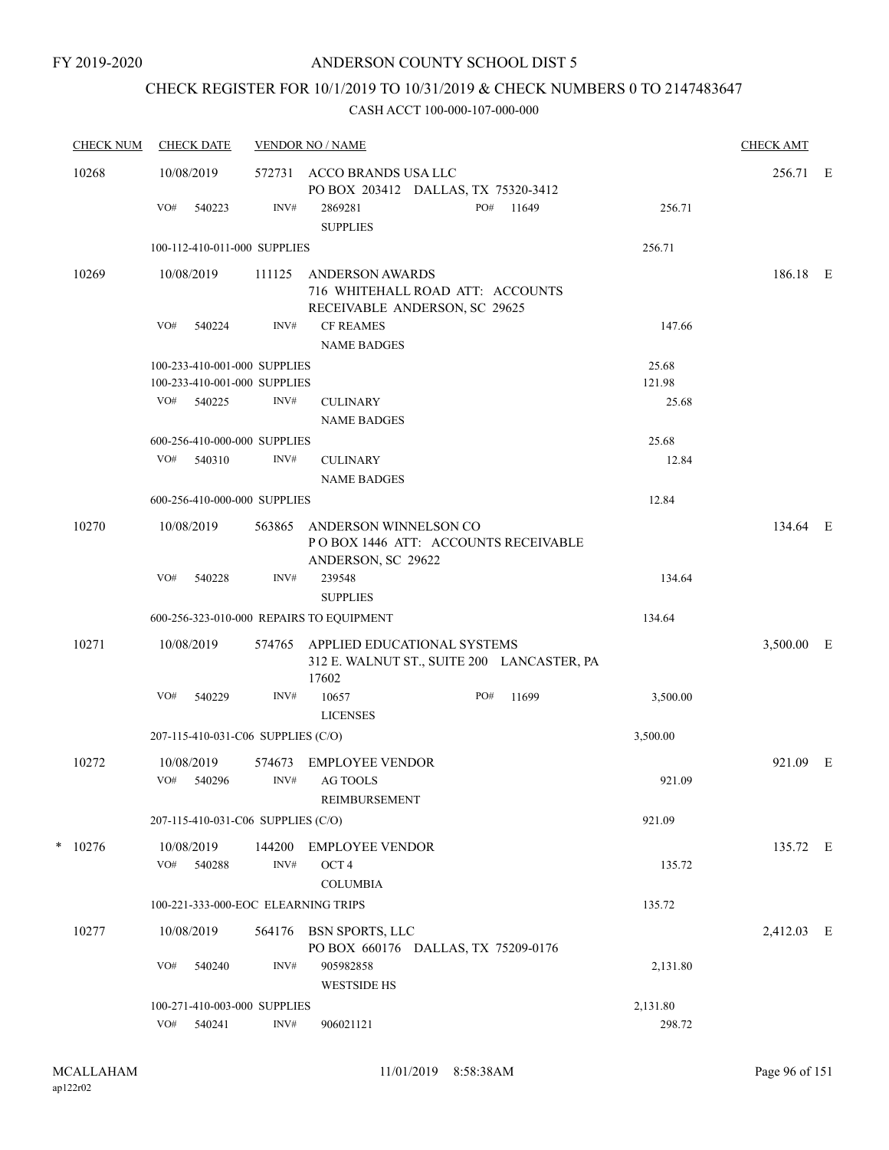# CHECK REGISTER FOR 10/1/2019 TO 10/31/2019 & CHECK NUMBERS 0 TO 2147483647

| <b>CHECK NUM</b> | <b>CHECK DATE</b>                  |                                                              |                | <b>VENDOR NO / NAME</b>                                                              |     |                                            |                 | <b>CHECK AMT</b> |  |
|------------------|------------------------------------|--------------------------------------------------------------|----------------|--------------------------------------------------------------------------------------|-----|--------------------------------------------|-----------------|------------------|--|
| 10268            | 10/08/2019                         |                                                              |                | 572731 ACCO BRANDS USA LLC<br>PO BOX 203412 DALLAS, TX 75320-3412                    |     |                                            |                 | 256.71 E         |  |
|                  | VO#                                | 540223                                                       | INV#           | 2869281<br><b>SUPPLIES</b>                                                           | PO# | 11649                                      | 256.71          |                  |  |
|                  |                                    | 100-112-410-011-000 SUPPLIES                                 |                |                                                                                      |     |                                            | 256.71          |                  |  |
| 10269            | 10/08/2019                         |                                                              | 111125         | ANDERSON AWARDS<br>716 WHITEHALL ROAD ATT: ACCOUNTS<br>RECEIVABLE ANDERSON, SC 29625 |     |                                            |                 | 186.18 E         |  |
|                  | VO#                                | 540224                                                       | INV#           | <b>CF REAMES</b><br><b>NAME BADGES</b>                                               |     |                                            | 147.66          |                  |  |
|                  |                                    | 100-233-410-001-000 SUPPLIES<br>100-233-410-001-000 SUPPLIES |                |                                                                                      |     |                                            | 25.68<br>121.98 |                  |  |
|                  | VO#                                | 540225                                                       | INV#           | <b>CULINARY</b><br><b>NAME BADGES</b>                                                |     |                                            | 25.68           |                  |  |
|                  |                                    | 600-256-410-000-000 SUPPLIES                                 |                |                                                                                      |     |                                            | 25.68           |                  |  |
|                  | VO# 540310                         |                                                              | INV#           | <b>CULINARY</b><br><b>NAME BADGES</b>                                                |     |                                            | 12.84           |                  |  |
|                  |                                    | 600-256-410-000-000 SUPPLIES                                 |                |                                                                                      |     |                                            | 12.84           |                  |  |
| 10270            | 10/08/2019                         |                                                              | 563865         | ANDERSON WINNELSON CO<br>POBOX 1446 ATT: ACCOUNTS RECEIVABLE<br>ANDERSON, SC 29622   |     |                                            |                 | 134.64 E         |  |
|                  | VO#                                | 540228                                                       | INV#           | 239548<br><b>SUPPLIES</b>                                                            |     |                                            | 134.64          |                  |  |
|                  |                                    |                                                              |                | 600-256-323-010-000 REPAIRS TO EQUIPMENT                                             |     |                                            | 134.64          |                  |  |
| 10271            | 10/08/2019                         |                                                              | 574765         | APPLIED EDUCATIONAL SYSTEMS<br>17602                                                 |     | 312 E. WALNUT ST., SUITE 200 LANCASTER, PA |                 | 3,500.00 E       |  |
|                  | VO#                                | 540229                                                       | INV#           | 10657<br><b>LICENSES</b>                                                             | PO# | 11699                                      | 3,500.00        |                  |  |
|                  | 207-115-410-031-C06 SUPPLIES (C/O) |                                                              |                |                                                                                      |     |                                            | 3,500.00        |                  |  |
| 10272            | 10/08/2019<br>VO#                  | 540296                                                       | 574673<br>INV# | <b>EMPLOYEE VENDOR</b><br><b>AG TOOLS</b><br>REIMBURSEMENT                           |     |                                            | 921.09          | 921.09 E         |  |
|                  |                                    | 207-115-410-031-C06 SUPPLIES (C/O)                           |                |                                                                                      |     |                                            | 921.09          |                  |  |
| $*$ 10276        | 10/08/2019                         |                                                              |                |                                                                                      |     |                                            |                 | 135.72 E         |  |
|                  | VO#                                | 540288                                                       | 144200<br>INV# | <b>EMPLOYEE VENDOR</b><br>OCT <sub>4</sub><br><b>COLUMBIA</b>                        |     |                                            | 135.72          |                  |  |
|                  |                                    | 100-221-333-000-EOC ELEARNING TRIPS                          |                |                                                                                      |     |                                            | 135.72          |                  |  |
| 10277            | 10/08/2019                         |                                                              | 564176         | BSN SPORTS, LLC<br>PO BOX 660176 DALLAS, TX 75209-0176                               |     |                                            |                 | 2,412.03 E       |  |
|                  | VO#                                | 540240                                                       | INV#           | 905982858<br><b>WESTSIDE HS</b>                                                      |     |                                            | 2,131.80        |                  |  |
|                  |                                    | 100-271-410-003-000 SUPPLIES                                 |                |                                                                                      |     |                                            | 2,131.80        |                  |  |
|                  | VO#                                | 540241                                                       | INV#           | 906021121                                                                            |     |                                            | 298.72          |                  |  |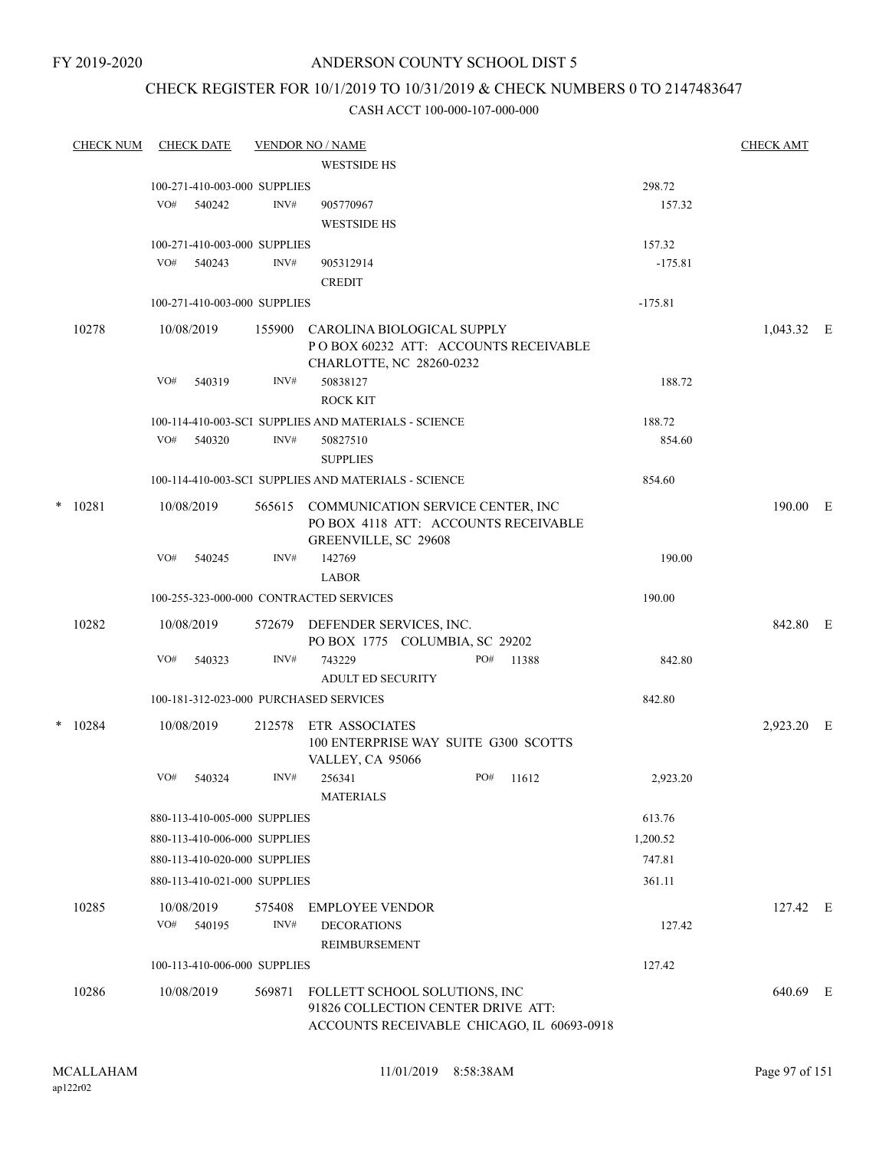FY 2019-2020

## ANDERSON COUNTY SCHOOL DIST 5

## CHECK REGISTER FOR 10/1/2019 TO 10/31/2019 & CHECK NUMBERS 0 TO 2147483647

|   | <b>CHECK NUM</b> |            | <b>CHECK DATE</b> |                              | <b>VENDOR NO / NAME</b>                                       |     |       |           | <b>CHECK AMT</b> |  |
|---|------------------|------------|-------------------|------------------------------|---------------------------------------------------------------|-----|-------|-----------|------------------|--|
|   |                  |            |                   |                              | <b>WESTSIDE HS</b>                                            |     |       |           |                  |  |
|   |                  |            |                   | 100-271-410-003-000 SUPPLIES |                                                               |     |       | 298.72    |                  |  |
|   |                  | VO#        | 540242            | INV#                         | 905770967                                                     |     |       | 157.32    |                  |  |
|   |                  |            |                   |                              | <b>WESTSIDE HS</b>                                            |     |       |           |                  |  |
|   |                  |            |                   | 100-271-410-003-000 SUPPLIES |                                                               |     |       | 157.32    |                  |  |
|   |                  | VO#        | 540243            | INV#                         | 905312914                                                     |     |       | $-175.81$ |                  |  |
|   |                  |            |                   |                              | <b>CREDIT</b>                                                 |     |       |           |                  |  |
|   |                  |            |                   | 100-271-410-003-000 SUPPLIES |                                                               |     |       | $-175.81$ |                  |  |
|   | 10278            | 10/08/2019 |                   | 155900                       | CAROLINA BIOLOGICAL SUPPLY                                    |     |       |           | 1,043.32 E       |  |
|   |                  |            |                   |                              | POBOX 60232 ATT: ACCOUNTS RECEIVABLE                          |     |       |           |                  |  |
|   |                  | VO#        | 540319            | INV#                         | CHARLOTTE, NC 28260-0232<br>50838127                          |     |       | 188.72    |                  |  |
|   |                  |            |                   |                              | <b>ROCK KIT</b>                                               |     |       |           |                  |  |
|   |                  |            |                   |                              | 100-114-410-003-SCI SUPPLIES AND MATERIALS - SCIENCE          |     |       | 188.72    |                  |  |
|   |                  | VO#        | 540320            | INV#                         | 50827510                                                      |     |       | 854.60    |                  |  |
|   |                  |            |                   |                              | <b>SUPPLIES</b>                                               |     |       |           |                  |  |
|   |                  |            |                   |                              | 100-114-410-003-SCI SUPPLIES AND MATERIALS - SCIENCE          |     |       | 854.60    |                  |  |
| * | 10281            | 10/08/2019 |                   | 565615                       | COMMUNICATION SERVICE CENTER, INC                             |     |       |           | 190.00 E         |  |
|   |                  |            |                   |                              | PO BOX 4118 ATT: ACCOUNTS RECEIVABLE                          |     |       |           |                  |  |
|   |                  |            |                   |                              | GREENVILLE, SC 29608                                          |     |       |           |                  |  |
|   |                  | VO#        | 540245            | INV#                         | 142769                                                        |     |       | 190.00    |                  |  |
|   |                  |            |                   |                              | <b>LABOR</b>                                                  |     |       |           |                  |  |
|   |                  |            |                   |                              | 100-255-323-000-000 CONTRACTED SERVICES                       |     |       | 190.00    |                  |  |
|   | 10282            | 10/08/2019 |                   | 572679                       | DEFENDER SERVICES, INC.                                       |     |       |           | 842.80 E         |  |
|   |                  |            |                   |                              | PO BOX 1775 COLUMBIA, SC 29202                                |     |       |           |                  |  |
|   |                  | VO#        | 540323            | INV#                         | 743229<br>ADULT ED SECURITY                                   | PO# | 11388 | 842.80    |                  |  |
|   |                  |            |                   |                              | 100-181-312-023-000 PURCHASED SERVICES                        |     |       | 842.80    |                  |  |
|   |                  |            |                   |                              |                                                               |     |       |           |                  |  |
| * | 10284            | 10/08/2019 |                   | 212578                       | <b>ETR ASSOCIATES</b><br>100 ENTERPRISE WAY SUITE G300 SCOTTS |     |       |           | 2,923.20 E       |  |
|   |                  |            |                   |                              | VALLEY, CA 95066                                              |     |       |           |                  |  |
|   |                  | VO#        | 540324            | INV#                         | 256341                                                        | PO# | 11612 | 2,923.20  |                  |  |
|   |                  |            |                   |                              | <b>MATERIALS</b>                                              |     |       |           |                  |  |
|   |                  |            |                   | 880-113-410-005-000 SUPPLIES |                                                               |     |       | 613.76    |                  |  |
|   |                  |            |                   | 880-113-410-006-000 SUPPLIES |                                                               |     |       | 1,200.52  |                  |  |
|   |                  |            |                   | 880-113-410-020-000 SUPPLIES |                                                               |     |       | 747.81    |                  |  |
|   |                  |            |                   | 880-113-410-021-000 SUPPLIES |                                                               |     |       | 361.11    |                  |  |
|   | 10285            | 10/08/2019 |                   | 575408                       | <b>EMPLOYEE VENDOR</b>                                        |     |       |           | 127.42 E         |  |
|   |                  | VO#        | 540195            | INV#                         | <b>DECORATIONS</b>                                            |     |       | 127.42    |                  |  |
|   |                  |            |                   |                              | REIMBURSEMENT                                                 |     |       |           |                  |  |
|   |                  |            |                   | 100-113-410-006-000 SUPPLIES |                                                               |     |       | 127.42    |                  |  |
|   | 10286            | 10/08/2019 |                   | 569871                       | FOLLETT SCHOOL SOLUTIONS, INC                                 |     |       |           | 640.69 E         |  |
|   |                  |            |                   |                              | 91826 COLLECTION CENTER DRIVE ATT:                            |     |       |           |                  |  |
|   |                  |            |                   |                              | ACCOUNTS RECEIVABLE CHICAGO, IL 60693-0918                    |     |       |           |                  |  |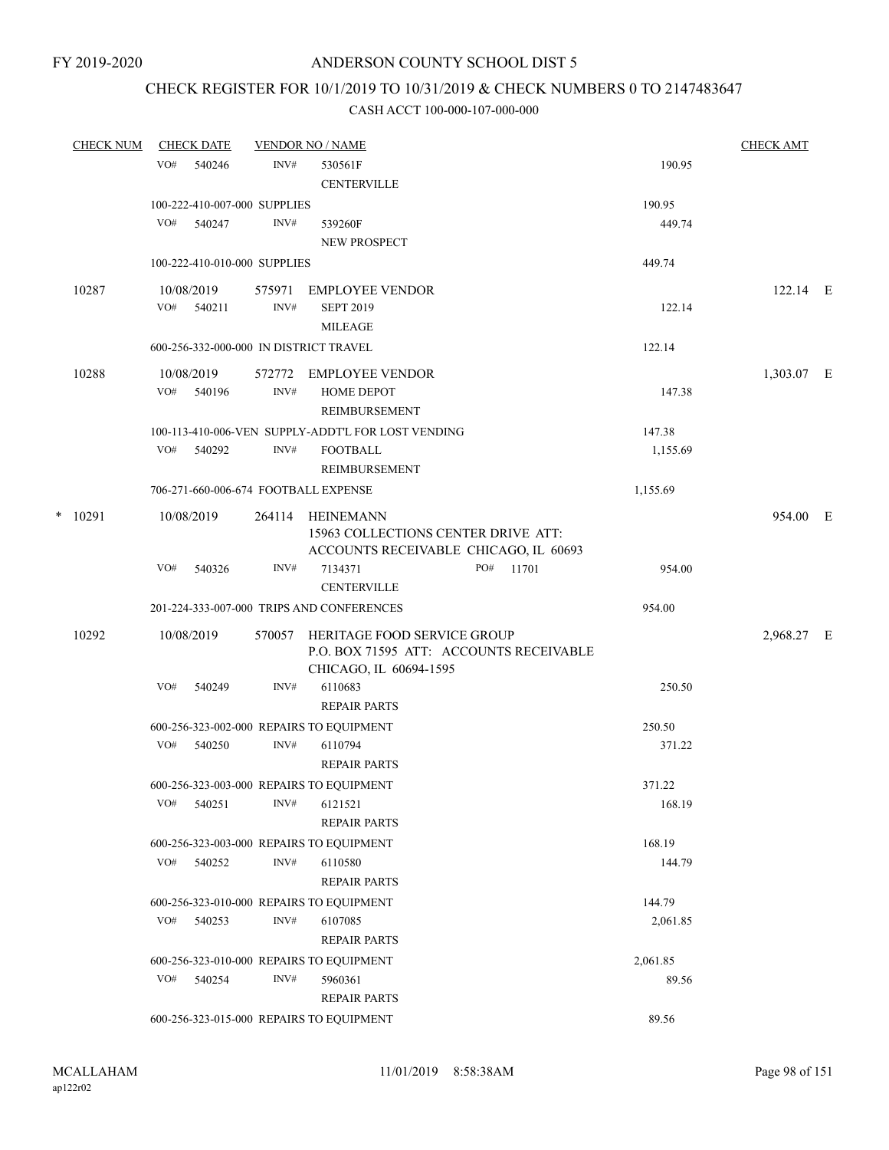## CHECK REGISTER FOR 10/1/2019 TO 10/31/2019 & CHECK NUMBERS 0 TO 2147483647

| <b>CHECK NUM</b> |     | <b>CHECK DATE</b>            |        | <b>VENDOR NO / NAME</b>                             |           |                    | <b>CHECK AMT</b> |  |
|------------------|-----|------------------------------|--------|-----------------------------------------------------|-----------|--------------------|------------------|--|
|                  | VO# | 540246                       | INV#   | 530561F                                             |           | 190.95             |                  |  |
|                  |     |                              |        | <b>CENTERVILLE</b>                                  |           |                    |                  |  |
|                  |     | 100-222-410-007-000 SUPPLIES |        |                                                     |           | 190.95             |                  |  |
|                  | VO# | 540247                       | INV#   | 539260F                                             |           | 449.74             |                  |  |
|                  |     |                              |        | <b>NEW PROSPECT</b>                                 |           |                    |                  |  |
|                  |     | 100-222-410-010-000 SUPPLIES |        |                                                     |           | 449.74             |                  |  |
| 10287            |     | 10/08/2019                   | 575971 | EMPLOYEE VENDOR                                     |           |                    | 122.14 E         |  |
|                  |     | VO# 540211                   | INV#   | <b>SEPT 2019</b>                                    |           | 122.14             |                  |  |
|                  |     |                              |        | <b>MILEAGE</b>                                      |           |                    |                  |  |
|                  |     |                              |        | 600-256-332-000-000 IN DISTRICT TRAVEL              |           | 122.14             |                  |  |
| 10288            |     | 10/08/2019                   |        | 572772 EMPLOYEE VENDOR                              |           |                    | 1,303.07 E       |  |
|                  |     | VO# 540196                   | INV#   | <b>HOME DEPOT</b>                                   |           | 147.38             |                  |  |
|                  |     |                              |        | REIMBURSEMENT                                       |           |                    |                  |  |
|                  |     |                              |        | 100-113-410-006-VEN SUPPLY-ADDT'L FOR LOST VENDING  |           | 147.38             |                  |  |
|                  | VO# | 540292                       | INV#   | <b>FOOTBALL</b>                                     |           | 1,155.69           |                  |  |
|                  |     |                              |        | <b>REIMBURSEMENT</b>                                |           |                    |                  |  |
|                  |     |                              |        | 706-271-660-006-674 FOOTBALL EXPENSE                |           | 1,155.69           |                  |  |
| $*$ 10291        |     | 10/08/2019                   |        | 264114 HEINEMANN                                    |           |                    | 954.00 E         |  |
|                  |     |                              |        | 15963 COLLECTIONS CENTER DRIVE ATT:                 |           |                    |                  |  |
|                  |     |                              |        | ACCOUNTS RECEIVABLE CHICAGO, IL 60693               |           |                    |                  |  |
|                  | VO# | 540326                       | INV#   | 7134371                                             | PO# 11701 | 954.00             |                  |  |
|                  |     |                              |        | <b>CENTERVILLE</b>                                  |           |                    |                  |  |
|                  |     |                              |        | 201-224-333-007-000 TRIPS AND CONFERENCES           |           | 954.00             |                  |  |
| 10292            |     | 10/08/2019                   |        | 570057 HERITAGE FOOD SERVICE GROUP                  |           |                    | 2,968.27 E       |  |
|                  |     |                              |        | P.O. BOX 71595 ATT: ACCOUNTS RECEIVABLE             |           |                    |                  |  |
|                  |     |                              |        | CHICAGO, IL 60694-1595                              |           |                    |                  |  |
|                  | VO# | 540249                       | INV#   | 6110683                                             |           | 250.50             |                  |  |
|                  |     |                              |        | <b>REPAIR PARTS</b>                                 |           |                    |                  |  |
|                  |     |                              |        | 600-256-323-002-000 REPAIRS TO EQUIPMENT            |           | 250.50             |                  |  |
|                  | VO# | 540250                       | INV#   | 6110794                                             |           | 371.22             |                  |  |
|                  |     |                              |        | <b>REPAIR PARTS</b>                                 |           |                    |                  |  |
|                  |     |                              |        | 600-256-323-003-000 REPAIRS TO EQUIPMENT            |           | 371.22             |                  |  |
|                  | VO# | 540251                       | INV#   | 6121521                                             |           | 168.19             |                  |  |
|                  |     |                              |        | <b>REPAIR PARTS</b>                                 |           |                    |                  |  |
|                  |     |                              |        | 600-256-323-003-000 REPAIRS TO EQUIPMENT            |           | 168.19             |                  |  |
|                  | VO# | 540252                       | INV#   | 6110580                                             |           | 144.79             |                  |  |
|                  |     |                              |        | <b>REPAIR PARTS</b>                                 |           |                    |                  |  |
|                  | VO# | 540253                       | INV#   | 600-256-323-010-000 REPAIRS TO EQUIPMENT<br>6107085 |           | 144.79<br>2,061.85 |                  |  |
|                  |     |                              |        | <b>REPAIR PARTS</b>                                 |           |                    |                  |  |
|                  |     |                              |        | 600-256-323-010-000 REPAIRS TO EQUIPMENT            |           | 2,061.85           |                  |  |
|                  | VO# | 540254                       | INV#   | 5960361                                             |           | 89.56              |                  |  |
|                  |     |                              |        | <b>REPAIR PARTS</b>                                 |           |                    |                  |  |
|                  |     |                              |        | 600-256-323-015-000 REPAIRS TO EQUIPMENT            |           | 89.56              |                  |  |
|                  |     |                              |        |                                                     |           |                    |                  |  |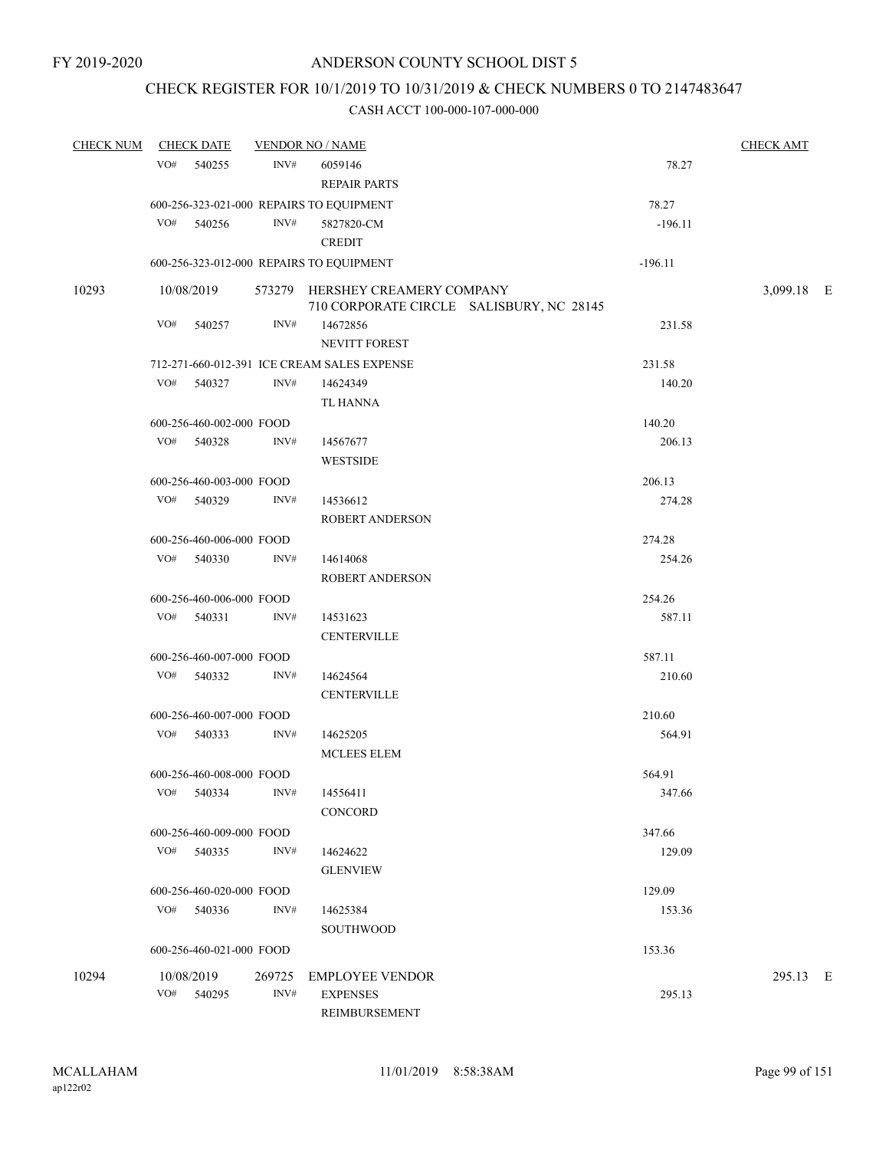## CHECK REGISTER FOR 10/1/2019 TO 10/31/2019 & CHECK NUMBERS 0 TO 2147483647

| <b>CHECK NUM</b> |              | <b>CHECK DATE</b>        |        | <b>VENDOR NO / NAME</b>                                                     |           | <b>CHECK AMT</b> |  |
|------------------|--------------|--------------------------|--------|-----------------------------------------------------------------------------|-----------|------------------|--|
|                  | VO# 540255   |                          | INV#   | 6059146                                                                     | 78.27     |                  |  |
|                  |              |                          |        | <b>REPAIR PARTS</b>                                                         |           |                  |  |
|                  |              |                          |        | 600-256-323-021-000 REPAIRS TO EQUIPMENT                                    | 78.27     |                  |  |
|                  | VO# 540256   |                          | INV#   | 5827820-CM                                                                  | $-196.11$ |                  |  |
|                  |              |                          |        | <b>CREDIT</b>                                                               |           |                  |  |
|                  |              |                          |        | 600-256-323-012-000 REPAIRS TO EQUIPMENT                                    | $-196.11$ |                  |  |
| 10293            | 10/08/2019   |                          |        | 573279 HERSHEY CREAMERY COMPANY<br>710 CORPORATE CIRCLE SALISBURY, NC 28145 |           | 3,099.18 E       |  |
|                  | VO#          | 540257                   | INV#   | 14672856<br><b>NEVITT FOREST</b>                                            | 231.58    |                  |  |
|                  |              |                          |        | 712-271-660-012-391 ICE CREAM SALES EXPENSE                                 | 231.58    |                  |  |
|                  | VO# 540327   |                          | INV#   | 14624349                                                                    | 140.20    |                  |  |
|                  |              |                          |        | TL HANNA                                                                    |           |                  |  |
|                  |              | 600-256-460-002-000 FOOD |        |                                                                             | 140.20    |                  |  |
|                  | VO# 540328   |                          | INV#   | 14567677                                                                    | 206.13    |                  |  |
|                  |              |                          |        | <b>WESTSIDE</b>                                                             |           |                  |  |
|                  |              | 600-256-460-003-000 FOOD |        |                                                                             | 206.13    |                  |  |
|                  | VO# 540329   |                          | INV#   | 14536612                                                                    | 274.28    |                  |  |
|                  |              |                          |        | ROBERT ANDERSON                                                             |           |                  |  |
|                  |              | 600-256-460-006-000 FOOD |        |                                                                             | 274.28    |                  |  |
|                  | VO# 540330   |                          | INV#   | 14614068                                                                    | 254.26    |                  |  |
|                  |              |                          |        | <b>ROBERT ANDERSON</b>                                                      |           |                  |  |
|                  |              | 600-256-460-006-000 FOOD |        |                                                                             | 254.26    |                  |  |
|                  | VO# 540331   |                          | INV#   | 14531623                                                                    | 587.11    |                  |  |
|                  |              |                          |        | <b>CENTERVILLE</b>                                                          |           |                  |  |
|                  |              | 600-256-460-007-000 FOOD |        |                                                                             | 587.11    |                  |  |
|                  | VO# 540332   |                          | INV#   | 14624564                                                                    | 210.60    |                  |  |
|                  |              |                          |        | <b>CENTERVILLE</b>                                                          |           |                  |  |
|                  |              | 600-256-460-007-000 FOOD |        |                                                                             | 210.60    |                  |  |
|                  | $VO#$ 540333 |                          | INV#   | 14625205                                                                    | 564.91    |                  |  |
|                  |              |                          |        | <b>MCLEES ELEM</b>                                                          |           |                  |  |
|                  |              | 600-256-460-008-000 FOOD |        |                                                                             | 564.91    |                  |  |
|                  | VO#          | 540334                   | INV#   | 14556411                                                                    | 347.66    |                  |  |
|                  |              |                          |        | <b>CONCORD</b>                                                              |           |                  |  |
|                  |              | 600-256-460-009-000 FOOD |        |                                                                             | 347.66    |                  |  |
|                  | VO# 540335   |                          | INV#   | 14624622                                                                    | 129.09    |                  |  |
|                  |              |                          |        | <b>GLENVIEW</b>                                                             |           |                  |  |
|                  |              | 600-256-460-020-000 FOOD |        |                                                                             | 129.09    |                  |  |
|                  | VO# 540336   |                          | INV#   | 14625384                                                                    | 153.36    |                  |  |
|                  |              |                          |        | <b>SOUTHWOOD</b>                                                            |           |                  |  |
|                  |              | 600-256-460-021-000 FOOD |        |                                                                             | 153.36    |                  |  |
| 10294            | 10/08/2019   |                          | 269725 | <b>EMPLOYEE VENDOR</b>                                                      |           | 295.13 E         |  |
|                  | VO#          | 540295                   | INV#   | <b>EXPENSES</b>                                                             | 295.13    |                  |  |
|                  |              |                          |        | REIMBURSEMENT                                                               |           |                  |  |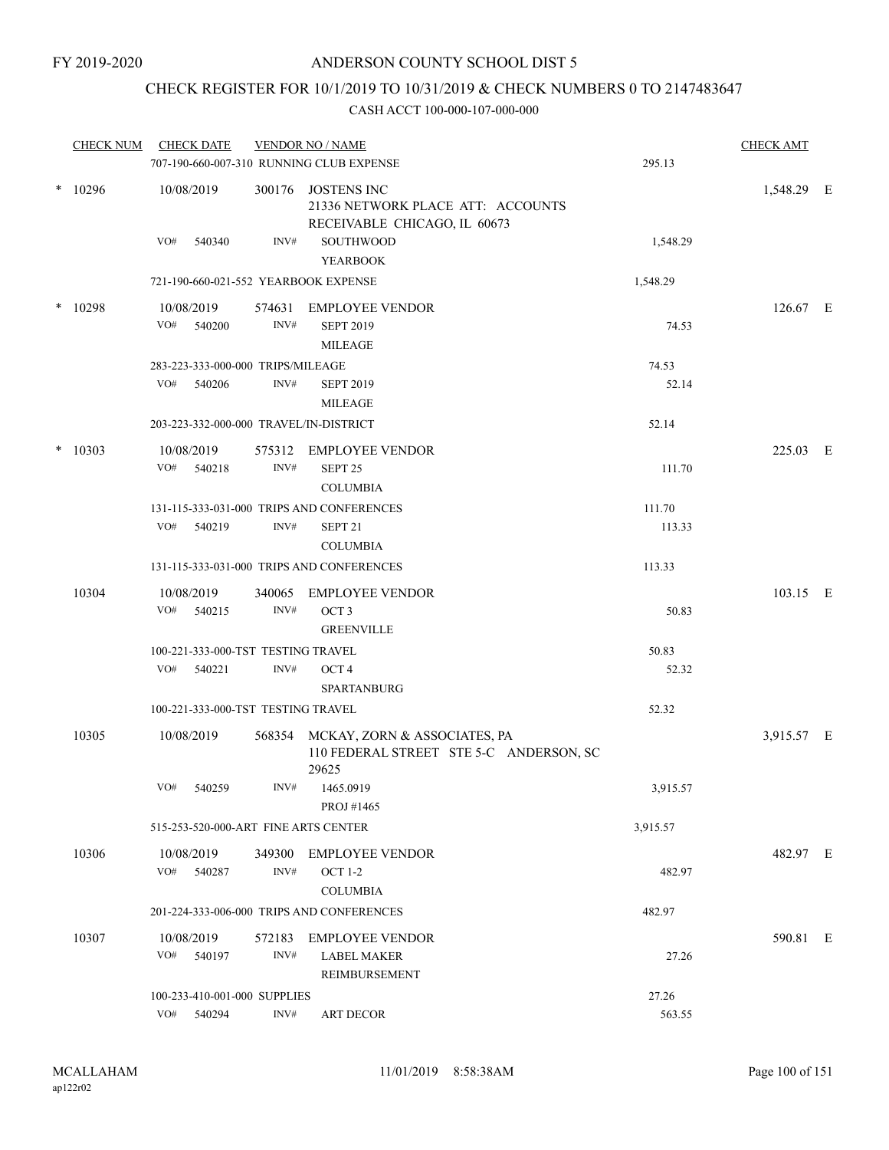## CHECK REGISTER FOR 10/1/2019 TO 10/31/2019 & CHECK NUMBERS 0 TO 2147483647

|        | <b>CHECK NUM</b> | <b>CHECK DATE</b><br>707-190-660-007-310 RUNNING CLUB EXPENSE |        | <b>VENDOR NO / NAME</b>                                                                 | 295.13   | <b>CHECK AMT</b> |  |
|--------|------------------|---------------------------------------------------------------|--------|-----------------------------------------------------------------------------------------|----------|------------------|--|
|        | $*10296$         | 10/08/2019                                                    | 300176 | JOSTENS INC<br>21336 NETWORK PLACE ATT: ACCOUNTS<br>RECEIVABLE CHICAGO, IL 60673        |          | 1,548.29 E       |  |
|        |                  | VO#<br>540340                                                 | INV#   | SOUTHWOOD<br><b>YEARBOOK</b>                                                            | 1,548.29 |                  |  |
|        |                  | 721-190-660-021-552 YEARBOOK EXPENSE                          |        |                                                                                         | 1,548.29 |                  |  |
| $\ast$ | 10298            | 10/08/2019                                                    |        | 574631 EMPLOYEE VENDOR                                                                  |          | $126.67$ E       |  |
|        |                  | VO#<br>540200                                                 | INV#   | <b>SEPT 2019</b><br><b>MILEAGE</b>                                                      | 74.53    |                  |  |
|        |                  | 283-223-333-000-000 TRIPS/MILEAGE                             |        |                                                                                         | 74.53    |                  |  |
|        |                  | VO#<br>540206                                                 | INV#   | <b>SEPT 2019</b><br><b>MILEAGE</b>                                                      | 52.14    |                  |  |
|        |                  | 203-223-332-000-000 TRAVEL/IN-DISTRICT                        |        |                                                                                         | 52.14    |                  |  |
|        | $*10303$         | 10/08/2019                                                    | 575312 | <b>EMPLOYEE VENDOR</b>                                                                  |          | 225.03 E         |  |
|        |                  | VO#<br>540218                                                 | INV#   | SEPT <sub>25</sub><br><b>COLUMBIA</b>                                                   | 111.70   |                  |  |
|        |                  |                                                               |        | 131-115-333-031-000 TRIPS AND CONFERENCES                                               | 111.70   |                  |  |
|        |                  | VO#<br>540219                                                 | INV#   | SEPT <sub>21</sub><br><b>COLUMBIA</b>                                                   | 113.33   |                  |  |
|        |                  |                                                               |        | 131-115-333-031-000 TRIPS AND CONFERENCES                                               | 113.33   |                  |  |
|        | 10304            | 10/08/2019                                                    | 340065 | <b>EMPLOYEE VENDOR</b>                                                                  |          | 103.15 E         |  |
|        |                  | VO#<br>540215                                                 | INV#   | OCT <sub>3</sub><br><b>GREENVILLE</b>                                                   | 50.83    |                  |  |
|        |                  | 100-221-333-000-TST TESTING TRAVEL                            |        |                                                                                         | 50.83    |                  |  |
|        |                  | VO#<br>540221                                                 | INV#   | OCT <sub>4</sub><br><b>SPARTANBURG</b>                                                  | 52.32    |                  |  |
|        |                  | 100-221-333-000-TST TESTING TRAVEL                            |        |                                                                                         | 52.32    |                  |  |
|        | 10305            | 10/08/2019                                                    |        | 568354 MCKAY, ZORN & ASSOCIATES, PA<br>110 FEDERAL STREET STE 5-C ANDERSON, SC<br>29625 |          | 3,915.57 E       |  |
|        |                  | VO#<br>540259                                                 |        | INV# 1465.0919<br>PROJ #1465                                                            | 3,915.57 |                  |  |
|        |                  | 515-253-520-000-ART FINE ARTS CENTER                          |        |                                                                                         | 3,915.57 |                  |  |
|        | 10306            | 10/08/2019                                                    |        | 349300 EMPLOYEE VENDOR                                                                  |          | 482.97 E         |  |
|        |                  | VO# 540287                                                    | INV#   | <b>OCT 1-2</b><br><b>COLUMBIA</b>                                                       | 482.97   |                  |  |
|        |                  |                                                               |        | 201-224-333-006-000 TRIPS AND CONFERENCES                                               | 482.97   |                  |  |
|        | 10307            | 10/08/2019                                                    | 572183 | <b>EMPLOYEE VENDOR</b>                                                                  |          | 590.81 E         |  |
|        |                  | VO# 540197                                                    | INV#   | <b>LABEL MAKER</b><br>REIMBURSEMENT                                                     | 27.26    |                  |  |
|        |                  | 100-233-410-001-000 SUPPLIES                                  |        |                                                                                         | 27.26    |                  |  |
|        |                  | VO# 540294                                                    | INV#   | <b>ART DECOR</b>                                                                        | 563.55   |                  |  |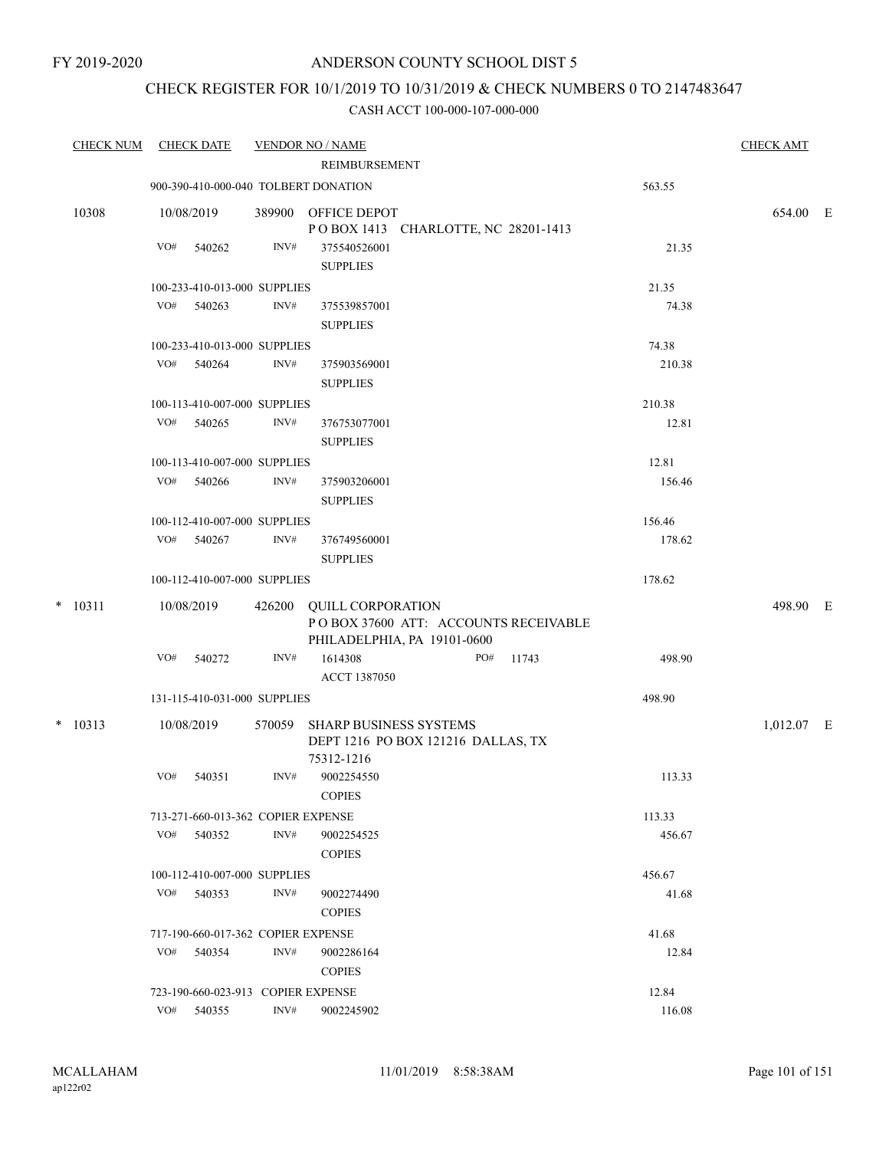## CHECK REGISTER FOR 10/1/2019 TO 10/31/2019 & CHECK NUMBERS 0 TO 2147483647

| <b>CHECK NUM</b> |     | <b>CHECK DATE</b>                  |        | <b>VENDOR NO / NAME</b>                                                                         |     |       |        | <b>CHECK AMT</b> |  |
|------------------|-----|------------------------------------|--------|-------------------------------------------------------------------------------------------------|-----|-------|--------|------------------|--|
|                  |     |                                    |        | REIMBURSEMENT                                                                                   |     |       |        |                  |  |
|                  |     |                                    |        | 900-390-410-000-040 TOLBERT DONATION                                                            |     |       | 563.55 |                  |  |
| 10308            |     | 10/08/2019                         |        | 389900 OFFICE DEPOT<br>POBOX 1413 CHARLOTTE, NC 28201-1413                                      |     |       |        | 654.00 E         |  |
|                  | VO# | 540262                             | INV#   | 375540526001                                                                                    |     |       | 21.35  |                  |  |
|                  |     |                                    |        | <b>SUPPLIES</b>                                                                                 |     |       |        |                  |  |
|                  |     | 100-233-410-013-000 SUPPLIES       |        |                                                                                                 |     |       | 21.35  |                  |  |
|                  |     | VO# 540263                         | INV#   | 375539857001                                                                                    |     |       | 74.38  |                  |  |
|                  |     |                                    |        | <b>SUPPLIES</b>                                                                                 |     |       |        |                  |  |
|                  |     | 100-233-410-013-000 SUPPLIES       |        |                                                                                                 |     |       | 74.38  |                  |  |
|                  | VO# | 540264                             | INV#   | 375903569001                                                                                    |     |       | 210.38 |                  |  |
|                  |     |                                    |        | <b>SUPPLIES</b>                                                                                 |     |       |        |                  |  |
|                  |     | 100-113-410-007-000 SUPPLIES       |        |                                                                                                 |     |       | 210.38 |                  |  |
|                  |     | VO# 540265                         | INV#   | 376753077001                                                                                    |     |       | 12.81  |                  |  |
|                  |     |                                    |        | <b>SUPPLIES</b>                                                                                 |     |       |        |                  |  |
|                  |     | 100-113-410-007-000 SUPPLIES       |        |                                                                                                 |     |       | 12.81  |                  |  |
|                  | VO# | 540266                             | INV#   | 375903206001                                                                                    |     |       | 156.46 |                  |  |
|                  |     |                                    |        | <b>SUPPLIES</b>                                                                                 |     |       |        |                  |  |
|                  |     | 100-112-410-007-000 SUPPLIES       |        |                                                                                                 |     |       | 156.46 |                  |  |
|                  | VO# | 540267                             | INV#   | 376749560001                                                                                    |     |       | 178.62 |                  |  |
|                  |     |                                    |        | <b>SUPPLIES</b>                                                                                 |     |       |        |                  |  |
|                  |     | 100-112-410-007-000 SUPPLIES       |        |                                                                                                 |     |       | 178.62 |                  |  |
| $*$ 10311        |     | 10/08/2019                         |        | 426200 QUILL CORPORATION<br>POBOX 37600 ATT: ACCOUNTS RECEIVABLE<br>PHILADELPHIA, PA 19101-0600 |     |       |        | 498.90 E         |  |
|                  | VO# | 540272                             | INV#   | 1614308<br>ACCT 1387050                                                                         | PO# | 11743 | 498.90 |                  |  |
|                  |     | 131-115-410-031-000 SUPPLIES       |        |                                                                                                 |     |       | 498.90 |                  |  |
| $* 10313$        |     | 10/08/2019                         | 570059 | <b>SHARP BUSINESS SYSTEMS</b><br>DEPT 1216 PO BOX 121216 DALLAS, TX<br>75312-1216               |     |       |        | $1,012.07$ E     |  |
|                  | VO# | 540351                             | INV#   | 9002254550<br><b>COPIES</b>                                                                     |     |       | 113.33 |                  |  |
|                  |     | 713-271-660-013-362 COPIER EXPENSE |        |                                                                                                 |     |       | 113.33 |                  |  |
|                  |     | VO# 540352                         | INV#   | 9002254525<br><b>COPIES</b>                                                                     |     |       | 456.67 |                  |  |
|                  |     | 100-112-410-007-000 SUPPLIES       |        |                                                                                                 |     |       | 456.67 |                  |  |
|                  | VO# | 540353                             | INV#   | 9002274490<br><b>COPIES</b>                                                                     |     |       | 41.68  |                  |  |
|                  |     | 717-190-660-017-362 COPIER EXPENSE |        |                                                                                                 |     |       | 41.68  |                  |  |
|                  | VO# | 540354                             | INV#   | 9002286164<br><b>COPIES</b>                                                                     |     |       | 12.84  |                  |  |
|                  |     | 723-190-660-023-913 COPIER EXPENSE |        |                                                                                                 |     |       | 12.84  |                  |  |
|                  | VO# | 540355                             | INV#   | 9002245902                                                                                      |     |       | 116.08 |                  |  |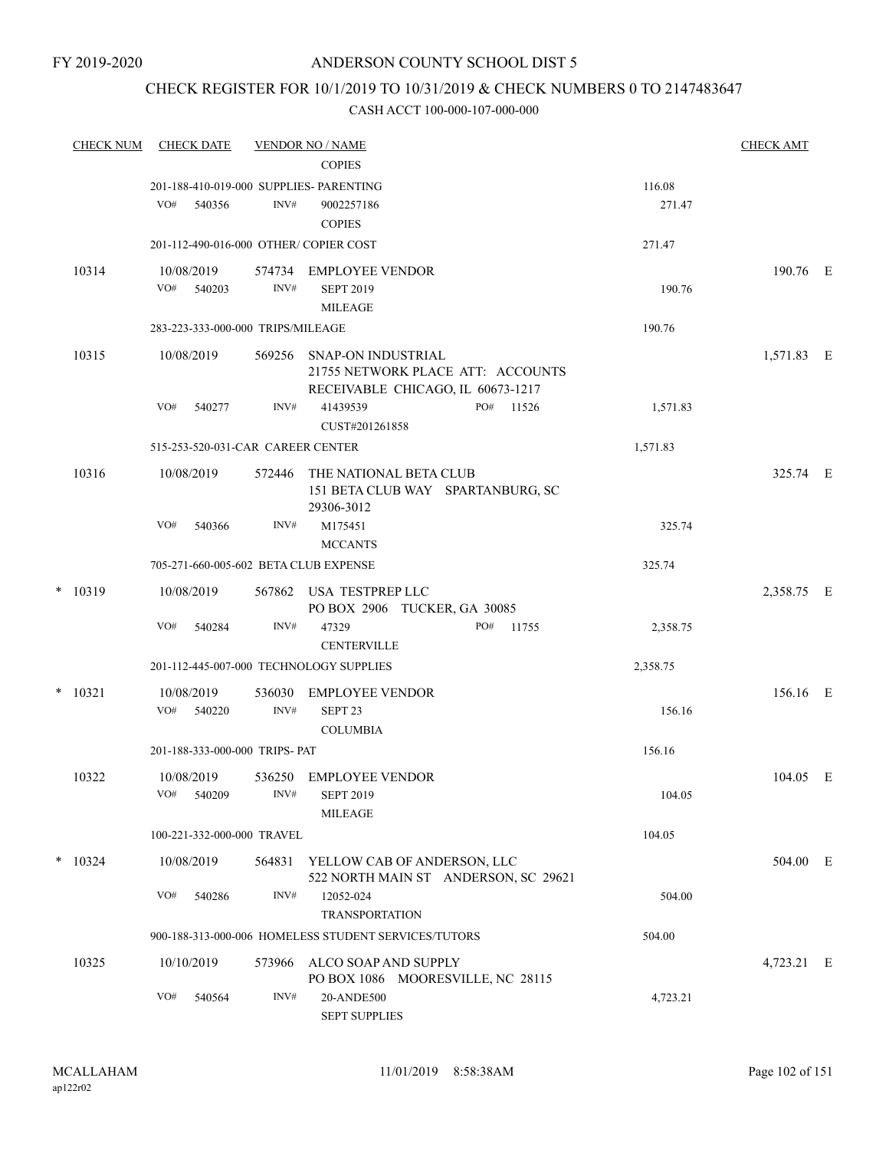## CHECK REGISTER FOR 10/1/2019 TO 10/31/2019 & CHECK NUMBERS 0 TO 2147483647

|   | <b>CHECK NUM</b> | <b>CHECK DATE</b>                                        |                | <b>VENDOR NO / NAME</b><br><b>COPIES</b>                                  |                                      |                  | <b>CHECK AMT</b> |  |
|---|------------------|----------------------------------------------------------|----------------|---------------------------------------------------------------------------|--------------------------------------|------------------|------------------|--|
|   |                  | 201-188-410-019-000 SUPPLIES- PARENTING<br>VO#<br>540356 | INV#           | 9002257186<br><b>COPIES</b>                                               |                                      | 116.08<br>271.47 |                  |  |
|   |                  | 201-112-490-016-000 OTHER/ COPIER COST                   |                |                                                                           |                                      | 271.47           |                  |  |
|   | 10314            | 10/08/2019<br>VO# 540203                                 | INV#           | 574734 EMPLOYEE VENDOR<br><b>SEPT 2019</b><br>MILEAGE                     |                                      | 190.76           | 190.76 E         |  |
|   |                  | 283-223-333-000-000 TRIPS/MILEAGE                        |                |                                                                           |                                      | 190.76           |                  |  |
|   | 10315            | 10/08/2019                                               |                | 569256 SNAP-ON INDUSTRIAL<br>RECEIVABLE CHICAGO, IL 60673-1217            | 21755 NETWORK PLACE ATT: ACCOUNTS    |                  | 1,571.83 E       |  |
|   |                  | VO#<br>540277                                            | INV#           | 41439539<br>CUST#201261858                                                | PO#<br>11526                         | 1,571.83         |                  |  |
|   |                  | 515-253-520-031-CAR CAREER CENTER                        |                |                                                                           |                                      | 1,571.83         |                  |  |
|   | 10316            | 10/08/2019                                               | 572446         | THE NATIONAL BETA CLUB<br>151 BETA CLUB WAY SPARTANBURG, SC<br>29306-3012 |                                      |                  | 325.74 E         |  |
|   |                  | VO#<br>540366                                            | INV#           | M175451<br><b>MCCANTS</b>                                                 |                                      | 325.74           |                  |  |
|   |                  | 705-271-660-005-602 BETA CLUB EXPENSE                    |                |                                                                           |                                      | 325.74           |                  |  |
|   | $*$ 10319        | 10/08/2019                                               |                | 567862 USA TESTPREP LLC<br>PO BOX 2906 TUCKER, GA 30085                   |                                      |                  | 2,358.75 E       |  |
|   |                  | VO#<br>540284                                            | INV#           | 47329<br><b>CENTERVILLE</b>                                               | PO#<br>11755                         | 2,358.75         |                  |  |
|   |                  |                                                          |                | 201-112-445-007-000 TECHNOLOGY SUPPLIES                                   |                                      | 2,358.75         |                  |  |
| * | 10321            | 10/08/2019<br>VO#<br>540220                              | 536030<br>INV# | <b>EMPLOYEE VENDOR</b><br>SEPT <sub>23</sub><br><b>COLUMBIA</b>           |                                      | 156.16           | 156.16 E         |  |
|   |                  | 201-188-333-000-000 TRIPS- PAT                           |                |                                                                           |                                      | 156.16           |                  |  |
|   | 10322            | 10/08/2019<br>VO#<br>540209                              | INV#           | 536250 EMPLOYEE VENDOR<br><b>SEPT 2019</b><br>$\text{MILEAGE}$            |                                      | 104.05           | $104.05$ E       |  |
|   |                  | 100-221-332-000-000 TRAVEL                               |                |                                                                           |                                      | 104.05           |                  |  |
|   | $*$ 10324        | 10/08/2019                                               | 564831         | YELLOW CAB OF ANDERSON, LLC                                               | 522 NORTH MAIN ST ANDERSON, SC 29621 |                  | 504.00 E         |  |
|   |                  | VO#<br>540286                                            | INV#           | 12052-024<br><b>TRANSPORTATION</b>                                        |                                      | 504.00           |                  |  |
|   |                  |                                                          |                | 900-188-313-000-006 HOMELESS STUDENT SERVICES/TUTORS                      |                                      | 504.00           |                  |  |
|   | 10325            | 10/10/2019                                               | 573966         | ALCO SOAP AND SUPPLY<br>PO BOX 1086 MOORESVILLE, NC 28115                 |                                      |                  | 4,723.21 E       |  |
|   |                  | VO#<br>540564                                            | INV#           | 20-ANDE500<br><b>SEPT SUPPLIES</b>                                        |                                      | 4,723.21         |                  |  |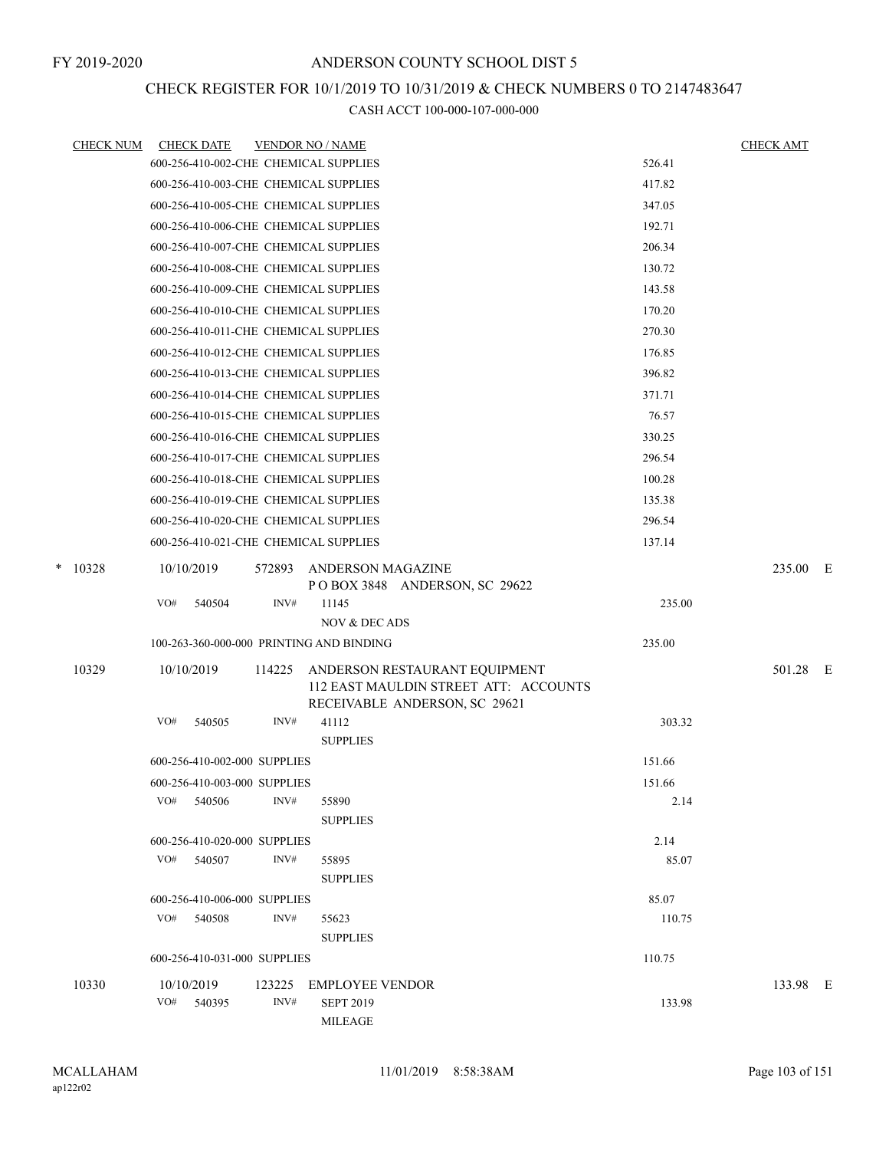## CHECK REGISTER FOR 10/1/2019 TO 10/31/2019 & CHECK NUMBERS 0 TO 2147483647

| <b>CHECK NUM</b> |            | <b>CHECK DATE</b> |                              | <b>VENDOR NO / NAME</b>                                                                                 |        | <b>CHECK AMT</b> |  |
|------------------|------------|-------------------|------------------------------|---------------------------------------------------------------------------------------------------------|--------|------------------|--|
|                  |            |                   |                              | 600-256-410-002-CHE CHEMICAL SUPPLIES                                                                   | 526.41 |                  |  |
|                  |            |                   |                              | 600-256-410-003-CHE CHEMICAL SUPPLIES                                                                   | 417.82 |                  |  |
|                  |            |                   |                              | 600-256-410-005-CHE CHEMICAL SUPPLIES                                                                   | 347.05 |                  |  |
|                  |            |                   |                              | 600-256-410-006-CHE CHEMICAL SUPPLIES                                                                   | 192.71 |                  |  |
|                  |            |                   |                              | 600-256-410-007-CHE CHEMICAL SUPPLIES                                                                   | 206.34 |                  |  |
|                  |            |                   |                              | 600-256-410-008-CHE CHEMICAL SUPPLIES                                                                   | 130.72 |                  |  |
|                  |            |                   |                              | 600-256-410-009-CHE CHEMICAL SUPPLIES                                                                   | 143.58 |                  |  |
|                  |            |                   |                              | 600-256-410-010-CHE CHEMICAL SUPPLIES                                                                   | 170.20 |                  |  |
|                  |            |                   |                              | 600-256-410-011-CHE CHEMICAL SUPPLIES                                                                   | 270.30 |                  |  |
|                  |            |                   |                              | 600-256-410-012-CHE CHEMICAL SUPPLIES                                                                   | 176.85 |                  |  |
|                  |            |                   |                              | 600-256-410-013-CHE CHEMICAL SUPPLIES                                                                   | 396.82 |                  |  |
|                  |            |                   |                              | 600-256-410-014-CHE CHEMICAL SUPPLIES                                                                   | 371.71 |                  |  |
|                  |            |                   |                              | 600-256-410-015-CHE CHEMICAL SUPPLIES                                                                   | 76.57  |                  |  |
|                  |            |                   |                              | 600-256-410-016-CHE CHEMICAL SUPPLIES                                                                   | 330.25 |                  |  |
|                  |            |                   |                              | 600-256-410-017-CHE CHEMICAL SUPPLIES                                                                   | 296.54 |                  |  |
|                  |            |                   |                              | 600-256-410-018-CHE CHEMICAL SUPPLIES                                                                   | 100.28 |                  |  |
|                  |            |                   |                              | 600-256-410-019-CHE CHEMICAL SUPPLIES                                                                   | 135.38 |                  |  |
|                  |            |                   |                              | 600-256-410-020-CHE CHEMICAL SUPPLIES                                                                   | 296.54 |                  |  |
|                  |            |                   |                              | 600-256-410-021-CHE CHEMICAL SUPPLIES                                                                   | 137.14 |                  |  |
| $*$ 10328        | 10/10/2019 |                   | 572893                       | ANDERSON MAGAZINE<br>POBOX 3848 ANDERSON, SC 29622                                                      |        | 235.00 E         |  |
|                  | VO#        | 540504            | INV#                         | 11145                                                                                                   | 235.00 |                  |  |
|                  |            |                   |                              | <b>NOV &amp; DEC ADS</b>                                                                                |        |                  |  |
|                  |            |                   |                              | 100-263-360-000-000 PRINTING AND BINDING                                                                | 235.00 |                  |  |
| 10329            | 10/10/2019 |                   | 114225                       | ANDERSON RESTAURANT EQUIPMENT<br>112 EAST MAULDIN STREET ATT: ACCOUNTS<br>RECEIVABLE ANDERSON, SC 29621 |        | 501.28 E         |  |
|                  | VO#        | 540505            | INV#                         | 41112<br><b>SUPPLIES</b>                                                                                | 303.32 |                  |  |
|                  |            |                   | 600-256-410-002-000 SUPPLIES |                                                                                                         | 151.66 |                  |  |
|                  |            |                   | 600-256-410-003-000 SUPPLIES |                                                                                                         | 151.66 |                  |  |
|                  | VO#        | 540506            | INV#                         | 55890                                                                                                   | 2.14   |                  |  |
|                  |            |                   |                              | <b>SUPPLIES</b>                                                                                         |        |                  |  |
|                  |            |                   | 600-256-410-020-000 SUPPLIES |                                                                                                         | 2.14   |                  |  |
|                  | VO#        | 540507            | INV#                         | 55895<br><b>SUPPLIES</b>                                                                                | 85.07  |                  |  |
|                  |            |                   | 600-256-410-006-000 SUPPLIES |                                                                                                         | 85.07  |                  |  |
|                  |            | VO# 540508        | INV#                         | 55623                                                                                                   | 110.75 |                  |  |
|                  |            |                   |                              | <b>SUPPLIES</b>                                                                                         |        |                  |  |
|                  |            |                   | 600-256-410-031-000 SUPPLIES |                                                                                                         | 110.75 |                  |  |
| 10330            | 10/10/2019 |                   | 123225                       | <b>EMPLOYEE VENDOR</b>                                                                                  |        | 133.98 E         |  |
|                  | VO#        | 540395            | INV#                         | <b>SEPT 2019</b>                                                                                        | 133.98 |                  |  |
|                  |            |                   |                              | <b>MILEAGE</b>                                                                                          |        |                  |  |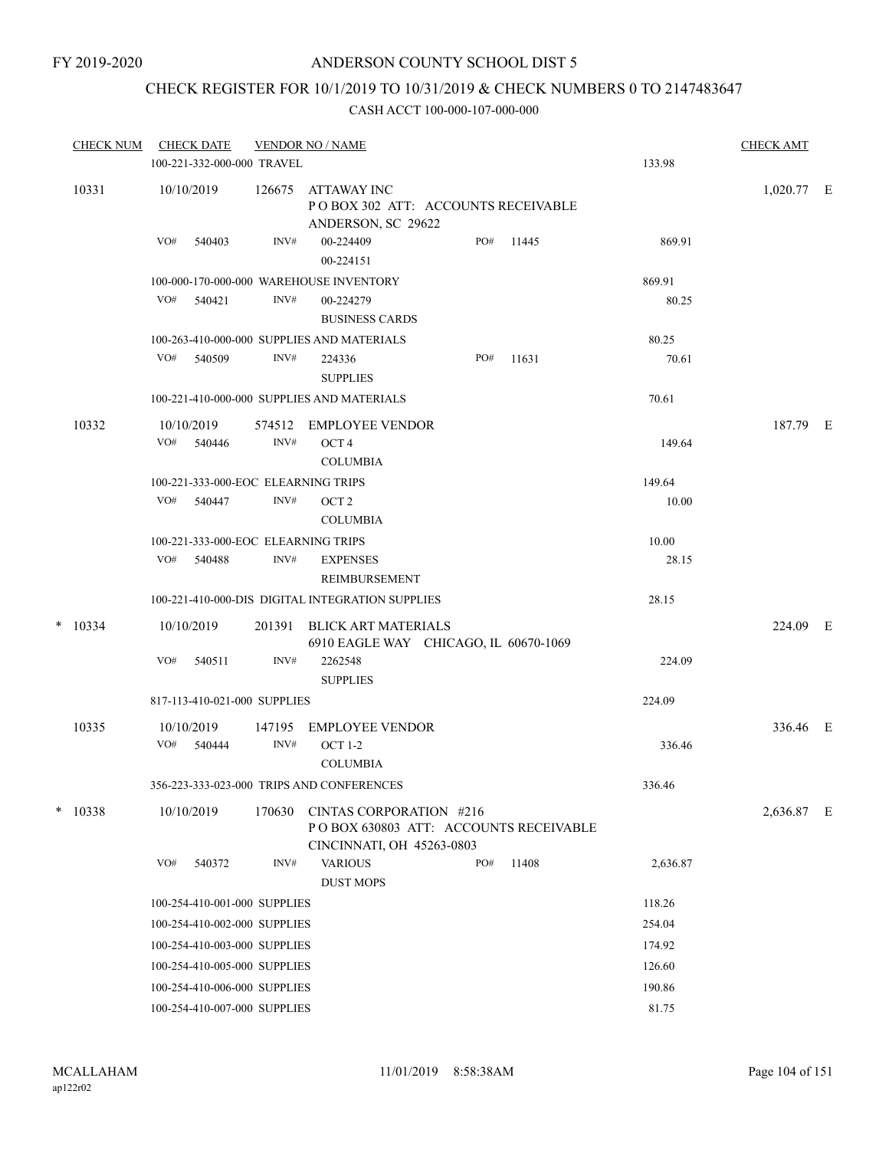## CHECK REGISTER FOR 10/1/2019 TO 10/31/2019 & CHECK NUMBERS 0 TO 2147483647

|   | <b>CHECK NUM</b> | <b>CHECK DATE</b>                   |        | <b>VENDOR NO / NAME</b>                                                                        |     |       |          | <b>CHECK AMT</b> |  |
|---|------------------|-------------------------------------|--------|------------------------------------------------------------------------------------------------|-----|-------|----------|------------------|--|
|   |                  | 100-221-332-000-000 TRAVEL          |        |                                                                                                |     |       | 133.98   |                  |  |
|   | 10331            | 10/10/2019                          | 126675 | <b>ATTAWAY INC</b><br>POBOX 302 ATT: ACCOUNTS RECEIVABLE<br>ANDERSON, SC 29622                 |     |       |          | $1,020.77$ E     |  |
|   |                  | VO#<br>540403                       | INV#   | 00-224409<br>00-224151                                                                         | PO# | 11445 | 869.91   |                  |  |
|   |                  |                                     |        | 100-000-170-000-000 WAREHOUSE INVENTORY                                                        |     |       | 869.91   |                  |  |
|   |                  | VO# 540421                          | INV#   | 00-224279<br><b>BUSINESS CARDS</b>                                                             |     |       | 80.25    |                  |  |
|   |                  |                                     |        | 100-263-410-000-000 SUPPLIES AND MATERIALS                                                     |     |       | 80.25    |                  |  |
|   |                  | VO#<br>540509                       | INV#   | 224336<br><b>SUPPLIES</b>                                                                      | PO# | 11631 | 70.61    |                  |  |
|   |                  |                                     |        | 100-221-410-000-000 SUPPLIES AND MATERIALS                                                     |     |       | 70.61    |                  |  |
|   | 10332            | 10/10/2019                          | 574512 | EMPLOYEE VENDOR                                                                                |     |       |          | 187.79 E         |  |
|   |                  | VO#<br>540446                       | INV#   | OCT <sub>4</sub><br><b>COLUMBIA</b>                                                            |     |       | 149.64   |                  |  |
|   |                  | 100-221-333-000-EOC ELEARNING TRIPS |        |                                                                                                |     |       | 149.64   |                  |  |
|   |                  | VO#<br>540447                       | INV#   | OCT <sub>2</sub><br><b>COLUMBIA</b>                                                            |     |       | 10.00    |                  |  |
|   |                  | 100-221-333-000-EOC ELEARNING TRIPS |        |                                                                                                |     |       | 10.00    |                  |  |
|   |                  | VO# 540488                          | INV#   | <b>EXPENSES</b><br>REIMBURSEMENT                                                               |     |       | 28.15    |                  |  |
|   |                  |                                     |        | 100-221-410-000-DIS DIGITAL INTEGRATION SUPPLIES                                               |     |       | 28.15    |                  |  |
| * | 10334            | 10/10/2019                          | 201391 | BLICK ART MATERIALS<br>6910 EAGLE WAY CHICAGO, IL 60670-1069                                   |     |       |          | 224.09 E         |  |
|   |                  | VO#<br>540511                       | INV#   | 2262548<br><b>SUPPLIES</b>                                                                     |     |       | 224.09   |                  |  |
|   |                  | 817-113-410-021-000 SUPPLIES        |        |                                                                                                |     |       | 224.09   |                  |  |
|   | 10335            | 10/10/2019                          | 147195 | <b>EMPLOYEE VENDOR</b>                                                                         |     |       |          | 336.46 E         |  |
|   |                  | VO#<br>540444                       | INV#   | <b>OCT 1-2</b><br><b>COLUMBIA</b>                                                              |     |       | 336.46   |                  |  |
|   |                  |                                     |        | 356-223-333-023-000 TRIPS AND CONFERENCES                                                      |     |       | 336.46   |                  |  |
|   | $*$ 10338        | 10/10/2019                          | 170630 | CINTAS CORPORATION #216<br>PO BOX 630803 ATT: ACCOUNTS RECEIVABLE<br>CINCINNATI, OH 45263-0803 |     |       |          | 2,636.87 E       |  |
|   |                  | VO#<br>540372                       | INV#   | <b>VARIOUS</b><br><b>DUST MOPS</b>                                                             | PO# | 11408 | 2,636.87 |                  |  |
|   |                  | 100-254-410-001-000 SUPPLIES        |        |                                                                                                |     |       | 118.26   |                  |  |
|   |                  | 100-254-410-002-000 SUPPLIES        |        |                                                                                                |     |       | 254.04   |                  |  |
|   |                  | 100-254-410-003-000 SUPPLIES        |        |                                                                                                |     |       | 174.92   |                  |  |
|   |                  | 100-254-410-005-000 SUPPLIES        |        |                                                                                                |     |       | 126.60   |                  |  |
|   |                  | 100-254-410-006-000 SUPPLIES        |        |                                                                                                |     |       | 190.86   |                  |  |
|   |                  | 100-254-410-007-000 SUPPLIES        |        |                                                                                                |     |       | 81.75    |                  |  |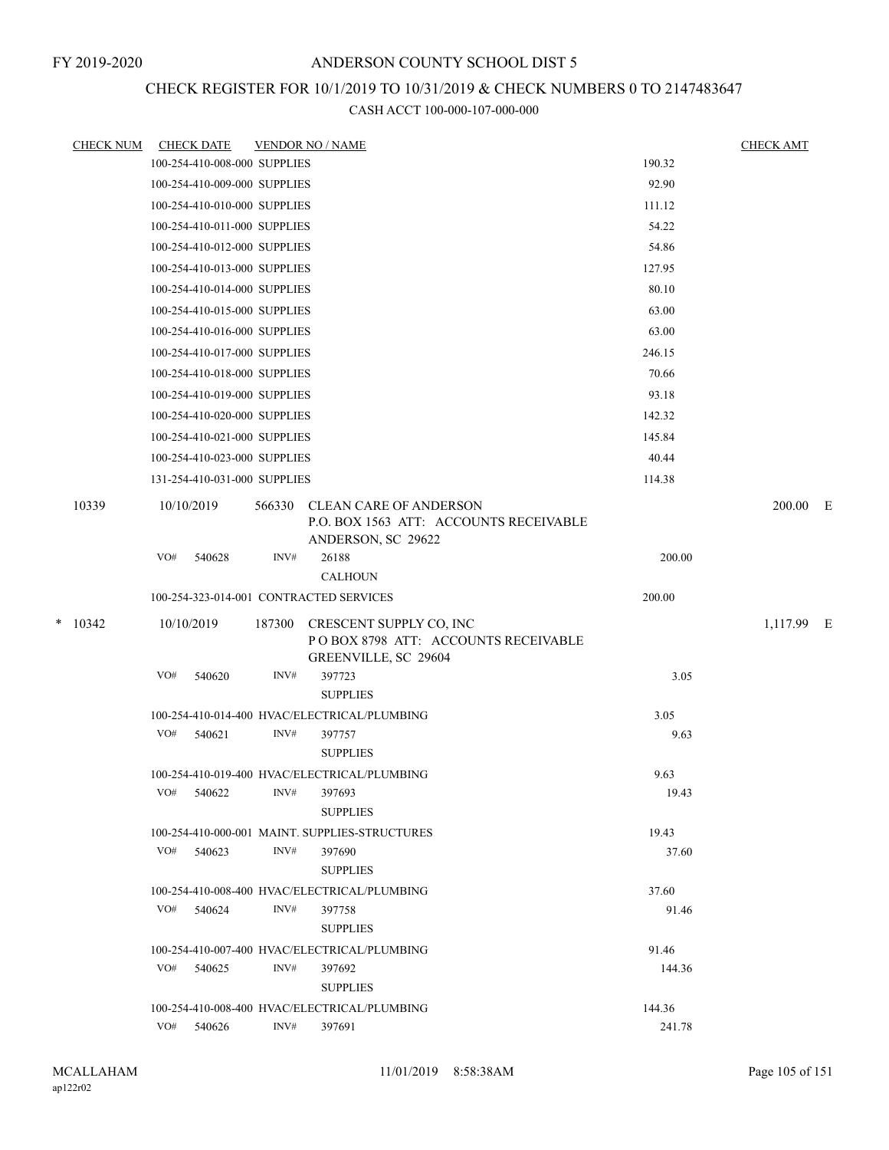# CHECK REGISTER FOR 10/1/2019 TO 10/31/2019 & CHECK NUMBERS 0 TO 2147483647

|   | <u>CHECK NUM</u> | <b>CHECK DATE</b>            |        | <b>VENDOR NO / NAME</b>                                                 |                | <b>CHECK AMT</b> |  |
|---|------------------|------------------------------|--------|-------------------------------------------------------------------------|----------------|------------------|--|
|   |                  | 100-254-410-008-000 SUPPLIES |        |                                                                         | 190.32         |                  |  |
|   |                  | 100-254-410-009-000 SUPPLIES |        |                                                                         | 92.90          |                  |  |
|   |                  | 100-254-410-010-000 SUPPLIES |        |                                                                         | 111.12         |                  |  |
|   |                  | 100-254-410-011-000 SUPPLIES |        |                                                                         | 54.22          |                  |  |
|   |                  | 100-254-410-012-000 SUPPLIES |        |                                                                         | 54.86          |                  |  |
|   |                  | 100-254-410-013-000 SUPPLIES |        |                                                                         | 127.95         |                  |  |
|   |                  | 100-254-410-014-000 SUPPLIES |        |                                                                         | 80.10          |                  |  |
|   |                  | 100-254-410-015-000 SUPPLIES |        |                                                                         | 63.00          |                  |  |
|   |                  | 100-254-410-016-000 SUPPLIES |        |                                                                         | 63.00          |                  |  |
|   |                  | 100-254-410-017-000 SUPPLIES |        |                                                                         | 246.15         |                  |  |
|   |                  | 100-254-410-018-000 SUPPLIES |        |                                                                         | 70.66          |                  |  |
|   |                  | 100-254-410-019-000 SUPPLIES |        |                                                                         | 93.18          |                  |  |
|   |                  | 100-254-410-020-000 SUPPLIES |        |                                                                         | 142.32         |                  |  |
|   |                  | 100-254-410-021-000 SUPPLIES |        |                                                                         | 145.84         |                  |  |
|   |                  | 100-254-410-023-000 SUPPLIES |        |                                                                         | 40.44          |                  |  |
|   |                  | 131-254-410-031-000 SUPPLIES |        |                                                                         | 114.38         |                  |  |
|   | 10339            | 10/10/2019                   | 566330 | <b>CLEAN CARE OF ANDERSON</b><br>P.O. BOX 1563 ATT: ACCOUNTS RECEIVABLE |                | 200.00 E         |  |
|   |                  | VO#<br>540628                | INV#   | ANDERSON, SC 29622<br>26188                                             |                |                  |  |
|   |                  |                              |        | <b>CALHOUN</b>                                                          | 200.00         |                  |  |
|   |                  |                              |        | 100-254-323-014-001 CONTRACTED SERVICES                                 | 200.00         |                  |  |
| * | 10342            | 10/10/2019                   | 187300 | CRESCENT SUPPLY CO, INC                                                 |                | 1,117.99 E       |  |
|   |                  |                              |        | POBOX 8798 ATT: ACCOUNTS RECEIVABLE                                     |                |                  |  |
|   |                  |                              |        | GREENVILLE, SC 29604                                                    |                |                  |  |
|   |                  | VO#<br>540620                | INV#   | 397723                                                                  | 3.05           |                  |  |
|   |                  |                              |        | <b>SUPPLIES</b>                                                         |                |                  |  |
|   |                  |                              |        | 100-254-410-014-400 HVAC/ELECTRICAL/PLUMBING                            | 3.05           |                  |  |
|   |                  | VO#<br>540621                | INV#   | 397757                                                                  | 9.63           |                  |  |
|   |                  |                              |        | <b>SUPPLIES</b>                                                         |                |                  |  |
|   |                  |                              |        | 100-254-410-019-400 HVAC/ELECTRICAL/PLUMBING                            | 9.63           |                  |  |
|   |                  | VO#<br>540622                | INV#   | 397693                                                                  | 19.43          |                  |  |
|   |                  |                              |        | <b>SUPPLIES</b>                                                         |                |                  |  |
|   |                  | VO#<br>540623                | INV#   | 100-254-410-000-001 MAINT. SUPPLIES-STRUCTURES<br>397690                | 19.43<br>37.60 |                  |  |
|   |                  |                              |        | <b>SUPPLIES</b>                                                         |                |                  |  |
|   |                  |                              |        | 100-254-410-008-400 HVAC/ELECTRICAL/PLUMBING                            | 37.60          |                  |  |
|   |                  | VO#<br>540624                | INV#   | 397758                                                                  | 91.46          |                  |  |
|   |                  |                              |        | <b>SUPPLIES</b>                                                         |                |                  |  |
|   |                  |                              |        | 100-254-410-007-400 HVAC/ELECTRICAL/PLUMBING                            | 91.46          |                  |  |
|   |                  | VO# 540625                   | INV#   | 397692                                                                  | 144.36         |                  |  |
|   |                  |                              |        | <b>SUPPLIES</b>                                                         |                |                  |  |
|   |                  |                              |        | 100-254-410-008-400 HVAC/ELECTRICAL/PLUMBING                            | 144.36         |                  |  |
|   |                  | VO#<br>540626                | INV#   | 397691                                                                  | 241.78         |                  |  |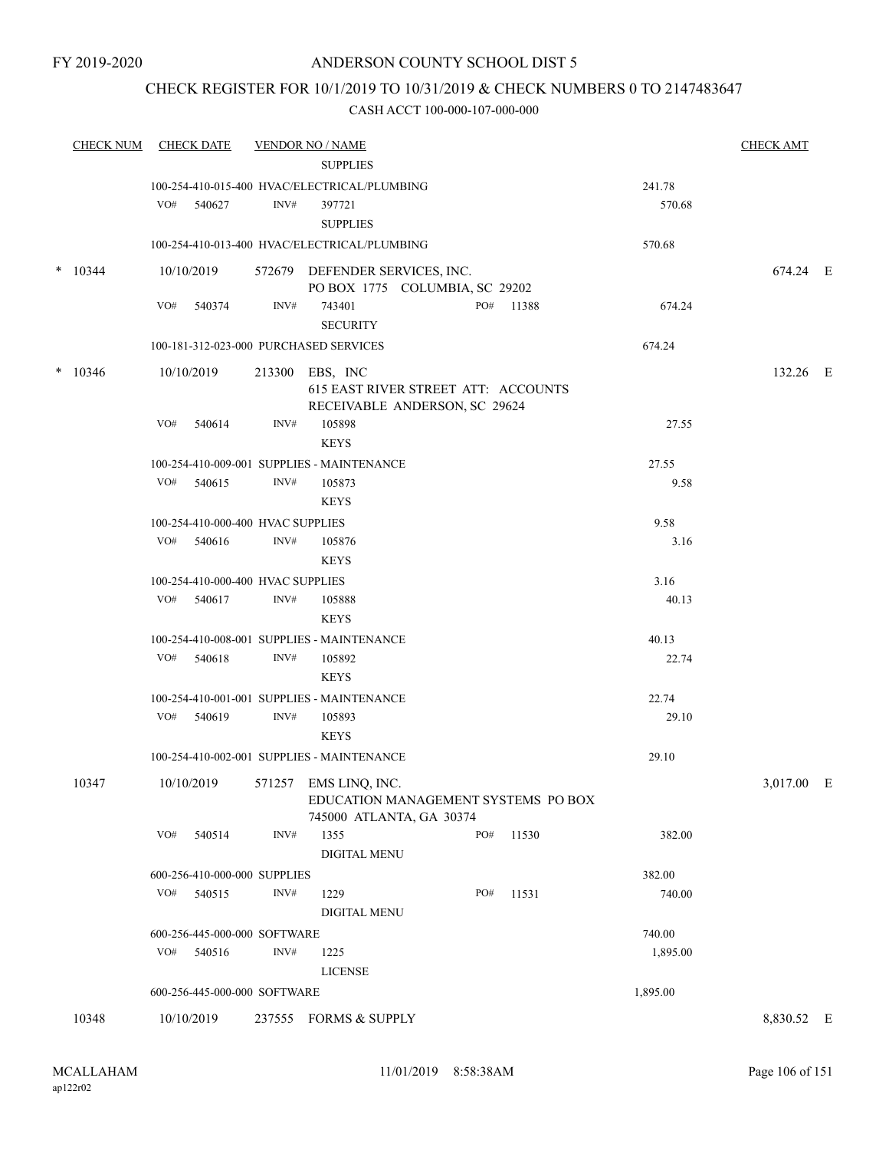## CHECK REGISTER FOR 10/1/2019 TO 10/31/2019 & CHECK NUMBERS 0 TO 2147483647

| <b>CHECK NUM</b> | <b>CHECK DATE</b>                                  |      | <b>VENDOR NO / NAME</b>                      |     |           |          | <b>CHECK AMT</b> |  |
|------------------|----------------------------------------------------|------|----------------------------------------------|-----|-----------|----------|------------------|--|
|                  |                                                    |      | <b>SUPPLIES</b>                              |     |           |          |                  |  |
|                  |                                                    |      | 100-254-410-015-400 HVAC/ELECTRICAL/PLUMBING |     |           | 241.78   |                  |  |
|                  | VO# 540627                                         | INV# | 397721                                       |     |           | 570.68   |                  |  |
|                  |                                                    |      | <b>SUPPLIES</b>                              |     |           |          |                  |  |
|                  |                                                    |      | 100-254-410-013-400 HVAC/ELECTRICAL/PLUMBING |     |           | 570.68   |                  |  |
| $*$ 10344        | 10/10/2019                                         |      | 572679 DEFENDER SERVICES, INC.               |     |           |          | 674.24 E         |  |
|                  |                                                    |      | PO BOX 1775 COLUMBIA, SC 29202               |     |           |          |                  |  |
|                  | VO#<br>540374                                      | INV# | 743401                                       |     | PO# 11388 | 674.24   |                  |  |
|                  |                                                    |      | <b>SECURITY</b>                              |     |           |          |                  |  |
|                  | 100-181-312-023-000 PURCHASED SERVICES             |      |                                              |     |           | 674.24   |                  |  |
| $*$ 10346        | 10/10/2019                                         |      | 213300 EBS, INC                              |     |           |          | 132.26 E         |  |
|                  |                                                    |      | 615 EAST RIVER STREET ATT: ACCOUNTS          |     |           |          |                  |  |
|                  |                                                    |      | RECEIVABLE ANDERSON, SC 29624                |     |           |          |                  |  |
|                  | VO#<br>540614                                      | INV# | 105898                                       |     |           | 27.55    |                  |  |
|                  |                                                    |      | <b>KEYS</b>                                  |     |           |          |                  |  |
|                  |                                                    |      | 100-254-410-009-001 SUPPLIES - MAINTENANCE   |     |           | 27.55    |                  |  |
|                  | VO# 540615                                         | INV# | 105873                                       |     |           | 9.58     |                  |  |
|                  |                                                    |      | <b>KEYS</b>                                  |     |           |          |                  |  |
|                  | 100-254-410-000-400 HVAC SUPPLIES                  |      |                                              |     |           | 9.58     |                  |  |
|                  | VO# 540616                                         | INV# | 105876                                       |     |           | 3.16     |                  |  |
|                  |                                                    |      | <b>KEYS</b>                                  |     |           |          |                  |  |
|                  |                                                    |      |                                              |     |           | 3.16     |                  |  |
|                  | 100-254-410-000-400 HVAC SUPPLIES<br>VO#<br>540617 | INV# | 105888                                       |     |           | 40.13    |                  |  |
|                  |                                                    |      | <b>KEYS</b>                                  |     |           |          |                  |  |
|                  |                                                    |      |                                              |     |           |          |                  |  |
|                  |                                                    |      | 100-254-410-008-001 SUPPLIES - MAINTENANCE   |     |           | 40.13    |                  |  |
|                  | VO# 540618                                         | INV# | 105892                                       |     |           | 22.74    |                  |  |
|                  |                                                    |      | <b>KEYS</b>                                  |     |           |          |                  |  |
|                  |                                                    |      | 100-254-410-001-001 SUPPLIES - MAINTENANCE   |     |           | 22.74    |                  |  |
|                  | VO# 540619                                         | INV# | 105893                                       |     |           | 29.10    |                  |  |
|                  |                                                    |      | <b>KEYS</b>                                  |     |           |          |                  |  |
|                  |                                                    |      | 100-254-410-002-001 SUPPLIES - MAINTENANCE   |     |           | 29.10    |                  |  |
| 10347            | 10/10/2019                                         |      | 571257 EMS LINO, INC.                        |     |           |          | 3,017.00 E       |  |
|                  |                                                    |      | EDUCATION MANAGEMENT SYSTEMS PO BOX          |     |           |          |                  |  |
|                  |                                                    |      | 745000 ATLANTA, GA 30374                     |     |           |          |                  |  |
|                  | VO#<br>540514                                      | INV# | 1355                                         | PO# | 11530     | 382.00   |                  |  |
|                  |                                                    |      | <b>DIGITAL MENU</b>                          |     |           |          |                  |  |
|                  | 600-256-410-000-000 SUPPLIES                       |      |                                              |     |           | 382.00   |                  |  |
|                  | VO# 540515                                         | INV# | 1229                                         | PO# | 11531     | 740.00   |                  |  |
|                  |                                                    |      | <b>DIGITAL MENU</b>                          |     |           |          |                  |  |
|                  | 600-256-445-000-000 SOFTWARE                       |      |                                              |     |           | 740.00   |                  |  |
|                  | VO# 540516                                         | INV# | 1225                                         |     |           | 1,895.00 |                  |  |
|                  |                                                    |      | <b>LICENSE</b>                               |     |           |          |                  |  |
|                  | 600-256-445-000-000 SOFTWARE                       |      |                                              |     |           | 1,895.00 |                  |  |
| 10348            | 10/10/2019                                         |      | 237555 FORMS & SUPPLY                        |     |           |          | 8,830.52 E       |  |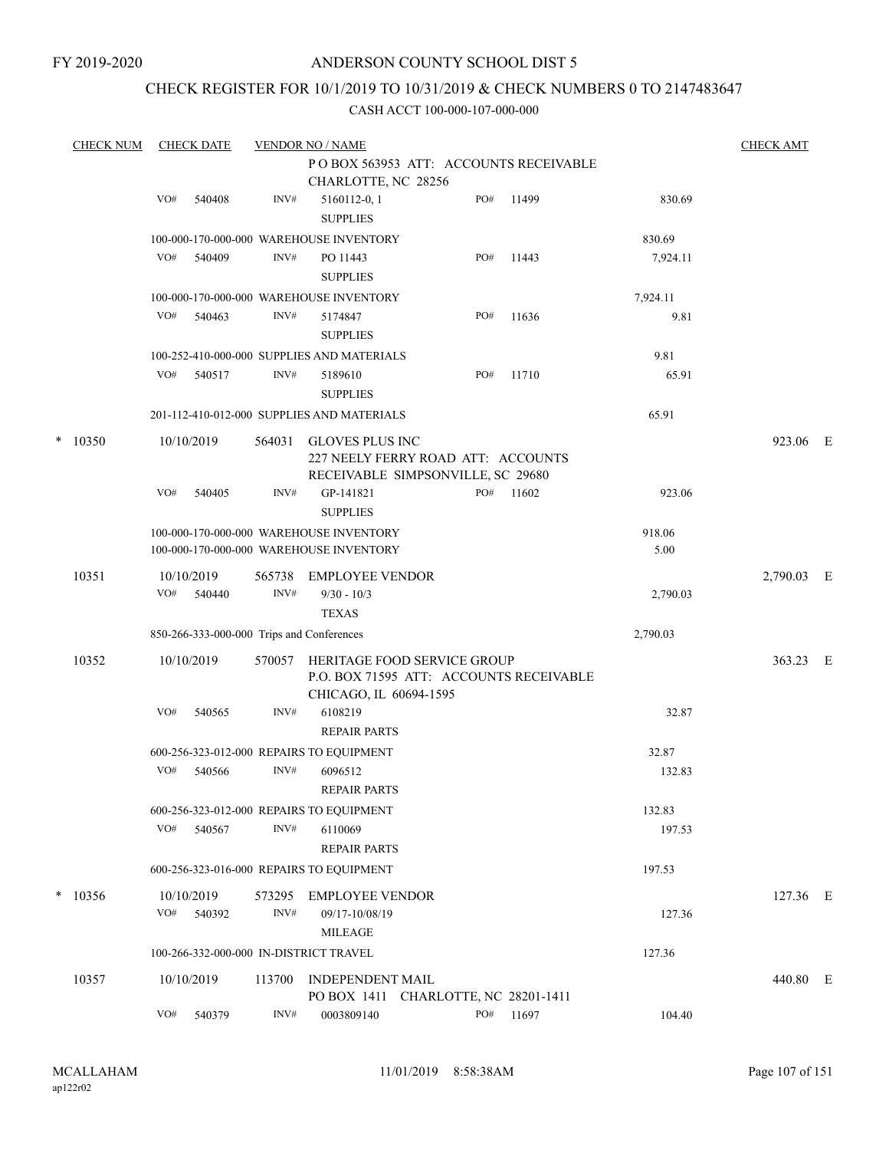## CHECK REGISTER FOR 10/1/2019 TO 10/31/2019 & CHECK NUMBERS 0 TO 2147483647

|   | <b>CHECK NUM</b> |     | <b>CHECK DATE</b>    |                | <b>VENDOR NO / NAME</b>                                                            |                                                                         |       |                | <b>CHECK AMT</b> |   |
|---|------------------|-----|----------------------|----------------|------------------------------------------------------------------------------------|-------------------------------------------------------------------------|-------|----------------|------------------|---|
|   |                  |     |                      |                | CHARLOTTE, NC 28256                                                                | POBOX 563953 ATT: ACCOUNTS RECEIVABLE                                   |       |                |                  |   |
|   |                  | VO# | 540408               | INV#           | 5160112-0, 1<br><b>SUPPLIES</b>                                                    | PO#                                                                     | 11499 | 830.69         |                  |   |
|   |                  |     |                      |                | 100-000-170-000-000 WAREHOUSE INVENTORY                                            |                                                                         |       | 830.69         |                  |   |
|   |                  | VO# | 540409               | INV#           | PO 11443<br><b>SUPPLIES</b>                                                        | PO#                                                                     | 11443 | 7,924.11       |                  |   |
|   |                  |     |                      |                | 100-000-170-000-000 WAREHOUSE INVENTORY                                            |                                                                         |       | 7,924.11       |                  |   |
|   |                  | VO# | 540463               | INV#           | 5174847<br><b>SUPPLIES</b>                                                         | PO#                                                                     | 11636 | 9.81           |                  |   |
|   |                  |     |                      |                | 100-252-410-000-000 SUPPLIES AND MATERIALS                                         |                                                                         |       | 9.81           |                  |   |
|   |                  | VO# | 540517               | INV#           | 5189610<br><b>SUPPLIES</b>                                                         | PO#                                                                     | 11710 | 65.91          |                  |   |
|   |                  |     |                      |                | 201-112-410-012-000 SUPPLIES AND MATERIALS                                         |                                                                         |       | 65.91          |                  |   |
| * | 10350            |     | 10/10/2019           | 564031         | <b>GLOVES PLUS INC</b>                                                             | 227 NEELY FERRY ROAD ATT: ACCOUNTS<br>RECEIVABLE SIMPSONVILLE, SC 29680 |       |                | 923.06 E         |   |
|   |                  | VO# | 540405               | INV#           | GP-141821<br><b>SUPPLIES</b>                                                       | PO#                                                                     | 11602 | 923.06         |                  |   |
|   |                  |     |                      |                | 100-000-170-000-000 WAREHOUSE INVENTORY<br>100-000-170-000-000 WAREHOUSE INVENTORY |                                                                         |       | 918.06<br>5.00 |                  |   |
|   | 10351            | VO# | 10/10/2019<br>540440 | 565738<br>INV# | <b>EMPLOYEE VENDOR</b><br>$9/30 - 10/3$<br><b>TEXAS</b>                            |                                                                         |       | 2,790.03       | 2,790.03         | E |
|   |                  |     |                      |                | 850-266-333-000-000 Trips and Conferences                                          |                                                                         |       | 2,790.03       |                  |   |
|   | 10352            |     | 10/10/2019           | 570057         | CHICAGO, IL 60694-1595                                                             | HERITAGE FOOD SERVICE GROUP<br>P.O. BOX 71595 ATT: ACCOUNTS RECEIVABLE  |       |                | 363.23 E         |   |
|   |                  | VO# | 540565               | INV#           | 6108219<br><b>REPAIR PARTS</b>                                                     |                                                                         |       | 32.87          |                  |   |
|   |                  |     |                      |                | 600-256-323-012-000 REPAIRS TO EQUIPMENT                                           |                                                                         |       | 32.87          |                  |   |
|   |                  | VO# | 540566               | INV#           | 6096512<br><b>REPAIR PARTS</b>                                                     |                                                                         |       | 132.83         |                  |   |
|   |                  |     |                      |                | 600-256-323-012-000 REPAIRS TO EQUIPMENT                                           |                                                                         |       | 132.83         |                  |   |
|   |                  | VO# | 540567               | INV#           | 6110069<br><b>REPAIR PARTS</b>                                                     |                                                                         |       | 197.53         |                  |   |
|   |                  |     |                      |                | 600-256-323-016-000 REPAIRS TO EQUIPMENT                                           |                                                                         |       | 197.53         |                  |   |
| * | 10356            |     | 10/10/2019           | 573295         | <b>EMPLOYEE VENDOR</b>                                                             |                                                                         |       |                | 127.36 E         |   |
|   |                  | VO# | 540392               | INV#           | 09/17-10/08/19<br><b>MILEAGE</b>                                                   |                                                                         |       | 127.36         |                  |   |
|   |                  |     |                      |                | 100-266-332-000-000 IN-DISTRICT TRAVEL                                             |                                                                         |       | 127.36         |                  |   |
|   | 10357            |     | 10/10/2019           | 113700         | INDEPENDENT MAIL                                                                   | PO BOX 1411 CHARLOTTE, NC 28201-1411                                    |       |                | 440.80 E         |   |
|   |                  | VO# | 540379               | INV#           | 0003809140                                                                         | PO#                                                                     | 11697 | 104.40         |                  |   |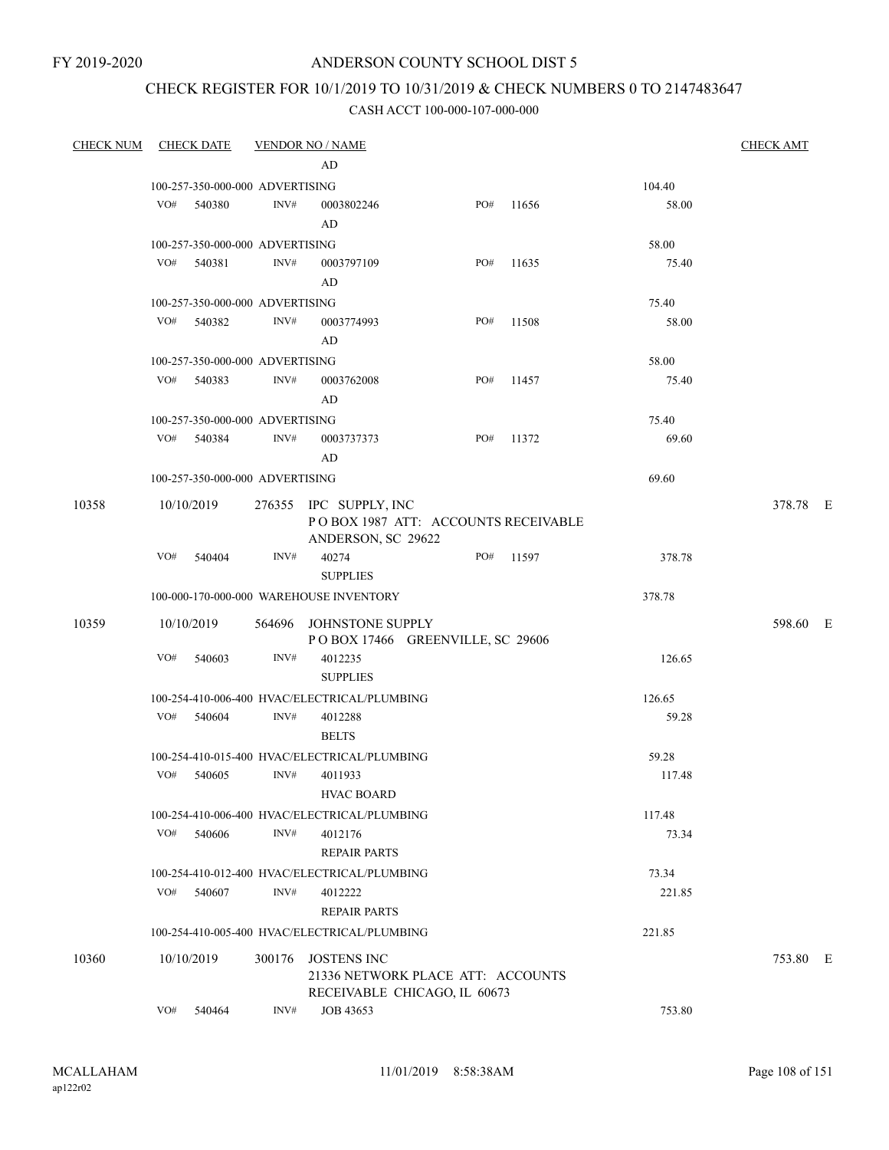#### FY 2019-2020

## ANDERSON COUNTY SCHOOL DIST 5

## CHECK REGISTER FOR 10/1/2019 TO 10/31/2019 & CHECK NUMBERS 0 TO 2147483647

| <b>CHECK NUM</b> |            | <b>CHECK DATE</b>               |                | <b>VENDOR NO / NAME</b>                                                             |     |       |        | <b>CHECK AMT</b> |  |
|------------------|------------|---------------------------------|----------------|-------------------------------------------------------------------------------------|-----|-------|--------|------------------|--|
|                  |            |                                 |                | AD                                                                                  |     |       |        |                  |  |
|                  |            | 100-257-350-000-000 ADVERTISING |                |                                                                                     |     |       | 104.40 |                  |  |
|                  | VO#        | 540380                          | INV#           | 0003802246<br>AD                                                                    | PO# | 11656 | 58.00  |                  |  |
|                  |            | 100-257-350-000-000 ADVERTISING |                |                                                                                     |     |       | 58.00  |                  |  |
|                  | VO#        | 540381                          | INV#           | 0003797109<br>AD                                                                    | PO# | 11635 | 75.40  |                  |  |
|                  |            | 100-257-350-000-000 ADVERTISING |                |                                                                                     |     |       | 75.40  |                  |  |
|                  | VO#        | 540382                          | INV#           | 0003774993<br>AD                                                                    | PO# | 11508 | 58.00  |                  |  |
|                  |            | 100-257-350-000-000 ADVERTISING |                |                                                                                     |     |       | 58.00  |                  |  |
|                  | VO#        | 540383                          | INV#           | 0003762008<br>AD                                                                    | PO# | 11457 | 75.40  |                  |  |
|                  |            | 100-257-350-000-000 ADVERTISING |                |                                                                                     |     |       | 75.40  |                  |  |
|                  | VO# 540384 |                                 | INV#           | 0003737373<br>AD                                                                    | PO# | 11372 | 69.60  |                  |  |
|                  |            | 100-257-350-000-000 ADVERTISING |                |                                                                                     |     |       | 69.60  |                  |  |
| 10358            | 10/10/2019 |                                 |                | 276355 IPC SUPPLY, INC<br>POBOX 1987 ATT: ACCOUNTS RECEIVABLE<br>ANDERSON, SC 29622 |     |       |        | 378.78 E         |  |
|                  | VO#        | 540404                          | INV#           | 40274<br><b>SUPPLIES</b>                                                            | PO# | 11597 | 378.78 |                  |  |
|                  |            |                                 |                | 100-000-170-000-000 WAREHOUSE INVENTORY                                             |     |       | 378.78 |                  |  |
| 10359            | 10/10/2019 |                                 |                | 564696 JOHNSTONE SUPPLY<br>POBOX 17466 GREENVILLE, SC 29606                         |     |       |        | 598.60 E         |  |
|                  | VO#        | 540603                          | INV#           | 4012235<br><b>SUPPLIES</b>                                                          |     |       | 126.65 |                  |  |
|                  |            |                                 |                | 100-254-410-006-400 HVAC/ELECTRICAL/PLUMBING                                        |     |       | 126.65 |                  |  |
|                  | VO# 540604 |                                 | INV#           | 4012288<br><b>BELTS</b>                                                             |     |       | 59.28  |                  |  |
|                  |            |                                 |                | 100-254-410-015-400 HVAC/ELECTRICAL/PLUMBING                                        |     |       | 59.28  |                  |  |
|                  | VO#        | 540605                          | $\text{INV}\#$ | 4011933<br><b>HVAC BOARD</b>                                                        |     |       | 117.48 |                  |  |
|                  |            |                                 |                | 100-254-410-006-400 HVAC/ELECTRICAL/PLUMBING                                        |     |       | 117.48 |                  |  |
|                  | VO#        | 540606                          | INV#           | 4012176<br><b>REPAIR PARTS</b>                                                      |     |       | 73.34  |                  |  |
|                  |            |                                 |                | 100-254-410-012-400 HVAC/ELECTRICAL/PLUMBING                                        |     |       | 73.34  |                  |  |
|                  | VO#        | 540607                          | INV#           | 4012222<br><b>REPAIR PARTS</b>                                                      |     |       | 221.85 |                  |  |
|                  |            |                                 |                | 100-254-410-005-400 HVAC/ELECTRICAL/PLUMBING                                        |     |       | 221.85 |                  |  |
| 10360            | 10/10/2019 |                                 | 300176         | JOSTENS INC<br>21336 NETWORK PLACE ATT: ACCOUNTS<br>RECEIVABLE CHICAGO, IL 60673    |     |       |        | 753.80 E         |  |
|                  | VO#        | 540464                          | INV#           | JOB 43653                                                                           |     |       | 753.80 |                  |  |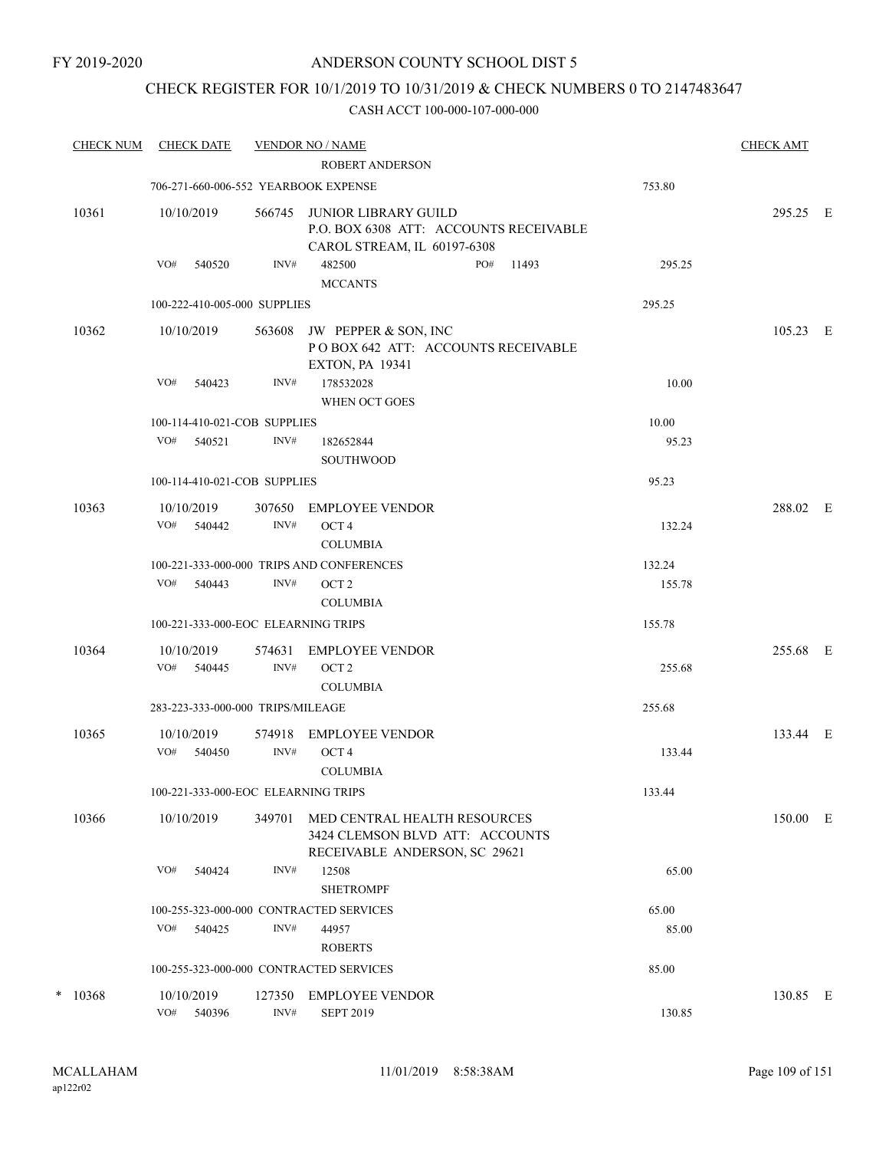## CHECK REGISTER FOR 10/1/2019 TO 10/31/2019 & CHECK NUMBERS 0 TO 2147483647

| <b>CHECK NUM</b> | <b>CHECK DATE</b>                       |                | <b>VENDOR NO / NAME</b><br>ROBERT ANDERSON                                                       |        | <b>CHECK AMT</b> |  |
|------------------|-----------------------------------------|----------------|--------------------------------------------------------------------------------------------------|--------|------------------|--|
|                  | 706-271-660-006-552 YEARBOOK EXPENSE    |                |                                                                                                  | 753.80 |                  |  |
| 10361            | 10/10/2019                              | 566745         | JUNIOR LIBRARY GUILD<br>P.O. BOX 6308 ATT: ACCOUNTS RECEIVABLE<br>CAROL STREAM, IL 60197-6308    |        | 295.25 E         |  |
|                  | VO#<br>540520                           | INV#           | 482500<br>PO#<br>11493<br><b>MCCANTS</b>                                                         | 295.25 |                  |  |
|                  | 100-222-410-005-000 SUPPLIES            |                |                                                                                                  | 295.25 |                  |  |
| 10362            | 10/10/2019                              | 563608         | JW PEPPER & SON, INC<br>POBOX 642 ATT: ACCOUNTS RECEIVABLE<br><b>EXTON, PA 19341</b>             |        | 105.23 E         |  |
|                  | VO#<br>540423                           | INV#           | 178532028<br>WHEN OCT GOES                                                                       | 10.00  |                  |  |
|                  | 100-114-410-021-COB SUPPLIES            |                |                                                                                                  | 10.00  |                  |  |
|                  | VO#<br>540521                           | INV#           | 182652844<br>SOUTHWOOD                                                                           | 95.23  |                  |  |
|                  | 100-114-410-021-COB SUPPLIES            |                |                                                                                                  | 95.23  |                  |  |
| 10363            | 10/10/2019                              | 307650         | <b>EMPLOYEE VENDOR</b>                                                                           |        | 288.02 E         |  |
|                  | VO#<br>540442                           | INV#           | OCT <sub>4</sub><br><b>COLUMBIA</b>                                                              | 132.24 |                  |  |
|                  |                                         |                | 100-221-333-000-000 TRIPS AND CONFERENCES                                                        | 132.24 |                  |  |
|                  | VO#<br>540443                           | INV#           | OCT <sub>2</sub><br><b>COLUMBIA</b>                                                              | 155.78 |                  |  |
|                  | 100-221-333-000-EOC ELEARNING TRIPS     |                |                                                                                                  | 155.78 |                  |  |
| 10364            | 10/10/2019<br>VO# 540445                | 574631<br>INV# | <b>EMPLOYEE VENDOR</b><br>OCT <sub>2</sub>                                                       | 255.68 | 255.68 E         |  |
|                  |                                         |                | <b>COLUMBIA</b>                                                                                  |        |                  |  |
|                  | 283-223-333-000-000 TRIPS/MILEAGE       |                |                                                                                                  | 255.68 |                  |  |
| 10365            | 10/10/2019<br>VO#<br>540450             | 574918<br>INV# | <b>EMPLOYEE VENDOR</b><br>OCT <sub>4</sub><br><b>COLUMBIA</b>                                    | 133.44 | 133.44 E         |  |
|                  | 100-221-333-000-EOC ELEARNING TRIPS     |                |                                                                                                  | 133.44 |                  |  |
| 10366            | 10/10/2019                              | 349701         | MED CENTRAL HEALTH RESOURCES<br>3424 CLEMSON BLVD ATT: ACCOUNTS<br>RECEIVABLE ANDERSON, SC 29621 |        | 150.00 E         |  |
|                  | VO#<br>540424                           | INV#           | 12508<br><b>SHETROMPF</b>                                                                        | 65.00  |                  |  |
|                  | 100-255-323-000-000 CONTRACTED SERVICES |                |                                                                                                  | 65.00  |                  |  |
|                  | VO#<br>540425                           | INV#           | 44957<br><b>ROBERTS</b>                                                                          | 85.00  |                  |  |
|                  | 100-255-323-000-000 CONTRACTED SERVICES |                |                                                                                                  | 85.00  |                  |  |
| $*$ 10368        | 10/10/2019                              | 127350         | <b>EMPLOYEE VENDOR</b>                                                                           |        | 130.85 E         |  |
|                  | VO#<br>540396                           | INV#           | <b>SEPT 2019</b>                                                                                 | 130.85 |                  |  |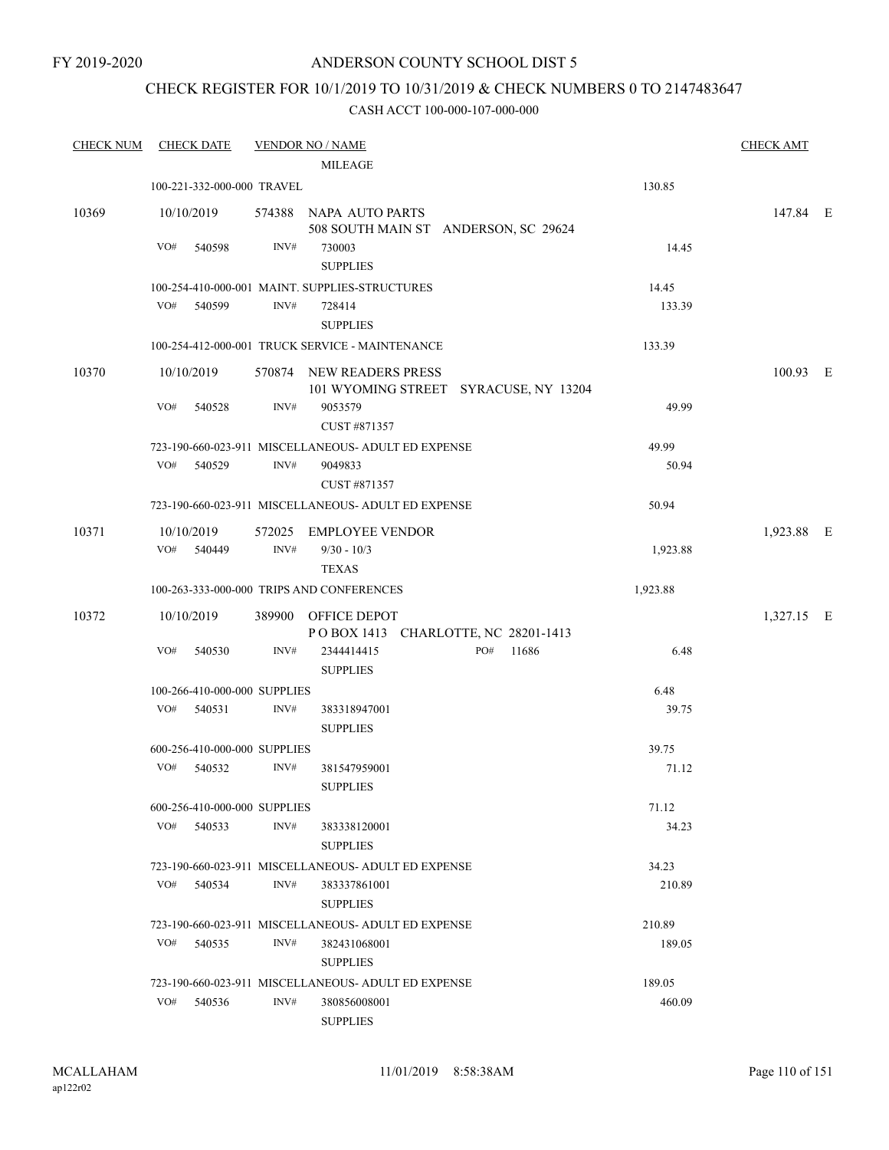FY 2019-2020

### ANDERSON COUNTY SCHOOL DIST 5

## CHECK REGISTER FOR 10/1/2019 TO 10/31/2019 & CHECK NUMBERS 0 TO 2147483647

| <b>CHECK NUM</b> | <b>CHECK DATE</b>            | <b>VENDOR NO / NAME</b>                                           | <b>CHECK AMT</b>       |
|------------------|------------------------------|-------------------------------------------------------------------|------------------------|
|                  |                              | <b>MILEAGE</b>                                                    |                        |
|                  | 100-221-332-000-000 TRAVEL   |                                                                   | 130.85                 |
| 10369            | 10/10/2019                   | 574388 NAPA AUTO PARTS<br>508 SOUTH MAIN ST ANDERSON, SC 29624    | 147.84 E               |
|                  | VO#<br>540598                | INV#<br>730003<br><b>SUPPLIES</b>                                 | 14.45                  |
|                  |                              | 100-254-410-000-001 MAINT. SUPPLIES-STRUCTURES                    | 14.45                  |
|                  | VO#<br>540599                | INV#<br>728414<br><b>SUPPLIES</b>                                 | 133.39                 |
|                  |                              | 100-254-412-000-001 TRUCK SERVICE - MAINTENANCE                   | 133.39                 |
| 10370            | 10/10/2019                   | 570874 NEW READERS PRESS<br>101 WYOMING STREET SYRACUSE, NY 13204 | 100.93 E               |
|                  | VO#<br>540528                | INV#<br>9053579<br>CUST #871357                                   | 49.99                  |
|                  |                              | 723-190-660-023-911 MISCELLANEOUS- ADULT ED EXPENSE               | 49.99                  |
|                  | VO# 540529                   | INV#<br>9049833<br>CUST #871357                                   | 50.94                  |
|                  |                              | 723-190-660-023-911 MISCELLANEOUS- ADULT ED EXPENSE               | 50.94                  |
| 10371            | 10/10/2019<br>VO# 540449     | 572025 EMPLOYEE VENDOR<br>INV#<br>$9/30 - 10/3$<br><b>TEXAS</b>   | 1,923.88 E<br>1,923.88 |
|                  |                              | 100-263-333-000-000 TRIPS AND CONFERENCES                         | 1,923.88               |
|                  |                              |                                                                   |                        |
| 10372            | 10/10/2019                   | 389900 OFFICE DEPOT<br>POBOX 1413 CHARLOTTE, NC 28201-1413        | 1,327.15 E             |
|                  | VO#<br>540530                | INV#<br>PO# 11686<br>2344414415<br><b>SUPPLIES</b>                | 6.48                   |
|                  | 100-266-410-000-000 SUPPLIES |                                                                   | 6.48                   |
|                  | VO# 540531                   | INV#<br>383318947001<br><b>SUPPLIES</b>                           | 39.75                  |
|                  | 600-256-410-000-000 SUPPLIES |                                                                   | 39.75                  |
|                  | VO#<br>540532                | INV#<br>381547959001<br><b>SUPPLIES</b>                           | 71.12                  |
|                  | 600-256-410-000-000 SUPPLIES |                                                                   | 71.12                  |
|                  | VO# 540533                   | INV#<br>383338120001<br><b>SUPPLIES</b>                           | 34.23                  |
|                  |                              | 723-190-660-023-911 MISCELLANEOUS- ADULT ED EXPENSE               | 34.23                  |
|                  | VO# 540534                   | INV#<br>383337861001<br><b>SUPPLIES</b>                           | 210.89                 |
|                  |                              | 723-190-660-023-911 MISCELLANEOUS- ADULT ED EXPENSE               | 210.89                 |
|                  | VO# 540535                   | INV#<br>382431068001<br><b>SUPPLIES</b>                           | 189.05                 |
|                  |                              | 723-190-660-023-911 MISCELLANEOUS- ADULT ED EXPENSE               | 189.05                 |
|                  | VO#<br>540536                | INV#<br>380856008001<br><b>SUPPLIES</b>                           | 460.09                 |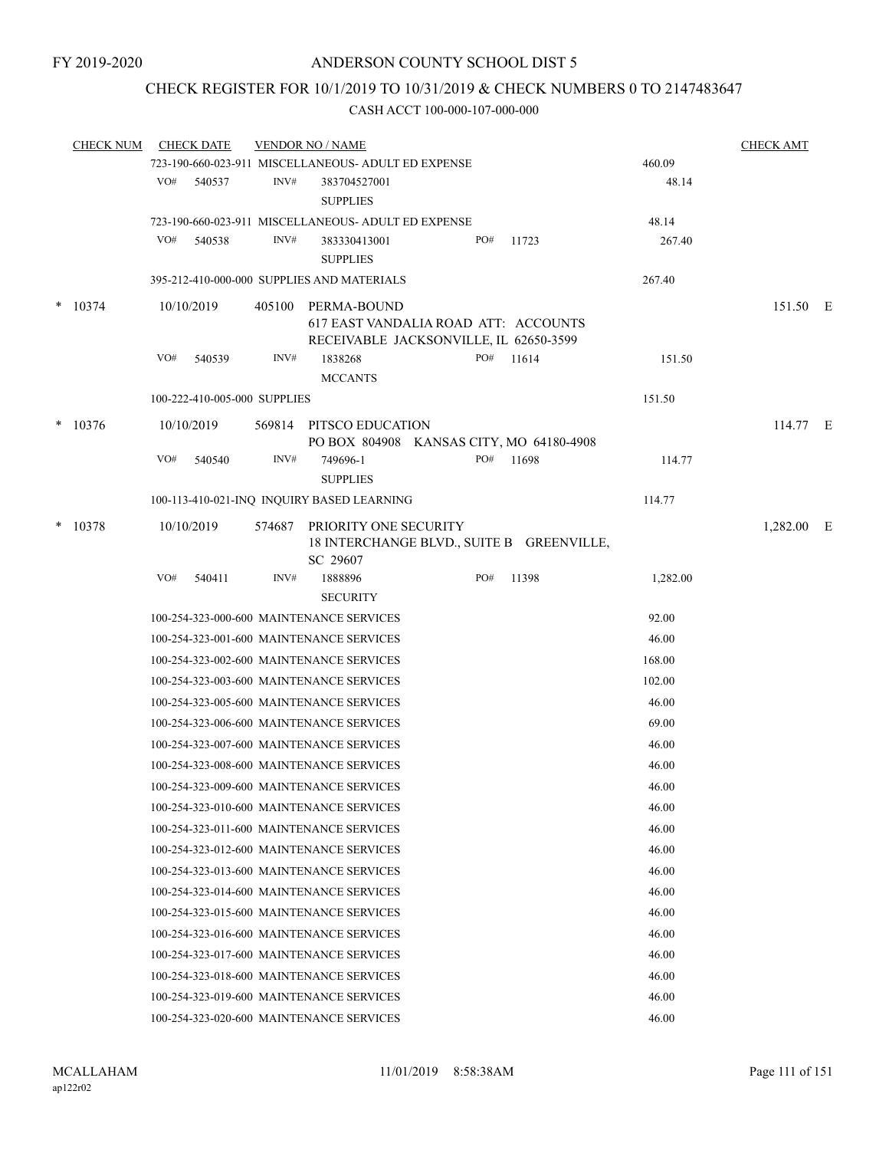## CHECK REGISTER FOR 10/1/2019 TO 10/31/2019 & CHECK NUMBERS 0 TO 2147483647

|        | <b>CHECK NUM</b> |     | <b>CHECK DATE</b>            |        | <b>VENDOR NO / NAME</b>                             |     |       |          | <b>CHECK AMT</b> |  |
|--------|------------------|-----|------------------------------|--------|-----------------------------------------------------|-----|-------|----------|------------------|--|
|        |                  |     |                              |        | 723-190-660-023-911 MISCELLANEOUS- ADULT ED EXPENSE |     |       | 460.09   |                  |  |
|        |                  | VO# | 540537                       | INV#   | 383704527001<br><b>SUPPLIES</b>                     |     |       | 48.14    |                  |  |
|        |                  |     |                              |        | 723-190-660-023-911 MISCELLANEOUS- ADULT ED EXPENSE |     |       | 48.14    |                  |  |
|        |                  | VO# | 540538                       | INV#   | 383330413001                                        | PO# | 11723 | 267.40   |                  |  |
|        |                  |     |                              |        | <b>SUPPLIES</b>                                     |     |       |          |                  |  |
|        |                  |     |                              |        | 395-212-410-000-000 SUPPLIES AND MATERIALS          |     |       | 267.40   |                  |  |
| *      | 10374            |     | 10/10/2019                   |        | 405100 PERMA-BOUND                                  |     |       |          | 151.50 E         |  |
|        |                  |     |                              |        | 617 EAST VANDALIA ROAD ATT: ACCOUNTS                |     |       |          |                  |  |
|        |                  |     |                              |        | RECEIVABLE JACKSONVILLE, IL 62650-3599              |     |       |          |                  |  |
|        |                  | VO# | 540539                       | INV#   | 1838268                                             | PO# | 11614 | 151.50   |                  |  |
|        |                  |     |                              |        | <b>MCCANTS</b>                                      |     |       |          |                  |  |
|        |                  |     | 100-222-410-005-000 SUPPLIES |        |                                                     |     |       | 151.50   |                  |  |
| $\ast$ | 10376            |     | 10/10/2019                   | 569814 | PITSCO EDUCATION                                    |     |       |          | 114.77 E         |  |
|        |                  |     |                              |        | PO BOX 804908 KANSAS CITY, MO 64180-4908            |     |       |          |                  |  |
|        |                  | VO# | 540540                       | INV#   | 749696-1                                            | PO# | 11698 | 114.77   |                  |  |
|        |                  |     |                              |        | <b>SUPPLIES</b>                                     |     |       |          |                  |  |
|        |                  |     |                              |        | 100-113-410-021-INQ INQUIRY BASED LEARNING          |     |       | 114.77   |                  |  |
| *      | 10378            |     | 10/10/2019                   |        | 574687 PRIORITY ONE SECURITY                        |     |       |          | 1,282.00 E       |  |
|        |                  |     |                              |        | 18 INTERCHANGE BLVD., SUITE B GREENVILLE,           |     |       |          |                  |  |
|        |                  | VO# | 540411                       | INV#   | SC 29607<br>1888896                                 | PO# | 11398 |          |                  |  |
|        |                  |     |                              |        | <b>SECURITY</b>                                     |     |       | 1,282.00 |                  |  |
|        |                  |     |                              |        |                                                     |     |       |          |                  |  |
|        |                  |     |                              |        | 100-254-323-000-600 MAINTENANCE SERVICES            |     |       | 92.00    |                  |  |
|        |                  |     |                              |        | 100-254-323-001-600 MAINTENANCE SERVICES            |     |       | 46.00    |                  |  |
|        |                  |     |                              |        | 100-254-323-002-600 MAINTENANCE SERVICES            |     |       | 168.00   |                  |  |
|        |                  |     |                              |        | 100-254-323-003-600 MAINTENANCE SERVICES            |     |       | 102.00   |                  |  |
|        |                  |     |                              |        | 100-254-323-005-600 MAINTENANCE SERVICES            |     |       | 46.00    |                  |  |
|        |                  |     |                              |        | 100-254-323-006-600 MAINTENANCE SERVICES            |     |       | 69.00    |                  |  |
|        |                  |     |                              |        | 100-254-323-007-600 MAINTENANCE SERVICES            |     |       | 46.00    |                  |  |
|        |                  |     |                              |        | 100-254-323-008-600 MAINTENANCE SERVICES            |     |       | 46.00    |                  |  |
|        |                  |     |                              |        | 100-254-323-009-600 MAINTENANCE SERVICES            |     |       | 46.00    |                  |  |
|        |                  |     |                              |        | 100-254-323-010-600 MAINTENANCE SERVICES            |     |       | 46.00    |                  |  |
|        |                  |     |                              |        | 100-254-323-011-600 MAINTENANCE SERVICES            |     |       | 46.00    |                  |  |
|        |                  |     |                              |        | 100-254-323-012-600 MAINTENANCE SERVICES            |     |       | 46.00    |                  |  |
|        |                  |     |                              |        | 100-254-323-013-600 MAINTENANCE SERVICES            |     |       | 46.00    |                  |  |
|        |                  |     |                              |        | 100-254-323-014-600 MAINTENANCE SERVICES            |     |       | 46.00    |                  |  |
|        |                  |     |                              |        | 100-254-323-015-600 MAINTENANCE SERVICES            |     |       | 46.00    |                  |  |
|        |                  |     |                              |        | 100-254-323-016-600 MAINTENANCE SERVICES            |     |       | 46.00    |                  |  |
|        |                  |     |                              |        | 100-254-323-017-600 MAINTENANCE SERVICES            |     |       | 46.00    |                  |  |
|        |                  |     |                              |        |                                                     |     |       |          |                  |  |
|        |                  |     |                              |        | 100-254-323-018-600 MAINTENANCE SERVICES            |     |       | 46.00    |                  |  |
|        |                  |     |                              |        | 100-254-323-019-600 MAINTENANCE SERVICES            |     |       | 46.00    |                  |  |
|        |                  |     |                              |        | 100-254-323-020-600 MAINTENANCE SERVICES            |     |       | 46.00    |                  |  |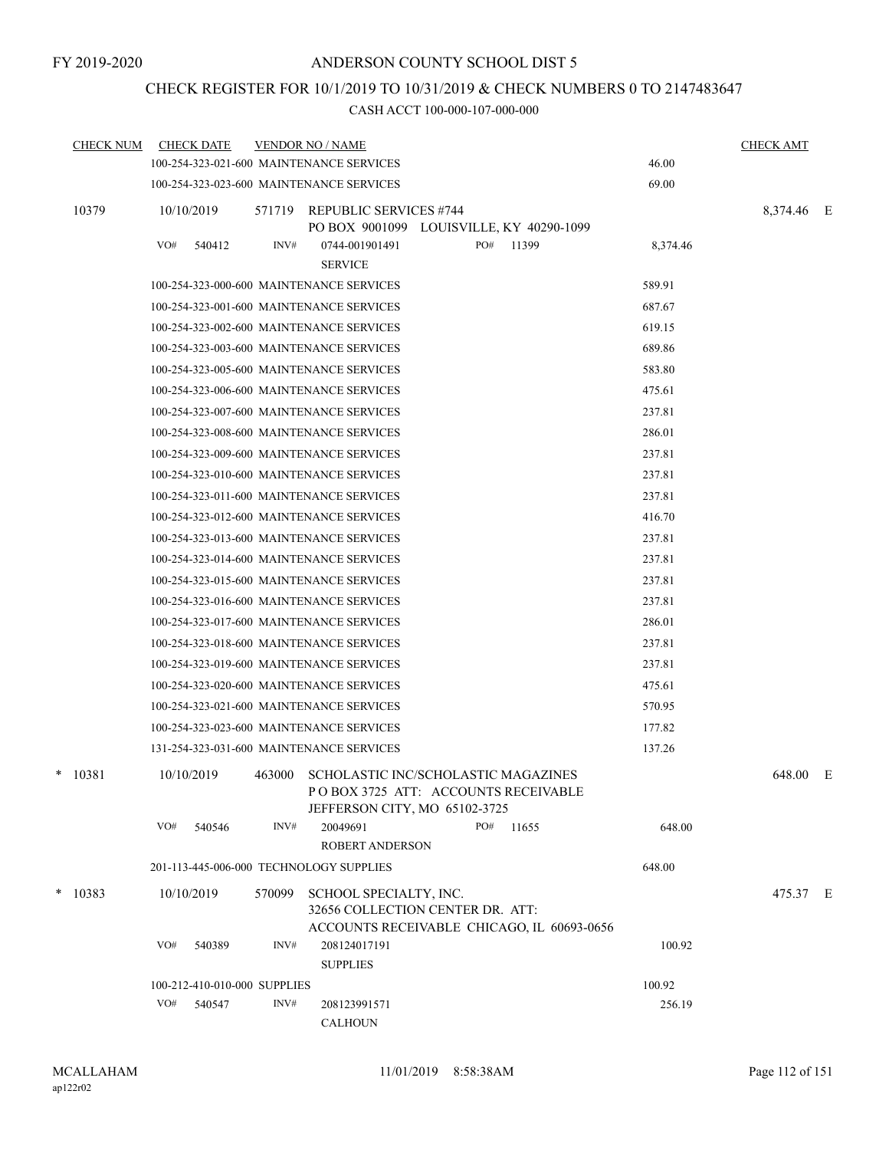## CHECK REGISTER FOR 10/1/2019 TO 10/31/2019 & CHECK NUMBERS 0 TO 2147483647

| <b>CHECK NUM</b> |     | <b>CHECK DATE</b>            |        | <b>VENDOR NO / NAME</b>                                                                                  |     |       |          | <b>CHECK AMT</b> |  |
|------------------|-----|------------------------------|--------|----------------------------------------------------------------------------------------------------------|-----|-------|----------|------------------|--|
|                  |     |                              |        | 100-254-323-021-600 MAINTENANCE SERVICES                                                                 |     |       | 46.00    |                  |  |
|                  |     |                              |        | 100-254-323-023-600 MAINTENANCE SERVICES                                                                 |     |       | 69.00    |                  |  |
| 10379            |     | 10/10/2019                   | 571719 | REPUBLIC SERVICES #744                                                                                   |     |       |          | 8,374.46 E       |  |
|                  |     |                              |        | PO BOX 9001099 LOUISVILLE, KY 40290-1099                                                                 |     |       |          |                  |  |
|                  | VO# | 540412                       | INV#   | 0744-001901491<br><b>SERVICE</b>                                                                         | PO# | 11399 | 8,374.46 |                  |  |
|                  |     |                              |        | 100-254-323-000-600 MAINTENANCE SERVICES                                                                 |     |       | 589.91   |                  |  |
|                  |     |                              |        | 100-254-323-001-600 MAINTENANCE SERVICES                                                                 |     |       | 687.67   |                  |  |
|                  |     |                              |        | 100-254-323-002-600 MAINTENANCE SERVICES                                                                 |     |       | 619.15   |                  |  |
|                  |     |                              |        | 100-254-323-003-600 MAINTENANCE SERVICES                                                                 |     |       | 689.86   |                  |  |
|                  |     |                              |        | 100-254-323-005-600 MAINTENANCE SERVICES                                                                 |     |       | 583.80   |                  |  |
|                  |     |                              |        | 100-254-323-006-600 MAINTENANCE SERVICES                                                                 |     |       | 475.61   |                  |  |
|                  |     |                              |        | 100-254-323-007-600 MAINTENANCE SERVICES                                                                 |     |       | 237.81   |                  |  |
|                  |     |                              |        | 100-254-323-008-600 MAINTENANCE SERVICES                                                                 |     |       | 286.01   |                  |  |
|                  |     |                              |        | 100-254-323-009-600 MAINTENANCE SERVICES                                                                 |     |       | 237.81   |                  |  |
|                  |     |                              |        | 100-254-323-010-600 MAINTENANCE SERVICES                                                                 |     |       | 237.81   |                  |  |
|                  |     |                              |        | 100-254-323-011-600 MAINTENANCE SERVICES                                                                 |     |       | 237.81   |                  |  |
|                  |     |                              |        | 100-254-323-012-600 MAINTENANCE SERVICES                                                                 |     |       | 416.70   |                  |  |
|                  |     |                              |        | 100-254-323-013-600 MAINTENANCE SERVICES                                                                 |     |       | 237.81   |                  |  |
|                  |     |                              |        | 100-254-323-014-600 MAINTENANCE SERVICES                                                                 |     |       | 237.81   |                  |  |
|                  |     |                              |        | 100-254-323-015-600 MAINTENANCE SERVICES                                                                 |     |       | 237.81   |                  |  |
|                  |     |                              |        | 100-254-323-016-600 MAINTENANCE SERVICES                                                                 |     |       | 237.81   |                  |  |
|                  |     |                              |        | 100-254-323-017-600 MAINTENANCE SERVICES                                                                 |     |       | 286.01   |                  |  |
|                  |     |                              |        | 100-254-323-018-600 MAINTENANCE SERVICES                                                                 |     |       | 237.81   |                  |  |
|                  |     |                              |        | 100-254-323-019-600 MAINTENANCE SERVICES                                                                 |     |       | 237.81   |                  |  |
|                  |     |                              |        | 100-254-323-020-600 MAINTENANCE SERVICES                                                                 |     |       | 475.61   |                  |  |
|                  |     |                              |        | 100-254-323-021-600 MAINTENANCE SERVICES                                                                 |     |       | 570.95   |                  |  |
|                  |     |                              |        | 100-254-323-023-600 MAINTENANCE SERVICES                                                                 |     |       | 177.82   |                  |  |
|                  |     |                              |        | 131-254-323-031-600 MAINTENANCE SERVICES                                                                 |     |       | 137.26   |                  |  |
| $*$ 10381        |     | 10/10/2019                   | 463000 | SCHOLASTIC INC/SCHOLASTIC MAGAZINES                                                                      |     |       |          | 648.00 E         |  |
|                  |     |                              |        | POBOX 3725 ATT: ACCOUNTS RECEIVABLE                                                                      |     |       |          |                  |  |
|                  | VO# | 540546                       | INV#   | JEFFERSON CITY, MO 65102-3725<br>20049691                                                                | PO# | 11655 | 648.00   |                  |  |
|                  |     |                              |        | ROBERT ANDERSON                                                                                          |     |       |          |                  |  |
|                  |     |                              |        | 201-113-445-006-000 TECHNOLOGY SUPPLIES                                                                  |     |       | 648.00   |                  |  |
| $*$ 10383        |     | 10/10/2019                   | 570099 |                                                                                                          |     |       |          |                  |  |
|                  |     |                              |        | SCHOOL SPECIALTY, INC.<br>32656 COLLECTION CENTER DR. ATT:<br>ACCOUNTS RECEIVABLE CHICAGO, IL 60693-0656 |     |       |          | 475.37 E         |  |
|                  | VO# | 540389                       | INV#   | 208124017191                                                                                             |     |       | 100.92   |                  |  |
|                  |     |                              |        | <b>SUPPLIES</b>                                                                                          |     |       |          |                  |  |
|                  |     | 100-212-410-010-000 SUPPLIES |        |                                                                                                          |     |       | 100.92   |                  |  |
|                  | VO# | 540547                       | INV#   | 208123991571<br><b>CALHOUN</b>                                                                           |     |       | 256.19   |                  |  |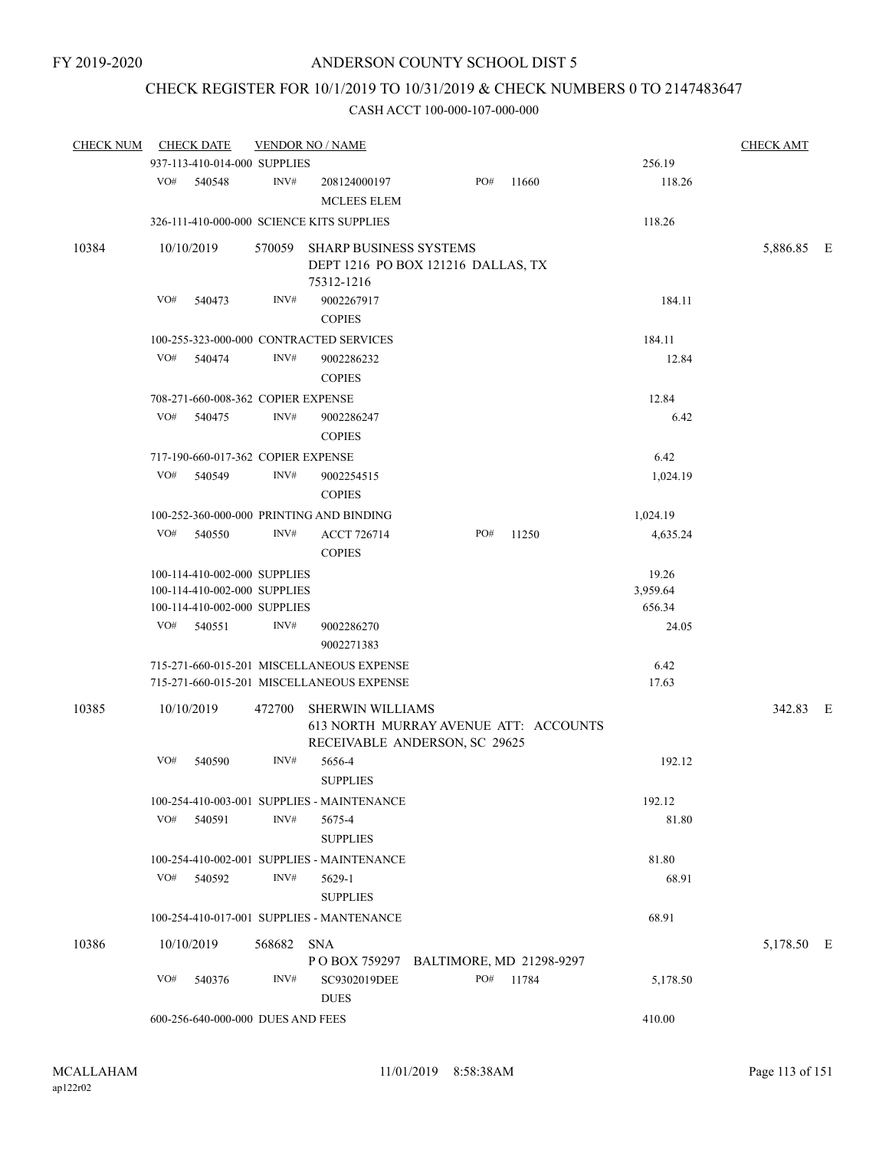# CHECK REGISTER FOR 10/1/2019 TO 10/31/2019 & CHECK NUMBERS 0 TO 2147483647

| <b>CHECK NUM</b> | <b>CHECK DATE</b>                         |        | <b>VENDOR NO / NAME</b>                                                                |                          |           |               | <b>CHECK AMT</b> |  |
|------------------|-------------------------------------------|--------|----------------------------------------------------------------------------------------|--------------------------|-----------|---------------|------------------|--|
|                  | 937-113-410-014-000 SUPPLIES              |        |                                                                                        |                          |           | 256.19        |                  |  |
|                  | VO#<br>540548                             | INV#   | 208124000197<br><b>MCLEES ELEM</b>                                                     | PO#                      | 11660     | 118.26        |                  |  |
|                  | 326-111-410-000-000 SCIENCE KITS SUPPLIES |        |                                                                                        |                          |           | 118.26        |                  |  |
| 10384            | 10/10/2019                                | 570059 | SHARP BUSINESS SYSTEMS<br>DEPT 1216 PO BOX 121216 DALLAS, TX<br>75312-1216             |                          |           |               | 5,886.85 E       |  |
|                  | VO#<br>540473                             | INV#   | 9002267917<br><b>COPIES</b>                                                            |                          |           | 184.11        |                  |  |
|                  |                                           |        | 100-255-323-000-000 CONTRACTED SERVICES                                                |                          |           | 184.11        |                  |  |
|                  | VO#<br>540474                             | INV#   | 9002286232<br><b>COPIES</b>                                                            |                          |           | 12.84         |                  |  |
|                  | 708-271-660-008-362 COPIER EXPENSE        |        |                                                                                        |                          |           | 12.84         |                  |  |
|                  | VO#<br>540475                             | INV#   | 9002286247<br><b>COPIES</b>                                                            |                          |           | 6.42          |                  |  |
|                  | 717-190-660-017-362 COPIER EXPENSE        |        |                                                                                        |                          |           | 6.42          |                  |  |
|                  | VO#<br>540549                             | INV#   | 9002254515<br><b>COPIES</b>                                                            |                          |           | 1,024.19      |                  |  |
|                  |                                           |        | 100-252-360-000-000 PRINTING AND BINDING                                               |                          |           | 1,024.19      |                  |  |
|                  | VO#<br>540550                             | INV#   | <b>ACCT 726714</b><br><b>COPIES</b>                                                    | PO#                      | 11250     | 4,635.24      |                  |  |
|                  | 100-114-410-002-000 SUPPLIES              |        |                                                                                        |                          |           | 19.26         |                  |  |
|                  | 100-114-410-002-000 SUPPLIES              |        |                                                                                        |                          |           | 3,959.64      |                  |  |
|                  | 100-114-410-002-000 SUPPLIES              |        |                                                                                        |                          |           | 656.34        |                  |  |
|                  | VO#<br>540551                             | INV#   | 9002286270<br>9002271383                                                               |                          |           | 24.05         |                  |  |
|                  |                                           |        | 715-271-660-015-201 MISCELLANEOUS EXPENSE<br>715-271-660-015-201 MISCELLANEOUS EXPENSE |                          |           | 6.42<br>17.63 |                  |  |
| 10385            | 10/10/2019                                | 472700 | SHERWIN WILLIAMS<br>613 NORTH MURRAY AVENUE ATT: ACCOUNTS                              |                          |           |               | 342.83 E         |  |
|                  | VO#<br>540590                             | INV#   | RECEIVABLE ANDERSON, SC 29625<br>5656-4<br><b>SUPPLIES</b>                             |                          |           | 192.12        |                  |  |
|                  |                                           |        | 100-254-410-003-001 SUPPLIES - MAINTENANCE                                             |                          |           | 192.12        |                  |  |
|                  | VO#<br>540591                             | INV#   | 5675-4<br><b>SUPPLIES</b>                                                              |                          |           | 81.80         |                  |  |
|                  |                                           |        | 100-254-410-002-001 SUPPLIES - MAINTENANCE                                             |                          |           | 81.80         |                  |  |
|                  |                                           |        |                                                                                        |                          |           |               |                  |  |
|                  | VO#<br>540592                             | INV#   | 5629-1<br><b>SUPPLIES</b>                                                              |                          |           | 68.91         |                  |  |
|                  |                                           |        | 100-254-410-017-001 SUPPLIES - MANTENANCE                                              |                          |           | 68.91         |                  |  |
| 10386            | 10/10/2019                                | 568682 | <b>SNA</b><br>P O BOX 759297                                                           | BALTIMORE, MD 21298-9297 |           |               | 5,178.50 E       |  |
|                  | VO#<br>540376                             | INV#   | SC9302019DEE<br><b>DUES</b>                                                            |                          | PO# 11784 | 5,178.50      |                  |  |
|                  | 600-256-640-000-000 DUES AND FEES         |        |                                                                                        |                          |           | 410.00        |                  |  |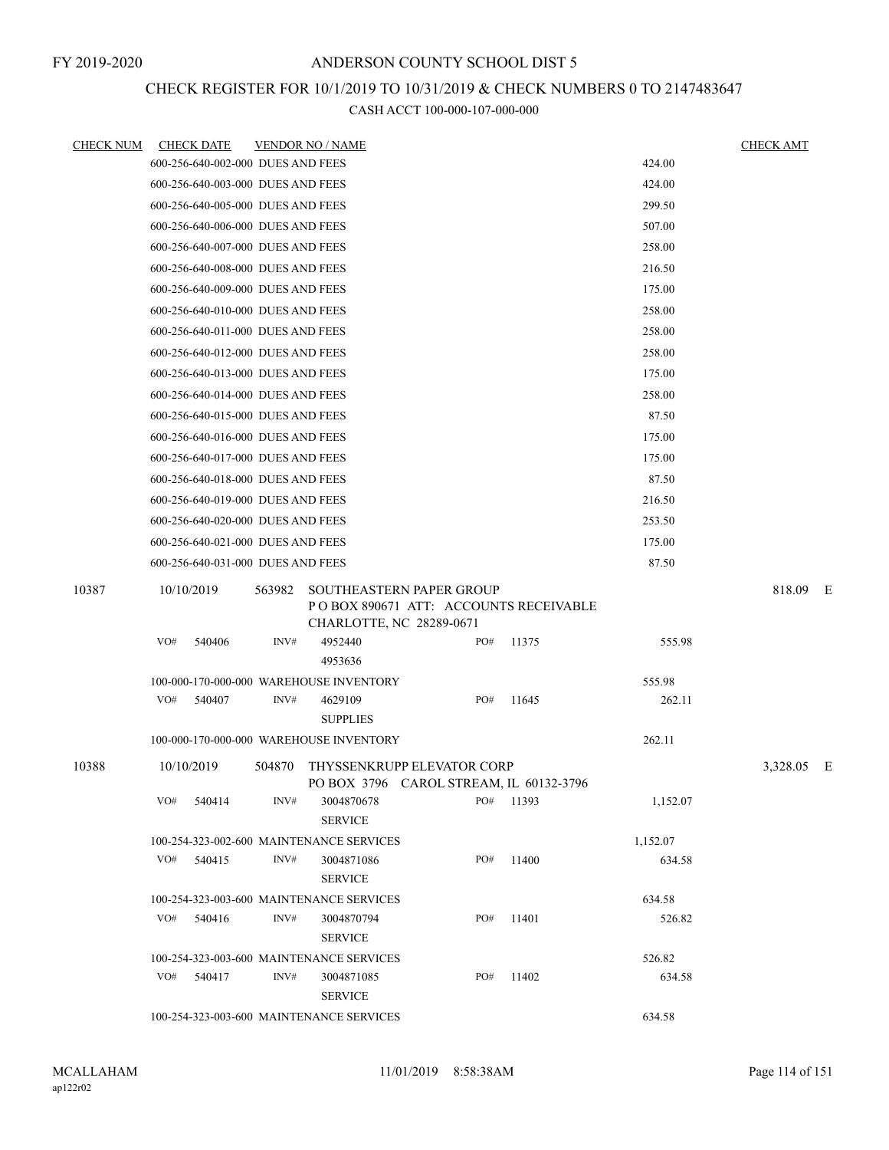# CHECK REGISTER FOR 10/1/2019 TO 10/31/2019 & CHECK NUMBERS 0 TO 2147483647

| <u>CHECK NUM</u> | <b>CHECK DATE</b>                           |        | <b>VENDOR NO / NAME</b>      |                                                                           |       |          | <u>CHECK AMT</u> |     |  |  |
|------------------|---------------------------------------------|--------|------------------------------|---------------------------------------------------------------------------|-------|----------|------------------|-----|--|--|
|                  | 600-256-640-002-000 DUES AND FEES           |        |                              |                                                                           |       | 424.00   |                  |     |  |  |
|                  | 600-256-640-003-000 DUES AND FEES           |        |                              |                                                                           |       | 424.00   |                  |     |  |  |
|                  | 600-256-640-005-000 DUES AND FEES           |        |                              |                                                                           |       | 299.50   |                  |     |  |  |
|                  | 600-256-640-006-000 DUES AND FEES           |        |                              |                                                                           |       | 507.00   |                  |     |  |  |
|                  | 600-256-640-007-000 DUES AND FEES           |        |                              |                                                                           |       | 258.00   |                  |     |  |  |
|                  | 600-256-640-008-000 DUES AND FEES           |        |                              |                                                                           |       | 216.50   |                  |     |  |  |
|                  | 600-256-640-009-000 DUES AND FEES           |        |                              |                                                                           |       | 175.00   |                  |     |  |  |
|                  | 600-256-640-010-000 DUES AND FEES           |        |                              |                                                                           |       | 258.00   |                  |     |  |  |
|                  | 600-256-640-011-000 DUES AND FEES           |        |                              |                                                                           |       | 258.00   |                  |     |  |  |
|                  | 600-256-640-012-000 DUES AND FEES           |        |                              |                                                                           |       | 258.00   |                  |     |  |  |
|                  | 600-256-640-013-000 DUES AND FEES           |        |                              |                                                                           |       | 175.00   |                  |     |  |  |
|                  | 600-256-640-014-000 DUES AND FEES           |        |                              |                                                                           |       | 258.00   |                  |     |  |  |
|                  | 600-256-640-015-000 DUES AND FEES           |        |                              |                                                                           |       | 87.50    |                  |     |  |  |
|                  | 600-256-640-016-000 DUES AND FEES           |        |                              |                                                                           |       | 175.00   |                  |     |  |  |
|                  | 600-256-640-017-000 DUES AND FEES           |        |                              |                                                                           |       | 175.00   |                  |     |  |  |
|                  | 87.50<br>600-256-640-018-000 DUES AND FEES  |        |                              |                                                                           |       |          |                  |     |  |  |
|                  | 600-256-640-019-000 DUES AND FEES<br>216.50 |        |                              |                                                                           |       |          |                  |     |  |  |
|                  | 600-256-640-020-000 DUES AND FEES           |        |                              |                                                                           |       | 253.50   |                  |     |  |  |
|                  | 600-256-640-021-000 DUES AND FEES           |        |                              |                                                                           |       | 175.00   |                  |     |  |  |
| 10387            | 600-256-640-031-000 DUES AND FEES           |        |                              |                                                                           |       | 87.50    |                  |     |  |  |
|                  | 10/10/2019                                  | 563982 | CHARLOTTE, NC 28289-0671     | <b>SOUTHEASTERN PAPER GROUP</b><br>PO BOX 890671 ATT: ACCOUNTS RECEIVABLE |       |          | 818.09           | - E |  |  |
|                  | VO#<br>540406                               | INV#   | 4952440<br>4953636           | PO#                                                                       | 11375 | 555.98   |                  |     |  |  |
|                  | 100-000-170-000-000 WAREHOUSE INVENTORY     |        |                              |                                                                           |       | 555.98   |                  |     |  |  |
|                  | VO#<br>540407                               | INV#   | 4629109<br><b>SUPPLIES</b>   | PO#                                                                       | 11645 | 262.11   |                  |     |  |  |
|                  | 100-000-170-000-000 WAREHOUSE INVENTORY     |        |                              |                                                                           |       | 262.11   |                  |     |  |  |
| 10388            | 10/10/2019                                  | 504870 |                              | THYSSENKRUPP ELEVATOR CORP<br>PO BOX 3796 CAROL STREAM, IL 60132-3796     |       |          | 3,328.05 E       |     |  |  |
|                  | $VO#$ 540414                                | INV#   | 3004870678<br><b>SERVICE</b> | PO#                                                                       | 11393 | 1,152.07 |                  |     |  |  |
|                  | 100-254-323-002-600 MAINTENANCE SERVICES    |        |                              |                                                                           |       | 1,152.07 |                  |     |  |  |
|                  | $VO#$ 540415                                | INV#   | 3004871086<br><b>SERVICE</b> | PO#                                                                       | 11400 | 634.58   |                  |     |  |  |
|                  | 100-254-323-003-600 MAINTENANCE SERVICES    |        |                              |                                                                           |       | 634.58   |                  |     |  |  |
|                  | $VO#$ 540416                                | INV#   | 3004870794<br><b>SERVICE</b> | PO#                                                                       | 11401 | 526.82   |                  |     |  |  |
|                  | 100-254-323-003-600 MAINTENANCE SERVICES    |        |                              |                                                                           |       | 526.82   |                  |     |  |  |
|                  | VO# 540417                                  | INV#   | 3004871085<br><b>SERVICE</b> | PO#                                                                       | 11402 | 634.58   |                  |     |  |  |
|                  | 100-254-323-003-600 MAINTENANCE SERVICES    |        |                              |                                                                           |       | 634.58   |                  |     |  |  |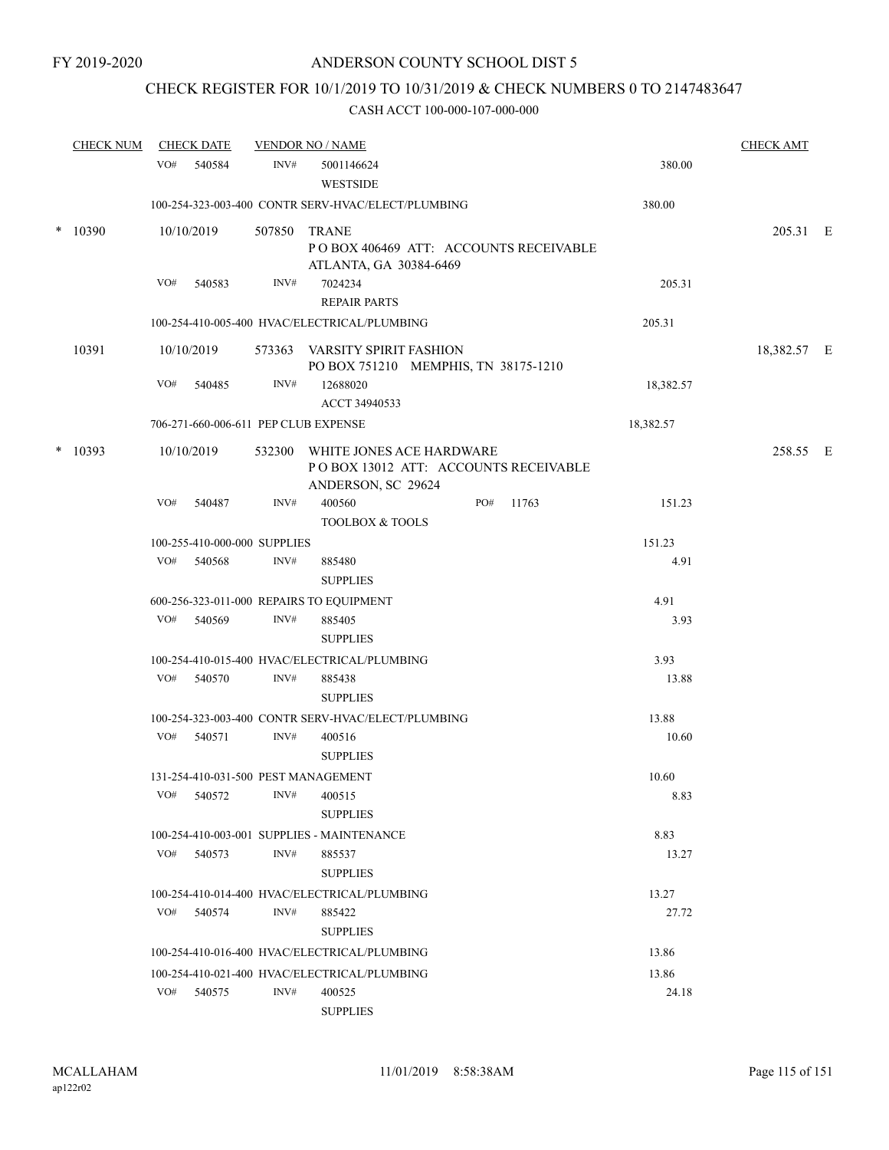## CHECK REGISTER FOR 10/1/2019 TO 10/31/2019 & CHECK NUMBERS 0 TO 2147483647

|        | <b>CHECK NUM</b> |     | <b>CHECK DATE</b>                    |      | <b>VENDOR NO / NAME</b>                                          |                                       |               | <b>CHECK AMT</b> |  |
|--------|------------------|-----|--------------------------------------|------|------------------------------------------------------------------|---------------------------------------|---------------|------------------|--|
|        |                  | VO# | 540584                               | INV# | 5001146624<br><b>WESTSIDE</b>                                    |                                       | 380.00        |                  |  |
|        |                  |     |                                      |      | 100-254-323-003-400 CONTR SERV-HVAC/ELECT/PLUMBING               |                                       | 380.00        |                  |  |
| $\ast$ | 10390            |     | 10/10/2019                           |      | 507850 TRANE<br>ATLANTA, GA 30384-6469                           | POBOX 406469 ATT: ACCOUNTS RECEIVABLE |               | 205.31 E         |  |
|        |                  | VO# | 540583                               | INV# | 7024234<br><b>REPAIR PARTS</b>                                   |                                       | 205.31        |                  |  |
|        |                  |     |                                      |      | 100-254-410-005-400 HVAC/ELECTRICAL/PLUMBING                     |                                       | 205.31        |                  |  |
|        | 10391            |     | 10/10/2019                           |      | 573363 VARSITY SPIRIT FASHION                                    | PO BOX 751210 MEMPHIS, TN 38175-1210  |               | 18,382.57 E      |  |
|        |                  | VO# | 540485                               | INV# | 12688020<br>ACCT 34940533                                        |                                       | 18,382.57     |                  |  |
|        |                  |     | 706-271-660-006-611 PEP CLUB EXPENSE |      |                                                                  |                                       | 18,382.57     |                  |  |
|        | $*10393$         |     | 10/10/2019                           |      | 532300 WHITE JONES ACE HARDWARE<br>ANDERSON, SC 29624            | POBOX 13012 ATT: ACCOUNTS RECEIVABLE  |               | 258.55 E         |  |
|        |                  | VO# | 540487                               | INV# | 400560<br><b>TOOLBOX &amp; TOOLS</b>                             | PO#<br>11763                          | 151.23        |                  |  |
|        |                  |     | 100-255-410-000-000 SUPPLIES         |      |                                                                  |                                       | 151.23        |                  |  |
|        |                  |     | VO# 540568                           | INV# | 885480<br><b>SUPPLIES</b>                                        |                                       | 4.91          |                  |  |
|        |                  |     |                                      |      | 600-256-323-011-000 REPAIRS TO EQUIPMENT                         |                                       | 4.91          |                  |  |
|        |                  |     | VO# 540569                           | INV# | 885405<br><b>SUPPLIES</b>                                        |                                       | 3.93          |                  |  |
|        |                  |     |                                      |      | 100-254-410-015-400 HVAC/ELECTRICAL/PLUMBING                     |                                       | 3.93          |                  |  |
|        |                  | VO# | 540570                               | INV# | 885438<br><b>SUPPLIES</b>                                        |                                       | 13.88         |                  |  |
|        |                  |     |                                      |      | 100-254-323-003-400 CONTR SERV-HVAC/ELECT/PLUMBING               |                                       | 13.88         |                  |  |
|        |                  |     | VO# 540571                           | INV# | 400516<br><b>SUPPLIES</b>                                        |                                       | 10.60         |                  |  |
|        |                  | VO# | 540572                               | INV# | 131-254-410-031-500 PEST MANAGEMENT<br>400515<br><b>SUPPLIES</b> |                                       | 10.60<br>8.83 |                  |  |
|        |                  |     |                                      |      | 100-254-410-003-001 SUPPLIES - MAINTENANCE                       |                                       | 8.83          |                  |  |
|        |                  | VO# | 540573                               | INV# | 885537<br><b>SUPPLIES</b>                                        |                                       | 13.27         |                  |  |
|        |                  |     |                                      |      | 100-254-410-014-400 HVAC/ELECTRICAL/PLUMBING                     |                                       | 13.27         |                  |  |
|        |                  | VO# | 540574                               | INV# | 885422<br><b>SUPPLIES</b>                                        |                                       | 27.72         |                  |  |
|        |                  |     |                                      |      | 100-254-410-016-400 HVAC/ELECTRICAL/PLUMBING                     |                                       | 13.86         |                  |  |
|        |                  |     |                                      |      | 100-254-410-021-400 HVAC/ELECTRICAL/PLUMBING                     |                                       | 13.86         |                  |  |
|        |                  | VO# | 540575                               | INV# | 400525<br><b>SUPPLIES</b>                                        |                                       | 24.18         |                  |  |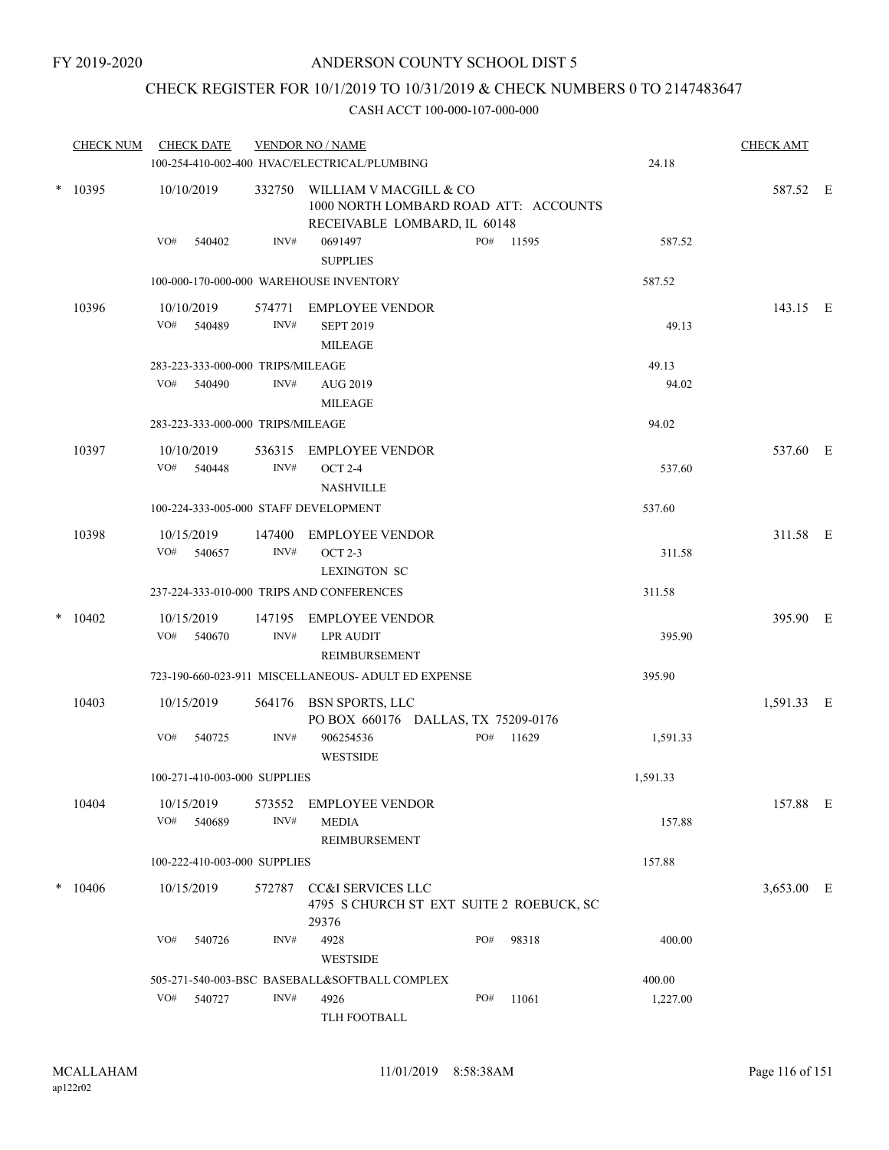## CHECK REGISTER FOR 10/1/2019 TO 10/31/2019 & CHECK NUMBERS 0 TO 2147483647

|           | <b>CHECK NUM</b> | <b>CHECK DATE</b>                     |                                       | <b>VENDOR NO / NAME</b><br>100-254-410-002-400 HVAC/ELECTRICAL/PLUMBING           |     |           | 24.18    | <b>CHECK AMT</b> |  |
|-----------|------------------|---------------------------------------|---------------------------------------|-----------------------------------------------------------------------------------|-----|-----------|----------|------------------|--|
| $*$ 10395 | 10/10/2019       | 332750                                | 1000 NORTH LOMBARD ROAD ATT: ACCOUNTS | 587.52 E                                                                          |     |           |          |                  |  |
|           |                  | VO#<br>540402                         | INV#                                  | RECEIVABLE LOMBARD, IL 60148<br>0691497<br><b>SUPPLIES</b>                        |     | PO# 11595 | 587.52   |                  |  |
|           |                  |                                       |                                       | 100-000-170-000-000 WAREHOUSE INVENTORY                                           |     |           | 587.52   |                  |  |
|           | 10396            | 10/10/2019<br>VO#<br>540489           | 574771<br>INV#                        | EMPLOYEE VENDOR<br><b>SEPT 2019</b><br><b>MILEAGE</b>                             |     |           | 49.13    | 143.15 E         |  |
|           |                  | 283-223-333-000-000 TRIPS/MILEAGE     |                                       |                                                                                   |     |           | 49.13    |                  |  |
|           |                  | VO#<br>540490                         | INV#                                  | AUG 2019<br><b>MILEAGE</b>                                                        |     |           | 94.02    |                  |  |
|           |                  | 283-223-333-000-000 TRIPS/MILEAGE     |                                       |                                                                                   |     |           | 94.02    |                  |  |
|           | 10397            | 10/10/2019<br>VO#<br>540448           | 536315<br>INV#                        | EMPLOYEE VENDOR<br><b>OCT 2-4</b><br><b>NASHVILLE</b>                             |     |           | 537.60   | 537.60 E         |  |
|           |                  | 100-224-333-005-000 STAFF DEVELOPMENT |                                       |                                                                                   |     |           | 537.60   |                  |  |
|           | 10398            | 10/15/2019<br>VO# 540657              | 147400<br>INV#                        | EMPLOYEE VENDOR<br><b>OCT 2-3</b><br><b>LEXINGTON SC</b>                          |     |           | 311.58   | 311.58 E         |  |
|           |                  |                                       |                                       | 237-224-333-010-000 TRIPS AND CONFERENCES                                         |     |           | 311.58   |                  |  |
| $\ast$    | 10402            | 10/15/2019<br>540670<br>VO#           | 147195<br>INV#                        | <b>EMPLOYEE VENDOR</b><br><b>LPR AUDIT</b><br>REIMBURSEMENT                       |     |           | 395.90   | 395.90 E         |  |
|           |                  |                                       |                                       | 723-190-660-023-911 MISCELLANEOUS- ADULT ED EXPENSE                               |     |           | 395.90   |                  |  |
|           | 10403            | 10/15/2019                            |                                       | 564176 BSN SPORTS, LLC<br>PO BOX 660176 DALLAS, TX 75209-0176                     |     |           |          | 1,591.33 E       |  |
|           |                  | VO#<br>540725                         | INV#                                  | 906254536<br><b>WESTSIDE</b>                                                      | PO# | 11629     | 1,591.33 |                  |  |
|           |                  | 100-271-410-003-000 SUPPLIES          |                                       |                                                                                   |     |           | 1,591.33 |                  |  |
|           | 10404            | 10/15/2019<br>VO#<br>540689           | 573552<br>INV#                        | <b>EMPLOYEE VENDOR</b><br><b>MEDIA</b><br>REIMBURSEMENT                           |     |           | 157.88   | 157.88 E         |  |
|           |                  | 100-222-410-003-000 SUPPLIES          |                                       |                                                                                   |     |           | 157.88   |                  |  |
|           | $* 10406$        | 10/15/2019                            | 572787                                | <b>CC&amp;I SERVICES LLC</b><br>4795 S CHURCH ST EXT SUITE 2 ROEBUCK, SC<br>29376 |     |           |          | 3,653.00 E       |  |
|           |                  | VO#<br>540726                         | INV#                                  | 4928<br>WESTSIDE                                                                  | PO# | 98318     | 400.00   |                  |  |
|           |                  |                                       |                                       | 505-271-540-003-BSC BASEBALL&SOFTBALL COMPLEX                                     |     |           | 400.00   |                  |  |
|           |                  | VO#<br>540727                         | INV#                                  | 4926<br>TLH FOOTBALL                                                              | PO# | 11061     | 1,227.00 |                  |  |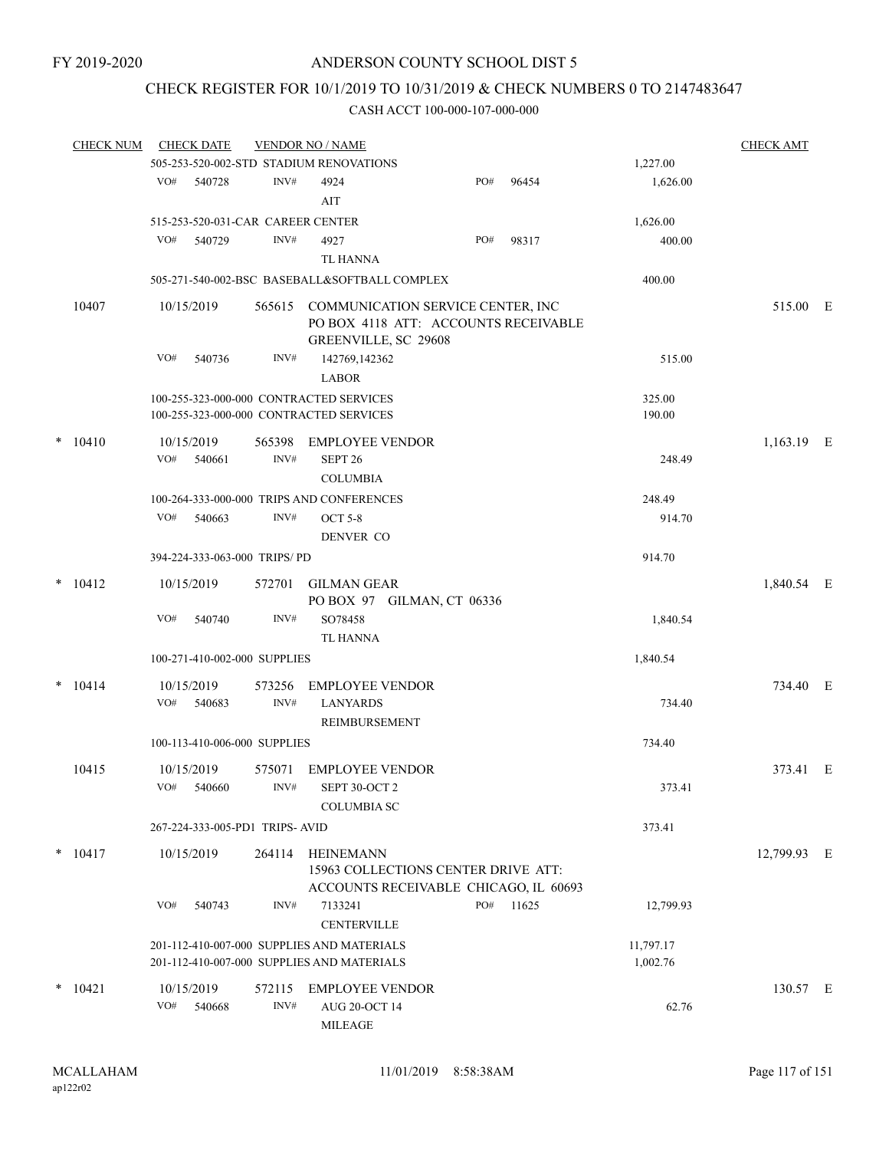## CHECK REGISTER FOR 10/1/2019 TO 10/31/2019 & CHECK NUMBERS 0 TO 2147483647

| <b>CHECK NUM</b> |     | <b>CHECK DATE</b>        |                                   | <b>VENDOR NO / NAME</b>                                                                                  |     |           |           | <b>CHECK AMT</b> |  |
|------------------|-----|--------------------------|-----------------------------------|----------------------------------------------------------------------------------------------------------|-----|-----------|-----------|------------------|--|
|                  |     |                          |                                   | 505-253-520-002-STD STADIUM RENOVATIONS                                                                  |     |           | 1,227.00  |                  |  |
|                  | VO# | 540728                   | INV#                              | 4924                                                                                                     | PO# | 96454     | 1,626.00  |                  |  |
|                  |     |                          |                                   | AIT                                                                                                      |     |           |           |                  |  |
|                  |     |                          | 515-253-520-031-CAR CAREER CENTER |                                                                                                          |     |           | 1,626.00  |                  |  |
|                  | VO# | 540729                   | INV#                              | 4927                                                                                                     | PO# | 98317     | 400.00    |                  |  |
|                  |     |                          |                                   | TL HANNA                                                                                                 |     |           |           |                  |  |
|                  |     |                          |                                   |                                                                                                          |     |           |           |                  |  |
|                  |     |                          |                                   | 505-271-540-002-BSC BASEBALL&SOFTBALL COMPLEX                                                            |     |           | 400.00    |                  |  |
| 10407            |     | 10/15/2019               |                                   | 565615 COMMUNICATION SERVICE CENTER, INC<br>PO BOX 4118 ATT: ACCOUNTS RECEIVABLE<br>GREENVILLE, SC 29608 |     |           |           | 515.00 E         |  |
|                  | VO# | 540736                   | INV#                              | 142769,142362<br><b>LABOR</b>                                                                            |     |           | 515.00    |                  |  |
|                  |     |                          |                                   | 100-255-323-000-000 CONTRACTED SERVICES                                                                  |     |           | 325.00    |                  |  |
|                  |     |                          |                                   | 100-255-323-000-000 CONTRACTED SERVICES                                                                  |     |           | 190.00    |                  |  |
|                  |     |                          |                                   |                                                                                                          |     |           |           |                  |  |
| $* 10410$        |     | 10/15/2019               | 565398                            | <b>EMPLOYEE VENDOR</b>                                                                                   |     |           |           | 1,163.19 E       |  |
|                  | VO# | 540661                   | INV#                              | SEPT <sub>26</sub>                                                                                       |     |           | 248.49    |                  |  |
|                  |     |                          |                                   | <b>COLUMBIA</b>                                                                                          |     |           |           |                  |  |
|                  |     |                          |                                   | 100-264-333-000-000 TRIPS AND CONFERENCES                                                                |     |           | 248.49    |                  |  |
|                  | VO# | 540663                   | INV#                              | <b>OCT 5-8</b>                                                                                           |     |           | 914.70    |                  |  |
|                  |     |                          |                                   | DENVER CO                                                                                                |     |           |           |                  |  |
|                  |     |                          | 394-224-333-063-000 TRIPS/PD      |                                                                                                          |     |           | 914.70    |                  |  |
| $*$ 10412        |     | 10/15/2019               | 572701                            | <b>GILMAN GEAR</b>                                                                                       |     |           |           | 1,840.54 E       |  |
|                  |     |                          |                                   | PO BOX 97 GILMAN, CT 06336                                                                               |     |           |           |                  |  |
|                  | VO# | 540740                   | INV#                              | SO78458                                                                                                  |     |           | 1,840.54  |                  |  |
|                  |     |                          |                                   | TL HANNA                                                                                                 |     |           |           |                  |  |
|                  |     |                          | 100-271-410-002-000 SUPPLIES      |                                                                                                          |     |           | 1,840.54  |                  |  |
| $* 10414$        |     | 10/15/2019               | 573256                            | <b>EMPLOYEE VENDOR</b>                                                                                   |     |           |           | 734.40 E         |  |
|                  | VO# | 540683                   | INV#                              | <b>LANYARDS</b><br>REIMBURSEMENT                                                                         |     |           | 734.40    |                  |  |
|                  |     |                          | 100-113-410-006-000 SUPPLIES      |                                                                                                          |     |           | 734.40    |                  |  |
|                  |     |                          |                                   |                                                                                                          |     |           |           |                  |  |
| 10415            |     | 10/15/2019<br>VO# 540660 | 575071<br>INV#                    | <b>EMPLOYEE VENDOR</b><br>SEPT 30-OCT 2<br><b>COLUMBIA SC</b>                                            |     |           | 373.41    | 373.41 E         |  |
|                  |     |                          | 267-224-333-005-PD1 TRIPS-AVID    |                                                                                                          |     |           | 373.41    |                  |  |
| $* 10417$        |     | 10/15/2019               | 264114                            | HEINEMANN<br>15963 COLLECTIONS CENTER DRIVE ATT:                                                         |     |           |           | 12,799.93 E      |  |
|                  |     |                          |                                   | ACCOUNTS RECEIVABLE CHICAGO, IL 60693                                                                    |     |           |           |                  |  |
|                  | VO# | 540743                   | INV#                              | 7133241<br><b>CENTERVILLE</b>                                                                            |     | PO# 11625 | 12,799.93 |                  |  |
|                  |     |                          |                                   | 201-112-410-007-000 SUPPLIES AND MATERIALS                                                               |     |           | 11,797.17 |                  |  |
|                  |     |                          |                                   | 201-112-410-007-000 SUPPLIES AND MATERIALS                                                               |     |           | 1,002.76  |                  |  |
| $*$ 10421        |     | 10/15/2019               | 572115                            | <b>EMPLOYEE VENDOR</b>                                                                                   |     |           |           | 130.57 E         |  |
|                  |     | VO# 540668               | INV#                              | AUG 20-OCT 14                                                                                            |     |           | 62.76     |                  |  |
|                  |     |                          |                                   | MILEAGE                                                                                                  |     |           |           |                  |  |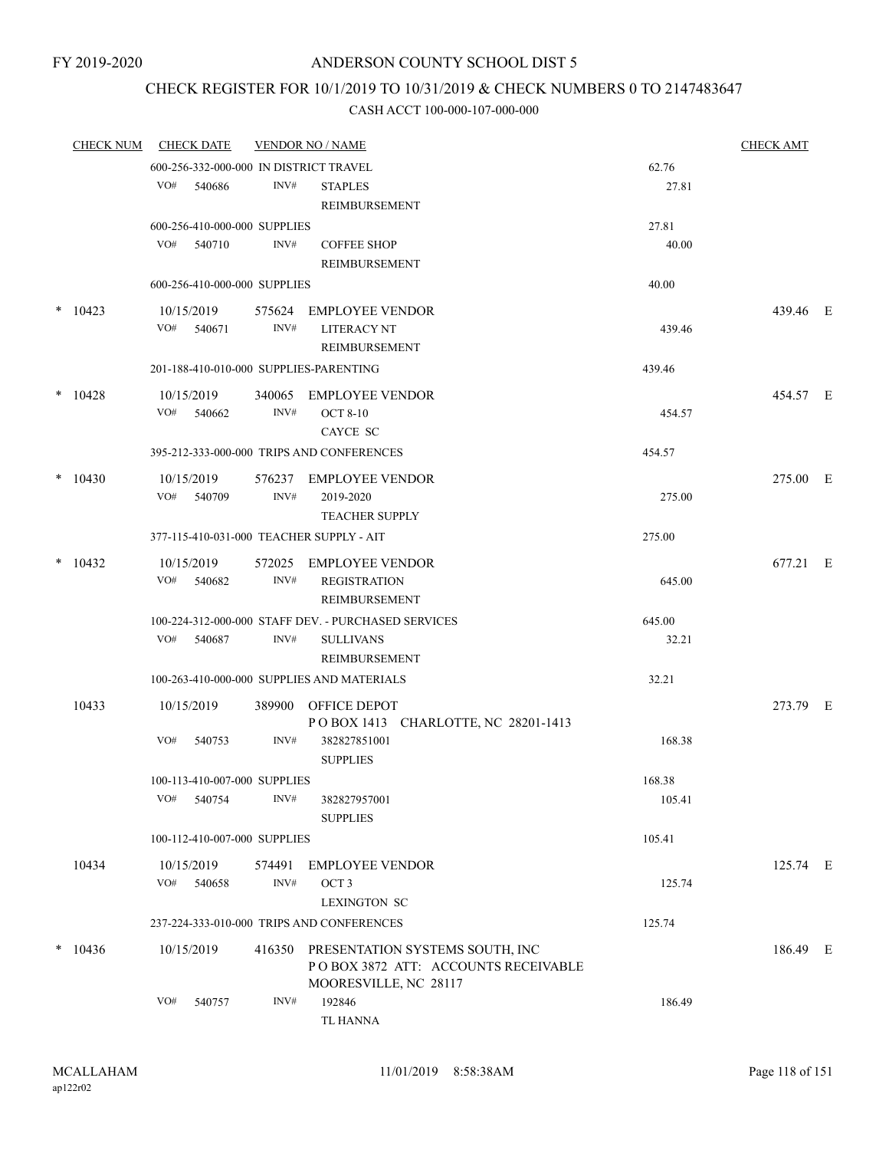## CHECK REGISTER FOR 10/1/2019 TO 10/31/2019 & CHECK NUMBERS 0 TO 2147483647

| <b>CHECK NUM</b> |     | <b>CHECK DATE</b>            |        | <b>VENDOR NO / NAME</b>                             |        | <b>CHECK AMT</b> |  |
|------------------|-----|------------------------------|--------|-----------------------------------------------------|--------|------------------|--|
|                  |     |                              |        | 600-256-332-000-000 IN DISTRICT TRAVEL              | 62.76  |                  |  |
|                  | VO# | 540686                       | INV#   | <b>STAPLES</b>                                      | 27.81  |                  |  |
|                  |     |                              |        | REIMBURSEMENT                                       |        |                  |  |
|                  |     | 600-256-410-000-000 SUPPLIES |        |                                                     | 27.81  |                  |  |
|                  |     | VO# 540710                   | INV#   | <b>COFFEE SHOP</b>                                  | 40.00  |                  |  |
|                  |     |                              |        | REIMBURSEMENT                                       |        |                  |  |
|                  |     | 600-256-410-000-000 SUPPLIES |        |                                                     | 40.00  |                  |  |
| $* 10423$        |     | 10/15/2019                   | 575624 | <b>EMPLOYEE VENDOR</b>                              |        | 439.46 E         |  |
|                  |     | VO# 540671                   | INV#   | <b>LITERACY NT</b>                                  | 439.46 |                  |  |
|                  |     |                              |        | REIMBURSEMENT                                       |        |                  |  |
|                  |     |                              |        | 201-188-410-010-000 SUPPLIES-PARENTING              | 439.46 |                  |  |
| $*10428$         |     | 10/15/2019                   | 340065 | <b>EMPLOYEE VENDOR</b>                              |        | 454.57 E         |  |
|                  | VO# | 540662                       | INV#   | <b>OCT 8-10</b>                                     | 454.57 |                  |  |
|                  |     |                              |        | CAYCE SC                                            |        |                  |  |
|                  |     |                              |        | 395-212-333-000-000 TRIPS AND CONFERENCES           | 454.57 |                  |  |
| $*$ 10430        |     | 10/15/2019                   |        | 576237 EMPLOYEE VENDOR                              |        | 275.00 E         |  |
|                  | VO# | 540709                       | INV#   | 2019-2020                                           | 275.00 |                  |  |
|                  |     |                              |        | <b>TEACHER SUPPLY</b>                               |        |                  |  |
|                  |     |                              |        | 377-115-410-031-000 TEACHER SUPPLY - AIT            | 275.00 |                  |  |
| $*$ 10432        |     | 10/15/2019                   |        | 572025 EMPLOYEE VENDOR                              |        | 677.21 E         |  |
|                  | VO# | 540682                       | INV#   | <b>REGISTRATION</b>                                 | 645.00 |                  |  |
|                  |     |                              |        | REIMBURSEMENT                                       |        |                  |  |
|                  |     |                              |        | 100-224-312-000-000 STAFF DEV. - PURCHASED SERVICES | 645.00 |                  |  |
|                  |     | VO# 540687                   | INV#   | <b>SULLIVANS</b>                                    | 32.21  |                  |  |
|                  |     |                              |        | REIMBURSEMENT                                       |        |                  |  |
|                  |     |                              |        | 100-263-410-000-000 SUPPLIES AND MATERIALS          | 32.21  |                  |  |
| 10433            |     | 10/15/2019                   |        | 389900 OFFICE DEPOT                                 |        | 273.79 E         |  |
|                  |     |                              |        | POBOX 1413 CHARLOTTE, NC 28201-1413                 |        |                  |  |
|                  | VO# | 540753                       | INV#   | 382827851001                                        | 168.38 |                  |  |
|                  |     |                              |        | <b>SUPPLIES</b>                                     |        |                  |  |
|                  |     | 100-113-410-007-000 SUPPLIES |        |                                                     | 168.38 |                  |  |
|                  | VO# | 540754                       | INV#   | 382827957001                                        | 105.41 |                  |  |
|                  |     |                              |        | <b>SUPPLIES</b>                                     |        |                  |  |
|                  |     | 100-112-410-007-000 SUPPLIES |        |                                                     | 105.41 |                  |  |
| 10434            |     | 10/15/2019                   | 574491 | <b>EMPLOYEE VENDOR</b>                              |        | 125.74 E         |  |
|                  | VO# | 540658                       | INV#   | OCT <sub>3</sub>                                    | 125.74 |                  |  |
|                  |     |                              |        | <b>LEXINGTON SC</b>                                 |        |                  |  |
|                  |     |                              |        | 237-224-333-010-000 TRIPS AND CONFERENCES           | 125.74 |                  |  |
| $*$ 10436        |     | 10/15/2019                   | 416350 | PRESENTATION SYSTEMS SOUTH, INC                     |        | 186.49 E         |  |
|                  |     |                              |        | POBOX 3872 ATT: ACCOUNTS RECEIVABLE                 |        |                  |  |
|                  |     |                              |        | MOORESVILLE, NC 28117                               |        |                  |  |
|                  | VO# | 540757                       | INV#   | 192846                                              | 186.49 |                  |  |
|                  |     |                              |        | TL HANNA                                            |        |                  |  |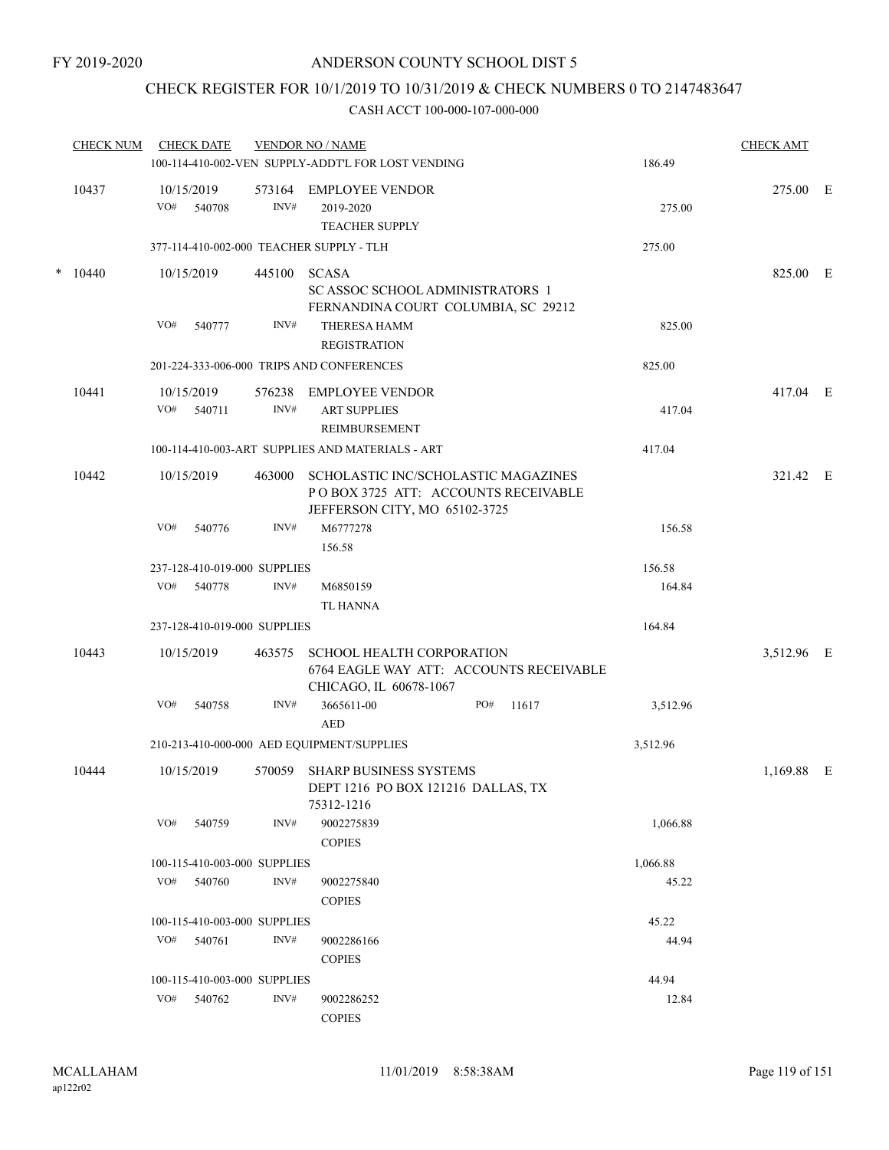## CHECK REGISTER FOR 10/1/2019 TO 10/31/2019 & CHECK NUMBERS 0 TO 2147483647

| <b>CHECK NUM</b> |       |                                                    | <b>CHECK DATE</b>    |                              | <b>VENDOR NO / NAME</b>                                                                                     |     |       |          | <b>CHECK AMT</b> |  |
|------------------|-------|----------------------------------------------------|----------------------|------------------------------|-------------------------------------------------------------------------------------------------------------|-----|-------|----------|------------------|--|
|                  |       | 100-114-410-002-VEN SUPPLY-ADDT'L FOR LOST VENDING | 186.49               |                              |                                                                                                             |     |       |          |                  |  |
|                  | 10437 | VO#                                                | 10/15/2019<br>540708 | 573164<br>INV#               | <b>EMPLOYEE VENDOR</b><br>2019-2020<br><b>TEACHER SUPPLY</b>                                                |     |       | 275.00   | 275.00 E         |  |
|                  |       |                                                    |                      |                              | 377-114-410-002-000 TEACHER SUPPLY - TLH                                                                    |     |       | 275.00   |                  |  |
| *                | 10440 | VO#                                                | 10/15/2019<br>540777 | 445100<br>INV#               | <b>SCASA</b><br>SC ASSOC SCHOOL ADMINISTRATORS 1<br>FERNANDINA COURT COLUMBIA, SC 29212<br>THERESA HAMM     |     |       | 825.00   | 825.00 E         |  |
|                  |       |                                                    |                      |                              | <b>REGISTRATION</b>                                                                                         |     |       |          |                  |  |
|                  |       |                                                    |                      |                              | 201-224-333-006-000 TRIPS AND CONFERENCES                                                                   |     |       | 825.00   |                  |  |
|                  | 10441 | VO#                                                | 10/15/2019<br>540711 | INV#                         | 576238 EMPLOYEE VENDOR<br><b>ART SUPPLIES</b>                                                               |     |       | 417.04   | 417.04 E         |  |
|                  |       |                                                    |                      |                              | REIMBURSEMENT                                                                                               |     |       |          |                  |  |
|                  |       |                                                    |                      |                              | 100-114-410-003-ART SUPPLIES AND MATERIALS - ART                                                            |     |       | 417.04   |                  |  |
|                  | 10442 |                                                    | 10/15/2019           | 463000                       | SCHOLASTIC INC/SCHOLASTIC MAGAZINES<br>POBOX 3725 ATT: ACCOUNTS RECEIVABLE<br>JEFFERSON CITY, MO 65102-3725 |     |       |          | 321.42 E         |  |
|                  |       | VO#                                                | 540776               | INV#                         | M6777278<br>156.58                                                                                          |     |       | 156.58   |                  |  |
|                  |       |                                                    |                      | 237-128-410-019-000 SUPPLIES |                                                                                                             |     |       | 156.58   |                  |  |
|                  |       | VO#                                                | 540778               | INV#                         | M6850159<br><b>TL HANNA</b>                                                                                 |     |       | 164.84   |                  |  |
|                  |       |                                                    |                      | 237-128-410-019-000 SUPPLIES |                                                                                                             |     |       | 164.84   |                  |  |
|                  | 10443 |                                                    | 10/15/2019           | 463575                       | <b>SCHOOL HEALTH CORPORATION</b><br>6764 EAGLE WAY ATT: ACCOUNTS RECEIVABLE<br>CHICAGO, IL 60678-1067       |     |       |          | 3,512.96 E       |  |
|                  |       | VO#                                                | 540758               | INV#                         | 3665611-00<br><b>AED</b>                                                                                    | PO# | 11617 | 3,512.96 |                  |  |
|                  |       |                                                    |                      |                              | 210-213-410-000-000 AED EQUIPMENT/SUPPLIES                                                                  |     |       | 3,512.96 |                  |  |
|                  | 10444 |                                                    | 10/15/2019           |                              | 570059 SHARP BUSINESS SYSTEMS<br>DEPT 1216 PO BOX 121216 DALLAS, TX<br>75312-1216                           |     |       |          | 1,169.88 E       |  |
|                  |       | VO#                                                | 540759               | INV#                         | 9002275839<br><b>COPIES</b>                                                                                 |     |       | 1,066.88 |                  |  |
|                  |       |                                                    |                      | 100-115-410-003-000 SUPPLIES |                                                                                                             |     |       | 1,066.88 |                  |  |
|                  |       | VO#                                                | 540760               | INV#                         | 9002275840<br><b>COPIES</b>                                                                                 |     |       | 45.22    |                  |  |
|                  |       |                                                    |                      | 100-115-410-003-000 SUPPLIES |                                                                                                             |     |       | 45.22    |                  |  |
|                  |       |                                                    | VO# 540761           | INV#                         | 9002286166<br><b>COPIES</b>                                                                                 |     |       | 44.94    |                  |  |
|                  |       |                                                    |                      | 100-115-410-003-000 SUPPLIES |                                                                                                             |     |       | 44.94    |                  |  |
|                  |       | VO#                                                | 540762               | INV#                         | 9002286252<br><b>COPIES</b>                                                                                 |     |       | 12.84    |                  |  |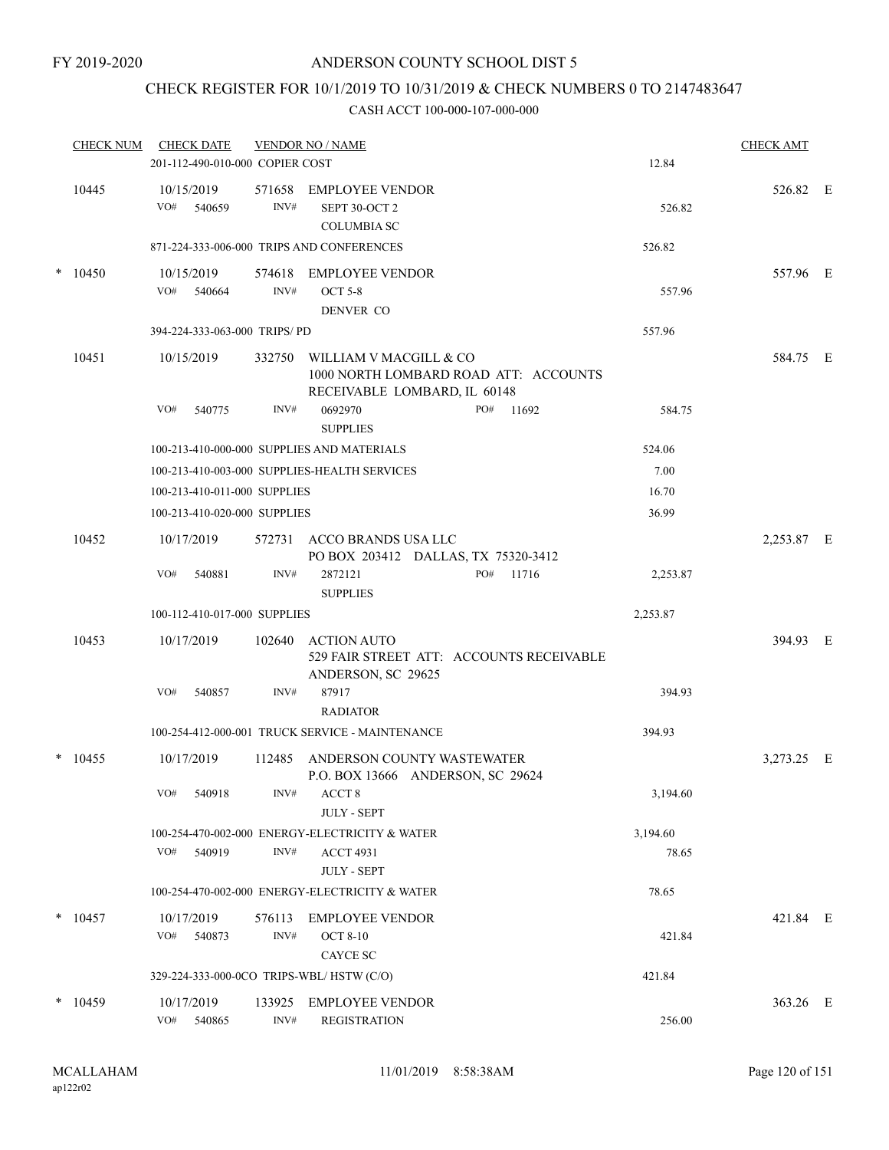## CHECK REGISTER FOR 10/1/2019 TO 10/31/2019 & CHECK NUMBERS 0 TO 2147483647

| <b>CHECK NUM</b> | <b>CHECK DATE</b>                        |                | <b>VENDOR NO / NAME</b>                                                                                |          | <b>CHECK AMT</b> |  |
|------------------|------------------------------------------|----------------|--------------------------------------------------------------------------------------------------------|----------|------------------|--|
|                  | 201-112-490-010-000 COPIER COST          |                |                                                                                                        | 12.84    |                  |  |
| 10445            | 10/15/2019<br>VO#<br>540659              | 571658<br>INV# | EMPLOYEE VENDOR<br>SEPT 30-OCT 2<br><b>COLUMBIA SC</b>                                                 | 526.82   | 526.82 E         |  |
|                  |                                          |                | 871-224-333-006-000 TRIPS AND CONFERENCES                                                              | 526.82   |                  |  |
| $*$ 10450        | 10/15/2019<br>VO# 540664                 | INV#           | 574618 EMPLOYEE VENDOR<br><b>OCT 5-8</b><br>DENVER CO                                                  | 557.96   | 557.96 E         |  |
|                  | 394-224-333-063-000 TRIPS/PD             |                |                                                                                                        | 557.96   |                  |  |
| 10451            | 10/15/2019                               |                | 332750 WILLIAM V MACGILL & CO<br>1000 NORTH LOMBARD ROAD ATT: ACCOUNTS<br>RECEIVABLE LOMBARD, IL 60148 |          | 584.75 E         |  |
|                  | VO#<br>540775                            | INV#           | 0692970<br>PO#<br>11692<br><b>SUPPLIES</b>                                                             | 584.75   |                  |  |
|                  |                                          |                | 100-213-410-000-000 SUPPLIES AND MATERIALS                                                             | 524.06   |                  |  |
|                  |                                          |                | 100-213-410-003-000 SUPPLIES-HEALTH SERVICES                                                           | 7.00     |                  |  |
|                  | 100-213-410-011-000 SUPPLIES             |                |                                                                                                        | 16.70    |                  |  |
|                  | 100-213-410-020-000 SUPPLIES             |                |                                                                                                        | 36.99    |                  |  |
| 10452            | 10/17/2019                               |                | 572731 ACCO BRANDS USA LLC<br>PO BOX 203412 DALLAS, TX 75320-3412                                      |          | 2,253.87 E       |  |
|                  | VO#<br>540881                            | INV#           | 2872121<br>PO#<br>11716<br><b>SUPPLIES</b>                                                             | 2,253.87 |                  |  |
|                  | 100-112-410-017-000 SUPPLIES             |                |                                                                                                        | 2,253.87 |                  |  |
| 10453            | 10/17/2019                               |                | 102640 ACTION AUTO<br>529 FAIR STREET ATT: ACCOUNTS RECEIVABLE<br>ANDERSON, SC 29625                   |          | 394.93 E         |  |
|                  | VO#<br>540857                            | INV#           | 87917<br><b>RADIATOR</b>                                                                               | 394.93   |                  |  |
|                  |                                          |                | 100-254-412-000-001 TRUCK SERVICE - MAINTENANCE                                                        | 394.93   |                  |  |
| $*$ 10455        | 10/17/2019                               |                | 112485 ANDERSON COUNTY WASTEWATER<br>P.O. BOX 13666 ANDERSON, SC 29624                                 |          | 3,273.25 E       |  |
|                  | $\mathrm{VO}\#$<br>540918                | INV#           | ACCT 8<br><b>JULY - SEPT</b>                                                                           | 3,194.60 |                  |  |
|                  |                                          |                | 100-254-470-002-000 ENERGY-ELECTRICITY & WATER                                                         | 3,194.60 |                  |  |
|                  | VO#<br>540919                            | INV#           | <b>ACCT 4931</b><br><b>JULY - SEPT</b>                                                                 | 78.65    |                  |  |
|                  |                                          |                | 100-254-470-002-000 ENERGY-ELECTRICITY & WATER                                                         | 78.65    |                  |  |
| $*$ 10457        | 10/17/2019                               | 576113         | <b>EMPLOYEE VENDOR</b>                                                                                 |          | 421.84 E         |  |
|                  | VO#<br>540873                            | INV#           | <b>OCT 8-10</b><br>CAYCE SC                                                                            | 421.84   |                  |  |
|                  | 329-224-333-000-0CO TRIPS-WBL/HSTW (C/O) |                |                                                                                                        | 421.84   |                  |  |
| $*$ 10459        | 10/17/2019                               | 133925         | <b>EMPLOYEE VENDOR</b>                                                                                 |          | 363.26 E         |  |
|                  | VO#<br>540865                            | INV#           | <b>REGISTRATION</b>                                                                                    | 256.00   |                  |  |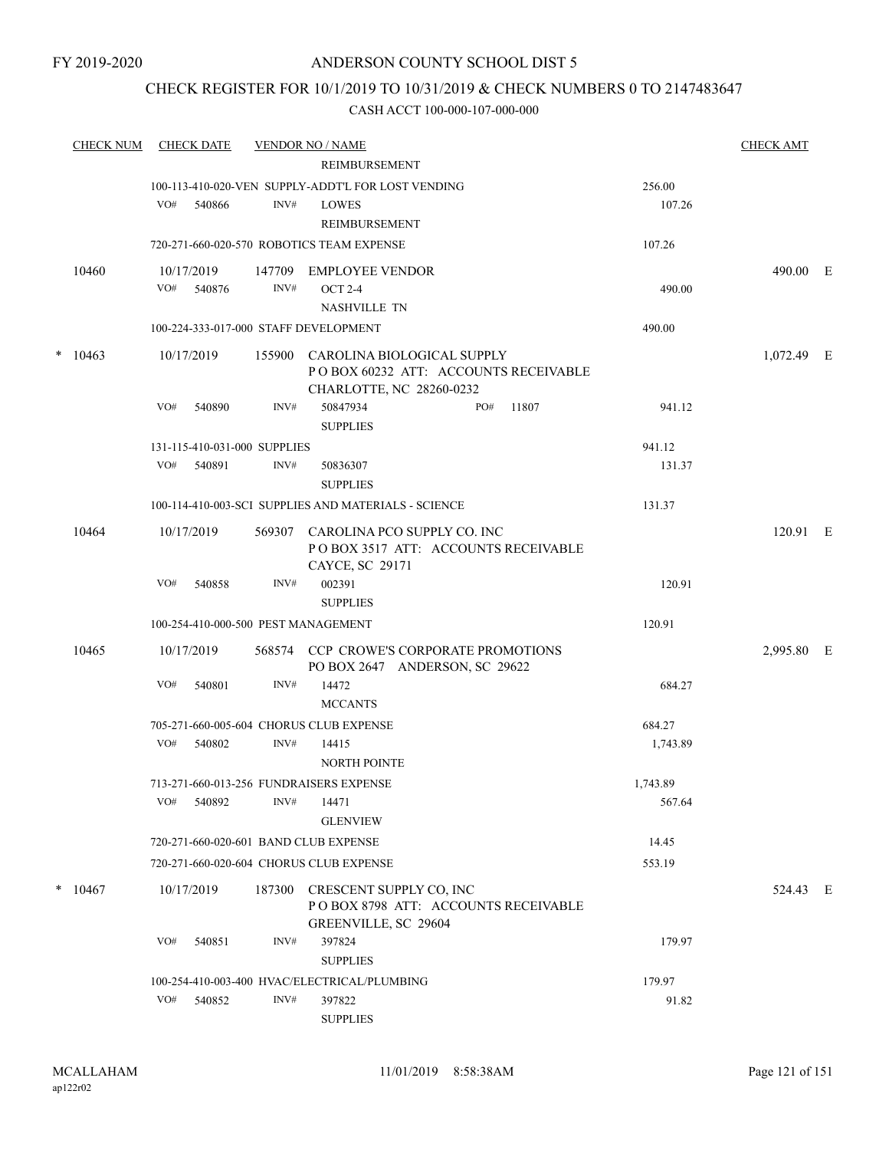## CHECK REGISTER FOR 10/1/2019 TO 10/31/2019 & CHECK NUMBERS 0 TO 2147483647

| <u>CHECK NUM</u> |     | <b>CHECK DATE</b>            |      | <b>VENDOR NO / NAME</b><br>REIMBURSEMENT                                                              |     |       |          | <b>CHECK AMT</b> |  |
|------------------|-----|------------------------------|------|-------------------------------------------------------------------------------------------------------|-----|-------|----------|------------------|--|
|                  |     |                              |      | 100-113-410-020-VEN SUPPLY-ADDT'L FOR LOST VENDING                                                    |     |       | 256.00   |                  |  |
|                  | VO# | 540866                       | INV# | LOWES                                                                                                 |     |       | 107.26   |                  |  |
|                  |     |                              |      | <b>REIMBURSEMENT</b>                                                                                  |     |       |          |                  |  |
|                  |     |                              |      | 720-271-660-020-570 ROBOTICS TEAM EXPENSE                                                             |     |       | 107.26   |                  |  |
| 10460            |     | 10/17/2019                   |      | 147709 EMPLOYEE VENDOR                                                                                |     |       |          | 490.00 E         |  |
|                  |     | VO# 540876                   | INV# | <b>OCT 2-4</b><br><b>NASHVILLE TN</b>                                                                 |     |       | 490.00   |                  |  |
|                  |     |                              |      | 100-224-333-017-000 STAFF DEVELOPMENT                                                                 |     |       | 490.00   |                  |  |
| $*10463$         |     | 10/17/2019                   |      | 155900 CAROLINA BIOLOGICAL SUPPLY<br>POBOX 60232 ATT: ACCOUNTS RECEIVABLE<br>CHARLOTTE, NC 28260-0232 |     |       |          | 1,072.49 E       |  |
|                  | VO# | 540890                       | INV# | 50847934<br><b>SUPPLIES</b>                                                                           | PO# | 11807 | 941.12   |                  |  |
|                  |     | 131-115-410-031-000 SUPPLIES |      |                                                                                                       |     |       | 941.12   |                  |  |
|                  | VO# | 540891                       | INV# | 50836307<br><b>SUPPLIES</b>                                                                           |     |       | 131.37   |                  |  |
|                  |     |                              |      | 100-114-410-003-SCI SUPPLIES AND MATERIALS - SCIENCE                                                  |     |       | 131.37   |                  |  |
| 10464            |     | 10/17/2019                   |      | 569307 CAROLINA PCO SUPPLY CO. INC                                                                    |     |       |          | 120.91 E         |  |
|                  |     |                              |      | PO BOX 3517 ATT: ACCOUNTS RECEIVABLE<br>CAYCE, SC 29171                                               |     |       |          |                  |  |
|                  | VO# | 540858                       | INV# | 002391<br><b>SUPPLIES</b>                                                                             |     |       | 120.91   |                  |  |
|                  |     |                              |      | 100-254-410-000-500 PEST MANAGEMENT                                                                   |     |       | 120.91   |                  |  |
| 10465            |     | 10/17/2019                   |      | 568574 CCP CROWE'S CORPORATE PROMOTIONS                                                               |     |       |          | 2,995.80 E       |  |
|                  |     |                              |      | PO BOX 2647 ANDERSON, SC 29622                                                                        |     |       |          |                  |  |
|                  | VO# | 540801                       | INV# | 14472<br><b>MCCANTS</b>                                                                               |     |       | 684.27   |                  |  |
|                  |     |                              |      | 705-271-660-005-604 CHORUS CLUB EXPENSE                                                               |     |       | 684.27   |                  |  |
|                  | VO# | 540802                       | INV# | 14415<br><b>NORTH POINTE</b>                                                                          |     |       | 1,743.89 |                  |  |
|                  |     |                              |      | 713-271-660-013-256 FUNDRAISERS EXPENSE                                                               |     |       | 1,743.89 |                  |  |
|                  |     | VO# 540892                   | INV# | 14471<br><b>GLENVIEW</b>                                                                              |     |       | 567.64   |                  |  |
|                  |     |                              |      | 720-271-660-020-601 BAND CLUB EXPENSE                                                                 |     |       | 14.45    |                  |  |
|                  |     |                              |      | 720-271-660-020-604 CHORUS CLUB EXPENSE                                                               |     |       | 553.19   |                  |  |
|                  |     |                              |      |                                                                                                       |     |       |          |                  |  |
| $*$ 10467        |     | 10/17/2019                   |      | 187300 CRESCENT SUPPLY CO, INC<br>POBOX 8798 ATT: ACCOUNTS RECEIVABLE<br>GREENVILLE, SC 29604         |     |       |          | 524.43 E         |  |
|                  | VO# | 540851                       | INV# | 397824                                                                                                |     |       | 179.97   |                  |  |
|                  |     |                              |      | <b>SUPPLIES</b>                                                                                       |     |       |          |                  |  |
|                  |     |                              |      | 100-254-410-003-400 HVAC/ELECTRICAL/PLUMBING                                                          |     |       | 179.97   |                  |  |
|                  | VO# | 540852                       | INV# | 397822<br><b>SUPPLIES</b>                                                                             |     |       | 91.82    |                  |  |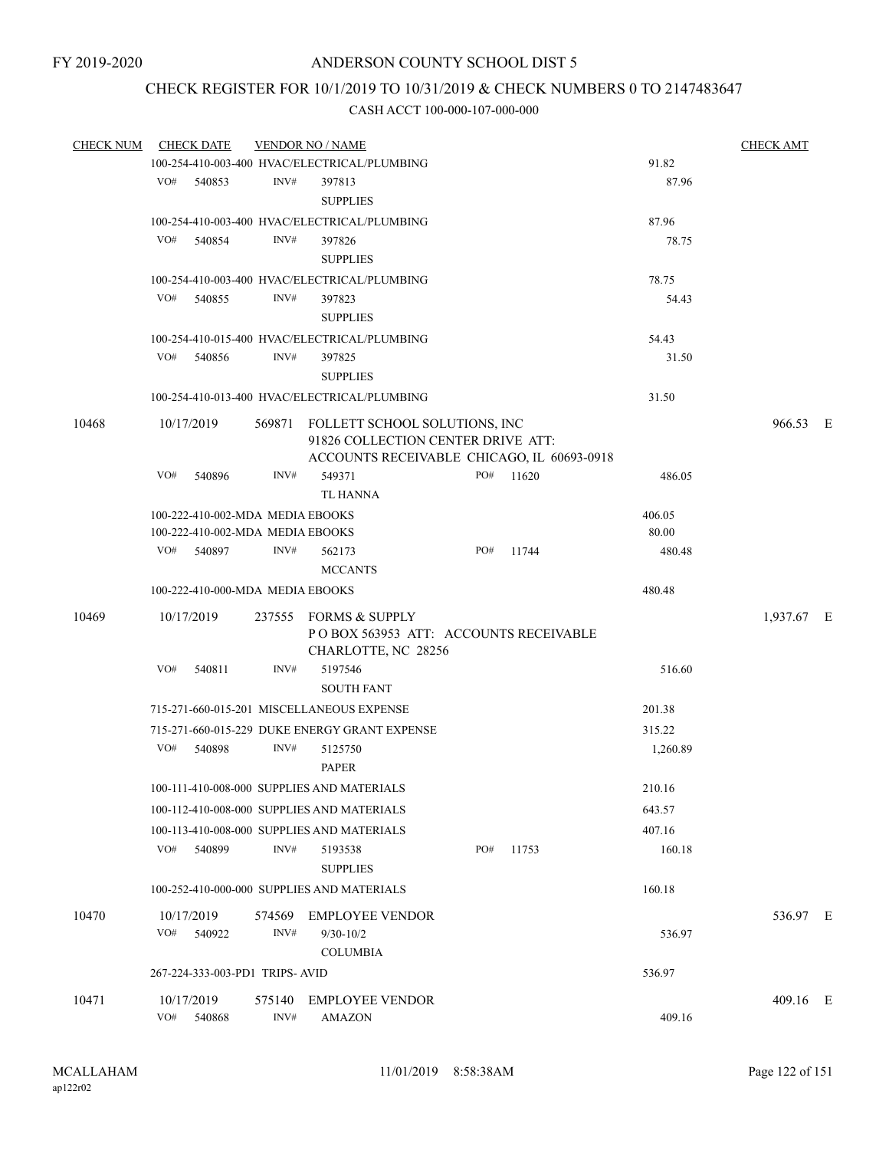## CHECK REGISTER FOR 10/1/2019 TO 10/31/2019 & CHECK NUMBERS 0 TO 2147483647

| <b>CHECK NUM</b> | <b>CHECK DATE</b> |        |                                | <b>VENDOR NO / NAME</b>                                                               |     |           |          | <b>CHECK AMT</b> |  |
|------------------|-------------------|--------|--------------------------------|---------------------------------------------------------------------------------------|-----|-----------|----------|------------------|--|
|                  |                   |        |                                | 100-254-410-003-400 HVAC/ELECTRICAL/PLUMBING                                          |     |           | 91.82    |                  |  |
|                  | VO#               | 540853 | INV#                           | 397813                                                                                |     |           | 87.96    |                  |  |
|                  |                   |        |                                | <b>SUPPLIES</b>                                                                       |     |           |          |                  |  |
|                  |                   |        |                                | 100-254-410-003-400 HVAC/ELECTRICAL/PLUMBING                                          |     |           | 87.96    |                  |  |
|                  | VO#               | 540854 | INV#                           | 397826                                                                                |     |           | 78.75    |                  |  |
|                  |                   |        |                                | <b>SUPPLIES</b>                                                                       |     |           |          |                  |  |
|                  |                   |        |                                | 100-254-410-003-400 HVAC/ELECTRICAL/PLUMBING                                          |     |           | 78.75    |                  |  |
|                  | VO#               | 540855 | INV#                           | 397823                                                                                |     |           | 54.43    |                  |  |
|                  |                   |        |                                | <b>SUPPLIES</b>                                                                       |     |           |          |                  |  |
|                  |                   |        |                                | 100-254-410-015-400 HVAC/ELECTRICAL/PLUMBING                                          |     |           | 54.43    |                  |  |
|                  | VO#               | 540856 | INV#                           | 397825                                                                                |     |           | 31.50    |                  |  |
|                  |                   |        |                                | <b>SUPPLIES</b>                                                                       |     |           |          |                  |  |
|                  |                   |        |                                | 100-254-410-013-400 HVAC/ELECTRICAL/PLUMBING                                          |     |           | 31.50    |                  |  |
| 10468            | 10/17/2019        |        |                                | 569871 FOLLETT SCHOOL SOLUTIONS, INC                                                  |     |           |          | 966.53 E         |  |
|                  |                   |        |                                | 91826 COLLECTION CENTER DRIVE ATT:                                                    |     |           |          |                  |  |
|                  |                   |        |                                | ACCOUNTS RECEIVABLE CHICAGO, IL 60693-0918                                            |     |           |          |                  |  |
|                  | VO#               | 540896 | INV#                           | 549371                                                                                |     | PO# 11620 | 486.05   |                  |  |
|                  |                   |        |                                | TL HANNA                                                                              |     |           |          |                  |  |
|                  |                   |        |                                | 100-222-410-002-MDA MEDIA EBOOKS                                                      |     |           | 406.05   |                  |  |
|                  |                   |        |                                | 100-222-410-002-MDA MEDIA EBOOKS                                                      |     |           | 80.00    |                  |  |
|                  | VO#               | 540897 | INV#                           | 562173                                                                                | PO# | 11744     | 480.48   |                  |  |
|                  |                   |        |                                | <b>MCCANTS</b>                                                                        |     |           |          |                  |  |
|                  |                   |        |                                | 100-222-410-000-MDA MEDIA EBOOKS                                                      |     |           | 480.48   |                  |  |
| 10469            | 10/17/2019        |        |                                | 237555 FORMS & SUPPLY<br>POBOX 563953 ATT: ACCOUNTS RECEIVABLE<br>CHARLOTTE, NC 28256 |     |           |          | 1,937.67 E       |  |
|                  | VO#               | 540811 | INV#                           | 5197546<br><b>SOUTH FANT</b>                                                          |     |           | 516.60   |                  |  |
|                  |                   |        |                                | 715-271-660-015-201 MISCELLANEOUS EXPENSE                                             |     |           | 201.38   |                  |  |
|                  |                   |        |                                | 715-271-660-015-229 DUKE ENERGY GRANT EXPENSE                                         |     |           | 315.22   |                  |  |
|                  | VO#               | 540898 | INV#                           | 5125750                                                                               |     |           | 1,260.89 |                  |  |
|                  |                   |        |                                | <b>PAPER</b>                                                                          |     |           |          |                  |  |
|                  |                   |        |                                | 100-111-410-008-000 SUPPLIES AND MATERIALS                                            |     |           | 210.16   |                  |  |
|                  |                   |        |                                | 100-112-410-008-000 SUPPLIES AND MATERIALS                                            |     |           | 643.57   |                  |  |
|                  |                   |        |                                | 100-113-410-008-000 SUPPLIES AND MATERIALS                                            |     |           | 407.16   |                  |  |
|                  | VO# 540899        |        | INV#                           | 5193538                                                                               | PO# | 11753     | 160.18   |                  |  |
|                  |                   |        |                                | <b>SUPPLIES</b>                                                                       |     |           |          |                  |  |
|                  |                   |        |                                | 100-252-410-000-000 SUPPLIES AND MATERIALS                                            |     |           | 160.18   |                  |  |
| 10470            | 10/17/2019<br>VO# | 540922 | 574569<br>INV#                 | <b>EMPLOYEE VENDOR</b><br>$9/30 - 10/2$                                               |     |           | 536.97   | 536.97 E         |  |
|                  |                   |        |                                | <b>COLUMBIA</b>                                                                       |     |           |          |                  |  |
|                  |                   |        | 267-224-333-003-PD1 TRIPS-AVID |                                                                                       |     |           | 536.97   |                  |  |
| 10471            | 10/17/2019        |        | 575140                         | <b>EMPLOYEE VENDOR</b>                                                                |     |           |          | 409.16 E         |  |
|                  | VO# 540868        |        | INV#                           | <b>AMAZON</b>                                                                         |     |           | 409.16   |                  |  |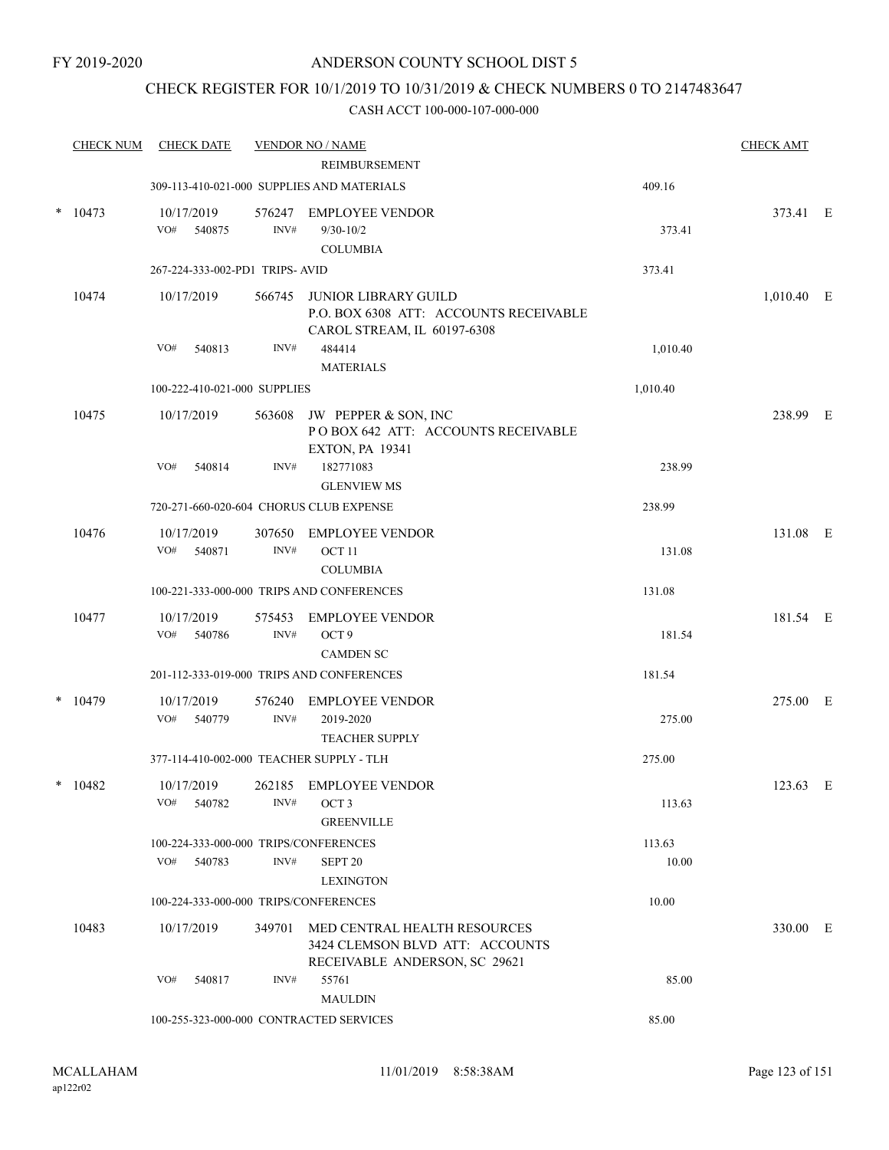## CHECK REGISTER FOR 10/1/2019 TO 10/31/2019 & CHECK NUMBERS 0 TO 2147483647

|   | <b>CHECK NUM</b> | <b>CHECK DATE</b>                        |                | <b>VENDOR NO / NAME</b>                                                                              |          | <b>CHECK AMT</b> |  |
|---|------------------|------------------------------------------|----------------|------------------------------------------------------------------------------------------------------|----------|------------------|--|
|   |                  |                                          |                | <b>REIMBURSEMENT</b>                                                                                 |          |                  |  |
|   |                  |                                          |                | 309-113-410-021-000 SUPPLIES AND MATERIALS                                                           | 409.16   |                  |  |
|   | $*$ 10473        | 10/17/2019<br>VO#<br>540875              | 576247<br>INV# | <b>EMPLOYEE VENDOR</b><br>$9/30 - 10/2$<br><b>COLUMBIA</b>                                           | 373.41   | 373.41 E         |  |
|   |                  | 267-224-333-002-PD1 TRIPS-AVID           |                |                                                                                                      | 373.41   |                  |  |
|   | 10474            | 10/17/2019                               | 566745         | <b>JUNIOR LIBRARY GUILD</b><br>P.O. BOX 6308 ATT: ACCOUNTS RECEIVABLE<br>CAROL STREAM, IL 60197-6308 |          | $1,010.40$ E     |  |
|   |                  | VO#<br>540813                            | INV#           | 484414<br><b>MATERIALS</b>                                                                           | 1,010.40 |                  |  |
|   |                  | 100-222-410-021-000 SUPPLIES             |                |                                                                                                      | 1,010.40 |                  |  |
|   | 10475            | 10/17/2019                               | 563608         | JW PEPPER & SON, INC<br>POBOX 642 ATT: ACCOUNTS RECEIVABLE<br><b>EXTON, PA 19341</b>                 |          | 238.99 E         |  |
|   |                  | VO#<br>540814                            | INV#           | 182771083<br><b>GLENVIEW MS</b>                                                                      | 238.99   |                  |  |
|   |                  | 720-271-660-020-604 CHORUS CLUB EXPENSE  |                |                                                                                                      | 238.99   |                  |  |
|   | 10476            | 10/17/2019<br>VO#<br>540871              | 307650<br>INV# | <b>EMPLOYEE VENDOR</b><br>OCT <sub>11</sub><br><b>COLUMBIA</b>                                       | 131.08   | 131.08 E         |  |
|   |                  |                                          |                | 100-221-333-000-000 TRIPS AND CONFERENCES                                                            | 131.08   |                  |  |
|   | 10477            | 10/17/2019                               | 575453         | <b>EMPLOYEE VENDOR</b>                                                                               |          | 181.54 E         |  |
|   |                  | VO#<br>540786                            | INV#           | OCT <sub>9</sub><br><b>CAMDEN SC</b>                                                                 | 181.54   |                  |  |
|   |                  |                                          |                | 201-112-333-019-000 TRIPS AND CONFERENCES                                                            | 181.54   |                  |  |
|   | $*$ 10479        | 10/17/2019<br>VO# 540779                 | 576240<br>INV# | <b>EMPLOYEE VENDOR</b><br>2019-2020<br><b>TEACHER SUPPLY</b>                                         | 275.00   | 275.00 E         |  |
|   |                  | 377-114-410-002-000 TEACHER SUPPLY - TLH |                |                                                                                                      | 275.00   |                  |  |
| * | 10482            | 10/17/2019<br>VO#<br>540782              | INV#           | 262185 EMPLOYEE VENDOR<br>OCT <sub>3</sub><br><b>GREENVILLE</b>                                      | 113.63   | 123.63 E         |  |
|   |                  | 100-224-333-000-000 TRIPS/CONFERENCES    |                |                                                                                                      | 113.63   |                  |  |
|   |                  | VO#<br>540783                            | INV#           | SEPT <sub>20</sub><br><b>LEXINGTON</b>                                                               | 10.00    |                  |  |
|   |                  | 100-224-333-000-000 TRIPS/CONFERENCES    |                |                                                                                                      | 10.00    |                  |  |
|   | 10483            | 10/17/2019                               | 349701         | MED CENTRAL HEALTH RESOURCES<br>3424 CLEMSON BLVD ATT: ACCOUNTS<br>RECEIVABLE ANDERSON, SC 29621     |          | 330.00 E         |  |
|   |                  | VO#<br>540817                            | INV#           | 55761<br><b>MAULDIN</b>                                                                              | 85.00    |                  |  |
|   |                  | 100-255-323-000-000 CONTRACTED SERVICES  |                |                                                                                                      | 85.00    |                  |  |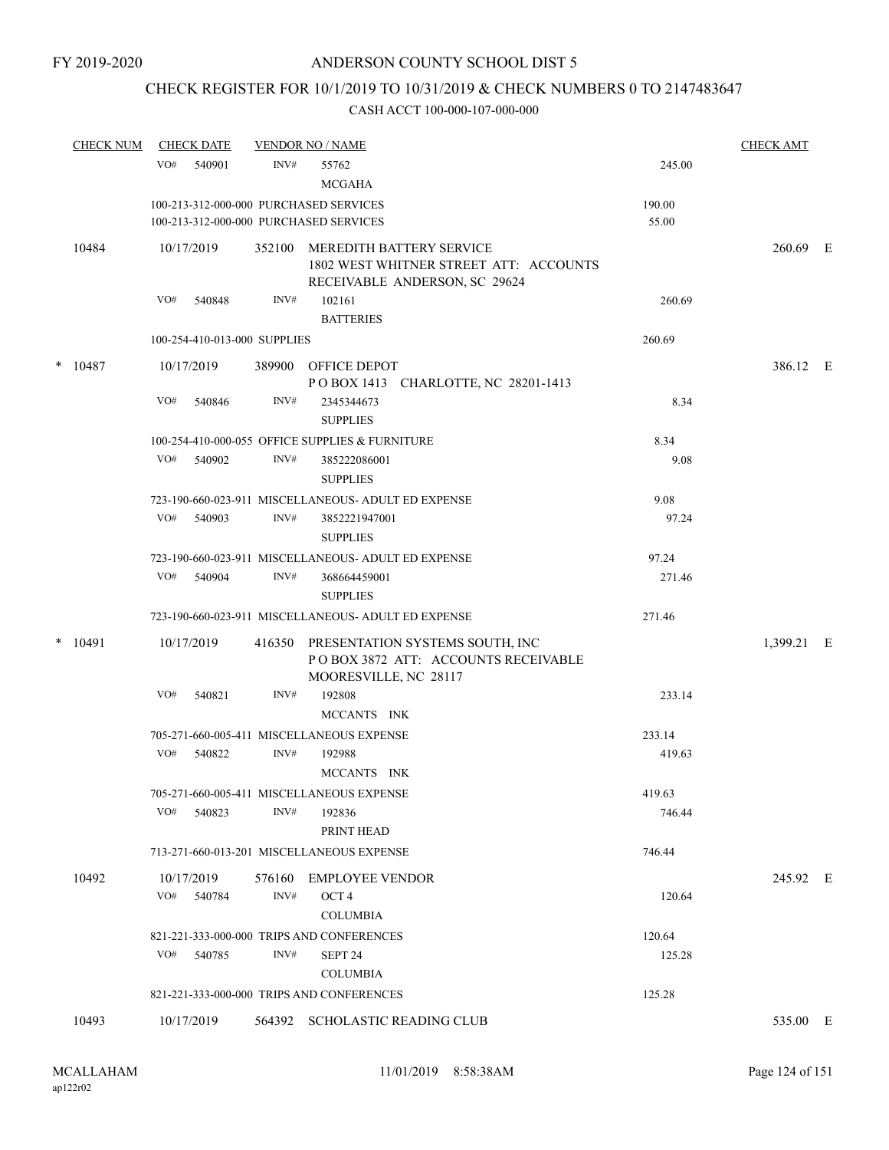# CHECK REGISTER FOR 10/1/2019 TO 10/31/2019 & CHECK NUMBERS 0 TO 2147483647

|   | <b>CHECK NUM</b> | <b>CHECK DATE</b>                                                                |                | <b>VENDOR NO / NAME</b>                                                                             |                  | <b>CHECK AMT</b> |     |
|---|------------------|----------------------------------------------------------------------------------|----------------|-----------------------------------------------------------------------------------------------------|------------------|------------------|-----|
|   |                  | VO#<br>540901                                                                    | INV#           | 55762<br><b>MCGAHA</b>                                                                              | 245.00           |                  |     |
|   |                  | 100-213-312-000-000 PURCHASED SERVICES<br>100-213-312-000-000 PURCHASED SERVICES |                |                                                                                                     | 190.00<br>55.00  |                  |     |
|   | 10484            | 10/17/2019                                                                       | 352100         | MEREDITH BATTERY SERVICE<br>1802 WEST WHITNER STREET ATT: ACCOUNTS<br>RECEIVABLE ANDERSON, SC 29624 |                  | 260.69 E         |     |
|   |                  | VO#<br>540848                                                                    | INV#           | 102161<br><b>BATTERIES</b>                                                                          | 260.69           |                  |     |
|   |                  | 100-254-410-013-000 SUPPLIES                                                     |                |                                                                                                     | 260.69           |                  |     |
| * | 10487            | 10/17/2019                                                                       | 389900         | OFFICE DEPOT<br>POBOX 1413 CHARLOTTE, NC 28201-1413                                                 |                  | 386.12 E         |     |
|   |                  | VO#<br>540846                                                                    | INV#           | 2345344673<br><b>SUPPLIES</b>                                                                       | 8.34             |                  |     |
|   |                  |                                                                                  |                | 100-254-410-000-055 OFFICE SUPPLIES & FURNITURE                                                     | 8.34             |                  |     |
|   |                  | VO#<br>540902                                                                    | INV#           | 385222086001<br><b>SUPPLIES</b>                                                                     | 9.08             |                  |     |
|   |                  |                                                                                  |                | 723-190-660-023-911 MISCELLANEOUS- ADULT ED EXPENSE                                                 | 9.08             |                  |     |
|   |                  | VO#<br>540903                                                                    | INV#           | 3852221947001<br><b>SUPPLIES</b>                                                                    | 97.24            |                  |     |
|   |                  |                                                                                  |                | 723-190-660-023-911 MISCELLANEOUS- ADULT ED EXPENSE                                                 | 97.24            |                  |     |
|   |                  | 540904<br>VO#                                                                    | INV#           | 368664459001<br><b>SUPPLIES</b>                                                                     | 271.46           |                  |     |
|   |                  |                                                                                  |                | 723-190-660-023-911 MISCELLANEOUS- ADULT ED EXPENSE                                                 | 271.46           |                  |     |
| * | 10491            | 10/17/2019                                                                       | 416350         | PRESENTATION SYSTEMS SOUTH, INC<br>POBOX 3872 ATT: ACCOUNTS RECEIVABLE<br>MOORESVILLE, NC 28117     |                  | 1,399.21         | – E |
|   |                  | VO#<br>540821                                                                    | INV#           | 192808<br>MCCANTS INK                                                                               | 233.14           |                  |     |
|   |                  |                                                                                  |                | 705-271-660-005-411 MISCELLANEOUS EXPENSE                                                           | 233.14           |                  |     |
|   |                  | VO#<br>540822                                                                    | INV#           | 192988<br>MCCANTS INK                                                                               | 419.63           |                  |     |
|   |                  |                                                                                  |                | 705-271-660-005-411 MISCELLANEOUS EXPENSE                                                           | 419.63           |                  |     |
|   |                  | VO#<br>540823                                                                    | INV#           | 192836<br>PRINT HEAD                                                                                | 746.44           |                  |     |
|   |                  |                                                                                  |                | 713-271-660-013-201 MISCELLANEOUS EXPENSE                                                           | 746.44           |                  |     |
|   | 10492            | 10/17/2019<br>VO#<br>540784                                                      | 576160<br>INV# | <b>EMPLOYEE VENDOR</b><br>OCT <sub>4</sub>                                                          | 120.64           | 245.92 E         |     |
|   |                  |                                                                                  |                | <b>COLUMBIA</b>                                                                                     |                  |                  |     |
|   |                  | VO#<br>540785                                                                    | INV#           | 821-221-333-000-000 TRIPS AND CONFERENCES<br>SEPT <sub>24</sub>                                     | 120.64<br>125.28 |                  |     |
|   |                  |                                                                                  |                | <b>COLUMBIA</b>                                                                                     |                  |                  |     |
|   |                  |                                                                                  |                | 821-221-333-000-000 TRIPS AND CONFERENCES                                                           | 125.28           |                  |     |
|   | 10493            | 10/17/2019                                                                       |                | 564392 SCHOLASTIC READING CLUB                                                                      |                  | 535.00 E         |     |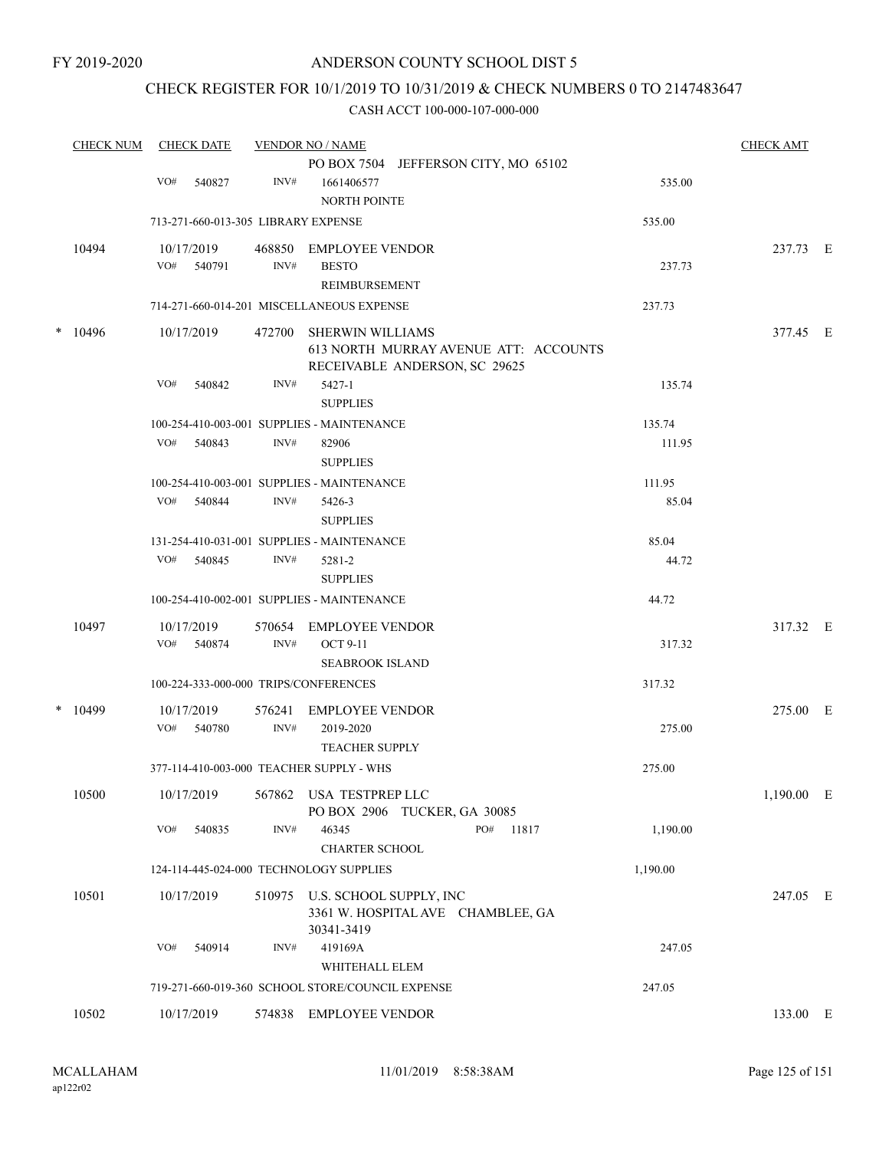## CHECK REGISTER FOR 10/1/2019 TO 10/31/2019 & CHECK NUMBERS 0 TO 2147483647

|   | <b>CHECK NUM</b> | <b>CHECK DATE</b>                        |                | <b>VENDOR NO / NAME</b>                                                                           |          | <b>CHECK AMT</b> |  |
|---|------------------|------------------------------------------|----------------|---------------------------------------------------------------------------------------------------|----------|------------------|--|
|   |                  |                                          |                | PO BOX 7504 JEFFERSON CITY, MO 65102                                                              |          |                  |  |
|   |                  | VO#<br>540827                            | INV#           | 1661406577<br><b>NORTH POINTE</b>                                                                 | 535.00   |                  |  |
|   |                  | 713-271-660-013-305 LIBRARY EXPENSE      |                |                                                                                                   | 535.00   |                  |  |
|   | 10494            | 10/17/2019                               | 468850         | <b>EMPLOYEE VENDOR</b>                                                                            |          | 237.73 E         |  |
|   |                  | VO# 540791                               | INV#           | <b>BESTO</b><br>REIMBURSEMENT                                                                     | 237.73   |                  |  |
|   |                  |                                          |                | 714-271-660-014-201 MISCELLANEOUS EXPENSE                                                         | 237.73   |                  |  |
| * | 10496            | 10/17/2019                               | 472700         | <b>SHERWIN WILLIAMS</b><br>613 NORTH MURRAY AVENUE ATT: ACCOUNTS<br>RECEIVABLE ANDERSON, SC 29625 |          | 377.45 E         |  |
|   |                  | VO#<br>540842                            | INV#           | 5427-1<br><b>SUPPLIES</b>                                                                         | 135.74   |                  |  |
|   |                  |                                          |                | 100-254-410-003-001 SUPPLIES - MAINTENANCE                                                        | 135.74   |                  |  |
|   |                  | VO#<br>540843                            | INV#           | 82906<br><b>SUPPLIES</b>                                                                          | 111.95   |                  |  |
|   |                  |                                          |                | 100-254-410-003-001 SUPPLIES - MAINTENANCE                                                        | 111.95   |                  |  |
|   |                  | VO#<br>540844                            | INV#           | 5426-3<br><b>SUPPLIES</b>                                                                         | 85.04    |                  |  |
|   |                  |                                          |                | 131-254-410-031-001 SUPPLIES - MAINTENANCE                                                        | 85.04    |                  |  |
|   |                  | VO#<br>540845                            | INV#           | 5281-2<br><b>SUPPLIES</b>                                                                         | 44.72    |                  |  |
|   |                  |                                          |                | 100-254-410-002-001 SUPPLIES - MAINTENANCE                                                        | 44.72    |                  |  |
|   | 10497            | 10/17/2019<br>VO#<br>540874              | 570654<br>INV# | <b>EMPLOYEE VENDOR</b><br><b>OCT 9-11</b>                                                         | 317.32   | 317.32 E         |  |
|   |                  | 100-224-333-000-000 TRIPS/CONFERENCES    |                | <b>SEABROOK ISLAND</b>                                                                            | 317.32   |                  |  |
|   |                  |                                          |                |                                                                                                   |          |                  |  |
|   | $*$ 10499        | 10/17/2019<br>VO#<br>540780              | 576241<br>INV# | <b>EMPLOYEE VENDOR</b><br>2019-2020<br><b>TEACHER SUPPLY</b>                                      | 275.00   | 275.00 E         |  |
|   |                  | 377-114-410-003-000 TEACHER SUPPLY - WHS |                |                                                                                                   | 275.00   |                  |  |
|   | 10500            | 10/17/2019                               | 567862         | USA TESTPREP LLC<br>PO BOX 2906 TUCKER, GA 30085                                                  |          | 1,190.00 E       |  |
|   |                  | VO#<br>540835                            | INV#           | 46345<br>PO#<br>11817<br><b>CHARTER SCHOOL</b>                                                    | 1,190.00 |                  |  |
|   |                  | 124-114-445-024-000 TECHNOLOGY SUPPLIES  |                |                                                                                                   | 1,190.00 |                  |  |
|   | 10501            | 10/17/2019                               | 510975         | U.S. SCHOOL SUPPLY, INC<br>3361 W. HOSPITAL AVE CHAMBLEE, GA<br>30341-3419                        |          | 247.05 E         |  |
|   |                  | VO#<br>540914                            | INV#           | 419169A<br>WHITEHALL ELEM                                                                         | 247.05   |                  |  |
|   |                  |                                          |                | 719-271-660-019-360 SCHOOL STORE/COUNCIL EXPENSE                                                  | 247.05   |                  |  |
|   | 10502            | 10/17/2019                               |                | 574838 EMPLOYEE VENDOR                                                                            |          | 133.00 E         |  |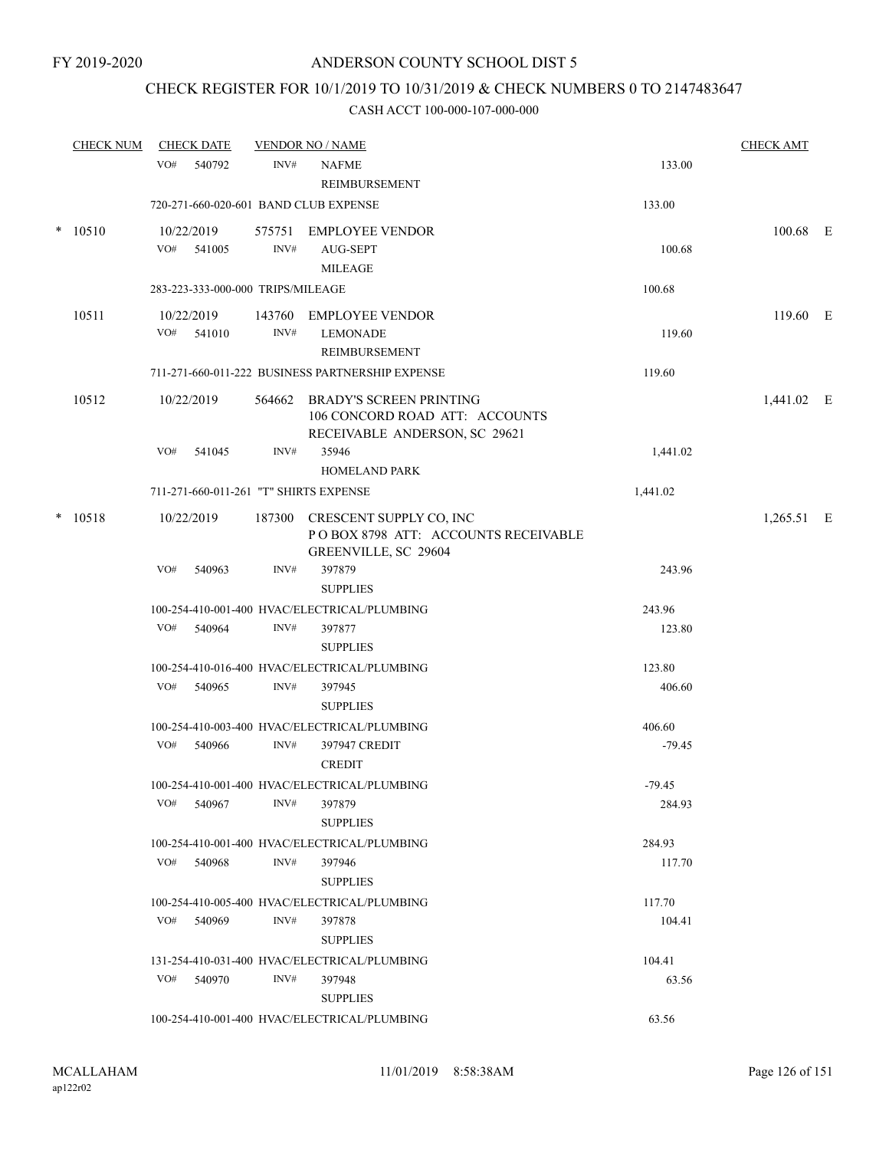## CHECK REGISTER FOR 10/1/2019 TO 10/31/2019 & CHECK NUMBERS 0 TO 2147483647

|        | <b>CHECK NUM</b> |     | <b>CHECK DATE</b>                 |                | <b>VENDOR NO / NAME</b>                                                                           | <b>CHECK AMT</b>   |              |  |
|--------|------------------|-----|-----------------------------------|----------------|---------------------------------------------------------------------------------------------------|--------------------|--------------|--|
|        |                  | VO# | 540792                            | INV#           | <b>NAFME</b><br><b>REIMBURSEMENT</b>                                                              | 133.00             |              |  |
|        |                  |     |                                   |                | 720-271-660-020-601 BAND CLUB EXPENSE                                                             | 133.00             |              |  |
| $\ast$ | 10510            |     | 10/22/2019<br>VO# 541005          | INV#           | 575751 EMPLOYEE VENDOR<br>AUG-SEPT<br><b>MILEAGE</b>                                              | 100.68             | 100.68 E     |  |
|        |                  |     | 283-223-333-000-000 TRIPS/MILEAGE |                |                                                                                                   | 100.68             |              |  |
|        | 10511            |     | 10/22/2019<br>$VO#$ 541010        | 143760<br>INV# | <b>EMPLOYEE VENDOR</b><br><b>LEMONADE</b><br>REIMBURSEMENT                                        | 119.60             | $119.60$ E   |  |
|        |                  |     |                                   |                | 711-271-660-011-222 BUSINESS PARTNERSHIP EXPENSE                                                  | 119.60             |              |  |
|        | 10512            |     | 10/22/2019                        | 564662         | <b>BRADY'S SCREEN PRINTING</b><br>106 CONCORD ROAD ATT: ACCOUNTS<br>RECEIVABLE ANDERSON, SC 29621 |                    | 1,441.02 E   |  |
|        |                  | VO# | 541045                            | INV#           | 35946<br><b>HOMELAND PARK</b>                                                                     | 1,441.02           |              |  |
|        |                  |     |                                   |                | 711-271-660-011-261 "T" SHIRTS EXPENSE                                                            | 1,441.02           |              |  |
|        | $* 10518$        |     | 10/22/2019                        |                | 187300 CRESCENT SUPPLY CO, INC<br>POBOX 8798 ATT: ACCOUNTS RECEIVABLE<br>GREENVILLE, SC 29604     |                    | $1,265.51$ E |  |
|        |                  | VO# | 540963                            | INV#           | 397879<br><b>SUPPLIES</b>                                                                         | 243.96             |              |  |
|        |                  |     |                                   |                | 100-254-410-001-400 HVAC/ELECTRICAL/PLUMBING                                                      | 243.96             |              |  |
|        |                  | VO# | 540964                            | INV#           | 397877<br><b>SUPPLIES</b>                                                                         | 123.80             |              |  |
|        |                  |     |                                   |                | 100-254-410-016-400 HVAC/ELECTRICAL/PLUMBING                                                      | 123.80             |              |  |
|        |                  | VO# | 540965                            | INV#           | 397945<br><b>SUPPLIES</b>                                                                         | 406.60             |              |  |
|        |                  | VO# | 540966                            | INV#           | 100-254-410-003-400 HVAC/ELECTRICAL/PLUMBING<br>397947 CREDIT<br><b>CREDIT</b>                    | 406.60<br>$-79.45$ |              |  |
|        |                  |     | VO# 540967                        | INV#           | 100-254-410-001-400 HVAC/ELECTRICAL/PLUMBING<br>397879<br><b>SUPPLIES</b>                         | $-79.45$<br>284.93 |              |  |
|        |                  |     |                                   |                | 100-254-410-001-400 HVAC/ELECTRICAL/PLUMBING                                                      | 284.93             |              |  |
|        |                  |     | VO# 540968                        | INV#           | 397946<br><b>SUPPLIES</b>                                                                         | 117.70             |              |  |
|        |                  |     |                                   |                | 100-254-410-005-400 HVAC/ELECTRICAL/PLUMBING                                                      | 117.70             |              |  |
|        |                  |     | VO# 540969                        | INV#           | 397878<br><b>SUPPLIES</b>                                                                         | 104.41             |              |  |
|        |                  |     |                                   |                | 131-254-410-031-400 HVAC/ELECTRICAL/PLUMBING                                                      | 104.41             |              |  |
|        |                  |     | VO# 540970                        | INV#           | 397948<br><b>SUPPLIES</b>                                                                         | 63.56              |              |  |
|        |                  |     |                                   |                | 100-254-410-001-400 HVAC/ELECTRICAL/PLUMBING                                                      | 63.56              |              |  |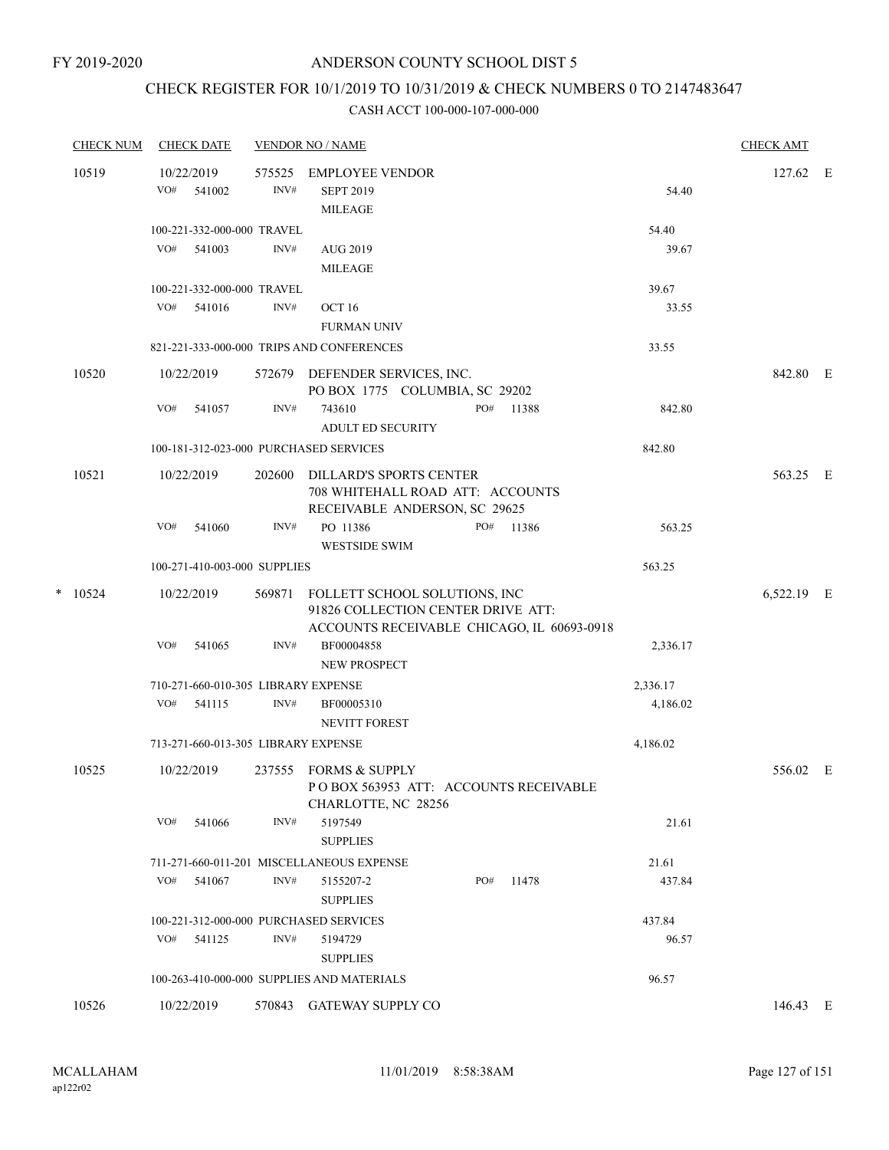## CHECK REGISTER FOR 10/1/2019 TO 10/31/2019 & CHECK NUMBERS 0 TO 2147483647

|   | <b>CHECK NUM</b> | <b>CHECK DATE</b>                   |        | <b>VENDOR NO / NAME</b>                    |     |       |          | <b>CHECK AMT</b> |  |
|---|------------------|-------------------------------------|--------|--------------------------------------------|-----|-------|----------|------------------|--|
|   | 10519            | 10/22/2019                          | 575525 | <b>EMPLOYEE VENDOR</b>                     |     |       |          | 127.62 E         |  |
|   |                  | VO#<br>541002                       | INV#   | <b>SEPT 2019</b>                           |     |       | 54.40    |                  |  |
|   |                  |                                     |        | <b>MILEAGE</b>                             |     |       |          |                  |  |
|   |                  | 100-221-332-000-000 TRAVEL          |        |                                            |     |       | 54.40    |                  |  |
|   |                  | VO#<br>541003                       | INV#   | AUG 2019                                   |     |       | 39.67    |                  |  |
|   |                  |                                     |        | <b>MILEAGE</b>                             |     |       |          |                  |  |
|   |                  | 100-221-332-000-000 TRAVEL          |        |                                            |     |       | 39.67    |                  |  |
|   |                  | VO#<br>541016                       | INV#   | OCT 16                                     |     |       | 33.55    |                  |  |
|   |                  |                                     |        | <b>FURMAN UNIV</b>                         |     |       |          |                  |  |
|   |                  |                                     |        | 821-221-333-000-000 TRIPS AND CONFERENCES  |     |       | 33.55    |                  |  |
|   | 10520            | 10/22/2019                          |        | 572679 DEFENDER SERVICES, INC.             |     |       |          | 842.80 E         |  |
|   |                  |                                     |        | PO BOX 1775 COLUMBIA, SC 29202             |     |       |          |                  |  |
|   |                  | VO#<br>541057                       | INV#   | 743610                                     | PO# | 11388 | 842.80   |                  |  |
|   |                  |                                     |        | ADULT ED SECURITY                          |     |       |          |                  |  |
|   |                  |                                     |        | 100-181-312-023-000 PURCHASED SERVICES     |     |       | 842.80   |                  |  |
|   | 10521            | 10/22/2019                          | 202600 | DILLARD'S SPORTS CENTER                    |     |       |          | 563.25 E         |  |
|   |                  |                                     |        | 708 WHITEHALL ROAD ATT: ACCOUNTS           |     |       |          |                  |  |
|   |                  |                                     |        | RECEIVABLE ANDERSON, SC 29625              |     |       |          |                  |  |
|   |                  | VO#<br>541060                       | INV#   | PO 11386                                   | PO# | 11386 | 563.25   |                  |  |
|   |                  |                                     |        | <b>WESTSIDE SWIM</b>                       |     |       |          |                  |  |
|   |                  | 100-271-410-003-000 SUPPLIES        |        |                                            |     |       | 563.25   |                  |  |
| * | 10524            | 10/22/2019                          | 569871 | FOLLETT SCHOOL SOLUTIONS, INC              |     |       |          | 6,522.19 E       |  |
|   |                  |                                     |        | 91826 COLLECTION CENTER DRIVE ATT:         |     |       |          |                  |  |
|   |                  |                                     |        | ACCOUNTS RECEIVABLE CHICAGO, IL 60693-0918 |     |       |          |                  |  |
|   |                  | VO#<br>541065                       | INV#   | BF00004858                                 |     |       | 2,336.17 |                  |  |
|   |                  |                                     |        | NEW PROSPECT                               |     |       |          |                  |  |
|   |                  | 710-271-660-010-305 LIBRARY EXPENSE |        |                                            |     |       | 2,336.17 |                  |  |
|   |                  | VO#<br>541115                       | INV#   | BF00005310                                 |     |       | 4,186.02 |                  |  |
|   |                  |                                     |        | <b>NEVITT FOREST</b>                       |     |       |          |                  |  |
|   |                  | 713-271-660-013-305 LIBRARY EXPENSE |        |                                            |     |       | 4,186.02 |                  |  |
|   | 10525            | 10/22/2019                          |        | 237555 FORMS & SUPPLY                      |     |       |          | 556.02 E         |  |
|   |                  |                                     |        | POBOX 563953 ATT: ACCOUNTS RECEIVABLE      |     |       |          |                  |  |
|   |                  |                                     |        | CHARLOTTE, NC 28256                        |     |       |          |                  |  |
|   |                  | VO#<br>541066                       | INV#   | 5197549                                    |     |       | 21.61    |                  |  |
|   |                  |                                     |        | ${\large\bf SUPPLIES}$                     |     |       |          |                  |  |
|   |                  | VO#                                 |        | 711-271-660-011-201 MISCELLANEOUS EXPENSE  |     |       | 21.61    |                  |  |
|   |                  | 541067                              | INV#   | 5155207-2<br><b>SUPPLIES</b>               | PO# | 11478 | 437.84   |                  |  |
|   |                  |                                     |        | 100-221-312-000-000 PURCHASED SERVICES     |     |       | 437.84   |                  |  |
|   |                  | VO# 541125                          | INV#   | 5194729                                    |     |       | 96.57    |                  |  |
|   |                  |                                     |        | <b>SUPPLIES</b>                            |     |       |          |                  |  |
|   |                  |                                     |        | 100-263-410-000-000 SUPPLIES AND MATERIALS |     |       | 96.57    |                  |  |
|   | 10526            | 10/22/2019                          |        | 570843 GATEWAY SUPPLY CO                   |     |       |          | 146.43 E         |  |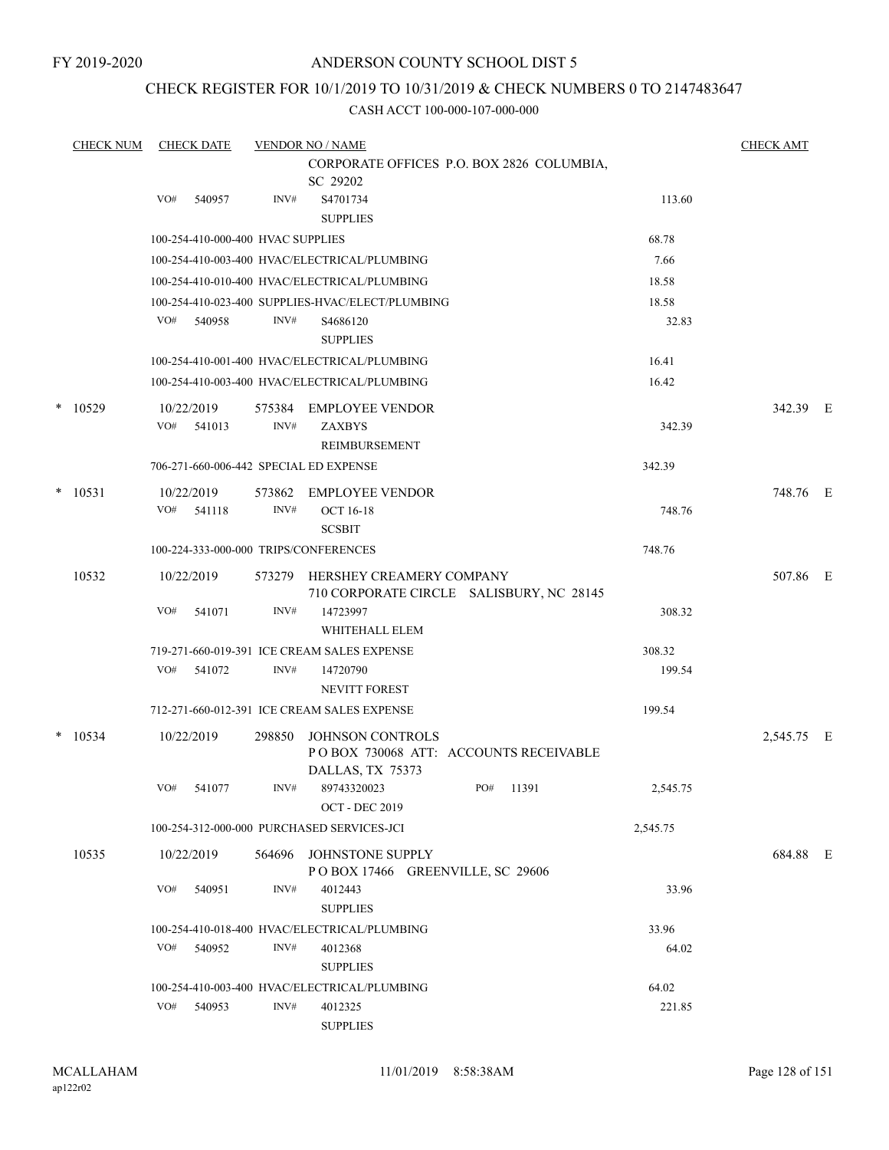## CHECK REGISTER FOR 10/1/2019 TO 10/31/2019 & CHECK NUMBERS 0 TO 2147483647

|   | <b>CHECK NUM</b> |     | <b>CHECK DATE</b>                 |        | <b>VENDOR NO / NAME</b>                          |                                           |                | <b>CHECK AMT</b> |  |
|---|------------------|-----|-----------------------------------|--------|--------------------------------------------------|-------------------------------------------|----------------|------------------|--|
|   |                  |     |                                   |        | SC 29202                                         | CORPORATE OFFICES P.O. BOX 2826 COLUMBIA, |                |                  |  |
|   |                  | VO# | 540957                            | INV#   | S4701734                                         |                                           | 113.60         |                  |  |
|   |                  |     |                                   |        | <b>SUPPLIES</b>                                  |                                           |                |                  |  |
|   |                  |     | 100-254-410-000-400 HVAC SUPPLIES |        |                                                  |                                           | 68.78          |                  |  |
|   |                  |     |                                   |        | 100-254-410-003-400 HVAC/ELECTRICAL/PLUMBING     |                                           | 7.66           |                  |  |
|   |                  |     |                                   |        | 100-254-410-010-400 HVAC/ELECTRICAL/PLUMBING     |                                           | 18.58          |                  |  |
|   |                  |     |                                   |        | 100-254-410-023-400 SUPPLIES-HVAC/ELECT/PLUMBING |                                           | 18.58          |                  |  |
|   |                  |     | VO# 540958                        | INV#   | S <sub>4686120</sub>                             |                                           | 32.83          |                  |  |
|   |                  |     |                                   |        | <b>SUPPLIES</b>                                  |                                           |                |                  |  |
|   |                  |     |                                   |        | 100-254-410-001-400 HVAC/ELECTRICAL/PLUMBING     |                                           | 16.41          |                  |  |
|   |                  |     |                                   |        | 100-254-410-003-400 HVAC/ELECTRICAL/PLUMBING     |                                           | 16.42          |                  |  |
| * | 10529            |     | 10/22/2019                        | 575384 | <b>EMPLOYEE VENDOR</b>                           |                                           |                | 342.39 E         |  |
|   |                  | VO# | 541013                            | INV#   | <b>ZAXBYS</b>                                    |                                           | 342.39         |                  |  |
|   |                  |     |                                   |        | <b>REIMBURSEMENT</b>                             |                                           |                |                  |  |
|   |                  |     |                                   |        | 706-271-660-006-442 SPECIAL ED EXPENSE           |                                           | 342.39         |                  |  |
| * | 10531            |     | 10/22/2019                        | 573862 | <b>EMPLOYEE VENDOR</b>                           |                                           |                | 748.76 E         |  |
|   |                  | VO# | 541118                            | INV#   | <b>OCT 16-18</b>                                 |                                           | 748.76         |                  |  |
|   |                  |     |                                   |        | <b>SCSBIT</b>                                    |                                           |                |                  |  |
|   |                  |     |                                   |        | 100-224-333-000-000 TRIPS/CONFERENCES            |                                           | 748.76         |                  |  |
|   | 10532            |     | 10/22/2019                        | 573279 | HERSHEY CREAMERY COMPANY                         |                                           |                | 507.86 E         |  |
|   |                  |     |                                   |        |                                                  | 710 CORPORATE CIRCLE SALISBURY, NC 28145  |                |                  |  |
|   |                  | VO# | 541071                            | INV#   | 14723997                                         |                                           | 308.32         |                  |  |
|   |                  |     |                                   |        | WHITEHALL ELEM                                   |                                           |                |                  |  |
|   |                  |     |                                   |        | 719-271-660-019-391 ICE CREAM SALES EXPENSE      |                                           | 308.32         |                  |  |
|   |                  | VO# | 541072                            | INV#   | 14720790                                         |                                           | 199.54         |                  |  |
|   |                  |     |                                   |        | <b>NEVITT FOREST</b>                             |                                           |                |                  |  |
|   |                  |     |                                   |        | 712-271-660-012-391 ICE CREAM SALES EXPENSE      |                                           | 199.54         |                  |  |
|   | $*$ 10534        |     | 10/22/2019                        | 298850 | <b>JOHNSON CONTROLS</b>                          |                                           |                | 2,545.75 E       |  |
|   |                  |     |                                   |        | POBOX 730068 ATT: ACCOUNTS RECEIVABLE            |                                           |                |                  |  |
|   |                  |     |                                   |        | DALLAS, TX 75373                                 |                                           |                |                  |  |
|   |                  | VO# | 541077                            | INV#   | 89743320023                                      | PO# 11391                                 | 2,545.75       |                  |  |
|   |                  |     |                                   |        | <b>OCT - DEC 2019</b>                            |                                           |                |                  |  |
|   |                  |     |                                   |        | 100-254-312-000-000 PURCHASED SERVICES-JCI       |                                           | 2,545.75       |                  |  |
|   | 10535            |     | 10/22/2019                        |        | 564696 JOHNSTONE SUPPLY                          |                                           |                | 684.88 E         |  |
|   |                  |     |                                   |        | POBOX 17466 GREENVILLE, SC 29606                 |                                           |                |                  |  |
|   |                  | VO# | 540951                            | INV#   | 4012443                                          |                                           | 33.96          |                  |  |
|   |                  |     |                                   |        | <b>SUPPLIES</b>                                  |                                           |                |                  |  |
|   |                  | VO# |                                   | INV#   | 100-254-410-018-400 HVAC/ELECTRICAL/PLUMBING     |                                           | 33.96<br>64.02 |                  |  |
|   |                  |     | 540952                            |        | 4012368<br><b>SUPPLIES</b>                       |                                           |                |                  |  |
|   |                  |     |                                   |        | 100-254-410-003-400 HVAC/ELECTRICAL/PLUMBING     |                                           | 64.02          |                  |  |
|   |                  | VO# | 540953                            | INV#   | 4012325                                          |                                           | 221.85         |                  |  |
|   |                  |     |                                   |        | <b>SUPPLIES</b>                                  |                                           |                |                  |  |
|   |                  |     |                                   |        |                                                  |                                           |                |                  |  |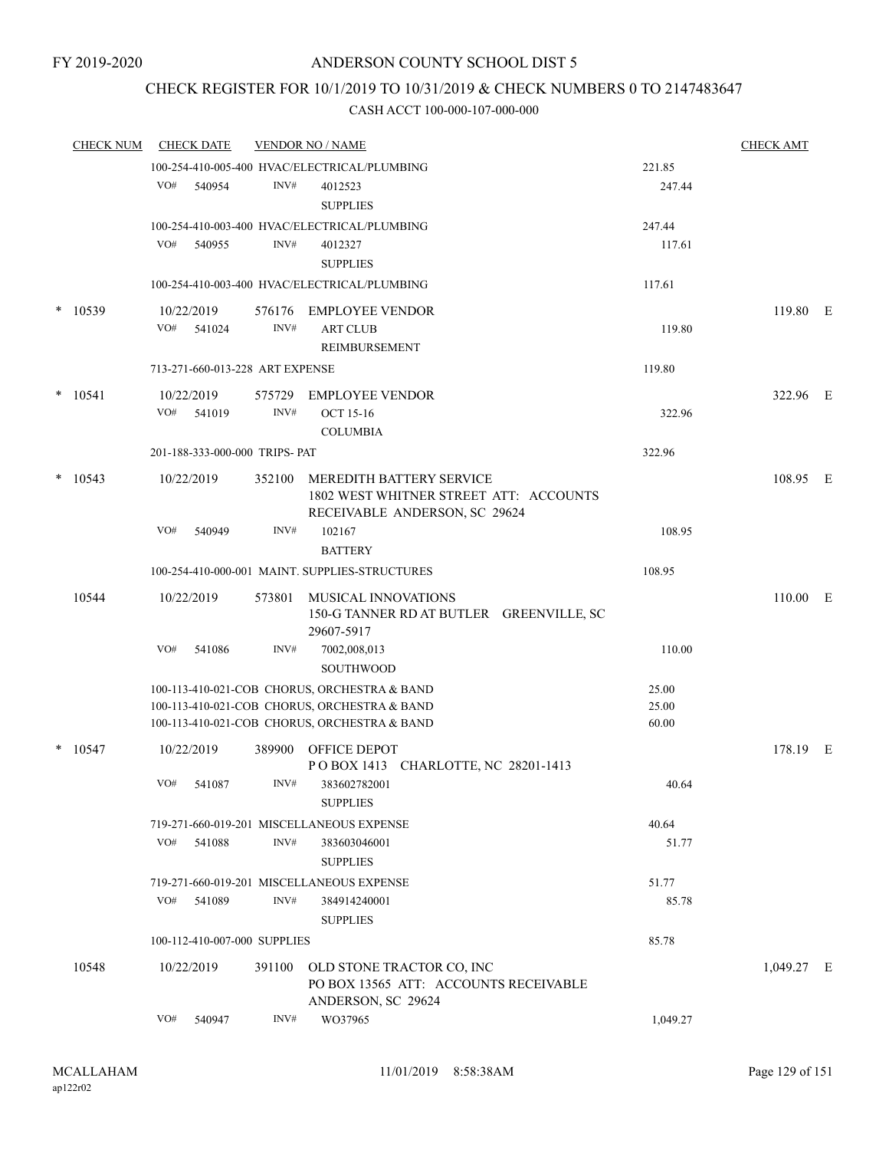## CHECK REGISTER FOR 10/1/2019 TO 10/31/2019 & CHECK NUMBERS 0 TO 2147483647

|        | <b>CHECK NUM</b> |     | <b>CHECK DATE</b>               |        | <b>VENDOR NO / NAME</b>                                            |                | <b>CHECK AMT</b> |  |
|--------|------------------|-----|---------------------------------|--------|--------------------------------------------------------------------|----------------|------------------|--|
|        |                  |     |                                 |        | 100-254-410-005-400 HVAC/ELECTRICAL/PLUMBING                       | 221.85         |                  |  |
|        |                  | VO# | 540954                          | INV#   | 4012523                                                            | 247.44         |                  |  |
|        |                  |     |                                 |        | <b>SUPPLIES</b>                                                    |                |                  |  |
|        |                  |     |                                 |        | 100-254-410-003-400 HVAC/ELECTRICAL/PLUMBING                       | 247.44         |                  |  |
|        |                  | VO# | 540955                          | INV#   | 4012327                                                            | 117.61         |                  |  |
|        |                  |     |                                 |        | <b>SUPPLIES</b>                                                    |                |                  |  |
|        |                  |     |                                 |        | 100-254-410-003-400 HVAC/ELECTRICAL/PLUMBING                       | 117.61         |                  |  |
|        | $*$ 10539        |     | 10/22/2019                      | 576176 | <b>EMPLOYEE VENDOR</b>                                             |                | 119.80 E         |  |
|        |                  | VO# | 541024                          | INV#   | <b>ART CLUB</b>                                                    | 119.80         |                  |  |
|        |                  |     |                                 |        | REIMBURSEMENT                                                      |                |                  |  |
|        |                  |     | 713-271-660-013-228 ART EXPENSE |        |                                                                    | 119.80         |                  |  |
|        | $*$ 10541        |     | 10/22/2019                      |        | 575729 EMPLOYEE VENDOR                                             |                | 322.96 E         |  |
|        |                  | VO# | 541019                          | INV#   | <b>OCT 15-16</b>                                                   | 322.96         |                  |  |
|        |                  |     |                                 |        | <b>COLUMBIA</b>                                                    |                |                  |  |
|        |                  |     | 201-188-333-000-000 TRIPS- PAT  |        |                                                                    | 322.96         |                  |  |
|        | $*$ 10543        |     | 10/22/2019                      |        | 352100 MEREDITH BATTERY SERVICE                                    |                | 108.95 E         |  |
|        |                  |     |                                 |        | 1802 WEST WHITNER STREET ATT: ACCOUNTS                             |                |                  |  |
|        |                  |     |                                 |        | RECEIVABLE ANDERSON, SC 29624                                      |                |                  |  |
|        |                  | VO# | 540949                          | INV#   | 102167                                                             | 108.95         |                  |  |
|        |                  |     |                                 |        | <b>BATTERY</b>                                                     |                |                  |  |
|        |                  |     |                                 |        | 100-254-410-000-001 MAINT. SUPPLIES-STRUCTURES                     | 108.95         |                  |  |
|        | 10544            |     | 10/22/2019                      | 573801 | MUSICAL INNOVATIONS                                                |                | 110.00 E         |  |
|        |                  |     |                                 |        | 150-G TANNER RD AT BUTLER GREENVILLE, SC<br>29607-5917             |                |                  |  |
|        |                  | VO# | 541086                          | INV#   | 7002,008,013                                                       | 110.00         |                  |  |
|        |                  |     |                                 |        | <b>SOUTHWOOD</b>                                                   |                |                  |  |
|        |                  |     |                                 |        | 100-113-410-021-COB CHORUS, ORCHESTRA & BAND                       | 25.00          |                  |  |
|        |                  |     |                                 |        | 100-113-410-021-COB CHORUS, ORCHESTRA & BAND                       | 25.00          |                  |  |
|        |                  |     |                                 |        | 100-113-410-021-COB CHORUS, ORCHESTRA & BAND                       | 60.00          |                  |  |
| $\ast$ | 10547            |     | 10/22/2019                      |        | 389900 OFFICE DEPOT                                                |                | 178.19 E         |  |
|        |                  |     |                                 |        | POBOX 1413 CHARLOTTE, NC 28201-1413                                |                |                  |  |
|        |                  | VO# | 541087                          | INV#   | 383602782001                                                       | 40.64          |                  |  |
|        |                  |     |                                 |        | <b>SUPPLIES</b>                                                    |                |                  |  |
|        |                  |     |                                 |        | 719-271-660-019-201 MISCELLANEOUS EXPENSE                          | 40.64          |                  |  |
|        |                  | VO# | 541088                          | INV#   | 383603046001                                                       | 51.77          |                  |  |
|        |                  |     |                                 |        | <b>SUPPLIES</b>                                                    |                |                  |  |
|        |                  | VO# | 541089                          | INV#   | 719-271-660-019-201 MISCELLANEOUS EXPENSE<br>384914240001          | 51.77<br>85.78 |                  |  |
|        |                  |     |                                 |        | <b>SUPPLIES</b>                                                    |                |                  |  |
|        |                  |     | 100-112-410-007-000 SUPPLIES    |        |                                                                    | 85.78          |                  |  |
|        |                  |     |                                 |        |                                                                    |                |                  |  |
|        | 10548            |     | 10/22/2019                      | 391100 | OLD STONE TRACTOR CO, INC<br>PO BOX 13565 ATT: ACCOUNTS RECEIVABLE |                | $1,049.27$ E     |  |
|        |                  |     |                                 |        | ANDERSON, SC 29624                                                 |                |                  |  |
|        |                  | VO# | 540947                          | INV#   | WO37965                                                            | 1,049.27       |                  |  |
|        |                  |     |                                 |        |                                                                    |                |                  |  |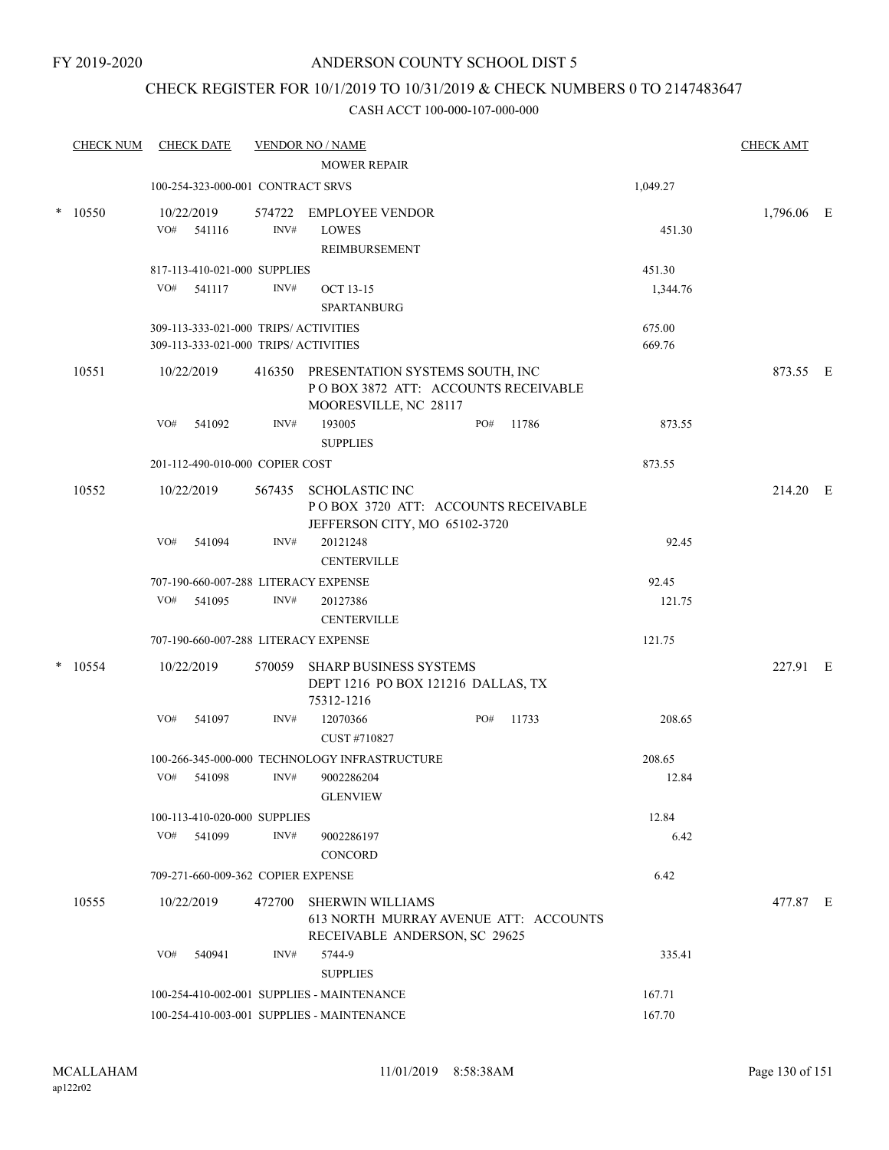## CHECK REGISTER FOR 10/1/2019 TO 10/31/2019 & CHECK NUMBERS 0 TO 2147483647

|        | <b>CHECK NUM</b> |     | <b>CHECK DATE</b>                                                              |        | <b>VENDOR NO / NAME</b>                                                                                |     |       |                  | <b>CHECK AMT</b> |  |
|--------|------------------|-----|--------------------------------------------------------------------------------|--------|--------------------------------------------------------------------------------------------------------|-----|-------|------------------|------------------|--|
|        |                  |     |                                                                                |        | <b>MOWER REPAIR</b>                                                                                    |     |       |                  |                  |  |
|        |                  |     | 100-254-323-000-001 CONTRACT SRVS                                              |        |                                                                                                        |     |       | 1,049.27         |                  |  |
| $\ast$ | 10550            | VO# | 10/22/2019<br>541116                                                           | INV#   | 574722 EMPLOYEE VENDOR<br><b>LOWES</b><br>REIMBURSEMENT                                                |     |       | 451.30           | 1,796.06 E       |  |
|        |                  |     | 817-113-410-021-000 SUPPLIES                                                   |        |                                                                                                        |     |       | 451.30           |                  |  |
|        |                  | VO# | 541117                                                                         | INV#   | <b>OCT 13-15</b><br><b>SPARTANBURG</b>                                                                 |     |       | 1,344.76         |                  |  |
|        |                  |     | 309-113-333-021-000 TRIPS/ ACTIVITIES<br>309-113-333-021-000 TRIPS/ ACTIVITIES |        |                                                                                                        |     |       | 675.00<br>669.76 |                  |  |
|        | 10551            |     | 10/22/2019                                                                     |        | 416350 PRESENTATION SYSTEMS SOUTH, INC<br>POBOX 3872 ATT: ACCOUNTS RECEIVABLE<br>MOORESVILLE, NC 28117 |     |       |                  | 873.55 E         |  |
|        |                  | VO# | 541092                                                                         | INV#   | 193005<br><b>SUPPLIES</b>                                                                              | PO# | 11786 | 873.55           |                  |  |
|        |                  |     | 201-112-490-010-000 COPIER COST                                                |        |                                                                                                        |     |       | 873.55           |                  |  |
|        | 10552            |     | 10/22/2019                                                                     | 567435 | <b>SCHOLASTIC INC</b><br>POBOX 3720 ATT: ACCOUNTS RECEIVABLE<br>JEFFERSON CITY, MO 65102-3720          |     |       |                  | 214.20 E         |  |
|        |                  | VO# | 541094                                                                         | INV#   | 20121248<br><b>CENTERVILLE</b>                                                                         |     |       | 92.45            |                  |  |
|        |                  |     |                                                                                |        | 707-190-660-007-288 LITERACY EXPENSE                                                                   |     |       | 92.45            |                  |  |
|        |                  | VO# | 541095                                                                         | INV#   | 20127386<br><b>CENTERVILLE</b>                                                                         |     |       | 121.75           |                  |  |
|        |                  |     |                                                                                |        | 707-190-660-007-288 LITERACY EXPENSE                                                                   |     |       | 121.75           |                  |  |
| $\ast$ | 10554            |     | 10/22/2019                                                                     | 570059 | SHARP BUSINESS SYSTEMS<br>DEPT 1216 PO BOX 121216 DALLAS, TX<br>75312-1216                             |     |       |                  | 227.91 E         |  |
|        |                  | VO# | 541097                                                                         | INV#   | 12070366<br>CUST #710827                                                                               | PO# | 11733 | 208.65           |                  |  |
|        |                  |     |                                                                                |        | 100-266-345-000-000 TECHNOLOGY INFRASTRUCTURE                                                          |     |       | 208.65           |                  |  |
|        |                  |     | VO# 541098                                                                     | INV#   | 9002286204<br><b>GLENVIEW</b>                                                                          |     |       | 12.84            |                  |  |
|        |                  |     | 100-113-410-020-000 SUPPLIES                                                   |        |                                                                                                        |     |       | 12.84            |                  |  |
|        |                  |     | VO# 541099                                                                     | INV#   | 9002286197<br><b>CONCORD</b>                                                                           |     |       | 6.42             |                  |  |
|        |                  |     | 709-271-660-009-362 COPIER EXPENSE                                             |        |                                                                                                        |     |       | 6.42             |                  |  |
|        | 10555            |     | 10/22/2019                                                                     | 472700 | <b>SHERWIN WILLIAMS</b><br>613 NORTH MURRAY AVENUE ATT: ACCOUNTS<br>RECEIVABLE ANDERSON, SC 29625      |     |       |                  | 477.87 E         |  |
|        |                  | VO# | 540941                                                                         | INV#   | 5744-9<br><b>SUPPLIES</b>                                                                              |     |       | 335.41           |                  |  |
|        |                  |     |                                                                                |        | 100-254-410-002-001 SUPPLIES - MAINTENANCE                                                             |     |       | 167.71           |                  |  |
|        |                  |     |                                                                                |        | 100-254-410-003-001 SUPPLIES - MAINTENANCE                                                             |     |       | 167.70           |                  |  |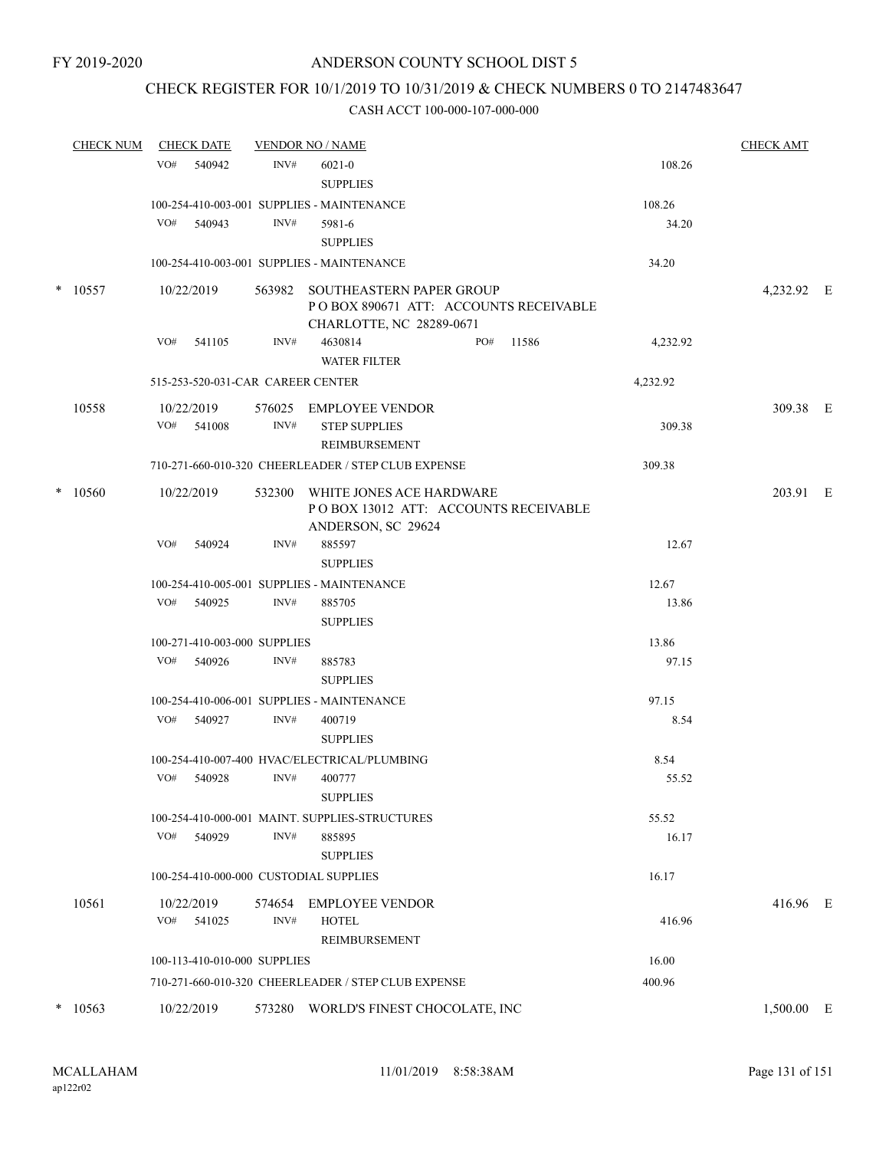## CHECK REGISTER FOR 10/1/2019 TO 10/31/2019 & CHECK NUMBERS 0 TO 2147483647

|        | <b>CHECK NUM</b> |     | <b>CHECK DATE</b>                 |        | <b>VENDOR NO / NAME</b>                                                                              |     |       |          | <b>CHECK AMT</b> |  |
|--------|------------------|-----|-----------------------------------|--------|------------------------------------------------------------------------------------------------------|-----|-------|----------|------------------|--|
|        |                  | VO# | 540942                            | INV#   | $6021 - 0$<br><b>SUPPLIES</b>                                                                        |     |       | 108.26   |                  |  |
|        |                  |     |                                   |        | 100-254-410-003-001 SUPPLIES - MAINTENANCE                                                           |     |       | 108.26   |                  |  |
|        |                  |     | VO# 540943                        | INV#   | 5981-6<br><b>SUPPLIES</b>                                                                            |     |       | 34.20    |                  |  |
|        |                  |     |                                   |        | 100-254-410-003-001 SUPPLIES - MAINTENANCE                                                           |     |       | 34.20    |                  |  |
| $\ast$ | 10557            |     | 10/22/2019                        | 563982 | <b>SOUTHEASTERN PAPER GROUP</b><br>POBOX 890671 ATT: ACCOUNTS RECEIVABLE<br>CHARLOTTE, NC 28289-0671 |     |       |          | 4,232.92 E       |  |
|        |                  |     | VO# 541105                        | INV#   | 4630814<br><b>WATER FILTER</b>                                                                       | PO# | 11586 | 4,232.92 |                  |  |
|        |                  |     | 515-253-520-031-CAR CAREER CENTER |        |                                                                                                      |     |       | 4,232.92 |                  |  |
|        | 10558            |     | 10/22/2019<br>VO# 541008          | INV#   | 576025 EMPLOYEE VENDOR<br><b>STEP SUPPLIES</b><br>REIMBURSEMENT                                      |     |       | 309.38   | 309.38 E         |  |
|        |                  |     |                                   |        | 710-271-660-010-320 CHEERLEADER / STEP CLUB EXPENSE                                                  |     |       | 309.38   |                  |  |
| $\ast$ | 10560            |     | 10/22/2019                        |        | 532300 WHITE JONES ACE HARDWARE<br>POBOX 13012 ATT: ACCOUNTS RECEIVABLE<br>ANDERSON, SC 29624        |     |       |          | 203.91 E         |  |
|        |                  | VO# | 540924                            | INV#   | 885597<br><b>SUPPLIES</b>                                                                            |     |       | 12.67    |                  |  |
|        |                  |     |                                   |        | 100-254-410-005-001 SUPPLIES - MAINTENANCE                                                           |     |       | 12.67    |                  |  |
|        |                  |     | VO# 540925                        | INV#   | 885705<br><b>SUPPLIES</b>                                                                            |     |       | 13.86    |                  |  |
|        |                  |     | 100-271-410-003-000 SUPPLIES      |        |                                                                                                      |     |       | 13.86    |                  |  |
|        |                  | VO# | 540926                            | INV#   | 885783<br><b>SUPPLIES</b>                                                                            |     |       | 97.15    |                  |  |
|        |                  |     |                                   |        | 100-254-410-006-001 SUPPLIES - MAINTENANCE                                                           |     |       | 97.15    |                  |  |
|        |                  |     | VO# 540927                        | INV#   | 400719<br><b>SUPPLIES</b>                                                                            |     |       | 8.54     |                  |  |
|        |                  |     |                                   |        | 100-254-410-007-400 HVAC/ELECTRICAL/PLUMBING                                                         |     |       | 8.54     |                  |  |
|        |                  |     | VO# 540928                        | INV#   | 400777<br><b>SUPPLIES</b>                                                                            |     |       | 55.52    |                  |  |
|        |                  |     |                                   |        | 100-254-410-000-001 MAINT. SUPPLIES-STRUCTURES                                                       |     |       | 55.52    |                  |  |
|        |                  | VO# | 540929                            | INV#   | 885895<br><b>SUPPLIES</b>                                                                            |     |       | 16.17    |                  |  |
|        |                  |     |                                   |        | 100-254-410-000-000 CUSTODIAL SUPPLIES                                                               |     |       | 16.17    |                  |  |
|        | 10561            |     | 10/22/2019                        | 574654 | <b>EMPLOYEE VENDOR</b>                                                                               |     |       |          | 416.96 E         |  |
|        |                  | VO# | 541025                            | INV#   | <b>HOTEL</b><br>REIMBURSEMENT                                                                        |     |       | 416.96   |                  |  |
|        |                  |     | 100-113-410-010-000 SUPPLIES      |        |                                                                                                      |     |       | 16.00    |                  |  |
|        |                  |     |                                   |        | 710-271-660-010-320 CHEERLEADER / STEP CLUB EXPENSE                                                  |     |       | 400.96   |                  |  |
| $\ast$ | 10563            |     | 10/22/2019                        | 573280 | WORLD'S FINEST CHOCOLATE, INC                                                                        |     |       |          | 1,500.00 E       |  |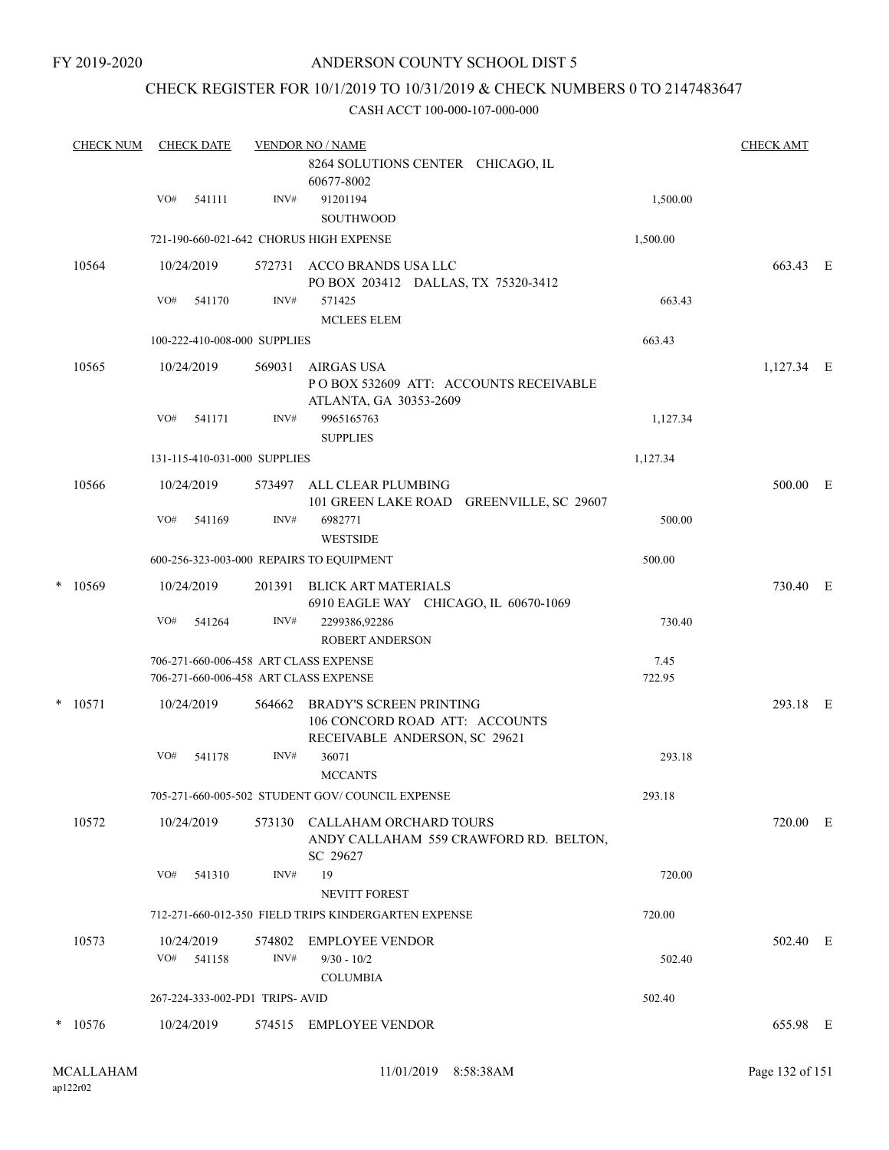FY 2019-2020

### ANDERSON COUNTY SCHOOL DIST 5

### CHECK REGISTER FOR 10/1/2019 TO 10/31/2019 & CHECK NUMBERS 0 TO 2147483647

|   | <b>CHECK NUM</b> |     | <b>CHECK DATE</b>          |                                | <b>VENDOR NO / NAME</b>                                                                           |                |              |  |  |  |  |
|---|------------------|-----|----------------------------|--------------------------------|---------------------------------------------------------------------------------------------------|----------------|--------------|--|--|--|--|
|   |                  |     |                            |                                | 8264 SOLUTIONS CENTER CHICAGO, IL<br>60677-8002                                                   |                |              |  |  |  |  |
|   |                  | VO# | 541111                     | INV#                           | 91201194                                                                                          | 1,500.00       |              |  |  |  |  |
|   |                  |     |                            |                                | SOUTHWOOD                                                                                         |                |              |  |  |  |  |
|   |                  |     |                            |                                | 721-190-660-021-642 CHORUS HIGH EXPENSE                                                           | 1,500.00       |              |  |  |  |  |
|   | 10564            |     | 10/24/2019                 |                                | 572731 ACCO BRANDS USA LLC<br>PO BOX 203412 DALLAS, TX 75320-3412                                 |                | 663.43 E     |  |  |  |  |
|   |                  | VO# | 541170                     | INV#                           | 571425<br><b>MCLEES ELEM</b>                                                                      | 663.43         |              |  |  |  |  |
|   |                  |     |                            | 100-222-410-008-000 SUPPLIES   |                                                                                                   | 663.43         |              |  |  |  |  |
|   | 10565            |     | 10/24/2019                 | 569031                         | AIRGAS USA<br>POBOX 532609 ATT: ACCOUNTS RECEIVABLE<br>ATLANTA, GA 30353-2609                     |                | $1,127.34$ E |  |  |  |  |
|   |                  | VO# | 541171                     | INV#                           | 9965165763<br><b>SUPPLIES</b>                                                                     | 1,127.34       |              |  |  |  |  |
|   |                  |     |                            | 131-115-410-031-000 SUPPLIES   |                                                                                                   | 1,127.34       |              |  |  |  |  |
|   | 10566            |     | 10/24/2019                 | 573497                         | ALL CLEAR PLUMBING<br>101 GREEN LAKE ROAD GREENVILLE, SC 29607                                    |                | 500.00 E     |  |  |  |  |
|   |                  | VO# | 541169                     | INV#                           | 6982771<br><b>WESTSIDE</b>                                                                        | 500.00         |              |  |  |  |  |
|   |                  |     |                            |                                | 600-256-323-003-000 REPAIRS TO EQUIPMENT                                                          | 500.00         |              |  |  |  |  |
| * | 10569            |     | 10/24/2019                 | 201391                         | <b>BLICK ART MATERIALS</b><br>6910 EAGLE WAY CHICAGO, IL 60670-1069                               |                | 730.40 E     |  |  |  |  |
|   |                  | VO# | 541264                     | INV#                           | 2299386,92286<br><b>ROBERT ANDERSON</b>                                                           | 730.40         |              |  |  |  |  |
|   |                  |     |                            |                                | 706-271-660-006-458 ART CLASS EXPENSE<br>706-271-660-006-458 ART CLASS EXPENSE                    | 7.45<br>722.95 |              |  |  |  |  |
|   | $*$ 10571        |     | 10/24/2019                 | 564662                         | <b>BRADY'S SCREEN PRINTING</b><br>106 CONCORD ROAD ATT: ACCOUNTS<br>RECEIVABLE ANDERSON, SC 29621 |                | 293.18 E     |  |  |  |  |
|   |                  | VO# | 541178                     | INV#                           | 36071<br><b>MCCANTS</b>                                                                           | 293.18         |              |  |  |  |  |
|   |                  |     |                            |                                | 705-271-660-005-502 STUDENT GOV/COUNCIL EXPENSE                                                   | 293.18         |              |  |  |  |  |
|   | 10572            |     | 10/24/2019                 |                                | 573130 CALLAHAM ORCHARD TOURS<br>ANDY CALLAHAM 559 CRAWFORD RD. BELTON,<br>SC 29627               |                | 720.00 E     |  |  |  |  |
|   |                  | VO# | 541310                     | INV#                           | 19<br><b>NEVITT FOREST</b>                                                                        | 720.00         |              |  |  |  |  |
|   |                  |     |                            |                                | 712-271-660-012-350 FIELD TRIPS KINDERGARTEN EXPENSE                                              | 720.00         |              |  |  |  |  |
|   | 10573            |     | 10/24/2019<br>$VO#$ 541158 | INV#                           | 574802 EMPLOYEE VENDOR<br>$9/30 - 10/2$                                                           | 502.40         | 502.40 E     |  |  |  |  |
|   |                  |     |                            |                                | <b>COLUMBIA</b>                                                                                   |                |              |  |  |  |  |
|   |                  |     |                            | 267-224-333-002-PD1 TRIPS-AVID |                                                                                                   | 502.40         |              |  |  |  |  |
|   | $*$ 10576        |     | 10/24/2019                 |                                | 574515 EMPLOYEE VENDOR                                                                            |                | 655.98 E     |  |  |  |  |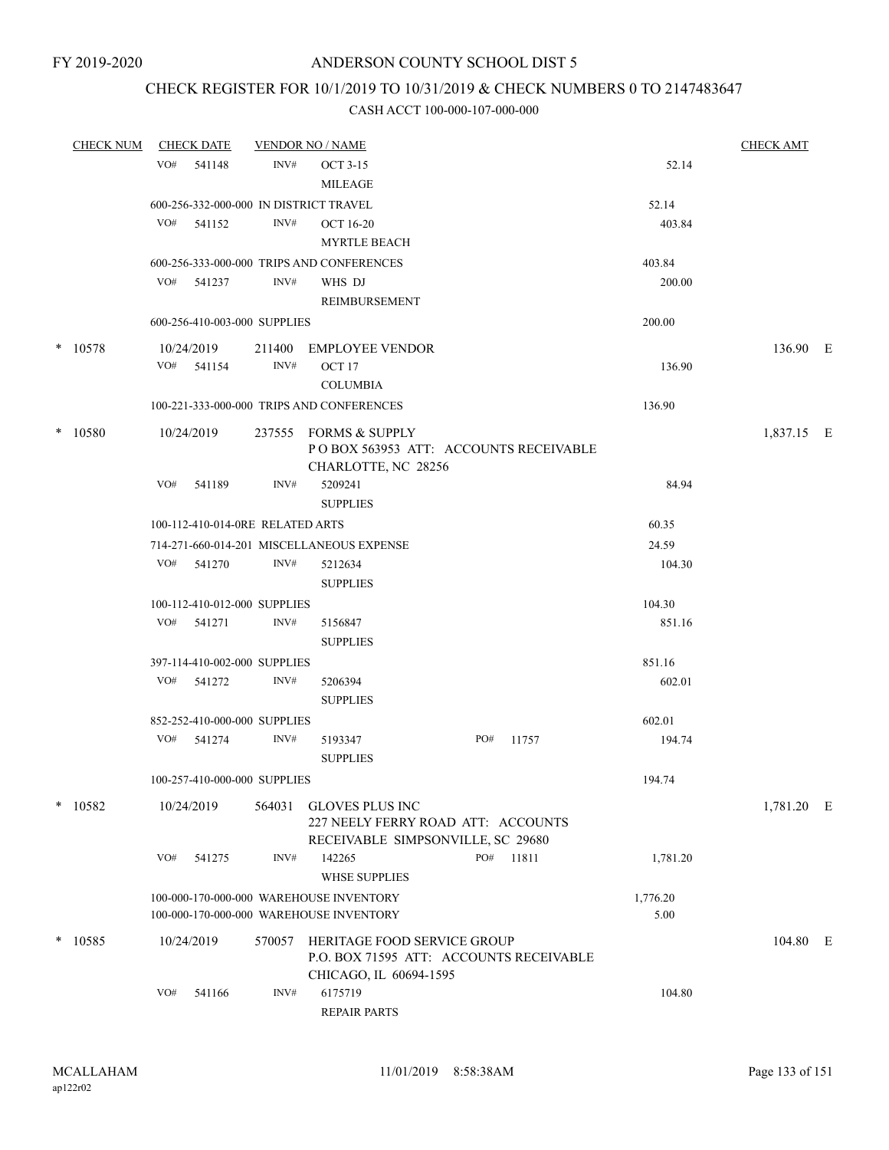## CHECK REGISTER FOR 10/1/2019 TO 10/31/2019 & CHECK NUMBERS 0 TO 2147483647

| <u>CHECK NUM</u> |     | <b>CHECK DATE</b> |                                  | <b>VENDOR NO / NAME</b>                                       |     |       |          | <b>CHECK AMT</b> |  |
|------------------|-----|-------------------|----------------------------------|---------------------------------------------------------------|-----|-------|----------|------------------|--|
|                  | VO# | 541148            | INV#                             | <b>OCT 3-15</b>                                               |     |       | 52.14    |                  |  |
|                  |     |                   |                                  | <b>MILEAGE</b>                                                |     |       |          |                  |  |
|                  |     |                   |                                  | 600-256-332-000-000 IN DISTRICT TRAVEL                        |     |       | 52.14    |                  |  |
|                  |     | VO# 541152        | INV#                             | OCT 16-20                                                     |     |       | 403.84   |                  |  |
|                  |     |                   |                                  | <b>MYRTLE BEACH</b>                                           |     |       |          |                  |  |
|                  |     |                   |                                  | 600-256-333-000-000 TRIPS AND CONFERENCES                     |     |       | 403.84   |                  |  |
|                  |     | VO# 541237        | INV#                             | WHS DJ                                                        |     |       | 200.00   |                  |  |
|                  |     |                   |                                  | REIMBURSEMENT                                                 |     |       |          |                  |  |
|                  |     |                   | 600-256-410-003-000 SUPPLIES     |                                                               |     |       | 200.00   |                  |  |
| * 10578          |     | 10/24/2019        | 211400                           | EMPLOYEE VENDOR                                               |     |       |          | 136.90 E         |  |
|                  |     | VO# 541154        | INV#                             | OCT 17                                                        |     |       | 136.90   |                  |  |
|                  |     |                   |                                  | <b>COLUMBIA</b>                                               |     |       |          |                  |  |
|                  |     |                   |                                  | 100-221-333-000-000 TRIPS AND CONFERENCES                     |     |       | 136.90   |                  |  |
|                  |     |                   |                                  |                                                               |     |       |          |                  |  |
| $*$ 10580        |     | 10/24/2019        |                                  | 237555 FORMS & SUPPLY                                         |     |       |          | 1,837.15 E       |  |
|                  |     |                   |                                  | PO BOX 563953 ATT: ACCOUNTS RECEIVABLE<br>CHARLOTTE, NC 28256 |     |       |          |                  |  |
|                  | VO# | 541189            | INV#                             | 5209241                                                       |     |       | 84.94    |                  |  |
|                  |     |                   |                                  | <b>SUPPLIES</b>                                               |     |       |          |                  |  |
|                  |     |                   | 100-112-410-014-0RE RELATED ARTS |                                                               |     |       | 60.35    |                  |  |
|                  |     |                   |                                  | 714-271-660-014-201 MISCELLANEOUS EXPENSE                     |     |       | 24.59    |                  |  |
|                  |     | VO# 541270        | INV#                             | 5212634                                                       |     |       | 104.30   |                  |  |
|                  |     |                   |                                  | <b>SUPPLIES</b>                                               |     |       |          |                  |  |
|                  |     |                   | 100-112-410-012-000 SUPPLIES     |                                                               |     |       | 104.30   |                  |  |
|                  |     | VO# 541271        | INV#                             | 5156847                                                       |     |       | 851.16   |                  |  |
|                  |     |                   |                                  | <b>SUPPLIES</b>                                               |     |       |          |                  |  |
|                  |     |                   | 397-114-410-002-000 SUPPLIES     |                                                               |     |       | 851.16   |                  |  |
|                  |     | VO# 541272        | INV#                             | 5206394                                                       |     |       | 602.01   |                  |  |
|                  |     |                   |                                  | <b>SUPPLIES</b>                                               |     |       |          |                  |  |
|                  |     |                   | 852-252-410-000-000 SUPPLIES     |                                                               |     |       | 602.01   |                  |  |
|                  |     | VO# 541274        | INV#                             | 5193347                                                       | PO# | 11757 | 194.74   |                  |  |
|                  |     |                   |                                  | <b>SUPPLIES</b>                                               |     |       |          |                  |  |
|                  |     |                   | 100-257-410-000-000 SUPPLIES     |                                                               |     |       | 194.74   |                  |  |
|                  |     |                   |                                  |                                                               |     |       |          |                  |  |
| $*$ 10582        |     | 10/24/2019        | 564031                           | GLOVES PLUS INC<br>227 NEELY FERRY ROAD ATT: ACCOUNTS         |     |       |          | 1,781.20 E       |  |
|                  |     |                   |                                  | RECEIVABLE SIMPSONVILLE, SC 29680                             |     |       |          |                  |  |
|                  | VO# | 541275            | INV#                             | 142265                                                        | PO# | 11811 | 1,781.20 |                  |  |
|                  |     |                   |                                  | <b>WHSE SUPPLIES</b>                                          |     |       |          |                  |  |
|                  |     |                   |                                  | 100-000-170-000-000 WAREHOUSE INVENTORY                       |     |       | 1,776.20 |                  |  |
|                  |     |                   |                                  | 100-000-170-000-000 WAREHOUSE INVENTORY                       |     |       | 5.00     |                  |  |
| $*$ 10585        |     | 10/24/2019        | 570057                           | HERITAGE FOOD SERVICE GROUP                                   |     |       |          | 104.80 E         |  |
|                  |     |                   |                                  | P.O. BOX 71595 ATT: ACCOUNTS RECEIVABLE                       |     |       |          |                  |  |
|                  |     |                   |                                  | CHICAGO, IL 60694-1595                                        |     |       |          |                  |  |
|                  | VO# | 541166            | INV#                             | 6175719                                                       |     |       | 104.80   |                  |  |
|                  |     |                   |                                  | <b>REPAIR PARTS</b>                                           |     |       |          |                  |  |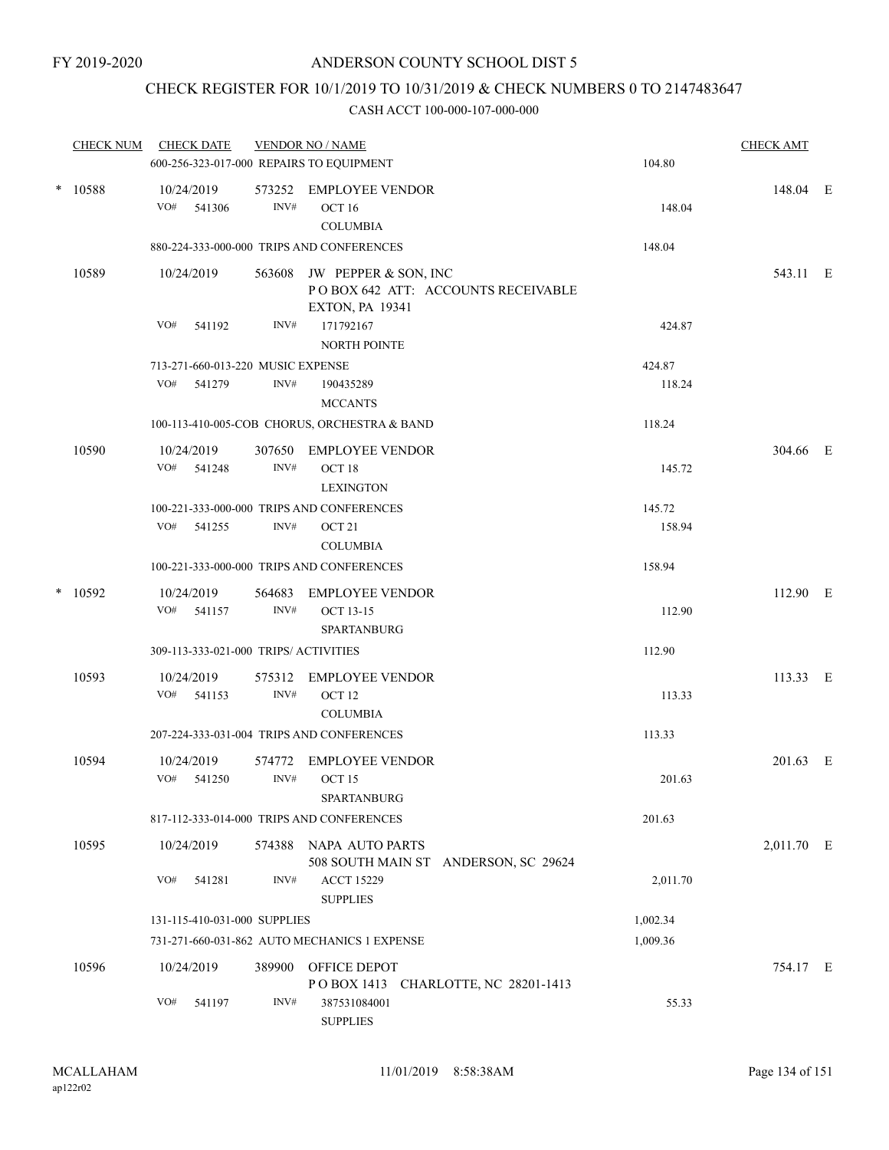## CHECK REGISTER FOR 10/1/2019 TO 10/31/2019 & CHECK NUMBERS 0 TO 2147483647

|        | <b>CHECK NUM</b> | <b>CHECK DATE</b><br>600-256-323-017-000 REPAIRS TO EQUIPMENT |                | <b>VENDOR NO / NAME</b>                                                              | 104.80   | <b>CHECK AMT</b> |  |
|--------|------------------|---------------------------------------------------------------|----------------|--------------------------------------------------------------------------------------|----------|------------------|--|
|        | * 10588          | 10/24/2019<br>VO# 541306                                      | INV#           | 573252 EMPLOYEE VENDOR<br>OCT 16<br><b>COLUMBIA</b>                                  | 148.04   | 148.04 E         |  |
|        |                  |                                                               |                | 880-224-333-000-000 TRIPS AND CONFERENCES                                            | 148.04   |                  |  |
|        | 10589            | 10/24/2019                                                    | 563608         | JW PEPPER & SON, INC<br>POBOX 642 ATT: ACCOUNTS RECEIVABLE<br><b>EXTON, PA 19341</b> |          | 543.11 E         |  |
|        |                  | VO#<br>541192                                                 | INV#           | 171792167<br><b>NORTH POINTE</b>                                                     | 424.87   |                  |  |
|        |                  | 713-271-660-013-220 MUSIC EXPENSE                             |                |                                                                                      | 424.87   |                  |  |
|        |                  | VO#<br>541279                                                 | INV#           | 190435289<br><b>MCCANTS</b>                                                          | 118.24   |                  |  |
|        |                  |                                                               |                | 100-113-410-005-COB CHORUS, ORCHESTRA & BAND                                         | 118.24   |                  |  |
|        | 10590            | 10/24/2019<br>VO# 541248                                      | 307650<br>INV# | <b>EMPLOYEE VENDOR</b><br>OCT 18                                                     | 145.72   | 304.66 E         |  |
|        |                  |                                                               |                | <b>LEXINGTON</b>                                                                     |          |                  |  |
|        |                  |                                                               |                | 100-221-333-000-000 TRIPS AND CONFERENCES                                            | 145.72   |                  |  |
|        |                  | VO# 541255                                                    | INV#           | OCT 21<br><b>COLUMBIA</b>                                                            | 158.94   |                  |  |
|        |                  |                                                               |                | 100-221-333-000-000 TRIPS AND CONFERENCES                                            | 158.94   |                  |  |
| $\ast$ | 10592            | 10/24/2019<br>VO#<br>541157                                   | 564683<br>INV# | <b>EMPLOYEE VENDOR</b><br><b>OCT 13-15</b><br>SPARTANBURG                            | 112.90   | 112.90 E         |  |
|        |                  | 309-113-333-021-000 TRIPS/ ACTIVITIES                         |                |                                                                                      | 112.90   |                  |  |
|        |                  |                                                               |                |                                                                                      |          |                  |  |
|        | 10593            | 10/24/2019<br>VO#<br>541153                                   | 575312<br>INV# | <b>EMPLOYEE VENDOR</b><br>OCT <sub>12</sub><br><b>COLUMBIA</b>                       | 113.33   | 113.33 E         |  |
|        |                  |                                                               |                | 207-224-333-031-004 TRIPS AND CONFERENCES                                            | 113.33   |                  |  |
|        | 10594            | 10/24/2019                                                    | 574772         | <b>EMPLOYEE VENDOR</b>                                                               |          | 201.63 E         |  |
|        |                  | VO# 541250                                                    | INV#           | OCT <sub>15</sub><br>SPARTANBURG                                                     | 201.63   |                  |  |
|        |                  |                                                               |                | 817-112-333-014-000 TRIPS AND CONFERENCES                                            | 201.63   |                  |  |
|        | 10595            | 10/24/2019                                                    | 574388         | NAPA AUTO PARTS<br>508 SOUTH MAIN ST ANDERSON, SC 29624                              |          | 2,011.70 E       |  |
|        |                  | VO#<br>541281                                                 | INV#           | <b>ACCT 15229</b><br><b>SUPPLIES</b>                                                 | 2,011.70 |                  |  |
|        |                  | 131-115-410-031-000 SUPPLIES                                  |                |                                                                                      | 1,002.34 |                  |  |
|        |                  |                                                               |                | 731-271-660-031-862 AUTO MECHANICS 1 EXPENSE                                         | 1,009.36 |                  |  |
|        | 10596            | 10/24/2019                                                    | 389900         | OFFICE DEPOT<br>POBOX 1413 CHARLOTTE, NC 28201-1413                                  |          | 754.17 E         |  |
|        |                  | VO#<br>541197                                                 | INV#           | 387531084001<br><b>SUPPLIES</b>                                                      | 55.33    |                  |  |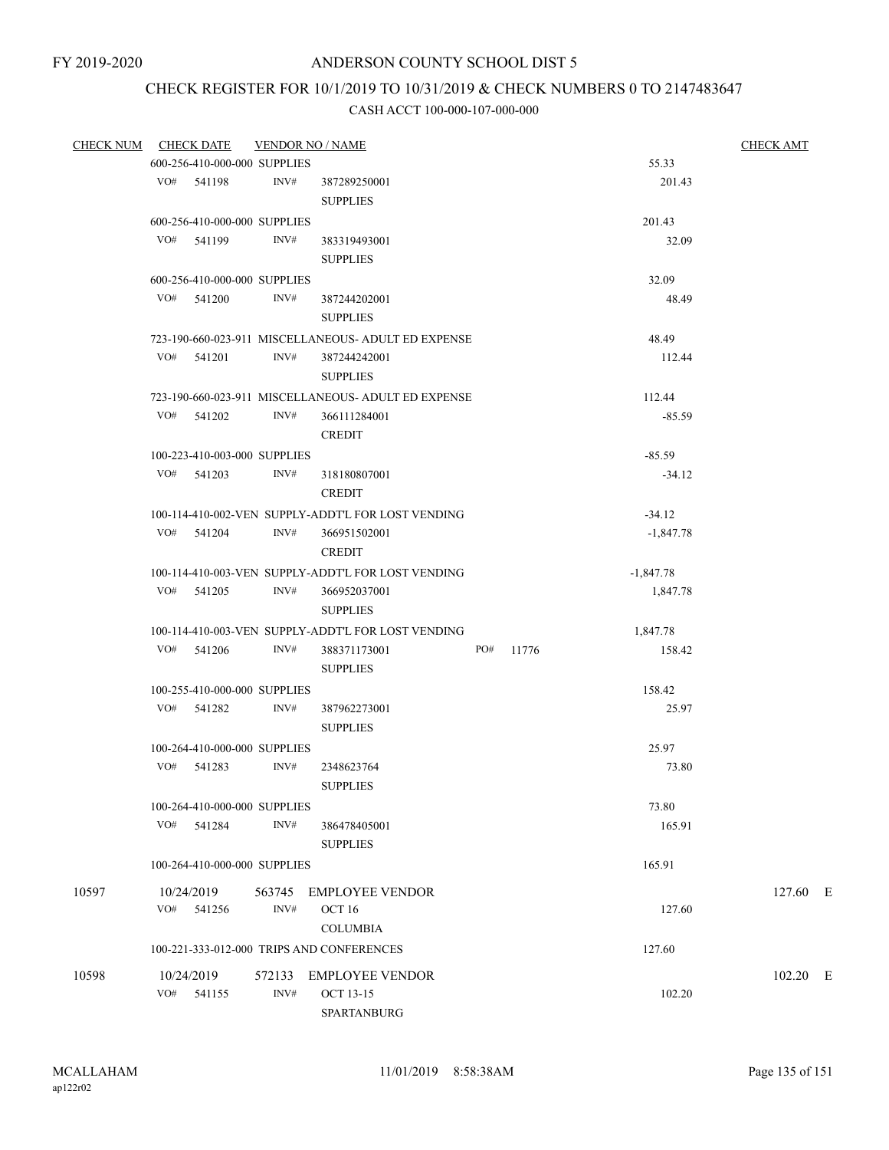# CHECK REGISTER FOR 10/1/2019 TO 10/31/2019 & CHECK NUMBERS 0 TO 2147483647

| CHECK NUM CHECK DATE |                              | <b>VENDOR NO / NAME</b> |                                                     |           |             | <b>CHECK AMT</b> |  |
|----------------------|------------------------------|-------------------------|-----------------------------------------------------|-----------|-------------|------------------|--|
|                      | 600-256-410-000-000 SUPPLIES |                         |                                                     |           | 55.33       |                  |  |
|                      | VO# 541198                   | INV#                    | 387289250001                                        |           | 201.43      |                  |  |
|                      |                              |                         | <b>SUPPLIES</b>                                     |           |             |                  |  |
|                      | 600-256-410-000-000 SUPPLIES |                         |                                                     |           | 201.43      |                  |  |
|                      | VO# 541199                   | INV#                    | 383319493001                                        |           | 32.09       |                  |  |
|                      |                              |                         | <b>SUPPLIES</b>                                     |           |             |                  |  |
|                      | 600-256-410-000-000 SUPPLIES |                         |                                                     |           | 32.09       |                  |  |
|                      | VO# 541200                   | INV#                    | 387244202001                                        |           | 48.49       |                  |  |
|                      |                              |                         | <b>SUPPLIES</b>                                     |           |             |                  |  |
|                      |                              |                         |                                                     |           |             |                  |  |
|                      |                              |                         | 723-190-660-023-911 MISCELLANEOUS- ADULT ED EXPENSE |           | 48.49       |                  |  |
|                      | VO# 541201                   | INV#                    | 387244242001                                        |           | 112.44      |                  |  |
|                      |                              |                         | <b>SUPPLIES</b>                                     |           |             |                  |  |
|                      |                              |                         | 723-190-660-023-911 MISCELLANEOUS- ADULT ED EXPENSE |           | 112.44      |                  |  |
|                      | VO# 541202                   | INV#                    | 366111284001                                        |           | $-85.59$    |                  |  |
|                      |                              |                         | <b>CREDIT</b>                                       |           |             |                  |  |
|                      | 100-223-410-003-000 SUPPLIES |                         |                                                     |           | $-85.59$    |                  |  |
|                      | VO# 541203                   | INV#                    | 318180807001                                        |           | $-34.12$    |                  |  |
|                      |                              |                         | <b>CREDIT</b>                                       |           |             |                  |  |
|                      |                              |                         | 100-114-410-002-VEN SUPPLY-ADDT'L FOR LOST VENDING  |           | $-34.12$    |                  |  |
|                      | VO# 541204                   | INV#                    | 366951502001                                        |           | $-1,847.78$ |                  |  |
|                      |                              |                         | <b>CREDIT</b>                                       |           |             |                  |  |
|                      |                              |                         | 100-114-410-003-VEN SUPPLY-ADDT'L FOR LOST VENDING  |           | $-1,847.78$ |                  |  |
|                      | VO# 541205                   | INV#                    | 366952037001                                        |           | 1,847.78    |                  |  |
|                      |                              |                         | <b>SUPPLIES</b>                                     |           |             |                  |  |
|                      |                              |                         | 100-114-410-003-VEN SUPPLY-ADDT'L FOR LOST VENDING  |           | 1,847.78    |                  |  |
|                      | $VO#$ 541206                 | INV#                    | 388371173001                                        | PO# 11776 | 158.42      |                  |  |
|                      |                              |                         | <b>SUPPLIES</b>                                     |           |             |                  |  |
|                      |                              |                         |                                                     |           |             |                  |  |
|                      | 100-255-410-000-000 SUPPLIES |                         |                                                     |           | 158.42      |                  |  |
|                      | VO# 541282                   | INV#                    | 387962273001                                        |           | 25.97       |                  |  |
|                      |                              |                         | <b>SUPPLIES</b>                                     |           |             |                  |  |
|                      | 100-264-410-000-000 SUPPLIES |                         |                                                     |           | 25.97       |                  |  |
|                      | VO# 541283                   | INV#                    | 2348623764                                          |           | 73.80       |                  |  |
|                      |                              |                         | <b>SUPPLIES</b>                                     |           |             |                  |  |
|                      | 100-264-410-000-000 SUPPLIES |                         |                                                     |           | 73.80       |                  |  |
|                      | VO# 541284                   | INV#                    | 386478405001                                        |           | 165.91      |                  |  |
|                      |                              |                         | <b>SUPPLIES</b>                                     |           |             |                  |  |
|                      | 100-264-410-000-000 SUPPLIES |                         |                                                     |           | 165.91      |                  |  |
| 10597                | 10/24/2019                   |                         | 563745 EMPLOYEE VENDOR                              |           |             | 127.60 E         |  |
|                      | VO# 541256                   | INV#                    | OCT 16                                              |           | 127.60      |                  |  |
|                      |                              |                         |                                                     |           |             |                  |  |
|                      |                              |                         | <b>COLUMBIA</b>                                     |           |             |                  |  |
|                      |                              |                         | 100-221-333-012-000 TRIPS AND CONFERENCES           |           | 127.60      |                  |  |
| 10598                | 10/24/2019                   |                         | 572133 EMPLOYEE VENDOR                              |           |             | 102.20 E         |  |
|                      | VO# 541155                   | INV#                    | <b>OCT 13-15</b>                                    |           | 102.20      |                  |  |
|                      |                              |                         | SPARTANBURG                                         |           |             |                  |  |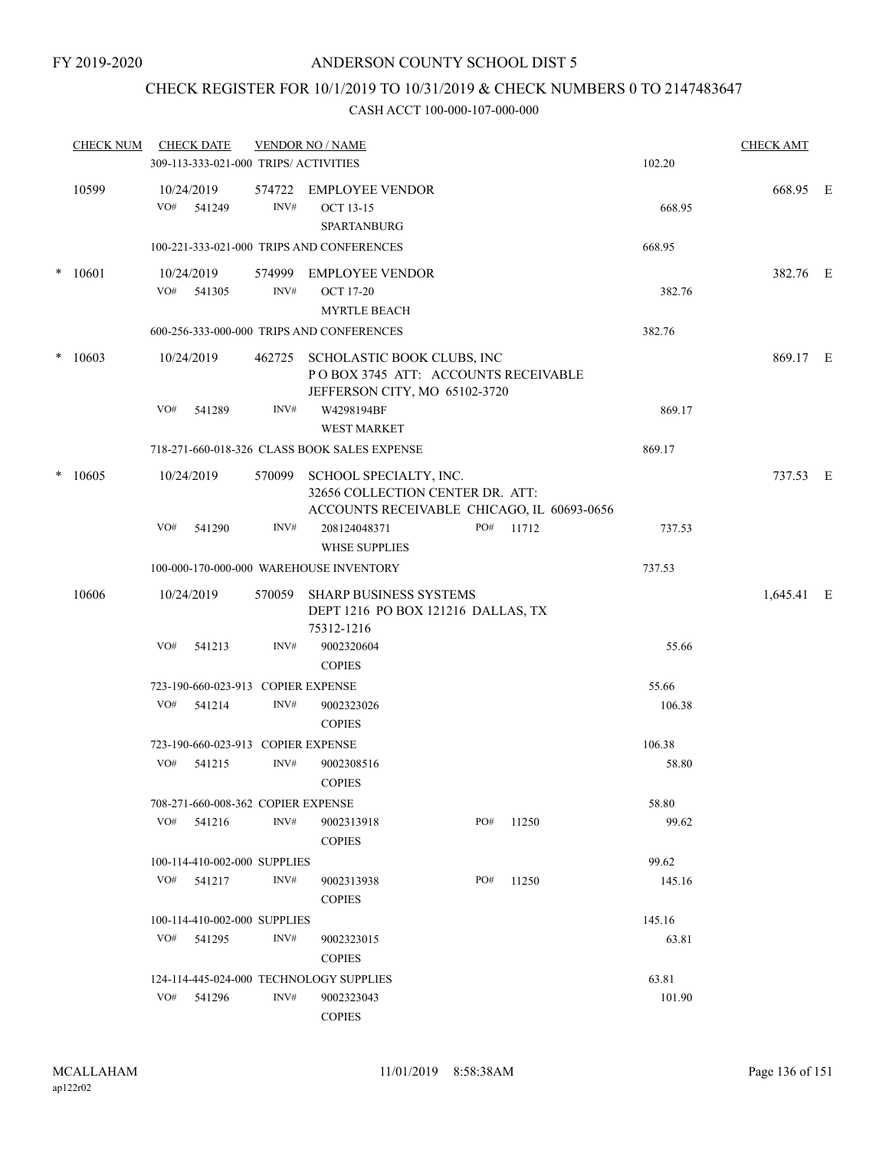## CHECK REGISTER FOR 10/1/2019 TO 10/31/2019 & CHECK NUMBERS 0 TO 2147483647

|        | <b>CHECK NUM</b> |     | <b>CHECK DATE</b>                     |                | <b>VENDOR NO / NAME</b>                                                                                  |     |           |        | <b>CHECK AMT</b> |  |
|--------|------------------|-----|---------------------------------------|----------------|----------------------------------------------------------------------------------------------------------|-----|-----------|--------|------------------|--|
|        |                  |     | 309-113-333-021-000 TRIPS/ ACTIVITIES |                |                                                                                                          |     |           | 102.20 |                  |  |
|        | 10599            | VO# | 10/24/2019<br>541249                  | 574722<br>INV# | <b>EMPLOYEE VENDOR</b><br><b>OCT 13-15</b><br>SPARTANBURG                                                |     |           | 668.95 | 668.95 E         |  |
|        |                  |     |                                       |                | 100-221-333-021-000 TRIPS AND CONFERENCES                                                                |     |           | 668.95 |                  |  |
| $\ast$ | 10601            |     | 10/24/2019                            |                | 574999 EMPLOYEE VENDOR                                                                                   |     |           |        | 382.76 E         |  |
|        |                  |     | VO# 541305                            | INV#           | <b>OCT 17-20</b><br><b>MYRTLE BEACH</b>                                                                  |     |           | 382.76 |                  |  |
|        |                  |     |                                       |                | 600-256-333-000-000 TRIPS AND CONFERENCES                                                                |     |           | 382.76 |                  |  |
|        | $*10603$         |     | 10/24/2019                            | 462725         | SCHOLASTIC BOOK CLUBS, INC<br>POBOX 3745 ATT: ACCOUNTS RECEIVABLE<br>JEFFERSON CITY, MO 65102-3720       |     |           |        | 869.17 E         |  |
|        |                  | VO# | 541289                                | INV#           | W4298194BF<br><b>WEST MARKET</b>                                                                         |     |           | 869.17 |                  |  |
|        |                  |     |                                       |                | 718-271-660-018-326 CLASS BOOK SALES EXPENSE                                                             |     |           | 869.17 |                  |  |
| $\ast$ | 10605            |     | 10/24/2019                            | 570099         | SCHOOL SPECIALTY, INC.<br>32656 COLLECTION CENTER DR. ATT:<br>ACCOUNTS RECEIVABLE CHICAGO, IL 60693-0656 |     |           |        | 737.53 E         |  |
|        |                  | VO# | 541290                                | INV#           | 208124048371<br><b>WHSE SUPPLIES</b>                                                                     |     | PO# 11712 | 737.53 |                  |  |
|        |                  |     |                                       |                | 100-000-170-000-000 WAREHOUSE INVENTORY                                                                  |     |           | 737.53 |                  |  |
|        | 10606            |     | 10/24/2019                            |                | 570059 SHARP BUSINESS SYSTEMS<br>DEPT 1216 PO BOX 121216 DALLAS, TX<br>75312-1216                        |     |           |        | 1,645.41 E       |  |
|        |                  | VO# | 541213                                | INV#           | 9002320604<br><b>COPIES</b>                                                                              |     |           | 55.66  |                  |  |
|        |                  |     | 723-190-660-023-913 COPIER EXPENSE    |                |                                                                                                          |     |           | 55.66  |                  |  |
|        |                  | VO# | 541214                                | INV#           | 9002323026<br><b>COPIES</b>                                                                              |     |           | 106.38 |                  |  |
|        |                  |     | 723-190-660-023-913 COPIER EXPENSE    |                |                                                                                                          |     |           | 106.38 |                  |  |
|        |                  | VO# | 541215                                | INV#           | 9002308516<br><b>COPIES</b>                                                                              |     |           | 58.80  |                  |  |
|        |                  |     | 708-271-660-008-362 COPIER EXPENSE    |                |                                                                                                          |     |           | 58.80  |                  |  |
|        |                  |     | VO# 541216                            | INV#           | 9002313918<br><b>COPIES</b>                                                                              | PO# | 11250     | 99.62  |                  |  |
|        |                  |     | 100-114-410-002-000 SUPPLIES          |                |                                                                                                          |     |           | 99.62  |                  |  |
|        |                  |     | VO# 541217                            | INV#           | 9002313938<br><b>COPIES</b>                                                                              | PO# | 11250     | 145.16 |                  |  |
|        |                  |     | 100-114-410-002-000 SUPPLIES          |                |                                                                                                          |     |           | 145.16 |                  |  |
|        |                  |     | VO# 541295                            | INV#           | 9002323015<br><b>COPIES</b>                                                                              |     |           | 63.81  |                  |  |
|        |                  |     |                                       |                | 124-114-445-024-000 TECHNOLOGY SUPPLIES                                                                  |     |           | 63.81  |                  |  |
|        |                  | VO# | 541296                                | INV#           | 9002323043<br><b>COPIES</b>                                                                              |     |           | 101.90 |                  |  |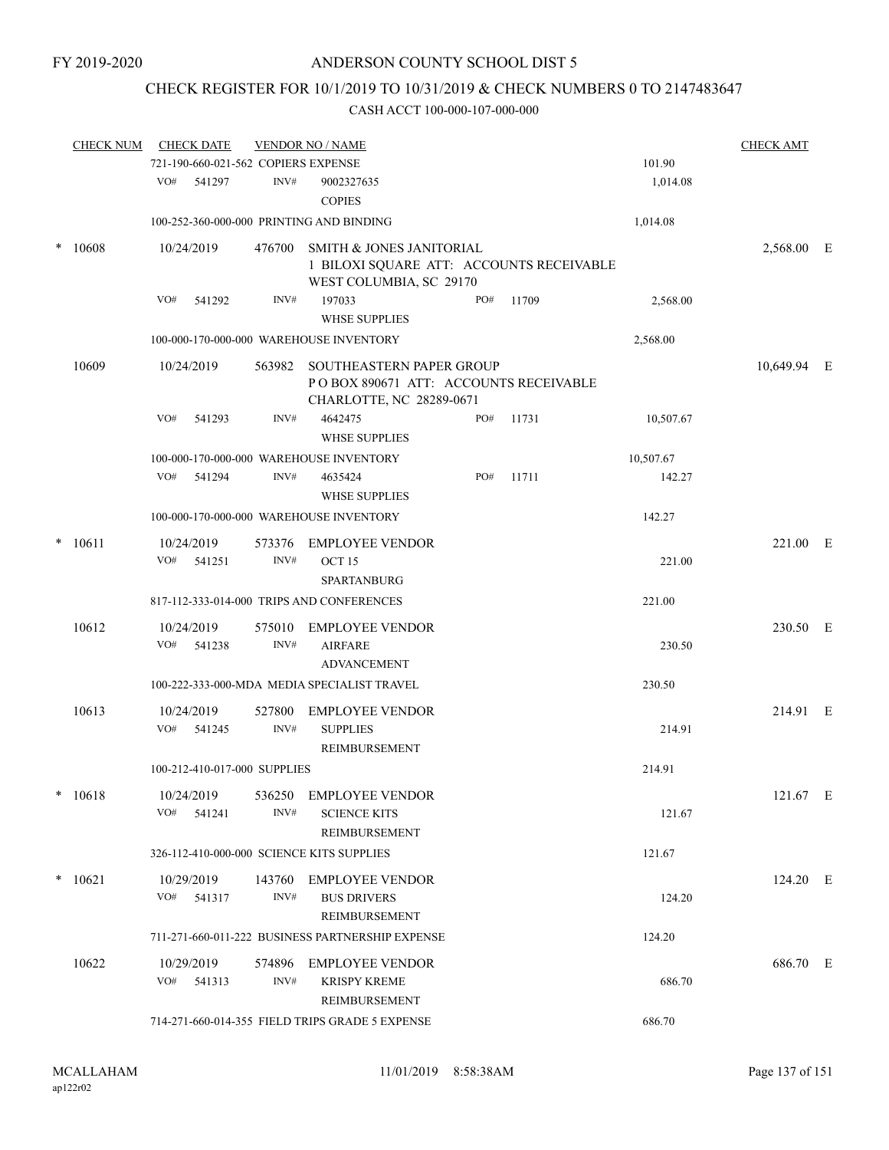## CHECK REGISTER FOR 10/1/2019 TO 10/31/2019 & CHECK NUMBERS 0 TO 2147483647

|        | <b>CHECK NUM</b> |     | <b>CHECK DATE</b>    |                                     | <b>VENDOR NO / NAME</b>                                                                                    |     |       |           | <b>CHECK AMT</b> |  |
|--------|------------------|-----|----------------------|-------------------------------------|------------------------------------------------------------------------------------------------------------|-----|-------|-----------|------------------|--|
|        |                  |     |                      | 721-190-660-021-562 COPIERS EXPENSE |                                                                                                            |     |       | 101.90    |                  |  |
|        |                  |     | VO# 541297           | INV#                                | 9002327635<br><b>COPIES</b>                                                                                |     |       | 1,014.08  |                  |  |
|        |                  |     |                      |                                     | 100-252-360-000-000 PRINTING AND BINDING                                                                   |     |       | 1,014.08  |                  |  |
| $\ast$ | 10608            |     | 10/24/2019           | 476700                              | <b>SMITH &amp; JONES JANITORIAL</b><br>1 BILOXI SQUARE ATT: ACCOUNTS RECEIVABLE<br>WEST COLUMBIA, SC 29170 |     |       |           | 2,568.00 E       |  |
|        |                  | VO# | 541292               | INV#                                | 197033<br><b>WHSE SUPPLIES</b>                                                                             | PO# | 11709 | 2,568.00  |                  |  |
|        |                  |     |                      |                                     | 100-000-170-000-000 WAREHOUSE INVENTORY                                                                    |     |       | 2,568.00  |                  |  |
|        | 10609            |     | 10/24/2019           | 563982                              | SOUTHEASTERN PAPER GROUP<br>POBOX 890671 ATT: ACCOUNTS RECEIVABLE<br>CHARLOTTE, NC 28289-0671              |     |       |           | 10,649.94 E      |  |
|        |                  | VO# | 541293               | INV#                                | 4642475<br><b>WHSE SUPPLIES</b>                                                                            | PO# | 11731 | 10,507.67 |                  |  |
|        |                  |     |                      |                                     | 100-000-170-000-000 WAREHOUSE INVENTORY                                                                    |     |       | 10,507.67 |                  |  |
|        |                  |     | VO# 541294           | INV#                                | 4635424<br><b>WHSE SUPPLIES</b>                                                                            | PO# | 11711 | 142.27    |                  |  |
|        |                  |     |                      |                                     | 100-000-170-000-000 WAREHOUSE INVENTORY                                                                    |     |       | 142.27    |                  |  |
| $\ast$ | 10611            |     | 10/24/2019           |                                     | 573376 EMPLOYEE VENDOR                                                                                     |     |       |           | 221.00 E         |  |
|        |                  |     | VO# 541251           | INV#                                | OCT <sub>15</sub><br><b>SPARTANBURG</b>                                                                    |     |       | 221.00    |                  |  |
|        |                  |     |                      |                                     | 817-112-333-014-000 TRIPS AND CONFERENCES                                                                  |     |       | 221.00    |                  |  |
|        | 10612            | VO# | 10/24/2019<br>541238 | 575010<br>INV#                      | <b>EMPLOYEE VENDOR</b><br><b>AIRFARE</b>                                                                   |     |       | 230.50    | 230.50 E         |  |
|        |                  |     |                      |                                     | <b>ADVANCEMENT</b>                                                                                         |     |       |           |                  |  |
|        |                  |     |                      |                                     | 100-222-333-000-MDA MEDIA SPECIALIST TRAVEL                                                                |     |       | 230.50    |                  |  |
|        | 10613            |     | 10/24/2019           | 527800                              | <b>EMPLOYEE VENDOR</b>                                                                                     |     |       |           | 214.91 E         |  |
|        |                  | VO# | 541245               | INV#                                | <b>SUPPLIES</b><br>REIMBURSEMENT                                                                           |     |       | 214.91    |                  |  |
|        |                  |     |                      | 100-212-410-017-000 SUPPLIES        |                                                                                                            |     |       | 214.91    |                  |  |
| *      | 10618            |     | 10/24/2019           | 536250                              | <b>EMPLOYEE VENDOR</b>                                                                                     |     |       |           | 121.67 E         |  |
|        |                  | VO# | 541241               | INV#                                | <b>SCIENCE KITS</b><br><b>REIMBURSEMENT</b>                                                                |     |       | 121.67    |                  |  |
|        |                  |     |                      |                                     | 326-112-410-000-000 SCIENCE KITS SUPPLIES                                                                  |     |       | 121.67    |                  |  |
|        | $*10621$         |     | 10/29/2019           | 143760                              | <b>EMPLOYEE VENDOR</b>                                                                                     |     |       |           | 124.20 E         |  |
|        |                  | VO# | 541317               | INV#                                | <b>BUS DRIVERS</b><br>REIMBURSEMENT                                                                        |     |       | 124.20    |                  |  |
|        |                  |     |                      |                                     | 711-271-660-011-222 BUSINESS PARTNERSHIP EXPENSE                                                           |     |       | 124.20    |                  |  |
|        | 10622            |     | 10/29/2019           | 574896                              | <b>EMPLOYEE VENDOR</b>                                                                                     |     |       |           | 686.70 E         |  |
|        |                  | VO# | 541313               | INV#                                | <b>KRISPY KREME</b><br>REIMBURSEMENT                                                                       |     |       | 686.70    |                  |  |
|        |                  |     |                      |                                     | 714-271-660-014-355 FIELD TRIPS GRADE 5 EXPENSE                                                            |     |       | 686.70    |                  |  |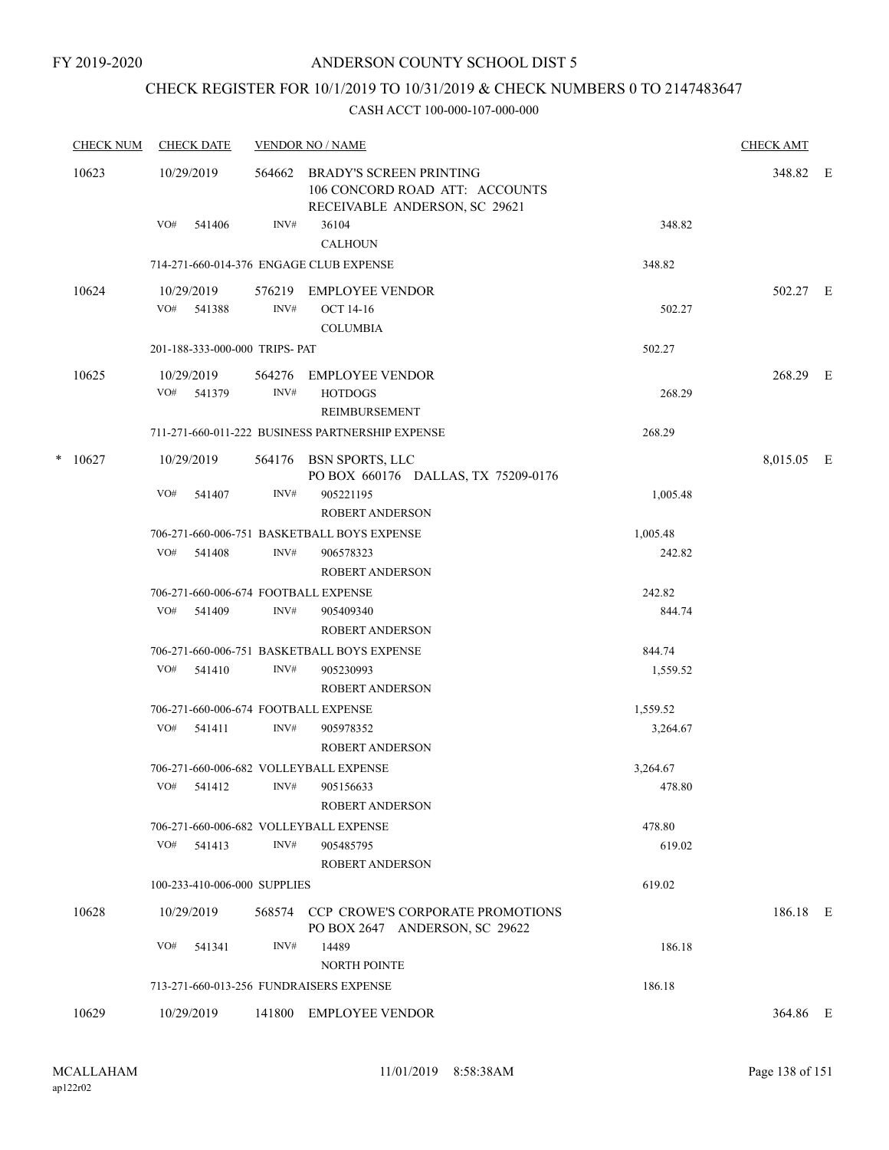## CHECK REGISTER FOR 10/1/2019 TO 10/31/2019 & CHECK NUMBERS 0 TO 2147483647

|   | <b>CHECK NUM</b> | <b>CHECK DATE</b>                       |      | <b>VENDOR NO / NAME</b>                                                                           |          | <b>CHECK AMT</b> |  |
|---|------------------|-----------------------------------------|------|---------------------------------------------------------------------------------------------------|----------|------------------|--|
|   | 10623            | 10/29/2019                              |      | 564662 BRADY'S SCREEN PRINTING<br>106 CONCORD ROAD ATT: ACCOUNTS<br>RECEIVABLE ANDERSON, SC 29621 |          | 348.82 E         |  |
|   |                  | VO#<br>541406                           | INV# | 36104<br><b>CALHOUN</b>                                                                           | 348.82   |                  |  |
|   |                  | 714-271-660-014-376 ENGAGE CLUB EXPENSE |      |                                                                                                   | 348.82   |                  |  |
|   | 10624            | 10/29/2019<br>VO# 541388                | INV# | 576219 EMPLOYEE VENDOR<br><b>OCT 14-16</b>                                                        | 502.27   | 502.27 E         |  |
|   |                  |                                         |      | <b>COLUMBIA</b>                                                                                   |          |                  |  |
|   |                  | 201-188-333-000-000 TRIPS- PAT          |      |                                                                                                   | 502.27   |                  |  |
|   | 10625            | 10/29/2019<br>VO# 541379                | INV# | 564276 EMPLOYEE VENDOR<br><b>HOTDOGS</b><br>REIMBURSEMENT                                         | 268.29   | 268.29 E         |  |
|   |                  |                                         |      | 711-271-660-011-222 BUSINESS PARTNERSHIP EXPENSE                                                  | 268.29   |                  |  |
| * | 10627            | 10/29/2019                              |      | 564176 BSN SPORTS, LLC<br>PO BOX 660176 DALLAS, TX 75209-0176                                     |          | 8,015.05 E       |  |
|   |                  | VO#<br>541407                           | INV# | 905221195<br><b>ROBERT ANDERSON</b>                                                               | 1,005.48 |                  |  |
|   |                  |                                         |      | 706-271-660-006-751 BASKETBALL BOYS EXPENSE                                                       | 1,005.48 |                  |  |
|   |                  | VO#<br>541408                           | INV# | 906578323<br><b>ROBERT ANDERSON</b>                                                               | 242.82   |                  |  |
|   |                  | 706-271-660-006-674 FOOTBALL EXPENSE    |      |                                                                                                   | 242.82   |                  |  |
|   |                  | VO#<br>541409                           | INV# | 905409340                                                                                         | 844.74   |                  |  |
|   |                  |                                         |      | <b>ROBERT ANDERSON</b>                                                                            |          |                  |  |
|   |                  |                                         |      | 706-271-660-006-751 BASKETBALL BOYS EXPENSE                                                       | 844.74   |                  |  |
|   |                  | VO# 541410                              | INV# | 905230993<br><b>ROBERT ANDERSON</b>                                                               | 1,559.52 |                  |  |
|   |                  | 706-271-660-006-674 FOOTBALL EXPENSE    |      |                                                                                                   | 1,559.52 |                  |  |
|   |                  | VO#<br>541411                           | INV# | 905978352<br><b>ROBERT ANDERSON</b>                                                               | 3,264.67 |                  |  |
|   |                  | 706-271-660-006-682 VOLLEYBALL EXPENSE  |      |                                                                                                   | 3,264.67 |                  |  |
|   |                  | VO# 541412                              | INV# | 905156633<br>ROBERT ANDERSON                                                                      | 478.80   |                  |  |
|   |                  | 706-271-660-006-682 VOLLEYBALL EXPENSE  |      |                                                                                                   | 478.80   |                  |  |
|   |                  | VO#<br>541413                           | INV# | 905485795<br><b>ROBERT ANDERSON</b>                                                               | 619.02   |                  |  |
|   |                  | 100-233-410-006-000 SUPPLIES            |      |                                                                                                   | 619.02   |                  |  |
|   | 10628            | 10/29/2019                              |      | 568574 CCP CROWE'S CORPORATE PROMOTIONS<br>PO BOX 2647 ANDERSON, SC 29622                         |          | 186.18 E         |  |
|   |                  | VO#<br>541341                           | INV# | 14489<br><b>NORTH POINTE</b>                                                                      | 186.18   |                  |  |
|   |                  | 713-271-660-013-256 FUNDRAISERS EXPENSE |      |                                                                                                   | 186.18   |                  |  |
|   | 10629            | 10/29/2019                              |      | 141800 EMPLOYEE VENDOR                                                                            |          | 364.86 E         |  |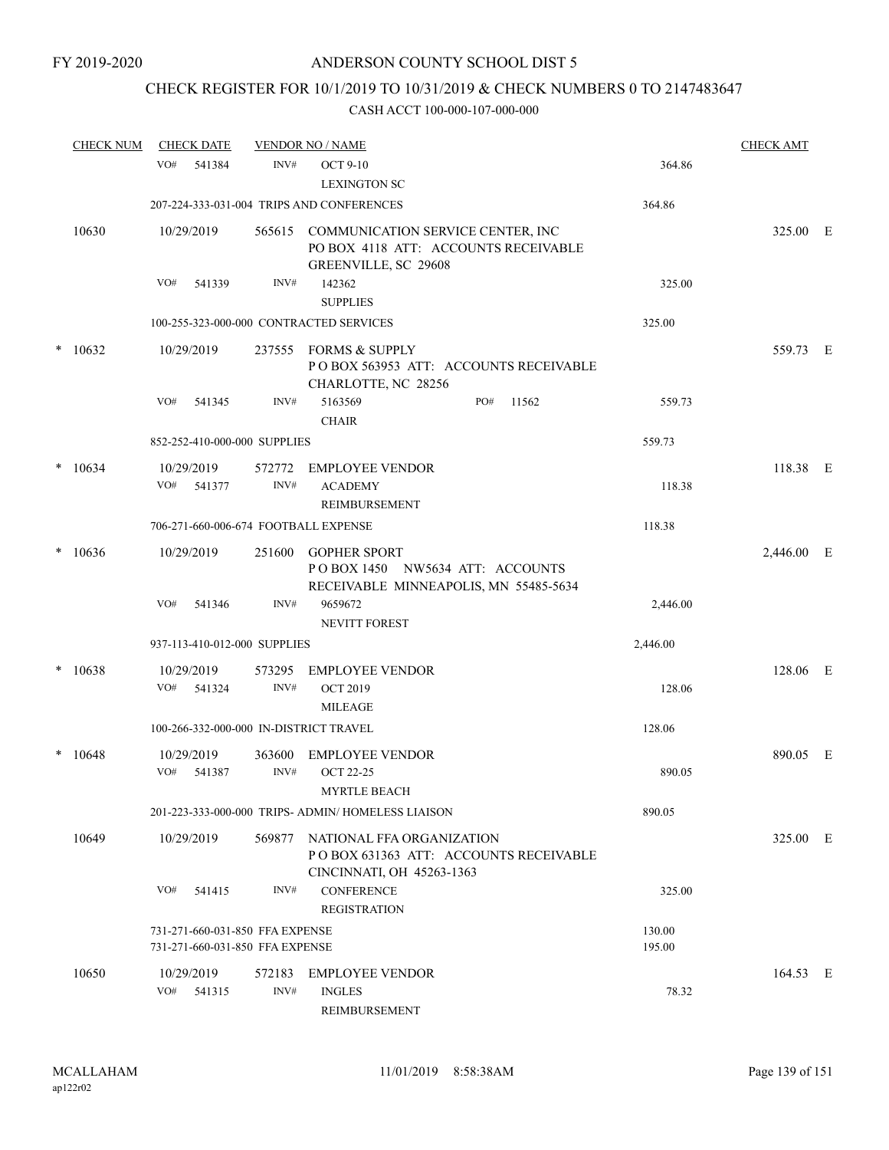# CHECK REGISTER FOR 10/1/2019 TO 10/31/2019 & CHECK NUMBERS 0 TO 2147483647

|        | <b>CHECK NUM</b> | <b>CHECK DATE</b>                                                  |                | <b>VENDOR NO / NAME</b>                                                                                  |                  | <b>CHECK AMT</b> |  |
|--------|------------------|--------------------------------------------------------------------|----------------|----------------------------------------------------------------------------------------------------------|------------------|------------------|--|
|        |                  | VO#<br>541384                                                      | INV#           | <b>OCT 9-10</b><br><b>LEXINGTON SC</b>                                                                   | 364.86           |                  |  |
|        |                  |                                                                    |                | 207-224-333-031-004 TRIPS AND CONFERENCES                                                                | 364.86           |                  |  |
|        | 10630            | 10/29/2019                                                         |                | 565615 COMMUNICATION SERVICE CENTER, INC<br>PO BOX 4118 ATT: ACCOUNTS RECEIVABLE<br>GREENVILLE, SC 29608 |                  | 325.00 E         |  |
|        |                  | VO#<br>541339                                                      | INV#           | 142362<br><b>SUPPLIES</b>                                                                                | 325.00           |                  |  |
|        |                  |                                                                    |                | 100-255-323-000-000 CONTRACTED SERVICES                                                                  | 325.00           |                  |  |
|        | $*10632$         | 10/29/2019                                                         | 237555         | FORMS & SUPPLY<br>POBOX 563953 ATT: ACCOUNTS RECEIVABLE<br>CHARLOTTE, NC 28256                           |                  | 559.73 E         |  |
|        |                  | VO#<br>541345                                                      | INV#           | 5163569<br>PO#<br>11562<br><b>CHAIR</b>                                                                  | 559.73           |                  |  |
|        |                  | 852-252-410-000-000 SUPPLIES                                       |                |                                                                                                          | 559.73           |                  |  |
| *      | 10634            | 10/29/2019<br>VO#<br>541377                                        | 572772<br>INV# | <b>EMPLOYEE VENDOR</b><br><b>ACADEMY</b><br><b>REIMBURSEMENT</b>                                         | 118.38           | 118.38 E         |  |
|        |                  | 706-271-660-006-674 FOOTBALL EXPENSE                               |                |                                                                                                          | 118.38           |                  |  |
| $\ast$ | 10636            | 10/29/2019                                                         | 251600         | <b>GOPHER SPORT</b><br>POBOX 1450 NW5634 ATT: ACCOUNTS<br>RECEIVABLE MINNEAPOLIS, MN 55485-5634          |                  | 2,446.00 E       |  |
|        |                  | VO#<br>541346                                                      | INV#           | 9659672<br>NEVITT FOREST                                                                                 | 2,446.00         |                  |  |
|        |                  | 937-113-410-012-000 SUPPLIES                                       |                |                                                                                                          | 2,446.00         |                  |  |
|        | $*10638$         | 10/29/2019<br>VO#<br>541324                                        | 573295<br>INV# | <b>EMPLOYEE VENDOR</b><br><b>OCT 2019</b><br><b>MILEAGE</b>                                              | 128.06           | 128.06 E         |  |
|        |                  | 100-266-332-000-000 IN-DISTRICT TRAVEL                             |                |                                                                                                          | 128.06           |                  |  |
| *      | 10648            | 10/29/2019<br>VO#<br>541387                                        | 363600<br>INV# | <b>EMPLOYEE VENDOR</b><br><b>OCT 22-25</b><br><b>MYRTLE BEACH</b>                                        | 890.05           | 890.05 E         |  |
|        |                  |                                                                    |                | 201-223-333-000-000 TRIPS- ADMIN/HOMELESS LIAISON                                                        | 890.05           |                  |  |
|        | 10649            | 10/29/2019                                                         | 569877         | NATIONAL FFA ORGANIZATION<br>POBOX 631363 ATT: ACCOUNTS RECEIVABLE<br>CINCINNATI, OH 45263-1363          |                  | 325.00 E         |  |
|        |                  | VO#<br>541415                                                      | INV#           | <b>CONFERENCE</b><br><b>REGISTRATION</b>                                                                 | 325.00           |                  |  |
|        |                  | 731-271-660-031-850 FFA EXPENSE<br>731-271-660-031-850 FFA EXPENSE |                |                                                                                                          | 130.00<br>195.00 |                  |  |
|        | 10650            | 10/29/2019<br>VO#<br>541315                                        | 572183<br>INV# | <b>EMPLOYEE VENDOR</b><br><b>INGLES</b><br>REIMBURSEMENT                                                 | 78.32            | 164.53 E         |  |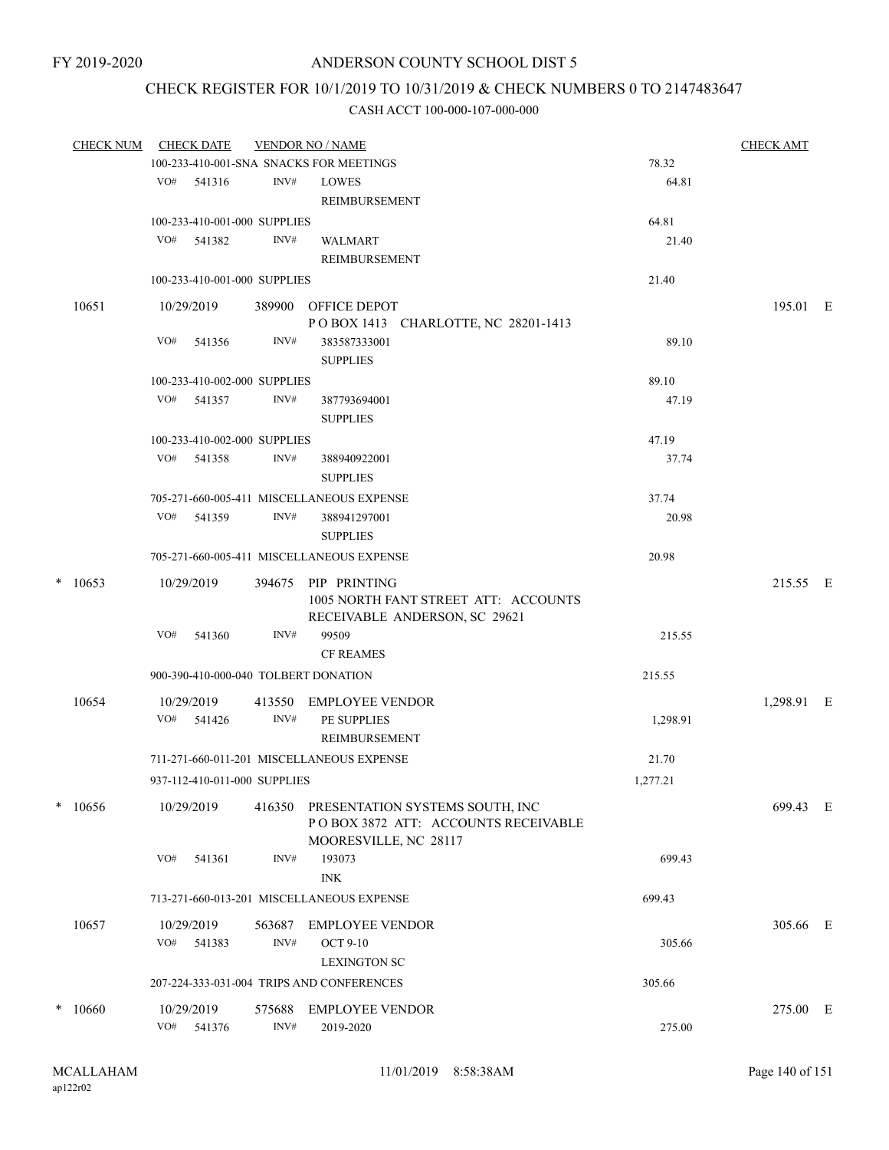## CHECK REGISTER FOR 10/1/2019 TO 10/31/2019 & CHECK NUMBERS 0 TO 2147483647

| CHECK NUM CHECK DATE |     |                              |        | <b>VENDOR NO / NAME</b>                                                       |          | <b>CHECK AMT</b> |  |
|----------------------|-----|------------------------------|--------|-------------------------------------------------------------------------------|----------|------------------|--|
|                      |     |                              |        | 100-233-410-001-SNA SNACKS FOR MEETINGS                                       | 78.32    |                  |  |
|                      |     | VO# 541316                   | INV#   | <b>LOWES</b>                                                                  | 64.81    |                  |  |
|                      |     |                              |        | REIMBURSEMENT                                                                 |          |                  |  |
|                      |     | 100-233-410-001-000 SUPPLIES |        |                                                                               | 64.81    |                  |  |
|                      |     | VO# 541382                   | INV#   | <b>WALMART</b>                                                                | 21.40    |                  |  |
|                      |     |                              |        | REIMBURSEMENT                                                                 |          |                  |  |
|                      |     | 100-233-410-001-000 SUPPLIES |        |                                                                               | 21.40    |                  |  |
| 10651                |     | 10/29/2019                   |        | 389900 OFFICE DEPOT                                                           |          | 195.01 E         |  |
|                      |     |                              |        | POBOX 1413 CHARLOTTE, NC 28201-1413                                           |          |                  |  |
|                      | VO# | 541356                       | INV#   | 383587333001                                                                  | 89.10    |                  |  |
|                      |     |                              |        | <b>SUPPLIES</b>                                                               |          |                  |  |
|                      |     | 100-233-410-002-000 SUPPLIES |        |                                                                               | 89.10    |                  |  |
|                      | VO# | 541357                       | INV#   | 387793694001                                                                  | 47.19    |                  |  |
|                      |     |                              |        | <b>SUPPLIES</b>                                                               |          |                  |  |
|                      |     | 100-233-410-002-000 SUPPLIES |        |                                                                               | 47.19    |                  |  |
|                      |     | VO# 541358                   | INV#   | 388940922001                                                                  | 37.74    |                  |  |
|                      |     |                              |        | <b>SUPPLIES</b>                                                               |          |                  |  |
|                      |     |                              |        | 705-271-660-005-411 MISCELLANEOUS EXPENSE                                     | 37.74    |                  |  |
|                      |     | VO# 541359                   | INV#   | 388941297001                                                                  | 20.98    |                  |  |
|                      |     |                              |        | <b>SUPPLIES</b>                                                               |          |                  |  |
|                      |     |                              |        | 705-271-660-005-411 MISCELLANEOUS EXPENSE                                     | 20.98    |                  |  |
| $*$ 10653            |     | 10/29/2019                   | 394675 | PIP PRINTING                                                                  |          | 215.55 E         |  |
|                      |     |                              |        | 1005 NORTH FANT STREET ATT: ACCOUNTS                                          |          |                  |  |
|                      |     |                              |        | RECEIVABLE ANDERSON, SC 29621                                                 |          |                  |  |
|                      | VO# | 541360                       | INV#   | 99509                                                                         | 215.55   |                  |  |
|                      |     |                              |        | <b>CF REAMES</b>                                                              |          |                  |  |
|                      |     |                              |        | 900-390-410-000-040 TOLBERT DONATION                                          | 215.55   |                  |  |
| 10654                |     | 10/29/2019                   |        | 413550 EMPLOYEE VENDOR                                                        |          | 1,298.91 E       |  |
|                      |     | $VO#$ 541426                 | INV#   | PE SUPPLIES                                                                   | 1,298.91 |                  |  |
|                      |     |                              |        | REIMBURSEMENT                                                                 |          |                  |  |
|                      |     |                              |        | 711-271-660-011-201 MISCELLANEOUS EXPENSE                                     | 21.70    |                  |  |
|                      |     | 937-112-410-011-000 SUPPLIES |        |                                                                               | 1,277.21 |                  |  |
|                      |     |                              |        |                                                                               |          |                  |  |
| $*10656$             |     | 10/29/2019                   |        | 416350 PRESENTATION SYSTEMS SOUTH, INC<br>POBOX 3872 ATT: ACCOUNTS RECEIVABLE |          | 699.43 E         |  |
|                      |     |                              |        | MOORESVILLE, NC 28117                                                         |          |                  |  |
|                      | VO# | 541361                       | INV#   | 193073                                                                        | 699.43   |                  |  |
|                      |     |                              |        | <b>INK</b>                                                                    |          |                  |  |
|                      |     |                              |        | 713-271-660-013-201 MISCELLANEOUS EXPENSE                                     | 699.43   |                  |  |
|                      |     |                              |        |                                                                               |          |                  |  |
| 10657                |     | 10/29/2019                   | 563687 | EMPLOYEE VENDOR                                                               |          | 305.66 E         |  |
|                      |     | VO# 541383                   | INV#   | <b>OCT 9-10</b>                                                               | 305.66   |                  |  |
|                      |     |                              |        | <b>LEXINGTON SC</b>                                                           |          |                  |  |
|                      |     |                              |        | 207-224-333-031-004 TRIPS AND CONFERENCES                                     | 305.66   |                  |  |
| $*10660$             |     | 10/29/2019                   | 575688 | <b>EMPLOYEE VENDOR</b>                                                        |          | 275.00 E         |  |
|                      | VO# | 541376                       | INV#   | 2019-2020                                                                     | 275.00   |                  |  |
|                      |     |                              |        |                                                                               |          |                  |  |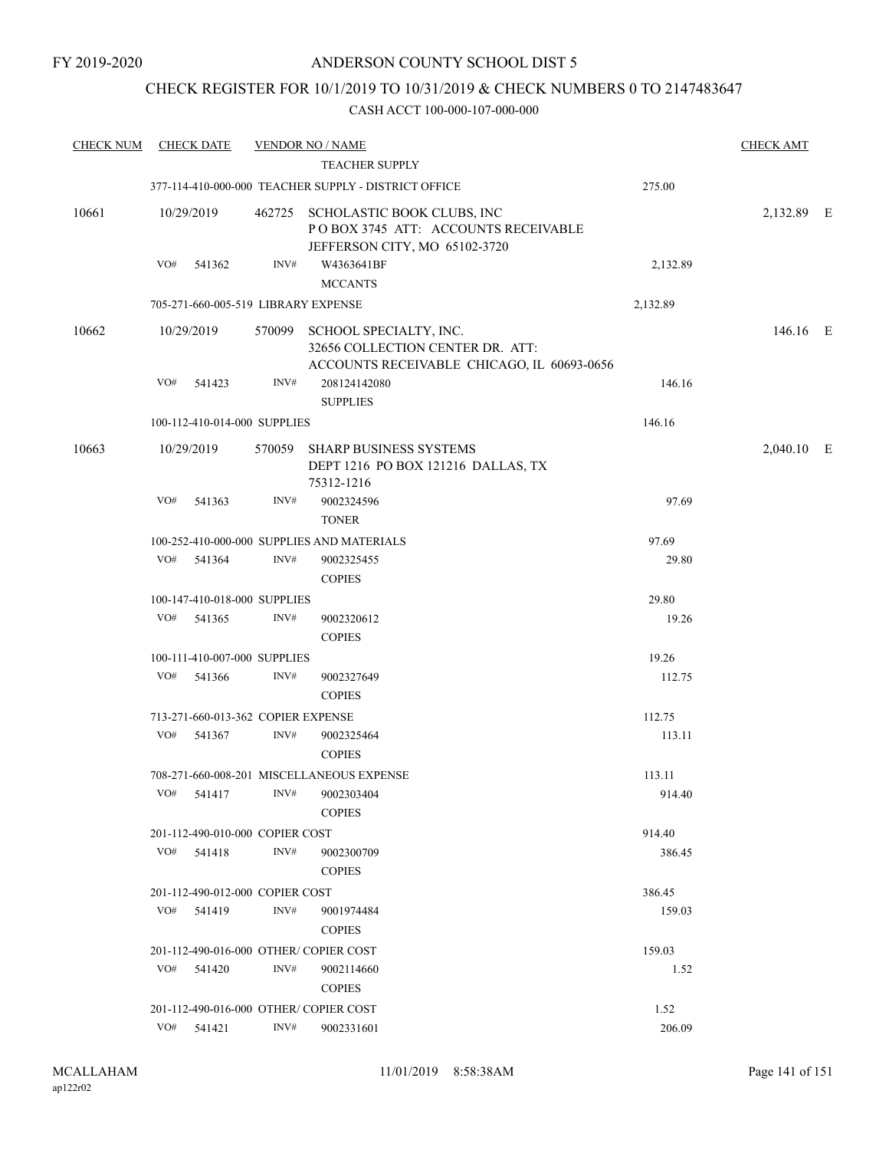## CHECK REGISTER FOR 10/1/2019 TO 10/31/2019 & CHECK NUMBERS 0 TO 2147483647

| <b>CHECK NUM</b> |     | <b>CHECK DATE</b>                  |      | <b>VENDOR NO / NAME</b><br>TEACHER SUPPLY                                                                       |          | <b>CHECK AMT</b> |  |
|------------------|-----|------------------------------------|------|-----------------------------------------------------------------------------------------------------------------|----------|------------------|--|
|                  |     |                                    |      | 377-114-410-000-000 TEACHER SUPPLY - DISTRICT OFFICE                                                            | 275.00   |                  |  |
| 10661            |     | 10/29/2019                         |      | 462725 SCHOLASTIC BOOK CLUBS, INC<br>POBOX 3745 ATT: ACCOUNTS RECEIVABLE<br>JEFFERSON CITY, MO 65102-3720       |          | 2,132.89 E       |  |
|                  | VO# | 541362                             | INV# | W4363641BF<br><b>MCCANTS</b>                                                                                    | 2,132.89 |                  |  |
|                  |     |                                    |      | 705-271-660-005-519 LIBRARY EXPENSE                                                                             | 2,132.89 |                  |  |
| 10662            |     | 10/29/2019                         |      | 570099 SCHOOL SPECIALTY, INC.<br>32656 COLLECTION CENTER DR. ATT:<br>ACCOUNTS RECEIVABLE CHICAGO, IL 60693-0656 |          | 146.16 E         |  |
|                  | VO# | 541423                             | INV# | 208124142080<br><b>SUPPLIES</b>                                                                                 | 146.16   |                  |  |
|                  |     | 100-112-410-014-000 SUPPLIES       |      |                                                                                                                 | 146.16   |                  |  |
| 10663            |     | 10/29/2019                         |      | 570059 SHARP BUSINESS SYSTEMS<br>DEPT 1216 PO BOX 121216 DALLAS, TX<br>75312-1216                               |          | 2,040.10 E       |  |
|                  | VO# | 541363                             | INV# | 9002324596<br><b>TONER</b>                                                                                      | 97.69    |                  |  |
|                  |     |                                    |      | 100-252-410-000-000 SUPPLIES AND MATERIALS                                                                      | 97.69    |                  |  |
|                  | VO# | 541364                             | INV# | 9002325455<br><b>COPIES</b>                                                                                     | 29.80    |                  |  |
|                  |     | 100-147-410-018-000 SUPPLIES       |      |                                                                                                                 | 29.80    |                  |  |
|                  | VO# | 541365                             | INV# | 9002320612<br><b>COPIES</b>                                                                                     | 19.26    |                  |  |
|                  |     | 100-111-410-007-000 SUPPLIES       |      |                                                                                                                 | 19.26    |                  |  |
|                  | VO# | 541366                             | INV# | 9002327649<br><b>COPIES</b>                                                                                     | 112.75   |                  |  |
|                  |     | 713-271-660-013-362 COPIER EXPENSE |      |                                                                                                                 | 112.75   |                  |  |
|                  | VO# | 541367                             | INV# | 9002325464<br><b>COPIES</b>                                                                                     | 113.11   |                  |  |
|                  |     |                                    |      | 708-271-660-008-201 MISCELLANEOUS EXPENSE                                                                       | 113.11   |                  |  |
|                  | VO# | 541417                             | INV# | 9002303404<br><b>COPIES</b>                                                                                     | 914.40   |                  |  |
|                  |     | 201-112-490-010-000 COPIER COST    |      |                                                                                                                 | 914.40   |                  |  |
|                  |     | VO# 541418                         | INV# | 9002300709<br><b>COPIES</b>                                                                                     | 386.45   |                  |  |
|                  |     | 201-112-490-012-000 COPIER COST    |      |                                                                                                                 | 386.45   |                  |  |
|                  | VO# | 541419                             | INV# | 9001974484<br><b>COPIES</b>                                                                                     | 159.03   |                  |  |
|                  |     |                                    |      | 201-112-490-016-000 OTHER/ COPIER COST                                                                          | 159.03   |                  |  |
|                  | VO# | 541420                             | INV# | 9002114660<br><b>COPIES</b>                                                                                     | 1.52     |                  |  |
|                  |     |                                    |      | 201-112-490-016-000 OTHER/ COPIER COST                                                                          | 1.52     |                  |  |
|                  | VO# | 541421                             | INV# | 9002331601                                                                                                      | 206.09   |                  |  |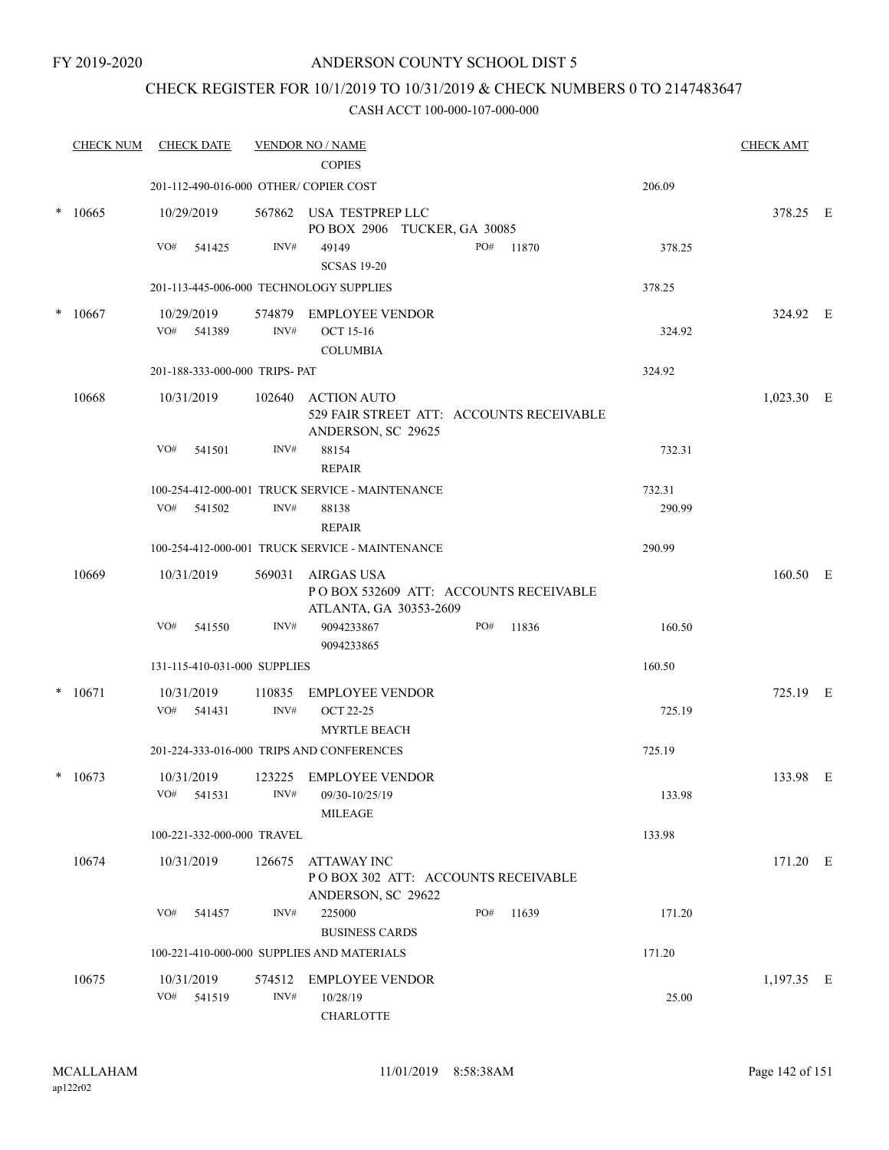FY 2019-2020

### ANDERSON COUNTY SCHOOL DIST 5

### CHECK REGISTER FOR 10/1/2019 TO 10/31/2019 & CHECK NUMBERS 0 TO 2147483647

|        | <b>CHECK NUM</b> | <b>CHECK DATE</b>                       |                | <b>VENDOR NO / NAME</b><br><b>COPIES</b>                                       |                                          |        | <b>CHECK AMT</b> |  |
|--------|------------------|-----------------------------------------|----------------|--------------------------------------------------------------------------------|------------------------------------------|--------|------------------|--|
|        |                  | 201-112-490-016-000 OTHER/ COPIER COST  |                |                                                                                |                                          | 206.09 |                  |  |
|        | $*10665$         | 10/29/2019                              |                | 567862 USA TESTPREP LLC<br>PO BOX 2906 TUCKER, GA 30085                        |                                          |        | 378.25 E         |  |
|        |                  | VO#<br>541425                           | INV#           | 49149<br><b>SCSAS 19-20</b>                                                    | PO#<br>11870                             | 378.25 |                  |  |
|        |                  | 201-113-445-006-000 TECHNOLOGY SUPPLIES |                |                                                                                |                                          | 378.25 |                  |  |
| $\ast$ | 10667            | 10/29/2019                              | 574879         | <b>EMPLOYEE VENDOR</b>                                                         |                                          |        | 324.92 E         |  |
|        |                  | VO#<br>541389                           | INV#           | <b>OCT 15-16</b><br><b>COLUMBIA</b>                                            |                                          | 324.92 |                  |  |
|        |                  | 201-188-333-000-000 TRIPS- PAT          |                |                                                                                |                                          | 324.92 |                  |  |
|        | 10668            | 10/31/2019                              | 102640         | <b>ACTION AUTO</b><br>ANDERSON, SC 29625                                       | 529 FAIR STREET ATT: ACCOUNTS RECEIVABLE |        | $1,023.30$ E     |  |
|        |                  | VO#<br>541501                           | INV#           | 88154<br><b>REPAIR</b>                                                         |                                          | 732.31 |                  |  |
|        |                  |                                         |                | 100-254-412-000-001 TRUCK SERVICE - MAINTENANCE                                |                                          | 732.31 |                  |  |
|        |                  | VO#<br>541502                           | INV#           | 88138<br><b>REPAIR</b>                                                         |                                          | 290.99 |                  |  |
|        |                  |                                         |                | 100-254-412-000-001 TRUCK SERVICE - MAINTENANCE                                |                                          | 290.99 |                  |  |
|        | 10669            | 10/31/2019                              |                | 569031 AIRGAS USA<br>ATLANTA, GA 30353-2609                                    | POBOX 532609 ATT: ACCOUNTS RECEIVABLE    |        | 160.50 E         |  |
|        |                  | 541550<br>VO#                           | INV#           | 9094233867<br>9094233865                                                       | PO#<br>11836                             | 160.50 |                  |  |
|        |                  | 131-115-410-031-000 SUPPLIES            |                |                                                                                |                                          | 160.50 |                  |  |
|        | $* 10671$        | 10/31/2019<br>VO#<br>541431             | 110835<br>INV# | <b>EMPLOYEE VENDOR</b><br><b>OCT 22-25</b>                                     |                                          | 725.19 | 725.19 E         |  |
|        |                  |                                         |                | <b>MYRTLE BEACH</b><br>201-224-333-016-000 TRIPS AND CONFERENCES               |                                          | 725.19 |                  |  |
|        | $*10673$         | 10/31/2019                              | 123225         | EMPLOYEE VENDOR                                                                |                                          |        | 133.98 E         |  |
|        |                  | VO#<br>541531                           | INV#           | 09/30-10/25/19<br>MILEAGE                                                      |                                          | 133.98 |                  |  |
|        |                  | 100-221-332-000-000 TRAVEL              |                |                                                                                |                                          | 133.98 |                  |  |
|        | 10674            | 10/31/2019                              | 126675         | <b>ATTAWAY INC</b><br>POBOX 302 ATT: ACCOUNTS RECEIVABLE<br>ANDERSON, SC 29622 |                                          |        | 171.20 E         |  |
|        |                  | VO#<br>541457                           | INV#           | 225000<br><b>BUSINESS CARDS</b>                                                | PO#<br>11639                             | 171.20 |                  |  |
|        |                  |                                         |                | 100-221-410-000-000 SUPPLIES AND MATERIALS                                     |                                          | 171.20 |                  |  |
|        | 10675            | 10/31/2019<br>VO#<br>541519             | 574512<br>INV# | <b>EMPLOYEE VENDOR</b><br>10/28/19                                             |                                          | 25.00  | $1,197.35$ E     |  |
|        |                  |                                         |                | <b>CHARLOTTE</b>                                                               |                                          |        |                  |  |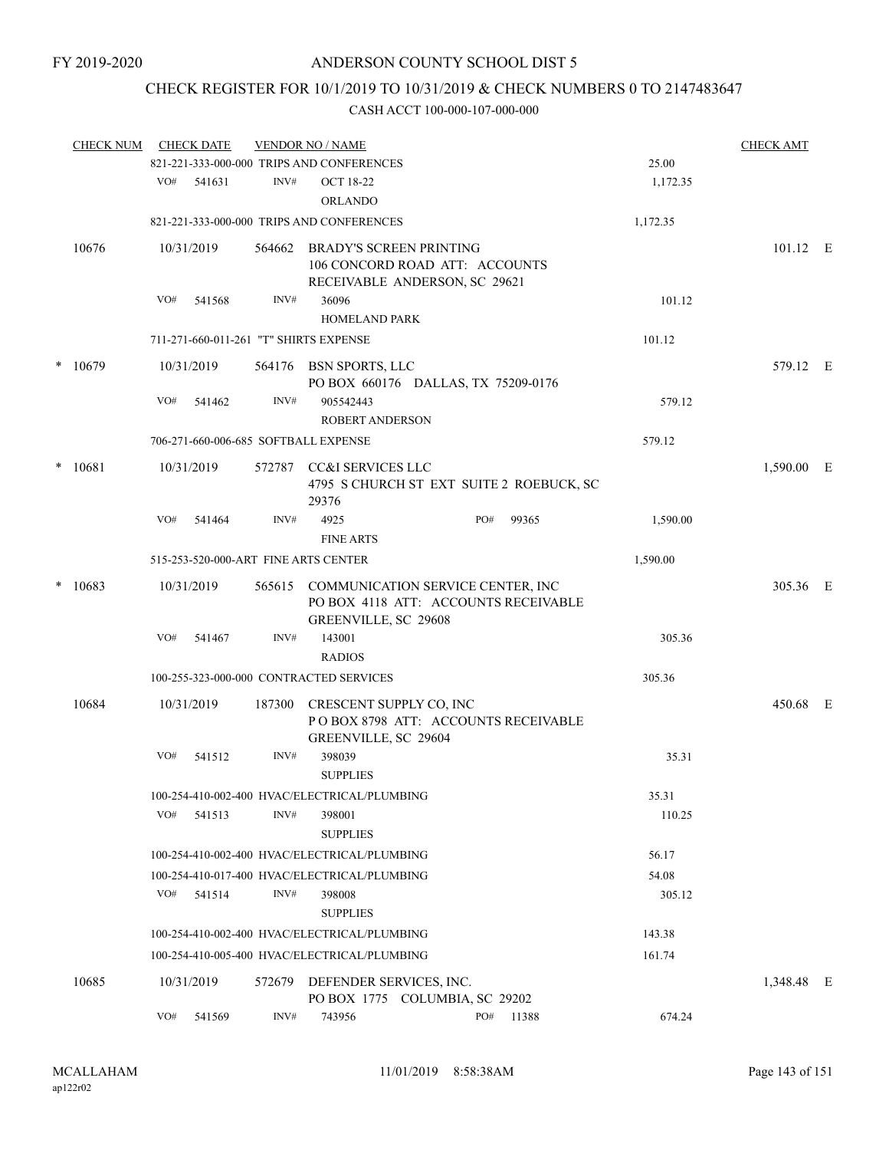# CHECK REGISTER FOR 10/1/2019 TO 10/31/2019 & CHECK NUMBERS 0 TO 2147483647

|        | <b>CHECK NUM</b> |     | <b>CHECK DATE</b> |        | <b>VENDOR NO / NAME</b>                         |                                                                                  |                                          |          | <b>CHECK AMT</b> |  |
|--------|------------------|-----|-------------------|--------|-------------------------------------------------|----------------------------------------------------------------------------------|------------------------------------------|----------|------------------|--|
|        |                  |     |                   |        | 821-221-333-000-000 TRIPS AND CONFERENCES       |                                                                                  |                                          | 25.00    |                  |  |
|        |                  | VO# | 541631            | INV#   | <b>OCT 18-22</b><br><b>ORLANDO</b>              |                                                                                  |                                          | 1,172.35 |                  |  |
|        |                  |     |                   |        | 821-221-333-000-000 TRIPS AND CONFERENCES       |                                                                                  |                                          | 1,172.35 |                  |  |
|        | 10676            |     | 10/31/2019        | 564662 | BRADY'S SCREEN PRINTING                         | 106 CONCORD ROAD ATT: ACCOUNTS<br>RECEIVABLE ANDERSON, SC 29621                  |                                          |          | $101.12$ E       |  |
|        |                  | VO# | 541568            | INV#   | 36096<br><b>HOMELAND PARK</b>                   |                                                                                  |                                          | 101.12   |                  |  |
|        |                  |     |                   |        | 711-271-660-011-261 "T" SHIRTS EXPENSE          |                                                                                  |                                          | 101.12   |                  |  |
|        | $*10679$         |     | 10/31/2019        |        | 564176 BSN SPORTS, LLC                          | PO BOX 660176 DALLAS, TX 75209-0176                                              |                                          |          | 579.12 E         |  |
|        |                  | VO# | 541462            | INV#   | 905542443<br><b>ROBERT ANDERSON</b>             |                                                                                  |                                          | 579.12   |                  |  |
|        |                  |     |                   |        | 706-271-660-006-685 SOFTBALL EXPENSE            |                                                                                  |                                          | 579.12   |                  |  |
|        | $*10681$         |     | 10/31/2019        |        | 572787 CC&I SERVICES LLC<br>29376               |                                                                                  | 4795 S CHURCH ST EXT SUITE 2 ROEBUCK, SC |          | 1,590.00 E       |  |
|        |                  | VO# | 541464            | INV#   | 4925<br><b>FINE ARTS</b>                        | PO#                                                                              | 99365                                    | 1,590.00 |                  |  |
|        |                  |     |                   |        | 515-253-520-000-ART FINE ARTS CENTER            |                                                                                  |                                          | 1,590.00 |                  |  |
| $\ast$ | 10683            |     | 10/31/2019        |        | GREENVILLE, SC 29608                            | 565615 COMMUNICATION SERVICE CENTER, INC<br>PO BOX 4118 ATT: ACCOUNTS RECEIVABLE |                                          |          | 305.36 E         |  |
|        |                  | VO# | 541467            | INV#   | 143001                                          |                                                                                  |                                          | 305.36   |                  |  |
|        |                  |     |                   |        | <b>RADIOS</b>                                   |                                                                                  |                                          |          |                  |  |
|        |                  |     |                   |        | 100-255-323-000-000 CONTRACTED SERVICES         |                                                                                  |                                          | 305.36   |                  |  |
|        | 10684            |     | 10/31/2019        | 187300 | CRESCENT SUPPLY CO, INC<br>GREENVILLE, SC 29604 | POBOX 8798 ATT: ACCOUNTS RECEIVABLE                                              |                                          |          | 450.68 E         |  |
|        |                  | VO# | 541512            | INV#   | 398039<br><b>SUPPLIES</b>                       |                                                                                  |                                          | 35.31    |                  |  |
|        |                  |     |                   |        | 100-254-410-002-400 HVAC/ELECTRICAL/PLUMBING    |                                                                                  |                                          | 35.31    |                  |  |
|        |                  | VO# | 541513            | INV#   | 398001<br><b>SUPPLIES</b>                       |                                                                                  |                                          | 110.25   |                  |  |
|        |                  |     |                   |        | 100-254-410-002-400 HVAC/ELECTRICAL/PLUMBING    |                                                                                  |                                          | 56.17    |                  |  |
|        |                  |     |                   |        | 100-254-410-017-400 HVAC/ELECTRICAL/PLUMBING    |                                                                                  |                                          | 54.08    |                  |  |
|        |                  | VO# | 541514            | INV#   | 398008<br><b>SUPPLIES</b>                       |                                                                                  |                                          | 305.12   |                  |  |
|        |                  |     |                   |        | 100-254-410-002-400 HVAC/ELECTRICAL/PLUMBING    |                                                                                  |                                          | 143.38   |                  |  |
|        |                  |     |                   |        | 100-254-410-005-400 HVAC/ELECTRICAL/PLUMBING    |                                                                                  |                                          | 161.74   |                  |  |
|        | 10685            |     | 10/31/2019        |        | 572679 DEFENDER SERVICES, INC.                  | PO BOX 1775 COLUMBIA, SC 29202                                                   |                                          |          | 1,348.48 E       |  |
|        |                  | VO# | 541569            | INV#   | 743956                                          | PO#                                                                              | 11388                                    | 674.24   |                  |  |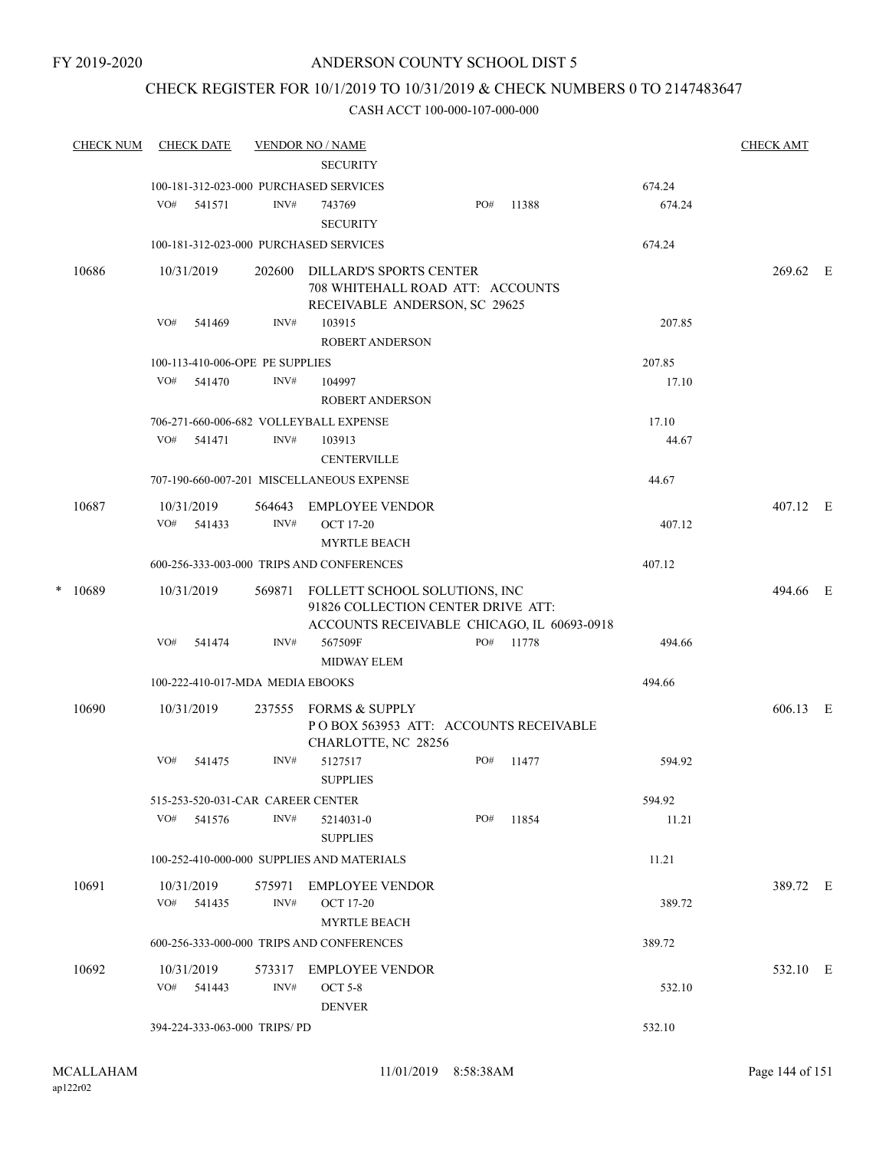## CHECK REGISTER FOR 10/1/2019 TO 10/31/2019 & CHECK NUMBERS 0 TO 2147483647

|   | <b>CHECK NUM</b> |     | <b>CHECK DATE</b>        |                                   | <b>VENDOR NO / NAME</b><br><b>SECURITY</b>                                                                        |     |       |        | <b>CHECK AMT</b> |  |
|---|------------------|-----|--------------------------|-----------------------------------|-------------------------------------------------------------------------------------------------------------------|-----|-------|--------|------------------|--|
|   |                  |     |                          |                                   | 100-181-312-023-000 PURCHASED SERVICES                                                                            |     |       | 674.24 |                  |  |
|   |                  | VO# | 541571                   | INV#                              | 743769<br><b>SECURITY</b>                                                                                         | PO# | 11388 | 674.24 |                  |  |
|   |                  |     |                          |                                   | 100-181-312-023-000 PURCHASED SERVICES                                                                            |     |       | 674.24 |                  |  |
|   | 10686            |     | 10/31/2019               | 202600                            | DILLARD'S SPORTS CENTER<br>708 WHITEHALL ROAD ATT: ACCOUNTS<br>RECEIVABLE ANDERSON, SC 29625                      |     |       |        | 269.62 E         |  |
|   |                  | VO# | 541469                   | INV#                              | 103915<br><b>ROBERT ANDERSON</b>                                                                                  |     |       | 207.85 |                  |  |
|   |                  |     |                          | 100-113-410-006-OPE PE SUPPLIES   |                                                                                                                   |     |       | 207.85 |                  |  |
|   |                  | VO# | 541470                   | INV#                              | 104997                                                                                                            |     |       | 17.10  |                  |  |
|   |                  |     |                          |                                   | <b>ROBERT ANDERSON</b>                                                                                            |     |       |        |                  |  |
|   |                  |     |                          |                                   | 706-271-660-006-682 VOLLEYBALL EXPENSE                                                                            |     |       | 17.10  |                  |  |
|   |                  |     | VO# 541471               | INV#                              | 103913<br><b>CENTERVILLE</b>                                                                                      |     |       | 44.67  |                  |  |
|   |                  |     |                          |                                   | 707-190-660-007-201 MISCELLANEOUS EXPENSE                                                                         |     |       | 44.67  |                  |  |
|   | 10687            |     | 10/31/2019               | 564643                            | EMPLOYEE VENDOR                                                                                                   |     |       |        | 407.12 E         |  |
|   |                  | VO# | 541433                   | INV#                              | <b>OCT 17-20</b><br><b>MYRTLE BEACH</b>                                                                           |     |       | 407.12 |                  |  |
|   |                  |     |                          |                                   | 600-256-333-003-000 TRIPS AND CONFERENCES                                                                         |     |       | 407.12 |                  |  |
| * | 10689            |     | 10/31/2019               | 569871                            | FOLLETT SCHOOL SOLUTIONS, INC<br>91826 COLLECTION CENTER DRIVE ATT:<br>ACCOUNTS RECEIVABLE CHICAGO, IL 60693-0918 |     |       |        | 494.66 E         |  |
|   |                  | VO# | 541474                   | INV#                              | 567509F<br><b>MIDWAY ELEM</b>                                                                                     | PO# | 11778 | 494.66 |                  |  |
|   |                  |     |                          | 100-222-410-017-MDA MEDIA EBOOKS  |                                                                                                                   |     |       | 494.66 |                  |  |
|   |                  |     |                          |                                   |                                                                                                                   |     |       |        |                  |  |
|   | 10690            |     | 10/31/2019               | 237555                            | FORMS & SUPPLY<br>POBOX 563953 ATT: ACCOUNTS RECEIVABLE<br>CHARLOTTE, NC 28256                                    |     |       |        | 606.13 E         |  |
|   |                  | VO# | 541475                   | INV#                              | 5127517<br><b>SUPPLIES</b>                                                                                        | PO# | 11477 | 594.92 |                  |  |
|   |                  |     |                          | 515-253-520-031-CAR CAREER CENTER |                                                                                                                   |     |       | 594.92 |                  |  |
|   |                  | VO# | 541576                   | INV#                              | 5214031-0<br><b>SUPPLIES</b>                                                                                      | PO# | 11854 | 11.21  |                  |  |
|   |                  |     |                          |                                   | 100-252-410-000-000 SUPPLIES AND MATERIALS                                                                        |     |       | 11.21  |                  |  |
|   | 10691            |     | 10/31/2019<br>VO# 541435 | 575971<br>INV#                    | EMPLOYEE VENDOR<br><b>OCT 17-20</b>                                                                               |     |       | 389.72 | 389.72 E         |  |
|   |                  |     |                          |                                   | <b>MYRTLE BEACH</b>                                                                                               |     |       |        |                  |  |
|   |                  |     |                          |                                   | 600-256-333-000-000 TRIPS AND CONFERENCES                                                                         |     |       | 389.72 |                  |  |
|   | 10692            |     | 10/31/2019<br>VO# 541443 | 573317<br>INV#                    | <b>EMPLOYEE VENDOR</b><br><b>OCT 5-8</b>                                                                          |     |       | 532.10 | 532.10 E         |  |
|   |                  |     |                          |                                   | <b>DENVER</b>                                                                                                     |     |       |        |                  |  |
|   |                  |     |                          | 394-224-333-063-000 TRIPS/PD      |                                                                                                                   |     |       | 532.10 |                  |  |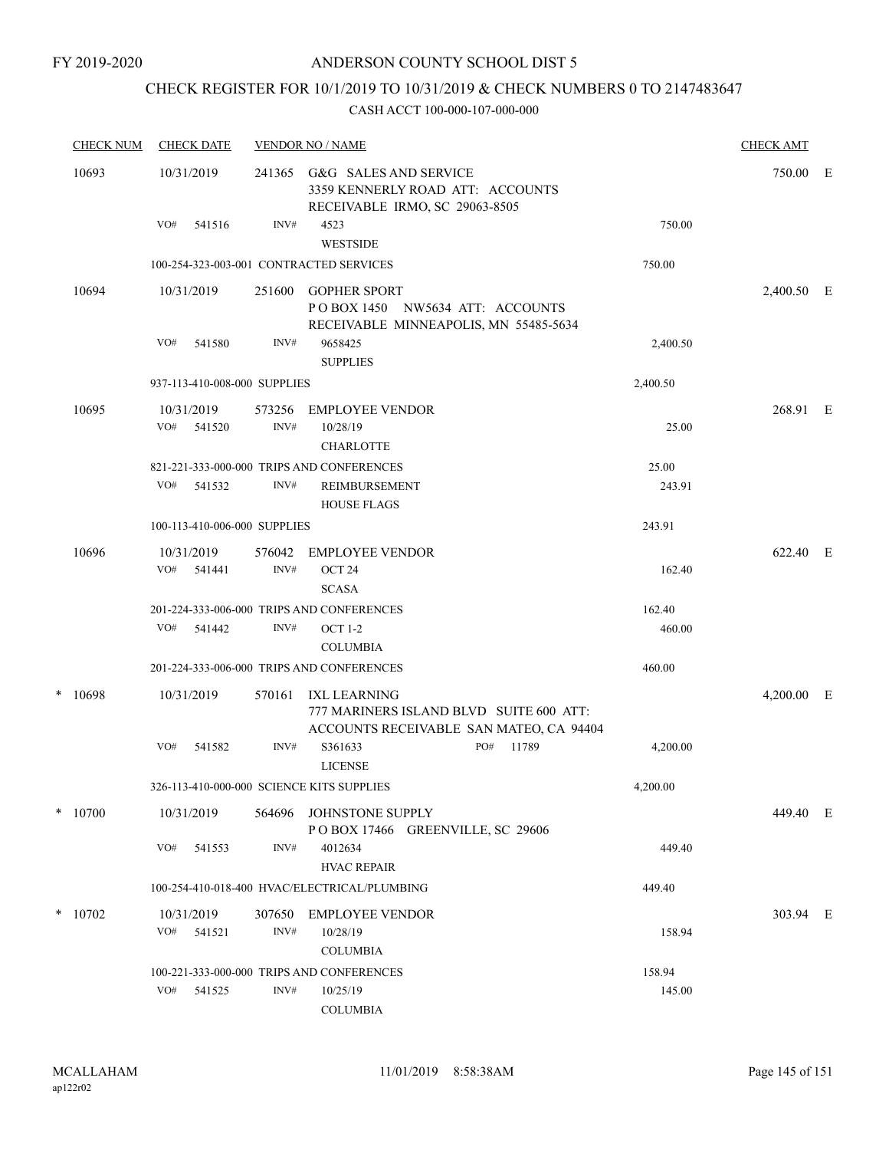# CHECK REGISTER FOR 10/1/2019 TO 10/31/2019 & CHECK NUMBERS 0 TO 2147483647

|       | <b>CHECK NUM</b> | <b>CHECK DATE</b>                         |                | <b>VENDOR NO / NAME</b>                                                                            |       |          | <b>CHECK AMT</b> |          |
|-------|------------------|-------------------------------------------|----------------|----------------------------------------------------------------------------------------------------|-------|----------|------------------|----------|
| 10693 |                  | 10/31/2019                                |                | 241365 G&G SALES AND SERVICE<br>3359 KENNERLY ROAD ATT: ACCOUNTS<br>RECEIVABLE IRMO, SC 29063-8505 |       |          |                  | 750.00 E |
|       |                  | VO#<br>541516                             | INV#           | 4523<br><b>WESTSIDE</b>                                                                            |       | 750.00   |                  |          |
|       |                  | 100-254-323-003-001 CONTRACTED SERVICES   |                |                                                                                                    |       | 750.00   |                  |          |
|       | 10694            | 10/31/2019                                | 251600         | <b>GOPHER SPORT</b><br>POBOX 1450 NW5634 ATT: ACCOUNTS<br>RECEIVABLE MINNEAPOLIS, MN 55485-5634    |       |          | 2,400.50 E       |          |
|       |                  | VO#<br>541580                             | INV#           | 9658425<br><b>SUPPLIES</b>                                                                         |       | 2,400.50 |                  |          |
|       |                  | 937-113-410-008-000 SUPPLIES              |                |                                                                                                    |       | 2,400.50 |                  |          |
|       | 10695            | 10/31/2019<br>VO#<br>541520               | 573256<br>INV# | <b>EMPLOYEE VENDOR</b><br>10/28/19<br><b>CHARLOTTE</b>                                             |       | 25.00    | 268.91 E         |          |
|       |                  |                                           |                | 821-221-333-000-000 TRIPS AND CONFERENCES                                                          |       | 25.00    |                  |          |
|       |                  | VO#<br>541532                             | INV#           | <b>REIMBURSEMENT</b><br><b>HOUSE FLAGS</b>                                                         |       | 243.91   |                  |          |
|       |                  | 100-113-410-006-000 SUPPLIES              |                |                                                                                                    |       | 243.91   |                  |          |
|       | 10696            | 10/31/2019<br>VO# 541441                  | 576042<br>INV# | EMPLOYEE VENDOR<br>OCT <sub>24</sub><br><b>SCASA</b>                                               |       | 162.40   | 622.40 E         |          |
|       |                  |                                           |                | 201-224-333-006-000 TRIPS AND CONFERENCES                                                          |       | 162.40   |                  |          |
|       |                  | VO#<br>541442                             | INV#           | <b>OCT 1-2</b><br><b>COLUMBIA</b>                                                                  |       | 460.00   |                  |          |
|       |                  |                                           |                | 201-224-333-006-000 TRIPS AND CONFERENCES                                                          |       | 460.00   |                  |          |
|       | $* 10698$        | 10/31/2019                                | 570161         | IXL LEARNING<br>777 MARINERS ISLAND BLVD SUITE 600 ATT:<br>ACCOUNTS RECEIVABLE SAN MATEO, CA 94404 |       |          | $4,200.00$ E     |          |
|       |                  | VO#<br>541582                             | INV#           | S361633<br>PO#<br><b>LICENSE</b>                                                                   | 11789 | 4,200.00 |                  |          |
|       |                  | 326-113-410-000-000 SCIENCE KITS SUPPLIES |                |                                                                                                    |       | 4,200.00 |                  |          |
|       | $*$ 10700        | 10/31/2019                                | 564696         | JOHNSTONE SUPPLY<br>POBOX 17466 GREENVILLE, SC 29606                                               |       |          | 449.40 E         |          |
|       |                  | VO#<br>541553                             | INV#           | 4012634<br><b>HVAC REPAIR</b>                                                                      |       | 449.40   |                  |          |
|       |                  |                                           |                | 100-254-410-018-400 HVAC/ELECTRICAL/PLUMBING                                                       |       | 449.40   |                  |          |
|       | $*$ 10702        | 10/31/2019                                | 307650         | <b>EMPLOYEE VENDOR</b>                                                                             |       |          | 303.94 E         |          |
|       |                  | VO#<br>541521                             | INV#           | 10/28/19<br><b>COLUMBIA</b>                                                                        |       | 158.94   |                  |          |
|       |                  |                                           |                | 100-221-333-000-000 TRIPS AND CONFERENCES                                                          |       | 158.94   |                  |          |
|       |                  | VO#<br>541525                             | INV#           | 10/25/19<br><b>COLUMBIA</b>                                                                        |       | 145.00   |                  |          |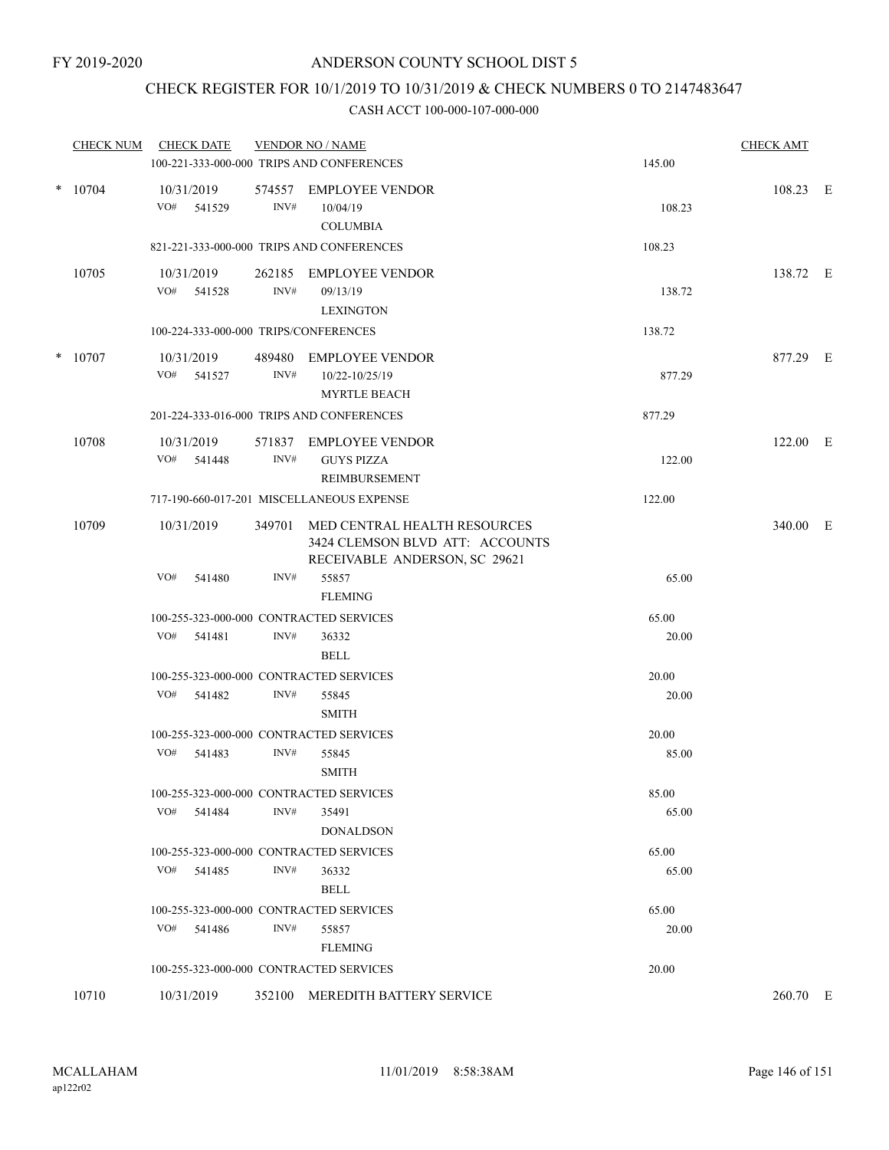# CHECK REGISTER FOR 10/1/2019 TO 10/31/2019 & CHECK NUMBERS 0 TO 2147483647

| <b>CHECK NUM</b> | <b>CHECK DATE</b>                       |                | <b>VENDOR NO / NAME</b><br>100-221-333-000-000 TRIPS AND CONFERENCES                             | 145.00 | <b>CHECK AMT</b> |  |
|------------------|-----------------------------------------|----------------|--------------------------------------------------------------------------------------------------|--------|------------------|--|
| $*$ 10704        | 10/31/2019<br>VO#<br>541529             | 574557<br>INV# | <b>EMPLOYEE VENDOR</b><br>10/04/19<br><b>COLUMBIA</b>                                            | 108.23 | 108.23 E         |  |
|                  |                                         |                | 821-221-333-000-000 TRIPS AND CONFERENCES                                                        | 108.23 |                  |  |
| 10705            | 10/31/2019<br>VO# 541528                | 262185<br>INV# | EMPLOYEE VENDOR<br>09/13/19<br><b>LEXINGTON</b>                                                  | 138.72 | 138.72 E         |  |
|                  | 100-224-333-000-000 TRIPS/CONFERENCES   |                |                                                                                                  | 138.72 |                  |  |
| $*$ 10707        | 10/31/2019<br>VO# 541527                | INV#           | 489480 EMPLOYEE VENDOR<br>10/22-10/25/19<br><b>MYRTLE BEACH</b>                                  | 877.29 | 877.29 E         |  |
|                  |                                         |                | 201-224-333-016-000 TRIPS AND CONFERENCES                                                        | 877.29 |                  |  |
| 10708            | 10/31/2019<br>VO# 541448                | 571837<br>INV# | EMPLOYEE VENDOR<br><b>GUYS PIZZA</b><br><b>REIMBURSEMENT</b>                                     | 122.00 | 122.00 E         |  |
|                  |                                         |                | 717-190-660-017-201 MISCELLANEOUS EXPENSE                                                        | 122.00 |                  |  |
| 10709            | 10/31/2019                              | 349701         | MED CENTRAL HEALTH RESOURCES<br>3424 CLEMSON BLVD ATT: ACCOUNTS<br>RECEIVABLE ANDERSON, SC 29621 |        | 340.00 E         |  |
|                  | VO#<br>541480                           | INV#           | 55857<br><b>FLEMING</b>                                                                          | 65.00  |                  |  |
|                  | 100-255-323-000-000 CONTRACTED SERVICES |                |                                                                                                  | 65.00  |                  |  |
|                  | VO#<br>541481                           | INV#           | 36332<br><b>BELL</b>                                                                             | 20.00  |                  |  |
|                  | 100-255-323-000-000 CONTRACTED SERVICES |                |                                                                                                  | 20.00  |                  |  |
|                  | VO#<br>541482                           | INV#           | 55845<br><b>SMITH</b>                                                                            | 20.00  |                  |  |
|                  | 100-255-323-000-000 CONTRACTED SERVICES |                |                                                                                                  | 20.00  |                  |  |
|                  | VO# 541483                              | INV#           | 55845<br><b>SMITH</b>                                                                            | 85.00  |                  |  |
|                  | 100-255-323-000-000 CONTRACTED SERVICES |                |                                                                                                  | 85.00  |                  |  |
|                  | VO#<br>541484                           | INV#           | 35491<br><b>DONALDSON</b>                                                                        | 65.00  |                  |  |
|                  | 100-255-323-000-000 CONTRACTED SERVICES |                |                                                                                                  | 65.00  |                  |  |
|                  | VO# 541485                              | INV#           | 36332<br><b>BELL</b>                                                                             | 65.00  |                  |  |
|                  | 100-255-323-000-000 CONTRACTED SERVICES |                |                                                                                                  | 65.00  |                  |  |
|                  | VO#<br>541486                           | INV#           | 55857<br><b>FLEMING</b>                                                                          | 20.00  |                  |  |
|                  | 100-255-323-000-000 CONTRACTED SERVICES |                |                                                                                                  | 20.00  |                  |  |
| 10710            | 10/31/2019                              |                | 352100 MEREDITH BATTERY SERVICE                                                                  |        | 260.70 E         |  |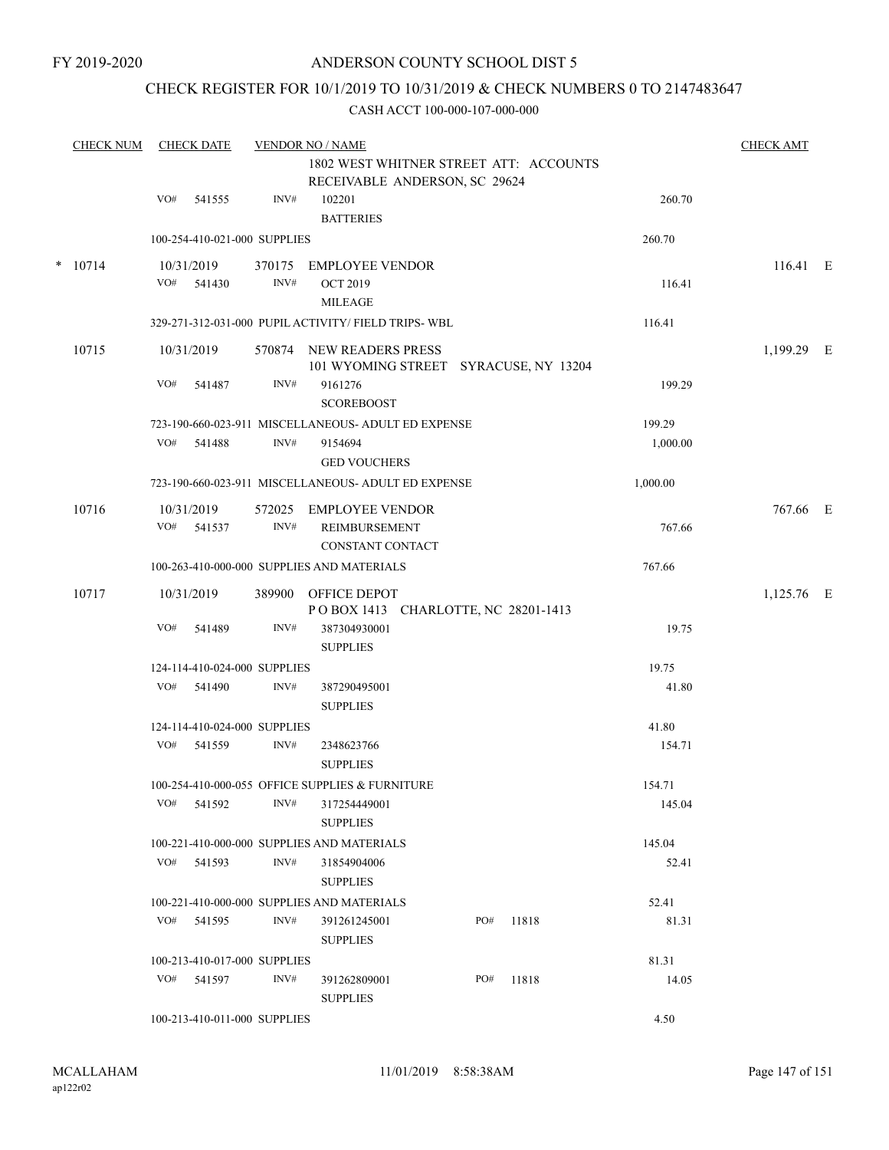# CHECK REGISTER FOR 10/1/2019 TO 10/31/2019 & CHECK NUMBERS 0 TO 2147483647

|   | <b>CHECK NUM</b> |     | <b>CHECK DATE</b>            |                | <b>VENDOR NO / NAME</b><br>1802 WEST WHITNER STREET ATT: ACCOUNTS |     |       |          | <b>CHECK AMT</b> |  |
|---|------------------|-----|------------------------------|----------------|-------------------------------------------------------------------|-----|-------|----------|------------------|--|
|   |                  | VO# | 541555                       | INV#           | RECEIVABLE ANDERSON, SC 29624<br>102201<br><b>BATTERIES</b>       |     |       | 260.70   |                  |  |
|   |                  |     | 100-254-410-021-000 SUPPLIES |                |                                                                   |     |       | 260.70   |                  |  |
| * | 10714            | VO# | 10/31/2019<br>541430         | 370175<br>INV# | EMPLOYEE VENDOR<br><b>OCT 2019</b><br><b>MILEAGE</b>              |     |       | 116.41   | 116.41 E         |  |
|   |                  |     |                              |                | 329-271-312-031-000 PUPIL ACTIVITY/ FIELD TRIPS- WBL              |     |       | 116.41   |                  |  |
|   | 10715            |     | 10/31/2019                   | 570874         | NEW READERS PRESS<br>101 WYOMING STREET SYRACUSE, NY 13204        |     |       |          | 1,199.29 E       |  |
|   |                  | VO# | 541487                       | INV#           | 9161276<br><b>SCOREBOOST</b>                                      |     |       | 199.29   |                  |  |
|   |                  |     |                              |                | 723-190-660-023-911 MISCELLANEOUS- ADULT ED EXPENSE               |     |       | 199.29   |                  |  |
|   |                  | VO# | 541488                       | INV#           | 9154694<br><b>GED VOUCHERS</b>                                    |     |       | 1,000.00 |                  |  |
|   |                  |     |                              |                | 723-190-660-023-911 MISCELLANEOUS- ADULT ED EXPENSE               |     |       | 1,000.00 |                  |  |
|   | 10716            | VO# | 10/31/2019<br>541537         | INV#           | 572025 EMPLOYEE VENDOR<br>REIMBURSEMENT<br>CONSTANT CONTACT       |     |       | 767.66   | 767.66 E         |  |
|   |                  |     |                              |                | 100-263-410-000-000 SUPPLIES AND MATERIALS                        |     |       | 767.66   |                  |  |
|   | 10717            |     | 10/31/2019                   | 389900         | OFFICE DEPOT<br>POBOX 1413 CHARLOTTE, NC 28201-1413               |     |       |          | 1,125.76 E       |  |
|   |                  | VO# | 541489                       | INV#           | 387304930001<br><b>SUPPLIES</b>                                   |     |       | 19.75    |                  |  |
|   |                  |     | 124-114-410-024-000 SUPPLIES |                |                                                                   |     |       | 19.75    |                  |  |
|   |                  | VO# | 541490                       | INV#           | 387290495001<br><b>SUPPLIES</b>                                   |     |       | 41.80    |                  |  |
|   |                  |     | 124-114-410-024-000 SUPPLIES |                |                                                                   |     |       | 41.80    |                  |  |
|   |                  | VO# | 541559                       | INV#           | 2348623766<br><b>SUPPLIES</b>                                     |     |       | 154.71   |                  |  |
|   |                  |     |                              |                | 100-254-410-000-055 OFFICE SUPPLIES & FURNITURE                   |     |       | 154.71   |                  |  |
|   |                  | VO# | 541592                       | INV#           | 317254449001<br><b>SUPPLIES</b>                                   |     |       | 145.04   |                  |  |
|   |                  |     |                              |                | 100-221-410-000-000 SUPPLIES AND MATERIALS                        |     |       | 145.04   |                  |  |
|   |                  | VO# | 541593                       | INV#           | 31854904006<br><b>SUPPLIES</b>                                    |     |       | 52.41    |                  |  |
|   |                  |     |                              |                | 100-221-410-000-000 SUPPLIES AND MATERIALS                        |     |       | 52.41    |                  |  |
|   |                  |     | VO# 541595                   | INV#           | 391261245001<br><b>SUPPLIES</b>                                   | PO# | 11818 | 81.31    |                  |  |
|   |                  |     | 100-213-410-017-000 SUPPLIES |                |                                                                   |     |       | 81.31    |                  |  |
|   |                  | VO# | 541597                       | INV#           | 391262809001<br><b>SUPPLIES</b>                                   | PO# | 11818 | 14.05    |                  |  |
|   |                  |     | 100-213-410-011-000 SUPPLIES |                |                                                                   |     |       | 4.50     |                  |  |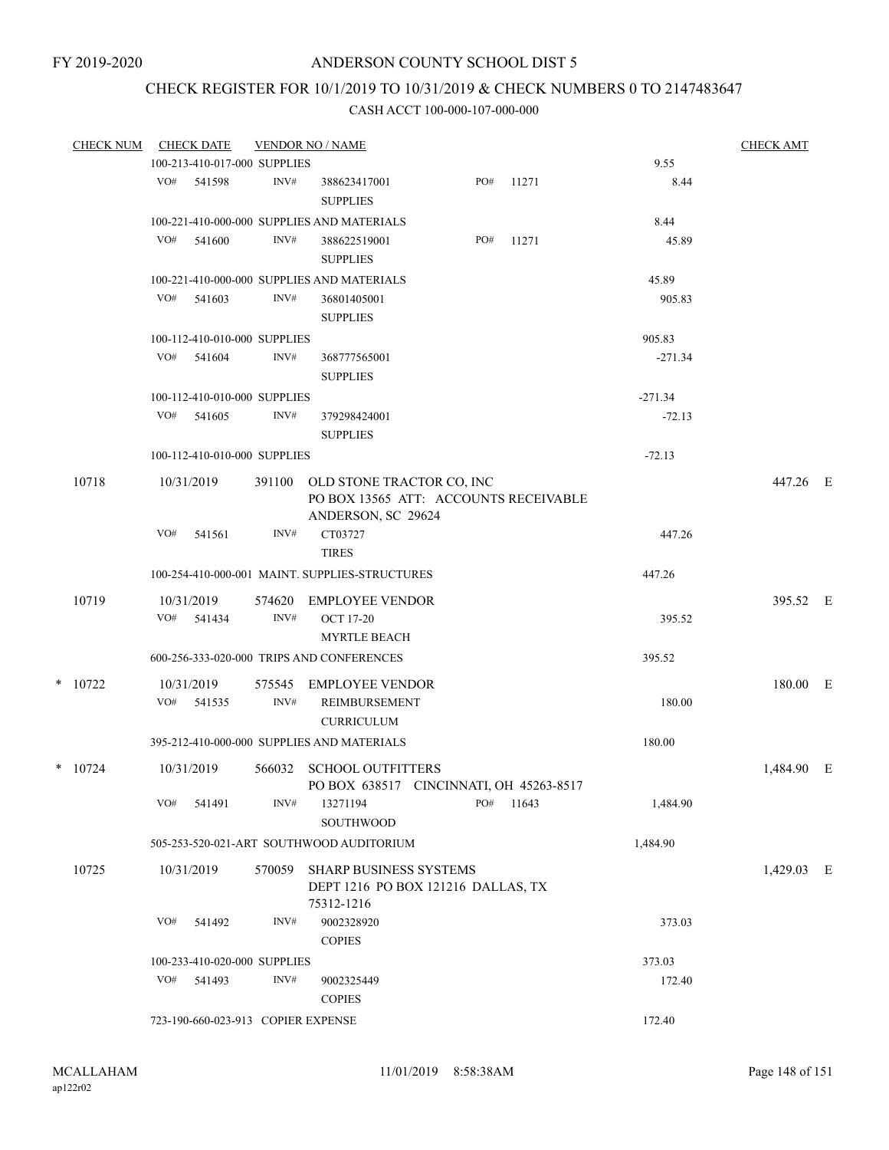# CHECK REGISTER FOR 10/1/2019 TO 10/31/2019 & CHECK NUMBERS 0 TO 2147483647

| <b>CHECK NUM</b> |     | <b>CHECK DATE</b>                  |                | <b>VENDOR NO / NAME</b>                                                                  |     |           |           | <b>CHECK AMT</b> |  |
|------------------|-----|------------------------------------|----------------|------------------------------------------------------------------------------------------|-----|-----------|-----------|------------------|--|
|                  |     | 100-213-410-017-000 SUPPLIES       |                |                                                                                          |     |           | 9.55      |                  |  |
|                  | VO# | 541598                             | INV#           | 388623417001<br><b>SUPPLIES</b>                                                          | PO# | 11271     | 8.44      |                  |  |
|                  |     |                                    |                | 100-221-410-000-000 SUPPLIES AND MATERIALS                                               |     |           | 8.44      |                  |  |
|                  | VO# | 541600                             | INV#           | 388622519001                                                                             | PO# | 11271     | 45.89     |                  |  |
|                  |     |                                    |                | <b>SUPPLIES</b>                                                                          |     |           |           |                  |  |
|                  |     |                                    |                | 100-221-410-000-000 SUPPLIES AND MATERIALS                                               |     |           | 45.89     |                  |  |
|                  | VO# | 541603                             | INV#           |                                                                                          |     |           | 905.83    |                  |  |
|                  |     |                                    |                | 36801405001<br><b>SUPPLIES</b>                                                           |     |           |           |                  |  |
|                  |     |                                    |                |                                                                                          |     |           |           |                  |  |
|                  |     | 100-112-410-010-000 SUPPLIES       |                |                                                                                          |     |           | 905.83    |                  |  |
|                  | VO# | 541604                             | INV#           | 368777565001                                                                             |     |           | $-271.34$ |                  |  |
|                  |     |                                    |                | <b>SUPPLIES</b>                                                                          |     |           |           |                  |  |
|                  |     | 100-112-410-010-000 SUPPLIES       |                |                                                                                          |     |           | $-271.34$ |                  |  |
|                  | VO# | 541605                             | INV#           | 379298424001                                                                             |     |           | $-72.13$  |                  |  |
|                  |     |                                    |                | <b>SUPPLIES</b>                                                                          |     |           |           |                  |  |
|                  |     | 100-112-410-010-000 SUPPLIES       |                |                                                                                          |     |           | $-72.13$  |                  |  |
| 10718            |     | 10/31/2019                         | 391100         | OLD STONE TRACTOR CO, INC<br>PO BOX 13565 ATT: ACCOUNTS RECEIVABLE<br>ANDERSON, SC 29624 |     |           |           | 447.26 E         |  |
|                  | VO# | 541561                             | INV#           | CT03727<br><b>TIRES</b>                                                                  |     |           | 447.26    |                  |  |
|                  |     |                                    |                | 100-254-410-000-001 MAINT. SUPPLIES-STRUCTURES                                           |     |           | 447.26    |                  |  |
|                  |     |                                    |                |                                                                                          |     |           |           |                  |  |
| 10719            |     | 10/31/2019                         | 574620<br>INV# | EMPLOYEE VENDOR                                                                          |     |           |           | 395.52 E         |  |
|                  |     | VO# 541434                         |                | <b>OCT 17-20</b>                                                                         |     |           | 395.52    |                  |  |
|                  |     |                                    |                | <b>MYRTLE BEACH</b>                                                                      |     |           |           |                  |  |
|                  |     |                                    |                | 600-256-333-020-000 TRIPS AND CONFERENCES                                                |     |           | 395.52    |                  |  |
| $*$ 10722        |     | 10/31/2019                         | 575545         | EMPLOYEE VENDOR                                                                          |     |           |           | 180.00 E         |  |
|                  | VO# | 541535                             | INV#           | REIMBURSEMENT                                                                            |     |           | 180.00    |                  |  |
|                  |     |                                    |                | <b>CURRICULUM</b>                                                                        |     |           |           |                  |  |
|                  |     |                                    |                | 395-212-410-000-000 SUPPLIES AND MATERIALS                                               |     |           | 180.00    |                  |  |
| $*$ 10724        |     | 10/31/2019                         |                | 566032 SCHOOL OUTFITTERS                                                                 |     |           |           | 1,484.90 E       |  |
|                  |     |                                    |                | PO BOX 638517 CINCINNATI, OH 45263-8517                                                  |     |           |           |                  |  |
|                  | VO# | 541491                             | INV#           | 13271194                                                                                 |     | PO# 11643 | 1,484.90  |                  |  |
|                  |     |                                    |                | <b>SOUTHWOOD</b>                                                                         |     |           |           |                  |  |
|                  |     |                                    |                | 505-253-520-021-ART SOUTHWOOD AUDITORIUM                                                 |     |           | 1,484.90  |                  |  |
| 10725            |     | 10/31/2019                         |                | 570059 SHARP BUSINESS SYSTEMS<br>DEPT 1216 PO BOX 121216 DALLAS, TX<br>75312-1216        |     |           |           | 1,429.03 E       |  |
|                  | VO# | 541492                             | INV#           | 9002328920<br><b>COPIES</b>                                                              |     |           | 373.03    |                  |  |
|                  |     | 100-233-410-020-000 SUPPLIES       |                |                                                                                          |     |           | 373.03    |                  |  |
|                  |     | VO# 541493                         | INV#           | 9002325449                                                                               |     |           | 172.40    |                  |  |
|                  |     |                                    |                | <b>COPIES</b>                                                                            |     |           |           |                  |  |
|                  |     | 723-190-660-023-913 COPIER EXPENSE |                |                                                                                          |     |           | 172.40    |                  |  |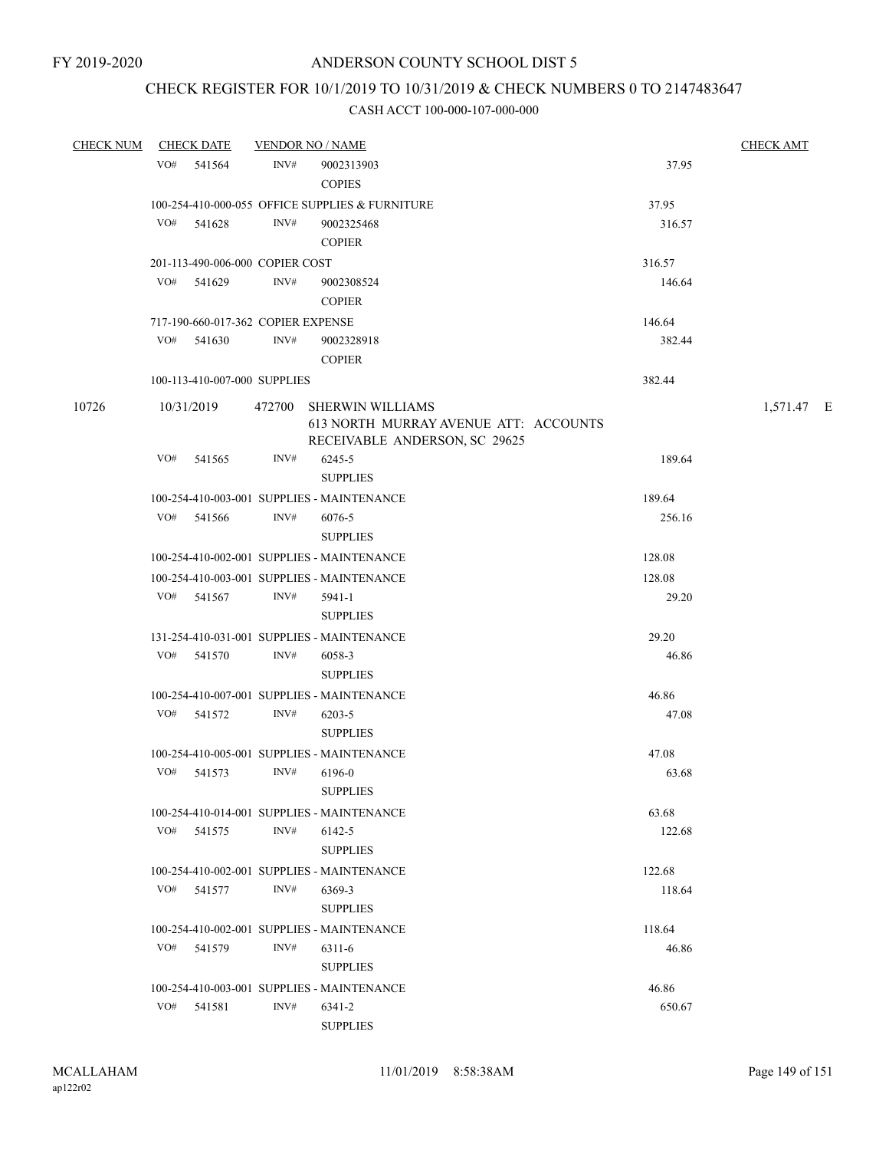# CHECK REGISTER FOR 10/1/2019 TO 10/31/2019 & CHECK NUMBERS 0 TO 2147483647

|       | CHECK NUM CHECK DATE               |      | <b>VENDOR NO / NAME</b>                                                                           |        | <b>CHECK AMT</b> |
|-------|------------------------------------|------|---------------------------------------------------------------------------------------------------|--------|------------------|
|       | VO# 541564                         | INV# | 9002313903<br><b>COPIES</b>                                                                       | 37.95  |                  |
|       |                                    |      | 100-254-410-000-055 OFFICE SUPPLIES & FURNITURE                                                   | 37.95  |                  |
|       | VO# 541628                         | INV# | 9002325468<br><b>COPIER</b>                                                                       | 316.57 |                  |
|       | 201-113-490-006-000 COPIER COST    |      |                                                                                                   | 316.57 |                  |
|       | $VO#$ 541629                       | INV# | 9002308524<br><b>COPIER</b>                                                                       | 146.64 |                  |
|       | 717-190-660-017-362 COPIER EXPENSE |      |                                                                                                   | 146.64 |                  |
|       | $VO#$ 541630                       | INV# | 9002328918<br><b>COPIER</b>                                                                       | 382.44 |                  |
|       | 100-113-410-007-000 SUPPLIES       |      |                                                                                                   | 382.44 |                  |
| 10726 | 10/31/2019                         |      | 472700 SHERWIN WILLIAMS<br>613 NORTH MURRAY AVENUE ATT: ACCOUNTS<br>RECEIVABLE ANDERSON, SC 29625 |        | 1,571.47 E       |
|       | VO#<br>541565                      | INV# | 6245-5<br><b>SUPPLIES</b>                                                                         | 189.64 |                  |
|       |                                    |      | 100-254-410-003-001 SUPPLIES - MAINTENANCE                                                        | 189.64 |                  |
|       | VO#<br>541566                      | INV# | 6076-5<br><b>SUPPLIES</b>                                                                         | 256.16 |                  |
|       |                                    |      | 100-254-410-002-001 SUPPLIES - MAINTENANCE                                                        | 128.08 |                  |
|       |                                    |      | 100-254-410-003-001 SUPPLIES - MAINTENANCE                                                        | 128.08 |                  |
|       | VO# 541567                         | INV# | 5941-1<br><b>SUPPLIES</b>                                                                         | 29.20  |                  |
|       |                                    |      | 131-254-410-031-001 SUPPLIES - MAINTENANCE                                                        | 29.20  |                  |
|       | VO#<br>541570                      | INV# | 6058-3<br><b>SUPPLIES</b>                                                                         | 46.86  |                  |
|       |                                    |      | 100-254-410-007-001 SUPPLIES - MAINTENANCE                                                        | 46.86  |                  |
|       | VO# 541572                         | INV# | 6203-5<br><b>SUPPLIES</b>                                                                         | 47.08  |                  |
|       |                                    |      | 100-254-410-005-001 SUPPLIES - MAINTENANCE                                                        | 47.08  |                  |
|       | VO# 541573                         | INV# | 6196-0<br><b>SUPPLIES</b>                                                                         | 63.68  |                  |
|       |                                    |      | 100-254-410-014-001 SUPPLIES - MAINTENANCE                                                        | 63.68  |                  |
|       | VO# 541575                         | INV# | 6142-5<br><b>SUPPLIES</b>                                                                         | 122.68 |                  |
|       |                                    |      | 100-254-410-002-001 SUPPLIES - MAINTENANCE                                                        | 122.68 |                  |
|       | VO#<br>541577                      | INV# | 6369-3<br><b>SUPPLIES</b>                                                                         | 118.64 |                  |
|       |                                    |      | 100-254-410-002-001 SUPPLIES - MAINTENANCE                                                        | 118.64 |                  |
|       | VO#<br>541579                      | INV# | 6311-6<br><b>SUPPLIES</b>                                                                         | 46.86  |                  |
|       |                                    |      | 100-254-410-003-001 SUPPLIES - MAINTENANCE                                                        | 46.86  |                  |
|       | VO#<br>541581                      | INV# | 6341-2<br><b>SUPPLIES</b>                                                                         | 650.67 |                  |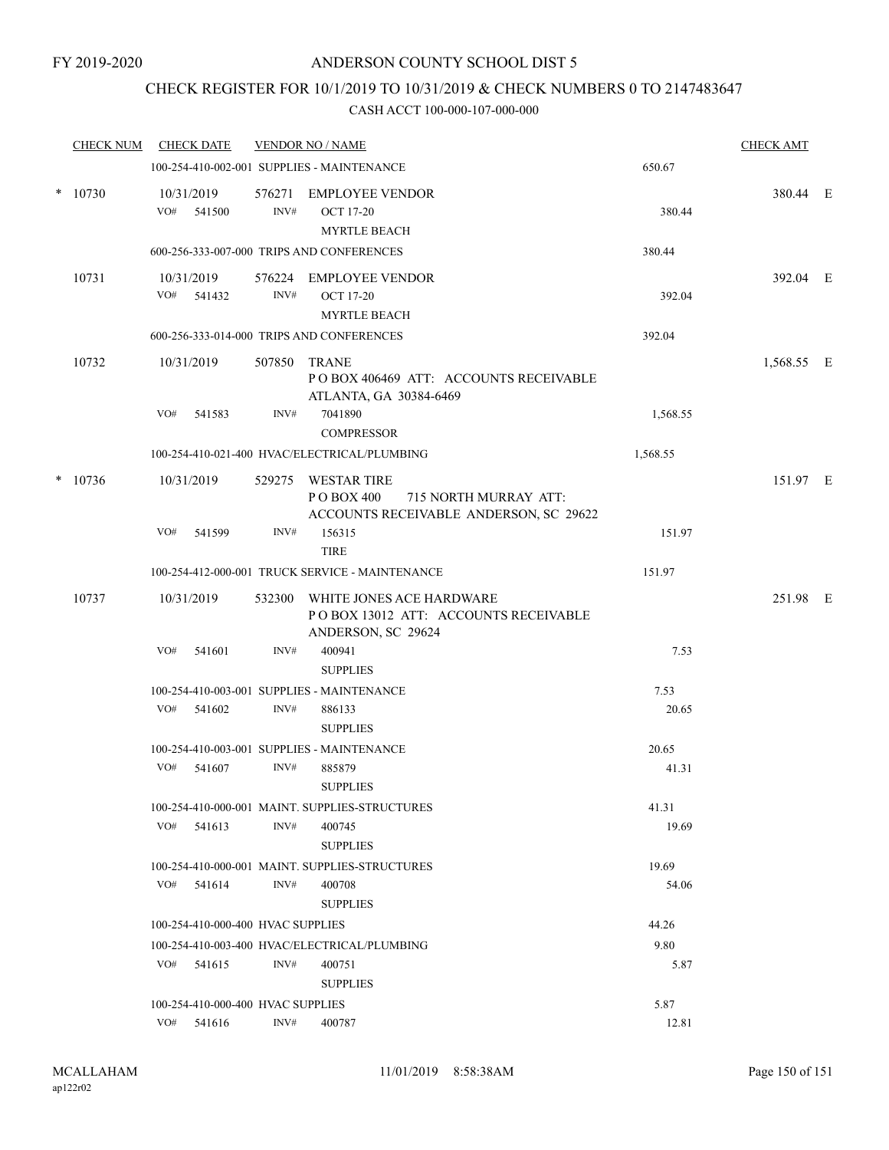# CHECK REGISTER FOR 10/1/2019 TO 10/31/2019 & CHECK NUMBERS 0 TO 2147483647

|        | CHECK NUM |     | <b>CHECK DATE</b>                 |                | <b>VENDOR NO / NAME</b>                                                                                        |                  | <b>CHECK AMT</b> |  |
|--------|-----------|-----|-----------------------------------|----------------|----------------------------------------------------------------------------------------------------------------|------------------|------------------|--|
|        |           |     |                                   |                | 100-254-410-002-001 SUPPLIES - MAINTENANCE                                                                     | 650.67           |                  |  |
| $\ast$ | 10730     |     | 10/31/2019<br>VO# 541500          | 576271<br>INV# | <b>EMPLOYEE VENDOR</b><br><b>OCT 17-20</b><br><b>MYRTLE BEACH</b><br>600-256-333-007-000 TRIPS AND CONFERENCES | 380.44<br>380.44 | 380.44 E         |  |
|        |           |     |                                   |                |                                                                                                                |                  |                  |  |
|        | 10731     |     | 10/31/2019<br>VO# 541432          | INV#           | 576224 EMPLOYEE VENDOR<br><b>OCT 17-20</b><br><b>MYRTLE BEACH</b>                                              | 392.04           | 392.04 E         |  |
|        |           |     |                                   |                | 600-256-333-014-000 TRIPS AND CONFERENCES                                                                      | 392.04           |                  |  |
|        | 10732     |     | 10/31/2019                        | 507850         | <b>TRANE</b><br>POBOX 406469 ATT: ACCOUNTS RECEIVABLE<br>ATLANTA, GA 30384-6469                                |                  | 1,568.55 E       |  |
|        |           | VO# | 541583                            | INV#           | 7041890<br><b>COMPRESSOR</b>                                                                                   | 1,568.55         |                  |  |
|        |           |     |                                   |                | 100-254-410-021-400 HVAC/ELECTRICAL/PLUMBING                                                                   | 1,568.55         |                  |  |
| $\ast$ | 10736     |     | 10/31/2019                        | 529275         | <b>WESTAR TIRE</b><br>P O BOX 400<br>715 NORTH MURRAY ATT:<br>ACCOUNTS RECEIVABLE ANDERSON, SC 29622           |                  | 151.97 E         |  |
|        |           | VO# | 541599                            | INV#           | 156315<br><b>TIRE</b>                                                                                          | 151.97           |                  |  |
|        |           |     |                                   |                | 100-254-412-000-001 TRUCK SERVICE - MAINTENANCE                                                                | 151.97           |                  |  |
|        | 10737     |     | 10/31/2019                        |                | 532300 WHITE JONES ACE HARDWARE<br>POBOX 13012 ATT: ACCOUNTS RECEIVABLE<br>ANDERSON, SC 29624                  |                  | 251.98 E         |  |
|        |           | VO# | 541601                            | INV#           | 400941<br><b>SUPPLIES</b>                                                                                      | 7.53             |                  |  |
|        |           |     |                                   |                | 100-254-410-003-001 SUPPLIES - MAINTENANCE                                                                     | 7.53             |                  |  |
|        |           | VO# | 541602                            | INV#           | 886133<br><b>SUPPLIES</b>                                                                                      | 20.65            |                  |  |
|        |           |     |                                   |                | 100-254-410-003-001 SUPPLIES - MAINTENANCE                                                                     | 20.65            |                  |  |
|        |           | VO# | 541607                            | INV#           | 885879<br><b>SUPPLIES</b>                                                                                      | 41.31            |                  |  |
|        |           |     | VO# 541613                        | INV#           | 100-254-410-000-001 MAINT, SUPPLIES-STRUCTURES<br>400745<br><b>SUPPLIES</b>                                    | 41.31<br>19.69   |                  |  |
|        |           |     |                                   |                | 100-254-410-000-001 MAINT. SUPPLIES-STRUCTURES                                                                 | 19.69            |                  |  |
|        |           |     | $VO#$ 541614                      | INV#           | 400708<br><b>SUPPLIES</b>                                                                                      | 54.06            |                  |  |
|        |           |     | 100-254-410-000-400 HVAC SUPPLIES |                |                                                                                                                | 44.26            |                  |  |
|        |           |     |                                   |                | 100-254-410-003-400 HVAC/ELECTRICAL/PLUMBING                                                                   | 9.80             |                  |  |
|        |           |     | $VO#$ 541615                      | INV#           | 400751<br><b>SUPPLIES</b>                                                                                      | 5.87             |                  |  |
|        |           |     | 100-254-410-000-400 HVAC SUPPLIES |                |                                                                                                                | 5.87             |                  |  |
|        |           |     | $VO#$ 541616                      | INV#           | 400787                                                                                                         | 12.81            |                  |  |